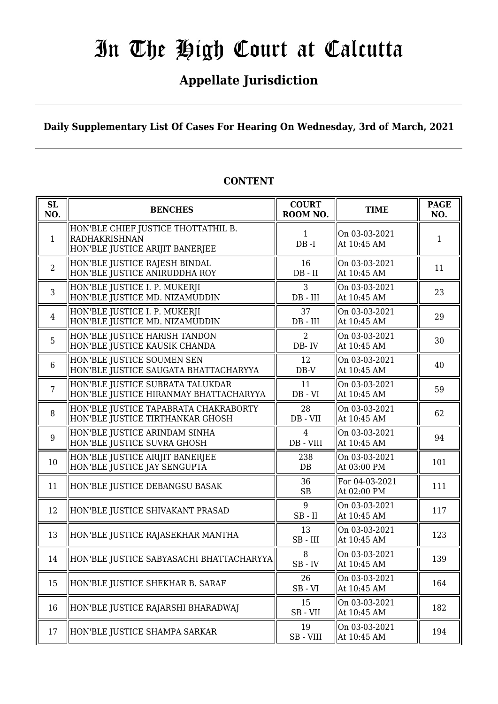# **Appellate Jurisdiction**

**Daily Supplementary List Of Cases For Hearing On Wednesday, 3rd of March, 2021**

| <b>SL</b><br>NO. | <b>BENCHES</b>                                                                                 | <b>COURT</b><br>ROOM NO.       | <b>TIME</b>                   | <b>PAGE</b><br>NO. |
|------------------|------------------------------------------------------------------------------------------------|--------------------------------|-------------------------------|--------------------|
| $\mathbf{1}$     | HON'BLE CHIEF JUSTICE THOTTATHIL B.<br><b>RADHAKRISHNAN</b><br>HON'BLE JUSTICE ARIJIT BANERJEE | 1<br>$DB - I$                  | On 03-03-2021<br>At 10:45 AM  | 1                  |
| $\overline{2}$   | HON'BLE JUSTICE RAJESH BINDAL<br>HON'BLE JUSTICE ANIRUDDHA ROY                                 | 16<br>$DB - II$                | On 03-03-2021<br>At 10:45 AM  | 11                 |
| $\overline{3}$   | HON'BLE JUSTICE I. P. MUKERJI<br>HON'BLE JUSTICE MD. NIZAMUDDIN                                | $\overline{3}$<br>$DB$ - $III$ | On 03-03-2021<br>At 10:45 AM  | 23                 |
| $\overline{4}$   | HON'BLE JUSTICE I. P. MUKERJI<br>HON'BLE JUSTICE MD. NIZAMUDDIN                                | 37<br>$DB$ - $III$             | On 03-03-2021<br>At 10:45 AM  | 29                 |
| 5                | HON'BLE JUSTICE HARISH TANDON<br>HON'BLE JUSTICE KAUSIK CHANDA                                 | 2<br>DB-IV                     | On 03-03-2021<br>At 10:45 AM  | 30                 |
| 6                | HON'BLE JUSTICE SOUMEN SEN<br>HON'BLE JUSTICE SAUGATA BHATTACHARYYA                            | 12<br>$DB-V$                   | On 03-03-2021<br>At 10:45 AM  | 40                 |
| $\overline{7}$   | HON'BLE JUSTICE SUBRATA TALUKDAR<br>HON'BLE JUSTICE HIRANMAY BHATTACHARYYA                     | 11<br>$DB - VI$                | On 03-03-2021<br>At 10:45 AM  | 59                 |
| 8                | HON'BLE JUSTICE TAPABRATA CHAKRABORTY<br>HON'BLE JUSTICE TIRTHANKAR GHOSH                      | 28<br>$DB - VII$               | On 03-03-2021<br>At 10:45 AM  | 62                 |
| 9                | HON'BLE JUSTICE ARINDAM SINHA<br>HON'BLE JUSTICE SUVRA GHOSH                                   | $\overline{4}$<br>$DB - VIII$  | On 03-03-2021<br>At 10:45 AM  | 94                 |
| 10               | HON'BLE JUSTICE ARIJIT BANERJEE<br>HON'BLE JUSTICE JAY SENGUPTA                                | 238<br>DB                      | On 03-03-2021<br>At 03:00 PM  | 101                |
| 11               | HON'BLE JUSTICE DEBANGSU BASAK                                                                 | 36<br><b>SB</b>                | For 04-03-2021<br>At 02:00 PM | 111                |
| 12               | HON'BLE JUSTICE SHIVAKANT PRASAD                                                               | 9<br>$SB$ - $II$               | On 03-03-2021<br>At 10:45 AM  | 117                |
| 13               | HON'BLE JUSTICE RAJASEKHAR MANTHA                                                              | 13<br>$SB$ - $III$             | On 03-03-2021<br>At 10:45 AM  | 123                |
| 14               | HON'BLE JUSTICE SABYASACHI BHATTACHARYYA                                                       | 8<br>$SB$ - $IV$               | On 03-03-2021<br>At 10:45 AM  | 139                |
| 15               | HON'BLE JUSTICE SHEKHAR B. SARAF                                                               | 26<br>$SB - VI$                | On 03-03-2021<br>At 10:45 AM  | 164                |
| 16               | HON'BLE JUSTICE RAJARSHI BHARADWAJ                                                             | 15<br>$SB - VII$               | On 03-03-2021<br>At 10:45 AM  | 182                |
| 17               | HON'BLE JUSTICE SHAMPA SARKAR                                                                  | 19<br>SB-VIII                  | On 03-03-2021<br>At 10:45 AM  | 194                |

# **CONTENT**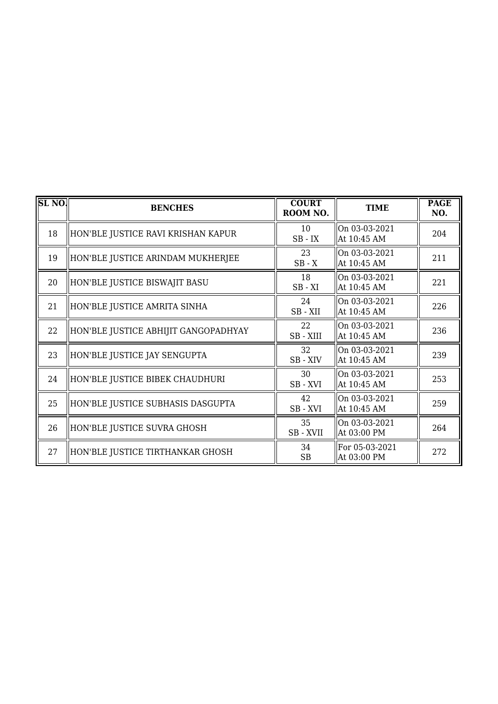| SL <sub>NO</sub> . | <b>BENCHES</b>                       | <b>COURT</b><br>ROOM NO. | <b>TIME</b>                   | <b>PAGE</b><br>NO. |
|--------------------|--------------------------------------|--------------------------|-------------------------------|--------------------|
| 18                 | HON'BLE JUSTICE RAVI KRISHAN KAPUR   | 10<br>$SB$ - $IX$        | On 03-03-2021<br>At 10:45 AM  | 204                |
| 19                 | HON'BLE JUSTICE ARINDAM MUKHERJEE    | 23<br>$SB - X$           | On 03-03-2021<br>At 10:45 AM  | 211                |
| 20                 | HON'BLE JUSTICE BISWAJIT BASU        | 18<br>$SB - XI$          | On 03-03-2021<br>At 10:45 AM  | 221                |
| 21                 | HON'BLE JUSTICE AMRITA SINHA         | 24<br>SB-XII             | On 03-03-2021<br>At 10:45 AM  | 226                |
| 22                 | HON'BLE JUSTICE ABHIJIT GANGOPADHYAY | 22<br>$SB - XIII$        | On 03-03-2021<br>At 10:45 AM  | 236                |
| 23                 | HON'BLE JUSTICE JAY SENGUPTA         | 32<br>SB-XIV             | On 03-03-2021<br>At 10:45 AM  | 239                |
| 24                 | HON'BLE JUSTICE BIBEK CHAUDHURI      | 30<br>SB-XVI             | On 03-03-2021<br>At 10:45 AM  | 253                |
| 25                 | HON'BLE JUSTICE SUBHASIS DASGUPTA    | 42<br>SB - XVI           | On 03-03-2021<br>At 10:45 AM  | 259                |
| 26                 | HON'BLE JUSTICE SUVRA GHOSH          | 35<br>SB - XVII          | On 03-03-2021<br>At 03:00 PM  | 264                |
| 27                 | HON'BLE JUSTICE TIRTHANKAR GHOSH     | 34<br>SB                 | For 05-03-2021<br>At 03:00 PM | 272                |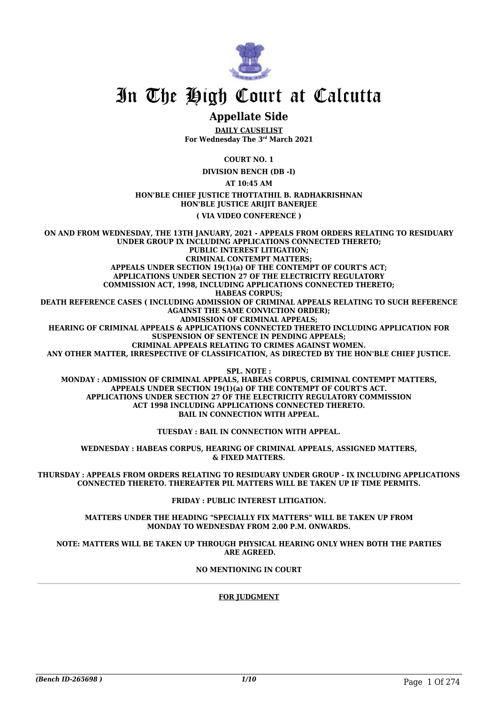

# **Appellate Side**

**DAILY CAUSELIST For Wednesday The 3rd March 2021**

**COURT NO. 1**

**DIVISION BENCH (DB -I)**

**AT 10:45 AM**

**HON'BLE CHIEF JUSTICE THOTTATHIL B. RADHAKRISHNAN HON'BLE JUSTICE ARIJIT BANERJEE**

**( VIA VIDEO CONFERENCE )**

**ON AND FROM WEDNESDAY, THE 13TH JANUARY, 2021 - APPEALS FROM ORDERS RELATING TO RESIDUARY UNDER GROUP IX INCLUDING APPLICATIONS CONNECTED THERETO; PUBLIC INTEREST LITIGATION; CRIMINAL CONTEMPT MATTERS; APPEALS UNDER SECTION 19(1)(a) OF THE CONTEMPT OF COURT'S ACT; APPLICATIONS UNDER SECTION 27 OF THE ELECTRICITY REGULATORY COMMISSION ACT, 1998, INCLUDING APPLICATIONS CONNECTED THERETO; HABEAS CORPUS; DEATH REFERENCE CASES ( INCLUDING ADMISSION OF CRIMINAL APPEALS RELATING TO SUCH REFERENCE AGAINST THE SAME CONVICTION ORDER); ADMISSION OF CRIMINAL APPEALS; HEARING OF CRIMINAL APPEALS & APPLICATIONS CONNECTED THERETO INCLUDING APPLICATION FOR SUSPENSION OF SENTENCE IN PENDING APPEALS; CRIMINAL APPEALS RELATING TO CRIMES AGAINST WOMEN. ANY OTHER MATTER, IRRESPECTIVE OF CLASSIFICATION, AS DIRECTED BY THE HON'BLE CHIEF JUSTICE. SPL. NOTE :**

**MONDAY : ADMISSION OF CRIMINAL APPEALS, HABEAS CORPUS, CRIMINAL CONTEMPT MATTERS, APPEALS UNDER SECTION 19(1)(a) OF THE CONTEMPT OF COURT'S ACT. APPLICATIONS UNDER SECTION 27 OF THE ELECTRICITY REGULATORY COMMISSION ACT 1998 INCLUDING APPLICATIONS CONNECTED THERETO. BAIL IN CONNECTION WITH APPEAL.**

**TUESDAY : BAIL IN CONNECTION WITH APPEAL.**

**WEDNESDAY : HABEAS CORPUS, HEARING OF CRIMINAL APPEALS, ASSIGNED MATTERS, & FIXED MATTERS.**

**THURSDAY : APPEALS FROM ORDERS RELATING TO RESIDUARY UNDER GROUP - IX INCLUDING APPLICATIONS CONNECTED THERETO. THEREAFTER PIL MATTERS WILL BE TAKEN UP IF TIME PERMITS.**

**FRIDAY : PUBLIC INTEREST LITIGATION.**

**MATTERS UNDER THE HEADING "SPECIALLY FIX MATTERS" WILL BE TAKEN UP FROM MONDAY TO WEDNESDAY FROM 2.00 P.M. ONWARDS.**

**NOTE: MATTERS WILL BE TAKEN UP THROUGH PHYSICAL HEARING ONLY WHEN BOTH THE PARTIES ARE AGREED.**

**NO MENTIONING IN COURT**

#### **FOR JUDGMENT**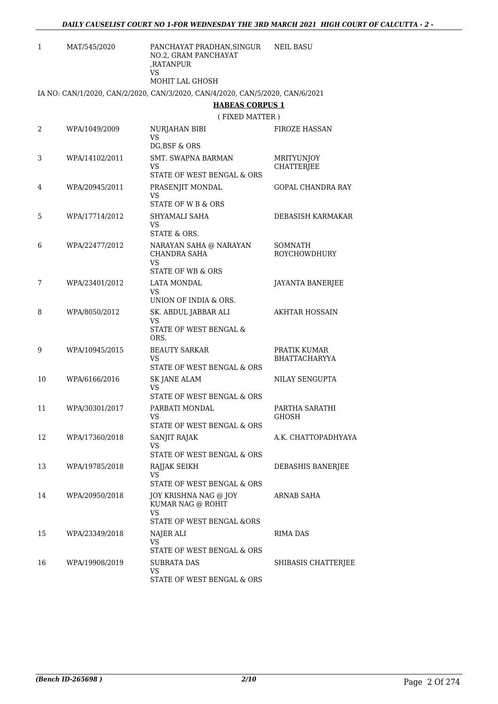| 1  | MAT/545/2020   | PANCHAYAT PRADHAN, SINGUR<br>NO.2, GRAM PANCHAYAT<br>,RATANPUR                                          | <b>NEIL BASU</b>                      |
|----|----------------|---------------------------------------------------------------------------------------------------------|---------------------------------------|
|    |                | VS<br><b>MOHIT LAL GHOSH</b>                                                                            |                                       |
|    |                | IA NO: CAN/1/2020, CAN/2/2020, CAN/3/2020, CAN/4/2020, CAN/5/2020, CAN/6/2021<br><b>HABEAS CORPUS 1</b> |                                       |
|    |                | (FIXED MATTER)                                                                                          |                                       |
| 2  | WPA/1049/2009  | <b>NURJAHAN BIBI</b><br>VS<br>DG, BSF & ORS                                                             | <b>FIROZE HASSAN</b>                  |
| 3  | WPA/14102/2011 | SMT. SWAPNA BARMAN<br>VS<br>STATE OF WEST BENGAL & ORS                                                  | MRITYUNJOY<br><b>CHATTERJEE</b>       |
| 4  | WPA/20945/2011 | PRASENJIT MONDAL<br>VS<br><b>STATE OF W B &amp; ORS</b>                                                 | <b>GOPAL CHANDRA RAY</b>              |
| 5  | WPA/17714/2012 | SHYAMALI SAHA<br>VS                                                                                     | DEBASISH KARMAKAR                     |
| 6  | WPA/22477/2012 | STATE & ORS.<br>NARAYAN SAHA @ NARAYAN<br>CHANDRA SAHA<br>VS<br><b>STATE OF WB &amp; ORS</b>            | <b>SOMNATH</b><br><b>ROYCHOWDHURY</b> |
| 7  | WPA/23401/2012 | LATA MONDAL<br>VS<br>UNION OF INDIA & ORS.                                                              | JAYANTA BANERJEE                      |
| 8  | WPA/8050/2012  | SK. ABDUL JABBAR ALI<br><b>VS</b><br>STATE OF WEST BENGAL &                                             | <b>AKHTAR HOSSAIN</b>                 |
| 9  | WPA/10945/2015 | ORS.<br><b>BEAUTY SARKAR</b><br><b>VS</b><br>STATE OF WEST BENGAL & ORS                                 | PRATIK KUMAR<br><b>BHATTACHARYYA</b>  |
| 10 | WPA/6166/2016  | <b>SK JANE ALAM</b><br>VS<br>STATE OF WEST BENGAL & ORS                                                 | NILAY SENGUPTA                        |
| 11 | WPA/30301/2017 | PARBATI MONDAL<br>VS<br>STATE OF WEST BENGAL & ORS                                                      | PARTHA SARATHI<br><b>GHOSH</b>        |
| 12 | WPA/17360/2018 | SANJIT RAJAK<br>VS<br>STATE OF WEST BENGAL & ORS                                                        | A.K. CHATTOPADHYAYA                   |
| 13 | WPA/19785/2018 | RAJJAK SEIKH<br>VS.                                                                                     | DEBASHIS BANERJEE                     |
| 14 | WPA/20950/2018 | STATE OF WEST BENGAL & ORS<br>JOY KRISHNA NAG @ JOY<br>KUMAR NAG @ ROHIT<br>VS.                         | ARNAB SAHA                            |
| 15 | WPA/23349/2018 | STATE OF WEST BENGAL &ORS<br>NAJER ALI<br>VS.                                                           | RIMA DAS                              |
| 16 | WPA/19908/2019 | STATE OF WEST BENGAL & ORS<br>SUBRATA DAS<br>VS<br>STATE OF WEST BENGAL & ORS                           | SHIBASIS CHATTERJEE                   |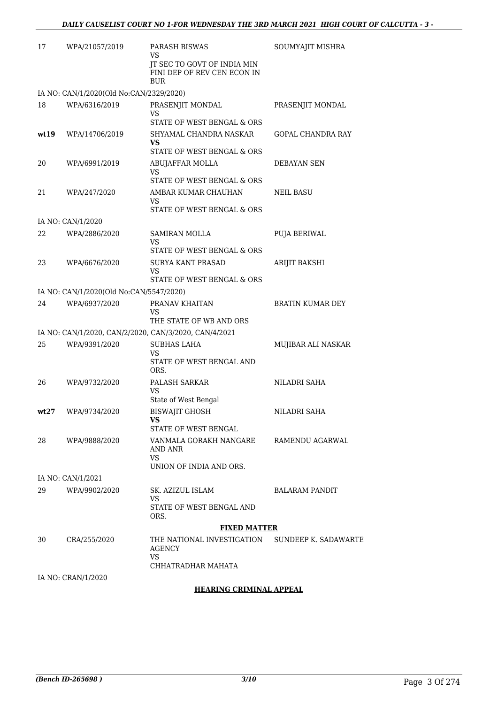| 17   | WPA/21057/2019                          | PARASH BISWAS<br>VS                                                      | SOUMYAJIT MISHRA            |
|------|-----------------------------------------|--------------------------------------------------------------------------|-----------------------------|
|      |                                         | JT SEC TO GOVT OF INDIA MIN<br>FINI DEP OF REV CEN ECON IN<br><b>BUR</b> |                             |
|      | IA NO: CAN/1/2020(Old No:CAN/2329/2020) |                                                                          |                             |
| 18   | WPA/6316/2019                           | PRASENJIT MONDAL<br><b>VS</b>                                            | PRASENJIT MONDAL            |
|      |                                         | STATE OF WEST BENGAL & ORS                                               |                             |
| wt19 | WPA/14706/2019                          | SHYAMAL CHANDRA NASKAR<br>VS                                             | <b>GOPAL CHANDRA RAY</b>    |
|      |                                         | STATE OF WEST BENGAL & ORS                                               |                             |
| 20   | WPA/6991/2019                           | ABUJAFFAR MOLLA<br>VS.                                                   | <b>DEBAYAN SEN</b>          |
|      |                                         | STATE OF WEST BENGAL & ORS                                               |                             |
| 21   | WPA/247/2020                            | AMBAR KUMAR CHAUHAN<br>VS                                                | <b>NEIL BASU</b>            |
|      | IA NO: CAN/1/2020                       | STATE OF WEST BENGAL & ORS                                               |                             |
| 22   | WPA/2886/2020                           | <b>SAMIRAN MOLLA</b>                                                     | PUJA BERIWAL                |
|      |                                         | VS                                                                       |                             |
|      |                                         | STATE OF WEST BENGAL & ORS                                               |                             |
| 23   | WPA/6676/2020                           | <b>SURYA KANT PRASAD</b><br>VS<br>STATE OF WEST BENGAL & ORS             | ARIJIT BAKSHI               |
|      | IA NO: CAN/1/2020(Old No:CAN/5547/2020) |                                                                          |                             |
| 24   | WPA/6937/2020                           | PRANAV KHAITAN                                                           | <b>BRATIN KUMAR DEY</b>     |
|      |                                         | VS<br>THE STATE OF WB AND ORS                                            |                             |
|      |                                         | IA NO: CAN/1/2020, CAN/2/2020, CAN/3/2020, CAN/4/2021                    |                             |
| 25   | WPA/9391/2020                           | <b>SUBHAS LAHA</b><br>VS                                                 | MUJIBAR ALI NASKAR          |
|      |                                         | STATE OF WEST BENGAL AND<br>ORS.                                         |                             |
| 26   | WPA/9732/2020                           | PALASH SARKAR<br>VS                                                      | NILADRI SAHA                |
|      |                                         | State of West Bengal                                                     |                             |
| wt27 | WPA/9734/2020                           | <b>BISWAJIT GHOSH</b><br>VS                                              | NILADRI SAHA                |
|      |                                         | STATE OF WEST BENGAL                                                     |                             |
| 28   | WPA/9888/2020                           | VANMALA GORAKH NANGARE<br>AND ANR<br><b>VS</b>                           | RAMENDU AGARWAL             |
|      |                                         | UNION OF INDIA AND ORS.                                                  |                             |
|      | IA NO: CAN/1/2021                       |                                                                          |                             |
| 29   | WPA/9902/2020                           | SK. AZIZUL ISLAM<br>VS                                                   | <b>BALARAM PANDIT</b>       |
|      |                                         | STATE OF WEST BENGAL AND<br>ORS.                                         |                             |
|      |                                         | <b>FIXED MATTER</b>                                                      |                             |
| 30   | CRA/255/2020                            | THE NATIONAL INVESTIGATION<br>AGENCY<br>VS                               | <b>SUNDEEP K. SADAWARTE</b> |
|      |                                         | CHHATRADHAR MAHATA                                                       |                             |
|      | IA NO: CRAN/1/2020                      |                                                                          |                             |

**HEARING CRIMINAL APPEAL**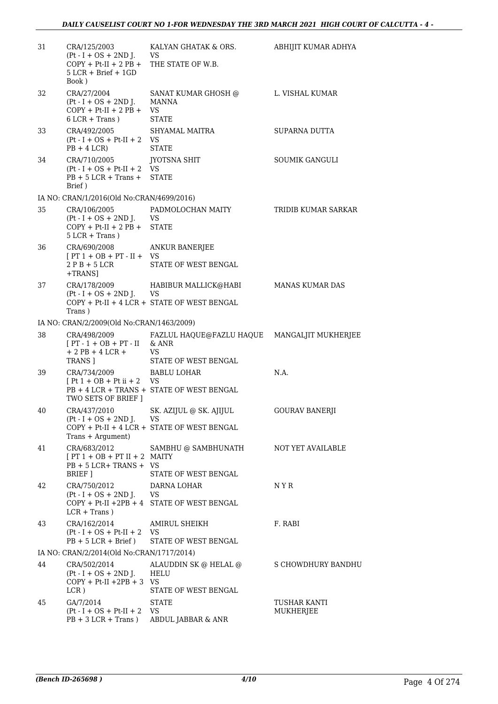| 31 | CRA/125/2003<br>$Pt-I + OS + 2ND J.$<br>$COPY + Pt-II + 2 PB +$<br>$5$ LCR + Brief + 1GD<br>Book) | KALYAN GHATAK & ORS.<br>VS<br>THE STATE OF W.B.                                       | ABHIJIT KUMAR ADHYA       |
|----|---------------------------------------------------------------------------------------------------|---------------------------------------------------------------------------------------|---------------------------|
| 32 | CRA/27/2004<br>$(Pt - I + OS + 2ND J.$<br>$COPY + Pt-II + 2 PB +$<br>$6$ LCR + Trans)             | <b>SANAT KUMAR GHOSH @</b><br>MANNA<br>VS<br><b>STATE</b>                             | L. VISHAL KUMAR           |
| 33 | CRA/492/2005<br>$Pt-I + OS + Pt-II + 2 VS$<br>$PB + 4 LCR$                                        | <b>SHYAMAL MAITRA</b><br><b>STATE</b>                                                 | SUPARNA DUTTA             |
| 34 | CRA/710/2005<br>$Pt-I + OS + Pt-II + 2$<br>$PB + 5 LCR + Trans +$<br>Brief)                       | JYOTSNA SHIT<br>VS.<br><b>STATE</b>                                                   | <b>SOUMIK GANGULI</b>     |
|    | IA NO: CRAN/1/2016(Old No:CRAN/4699/2016)                                                         |                                                                                       |                           |
| 35 | CRA/106/2005<br>$Pt-I + OS + 2ND J.$<br>$COPY + Pt-II + 2 PB +$<br>$5$ LCR + Trans)               | PADMOLOCHAN MAITY<br>VS<br><b>STATE</b>                                               | TRIDIB KUMAR SARKAR       |
| 36 | CRA/690/2008<br>$[PT 1 + OB + PT - II + VS$<br>$2PB + 5LCR$<br>+TRANS]                            | <b>ANKUR BANERJEE</b><br>STATE OF WEST BENGAL                                         |                           |
| 37 | CRA/178/2009<br>$(Pt - I + OS + 2ND J.$ VS<br>Trans)                                              | HABIBUR MALLICK@HABI<br>COPY + Pt-II + 4 LCR + STATE OF WEST BENGAL                   | <b>MANAS KUMAR DAS</b>    |
|    | IA NO: CRAN/2/2009(Old No:CRAN/1463/2009)                                                         |                                                                                       |                           |
| 38 | CRA/498/2009<br>$[PT - 1 + OB + PT - II$ & ANR<br>$+ 2$ PB $+ 4$ LCR $+$<br>TRANS ]               | FAZLUL HAQUE@FAZLU HAQUE<br>VS.<br>STATE OF WEST BENGAL                               | MANGALJIT MUKHERJEE       |
| 39 | CRA/734/2009<br>$[Pt 1 + OB + Pt ii + 2$ VS<br>TWO SETS OF BRIEF ]                                | BABLU LOHAR<br>PB + 4 LCR + TRANS + STATE OF WEST BENGAL                              | N.A.                      |
| 40 | CRA/437/2010<br>$Pt - I + OS + 2ND$ J.<br>Trans + Argument)                                       | SK. AZIJUL @ SK. AJIJUL<br><b>VS</b><br>$COPY + Pt-II + 4 LCR + STATE OF WEST BENGAL$ | <b>GOURAV BANERJI</b>     |
| 41 | CRA/683/2012<br>$[PT 1 + OB + PT II + 2$ MAITY<br>$PB + 5 LCR + TRANS + VS$<br>BRIEF 1            | SAMBHU @ SAMBHUNATH<br>STATE OF WEST BENGAL                                           | NOT YET AVAILABLE         |
| 42 | CRA/750/2012<br>$Pt-I + OS + 2ND J.$<br>$LCR + Trans$ )                                           | DARNA LOHAR<br>VS.<br>$COPY + Pt-II + 2PB + 4$ STATE OF WEST BENGAL                   | N Y R                     |
| 43 | CRA/162/2014<br>$Pt-I + OS + Pt-II + 2 VS$<br>$PB + 5 LCR + Brief)$                               | AMIRUL SHEIKH<br>STATE OF WEST BENGAL                                                 | F. RABI                   |
|    | IA NO: CRAN/2/2014(Old No:CRAN/1717/2014)                                                         |                                                                                       |                           |
| 44 | CRA/502/2014<br>$Pt - I + OS + 2ND J.$<br>$COPY + Pt-II + 2PB + 3 VS$<br>LCR)                     | ALAUDDIN SK @ HELAL @<br>HELU<br>STATE OF WEST BENGAL                                 | S CHOWDHURY BANDHU        |
| 45 | GA/7/2014<br>$Pt-I + OS + Pt-II + 2$<br>$PB + 3 LCR + Trans$ )                                    | <b>STATE</b><br>VS.<br>ABDUL JABBAR & ANR                                             | TUSHAR KANTI<br>MUKHERJEE |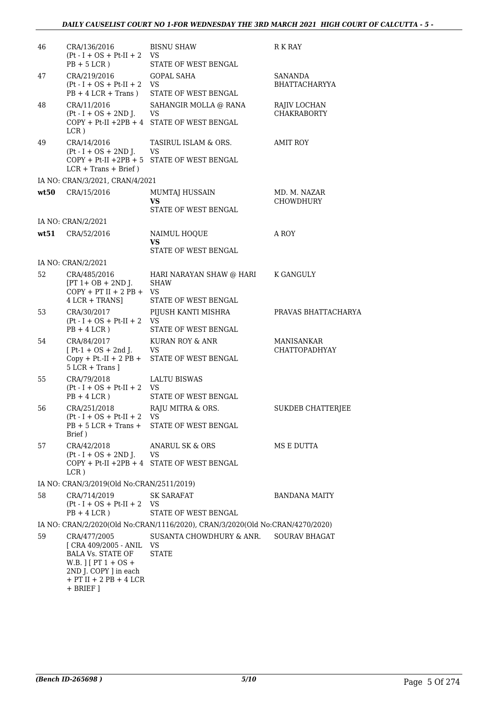| 46   | CRA/136/2016<br>$Pt-I + OS + Pt-II + 2$<br>$PB + 5 LCR$ )                                                                                                                       | <b>BISNU SHAW</b><br>VS.<br>STATE OF WEST BENGAL                               | R K RAY                            |
|------|---------------------------------------------------------------------------------------------------------------------------------------------------------------------------------|--------------------------------------------------------------------------------|------------------------------------|
| 47   | CRA/219/2016<br>$Pt - I + OS + Pt - II + 2$<br>$PB + 4 LCR + Trans$ )                                                                                                           | GOPAL SAHA<br>VS<br>STATE OF WEST BENGAL                                       | SANANDA<br><b>BHATTACHARYYA</b>    |
| 48   | CRA/11/2016<br>$(Pt - I + OS + 2ND J.$<br>$LCR$ )                                                                                                                               | SAHANGIR MOLLA @ RANA<br>VS<br>COPY + Pt-II +2PB + 4 STATE OF WEST BENGAL      | RAJIV LOCHAN<br><b>CHAKRABORTY</b> |
| 49   | CRA/14/2016<br>$(Pt - I + OS + 2ND J.$<br>$LCR + Trans + Brief)$                                                                                                                | TASIRUL ISLAM & ORS.<br>VS<br>COPY + Pt-II +2PB + 5 STATE OF WEST BENGAL       | AMIT ROY                           |
|      | IA NO: CRAN/3/2021, CRAN/4/2021                                                                                                                                                 |                                                                                |                                    |
| wt50 | CRA/15/2016                                                                                                                                                                     | MUMTAJ HUSSAIN<br><b>VS</b>                                                    | MD. M. NAZAR<br>CHOWDHURY          |
|      |                                                                                                                                                                                 | STATE OF WEST BENGAL                                                           |                                    |
|      | IA NO: CRAN/2/2021<br>wt51 CRA/52/2016                                                                                                                                          | NAIMUL HOOUE<br><b>VS</b><br><b>STATE OF WEST BENGAL</b>                       | A ROY                              |
|      |                                                                                                                                                                                 |                                                                                |                                    |
|      | IA NO: CRAN/2/2021                                                                                                                                                              |                                                                                |                                    |
| 52.  | CRA/485/2016<br>$[PT 1 + OB + 2ND$ J.<br>$COPY + PT II + 2PB + VS$<br>$4$ LCR + TRANS]                                                                                          | HARI NARAYAN SHAW @ HARI<br><b>SHAW</b><br>STATE OF WEST BENGAL                | K GANGULY                          |
| 53   | CRA/30/2017<br>$Pt - I + OS + Pt-II + 2$<br>$PB + 4 LCR$ )                                                                                                                      | PIJUSH KANTI MISHRA<br><b>VS</b><br>STATE OF WEST BENGAL                       | PRAVAS BHATTACHARYA                |
| 54   | CRA/84/2017<br>$[Pt-1 + OS + 2nd]$ .<br>$Copy + Pt.-II + 2 PB +$<br>$5$ LCR + Trans $1$                                                                                         | KURAN ROY & ANR<br>VS<br>STATE OF WEST BENGAL                                  | MANISANKAR<br><b>CHATTOPADHYAY</b> |
| 55   | CRA/79/2018<br>$(Pt - I + OS + Pt-II + 2$ VS<br>$PB + 4 LCR$ )                                                                                                                  | LALTU BISWAS<br>STATE OF WEST BENGAL                                           |                                    |
| 56   | CRA/251/2018<br>$(Pt - I + OS + Pt-II + 2)$<br>$PB + 5 LCR + Trans +$<br>Brief)                                                                                                 | RAJU MITRA & ORS.<br><b>VS</b><br>STATE OF WEST BENGAL                         | <b>SUKDEB CHATTERJEE</b>           |
| 57   | CRA/42/2018<br>$(Pt - I + OS + 2ND J.$<br>$LCR$ )                                                                                                                               | <b>ANARUL SK &amp; ORS</b><br>VS<br>COPY + Pt-II +2PB + 4 STATE OF WEST BENGAL | MS E DUTTA                         |
|      | IA NO: CRAN/3/2019(Old No:CRAN/2511/2019)                                                                                                                                       |                                                                                |                                    |
| 58   | CRA/714/2019<br>$Pt-I + OS + Pt-II + 2 VS$<br>$PB + 4 LCR$ )                                                                                                                    | <b>SK SARAFAT</b><br>STATE OF WEST BENGAL                                      | BANDANA MAITY                      |
|      |                                                                                                                                                                                 | IA NO: CRAN/2/2020(Old No:CRAN/1116/2020), CRAN/3/2020(Old No:CRAN/4270/2020)  |                                    |
| 59   | CRA/477/2005<br>[ CRA 409/2005 - ANIL<br><b>BALA Vs. STATE OF</b><br>W.B. $\left[\right]$ [ PT 1 + OS +<br>2ND J. COPY ] in each<br>$+$ PT II $+$ 2 PB $+$ 4 LCR<br>$+$ BRIEF ] | SUSANTA CHOWDHURY & ANR.<br>VS<br><b>STATE</b>                                 | <b>SOURAV BHAGAT</b>               |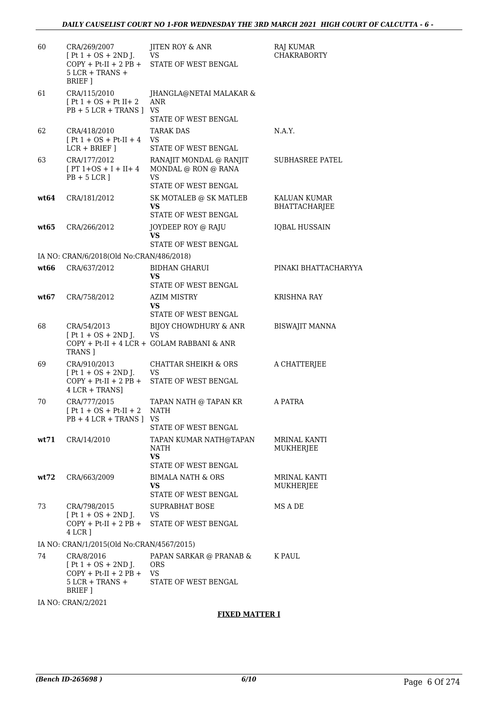| 60   | CRA/269/2007<br>$[Pt 1 + OS + 2ND J.$<br>$COPY + Pt-II + 2 PB +$<br>$5$ LCR + TRANS +<br>BRIEF ] | JITEN ROY & ANR<br>VS<br>STATE OF WEST BENGAL                                    | RAJ KUMAR<br><b>CHAKRABORTY</b>  |
|------|--------------------------------------------------------------------------------------------------|----------------------------------------------------------------------------------|----------------------------------|
| 61   | CRA/115/2010<br>$[Pt 1 + OS + Pt II + 2]$<br>$PB + 5 LCR + TRANS$                                | JHANGLA@NETAI MALAKAR &<br>ANR<br><b>VS</b><br>STATE OF WEST BENGAL              |                                  |
| 62   | CRA/418/2010<br>$[Pt 1 + OS + Pt-II + 4]$<br>$LCR + BRIEF$ ]                                     | <b>TARAK DAS</b><br>VS<br>STATE OF WEST BENGAL                                   | N.A.Y.                           |
| 63   | CRA/177/2012<br>$[PT 1+OS + I + II + 4]$<br>$PB + 5 LCR$ ]                                       | RANAJIT MONDAL @ RANJIT<br>MONDAL @ RON @ RANA<br>VS<br>STATE OF WEST BENGAL     | SUBHASREE PATEL                  |
| wt64 | CRA/181/2012                                                                                     | SK MOTALEB @ SK MATLEB<br>VS<br>STATE OF WEST BENGAL                             | KALUAN KUMAR<br>BHATTACHARJEE    |
| wt65 | CRA/266/2012                                                                                     | JOYDEEP ROY @ RAJU<br>VS.<br>STATE OF WEST BENGAL                                | <b>IQBAL HUSSAIN</b>             |
|      | IA NO: CRAN/6/2018(Old No:CRAN/486/2018)                                                         |                                                                                  |                                  |
| wt66 | CRA/637/2012                                                                                     | <b>BIDHAN GHARUI</b>                                                             | PINAKI BHATTACHARYYA             |
|      |                                                                                                  | VS<br>STATE OF WEST BENGAL                                                       |                                  |
| wt67 | CRA/758/2012                                                                                     | AZIM MISTRY<br>VS.<br>STATE OF WEST BENGAL                                       | <b>KRISHNA RAY</b>               |
| 68   | CRA/54/2013<br>$[Pt 1 + OS + 2ND J.$<br><b>TRANS</b> ]                                           | BIJOY CHOWDHURY & ANR<br><b>VS</b><br>COPY + Pt-II + 4 LCR + GOLAM RABBANI & ANR | <b>BISWAJIT MANNA</b>            |
| 69   | CRA/910/2013<br>$[Pt 1 + OS + 2ND J.$<br>$COPY + Pt-II + 2 PB +$<br>4 LCR + TRANS]               | <b>CHATTAR SHEIKH &amp; ORS</b><br><b>VS</b><br>STATE OF WEST BENGAL             | A CHATTERJEE                     |
| 70   | CRA/777/2015<br>$[Pt 1 + OS + Pt-II + 2]$<br>$PB + 4 LCR + TRANS$ ]                              | TAPAN NATH @ TAPAN KR<br><b>NATH</b><br>VS<br>STATE OF WEST BENGAL               | A PATRA                          |
| wt71 | CRA/14/2010                                                                                      | TAPAN KUMAR NATH@TAPAN<br>NATH<br><b>VS</b><br>STATE OF WEST BENGAL              | <b>MRINAL KANTI</b><br>MUKHERJEE |
| wt72 | CRA/663/2009                                                                                     | BIMALA NATH & ORS<br>VS.<br>STATE OF WEST BENGAL                                 | MRINAL KANTI<br>MUKHERJEE        |
| 73   | CRA/798/2015<br>$[Pt 1 + OS + 2ND J.$<br>$COPY + Pt-II + 2 PB +$<br>4 LCR 1                      | <b>SUPRABHAT BOSE</b><br>VS<br>STATE OF WEST BENGAL                              | MS A DE                          |
|      | IA NO: CRAN/1/2015(Old No:CRAN/4567/2015)                                                        |                                                                                  |                                  |
| 74   | CRA/8/2016<br>$[Pt 1 + OS + 2ND J.$<br>$COPY + Pt-II + 2 PB +$<br>$5$ LCR + TRANS +<br>BRIEF ]   | PAPAN SARKAR @ PRANAB &<br><b>ORS</b><br>VS<br>STATE OF WEST BENGAL              | K PAUL                           |
|      | IA NO: CRAN/2/2021                                                                               |                                                                                  |                                  |

## **FIXED MATTER I**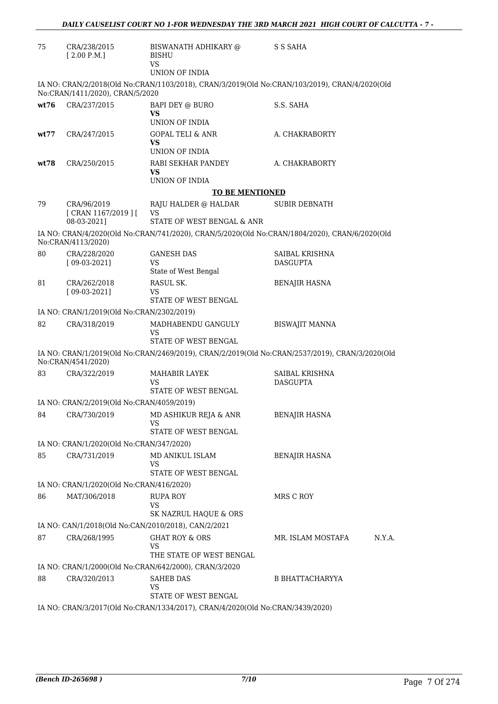| 75   | CRA/238/2015<br>[2.00 P.M.]                                                   | BISWANATH ADHIKARY @<br><b>BISHU</b>                                                          | S S SAHA                                                                                       |  |  |
|------|-------------------------------------------------------------------------------|-----------------------------------------------------------------------------------------------|------------------------------------------------------------------------------------------------|--|--|
|      |                                                                               | <b>VS</b><br>UNION OF INDIA                                                                   |                                                                                                |  |  |
|      | No:CRAN/1411/2020), CRAN/5/2020                                               | IA NO: CRAN/2/2018(Old No:CRAN/1103/2018), CRAN/3/2019(Old No:CRAN/103/2019), CRAN/4/2020(Old |                                                                                                |  |  |
| wt76 | CRA/237/2015                                                                  | BAPI DEY @ BURO<br>VS                                                                         | S.S. SAHA                                                                                      |  |  |
| wt77 | CRA/247/2015                                                                  | UNION OF INDIA<br><b>GOPAL TELI &amp; ANR</b><br>VS<br>UNION OF INDIA                         | A. CHAKRABORTY                                                                                 |  |  |
| wt78 | CRA/250/2015                                                                  | RABI SEKHAR PANDEY<br>VS                                                                      | A. CHAKRABORTY                                                                                 |  |  |
|      |                                                                               | UNION OF INDIA                                                                                |                                                                                                |  |  |
|      |                                                                               | <b>TO BE MENTIONED</b>                                                                        |                                                                                                |  |  |
| 79   | CRA/96/2019<br>[CRAN 1167/2019][                                              | RAJU HALDER @ HALDAR<br>VS                                                                    | <b>SUBIR DEBNATH</b>                                                                           |  |  |
|      | 08-03-2021]                                                                   | STATE OF WEST BENGAL & ANR                                                                    |                                                                                                |  |  |
|      | No:CRAN/4113/2020)                                                            | IA NO: CRAN/4/2020(Old No:CRAN/741/2020), CRAN/5/2020(Old No:CRAN/1804/2020), CRAN/6/2020(Old |                                                                                                |  |  |
| 80   | CRA/228/2020<br>$[09-03-2021]$                                                | <b>GANESH DAS</b><br>VS                                                                       | SAIBAL KRISHNA<br><b>DASGUPTA</b>                                                              |  |  |
|      |                                                                               | State of West Bengal                                                                          |                                                                                                |  |  |
| 81   | CRA/262/2018<br>$[09-03-2021]$                                                | RASUL SK.<br>VS                                                                               | <b>BENAJIR HASNA</b>                                                                           |  |  |
|      |                                                                               | STATE OF WEST BENGAL                                                                          |                                                                                                |  |  |
|      | IA NO: CRAN/1/2019(Old No:CRAN/2302/2019)                                     |                                                                                               |                                                                                                |  |  |
| 82   | CRA/318/2019                                                                  | MADHABENDU GANGULY<br>VS<br>STATE OF WEST BENGAL                                              | <b>BISWAJIT MANNA</b>                                                                          |  |  |
|      |                                                                               |                                                                                               | IA NO: CRAN/1/2019(Old No:CRAN/2469/2019), CRAN/2/2019(Old No:CRAN/2537/2019), CRAN/3/2020(Old |  |  |
|      | No:CRAN/4541/2020)                                                            |                                                                                               |                                                                                                |  |  |
| 83   | CRA/322/2019                                                                  | <b>MAHABIR LAYEK</b><br>VS<br>STATE OF WEST BENGAL                                            | SAIBAL KRISHNA<br><b>DASGUPTA</b>                                                              |  |  |
|      | IA NO: CRAN/2/2019(Old No:CRAN/4059/2019)                                     |                                                                                               |                                                                                                |  |  |
|      |                                                                               | 84 CRA/730/2019 MD ASHIKUR REJA & ANR<br>VS                                                   | <b>BENAJIR HASNA</b>                                                                           |  |  |
|      |                                                                               | STATE OF WEST BENGAL                                                                          |                                                                                                |  |  |
|      | IA NO: CRAN/1/2020(Old No:CRAN/347/2020)                                      |                                                                                               |                                                                                                |  |  |
| 85   | CRA/731/2019                                                                  | MD ANIKUL ISLAM<br>VS                                                                         | <b>BENAJIR HASNA</b>                                                                           |  |  |
|      |                                                                               | STATE OF WEST BENGAL                                                                          |                                                                                                |  |  |
|      | IA NO: CRAN/1/2020(Old No:CRAN/416/2020)                                      |                                                                                               |                                                                                                |  |  |
| 86   | MAT/306/2018                                                                  | <b>RUPA ROY</b><br><b>VS</b><br>SK NAZRUL HAQUE & ORS                                         | MRS C ROY                                                                                      |  |  |
|      |                                                                               | IA NO: CAN/1/2018(Old No:CAN/2010/2018), CAN/2/2021                                           |                                                                                                |  |  |
| 87   | CRA/268/1995                                                                  | <b>GHAT ROY &amp; ORS</b>                                                                     | MR. ISLAM MOSTAFA<br>N.Y.A.                                                                    |  |  |
|      |                                                                               | VS<br>THE STATE OF WEST BENGAL                                                                |                                                                                                |  |  |
|      |                                                                               | IA NO: CRAN/1/2000(Old No:CRAN/642/2000), CRAN/3/2020                                         |                                                                                                |  |  |
| 88   | CRA/320/2013                                                                  | <b>SAHEB DAS</b><br>VS                                                                        | <b>B BHATTACHARYYA</b>                                                                         |  |  |
|      |                                                                               | STATE OF WEST BENGAL                                                                          |                                                                                                |  |  |
|      | IA NO: CRAN/3/2017(Old No:CRAN/1334/2017), CRAN/4/2020(Old No:CRAN/3439/2020) |                                                                                               |                                                                                                |  |  |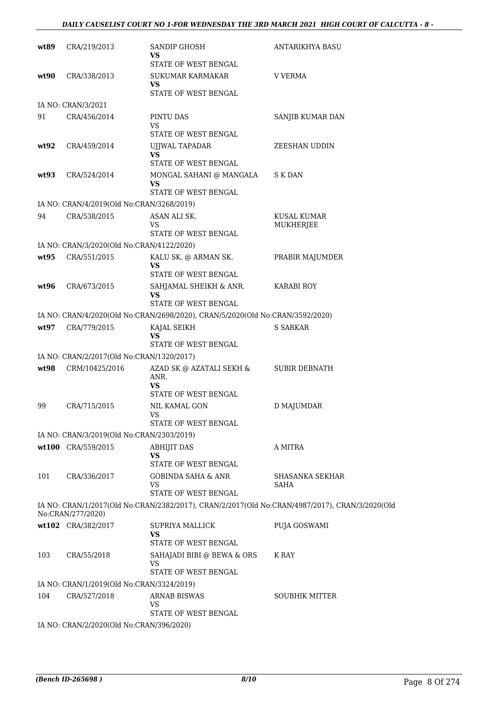| wt89 | CRA/219/2013                              | SANDIP GHOSH<br>VS                                                            | ANTARIKHYA BASU                                                                                |
|------|-------------------------------------------|-------------------------------------------------------------------------------|------------------------------------------------------------------------------------------------|
| wt90 | CRA/338/2013                              | STATE OF WEST BENGAL<br><b>SUKUMAR KARMAKAR</b><br>VS<br>STATE OF WEST BENGAL | <b>V VERMA</b>                                                                                 |
|      | IA NO: CRAN/3/2021                        |                                                                               |                                                                                                |
| 91   | CRA/456/2014                              | PINTU DAS                                                                     | SANJIB KUMAR DAN                                                                               |
|      |                                           | VS<br>STATE OF WEST BENGAL                                                    |                                                                                                |
| wt92 | CRA/459/2014                              | UJJWAL TAPADAR<br>VS<br>STATE OF WEST BENGAL                                  | ZEESHAN UDDIN                                                                                  |
| wt93 | CRA/524/2014                              | MONGAL SAHANI @ MANGALA<br>VS<br>STATE OF WEST BENGAL                         | S K DAN                                                                                        |
|      | IA NO: CRAN/4/2019(Old No:CRAN/3268/2019) |                                                                               |                                                                                                |
| 94   | CRA/538/2015                              | ASAN ALI SK.<br>VS                                                            | KUSAL KUMAR<br>MUKHERJEE                                                                       |
|      |                                           | STATE OF WEST BENGAL                                                          |                                                                                                |
|      | IA NO: CRAN/3/2020(Old No:CRAN/4122/2020) |                                                                               |                                                                                                |
| wt95 | CRA/551/2015                              | KALU SK. @ ARMAN SK.<br>VS<br>STATE OF WEST BENGAL                            | PRABIR MAJUMDER                                                                                |
| wt96 | CRA/673/2015                              | SAHJAMAL SHEIKH & ANR.<br>VS<br>STATE OF WEST BENGAL                          | KARABI ROY                                                                                     |
|      |                                           | IA NO: CRAN/4/2020(Old No:CRAN/2698/2020), CRAN/5/2020(Old No:CRAN/3592/2020) |                                                                                                |
| wt97 | CRA/779/2015                              | KAJAL SEIKH                                                                   | <b>S SARKAR</b>                                                                                |
|      |                                           | VS<br>STATE OF WEST BENGAL                                                    |                                                                                                |
|      | IA NO: CRAN/2/2017(Old No:CRAN/1320/2017) |                                                                               |                                                                                                |
| wt98 | CRM/10425/2016                            | AZAD SK @ AZATALI SEKH &<br>ANR.<br>VS<br>STATE OF WEST BENGAL                | <b>SUBIR DEBNATH</b>                                                                           |
| 99   | CRA/715/2015                              | <b>NIL KAMAL GON</b><br>VS<br>STATE OF WEST BENGAL                            | D MAJUMDAR                                                                                     |
|      | IA NO: CRAN/3/2019(Old No:CRAN/2303/2019) |                                                                               |                                                                                                |
|      | wt100 CRA/559/2015                        | <b>ABHIJIT DAS</b><br>VS                                                      | A MITRA                                                                                        |
|      |                                           | STATE OF WEST BENGAL                                                          |                                                                                                |
| 101  | CRA/336/2017                              | <b>GOBINDA SAHA &amp; ANR</b><br>VS<br>STATE OF WEST BENGAL                   | SHASANKA SEKHAR<br><b>SAHA</b>                                                                 |
|      | No:CRAN/277/2020)                         |                                                                               | IA NO: CRAN/1/2017(Old No:CRAN/2382/2017), CRAN/2/2017(Old No:CRAN/4987/2017), CRAN/3/2020(Old |
|      | wt102 CRA/382/2017                        | <b>SUPRIYA MALLICK</b><br>VS<br>STATE OF WEST BENGAL                          | PUJA GOSWAMI                                                                                   |
| 103  | CRA/55/2018                               | SAHAJADI BIBI @ BEWA & ORS<br>VS<br>STATE OF WEST BENGAL                      | K RAY                                                                                          |
|      | IA NO: CRAN/1/2019(Old No:CRAN/3324/2019) |                                                                               |                                                                                                |
| 104  | CRA/527/2018                              | <b>ARNAB BISWAS</b><br>VS                                                     | <b>SOUBHIK MITTER</b>                                                                          |
|      |                                           | STATE OF WEST BENGAL                                                          |                                                                                                |
|      | IA NO: CRAN/2/2020(Old No:CRAN/396/2020)  |                                                                               |                                                                                                |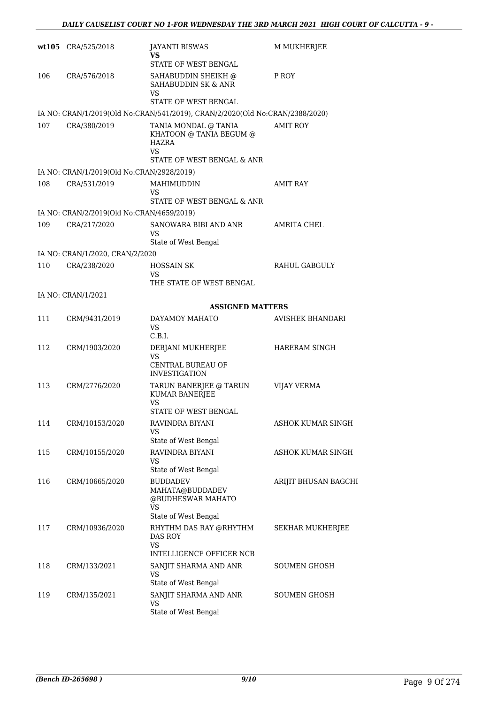|     | wt105 CRA/525/2018                        | <b>JAYANTI BISWAS</b><br>VS<br>STATE OF WEST BENGAL                                                | M MUKHERJEE              |
|-----|-------------------------------------------|----------------------------------------------------------------------------------------------------|--------------------------|
| 106 | CRA/576/2018                              | SAHABUDDIN SHEIKH @<br>SAHABUDDIN SK & ANR<br>VS<br><b>STATE OF WEST BENGAL</b>                    | P ROY                    |
|     |                                           | IA NO: CRAN/1/2019(Old No:CRAN/541/2019), CRAN/2/2020(Old No:CRAN/2388/2020)                       |                          |
| 107 | CRA/380/2019                              | TANIA MONDAL @ TANIA<br>KHATOON @ TANIA BEGUM @<br>HAZRA<br>VS<br>STATE OF WEST BENGAL & ANR       | <b>AMIT ROY</b>          |
|     | IA NO: CRAN/1/2019(Old No:CRAN/2928/2019) |                                                                                                    |                          |
| 108 | CRA/531/2019                              | MAHIMUDDIN<br>VS<br>STATE OF WEST BENGAL & ANR                                                     | AMIT RAY                 |
|     | IA NO: CRAN/2/2019(Old No:CRAN/4659/2019) |                                                                                                    |                          |
| 109 | CRA/217/2020                              | SANOWARA BIBI AND ANR<br>VS<br>State of West Bengal                                                | AMRITA CHEL              |
|     | IA NO: CRAN/1/2020, CRAN/2/2020           |                                                                                                    |                          |
| 110 | CRA/238/2020                              | <b>HOSSAIN SK</b><br>VS<br>THE STATE OF WEST BENGAL                                                | <b>RAHUL GABGULY</b>     |
|     | IA NO: CRAN/1/2021                        |                                                                                                    |                          |
|     |                                           | <b>ASSIGNED MATTERS</b>                                                                            |                          |
| 111 | CRM/9431/2019                             | DAYAMOY MAHATO<br>VS<br>C.B.I.                                                                     | AVISHEK BHANDARI         |
| 112 | CRM/1903/2020                             | DEBJANI MUKHERJEE<br>VS<br>CENTRAL BUREAU OF<br><b>INVESTIGATION</b>                               | <b>HARERAM SINGH</b>     |
| 113 | CRM/2776/2020                             | TARUN BANERJEE @ TARUN<br><b>KUMAR BANERJEE</b><br>VS<br>STATE OF WEST BENGAL                      | <b>VIJAY VERMA</b>       |
| 114 | CRM/10153/2020                            | RAVINDRA BIYANI<br>VS.<br>State of West Bengal                                                     | <b>ASHOK KUMAR SINGH</b> |
| 115 | CRM/10155/2020                            | RAVINDRA BIYANI<br>VS<br>State of West Bengal                                                      | ASHOK KUMAR SINGH        |
| 116 | CRM/10665/2020                            | <b>BUDDADEV</b><br>MAHATA@BUDDADEV<br>@BUDHESWAR MAHATO<br>VS                                      | ARIJIT BHUSAN BAGCHI     |
| 117 | CRM/10936/2020                            | State of West Bengal<br>RHYTHM DAS RAY @RHYTHM<br>DAS ROY<br><b>VS</b><br>INTELLIGENCE OFFICER NCB | SEKHAR MUKHERJEE         |
| 118 | CRM/133/2021                              | SANJIT SHARMA AND ANR<br>VS<br>State of West Bengal                                                | <b>SOUMEN GHOSH</b>      |
| 119 | CRM/135/2021                              | SANJIT SHARMA AND ANR<br>VS<br>State of West Bengal                                                | <b>SOUMEN GHOSH</b>      |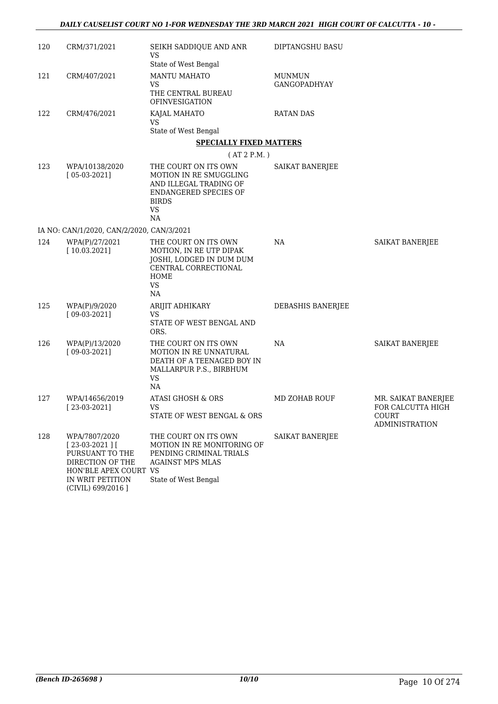| 120 | CRM/371/2021                                                                                                                              | SEIKH SADDIQUE AND ANR<br><b>VS</b><br>State of West Bengal                                                                          | DIPTANGSHU BASU               |                                                                            |
|-----|-------------------------------------------------------------------------------------------------------------------------------------------|--------------------------------------------------------------------------------------------------------------------------------------|-------------------------------|----------------------------------------------------------------------------|
| 121 | CRM/407/2021                                                                                                                              | <b>MANTU MAHATO</b><br><b>VS</b><br>THE CENTRAL BUREAU<br><b>OFINVESIGATION</b>                                                      | <b>MUNMUN</b><br>GANGOPADHYAY |                                                                            |
| 122 | CRM/476/2021                                                                                                                              | KAJAL MAHATO<br><b>VS</b>                                                                                                            | <b>RATAN DAS</b>              |                                                                            |
|     |                                                                                                                                           | State of West Bengal                                                                                                                 |                               |                                                                            |
|     |                                                                                                                                           | <b>SPECIALLY FIXED MATTERS</b>                                                                                                       |                               |                                                                            |
|     |                                                                                                                                           | (AT 2 P.M.)                                                                                                                          |                               |                                                                            |
| 123 | WPA/10138/2020<br>$[05-03-2021]$                                                                                                          | THE COURT ON ITS OWN<br>MOTION IN RE SMUGGLING<br>AND ILLEGAL TRADING OF<br>ENDANGERED SPECIES OF<br><b>BIRDS</b><br><b>VS</b><br>NA | SAIKAT BANERJEE               |                                                                            |
|     | IA NO: CAN/1/2020, CAN/2/2020, CAN/3/2021                                                                                                 |                                                                                                                                      |                               |                                                                            |
| 124 | WPA(P)/27/2021<br>[10.03.2021]                                                                                                            | THE COURT ON ITS OWN<br>MOTION, IN RE UTP DIPAK<br>JOSHI, LODGED IN DUM DUM<br>CENTRAL CORRECTIONAL<br>HOME<br><b>VS</b><br>NA       | NA                            | <b>SAIKAT BANERJEE</b>                                                     |
| 125 | WPA(P)/9/2020<br>$[09-03-2021]$                                                                                                           | ARIJIT ADHIKARY<br><b>VS</b><br>STATE OF WEST BENGAL AND<br>ORS.                                                                     | DEBASHIS BANERJEE             |                                                                            |
| 126 | WPA(P)/13/2020<br>$[09-03-2021]$                                                                                                          | THE COURT ON ITS OWN<br>MOTION IN RE UNNATURAL<br>DEATH OF A TEENAGED BOY IN<br>MALLARPUR P.S., BIRBHUM<br><b>VS</b><br>NA           | NA                            | SAIKAT BANERJEE                                                            |
| 127 | WPA/14656/2019<br>$[23-03-2021]$                                                                                                          | ATASI GHOSH & ORS<br>VS<br>STATE OF WEST BENGAL & ORS                                                                                | <b>MD ZOHAB ROUF</b>          | MR. SAIKAT BANERJEE<br>FOR CALCUTTA HIGH<br>COURT<br><b>ADMINISTRATION</b> |
| 128 | WPA/7807/2020<br>$[23-03-2021]$<br>PURSUANT TO THE<br>DIRECTION OF THE<br>HON'BLE APEX COURT VS<br>IN WRIT PETITION<br>(CIVIL) 699/2016 ] | THE COURT ON ITS OWN<br>MOTION IN RE MONITORING OF<br>PENDING CRIMINAL TRIALS<br><b>AGAINST MPS MLAS</b><br>State of West Bengal     | SAIKAT BANERJEE               |                                                                            |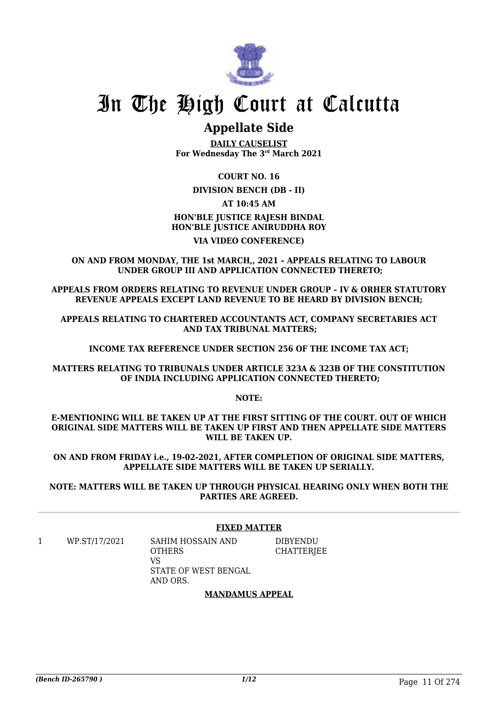

# **Appellate Side**

**DAILY CAUSELIST For Wednesday The 3rd March 2021**

# **COURT NO. 16**

### **DIVISION BENCH (DB - II)**

# **AT 10:45 AM HON'BLE JUSTICE RAJESH BINDAL HON'BLE JUSTICE ANIRUDDHA ROY**

# **VIA VIDEO CONFERENCE)**

**ON AND FROM MONDAY, THE 1st MARCH,, 2021 – APPEALS RELATING TO LABOUR UNDER GROUP III AND APPLICATION CONNECTED THERETO;**

**APPEALS FROM ORDERS RELATING TO REVENUE UNDER GROUP – IV & ORHER STATUTORY REVENUE APPEALS EXCEPT LAND REVENUE TO BE HEARD BY DIVISION BENCH;**

**APPEALS RELATING TO CHARTERED ACCOUNTANTS ACT, COMPANY SECRETARIES ACT AND TAX TRIBUNAL MATTERS;**

**INCOME TAX REFERENCE UNDER SECTION 256 OF THE INCOME TAX ACT;**

**MATTERS RELATING TO TRIBUNALS UNDER ARTICLE 323A & 323B OF THE CONSTITUTION OF INDIA INCLUDING APPLICATION CONNECTED THERETO;**

**NOTE:**

**E-MENTIONING WILL BE TAKEN UP AT THE FIRST SITTING OF THE COURT. OUT OF WHICH ORIGINAL SIDE MATTERS WILL BE TAKEN UP FIRST AND THEN APPELLATE SIDE MATTERS WILL BE TAKEN UP.**

**ON AND FROM FRIDAY i.e., 19-02-2021, AFTER COMPLETION OF ORIGINAL SIDE MATTERS, APPELLATE SIDE MATTERS WILL BE TAKEN UP SERIALLY.**

**NOTE: MATTERS WILL BE TAKEN UP THROUGH PHYSICAL HEARING ONLY WHEN BOTH THE PARTIES ARE AGREED.**

# **FIXED MATTER**

1 WP.ST/17/2021 SAHIM HOSSAIN AND **OTHERS** VS STATE OF WEST BENGAL AND ORS. DIBYENDU **CHATTERIEE** 

# **MANDAMUS APPEAL**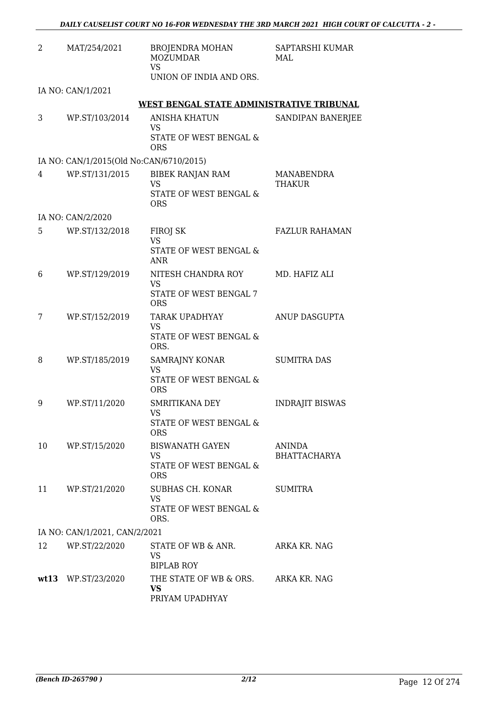| 2  | MAT/254/2021                            | <b>BROJENDRA MOHAN</b><br><b>MOZUMDAR</b><br><b>VS</b><br>UNION OF INDIA AND ORS. | SAPTARSHI KUMAR<br>MAL               |
|----|-----------------------------------------|-----------------------------------------------------------------------------------|--------------------------------------|
|    | IA NO: CAN/1/2021                       |                                                                                   |                                      |
|    |                                         | WEST BENGAL STATE ADMINISTRATIVE TRIBUNAL                                         |                                      |
| 3  | WP.ST/103/2014                          | <b>ANISHA KHATUN</b><br><b>VS</b><br>STATE OF WEST BENGAL &<br><b>ORS</b>         | SANDIPAN BANERJEE                    |
|    | IA NO: CAN/1/2015(Old No:CAN/6710/2015) |                                                                                   |                                      |
| 4  | WP.ST/131/2015                          | BIBEK RANJAN RAM<br>VS<br>STATE OF WEST BENGAL &<br><b>ORS</b>                    | MANABENDRA<br><b>THAKUR</b>          |
|    | IA NO: CAN/2/2020                       |                                                                                   |                                      |
| 5  | WP.ST/132/2018                          | FIROJ SK<br><b>VS</b><br>STATE OF WEST BENGAL &<br>ANR                            | <b>FAZLUR RAHAMAN</b>                |
| 6  | WP.ST/129/2019                          | NITESH CHANDRA ROY<br><b>VS</b><br>STATE OF WEST BENGAL 7<br><b>ORS</b>           | MD. HAFIZ ALI                        |
| 7  | WP.ST/152/2019                          | TARAK UPADHYAY<br><b>VS</b><br>STATE OF WEST BENGAL &<br>ORS.                     | ANUP DASGUPTA                        |
| 8  | WP.ST/185/2019                          | SAMRAJNY KONAR<br><b>VS</b><br>STATE OF WEST BENGAL &<br><b>ORS</b>               | <b>SUMITRA DAS</b>                   |
| 9  | WP.ST/11/2020                           | SMRITIKANA DEY<br><b>VS</b><br>STATE OF WEST BENGAL &<br><b>ORS</b>               | <b>INDRAJIT BISWAS</b>               |
| 10 | WP.ST/15/2020                           | <b>BISWANATH GAYEN</b><br>VS.<br>STATE OF WEST BENGAL &<br><b>ORS</b>             | <b>ANINDA</b><br><b>BHATTACHARYA</b> |
| 11 | WP.ST/21/2020                           | SUBHAS CH. KONAR<br>VS<br>STATE OF WEST BENGAL &<br>ORS.                          | <b>SUMITRA</b>                       |
|    | IA NO: CAN/1/2021, CAN/2/2021           |                                                                                   |                                      |
| 12 | WP.ST/22/2020                           | STATE OF WB & ANR.<br>VS.<br><b>BIPLAB ROY</b>                                    | ARKA KR. NAG                         |
|    | wt13 WP.ST/23/2020                      | THE STATE OF WB & ORS. ARKA KR. NAG<br><b>VS</b><br>PRIYAM UPADHYAY               |                                      |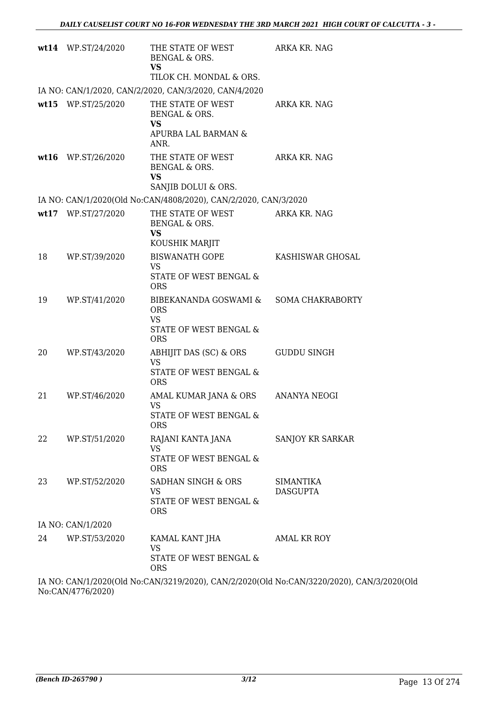|    | wt14 WP.ST/24/2020 | THE STATE OF WEST<br>BENGAL & ORS.<br><b>VS</b><br>TILOK CH. MONDAL & ORS.                                | ARKA KR. NAG                 |
|----|--------------------|-----------------------------------------------------------------------------------------------------------|------------------------------|
|    |                    | IA NO: CAN/1/2020, CAN/2/2020, CAN/3/2020, CAN/4/2020                                                     |                              |
|    | wt15 WP.ST/25/2020 | THE STATE OF WEST<br>BENGAL & ORS.<br><b>VS</b><br>APURBA LAL BARMAN &<br>ANR.                            | ARKA KR. NAG                 |
|    | wt16 WP.ST/26/2020 | THE STATE OF WEST<br>BENGAL & ORS.<br><b>VS</b><br>SANJIB DOLUI & ORS.                                    | ARKA KR. NAG                 |
|    |                    | IA NO: CAN/1/2020(Old No:CAN/4808/2020), CAN/2/2020, CAN/3/2020                                           |                              |
|    | wt17 WP.ST/27/2020 | THE STATE OF WEST<br>BENGAL & ORS.<br><b>VS</b><br>KOUSHIK MARJIT                                         | ARKA KR. NAG                 |
| 18 | WP.ST/39/2020      | <b>BISWANATH GOPE</b><br>VS<br>STATE OF WEST BENGAL &<br><b>ORS</b>                                       | KASHISWAR GHOSAL             |
| 19 | WP.ST/41/2020      | BIBEKANANDA GOSWAMI & SOMA CHAKRABORTY<br><b>ORS</b><br><b>VS</b><br>STATE OF WEST BENGAL &<br><b>ORS</b> |                              |
| 20 | WP.ST/43/2020      | ABHIJIT DAS (SC) & ORS<br><b>VS</b><br>STATE OF WEST BENGAL &<br><b>ORS</b>                               | <b>GUDDU SINGH</b>           |
| 21 | WP.ST/46/2020      | AMAL KUMAR JANA & ORS ANANYA NEOGI<br>VS<br>STATE OF WEST BENGAL &<br><b>ORS</b>                          |                              |
| 22 | WP.ST/51/2020      | RAJANI KANTA JANA<br><b>VS</b><br>STATE OF WEST BENGAL &<br><b>ORS</b>                                    | SANJOY KR SARKAR             |
| 23 | WP.ST/52/2020      | SADHAN SINGH & ORS<br><b>VS</b><br>STATE OF WEST BENGAL &<br><b>ORS</b>                                   | SIMANTIKA<br><b>DASGUPTA</b> |
|    | IA NO: CAN/1/2020  |                                                                                                           |                              |
| 24 | WP.ST/53/2020      | KAMAL KANT JHA<br><b>VS</b><br>STATE OF WEST BENGAL &<br><b>ORS</b>                                       | AMAL KR ROY                  |

IA NO: CAN/1/2020(Old No:CAN/3219/2020), CAN/2/2020(Old No:CAN/3220/2020), CAN/3/2020(Old No:CAN/4776/2020)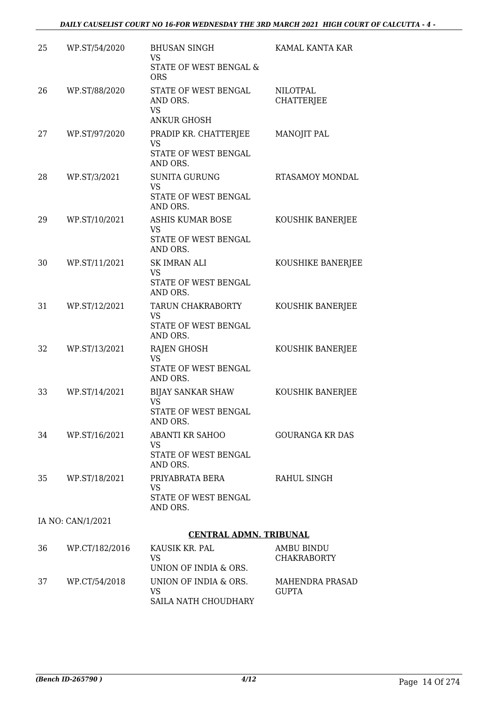| 25 | WP.ST/54/2020     | <b>BHUSAN SINGH</b><br><b>VS</b><br>STATE OF WEST BENGAL &<br><b>ORS</b>  | KAMAL KANTA KAR                         |
|----|-------------------|---------------------------------------------------------------------------|-----------------------------------------|
| 26 | WP.ST/88/2020     | STATE OF WEST BENGAL<br>AND ORS.<br><b>VS</b><br><b>ANKUR GHOSH</b>       | <b>NILOTPAL</b><br><b>CHATTERJEE</b>    |
| 27 | WP.ST/97/2020     | PRADIP KR. CHATTERJEE<br><b>VS</b><br>STATE OF WEST BENGAL<br>AND ORS.    | MANOJIT PAL                             |
| 28 | WP.ST/3/2021      | <b>SUNITA GURUNG</b><br><b>VS</b><br>STATE OF WEST BENGAL<br>AND ORS.     | RTASAMOY MONDAL                         |
| 29 | WP.ST/10/2021     | <b>ASHIS KUMAR BOSE</b><br><b>VS</b><br>STATE OF WEST BENGAL<br>AND ORS.  | KOUSHIK BANERJEE                        |
| 30 | WP.ST/11/2021     | <b>SK IMRAN ALI</b><br><b>VS</b><br>STATE OF WEST BENGAL<br>AND ORS.      | KOUSHIKE BANERJEE                       |
| 31 | WP.ST/12/2021     | TARUN CHAKRABORTY<br><b>VS</b><br>STATE OF WEST BENGAL<br>AND ORS.        | KOUSHIK BANERJEE                        |
| 32 | WP.ST/13/2021     | <b>RAJEN GHOSH</b><br><b>VS</b><br>STATE OF WEST BENGAL<br>AND ORS.       | KOUSHIK BANERJEE                        |
| 33 | WP.ST/14/2021     | <b>BIJAY SANKAR SHAW</b><br><b>VS</b><br>STATE OF WEST BENGAL<br>AND ORS. | KOUSHIK BANERJEE                        |
| 34 | WP.ST/16/2021     | ABANTI KR SAHOO<br>VS.<br>STATE OF WEST BENGAL<br>AND ORS.                | <b>GOURANGA KR DAS</b>                  |
| 35 | WP.ST/18/2021     | PRIYABRATA BERA<br>VS<br>STATE OF WEST BENGAL<br>AND ORS.                 | RAHUL SINGH                             |
|    | IA NO: CAN/1/2021 |                                                                           |                                         |
|    |                   | <b>CENTRAL ADMN. TRIBUNAL</b>                                             |                                         |
| 36 | WP.CT/182/2016    | KAUSIK KR. PAL<br>VS<br>UNION OF INDIA & ORS.                             | <b>AMBU BINDU</b><br><b>CHAKRABORTY</b> |
| 37 | WP.CT/54/2018     | UNION OF INDIA & ORS.<br>VS                                               | <b>MAHENDRA PRASAD</b><br><b>GUPTA</b>  |

SAILA NATH CHOUDHARY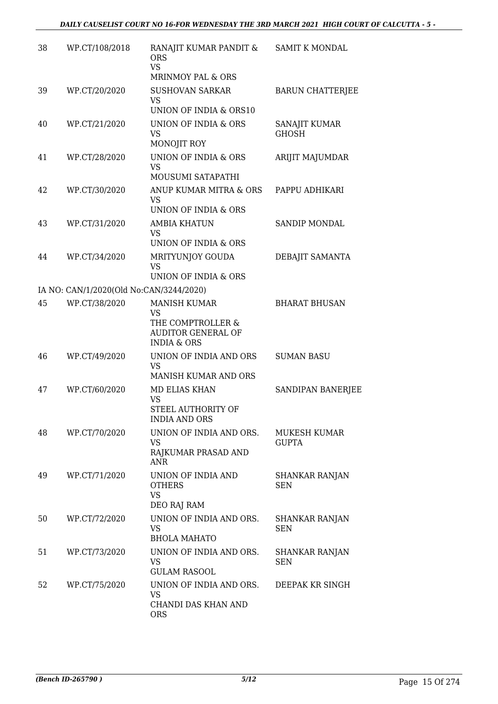| 38 | WP.CT/108/2018                          | RANAJIT KUMAR PANDIT &<br><b>ORS</b><br><b>VS</b>                                                            | <b>SAMIT K MONDAL</b>               |
|----|-----------------------------------------|--------------------------------------------------------------------------------------------------------------|-------------------------------------|
|    |                                         | MRINMOY PAL & ORS                                                                                            |                                     |
| 39 | WP.CT/20/2020                           | <b>SUSHOVAN SARKAR</b><br>VS<br>UNION OF INDIA & ORS10                                                       | <b>BARUN CHATTERJEE</b>             |
| 40 | WP.CT/21/2020                           | UNION OF INDIA & ORS<br><b>VS</b>                                                                            | SANAJIT KUMAR<br><b>GHOSH</b>       |
| 41 | WP.CT/28/2020                           | MONOJIT ROY<br><b>UNION OF INDIA &amp; ORS</b><br><b>VS</b>                                                  | ARIJIT MAJUMDAR                     |
| 42 | WP.CT/30/2020                           | <b>MOUSUMI SATAPATHI</b><br>ANUP KUMAR MITRA & ORS<br><b>VS</b><br>UNION OF INDIA & ORS                      | PAPPU ADHIKARI                      |
| 43 | WP.CT/31/2020                           | <b>AMBIA KHATUN</b><br><b>VS</b>                                                                             | <b>SANDIP MONDAL</b>                |
| 44 | WP.CT/34/2020                           | UNION OF INDIA & ORS<br>MRITYUNJOY GOUDA<br><b>VS</b>                                                        | DEBAJIT SAMANTA                     |
|    |                                         | UNION OF INDIA & ORS                                                                                         |                                     |
|    | IA NO: CAN/1/2020(Old No:CAN/3244/2020) |                                                                                                              |                                     |
| 45 | WP.CT/38/2020                           | <b>MANISH KUMAR</b><br><b>VS</b><br>THE COMPTROLLER &<br><b>AUDITOR GENERAL OF</b><br><b>INDIA &amp; ORS</b> | <b>BHARAT BHUSAN</b>                |
| 46 | WP.CT/49/2020                           | UNION OF INDIA AND ORS<br>VS<br>MANISH KUMAR AND ORS                                                         | <b>SUMAN BASU</b>                   |
| 47 | WP.CT/60/2020                           | MD ELIAS KHAN<br><b>VS</b><br>STEEL AUTHORITY OF<br><b>INDIA AND ORS</b>                                     | SANDIPAN BANERJEE                   |
| 48 | WP.CT/70/2020                           | UNION OF INDIA AND ORS.<br><b>VS</b><br>RAJKUMAR PRASAD AND<br><b>ANR</b>                                    | MUKESH KUMAR<br><b>GUPTA</b>        |
| 49 | WP.CT/71/2020                           | UNION OF INDIA AND<br><b>OTHERS</b><br>VS<br>DEO RAJ RAM                                                     | <b>SHANKAR RANJAN</b><br><b>SEN</b> |
| 50 | WP.CT/72/2020                           | UNION OF INDIA AND ORS.<br><b>VS</b><br><b>BHOLA MAHATO</b>                                                  | SHANKAR RANJAN<br>SEN               |
| 51 | WP.CT/73/2020                           | UNION OF INDIA AND ORS.<br>VS<br><b>GULAM RASOOL</b>                                                         | SHANKAR RANJAN<br>SEN               |
| 52 | WP.CT/75/2020                           | UNION OF INDIA AND ORS.<br>VS<br>CHANDI DAS KHAN AND<br><b>ORS</b>                                           | DEEPAK KR SINGH                     |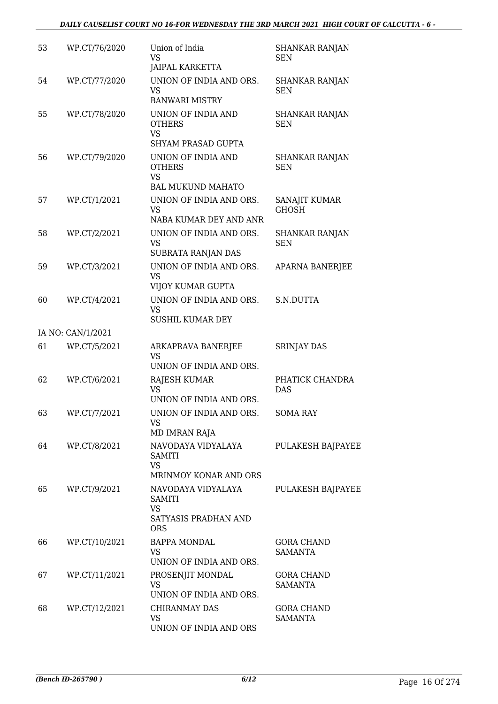| 53 | WP.CT/76/2020     | Union of India<br><b>VS</b><br>JAIPAL KARKETTA                            | <b>SHANKAR RANJAN</b><br><b>SEN</b> |
|----|-------------------|---------------------------------------------------------------------------|-------------------------------------|
| 54 | WP.CT/77/2020     | UNION OF INDIA AND ORS.<br><b>VS</b><br><b>BANWARI MISTRY</b>             | <b>SHANKAR RANJAN</b><br><b>SEN</b> |
| 55 | WP.CT/78/2020     | UNION OF INDIA AND<br><b>OTHERS</b><br><b>VS</b>                          | <b>SHANKAR RANJAN</b><br>SEN        |
| 56 | WP.CT/79/2020     | SHYAM PRASAD GUPTA<br>UNION OF INDIA AND<br><b>OTHERS</b>                 | <b>SHANKAR RANJAN</b><br><b>SEN</b> |
|    |                   | <b>VS</b><br><b>BAL MUKUND MAHATO</b>                                     |                                     |
| 57 | WP.CT/1/2021      | UNION OF INDIA AND ORS.<br>VS<br>NABA KUMAR DEY AND ANR                   | SANAJIT KUMAR<br><b>GHOSH</b>       |
| 58 | WP.CT/2/2021      | UNION OF INDIA AND ORS.<br><b>VS</b><br>SUBRATA RANJAN DAS                | <b>SHANKAR RANJAN</b><br><b>SEN</b> |
| 59 | WP.CT/3/2021      | UNION OF INDIA AND ORS.<br><b>VS</b><br>VIJOY KUMAR GUPTA                 | APARNA BANERJEE                     |
| 60 | WP.CT/4/2021      | UNION OF INDIA AND ORS.<br>VS<br><b>SUSHIL KUMAR DEY</b>                  | S.N.DUTTA                           |
|    | IA NO: CAN/1/2021 |                                                                           |                                     |
| 61 | WP.CT/5/2021      | ARKAPRAVA BANERJEE<br><b>VS</b><br>UNION OF INDIA AND ORS.                | <b>SRINJAY DAS</b>                  |
| 62 | WP.CT/6/2021      | RAJESH KUMAR<br><b>VS</b><br>UNION OF INDIA AND ORS.                      | PHATICK CHANDRA<br><b>DAS</b>       |
| 63 | WP.CT/7/2021      | UNION OF INDIA AND ORS.<br>VS<br>MD IMRAN RAJA                            | SOMA RAY                            |
| 64 | WP.CT/8/2021      | NAVODAYA VIDYALAYA<br><b>SAMITI</b><br><b>VS</b><br>MRINMOY KONAR AND ORS | <b>PULAKESH BAJPAYEE</b>            |
| 65 | WP.CT/9/2021      | NAVODAYA VIDYALAYA<br><b>SAMITI</b><br><b>VS</b><br>SATYASIS PRADHAN AND  | <b>PULAKESH BAJPAYEE</b>            |
| 66 | WP.CT/10/2021     | <b>ORS</b><br>BAPPA MONDAL<br>VS<br>UNION OF INDIA AND ORS.               | <b>GORA CHAND</b><br>SAMANTA        |
| 67 | WP.CT/11/2021     | PROSENJIT MONDAL<br>VS<br>UNION OF INDIA AND ORS.                         | <b>GORA CHAND</b><br><b>SAMANTA</b> |
| 68 | WP.CT/12/2021     | <b>CHIRANMAY DAS</b><br><b>VS</b><br>UNION OF INDIA AND ORS               | <b>GORA CHAND</b><br><b>SAMANTA</b> |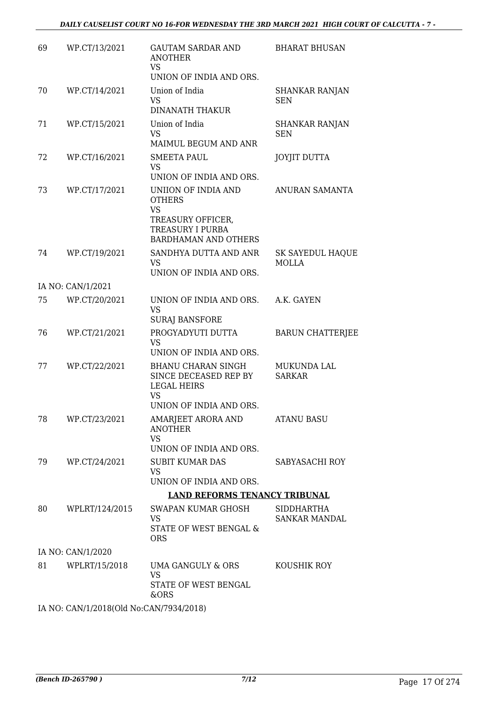| 69 | WP.CT/13/2021                           | <b>GAUTAM SARDAR AND</b><br><b>ANOTHER</b><br><b>VS</b><br>UNION OF INDIA AND ORS.                                               | <b>BHARAT BHUSAN</b>                      |
|----|-----------------------------------------|----------------------------------------------------------------------------------------------------------------------------------|-------------------------------------------|
| 70 | WP.CT/14/2021                           | Union of India<br>VS<br><b>DINANATH THAKUR</b>                                                                                   | <b>SHANKAR RANJAN</b><br><b>SEN</b>       |
| 71 | WP.CT/15/2021                           | Union of India<br><b>VS</b><br>MAIMUL BEGUM AND ANR                                                                              | SHANKAR RANJAN<br>SEN                     |
| 72 | WP.CT/16/2021                           | <b>SMEETA PAUL</b><br><b>VS</b><br>UNION OF INDIA AND ORS.                                                                       | <b>JOYJIT DUTTA</b>                       |
| 73 | WP.CT/17/2021                           | UNIION OF INDIA AND<br><b>OTHERS</b><br><b>VS</b><br>TREASURY OFFICER,<br><b>TREASURY I PURBA</b><br><b>BARDHAMAN AND OTHERS</b> | ANURAN SAMANTA                            |
| 74 | WP.CT/19/2021                           | SANDHYA DUTTA AND ANR<br><b>VS</b><br>UNION OF INDIA AND ORS.                                                                    | SK SAYEDUL HAQUE<br><b>MOLLA</b>          |
|    | IA NO: CAN/1/2021                       |                                                                                                                                  |                                           |
| 75 | WP.CT/20/2021                           | UNION OF INDIA AND ORS.<br><b>VS</b><br><b>SURAJ BANSFORE</b>                                                                    | A.K. GAYEN                                |
| 76 | WP.CT/21/2021                           | PROGYADYUTI DUTTA<br><b>VS</b><br>UNION OF INDIA AND ORS.                                                                        | <b>BARUN CHATTERJEE</b>                   |
| 77 | WP.CT/22/2021                           | <b>BHANU CHARAN SINGH</b><br>SINCE DECEASED REP BY<br><b>LEGAL HEIRS</b><br><b>VS</b><br>UNION OF INDIA AND ORS.                 | <b>MUKUNDA LAL</b><br><b>SARKAR</b>       |
| 78 | WP.CT/23/2021                           | AMARJEET ARORA AND<br><b>ANOTHER</b><br><b>VS</b><br>UNION OF INDIA AND ORS.                                                     | <b>ATANU BASU</b>                         |
| 79 | WP.CT/24/2021                           | <b>SUBIT KUMAR DAS</b><br><b>VS</b><br>UNION OF INDIA AND ORS.                                                                   | SABYASACHI ROY                            |
|    |                                         | <b>LAND REFORMS TENANCY TRIBUNAL</b>                                                                                             |                                           |
| 80 | WPLRT/124/2015                          | SWAPAN KUMAR GHOSH<br><b>VS</b><br>STATE OF WEST BENGAL &<br><b>ORS</b>                                                          | <b>SIDDHARTHA</b><br><b>SANKAR MANDAL</b> |
|    | IA NO: CAN/1/2020                       |                                                                                                                                  |                                           |
| 81 | WPLRT/15/2018                           | UMA GANGULY & ORS<br><b>VS</b><br>STATE OF WEST BENGAL<br>&ORS                                                                   | KOUSHIK ROY                               |
|    | IA NO: CAN/1/2018(Old No:CAN/7934/2018) |                                                                                                                                  |                                           |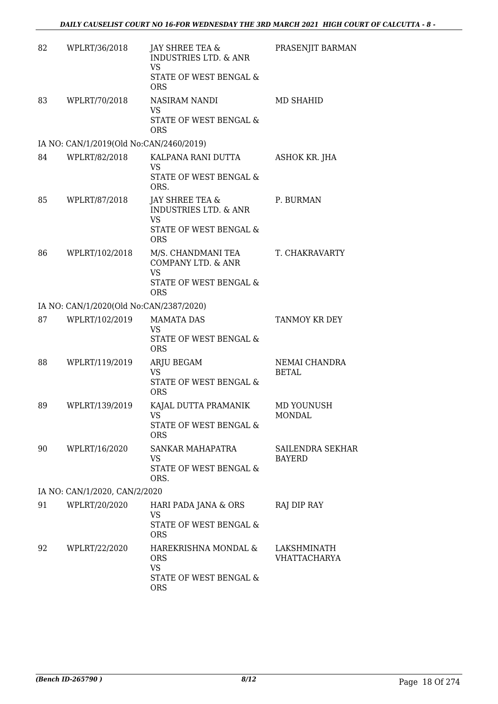| 82 | WPLRT/36/2018                           | JAY SHREE TEA &<br><b>INDUSTRIES LTD. &amp; ANR</b><br>VS<br>STATE OF WEST BENGAL &<br><b>ORS</b> | PRASENJIT BARMAN                         |
|----|-----------------------------------------|---------------------------------------------------------------------------------------------------|------------------------------------------|
| 83 | WPLRT/70/2018                           | NASIRAM NANDI<br><b>VS</b><br>STATE OF WEST BENGAL &<br><b>ORS</b>                                | MD SHAHID                                |
|    | IA NO: CAN/1/2019(Old No:CAN/2460/2019) |                                                                                                   |                                          |
| 84 | WPLRT/82/2018                           | KALPANA RANI DUTTA<br>VS<br>STATE OF WEST BENGAL &<br>ORS.                                        | ASHOK KR. JHA                            |
| 85 | WPLRT/87/2018                           | JAY SHREE TEA &<br><b>INDUSTRIES LTD. &amp; ANR</b><br><b>VS</b><br>STATE OF WEST BENGAL &        | P. BURMAN                                |
|    |                                         | <b>ORS</b>                                                                                        |                                          |
| 86 | WPLRT/102/2018                          | M/S. CHANDMANI TEA<br>COMPANY LTD. & ANR<br><b>VS</b><br>STATE OF WEST BENGAL &<br><b>ORS</b>     | T. CHAKRAVARTY                           |
|    | IA NO: CAN/1/2020(Old No:CAN/2387/2020) |                                                                                                   |                                          |
| 87 | WPLRT/102/2019                          | <b>MAMATA DAS</b><br><b>VS</b><br>STATE OF WEST BENGAL &<br><b>ORS</b>                            | TANMOY KR DEY                            |
| 88 | WPLRT/119/2019                          | ARJU BEGAM<br><b>VS</b><br>STATE OF WEST BENGAL &<br><b>ORS</b>                                   | NEMAI CHANDRA<br><b>BETAL</b>            |
| 89 | WPLRT/139/2019                          | KAJAL DUTTA PRAMANIK<br>VS<br>STATE OF WEST BENGAL &<br><b>ORS</b>                                | MD YOUNUSH<br><b>MONDAL</b>              |
| 90 | WPLRT/16/2020                           | SANKAR MAHAPATRA<br><b>VS</b><br>STATE OF WEST BENGAL &<br>ORS.                                   | <b>SAILENDRA SEKHAR</b><br><b>BAYERD</b> |
|    | IA NO: CAN/1/2020, CAN/2/2020           |                                                                                                   |                                          |
| 91 | WPLRT/20/2020                           | HARI PADA JANA & ORS<br><b>VS</b><br>STATE OF WEST BENGAL &<br><b>ORS</b>                         | RAJ DIP RAY                              |
| 92 | WPLRT/22/2020                           | HAREKRISHNA MONDAL &<br><b>ORS</b><br><b>VS</b><br>STATE OF WEST BENGAL &<br><b>ORS</b>           | LAKSHMINATH<br>VHATTACHARYA              |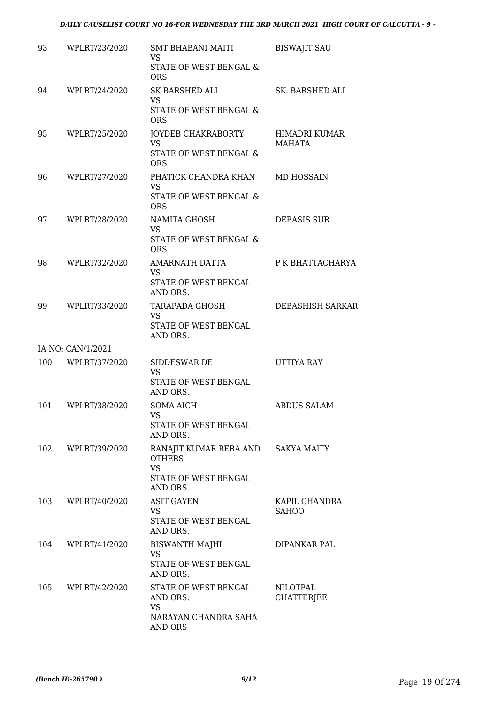| 93  | WPLRT/23/2020     | SMT BHABANI MAITI<br>VS                                          | <b>BISWAJIT SAU</b>           |
|-----|-------------------|------------------------------------------------------------------|-------------------------------|
|     |                   | STATE OF WEST BENGAL &<br><b>ORS</b>                             |                               |
| 94  | WPLRT/24/2020     | SK BARSHED ALI<br>VS                                             | SK. BARSHED ALI               |
|     |                   | STATE OF WEST BENGAL &<br><b>ORS</b>                             |                               |
| 95  | WPLRT/25/2020     | JOYDEB CHAKRABORTY<br><b>VS</b>                                  | HIMADRI KUMAR<br>MAHATA       |
|     |                   | STATE OF WEST BENGAL &<br><b>ORS</b>                             |                               |
| 96  | WPLRT/27/2020     | PHATICK CHANDRA KHAN<br><b>VS</b>                                | MD HOSSAIN                    |
|     |                   | STATE OF WEST BENGAL &<br><b>ORS</b>                             |                               |
| 97  | WPLRT/28/2020     | NAMITA GHOSH<br><b>VS</b>                                        | <b>DEBASIS SUR</b>            |
|     |                   | STATE OF WEST BENGAL &<br><b>ORS</b>                             |                               |
| 98  | WPLRT/32/2020     | AMARNATH DATTA<br><b>VS</b>                                      | P K BHATTACHARYA              |
|     |                   | STATE OF WEST BENGAL<br>AND ORS.                                 |                               |
| 99  | WPLRT/33/2020     | TARAPADA GHOSH<br><b>VS</b>                                      | DEBASHISH SARKAR              |
|     |                   | STATE OF WEST BENGAL<br>AND ORS.                                 |                               |
|     | IA NO: CAN/1/2021 |                                                                  |                               |
| 100 | WPLRT/37/2020     | SIDDESWAR DE<br><b>VS</b>                                        | UTTIYA RAY                    |
|     |                   | STATE OF WEST BENGAL<br>AND ORS.                                 |                               |
| 101 | WPLRT/38/2020     | <b>SOMA AICH</b><br>VS FOR SALE                                  | <b>ABDUS SALAM</b>            |
|     |                   | STATE OF WEST BENGAL<br>AND ORS.                                 |                               |
| 102 | WPLRT/39/2020     | RANAJIT KUMAR BERA AND SAKYA MAITY<br><b>OTHERS</b><br><b>VS</b> |                               |
|     |                   | STATE OF WEST BENGAL<br>AND ORS.                                 |                               |
| 103 | WPLRT/40/2020     | <b>ASIT GAYEN</b><br><b>VS</b>                                   | KAPIL CHANDRA<br><b>SAHOO</b> |
|     |                   | STATE OF WEST BENGAL<br>AND ORS.                                 |                               |
| 104 | WPLRT/41/2020     | BISWANTH MAJHI<br>VS                                             | DIPANKAR PAL                  |
|     |                   | STATE OF WEST BENGAL<br>AND ORS.                                 |                               |
| 105 | WPLRT/42/2020     | STATE OF WEST BENGAL<br>AND ORS.                                 | NILOTPAL<br><b>CHATTERJEE</b> |
|     |                   | VS<br>NARAYAN CHANDRA SAHA<br>AND ORS                            |                               |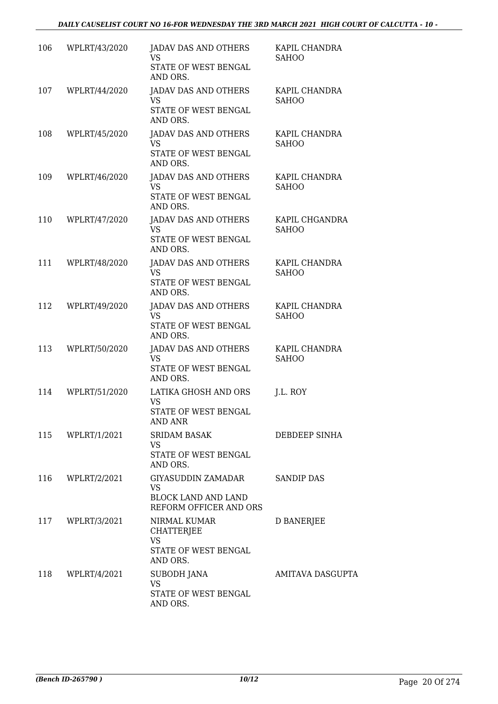# *DAILY CAUSELIST COURT NO 16-FOR WEDNESDAY THE 3RD MARCH 2021 HIGH COURT OF CALCUTTA - 10 -*

| 106 | WPLRT/43/2020    | JADAV DAS AND OTHERS<br>VS.<br>STATE OF WEST BENGAL<br>AND ORS.                              | KAPIL CHANDRA<br><b>SAHOO</b>  |
|-----|------------------|----------------------------------------------------------------------------------------------|--------------------------------|
| 107 | WPLRT/44/2020    | <b>JADAV DAS AND OTHERS</b><br><b>VS</b><br>STATE OF WEST BENGAL<br>AND ORS.                 | KAPIL CHANDRA<br><b>SAHOO</b>  |
| 108 | WPLRT/45/2020    | <b>JADAV DAS AND OTHERS</b><br><b>VS</b><br>STATE OF WEST BENGAL<br>AND ORS.                 | KAPIL CHANDRA<br><b>SAHOO</b>  |
| 109 | WPLRT/46/2020    | JADAV DAS AND OTHERS<br>VS.<br>STATE OF WEST BENGAL<br>AND ORS.                              | KAPIL CHANDRA<br><b>SAHOO</b>  |
| 110 | WPLRT/47/2020    | JADAV DAS AND OTHERS<br>VS<br>STATE OF WEST BENGAL<br>AND ORS.                               | KAPIL CHGANDRA<br><b>SAHOO</b> |
| 111 | WPLRT/48/2020    | JADAV DAS AND OTHERS<br>VS.<br>STATE OF WEST BENGAL<br>AND ORS.                              | KAPIL CHANDRA<br><b>SAHOO</b>  |
| 112 | WPLRT/49/2020    | JADAV DAS AND OTHERS<br><b>VS</b><br>STATE OF WEST BENGAL<br>AND ORS.                        | KAPIL CHANDRA<br><b>SAHOO</b>  |
| 113 | WPLRT/50/2020    | JADAV DAS AND OTHERS<br>VS.<br>STATE OF WEST BENGAL<br>AND ORS.                              | KAPIL CHANDRA<br><b>SAHOO</b>  |
| 114 | WPLRT/51/2020    | LATIKA GHOSH AND ORS<br><b>VS</b><br>STATE OF WEST BENGAL<br>AND ANR                         | J.L. ROY                       |
|     | 115 WPLRT/1/2021 | <b>SRIDAM BASAK</b><br><b>VS</b><br>STATE OF WEST BENGAL<br>AND ORS.                         | DEBDEEP SINHA                  |
|     | 116 WPLRT/2/2021 | GIYASUDDIN ZAMADAR SANDIP DAS<br>VS.<br><b>BLOCK LAND AND LAND</b><br>REFORM OFFICER AND ORS |                                |
|     | 117 WPLRT/3/2021 | NIRMAL KUMAR<br><b>CHATTERJEE</b><br><b>VS</b><br>STATE OF WEST BENGAL<br>AND ORS.           | <b>D BANERJEE</b>              |
|     | 118 WPLRT/4/2021 | <b>SUBODH JANA</b><br><b>VS</b><br>STATE OF WEST BENGAL<br>AND ORS.                          | <b>AMITAVA DASGUPTA</b>        |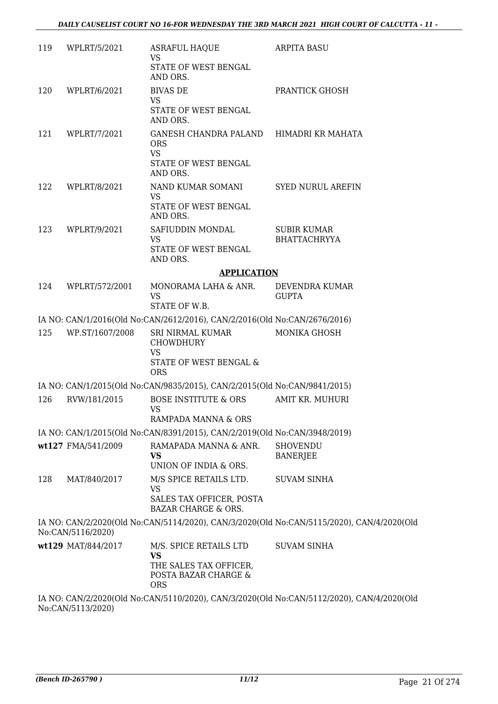| 119 | WPLRT/5/2021       | <b>ASRAFUL HAQUE</b><br><b>VS</b>                                                                   | <b>ARPITA BASU</b>                                                                                  |
|-----|--------------------|-----------------------------------------------------------------------------------------------------|-----------------------------------------------------------------------------------------------------|
|     |                    | STATE OF WEST BENGAL<br>AND ORS.                                                                    |                                                                                                     |
| 120 | WPLRT/6/2021       | <b>BIVAS DE</b>                                                                                     | PRANTICK GHOSH                                                                                      |
|     |                    | VS.<br>STATE OF WEST BENGAL<br>AND ORS.                                                             |                                                                                                     |
| 121 | WPLRT/7/2021       | GANESH CHANDRA PALAND HIMADRI KR MAHATA<br><b>ORS</b><br><b>VS</b>                                  |                                                                                                     |
|     |                    | STATE OF WEST BENGAL<br>AND ORS.                                                                    |                                                                                                     |
| 122 | WPLRT/8/2021       | NAND KUMAR SOMANI<br>VS.<br>STATE OF WEST BENGAL<br>AND ORS.                                        | <b>SYED NURUL AREFIN</b>                                                                            |
| 123 | WPLRT/9/2021       | SAFIUDDIN MONDAL<br><b>VS</b><br>STATE OF WEST BENGAL<br>AND ORS.                                   | <b>SUBIR KUMAR</b><br><b>BHATTACHRYYA</b>                                                           |
|     |                    | <b>APPLICATION</b>                                                                                  |                                                                                                     |
| 124 | WPLRT/572/2001     | MONORAMA LAHA & ANR.                                                                                | DEVENDRA KUMAR                                                                                      |
|     |                    | VS<br>STATE OF W.B.                                                                                 | <b>GUPTA</b>                                                                                        |
|     |                    | IA NO: CAN/1/2016(Old No:CAN/2612/2016), CAN/2/2016(Old No:CAN/2676/2016)                           |                                                                                                     |
| 125 | WP.ST/1607/2008    | SRI NIRMAL KUMAR<br><b>CHOWDHURY</b><br><b>VS</b>                                                   | <b>MONIKA GHOSH</b>                                                                                 |
|     |                    | STATE OF WEST BENGAL &<br><b>ORS</b>                                                                |                                                                                                     |
|     |                    | IA NO: CAN/1/2015(Old No:CAN/9835/2015), CAN/2/2015(Old No:CAN/9841/2015)                           |                                                                                                     |
| 126 | RVW/181/2015       | <b>BOSE INSTITUTE &amp; ORS</b><br><b>VS</b><br>RAMPADA MANNA & ORS                                 | AMIT KR. MUHURI                                                                                     |
|     |                    | IA NO: CAN/1/2015(Old No:CAN/8391/2015), CAN/2/2019(Old No:CAN/3948/2019)                           |                                                                                                     |
|     | wt127 FMA/541/2009 | RAMAPADA MANNA & ANR.<br>VS                                                                         | <b>SHOVENDU</b><br><b>BANERJEE</b>                                                                  |
|     |                    | UNION OF INDIA & ORS.                                                                               |                                                                                                     |
| 128 | MAT/840/2017       | M/S SPICE RETAILS LTD.<br><b>VS</b><br>SALES TAX OFFICER, POSTA                                     | <b>SUVAM SINHA</b>                                                                                  |
|     |                    | <b>BAZAR CHARGE &amp; ORS.</b>                                                                      |                                                                                                     |
|     | No:CAN/5116/2020)  |                                                                                                     | IA NO: CAN/2/2020(Old No:CAN/5114/2020), CAN/3/2020(Old No:CAN/5115/2020), CAN/4/2020(Old           |
|     | wt129 MAT/844/2017 | M/S. SPICE RETAILS LTD<br><b>VS</b><br>THE SALES TAX OFFICER,<br>POSTA BAZAR CHARGE &<br><b>ORS</b> | <b>SUVAM SINHA</b>                                                                                  |
|     |                    |                                                                                                     | <u>LA NIO, CANI/2/2020(OId No.CANI5110/2020), CANI/2/2020(OId No.CANI5112/2020), CANIJ/2020(OId</u> |

IA NO: CAN/2/2020(Old No:CAN/5110/2020), CAN/3/2020(Old No:CAN/5112/2020), CAN/4/2020(Old No:CAN/5113/2020)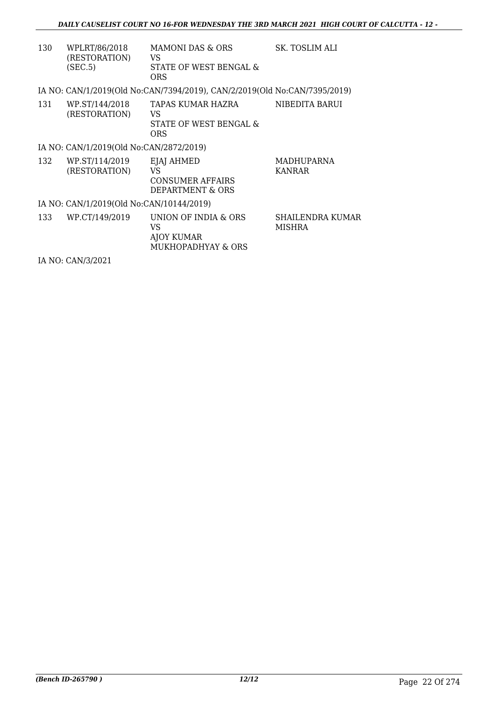| 130 | WPLRT/86/2018<br>(RESTORATION)<br>(SEC.5) | MAMONI DAS & ORS<br>VS<br>STATE OF WEST BENGAL &                          | SK. TOSLIM ALI                    |
|-----|-------------------------------------------|---------------------------------------------------------------------------|-----------------------------------|
|     |                                           | ORS                                                                       |                                   |
|     |                                           | IA NO: CAN/1/2019(Old No:CAN/7394/2019), CAN/2/2019(Old No:CAN/7395/2019) |                                   |
| 131 | WP.ST/144/2018<br>(RESTORATION)           | TAPAS KUMAR HAZRA<br>VS<br>STATE OF WEST BENGAL &<br><b>ORS</b>           | NIBEDITA BARUI                    |
|     | IA NO: CAN/1/2019(Old No:CAN/2872/2019)   |                                                                           |                                   |
| 132 | WP.ST/114/2019<br>(RESTORATION)           | EJAJ AHMED<br>VS<br>CONSUMER AFFAIRS<br>DEPARTMENT & ORS                  | <b>MADHUPARNA</b><br>KANRAR       |
|     | IA NO: CAN/1/2019(Old No:CAN/10144/2019)  |                                                                           |                                   |
| 133 | WP.CT/149/2019                            | UNION OF INDIA & ORS<br>VS<br>AJOY KUMAR<br>MUKHOPADHYAY & ORS            | <b>SHAILENDRA KUMAR</b><br>MISHRA |

IA NO: CAN/3/2021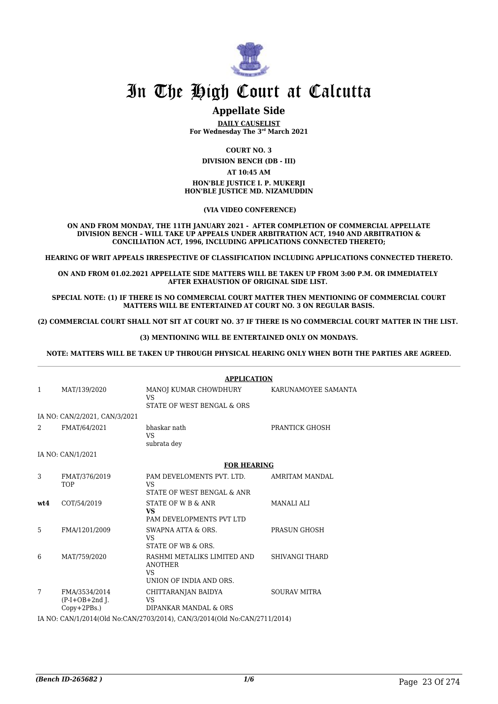

# **Appellate Side**

**DAILY CAUSELIST For Wednesday The 3rd March 2021**

**COURT NO. 3**

**DIVISION BENCH (DB - III)**

#### **AT 10:45 AM**

#### **HON'BLE JUSTICE I. P. MUKERJI HON'BLE JUSTICE MD. NIZAMUDDIN**

 **(VIA VIDEO CONFERENCE)**

**ON AND FROM MONDAY, THE 11TH JANUARY 2021 - AFTER COMPLETION OF COMMERCIAL APPELLATE DIVISION BENCH – WILL TAKE UP APPEALS UNDER ARBITRATION ACT, 1940 AND ARBITRATION & CONCILIATION ACT, 1996, INCLUDING APPLICATIONS CONNECTED THERETO;**

**HEARING OF WRIT APPEALS IRRESPECTIVE OF CLASSIFICATION INCLUDING APPLICATIONS CONNECTED THERETO.**

**ON AND FROM 01.02.2021 APPELLATE SIDE MATTERS WILL BE TAKEN UP FROM 3:00 P.M. OR IMMEDIATELY AFTER EXHAUSTION OF ORIGINAL SIDE LIST.** 

**SPECIAL NOTE: (1) IF THERE IS NO COMMERCIAL COURT MATTER THEN MENTIONING OF COMMERCIAL COURT MATTERS WILL BE ENTERTAINED AT COURT NO. 3 ON REGULAR BASIS.**

**(2) COMMERCIAL COURT SHALL NOT SIT AT COURT NO. 37 IF THERE IS NO COMMERCIAL COURT MATTER IN THE LIST.** 

#### **(3) MENTIONING WILL BE ENTERTAINED ONLY ON MONDAYS.**

**NOTE: MATTERS WILL BE TAKEN UP THROUGH PHYSICAL HEARING ONLY WHEN BOTH THE PARTIES ARE AGREED.**

|                                                          | <b>APPLICATION</b>                                                                          |                       |  |
|----------------------------------------------------------|---------------------------------------------------------------------------------------------|-----------------------|--|
| MAT/139/2020<br>$\mathbf{1}$                             | MANOJ KUMAR CHOWDHURY KARUNAMOYEE SAMANTA<br><b>VS</b><br>STATE OF WEST BENGAL & ORS        |                       |  |
| IA NO: CAN/2/2021, CAN/3/2021                            |                                                                                             |                       |  |
| FMAT/64/2021<br>2                                        | bhaskar nath<br><b>VS</b><br>subrata dey                                                    | PRANTICK GHOSH        |  |
| IA NO: CAN/1/2021                                        |                                                                                             |                       |  |
|                                                          | <b>FOR HEARING</b>                                                                          |                       |  |
| 3<br>FMAT/376/2019<br><b>TOP</b>                         | PAM DEVELOMENTS PVT. LTD.<br><b>VS</b><br>STATE OF WEST BENGAL & ANR                        | AMRITAM MANDAL        |  |
| COT/54/2019<br>wt.4                                      | STATE OF W B & ANR<br><b>VS</b><br>PAM DEVELOPMENTS PVT LTD                                 | <b>MANALI ALI</b>     |  |
| 5<br>FMA/1201/2009                                       | SWAPNA ATTA & ORS.<br>VS.<br>STATE OF WB & ORS.                                             | PRASUN GHOSH          |  |
| MAT/759/2020<br>6                                        | RASHMI METALIKS LIMITED AND<br><b>ANOTHER</b><br>VS <sub>1</sub><br>UNION OF INDIA AND ORS. | <b>SHIVANGI THARD</b> |  |
| 7<br>FMA/3534/2014<br>$(P-I+OB+2nd$ J.<br>$Copy+2PBs.$ ) | CHITTARANJAN BAIDYA<br><b>VS</b><br>DIPANKAR MANDAL & ORS                                   | <b>SOURAV MITRA</b>   |  |
|                                                          | IA NO: CAN/1/2014/Old No:CAN/2703/2014) CAN/3/2014/Old No:CAN/2711/2014)                    |                       |  |

IA NO: CAN/1/2014(Old No:CAN/2703/2014), CAN/3/2014(Old No:CAN/2711/2014)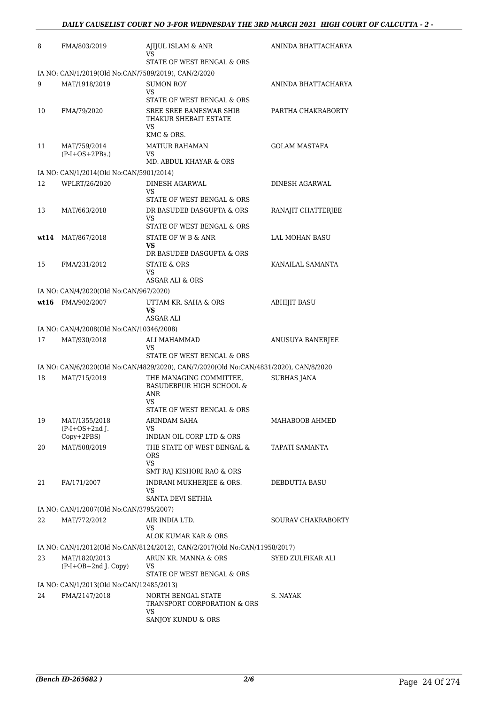| 8  | FMA/803/2019                                             | AJIJUL ISLAM & ANR<br>VS                                                              | ANINDA BHATTACHARYA  |
|----|----------------------------------------------------------|---------------------------------------------------------------------------------------|----------------------|
|    |                                                          | STATE OF WEST BENGAL & ORS                                                            |                      |
|    | IA NO: CAN/1/2019(Old No:CAN/7589/2019), CAN/2/2020      |                                                                                       |                      |
| 9  | MAT/1918/2019                                            | <b>SUMON ROY</b><br>VS                                                                | ANINDA BHATTACHARYA  |
|    |                                                          | STATE OF WEST BENGAL & ORS                                                            |                      |
| 10 | FMA/79/2020                                              | SREE SREE BANESWAR SHIB<br>THAKUR SHEBAIT ESTATE<br>VS.                               | PARTHA CHAKRABORTY   |
| 11 | MAT/759/2014                                             | KMC & ORS.<br><b>MATIUR RAHAMAN</b>                                                   | <b>GOLAM MASTAFA</b> |
|    | $(P-I+OS+2PBs.)$                                         | VS.<br>MD. ABDUL KHAYAR & ORS                                                         |                      |
|    | IA NO: CAN/1/2014(Old No:CAN/5901/2014)                  |                                                                                       |                      |
| 12 | WPLRT/26/2020                                            | DINESH AGARWAL<br>VS.<br>STATE OF WEST BENGAL & ORS                                   | DINESH AGARWAL       |
| 13 | MAT/663/2018                                             | DR BASUDEB DASGUPTA & ORS                                                             | RANAJIT CHATTERJEE   |
|    |                                                          | VS                                                                                    |                      |
|    |                                                          | STATE OF WEST BENGAL & ORS                                                            |                      |
|    | wt14 MAT/867/2018                                        | STATE OF W B & ANR<br><b>VS</b>                                                       | LAL MOHAN BASU       |
|    |                                                          | DR BASUDEB DASGUPTA & ORS                                                             |                      |
| 15 | FMA/231/2012                                             | STATE & ORS                                                                           | KANAILAL SAMANTA     |
|    |                                                          | VS<br>ASGAR ALI & ORS                                                                 |                      |
|    | IA NO: CAN/4/2020(Old No:CAN/967/2020)                   |                                                                                       |                      |
|    | wt16 FMA/902/2007                                        | UTTAM KR. SAHA & ORS                                                                  | <b>ABHIJIT BASU</b>  |
|    |                                                          | <b>VS</b>                                                                             |                      |
|    |                                                          | <b>ASGAR ALI</b>                                                                      |                      |
| 17 | IA NO: CAN/4/2008(Old No:CAN/10346/2008)<br>MAT/930/2018 | ALI MAHAMMAD                                                                          | ANUSUYA BANERJEE     |
|    |                                                          | VS<br>STATE OF WEST BENGAL & ORS                                                      |                      |
|    |                                                          | IA NO: CAN/6/2020(Old No:CAN/4829/2020), CAN/7/2020(Old No:CAN/4831/2020), CAN/8/2020 |                      |
| 18 | MAT/715/2019                                             | THE MANAGING COMMITTEE,<br>BASUDEBPUR HIGH SCHOOL &                                   | <b>SUBHAS JANA</b>   |
|    |                                                          | ANR<br>VS                                                                             |                      |
|    |                                                          | STATE OF WEST BENGAL & ORS                                                            | MAHABOOB AHMED       |
| 19 | MAT/1355/2018<br>$(P-I+OS+2nd$ J.                        | ARINDAM SAHA<br>VS.                                                                   |                      |
|    | $Copy+2PBS)$                                             | INDIAN OIL CORP LTD & ORS                                                             |                      |
| 20 | MAT/508/2019                                             | THE STATE OF WEST BENGAL &<br><b>ORS</b><br>VS.                                       | TAPATI SAMANTA       |
|    |                                                          | SMT RAJ KISHORI RAO & ORS                                                             |                      |
| 21 | FA/171/2007                                              | INDRANI MUKHERJEE & ORS.<br>VS                                                        | DEBDUTTA BASU        |
|    |                                                          | SANTA DEVI SETHIA                                                                     |                      |
| 22 | IA NO: CAN/1/2007(Old No:CAN/3795/2007)<br>MAT/772/2012  |                                                                                       |                      |
|    |                                                          | AIR INDIA LTD.<br>VS                                                                  | SOURAV CHAKRABORTY   |
|    |                                                          | ALOK KUMAR KAR & ORS                                                                  |                      |
|    |                                                          | IA NO: CAN/1/2012(Old No:CAN/8124/2012), CAN/2/2017(Old No:CAN/11958/2017)            |                      |
| 23 | MAT/1820/2013<br>(P-I+OB+2nd J. Copy)                    | ARUN KR. MANNA & ORS<br>VS<br>STATE OF WEST BENGAL & ORS                              | SYED ZULFIKAR ALI    |
|    | IA NO: CAN/1/2013(Old No:CAN/12485/2013)                 |                                                                                       |                      |
| 24 | FMA/2147/2018                                            | NORTH BENGAL STATE                                                                    | S. NAYAK             |
|    |                                                          | TRANSPORT CORPORATION & ORS<br><b>VS</b>                                              |                      |
|    |                                                          | SANJOY KUNDU & ORS                                                                    |                      |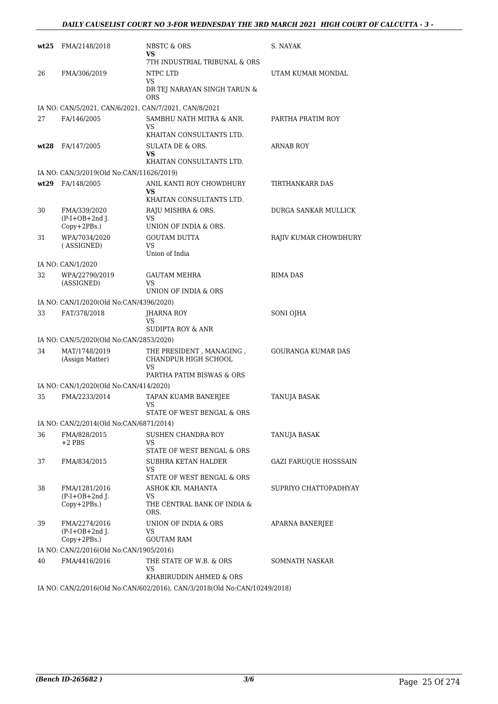#### *DAILY CAUSELIST COURT NO 3-FOR WEDNESDAY THE 3RD MARCH 2021 HIGH COURT OF CALCUTTA - 3 -*

| wt25 | FMA/2148/2018                                            | NBSTC & ORS<br>VS<br>7TH INDUSTRIAL TRIBUNAL & ORS                                  | S. NAYAK                     |
|------|----------------------------------------------------------|-------------------------------------------------------------------------------------|------------------------------|
| 26   | FMA/306/2019                                             | NTPC LTD<br>VS<br>DR TEJ NARAYAN SINGH TARUN &<br><b>ORS</b>                        | UTAM KUMAR MONDAL            |
|      | IA NO: CAN/5/2021, CAN/6/2021, CAN/7/2021, CAN/8/2021    |                                                                                     |                              |
| 27   | FA/146/2005                                              | SAMBHU NATH MITRA & ANR.<br>VS<br>KHAITAN CONSULTANTS LTD.                          | PARTHA PRATIM ROY            |
| wt28 | FA/147/2005                                              | SULATA DE & ORS.<br><b>VS</b><br>KHAITAN CONSULTANTS LTD.                           | <b>ARNAB ROY</b>             |
|      | IA NO: CAN/3/2019(Old No:CAN/11626/2019)                 |                                                                                     |                              |
| wt29 | FA/148/2005                                              | ANIL KANTI ROY CHOWDHURY<br>VS<br>KHAITAN CONSULTANTS LTD.                          | TIRTHANKARR DAS              |
| 30   | FMA/339/2020<br>$(P-I+OB+2nd J.$<br>Copy+2PBs.)          | RAJU MISHRA & ORS.<br>VS<br>UNION OF INDIA & ORS.                                   | DURGA SANKAR MULLICK         |
| 31   | WPA/7034/2020<br>(ASSIGNED)                              | <b>GOUTAM DUTTA</b><br><b>VS</b><br>Union of India                                  | RAJIV KUMAR CHOWDHURY        |
|      | IA NO: CAN/1/2020                                        |                                                                                     |                              |
| 32   | WPA/22790/2019<br>(ASSIGNED)                             | <b>GAUTAM MEHRA</b><br><b>VS</b><br>UNION OF INDIA & ORS                            | <b>RIMA DAS</b>              |
|      | IA NO: CAN/1/2020(Old No:CAN/4396/2020)                  |                                                                                     |                              |
| 33   | FAT/378/2018                                             | JHARNA ROY<br><b>VS</b>                                                             | SONI OJHA                    |
|      |                                                          | SUDIPTA ROY & ANR                                                                   |                              |
| 34   | IA NO: CAN/5/2020(Old No:CAN/2853/2020)<br>MAT/1748/2019 |                                                                                     | <b>GOURANGA KUMAR DAS</b>    |
|      | (Assign Matter)                                          | THE PRESIDENT, MANAGING,<br>CHANDPUR HIGH SCHOOL<br>VS<br>PARTHA PATIM BISWAS & ORS |                              |
|      | IA NO: CAN/1/2020(Old No:CAN/414/2020)                   |                                                                                     |                              |
| 35   | FMA/2233/2014                                            | TAPAN KUAMR BANERJEE<br>VS<br>STATE OF WEST BENGAL & ORS                            | TANUJA BASAK                 |
|      | IA NO: CAN/2/2014(Old No:CAN/6871/2014)                  |                                                                                     |                              |
| 36   | FMA/828/2015<br>$+2$ PBS                                 | SUSHEN CHANDRA ROY<br>VS<br>STATE OF WEST BENGAL & ORS                              | <b>TANUJA BASAK</b>          |
| 37   | FMA/834/2015                                             | SUBHRA KETAN HALDER<br><b>VS</b><br>STATE OF WEST BENGAL & ORS                      | <b>GAZI FARUQUE HOSSSAIN</b> |
| 38   | FMA/1281/2016<br>$(P-I+OB+2nd$ J.<br>Copy+2PBs.)         | ASHOK KR. MAHANTA<br>VS<br>THE CENTRAL BANK OF INDIA &<br>ORS.                      | SUPRIYO CHATTOPADHYAY        |
| 39   | FMA/2274/2016<br>$(P-I+OB+2nd$ J.<br>Copy+2PBs.)         | UNION OF INDIA & ORS<br>VS<br><b>GOUTAM RAM</b>                                     | APARNA BANERJEE              |
|      | IA NO: CAN/2/2016(Old No:CAN/1905/2016)                  |                                                                                     |                              |
| 40   | FMA/4416/2016                                            | THE STATE OF W.B. & ORS<br>VS<br>KHABIRUDDIN AHMED & ORS                            | SOMNATH NASKAR               |
|      |                                                          |                                                                                     |                              |

IA NO: CAN/2/2016(Old No:CAN/602/2016), CAN/3/2018(Old No:CAN/10249/2018)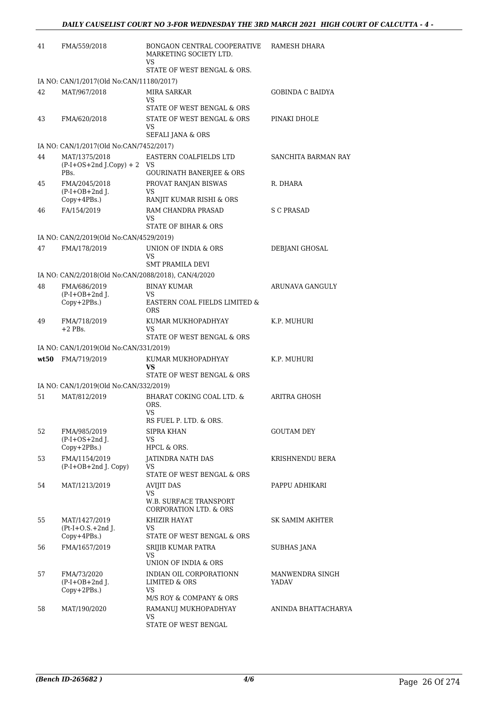| 41 | FMA/559/2018                                           | BONGAON CENTRAL COOPERATIVE<br>MARKETING SOCIETY LTD.<br>VS<br>STATE OF WEST BENGAL & ORS. | RAMESH DHARA             |
|----|--------------------------------------------------------|--------------------------------------------------------------------------------------------|--------------------------|
|    | IA NO: CAN/1/2017(Old No:CAN/11180/2017)               |                                                                                            |                          |
| 42 | MAT/967/2018                                           | <b>MIRA SARKAR</b><br>VS                                                                   | <b>GOBINDA C BAIDYA</b>  |
|    |                                                        | STATE OF WEST BENGAL & ORS                                                                 |                          |
| 43 | FMA/620/2018                                           | STATE OF WEST BENGAL & ORS                                                                 | PINAKI DHOLE             |
|    |                                                        | VS.<br>SEFALI JANA & ORS                                                                   |                          |
|    | IA NO: CAN/1/2017(Old No:CAN/7452/2017)                |                                                                                            |                          |
| 44 | MAT/1375/2018<br>$(P-I+OS+2nd J.Copy) + 2$             | EASTERN COALFIELDS LTD<br>VS                                                               | SANCHITA BARMAN RAY      |
|    | PBs.                                                   | <b>GOURINATH BANERJEE &amp; ORS</b>                                                        |                          |
| 45 | FMA/2045/2018<br>$(P-I+OB+2nd$ J.                      | PROVAT RANJAN BISWAS<br>VS                                                                 | R. DHARA                 |
|    | Copy+4PBs.)                                            | RANJIT KUMAR RISHI & ORS                                                                   |                          |
| 46 | FA/154/2019                                            | RAM CHANDRA PRASAD                                                                         | S C PRASAD               |
|    |                                                        | VS<br>STATE OF BIHAR & ORS                                                                 |                          |
|    | IA NO: CAN/2/2019(Old No:CAN/4529/2019)                |                                                                                            |                          |
| 47 | FMA/178/2019                                           | UNION OF INDIA & ORS                                                                       | DEBJANI GHOSAL           |
|    |                                                        | VS<br><b>SMT PRAMILA DEVI</b>                                                              |                          |
|    | IA NO: CAN/2/2018(Old No:CAN/2088/2018), CAN/4/2020    |                                                                                            |                          |
| 48 | FMA/686/2019                                           | <b>BINAY KUMAR</b>                                                                         | ARUNAVA GANGULY          |
|    | $(P-I+OB+2nd J.$                                       | VS                                                                                         |                          |
|    | Copy+2PBs.)                                            | EASTERN COAL FIELDS LIMITED &<br><b>ORS</b>                                                |                          |
| 49 | FMA/718/2019                                           | KUMAR MUKHOPADHYAY                                                                         | K.P. MUHURI              |
|    | $+2$ PBs.                                              | VS<br>STATE OF WEST BENGAL & ORS                                                           |                          |
|    | IA NO: CAN/1/2019(Old No:CAN/331/2019)                 |                                                                                            |                          |
|    | wt50 FMA/719/2019                                      | KUMAR MUKHOPADHYAY                                                                         | K.P. MUHURI              |
|    |                                                        | VS                                                                                         |                          |
|    |                                                        | STATE OF WEST BENGAL & ORS                                                                 |                          |
| 51 | IA NO: CAN/1/2019(Old No:CAN/332/2019)<br>MAT/812/2019 | BHARAT COKING COAL LTD. &                                                                  | ARITRA GHOSH             |
|    |                                                        | ORS.<br>VS<br>RS FUEL P. LTD. & ORS.                                                       |                          |
| 52 | FMA/985/2019                                           | <b>SIPRA KHAN</b>                                                                          |                          |
|    | $(P-I+OS+2nd$ J.<br>Copy+2PBs.)                        | VS<br>HPCL & ORS.                                                                          | GOUTAM DEY               |
| 53 | FMA/1154/2019                                          | JATINDRA NATH DAS                                                                          | KRISHNENDU BERA          |
|    | (P-I+OB+2nd J. Copy)                                   | VS.                                                                                        |                          |
|    |                                                        | STATE OF WEST BENGAL & ORS                                                                 |                          |
| 54 | MAT/1213/2019                                          | <b>AVIJIT DAS</b><br>VS                                                                    | PAPPU ADHIKARI           |
|    |                                                        | W.B. SURFACE TRANSPORT<br><b>CORPORATION LTD. &amp; ORS</b>                                |                          |
| 55 | MAT/1427/2019                                          | KHIZIR HAYAT                                                                               | SK SAMIM AKHTER          |
|    | $Pt-I+O.S.+2nd$ J.                                     | VS                                                                                         |                          |
|    | $Copy+4PBs.$ )                                         | STATE OF WEST BENGAL & ORS                                                                 |                          |
| 56 | FMA/1657/2019                                          | SRIJIB KUMAR PATRA<br><b>VS</b>                                                            | SUBHAS JANA              |
|    |                                                        | UNION OF INDIA & ORS                                                                       |                          |
| 57 | FMA/73/2020<br>$(P-I+OB+2nd$ J.                        | INDIAN OIL CORPORATIONN<br>LIMITED & ORS                                                   | MANWENDRA SINGH<br>YADAV |
|    | $Copy+2PBs.$ )                                         | VS                                                                                         |                          |
|    |                                                        | M/S ROY & COMPANY & ORS                                                                    |                          |
| 58 | MAT/190/2020                                           | RAMANUJ MUKHOPADHYAY<br>VS.                                                                | ANINDA BHATTACHARYA      |
|    |                                                        | STATE OF WEST BENGAL                                                                       |                          |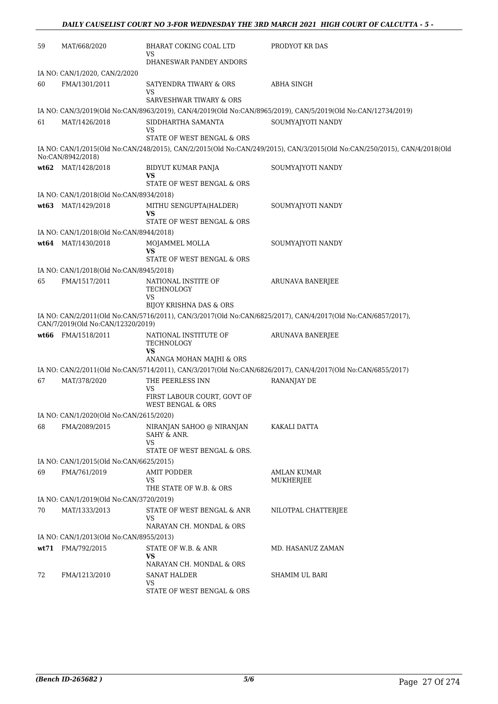| 59   | MAT/668/2020                            | BHARAT COKING COAL LTD<br>VS                                                          | PRODYOT KR DAS                                                                                                           |
|------|-----------------------------------------|---------------------------------------------------------------------------------------|--------------------------------------------------------------------------------------------------------------------------|
|      |                                         | DHANESWAR PANDEY ANDORS                                                               |                                                                                                                          |
|      | IA NO: CAN/1/2020, CAN/2/2020           |                                                                                       |                                                                                                                          |
| 60   | FMA/1301/2011                           | SATYENDRA TIWARY & ORS<br><b>VS</b>                                                   | ABHA SINGH                                                                                                               |
|      |                                         | SARVESHWAR TIWARY & ORS                                                               |                                                                                                                          |
|      |                                         |                                                                                       | IA NO: CAN/3/2019(Old No:CAN/8963/2019), CAN/4/2019(Old No:CAN/8965/2019), CAN/5/2019(Old No:CAN/12734/2019)             |
| 61   | MAT/1426/2018                           | SIDDHARTHA SAMANTA<br>VS<br>STATE OF WEST BENGAL & ORS                                | SOUMYAJYOTI NANDY                                                                                                        |
|      | No:CAN/8942/2018)                       |                                                                                       | IA NO: CAN/1/2015(Old No:CAN/248/2015), CAN/2/2015(Old No:CAN/249/2015), CAN/3/2015(Old No:CAN/250/2015), CAN/4/2018(Old |
|      | wt62 MAT/1428/2018                      | BIDYUT KUMAR PANJA                                                                    | SOUMYAJYOTI NANDY                                                                                                        |
|      |                                         | VS<br>STATE OF WEST BENGAL & ORS                                                      |                                                                                                                          |
|      | IA NO: CAN/1/2018(Old No:CAN/8934/2018) |                                                                                       |                                                                                                                          |
| wt63 | MAT/1429/2018                           | MITHU SENGUPTA(HALDER)<br>VS                                                          | SOUMYAJYOTI NANDY                                                                                                        |
|      |                                         | STATE OF WEST BENGAL & ORS                                                            |                                                                                                                          |
|      | IA NO: CAN/1/2018(Old No:CAN/8944/2018) |                                                                                       |                                                                                                                          |
|      | wt64 MAT/1430/2018                      | MOJAMMEL MOLLA<br><b>VS</b><br>STATE OF WEST BENGAL & ORS                             | SOUMYAJYOTI NANDY                                                                                                        |
|      | IA NO: CAN/1/2018(Old No:CAN/8945/2018) |                                                                                       |                                                                                                                          |
| 65   | FMA/1517/2011                           | NATIONAL INSTITE OF<br>TECHNOLOGY<br>VS                                               | <b>ARUNAVA BANERJEE</b>                                                                                                  |
|      |                                         | <b>BIJOY KRISHNA DAS &amp; ORS</b>                                                    | IA NO: CAN/2/2011(Old No:CAN/5716/2011), CAN/3/2017(Old No:CAN/6825/2017), CAN/4/2017(Old No:CAN/6857/2017),             |
|      | CAN/7/2019(Old No:CAN/12320/2019)       |                                                                                       |                                                                                                                          |
|      | wt66 FMA/1518/2011                      | NATIONAL INSTITUTE OF<br>TECHNOLOGY<br>VS                                             | ARUNAVA BANERJEE                                                                                                         |
|      |                                         | ANANGA MOHAN MAJHI & ORS                                                              |                                                                                                                          |
|      |                                         |                                                                                       | IA NO: CAN/2/2011(Old No:CAN/5714/2011), CAN/3/2017(Old No:CAN/6826/2017), CAN/4/2017(Old No:CAN/6855/2017)              |
| 67   | MAT/378/2020                            | THE PEERLESS INN<br>VS<br>FIRST LABOUR COURT, GOVT OF<br><b>WEST BENGAL &amp; ORS</b> | RANANJAY DE                                                                                                              |
|      | IA NO: CAN/1/2020(Old No:CAN/2615/2020) |                                                                                       |                                                                                                                          |
| 68   | FMA/2089/2015                           | NIRANJAN SAHOO @ NIRANJAN<br>SAHY & ANR.<br><b>VS</b>                                 | KAKALI DATTA                                                                                                             |
|      |                                         | STATE OF WEST BENGAL & ORS.                                                           |                                                                                                                          |
|      | IA NO: CAN/1/2015(Old No:CAN/6625/2015) |                                                                                       |                                                                                                                          |
| 69   | FMA/761/2019                            | <b>AMIT PODDER</b><br><b>VS</b><br>THE STATE OF W.B. & ORS                            | AMLAN KUMAR<br>MUKHERJEE                                                                                                 |
|      | IA NO: CAN/1/2019(Old No:CAN/3720/2019) |                                                                                       |                                                                                                                          |
| 70   | MAT/1333/2013                           | STATE OF WEST BENGAL & ANR                                                            | NILOTPAL CHATTERJEE                                                                                                      |
|      |                                         | VS<br>NARAYAN CH. MONDAL & ORS                                                        |                                                                                                                          |
|      | IA NO: CAN/1/2013(Old No:CAN/8955/2013) |                                                                                       |                                                                                                                          |
|      | wt71 FMA/792/2015                       | STATE OF W.B. & ANR<br>VS<br>NARAYAN CH. MONDAL & ORS                                 | MD. HASANUZ ZAMAN                                                                                                        |
| 72   | FMA/1213/2010                           | <b>SANAT HALDER</b>                                                                   | SHAMIM UL BARI                                                                                                           |
|      |                                         | VS<br>STATE OF WEST BENGAL & ORS                                                      |                                                                                                                          |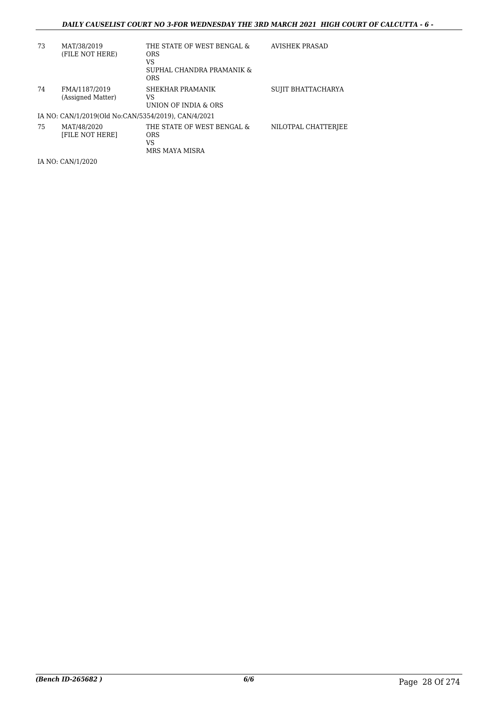## *DAILY CAUSELIST COURT NO 3-FOR WEDNESDAY THE 3RD MARCH 2021 HIGH COURT OF CALCUTTA - 6 -*

| 73 | MAT/38/2019<br>(FILE NOT HERE)                      | THE STATE OF WEST BENGAL &<br><b>ORS</b><br>VS<br>SUPHAL CHANDRA PRAMANIK &<br><b>ORS</b> | AVISHEK PRASAD      |
|----|-----------------------------------------------------|-------------------------------------------------------------------------------------------|---------------------|
| 74 | FMA/1187/2019<br>(Assigned Matter)                  | SHEKHAR PRAMANIK<br>VS<br>UNION OF INDIA & ORS                                            | SUJIT BHATTACHARYA  |
|    | IA NO: CAN/1/2019(Old No:CAN/5354/2019), CAN/4/2021 |                                                                                           |                     |
| 75 | MAT/48/2020<br><b>IFILE NOT HEREI</b>               | THE STATE OF WEST BENGAL &<br><b>ORS</b><br>VS<br>MRS MAYA MISRA                          | NILOTPAL CHATTERJEE |

IA NO: CAN/1/2020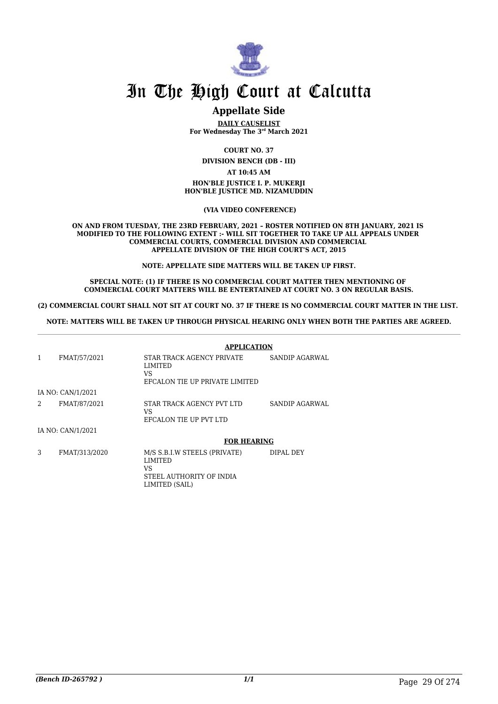

# **Appellate Side**

**DAILY CAUSELIST For Wednesday The 3rd March 2021**

**COURT NO. 37**

**DIVISION BENCH (DB - III)**

**AT 10:45 AM**

**HON'BLE JUSTICE I. P. MUKERJI HON'BLE JUSTICE MD. NIZAMUDDIN**

 **(VIA VIDEO CONFERENCE)**

**ON AND FROM TUESDAY, THE 23RD FEBRUARY, 2021 – ROSTER NOTIFIED ON 8TH JANUARY, 2021 IS MODIFIED TO THE FOLLOWING EXTENT :- WILL SIT TOGETHER TO TAKE UP ALL APPEALS UNDER COMMERCIAL COURTS, COMMERCIAL DIVISION AND COMMERCIAL APPELLATE DIVISION OF THE HIGH COURT'S ACT, 2015**

**NOTE: APPELLATE SIDE MATTERS WILL BE TAKEN UP FIRST.**

**SPECIAL NOTE: (1) IF THERE IS NO COMMERCIAL COURT MATTER THEN MENTIONING OF COMMERCIAL COURT MATTERS WILL BE ENTERTAINED AT COURT NO. 3 ON REGULAR BASIS.**

**(2) COMMERCIAL COURT SHALL NOT SIT AT COURT NO. 37 IF THERE IS NO COMMERCIAL COURT MATTER IN THE LIST.** 

**NOTE: MATTERS WILL BE TAKEN UP THROUGH PHYSICAL HEARING ONLY WHEN BOTH THE PARTIES ARE AGREED.**

|                |                   | <b>APPLICATION</b>                                                                          |                |
|----------------|-------------------|---------------------------------------------------------------------------------------------|----------------|
| 1              | FMAT/57/2021      | STAR TRACK AGENCY PRIVATE<br>LIMITED<br>VS<br>EFCALON TIE UP PRIVATE LIMITED                | SANDIP AGARWAL |
|                | IA NO: CAN/1/2021 |                                                                                             |                |
| $\overline{a}$ | FMAT/87/2021      | STAR TRACK AGENCY PVT LTD<br>VS<br>EFCALON TIE UP PVT LTD                                   | SANDIP AGARWAL |
|                | IA NO: CAN/1/2021 |                                                                                             |                |
|                |                   | <b>FOR HEARING</b>                                                                          |                |
| 3              | FMAT/313/2020     | M/S S.B.I.W STEELS (PRIVATE)<br>LIMITED<br>VS<br>STEEL AUTHORITY OF INDIA<br>LIMITED (SAIL) | DIPAL DEY      |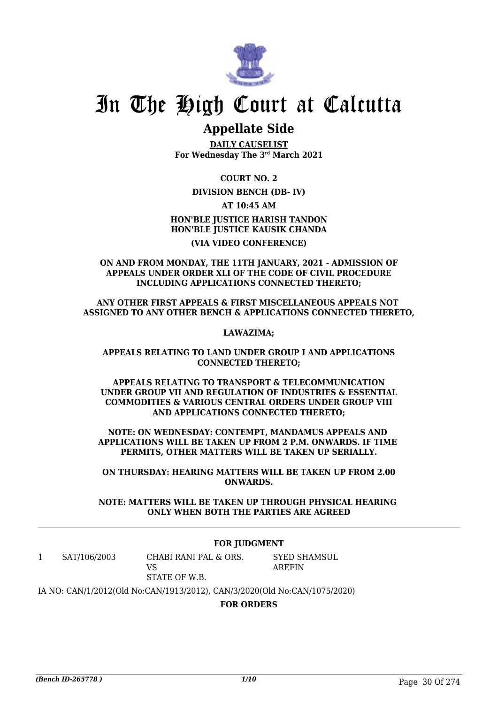

# **Appellate Side**

**DAILY CAUSELIST For Wednesday The 3rd March 2021**

**COURT NO. 2**

### **DIVISION BENCH (DB- IV)**

**AT 10:45 AM**

**HON'BLE JUSTICE HARISH TANDON HON'BLE JUSTICE KAUSIK CHANDA (VIA VIDEO CONFERENCE)**

**ON AND FROM MONDAY, THE 11TH JANUARY, 2021 - ADMISSION OF APPEALS UNDER ORDER XLI OF THE CODE OF CIVIL PROCEDURE INCLUDING APPLICATIONS CONNECTED THERETO;**

**ANY OTHER FIRST APPEALS & FIRST MISCELLANEOUS APPEALS NOT ASSIGNED TO ANY OTHER BENCH & APPLICATIONS CONNECTED THERETO,**

**LAWAZIMA;**

### **APPEALS RELATING TO LAND UNDER GROUP I AND APPLICATIONS CONNECTED THERETO;**

**APPEALS RELATING TO TRANSPORT & TELECOMMUNICATION UNDER GROUP VII AND REGULATION OF INDUSTRIES & ESSENTIAL COMMODITIES & VARIOUS CENTRAL ORDERS UNDER GROUP VIII AND APPLICATIONS CONNECTED THERETO;**

**NOTE: ON WEDNESDAY: CONTEMPT, MANDAMUS APPEALS AND APPLICATIONS WILL BE TAKEN UP FROM 2 P.M. ONWARDS. IF TIME PERMITS, OTHER MATTERS WILL BE TAKEN UP SERIALLY.**

**ON THURSDAY: HEARING MATTERS WILL BE TAKEN UP FROM 2.00 ONWARDS.**

**NOTE: MATTERS WILL BE TAKEN UP THROUGH PHYSICAL HEARING ONLY WHEN BOTH THE PARTIES ARE AGREED**

### **FOR JUDGMENT**

1 SAT/106/2003 CHABI RANI PAL & ORS. VS

SYED SHAMSUL AREFIN

STATE OF W.B.

IA NO: CAN/1/2012(Old No:CAN/1913/2012), CAN/3/2020(Old No:CAN/1075/2020)

**FOR ORDERS**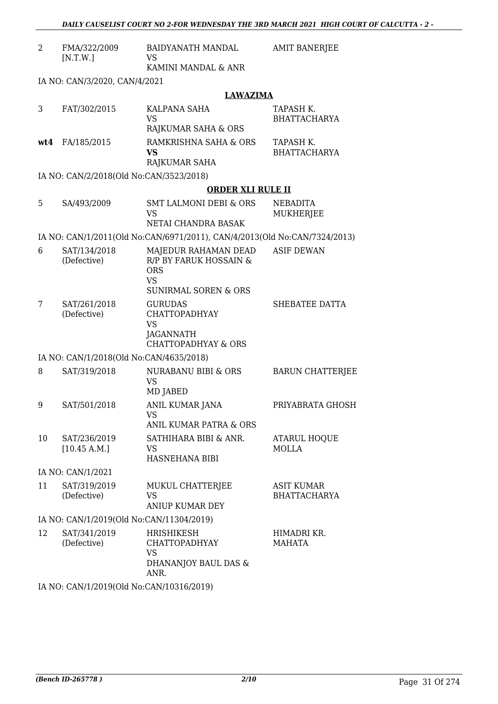| 2                                        | FMA/322/2009<br>[N.T.W.]                | BAIDYANATH MANDAL<br><b>VS</b>                                                                               | <b>AMIT BANERJEE</b>                     |
|------------------------------------------|-----------------------------------------|--------------------------------------------------------------------------------------------------------------|------------------------------------------|
|                                          |                                         | KAMINI MANDAL & ANR                                                                                          |                                          |
|                                          | IA NO: CAN/3/2020, CAN/4/2021           |                                                                                                              |                                          |
|                                          |                                         | <b>LAWAZIMA</b>                                                                                              |                                          |
| 3                                        | FAT/302/2015                            | KALPANA SAHA<br><b>VS</b><br>RAJKUMAR SAHA & ORS                                                             | TAPASH K.<br><b>BHATTACHARYA</b>         |
| wt4                                      | FA/185/2015                             | RAMKRISHNA SAHA & ORS<br><b>VS</b><br>RAJKUMAR SAHA                                                          | TAPASH K.<br><b>BHATTACHARYA</b>         |
|                                          | IA NO: CAN/2/2018(Old No:CAN/3523/2018) |                                                                                                              |                                          |
|                                          |                                         | <b>ORDER XLI RULE II</b>                                                                                     |                                          |
| 5                                        | SA/493/2009                             | <b>SMT LALMONI DEBI &amp; ORS</b><br><b>VS</b><br>NETAI CHANDRA BASAK                                        | <b>NEBADITA</b><br>MUKHERJEE             |
|                                          |                                         | IA NO: CAN/1/2011(Old No:CAN/6971/2011), CAN/4/2013(Old No:CAN/7324/2013)                                    |                                          |
| 6                                        | SAT/134/2018<br>(Defective)             | MAJEDUR RAHAMAN DEAD<br>R/P BY FARUK HOSSAIN &<br><b>ORS</b><br><b>VS</b><br><b>SUNIRMAL SOREN &amp; ORS</b> | <b>ASIF DEWAN</b>                        |
| 7                                        | SAT/261/2018<br>(Defective)             | <b>GURUDAS</b><br><b>CHATTOPADHYAY</b><br><b>VS</b><br>JAGANNATH<br><b>CHATTOPADHYAY &amp; ORS</b>           | SHEBATEE DATTA                           |
|                                          | IA NO: CAN/1/2018(Old No:CAN/4635/2018) |                                                                                                              |                                          |
| 8                                        | SAT/319/2018                            | NURABANU BIBI & ORS<br><b>VS</b><br>MD JABED                                                                 | <b>BARUN CHATTERJEE</b>                  |
| 9                                        | SAT/501/2018                            | <b>ANIL KUMAR JANA</b><br><b>VS</b><br>ANIL KUMAR PATRA & ORS                                                | PRIYABRATA GHOSH                         |
| 10                                       | SAT/236/2019<br>[10.45 A.M.]            | SATHIHARA BIBI & ANR.<br>VS<br>HASNEHANA BIBI                                                                | <b>ATARUL HOQUE</b><br><b>MOLLA</b>      |
|                                          | IA NO: CAN/1/2021                       |                                                                                                              |                                          |
| 11                                       | SAT/319/2019<br>(Defective)             | MUKUL CHATTERJEE<br><b>VS</b><br><b>ANIUP KUMAR DEY</b>                                                      | <b>ASIT KUMAR</b><br><b>BHATTACHARYA</b> |
| IA NO: CAN/1/2019(Old No:CAN/11304/2019) |                                         |                                                                                                              |                                          |
| 12                                       | SAT/341/2019<br>(Defective)             | <b>HRISHIKESH</b><br><b>CHATTOPADHYAY</b><br><b>VS</b><br>DHANANJOY BAUL DAS &<br>ANR.                       | HIMADRI KR.<br>MAHATA                    |
|                                          |                                         | $10(011 \, \text{M} \cdot 0.1111001000$                                                                      |                                          |

IA NO: CAN/1/2019(Old No:CAN/10316/2019)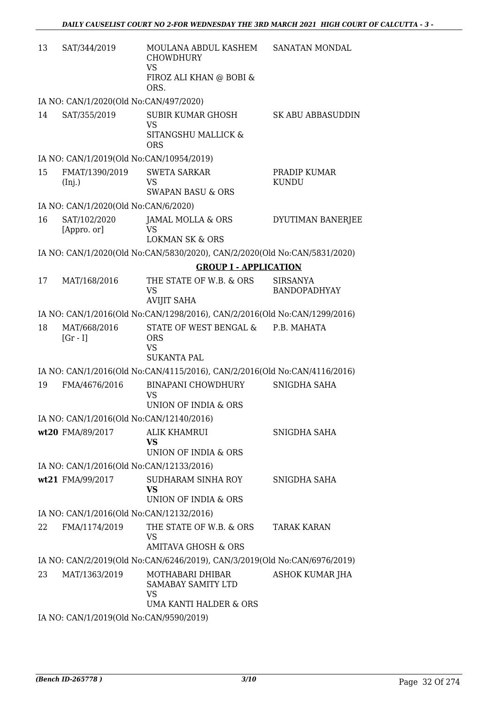| 13 | SAT/344/2019                                                                               | MOULANA ABDUL KASHEM<br>CHOWDHURY<br><b>VS</b><br>FIROZ ALI KHAN @ BOBI &<br>ORS. | SANATAN MONDAL                         |
|----|--------------------------------------------------------------------------------------------|-----------------------------------------------------------------------------------|----------------------------------------|
|    | IA NO: CAN/1/2020(Old No:CAN/497/2020)                                                     |                                                                                   |                                        |
| 14 | SAT/355/2019                                                                               | <b>SUBIR KUMAR GHOSH</b><br><b>VS</b><br>SITANGSHU MALLICK &<br><b>ORS</b>        | <b>SK ABU ABBASUDDIN</b>               |
|    | IA NO: CAN/1/2019(Old No:CAN/10954/2019)                                                   |                                                                                   |                                        |
| 15 | FMAT/1390/2019<br>(Inj.)                                                                   | <b>SWETA SARKAR</b><br><b>VS</b><br><b>SWAPAN BASU &amp; ORS</b>                  | PRADIP KUMAR<br><b>KUNDU</b>           |
|    | IA NO: CAN/1/2020(Old No:CAN/6/2020)                                                       |                                                                                   |                                        |
| 16 | SAT/102/2020<br>[Appro. or]                                                                | JAMAL MOLLA & ORS<br><b>VS</b><br><b>LOKMAN SK &amp; ORS</b>                      | DYUTIMAN BANERJEE                      |
|    |                                                                                            | IA NO: CAN/1/2020(Old No:CAN/5830/2020), CAN/2/2020(Old No:CAN/5831/2020)         |                                        |
|    |                                                                                            | <b>GROUP I - APPLICATION</b>                                                      |                                        |
| 17 | MAT/168/2016                                                                               | THE STATE OF W.B. & ORS<br><b>VS</b><br><b>AVIJIT SAHA</b>                        | <b>SIRSANYA</b><br><b>BANDOPADHYAY</b> |
|    |                                                                                            | IA NO: CAN/1/2016(Old No:CAN/1298/2016), CAN/2/2016(Old No:CAN/1299/2016)         |                                        |
| 18 | MAT/668/2016<br>$[Gr - I]$                                                                 | STATE OF WEST BENGAL &<br><b>ORS</b><br><b>VS</b><br><b>SUKANTA PAL</b>           | P.B. MAHATA                            |
|    |                                                                                            | IA NO: CAN/1/2016(Old No:CAN/4115/2016), CAN/2/2016(Old No:CAN/4116/2016)         |                                        |
| 19 | FMA/4676/2016                                                                              | <b>BINAPANI CHOWDHURY</b><br><b>VS</b><br>UNION OF INDIA & ORS                    | SNIGDHA SAHA                           |
|    | IA NO: CAN/1/2016(Old No:CAN/12140/2016)                                                   |                                                                                   |                                        |
|    | wt20 FMA/89/2017                                                                           | <b>ALIK KHAMRUI</b><br><b>VS</b><br>UNION OF INDIA & ORS                          | SNIGDHA SAHA                           |
|    | IA NO: CAN/1/2016(Old No:CAN/12133/2016)                                                   |                                                                                   |                                        |
|    | wt21 FMA/99/2017                                                                           | SUDHARAM SINHA ROY<br><b>VS</b><br>UNION OF INDIA & ORS                           | SNIGDHA SAHA                           |
|    | IA NO: CAN/1/2016(Old No:CAN/12132/2016)                                                   |                                                                                   |                                        |
| 22 | FMA/1174/2019                                                                              | THE STATE OF W.B. & ORS<br>VS<br>AMITAVA GHOSH & ORS                              | <b>TARAK KARAN</b>                     |
|    |                                                                                            | IA NO: CAN/2/2019(Old No:CAN/6246/2019), CAN/3/2019(Old No:CAN/6976/2019)         |                                        |
| 23 | MAT/1363/2019                                                                              | MOTHABARI DHIBAR<br>SAMABAY SAMITY LTD<br>VS<br><b>UMA KANTI HALDER &amp; ORS</b> | <b>ASHOK KUMAR JHA</b>                 |
|    | $14 \text{ NQ}$ , $C \Lambda N^{14}$ /2010/01d $N_{\Omega}$ , $C \Lambda N^{10}$ 500/2010) |                                                                                   |                                        |

IA NO: CAN/1/2019(Old No:CAN/9590/2019)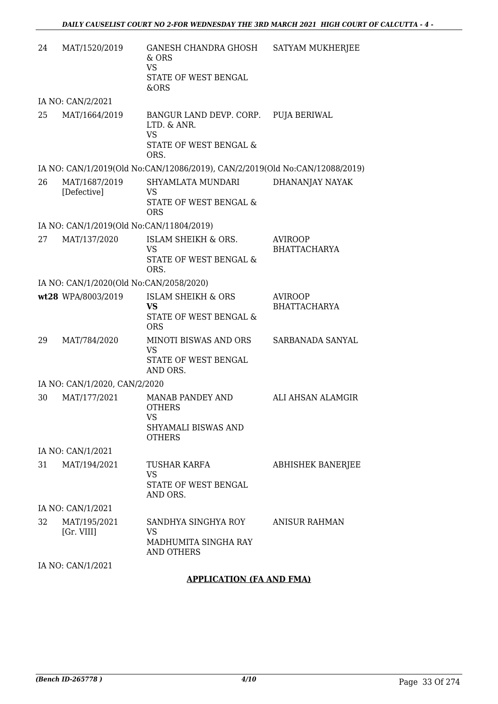| 24 | MAT/1520/2019                            | GANESH CHANDRA GHOSH<br>& ORS<br><b>VS</b><br>STATE OF WEST BENGAL<br>&ORS                         | SATYAM MUKHERJEE                      |  |
|----|------------------------------------------|----------------------------------------------------------------------------------------------------|---------------------------------------|--|
|    | IA NO: CAN/2/2021                        |                                                                                                    |                                       |  |
| 25 | MAT/1664/2019                            | BANGUR LAND DEVP. CORP. PUJA BERIWAL<br>LTD. & ANR.<br><b>VS</b><br>STATE OF WEST BENGAL &<br>ORS. |                                       |  |
|    |                                          | IA NO: CAN/1/2019(Old No:CAN/12086/2019), CAN/2/2019(Old No:CAN/12088/2019)                        |                                       |  |
| 26 | MAT/1687/2019<br>[Defective]             | SHYAMLATA MUNDARI<br><b>VS</b><br>STATE OF WEST BENGAL &<br><b>ORS</b>                             | DHANANJAY NAYAK                       |  |
|    | IA NO: CAN/1/2019(Old No:CAN/11804/2019) |                                                                                                    |                                       |  |
| 27 | MAT/137/2020                             | ISLAM SHEIKH & ORS.<br><b>VS</b><br>STATE OF WEST BENGAL &<br>ORS.                                 | <b>AVIROOP</b><br><b>BHATTACHARYA</b> |  |
|    | IA NO: CAN/1/2020(Old No:CAN/2058/2020)  |                                                                                                    |                                       |  |
|    | wt28 WPA/8003/2019                       | <b>ISLAM SHEIKH &amp; ORS</b><br>VS<br>STATE OF WEST BENGAL &<br><b>ORS</b>                        | <b>AVIROOP</b><br><b>BHATTACHARYA</b> |  |
| 29 | MAT/784/2020                             | MINOTI BISWAS AND ORS<br><b>VS</b><br>STATE OF WEST BENGAL<br>AND ORS.                             | SARBANADA SANYAL                      |  |
|    | IA NO: CAN/1/2020, CAN/2/2020            |                                                                                                    |                                       |  |
| 30 | MAT/177/2021                             | <b>MANAB PANDEY AND</b><br><b>OTHERS</b><br>VS<br>SHYAMALI BISWAS AND<br><b>OTHERS</b>             | ALI AHSAN ALAMGIR                     |  |
|    | IA NO: CAN/1/2021                        |                                                                                                    |                                       |  |
| 31 | MAT/194/2021                             | <b>TUSHAR KARFA</b><br><b>VS</b><br>STATE OF WEST BENGAL<br>AND ORS.                               | <b>ABHISHEK BANERJEE</b>              |  |
|    | IA NO: CAN/1/2021                        |                                                                                                    |                                       |  |
| 32 | MAT/195/2021<br>[Gr. VIII]               | SANDHYA SINGHYA ROY<br><b>VS</b><br>MADHUMITA SINGHA RAY<br><b>AND OTHERS</b>                      | <b>ANISUR RAHMAN</b>                  |  |
|    | IA NO: CAN/1/2021                        |                                                                                                    |                                       |  |

## **APPLICATION (FA AND FMA)**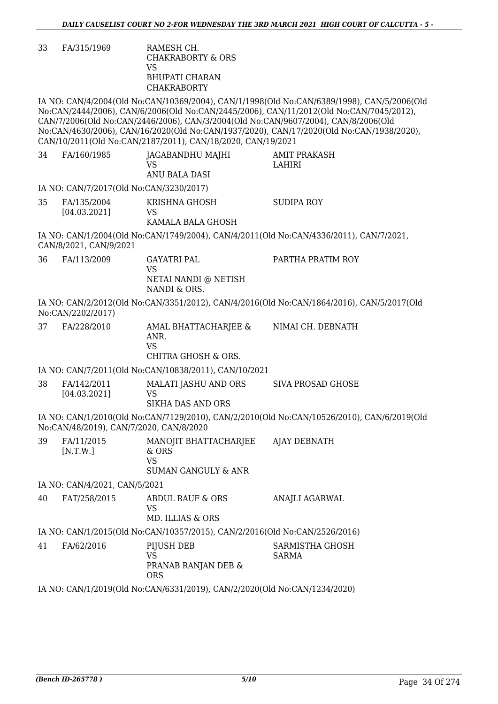33 FA/315/1969 RAMESH CH. CHAKRABORTY & ORS VS BHUPATI CHARAN CHAKRABORTY

IA NO: CAN/4/2004(Old No:CAN/10369/2004), CAN/1/1998(Old No:CAN/6389/1998), CAN/5/2006(Old No:CAN/2444/2006), CAN/6/2006(Old No:CAN/2445/2006), CAN/11/2012(Old No:CAN/7045/2012), CAN/7/2006(Old No:CAN/2446/2006), CAN/3/2004(Old No:CAN/9607/2004), CAN/8/2006(Old No:CAN/4630/2006), CAN/16/2020(Old No:CAN/1937/2020), CAN/17/2020(Old No:CAN/1938/2020), CAN/10/2011(Old No:CAN/2187/2011), CAN/18/2020, CAN/19/2021  $\frac{1}{2}$ 

| 34 | FA/160/1985                   | JAGABANDHU MAJHI<br><b>VS</b><br>ANU BALA DASI                                | <b>AMIT PRAKASH</b><br>LAHIRI                                                              |
|----|-------------------------------|-------------------------------------------------------------------------------|--------------------------------------------------------------------------------------------|
|    |                               | IA NO: CAN/7/2017(Old No:CAN/3230/2017)                                       |                                                                                            |
| 35 | FA/135/2004<br>[04.03.2021]   | KRISHNA GHOSH<br>VS<br>KAMALA BALA GHOSH                                      | <b>SUDIPA ROY</b>                                                                          |
|    | CAN/8/2021, CAN/9/2021        |                                                                               | IA NO: CAN/1/2004(Old No:CAN/1749/2004), CAN/4/2011(Old No:CAN/4336/2011), CAN/7/2021,     |
| 36 | FA/113/2009                   | <b>GAYATRI PAL</b><br><b>VS</b><br>NETAI NANDI @ NETISH<br>NANDI & ORS.       | PARTHA PRATIM ROY                                                                          |
|    | No:CAN/2202/2017)             |                                                                               | IA NO: CAN/2/2012(Old No:CAN/3351/2012), CAN/4/2016(Old No:CAN/1864/2016), CAN/5/2017(Old  |
| 37 | FA/228/2010                   | AMAL BHATTACHARJEE &<br>ANR.<br><b>VS</b><br>CHITRA GHOSH & ORS.              | NIMAI CH. DEBNATH                                                                          |
|    |                               | IA NO: CAN/7/2011(Old No:CAN/10838/2011), CAN/10/2021                         |                                                                                            |
| 38 | FA/142/2011                   |                                                                               | <b>SIVA PROSAD GHOSE</b>                                                                   |
|    | [04.03.2021]                  | MALATI JASHU AND ORS<br><b>VS</b><br><b>SIKHA DAS AND ORS</b>                 |                                                                                            |
|    |                               | No:CAN/48/2019), CAN/7/2020, CAN/8/2020                                       | IA NO: CAN/1/2010(Old No:CAN/7129/2010), CAN/2/2010(Old No:CAN/10526/2010), CAN/6/2019(Old |
| 39 | FA/11/2015<br>[N.T.W.]        | MANOJIT BHATTACHARJEE<br>& ORS<br><b>VS</b><br><b>SUMAN GANGULY &amp; ANR</b> | AJAY DEBNATH                                                                               |
|    | IA NO: CAN/4/2021, CAN/5/2021 |                                                                               |                                                                                            |
| 40 | FAT/258/2015                  | ABDUL RAUF & ORS<br><b>VS</b><br>MD. ILLIAS & ORS                             | ANAJLI AGARWAL                                                                             |
|    |                               | IA NO: CAN/1/2015(Old No:CAN/10357/2015), CAN/2/2016(Old No:CAN/2526/2016)    |                                                                                            |
| 41 | FA/62/2016                    | PIJUSH DEB<br><b>VS</b><br>PRANAB RANJAN DEB &<br><b>ORS</b>                  | SARMISTHA GHOSH<br><b>SARMA</b>                                                            |
|    |                               | IA NO: CAN/1/2019(Old No:CAN/6331/2019), CAN/2/2020(Old No:CAN/1234/2020)     |                                                                                            |
|    |                               |                                                                               |                                                                                            |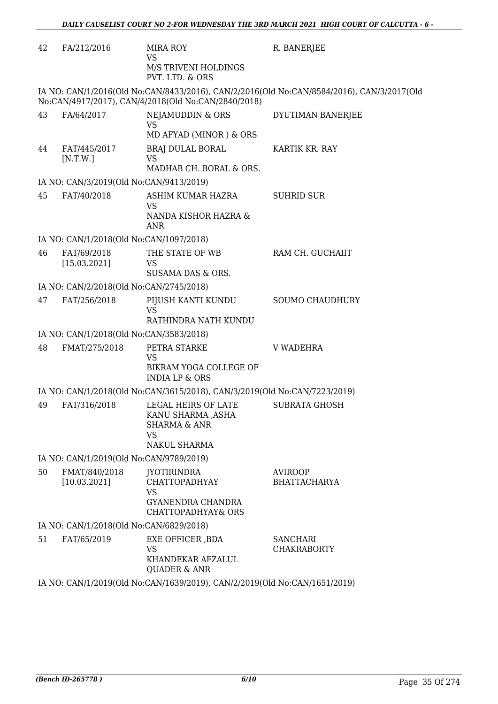| 42 | FA/212/2016                             | MIRA ROY<br><b>VS</b>                                                                                     | R. BANERJEE                                                                               |
|----|-----------------------------------------|-----------------------------------------------------------------------------------------------------------|-------------------------------------------------------------------------------------------|
|    |                                         | M/S TRIVENI HOLDINGS<br>PVT. LTD. & ORS                                                                   |                                                                                           |
|    |                                         | No:CAN/4917/2017), CAN/4/2018(Old No:CAN/2840/2018)                                                       | IA NO: CAN/1/2016(Old No:CAN/8433/2016), CAN/2/2016(Old No:CAN/8584/2016), CAN/3/2017(Old |
| 43 | FA/64/2017                              | NEJAMUDDIN & ORS<br><b>VS</b><br>MD AFYAD (MINOR) & ORS                                                   | DYUTIMAN BANERJEE                                                                         |
| 44 | FAT/445/2017<br>[N.T.W.]                | BRAJ DULAL BORAL<br><b>VS</b><br>MADHAB CH. BORAL & ORS.                                                  | KARTIK KR. RAY                                                                            |
|    | IA NO: CAN/3/2019(Old No:CAN/9413/2019) |                                                                                                           |                                                                                           |
| 45 | FAT/40/2018                             | ASHIM KUMAR HAZRA<br><b>VS</b><br>NANDA KISHOR HAZRA &<br><b>ANR</b>                                      | <b>SUHRID SUR</b>                                                                         |
|    | IA NO: CAN/1/2018(Old No:CAN/1097/2018) |                                                                                                           |                                                                                           |
| 46 | FAT/69/2018<br>[15.03.2021]             | THE STATE OF WB<br><b>VS</b><br><b>SUSAMA DAS &amp; ORS.</b>                                              | RAM CH. GUCHAIIT                                                                          |
|    | IA NO: CAN/2/2018(Old No:CAN/2745/2018) |                                                                                                           |                                                                                           |
| 47 | FAT/256/2018                            | PIJUSH KANTI KUNDU<br><b>VS</b><br>RATHINDRA NATH KUNDU                                                   | <b>SOUMO CHAUDHURY</b>                                                                    |
|    | IA NO: CAN/1/2018(Old No:CAN/3583/2018) |                                                                                                           |                                                                                           |
| 48 | FMAT/275/2018                           | PETRA STARKE                                                                                              | <b>V WADEHRA</b>                                                                          |
|    |                                         | VS<br>BIKRAM YOGA COLLEGE OF<br><b>INDIA LP &amp; ORS</b>                                                 |                                                                                           |
|    |                                         | IA NO: CAN/1/2018(Old No:CAN/3615/2018), CAN/3/2019(Old No:CAN/7223/2019)                                 |                                                                                           |
| 49 | FAT/316/2018                            | LEGAL HEIRS OF LATE<br>KANU SHARMA ,ASHA<br><b>SHARMA &amp; ANR</b><br><b>VS</b><br><b>NAKUL SHARMA</b>   | <b>SUBRATA GHOSH</b>                                                                      |
|    | IA NO: CAN/1/2019(Old No:CAN/9789/2019) |                                                                                                           |                                                                                           |
| 50 | FMAT/840/2018<br>[10.03.2021]           | <b>JYOTIRINDRA</b><br><b>CHATTOPADHYAY</b><br><b>VS</b><br><b>GYANENDRA CHANDRA</b><br>CHATTOPADHYAY& ORS | <b>AVIROOP</b><br><b>BHATTACHARYA</b>                                                     |
|    | IA NO: CAN/1/2018(Old No:CAN/6829/2018) |                                                                                                           |                                                                                           |
| 51 | FAT/65/2019                             | EXE OFFICER, BDA<br><b>VS</b><br>KHANDEKAR AFZALUL<br><b>QUADER &amp; ANR</b>                             | <b>SANCHARI</b><br><b>CHAKRABORTY</b>                                                     |
|    |                                         | IA NO: CAN/1/2019(Old No:CAN/1639/2019), CAN/2/2019(Old No:CAN/1651/2019)                                 |                                                                                           |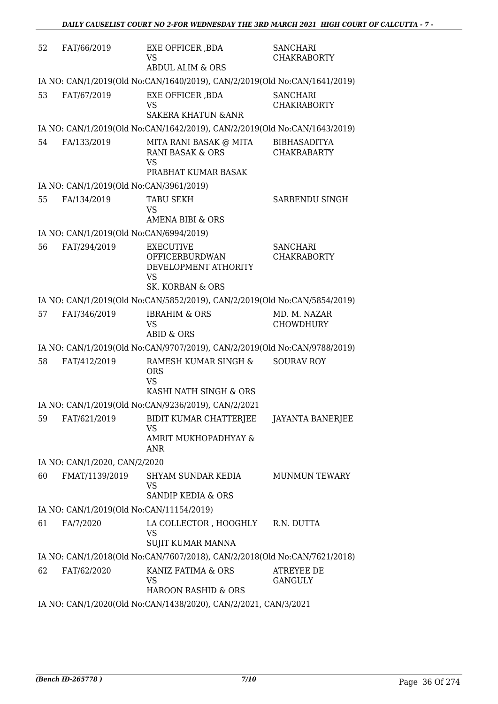| 52 | FAT/66/2019                                                     | EXE OFFICER, BDA<br><b>VS</b><br><b>ABDUL ALIM &amp; ORS</b>                                                  | <b>SANCHARI</b><br><b>CHAKRABORTY</b>     |  |
|----|-----------------------------------------------------------------|---------------------------------------------------------------------------------------------------------------|-------------------------------------------|--|
|    |                                                                 | IA NO: CAN/1/2019(Old No:CAN/1640/2019), CAN/2/2019(Old No:CAN/1641/2019)                                     |                                           |  |
| 53 | FAT/67/2019                                                     | EXE OFFICER , BDA<br><b>VS</b><br><b>SAKERA KHATUN &amp; ANR</b>                                              | <b>SANCHARI</b><br><b>CHAKRABORTY</b>     |  |
|    |                                                                 | IA NO: CAN/1/2019(Old No:CAN/1642/2019), CAN/2/2019(Old No:CAN/1643/2019)                                     |                                           |  |
| 54 | FA/133/2019                                                     | MITA RANI BASAK @ MITA<br><b>RANI BASAK &amp; ORS</b><br>VS<br>PRABHAT KUMAR BASAK                            | <b>BIBHASADITYA</b><br><b>CHAKRABARTY</b> |  |
|    | IA NO: CAN/1/2019(Old No:CAN/3961/2019)                         |                                                                                                               |                                           |  |
| 55 | FA/134/2019                                                     | <b>TABU SEKH</b><br><b>VS</b><br>AMENA BIBI & ORS                                                             | SARBENDU SINGH                            |  |
|    | IA NO: CAN/1/2019(Old No:CAN/6994/2019)                         |                                                                                                               |                                           |  |
| 56 | FAT/294/2019                                                    | <b>EXECUTIVE</b><br><b>OFFICERBURDWAN</b><br>DEVELOPMENT ATHORITY<br><b>VS</b><br><b>SK. KORBAN &amp; ORS</b> | <b>SANCHARI</b><br><b>CHAKRABORTY</b>     |  |
|    |                                                                 | IA NO: CAN/1/2019(Old No:CAN/5852/2019), CAN/2/2019(Old No:CAN/5854/2019)                                     |                                           |  |
| 57 | FAT/346/2019                                                    | <b>IBRAHIM &amp; ORS</b><br>VS<br><b>ABID &amp; ORS</b>                                                       | MD. M. NAZAR<br><b>CHOWDHURY</b>          |  |
|    |                                                                 | IA NO: CAN/1/2019(Old No:CAN/9707/2019), CAN/2/2019(Old No:CAN/9788/2019)                                     |                                           |  |
| 58 | FAT/412/2019                                                    | RAMESH KUMAR SINGH &<br><b>ORS</b><br><b>VS</b><br>KASHI NATH SINGH & ORS                                     | <b>SOURAV ROY</b>                         |  |
|    |                                                                 | IA NO: CAN/1/2019(Old No:CAN/9236/2019), CAN/2/2021                                                           |                                           |  |
| 59 | FAT/621/2019                                                    | BIDIT KUMAR CHATTERJEE<br>VS<br>AMRIT MUKHOPADHYAY &<br><b>ANR</b>                                            | JAYANTA BANERJEE                          |  |
|    | IA NO: CAN/1/2020, CAN/2/2020                                   |                                                                                                               |                                           |  |
| 60 | FMAT/1139/2019                                                  | SHYAM SUNDAR KEDIA<br>VS<br>SANDIP KEDIA & ORS                                                                | <b>MUNMUN TEWARY</b>                      |  |
|    | IA NO: CAN/1/2019(Old No:CAN/11154/2019)                        |                                                                                                               |                                           |  |
| 61 | FA/7/2020                                                       | LA COLLECTOR, HOOGHLY R.N. DUTTA<br>VS<br><b>SUJIT KUMAR MANNA</b>                                            |                                           |  |
|    |                                                                 | IA NO: CAN/1/2018(Old No:CAN/7607/2018), CAN/2/2018(Old No:CAN/7621/2018)                                     |                                           |  |
| 62 | FAT/62/2020                                                     | KANIZ FATIMA & ORS<br><b>VS</b><br>HAROON RASHID & ORS                                                        | <b>ATREYEE DE</b><br><b>GANGULY</b>       |  |
|    | IA NO: CAN/1/2020(Old No:CAN/1438/2020), CAN/2/2021, CAN/3/2021 |                                                                                                               |                                           |  |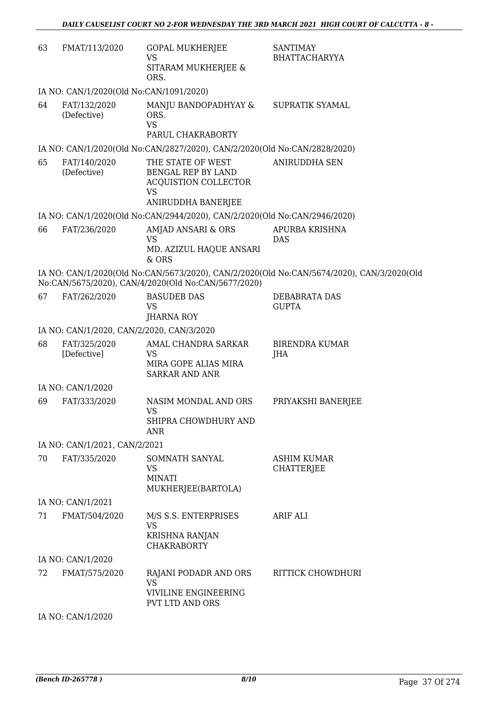| 63 | FMAT/113/2020                             | <b>GOPAL MUKHERJEE</b><br><b>VS</b><br>SITARAM MUKHERJEE &<br>ORS.                                               | <b>SANTIMAY</b><br><b>BHATTACHARYYA</b>                                                   |
|----|-------------------------------------------|------------------------------------------------------------------------------------------------------------------|-------------------------------------------------------------------------------------------|
|    | IA NO: CAN/1/2020(Old No:CAN/1091/2020)   |                                                                                                                  |                                                                                           |
| 64 | FAT/132/2020<br>(Defective)               | MANJU BANDOPADHYAY &<br>ORS.<br><b>VS</b><br>PARUL CHAKRABORTY                                                   | SUPRATIK SYAMAL                                                                           |
|    |                                           | IA NO: CAN/1/2020(Old No:CAN/2827/2020), CAN/2/2020(Old No:CAN/2828/2020)                                        |                                                                                           |
| 65 | FAT/140/2020<br>(Defective)               | THE STATE OF WEST<br><b>BENGAL REP BY LAND</b><br><b>ACQUISTION COLLECTOR</b><br><b>VS</b><br>ANIRUDDHA BANERJEE | <b>ANIRUDDHA SEN</b>                                                                      |
|    |                                           | IA NO: CAN/1/2020(Old No:CAN/2944/2020), CAN/2/2020(Old No:CAN/2946/2020)                                        |                                                                                           |
| 66 | FAT/236/2020                              | AMJAD ANSARI & ORS<br><b>VS</b><br>MD. AZIZUL HAQUE ANSARI<br>& ORS                                              | APURBA KRISHNA<br><b>DAS</b>                                                              |
|    |                                           | No:CAN/5675/2020), CAN/4/2020(Old No:CAN/5677/2020)                                                              | IA NO: CAN/1/2020(Old No:CAN/5673/2020), CAN/2/2020(Old No:CAN/5674/2020), CAN/3/2020(Old |
| 67 | FAT/262/2020                              | <b>BASUDEB DAS</b><br><b>VS</b><br>JHARNA ROY                                                                    | DEBABRATA DAS<br><b>GUPTA</b>                                                             |
|    | IA NO: CAN/1/2020, CAN/2/2020, CAN/3/2020 |                                                                                                                  |                                                                                           |
| 68 | FAT/325/2020<br>[Defective]               | AMAL CHANDRA SARKAR<br><b>VS</b><br>MIRA GOPE ALIAS MIRA<br><b>SARKAR AND ANR</b>                                | <b>BIRENDRA KUMAR</b><br>JHA                                                              |
|    | IA NO: CAN/1/2020                         |                                                                                                                  |                                                                                           |
| 69 | FAT/333/2020                              | NASIM MONDAL AND ORS<br><b>VS</b><br>SHIPRA CHOWDHURY AND<br>ANR                                                 | PRIYAKSHI BANERJEE                                                                        |
|    | IA NO: CAN/1/2021, CAN/2/2021             |                                                                                                                  |                                                                                           |
| 70 | FAT/335/2020                              | SOMNATH SANYAL<br><b>VS</b><br><b>MINATI</b><br>MUKHERJEE(BARTOLA)                                               | <b>ASHIM KUMAR</b><br><b>CHATTERJEE</b>                                                   |
|    | IA NO: CAN/1/2021                         |                                                                                                                  |                                                                                           |
| 71 | FMAT/504/2020                             | M/S S.S. ENTERPRISES<br><b>VS</b><br>KRISHNA RANJAN<br><b>CHAKRABORTY</b>                                        | <b>ARIF ALI</b>                                                                           |
|    | IA NO: CAN/1/2020                         |                                                                                                                  |                                                                                           |
| 72 | FMAT/575/2020                             | RAJANI PODADR AND ORS<br><b>VS</b><br>VIVILINE ENGINEERING<br>PVT LTD AND ORS                                    | RITTICK CHOWDHURI                                                                         |
|    | IA NO: CAN/1/2020                         |                                                                                                                  |                                                                                           |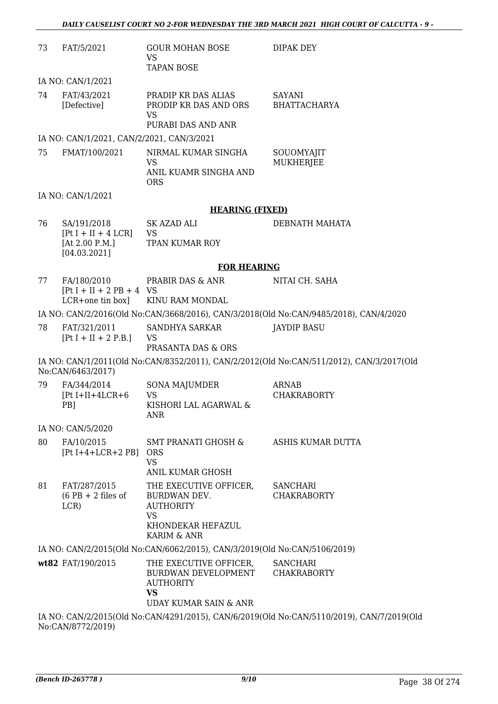| 73                                                                                        | FAT/5/2021                                                               | <b>GOUR MOHAN BOSE</b><br><b>VS</b><br><b>TAPAN BOSE</b>                                                           | DIPAK DEY                                                                                |
|-------------------------------------------------------------------------------------------|--------------------------------------------------------------------------|--------------------------------------------------------------------------------------------------------------------|------------------------------------------------------------------------------------------|
|                                                                                           | IA NO: CAN/1/2021                                                        |                                                                                                                    |                                                                                          |
| 74                                                                                        | FAT/43/2021<br>[Defective]                                               | PRADIP KR DAS ALIAS<br>PRODIP KR DAS AND ORS<br><b>VS</b><br>PURABI DAS AND ANR                                    | <b>SAYANI</b><br><b>BHATTACHARYA</b>                                                     |
|                                                                                           | IA NO: CAN/1/2021, CAN/2/2021, CAN/3/2021                                |                                                                                                                    |                                                                                          |
| 75                                                                                        | FMAT/100/2021                                                            | NIRMAL KUMAR SINGHA<br><b>VS</b><br>ANIL KUAMR SINGHA AND<br><b>ORS</b>                                            | SOUOMYAJIT<br><b>MUKHERJEE</b>                                                           |
|                                                                                           | IA NO: CAN/1/2021                                                        |                                                                                                                    |                                                                                          |
|                                                                                           |                                                                          | <b>HEARING (FIXED)</b>                                                                                             |                                                                                          |
| 76                                                                                        | SA/191/2018<br>$[Pt I + II + 4 LCR]$<br>[At $2.00$ P.M.]<br>[04.03.2021] | SK AZAD ALI<br><b>VS</b><br><b>TPAN KUMAR ROY</b>                                                                  | DEBNATH MAHATA                                                                           |
|                                                                                           |                                                                          | <b>FOR HEARING</b>                                                                                                 |                                                                                          |
| 77                                                                                        | FA/180/2010<br>$[Pt I + II + 2 PB + 4 VS]$<br>LCR+one tin box]           | PRABIR DAS & ANR<br>KINU RAM MONDAL                                                                                | NITAI CH. SAHA                                                                           |
|                                                                                           |                                                                          |                                                                                                                    | IA NO: CAN/2/2016(Old No:CAN/3668/2016), CAN/3/2018(Old No:CAN/9485/2018), CAN/4/2020    |
| 78                                                                                        | FAT/321/2011<br>$[Pt I + II + 2 P.B.]$                                   | SANDHYA SARKAR<br><b>VS</b><br>PRASANTA DAS & ORS                                                                  | <b>JAYDIP BASU</b>                                                                       |
|                                                                                           | No:CAN/6463/2017)                                                        |                                                                                                                    | IA NO: CAN/1/2011(Old No:CAN/8352/2011), CAN/2/2012(Old No:CAN/511/2012), CAN/3/2017(Old |
| 79                                                                                        | FA/344/2014<br>$[Pt I+II+4LCR+6]$<br>PB]                                 | SONA MAJUMDER<br><b>VS</b><br>KISHORI LAL AGARWAL &<br>ANR                                                         | ARNAB<br><b>CHAKRABORTY</b>                                                              |
|                                                                                           | IA NO: CAN/5/2020                                                        |                                                                                                                    |                                                                                          |
| 80                                                                                        | FA/10/2015<br>$[Pt I+4+LCR+2 PB]$ ORS                                    | SMT PRANATI GHOSH & ASHIS KUMAR DUTTA<br><b>VS</b><br>ANIL KUMAR GHOSH                                             |                                                                                          |
| 81                                                                                        | FAT/287/2015<br>$(6$ PB + 2 files of<br>LCR                              | THE EXECUTIVE OFFICER,<br><b>BURDWAN DEV.</b><br><b>AUTHORITY</b><br><b>VS</b><br>KHONDEKAR HEFAZUL<br>KARIM & ANR | <b>SANCHARI</b><br><b>CHAKRABORTY</b>                                                    |
|                                                                                           |                                                                          | IA NO: CAN/2/2015(Old No:CAN/6062/2015), CAN/3/2019(Old No:CAN/5106/2019)                                          |                                                                                          |
|                                                                                           | wt82 FAT/190/2015                                                        | THE EXECUTIVE OFFICER,<br>BURDWAN DEVELOPMENT<br><b>AUTHORITY</b><br><b>VS</b><br>UDAY KUMAR SAIN & ANR            | <b>SANCHARI</b><br><b>CHAKRABORTY</b>                                                    |
| IA NO: CAN/2/2015(Old No:CAN/4291/2015), CAN/6/2019(Old No:CAN/5110/2019), CAN/7/2019(Old |                                                                          |                                                                                                                    |                                                                                          |

No:CAN/8772/2019)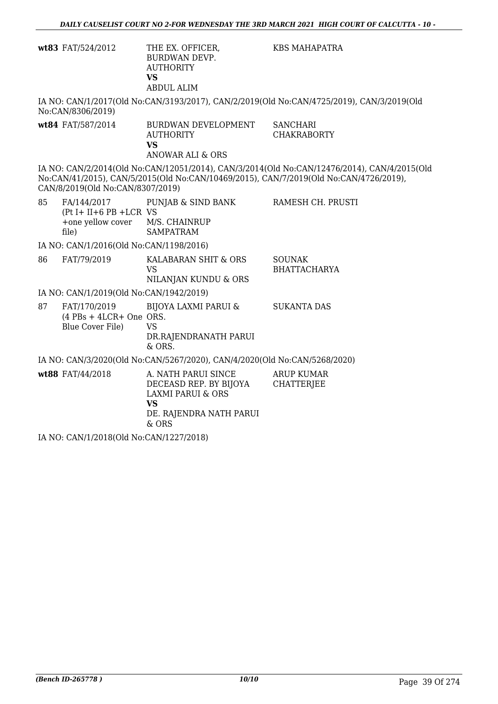|    | wt83 FAT/524/2012                                                                        | THE EX. OFFICER,<br><b>BURDWAN DEVP.</b><br><b>AUTHORITY</b><br><b>VS</b><br><b>ABDUL ALIM</b>                                   | KBS MAHAPATRA                                                                                                                                                                        |
|----|------------------------------------------------------------------------------------------|----------------------------------------------------------------------------------------------------------------------------------|--------------------------------------------------------------------------------------------------------------------------------------------------------------------------------------|
|    | No:CAN/8306/2019)                                                                        |                                                                                                                                  | IA NO: CAN/1/2017(Old No:CAN/3193/2017), CAN/2/2019(Old No:CAN/4725/2019), CAN/3/2019(Old                                                                                            |
|    | wt84 FAT/587/2014                                                                        | BURDWAN DEVELOPMENT<br><b>AUTHORITY</b><br><b>VS</b><br><b>ANOWAR ALI &amp; ORS</b>                                              | <b>SANCHARI</b><br><b>CHAKRABORTY</b>                                                                                                                                                |
|    | CAN/8/2019(Old No:CAN/8307/2019)                                                         |                                                                                                                                  | IA NO: CAN/2/2014(Old No:CAN/12051/2014), CAN/3/2014(Old No:CAN/12476/2014), CAN/4/2015(Old<br>No:CAN/41/2015), CAN/5/2015(Old No:CAN/10469/2015), CAN/7/2019(Old No:CAN/4726/2019), |
| 85 | FA/144/2017<br>$(Pt I + II + 6 PB + LCR VS)$<br>+one yellow cover M/S. CHAINRUP<br>file) | PUNJAB & SIND BANK<br><b>SAMPATRAM</b>                                                                                           | RAMESH CH. PRUSTI                                                                                                                                                                    |
|    | IA NO: CAN/1/2016(Old No:CAN/1198/2016)                                                  |                                                                                                                                  |                                                                                                                                                                                      |
| 86 | FAT/79/2019                                                                              | KALABARAN SHIT & ORS<br><b>VS</b><br>NILANJAN KUNDU & ORS                                                                        | <b>SOUNAK</b><br><b>BHATTACHARYA</b>                                                                                                                                                 |
|    | IA NO: CAN/1/2019(Old No:CAN/1942/2019)                                                  |                                                                                                                                  |                                                                                                                                                                                      |
| 87 | FAT/170/2019<br>$(4$ PBs + 4LCR+ One ORS.<br>Blue Cover File)                            | BIJOYA LAXMI PARUI &<br><b>VS</b><br>DR.RAJENDRANATH PARUI<br>& ORS.                                                             | <b>SUKANTA DAS</b>                                                                                                                                                                   |
|    |                                                                                          | IA NO: CAN/3/2020(Old No:CAN/5267/2020), CAN/4/2020(Old No:CAN/5268/2020)                                                        |                                                                                                                                                                                      |
|    | wt88 FAT/44/2018                                                                         | A. NATH PARUI SINCE<br>DECEASD REP. BY BIJOYA<br><b>LAXMI PARUI &amp; ORS</b><br><b>VS</b><br>DE. RAJENDRA NATH PARUI<br>$&$ ORS | <b>ARUP KUMAR</b><br><b>CHATTERJEE</b>                                                                                                                                               |

IA NO: CAN/1/2018(Old No:CAN/1227/2018)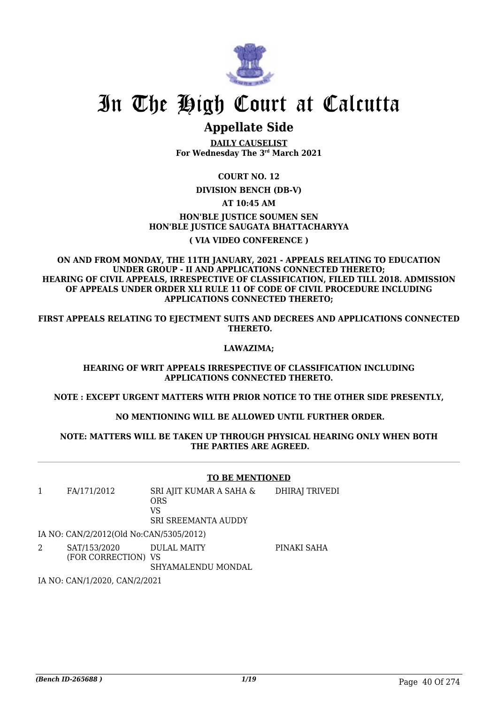

# In The High Court at Calcutta

## **Appellate Side**

**DAILY CAUSELIST For Wednesday The 3rd March 2021**

#### **COURT NO. 12**

**DIVISION BENCH (DB-V)**

#### **AT 10:45 AM**

#### **HON'BLE IUSTICE SOUMEN SEN HON'BLE JUSTICE SAUGATA BHATTACHARYYA**

#### **( VIA VIDEO CONFERENCE )**

#### **ON AND FROM MONDAY, THE 11TH JANUARY, 2021 - APPEALS RELATING TO EDUCATION UNDER GROUP - II AND APPLICATIONS CONNECTED THERETO; HEARING OF CIVIL APPEALS, IRRESPECTIVE OF CLASSIFICATION, FILED TILL 2018. ADMISSION OF APPEALS UNDER ORDER XLI RULE 11 OF CODE OF CIVIL PROCEDURE INCLUDING APPLICATIONS CONNECTED THERETO;**

FIRST APPEALS RELATING TO EIECTMENT SUITS AND DECREES AND APPLICATIONS CONNECTED  **THERETO.**

#### **LAWAZIMA;**

#### **HEARING OF WRIT APPEALS IRRESPECTIVE OF CLASSIFICATION INCLUDING APPLICATIONS CONNECTED THERETO.**

**NOTE : EXCEPT URGENT MATTERS WITH PRIOR NOTICE TO THE OTHER SIDE PRESENTLY,**

#### **NO MENTIONING WILL BE ALLOWED UNTIL FURTHER ORDER.**

#### **NOTE: MATTERS WILL BE TAKEN UP THROUGH PHYSICAL HEARING ONLY WHEN BOTH THE PARTIES ARE AGREED.**

#### **TO BE MENTIONED**

|   | FA/171/2012                             | SRI AJIT KUMAR A SAHA &<br><b>ORS</b><br>VS<br><b>SRI SREEMANTA AUDDY</b> | DHIRAJ TRIVEDI |
|---|-----------------------------------------|---------------------------------------------------------------------------|----------------|
|   | IA NO: CAN/2/2012(Old No:CAN/5305/2012) |                                                                           |                |
| 2 | SAT/153/2020<br>(FOR CORRECTION) VS     | DULAL MAITY                                                               | PINAKI SAHA    |

SHYAMALENDU MONDAL

IA NO: CAN/1/2020, CAN/2/2021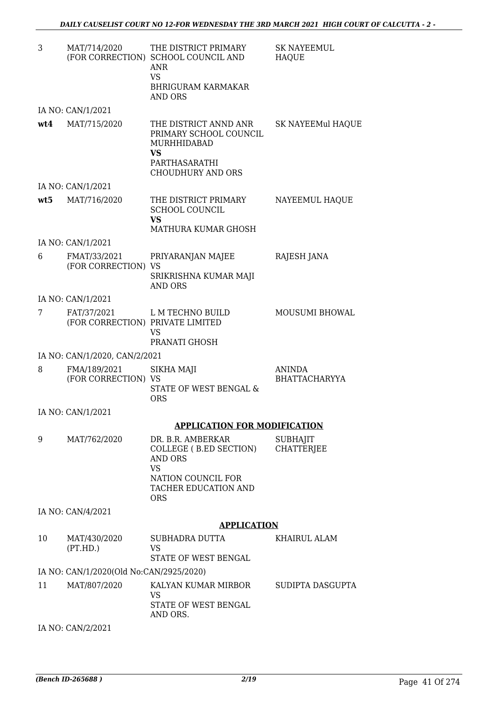| 3   | MAT/714/2020                                    | THE DISTRICT PRIMARY<br>(FOR CORRECTION) SCHOOL COUNCIL AND<br>ANR<br><b>VS</b><br><b>BHRIGURAM KARMAKAR</b><br>AND ORS                | <b>SK NAYEEMUL</b><br><b>HAQUE</b>    |
|-----|-------------------------------------------------|----------------------------------------------------------------------------------------------------------------------------------------|---------------------------------------|
|     | IA NO: CAN/1/2021                               |                                                                                                                                        |                                       |
| wt4 | MAT/715/2020                                    | THE DISTRICT ANND ANR<br>PRIMARY SCHOOL COUNCIL<br>MURHHIDABAD<br><b>VS</b><br>PARTHASARATHI<br><b>CHOUDHURY AND ORS</b>               | SK NAYEEMul HAQUE                     |
|     | IA NO: CAN/1/2021                               |                                                                                                                                        |                                       |
| wt5 | MAT/716/2020                                    | THE DISTRICT PRIMARY<br><b>SCHOOL COUNCIL</b><br><b>VS</b><br><b>MATHURA KUMAR GHOSH</b>                                               | NAYEEMUL HAQUE                        |
|     | IA NO: CAN/1/2021                               |                                                                                                                                        |                                       |
| 6   | FMAT/33/2021<br>(FOR CORRECTION) VS             | PRIYARANJAN MAJEE<br>SRIKRISHNA KUMAR MAJI<br>AND ORS                                                                                  | RAJESH JANA                           |
|     | IA NO: CAN/1/2021                               |                                                                                                                                        |                                       |
| 7   | FAT/37/2021<br>(FOR CORRECTION) PRIVATE LIMITED | L M TECHNO BUILD<br>VS<br>PRANATI GHOSH                                                                                                | <b>MOUSUMI BHOWAL</b>                 |
|     | IA NO: CAN/1/2020, CAN/2/2021                   |                                                                                                                                        |                                       |
| 8   | FMA/189/2021<br>(FOR CORRECTION) VS             | SIKHA MAJI<br>STATE OF WEST BENGAL &<br><b>ORS</b>                                                                                     | <b>ANINDA</b><br><b>BHATTACHARYYA</b> |
|     | IA NO: CAN/1/2021                               |                                                                                                                                        |                                       |
|     |                                                 | <b>APPLICATION FOR MODIFICATION</b>                                                                                                    |                                       |
| 9   | MAT/762/2020                                    | DR. B.R. AMBERKAR<br>COLLEGE (B.ED SECTION)<br>AND ORS<br><b>VS</b><br>NATION COUNCIL FOR<br><b>TACHER EDUCATION AND</b><br><b>ORS</b> | <b>SUBHAJIT</b><br><b>CHATTERIEE</b>  |
|     | IA NO: CAN/4/2021                               |                                                                                                                                        |                                       |
|     |                                                 | <b>APPLICATION</b>                                                                                                                     |                                       |
| 10  | MAT/430/2020<br>(PT.HD.)                        | SUBHADRA DUTTA<br>VS<br>STATE OF WEST BENGAL                                                                                           | KHAIRUL ALAM                          |
|     | IA NO: CAN/1/2020(Old No:CAN/2925/2020)         |                                                                                                                                        |                                       |
| 11  | MAT/807/2020                                    | KALYAN KUMAR MIRBOR<br><b>VS</b><br>STATE OF WEST BENGAL<br>AND ORS.                                                                   | SUDIPTA DASGUPTA                      |

IA NO: CAN/2/2021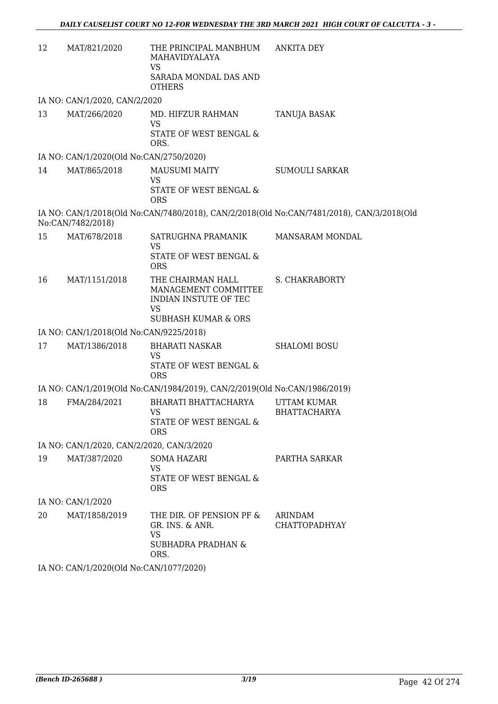| 12 | MAT/821/2020                              | THE PRINCIPAL MANBHUM<br>MAHAVIDYALAYA<br><b>VS</b><br>SARADA MONDAL DAS AND<br><b>OTHERS</b>                     | <b>ANKITA DEY</b>                                                                         |
|----|-------------------------------------------|-------------------------------------------------------------------------------------------------------------------|-------------------------------------------------------------------------------------------|
|    | IA NO: CAN/1/2020, CAN/2/2020             |                                                                                                                   |                                                                                           |
| 13 | MAT/266/2020                              | MD. HIFZUR RAHMAN<br><b>VS</b><br>STATE OF WEST BENGAL &<br>ORS.                                                  | TANUJA BASAK                                                                              |
|    | IA NO: CAN/1/2020(Old No:CAN/2750/2020)   |                                                                                                                   |                                                                                           |
| 14 | MAT/865/2018                              | <b>MAUSUMI MAITY</b><br>VS<br>STATE OF WEST BENGAL &<br><b>ORS</b>                                                | <b>SUMOULI SARKAR</b>                                                                     |
|    | No:CAN/7482/2018)                         |                                                                                                                   | IA NO: CAN/1/2018(Old No:CAN/7480/2018), CAN/2/2018(Old No:CAN/7481/2018), CAN/3/2018(Old |
| 15 | MAT/678/2018                              | SATRUGHNA PRAMANIK<br>VS<br>STATE OF WEST BENGAL &<br><b>ORS</b>                                                  | MANSARAM MONDAL                                                                           |
| 16 | MAT/1151/2018                             | THE CHAIRMAN HALL<br>MANAGEMENT COMMITTEE<br>INDIAN INSTUTE OF TEC<br><b>VS</b><br><b>SUBHASH KUMAR &amp; ORS</b> | S. CHAKRABORTY                                                                            |
|    | IA NO: CAN/1/2018(Old No:CAN/9225/2018)   |                                                                                                                   |                                                                                           |
| 17 | MAT/1386/2018                             | <b>BHARATI NASKAR</b><br><b>VS</b><br>STATE OF WEST BENGAL &<br><b>ORS</b>                                        | <b>SHALOMI BOSU</b>                                                                       |
|    |                                           | IA NO: CAN/1/2019(Old No:CAN/1984/2019), CAN/2/2019(Old No:CAN/1986/2019)                                         |                                                                                           |
| 18 | FMA/284/2021                              | BHARATI BHATTACHARYA<br>VS<br>STATE OF WEST BENGAL &<br><b>ORS</b>                                                | <b>UTTAM KUMAR</b><br>BHATTACHARYA                                                        |
|    | IA NO: CAN/1/2020, CAN/2/2020, CAN/3/2020 |                                                                                                                   |                                                                                           |
| 19 | MAT/387/2020                              | <b>SOMA HAZARI</b><br><b>VS</b><br>STATE OF WEST BENGAL &<br><b>ORS</b>                                           | PARTHA SARKAR                                                                             |
|    | IA NO: CAN/1/2020                         |                                                                                                                   |                                                                                           |
| 20 | MAT/1858/2019                             | THE DIR. OF PENSION PF &<br>GR. INS. & ANR.<br>VS<br><b>SUBHADRA PRADHAN &amp;</b><br>ORS.                        | ARINDAM<br><b>CHATTOPADHYAY</b>                                                           |
|    | IA NO: CAN/1/2020(Old No:CAN/1077/2020)   |                                                                                                                   |                                                                                           |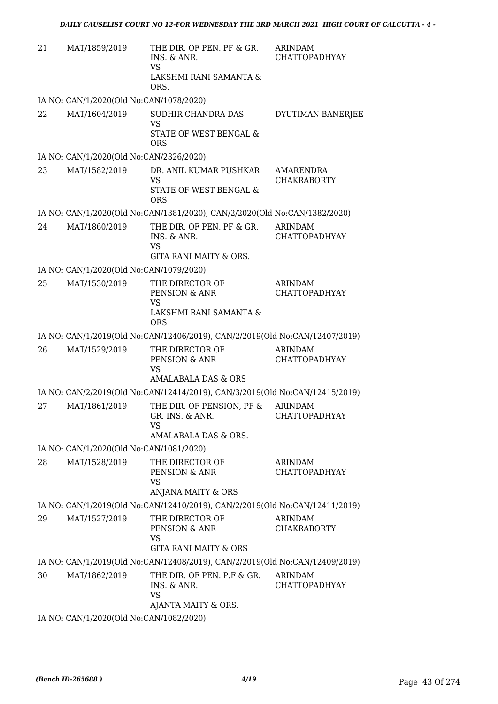| 21 | MAT/1859/2019                           | THE DIR. OF PEN. PF & GR.<br>INS. & ANR.<br><b>VS</b><br>LAKSHMI RANI SAMANTA &<br>ORS.                 | ARINDAM<br><b>CHATTOPADHYAY</b>        |
|----|-----------------------------------------|---------------------------------------------------------------------------------------------------------|----------------------------------------|
|    | IA NO: CAN/1/2020(Old No:CAN/1078/2020) |                                                                                                         |                                        |
| 22 | MAT/1604/2019                           | SUDHIR CHANDRA DAS<br><b>VS</b><br>STATE OF WEST BENGAL &<br><b>ORS</b>                                 | DYUTIMAN BANERJEE                      |
|    | IA NO: CAN/1/2020(Old No:CAN/2326/2020) |                                                                                                         |                                        |
| 23 | MAT/1582/2019                           | DR. ANIL KUMAR PUSHKAR<br><b>VS</b><br>STATE OF WEST BENGAL &<br><b>ORS</b>                             | AMARENDRA<br><b>CHAKRABORTY</b>        |
|    |                                         | IA NO: CAN/1/2020(Old No:CAN/1381/2020), CAN/2/2020(Old No:CAN/1382/2020)                               |                                        |
| 24 | MAT/1860/2019                           | THE DIR. OF PEN. PF & GR.<br>INS. & ANR.<br><b>VS</b><br>GITA RANI MAITY & ORS.                         | <b>ARINDAM</b><br><b>CHATTOPADHYAY</b> |
|    | IA NO: CAN/1/2020(Old No:CAN/1079/2020) |                                                                                                         |                                        |
| 25 | MAT/1530/2019                           | THE DIRECTOR OF<br>PENSION & ANR<br>VS<br>LAKSHMI RANI SAMANTA &<br><b>ORS</b>                          | <b>ARINDAM</b><br>CHATTOPADHYAY        |
|    |                                         | IA NO: CAN/1/2019(Old No:CAN/12406/2019), CAN/2/2019(Old No:CAN/12407/2019)                             |                                        |
| 26 | MAT/1529/2019                           | THE DIRECTOR OF<br>PENSION & ANR<br>VS<br>AMALABALA DAS & ORS                                           | <b>ARINDAM</b><br><b>CHATTOPADHYAY</b> |
|    |                                         | IA NO: CAN/2/2019(Old No:CAN/12414/2019), CAN/3/2019(Old No:CAN/12415/2019)                             |                                        |
| 27 | MAT/1861/2019                           | THE DIR. OF PENSION, PF & ARINDAM<br>GR. INS. & ANR. CHATTOPADHYAY<br><b>VS</b><br>AMALABALA DAS & ORS. |                                        |
|    | IA NO: CAN/1/2020(Old No:CAN/1081/2020) |                                                                                                         |                                        |
| 28 | MAT/1528/2019                           | THE DIRECTOR OF<br>PENSION & ANR<br><b>VS</b><br>ANJANA MAITY & ORS                                     | ARINDAM<br><b>CHATTOPADHYAY</b>        |
|    |                                         | IA NO: CAN/1/2019(Old No:CAN/12410/2019), CAN/2/2019(Old No:CAN/12411/2019)                             |                                        |
| 29 | MAT/1527/2019                           | THE DIRECTOR OF<br>PENSION & ANR<br>VS<br><b>GITA RANI MAITY &amp; ORS</b>                              | <b>ARINDAM</b><br><b>CHAKRABORTY</b>   |
|    |                                         | IA NO: CAN/1/2019(Old No:CAN/12408/2019), CAN/2/2019(Old No:CAN/12409/2019)                             |                                        |
| 30 | MAT/1862/2019                           | THE DIR. OF PEN. P.F & GR.<br>INS. & ANR.<br><b>VS</b><br>AJANTA MAITY & ORS.                           | <b>ARINDAM</b><br><b>CHATTOPADHYAY</b> |
|    | IA NO: CAN/1/2020(Old No:CAN/1082/2020) |                                                                                                         |                                        |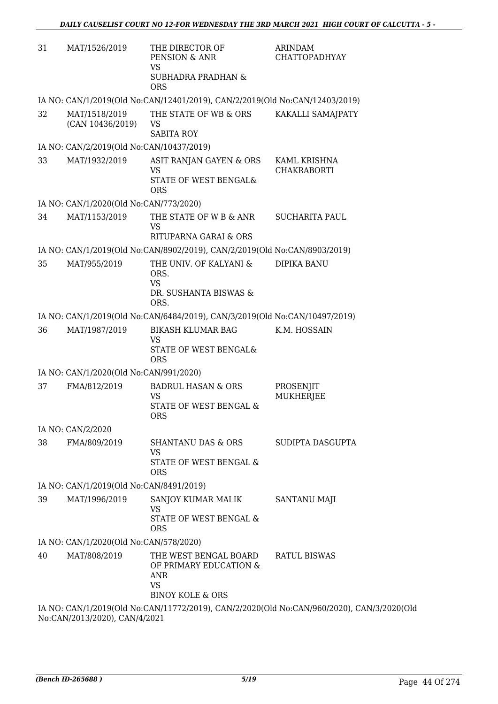| 31 | MAT/1526/2019                            | THE DIRECTOR OF<br>PENSION & ANR<br><b>VS</b>                                                      | <b>ARINDAM</b><br><b>CHATTOPADHYAY</b>                                                    |
|----|------------------------------------------|----------------------------------------------------------------------------------------------------|-------------------------------------------------------------------------------------------|
|    |                                          | <b>SUBHADRA PRADHAN &amp;</b><br><b>ORS</b>                                                        |                                                                                           |
|    |                                          | IA NO: CAN/1/2019(Old No:CAN/12401/2019), CAN/2/2019(Old No:CAN/12403/2019)                        |                                                                                           |
| 32 | MAT/1518/2019<br>(CAN 10436/2019)        | THE STATE OF WB & ORS<br>VS<br><b>SABITA ROY</b>                                                   | KAKALLI SAMAJPATY                                                                         |
|    | IA NO: CAN/2/2019(Old No:CAN/10437/2019) |                                                                                                    |                                                                                           |
| 33 | MAT/1932/2019                            | ASIT RANJAN GAYEN & ORS                                                                            | KAML KRISHNA                                                                              |
|    |                                          | <b>VS</b><br>STATE OF WEST BENGAL&<br><b>ORS</b>                                                   | <b>CHAKRABORTI</b>                                                                        |
|    | IA NO: CAN/1/2020(Old No:CAN/773/2020)   |                                                                                                    |                                                                                           |
| 34 | MAT/1153/2019                            | THE STATE OF W B & ANR<br><b>VS</b>                                                                | <b>SUCHARITA PAUL</b>                                                                     |
|    |                                          | RITUPARNA GARAI & ORS                                                                              |                                                                                           |
|    |                                          | IA NO: CAN/1/2019(Old No:CAN/8902/2019), CAN/2/2019(Old No:CAN/8903/2019)                          |                                                                                           |
| 35 | MAT/955/2019                             | THE UNIV. OF KALYANI &<br>ORS.<br><b>VS</b>                                                        | <b>DIPIKA BANU</b>                                                                        |
|    |                                          | DR. SUSHANTA BISWAS &<br>ORS.                                                                      |                                                                                           |
|    |                                          | IA NO: CAN/1/2019(Old No:CAN/6484/2019), CAN/3/2019(Old No:CAN/10497/2019)                         |                                                                                           |
| 36 | MAT/1987/2019                            | <b>BIKASH KLUMAR BAG</b><br>VS<br>STATE OF WEST BENGAL&<br><b>ORS</b>                              | K.M. HOSSAIN                                                                              |
|    | IA NO: CAN/1/2020(Old No:CAN/991/2020)   |                                                                                                    |                                                                                           |
| 37 | FMA/812/2019                             | <b>BADRUL HASAN &amp; ORS</b>                                                                      | PROSENJIT                                                                                 |
|    |                                          | <b>VS</b><br>STATE OF WEST BENGAL &<br>ORS.                                                        | <b>MUKHERJEE</b>                                                                          |
|    | IA NO: CAN/2/2020                        |                                                                                                    |                                                                                           |
| 38 | FMA/809/2019                             | <b>SHANTANU DAS &amp; ORS</b><br><b>VS</b>                                                         | SUDIPTA DASGUPTA                                                                          |
|    |                                          | STATE OF WEST BENGAL &<br><b>ORS</b>                                                               |                                                                                           |
|    | IA NO: CAN/1/2019(Old No:CAN/8491/2019)  |                                                                                                    |                                                                                           |
| 39 | MAT/1996/2019                            | SANJOY KUMAR MALIK<br><b>VS</b><br>STATE OF WEST BENGAL &                                          | SANTANU MAJI                                                                              |
|    |                                          | <b>ORS</b>                                                                                         |                                                                                           |
|    | IA NO: CAN/1/2020(Old No:CAN/578/2020)   |                                                                                                    |                                                                                           |
| 40 | MAT/808/2019                             | THE WEST BENGAL BOARD<br>OF PRIMARY EDUCATION &<br>ANR<br><b>VS</b><br><b>BINOY KOLE &amp; ORS</b> | <b>RATUL BISWAS</b>                                                                       |
|    |                                          |                                                                                                    | IA NO: CAN/1/2019(Old No:CAN/11772/2019), CAN/2/2020(Old No:CAN/960/2020), CAN/3/2020(Old |
|    | No:CAN/2013/2020), CAN/4/2021            |                                                                                                    |                                                                                           |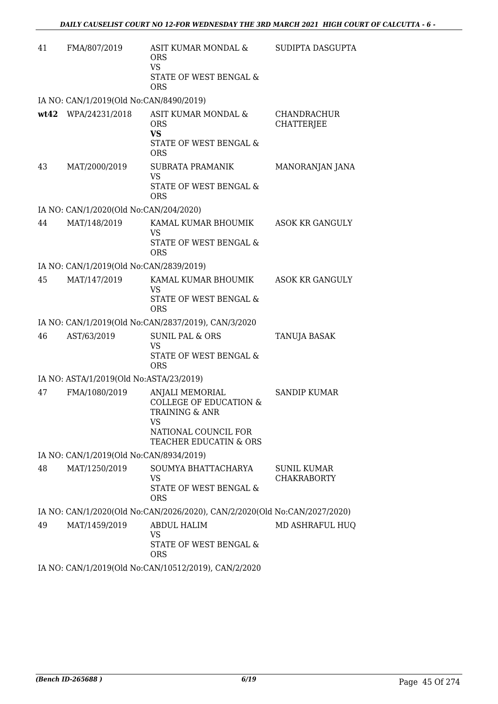| 41   | FMA/807/2019                            | ASIT KUMAR MONDAL &<br><b>ORS</b><br><b>VS</b>                                                                                            | SUDIPTA DASGUPTA                  |
|------|-----------------------------------------|-------------------------------------------------------------------------------------------------------------------------------------------|-----------------------------------|
|      |                                         | STATE OF WEST BENGAL &<br><b>ORS</b>                                                                                                      |                                   |
|      | IA NO: CAN/1/2019(Old No:CAN/8490/2019) |                                                                                                                                           |                                   |
| wt42 | WPA/24231/2018                          | ASIT KUMAR MONDAL &<br><b>ORS</b><br><b>VS</b><br>STATE OF WEST BENGAL &<br><b>ORS</b>                                                    | CHANDRACHUR<br><b>CHATTERJEE</b>  |
| 43   | MAT/2000/2019                           | <b>SUBRATA PRAMANIK</b><br><b>VS</b><br>STATE OF WEST BENGAL &<br><b>ORS</b>                                                              | MANORANJAN JANA                   |
|      | IA NO: CAN/1/2020(Old No:CAN/204/2020)  |                                                                                                                                           |                                   |
| 44   | MAT/148/2019                            | KAMAL KUMAR BHOUMIK<br><b>VS</b><br>STATE OF WEST BENGAL &<br><b>ORS</b>                                                                  | ASOK KR GANGULY                   |
|      | IA NO: CAN/1/2019(Old No:CAN/2839/2019) |                                                                                                                                           |                                   |
| 45   | MAT/147/2019                            | KAMAL KUMAR BHOUMIK<br><b>VS</b><br>STATE OF WEST BENGAL &<br><b>ORS</b>                                                                  | ASOK KR GANGULY                   |
|      |                                         | IA NO: CAN/1/2019(Old No:CAN/2837/2019), CAN/3/2020                                                                                       |                                   |
| 46   | AST/63/2019                             | <b>SUNIL PAL &amp; ORS</b><br><b>VS</b><br>STATE OF WEST BENGAL &<br><b>ORS</b>                                                           | TANUJA BASAK                      |
|      | IA NO: ASTA/1/2019(Old No:ASTA/23/2019) |                                                                                                                                           |                                   |
| 47   | FMA/1080/2019                           | ANJALI MEMORIAL<br><b>COLLEGE OF EDUCATION &amp;</b><br><b>TRAINING &amp; ANR</b><br>VS<br>NATIONAL COUNCIL FOR<br>TEACHER EDUCATIN & ORS | <b>SANDIP KUMAR</b>               |
|      | IA NO: CAN/1/2019(Old No:CAN/8934/2019) |                                                                                                                                           |                                   |
| 48   | MAT/1250/2019                           | SOUMYA BHATTACHARYA<br>VS<br>STATE OF WEST BENGAL &<br><b>ORS</b>                                                                         | SUNIL KUMAR<br><b>CHAKRABORTY</b> |
|      |                                         | IA NO: CAN/1/2020(Old No:CAN/2026/2020), CAN/2/2020(Old No:CAN/2027/2020)                                                                 |                                   |
| 49   | MAT/1459/2019                           | ABDUL HALIM<br><b>VS</b><br>STATE OF WEST BENGAL &<br><b>ORS</b>                                                                          | MD ASHRAFUL HUQ                   |
|      |                                         | IA NO: CAN/1/2019(Old No:CAN/10512/2019), CAN/2/2020                                                                                      |                                   |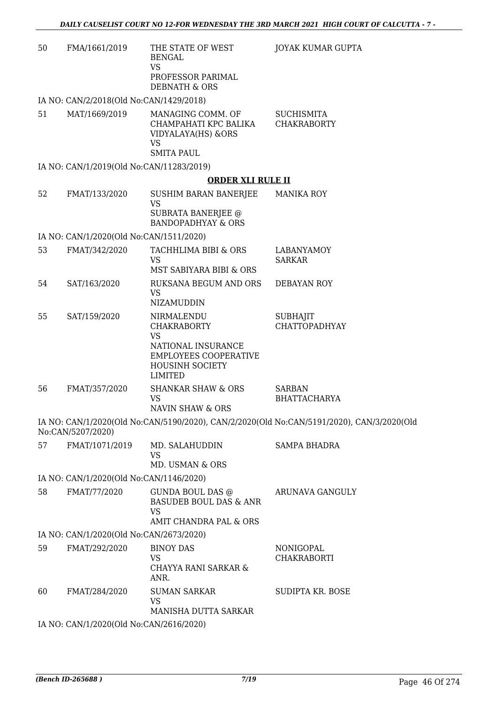| 50 | FMA/1661/2019                            | THE STATE OF WEST<br><b>BENGAL</b><br><b>VS</b><br>PROFESSOR PARIMAL<br><b>DEBNATH &amp; ORS</b>                                         | JOYAK KUMAR GUPTA                                                                         |
|----|------------------------------------------|------------------------------------------------------------------------------------------------------------------------------------------|-------------------------------------------------------------------------------------------|
|    | IA NO: CAN/2/2018(Old No:CAN/1429/2018)  |                                                                                                                                          |                                                                                           |
| 51 | MAT/1669/2019                            | MANAGING COMM. OF<br>CHAMPAHATI KPC BALIKA<br>VIDYALAYA(HS) & ORS<br><b>VS</b><br><b>SMITA PAUL</b>                                      | <b>SUCHISMITA</b><br><b>CHAKRABORTY</b>                                                   |
|    | IA NO: CAN/1/2019(Old No:CAN/11283/2019) |                                                                                                                                          |                                                                                           |
|    |                                          | <b>ORDER XLI RULE II</b>                                                                                                                 |                                                                                           |
| 52 | FMAT/133/2020                            | SUSHIM BARAN BANERJEE<br><b>VS</b><br>SUBRATA BANERJEE @<br><b>BANDOPADHYAY &amp; ORS</b>                                                | <b>MANIKA ROY</b>                                                                         |
|    | IA NO: CAN/1/2020(Old No:CAN/1511/2020)  |                                                                                                                                          |                                                                                           |
| 53 | FMAT/342/2020                            | TACHHLIMA BIBI & ORS<br><b>VS</b>                                                                                                        | <b>LABANYAMOY</b><br><b>SARKAR</b>                                                        |
|    |                                          | MST SABIYARA BIBI & ORS                                                                                                                  |                                                                                           |
| 54 | SAT/163/2020                             | RUKSANA BEGUM AND ORS<br><b>VS</b><br>NIZAMUDDIN                                                                                         | <b>DEBAYAN ROY</b>                                                                        |
| 55 | SAT/159/2020                             | NIRMALENDU<br><b>CHAKRABORTY</b><br><b>VS</b><br>NATIONAL INSURANCE<br><b>EMPLOYEES COOPERATIVE</b><br><b>HOUSINH SOCIETY</b><br>LIMITED | <b>SUBHAJIT</b><br><b>CHATTOPADHYAY</b>                                                   |
| 56 | FMAT/357/2020                            | <b>SHANKAR SHAW &amp; ORS</b><br><b>VS</b><br>NAVIN SHAW & ORS                                                                           | <b>SARBAN</b><br><b>BHATTACHARYA</b>                                                      |
|    | No:CAN/5207/2020)                        |                                                                                                                                          | IA NO: CAN/1/2020(Old No:CAN/5190/2020), CAN/2/2020(Old No:CAN/5191/2020), CAN/3/2020(Old |
| 57 | FMAT/1071/2019                           | MD. SALAHUDDIN<br><b>VS</b><br>MD. USMAN & ORS                                                                                           | <b>SAMPA BHADRA</b>                                                                       |
|    | IA NO: CAN/1/2020(Old No:CAN/1146/2020)  |                                                                                                                                          |                                                                                           |
| 58 | FMAT/77/2020                             | GUNDA BOUL DAS @<br><b>BASUDEB BOUL DAS &amp; ANR</b><br><b>VS</b><br>AMIT CHANDRA PAL & ORS                                             | ARUNAVA GANGULY                                                                           |
|    | IA NO: CAN/1/2020(Old No:CAN/2673/2020)  |                                                                                                                                          |                                                                                           |
| 59 | FMAT/292/2020                            | <b>BINOY DAS</b><br><b>VS</b><br>CHAYYA RANI SARKAR &<br>ANR.                                                                            | NONIGOPAL<br><b>CHAKRABORTI</b>                                                           |
| 60 | FMAT/284/2020                            | <b>SUMAN SARKAR</b><br><b>VS</b><br>MANISHA DUTTA SARKAR                                                                                 | SUDIPTA KR. BOSE                                                                          |
|    | IA NO: CAN/1/2020(Old No:CAN/2616/2020)  |                                                                                                                                          |                                                                                           |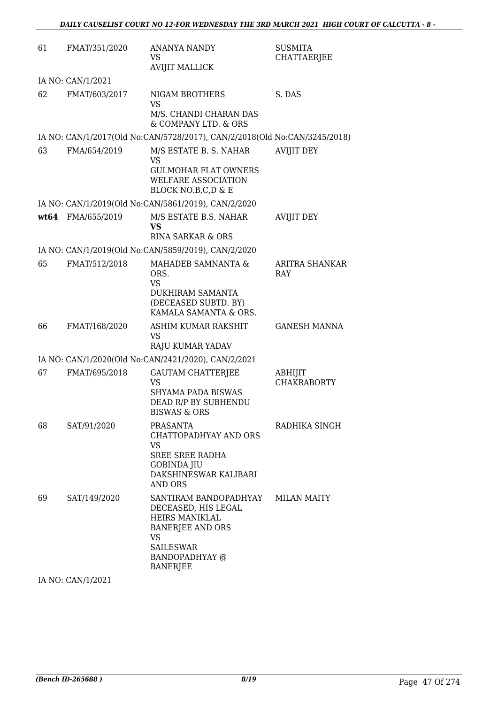| 61   | FMAT/351/2020     | <b>ANANYA NANDY</b><br><b>VS</b><br><b>AVIJIT MALLICK</b>                                                                  | <b>SUSMITA</b><br>CHATTAERJEE |
|------|-------------------|----------------------------------------------------------------------------------------------------------------------------|-------------------------------|
|      | IA NO: CAN/1/2021 |                                                                                                                            |                               |
| 62   | FMAT/603/2017     | NIGAM BROTHERS<br><b>VS</b>                                                                                                | S. DAS                        |
|      |                   | M/S. CHANDI CHARAN DAS<br>& COMPANY LTD. & ORS                                                                             |                               |
|      |                   | IA NO: CAN/1/2017(Old No:CAN/5728/2017), CAN/2/2018(Old No:CAN/3245/2018)                                                  |                               |
| 63   | FMA/654/2019      | M/S ESTATE B. S. NAHAR<br><b>VS</b>                                                                                        | <b>AVIJIT DEY</b>             |
|      |                   | <b>GULMOHAR FLAT OWNERS</b><br>WELFARE ASSOCIATION<br>BLOCK NO.B,C,D & E                                                   |                               |
|      |                   | IA NO: CAN/1/2019(Old No:CAN/5861/2019), CAN/2/2020                                                                        |                               |
| wt64 | FMA/655/2019      | M/S ESTATE B.S. NAHAR<br>VS                                                                                                | <b>AVIJIT DEY</b>             |
|      |                   | <b>RINA SARKAR &amp; ORS</b>                                                                                               |                               |
|      |                   | IA NO: CAN/1/2019(Old No:CAN/5859/2019), CAN/2/2020                                                                        |                               |
| 65   | FMAT/512/2018     | MAHADEB SAMNANTA &<br>ORS.<br><b>VS</b>                                                                                    | <b>ARITRA SHANKAR</b><br>RAY  |
|      |                   | DUKHIRAM SAMANTA<br>(DECEASED SUBTD. BY)<br>KAMALA SAMANTA & ORS.                                                          |                               |
| 66   | FMAT/168/2020     | ASHIM KUMAR RAKSHIT<br><b>VS</b><br><b>RAJU KUMAR YADAV</b>                                                                | <b>GANESH MANNA</b>           |
|      |                   | IA NO: CAN/1/2020(Old No:CAN/2421/2020), CAN/2/2021                                                                        |                               |
| 67   | FMAT/695/2018     | <b>GAUTAM CHATTERJEE</b><br>VS                                                                                             | ABHIJIT<br><b>CHAKRABORTY</b> |
|      |                   | SHYAMA PADA BISWAS<br>DEAD R/P BY SUBHENDU<br>BISWAS & ORS                                                                 |                               |
| 68   | SAT/91/2020       | PRASANTA<br>CHATTOPADHYAY AND ORS<br>VS.                                                                                   | RADHIKA SINGH                 |
|      |                   | <b>SREE SREE RADHA</b><br><b>GOBINDA JIU</b><br>DAKSHINESWAR KALIBARI<br><b>AND ORS</b>                                    |                               |
| 69   | SAT/149/2020      | SANTIRAM BANDOPADHYAY<br>DECEASED, HIS LEGAL<br>HEIRS MANIKLAL<br><b>BANERJEE AND ORS</b><br><b>VS</b><br><b>SAILESWAR</b> | <b>MILAN MAITY</b>            |
|      |                   | BANDOPADHYAY @<br><b>BANERJEE</b>                                                                                          |                               |

IA NO: CAN/1/2021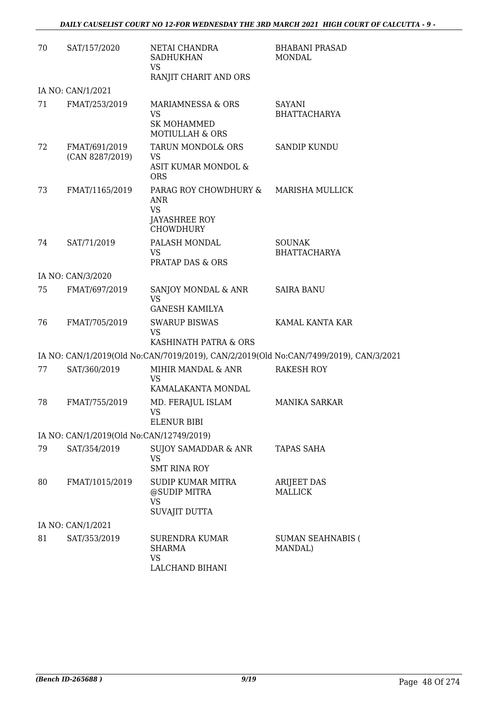| 70 | SAT/157/2020                             | NETAI CHANDRA<br><b>SADHUKHAN</b><br><b>VS</b><br>RANJIT CHARIT AND ORS                      | <b>BHABANI PRASAD</b><br>MONDAL                                                       |
|----|------------------------------------------|----------------------------------------------------------------------------------------------|---------------------------------------------------------------------------------------|
|    | IA NO: CAN/1/2021                        |                                                                                              |                                                                                       |
| 71 | FMAT/253/2019                            | MARIAMNESSA & ORS<br><b>VS</b><br><b>SK MOHAMMED</b><br><b>MOTIULLAH &amp; ORS</b>           | SAYANI<br><b>BHATTACHARYA</b>                                                         |
| 72 | FMAT/691/2019<br>(CAN 8287/2019)         | TARUN MONDOL& ORS<br><b>VS</b><br>ASIT KUMAR MONDOL &<br><b>ORS</b>                          | <b>SANDIP KUNDU</b>                                                                   |
| 73 | FMAT/1165/2019                           | PARAG ROY CHOWDHURY &<br><b>ANR</b><br><b>VS</b><br><b>JAYASHREE ROY</b><br><b>CHOWDHURY</b> | <b>MARISHA MULLICK</b>                                                                |
| 74 | SAT/71/2019                              | PALASH MONDAL<br><b>VS</b><br><b>PRATAP DAS &amp; ORS</b>                                    | <b>SOUNAK</b><br><b>BHATTACHARYA</b>                                                  |
|    | IA NO: CAN/3/2020                        |                                                                                              |                                                                                       |
| 75 | FMAT/697/2019                            | SANJOY MONDAL & ANR<br><b>VS</b><br><b>GANESH KAMILYA</b>                                    | <b>SAIRA BANU</b>                                                                     |
| 76 | FMAT/705/2019                            | <b>SWARUP BISWAS</b><br><b>VS</b><br>KASHINATH PATRA & ORS                                   | KAMAL KANTA KAR                                                                       |
|    |                                          |                                                                                              | IA NO: CAN/1/2019(Old No:CAN/7019/2019), CAN/2/2019(Old No:CAN/7499/2019), CAN/3/2021 |
| 77 | SAT/360/2019                             | MIHIR MANDAL & ANR<br><b>VS</b><br>KAMALAKANTA MONDAL                                        | RAKESH ROY                                                                            |
| 78 | FMAT/755/2019                            | MD. FERAJUL ISLAM<br><b>VS</b><br><b>ELENUR BIBI</b>                                         | <b>MANIKA SARKAR</b>                                                                  |
|    | IA NO: CAN/1/2019(Old No:CAN/12749/2019) |                                                                                              |                                                                                       |
| 79 | SAT/354/2019                             | SUJOY SAMADDAR & ANR<br><b>VS</b><br><b>SMT RINA ROY</b>                                     | TAPAS SAHA                                                                            |
| 80 | FMAT/1015/2019                           | <b>SUDIP KUMAR MITRA</b><br>@SUDIP MITRA<br><b>VS</b><br>SUVAJIT DUTTA                       | <b>ARIJEET DAS</b><br>MALLICK                                                         |
|    | IA NO: CAN/1/2021                        |                                                                                              |                                                                                       |
| 81 | SAT/353/2019                             | <b>SURENDRA KUMAR</b><br>SHARMA<br><b>VS</b><br>LALCHAND BIHANI                              | <b>SUMAN SEAHNABIS (</b><br>MANDAL)                                                   |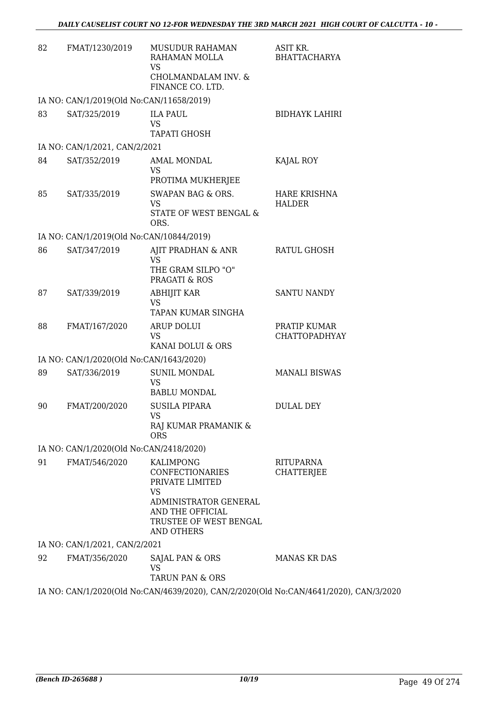| 82 | FMAT/1230/2019                           | <b>MUSUDUR RAHAMAN</b><br>RAHAMAN MOLLA<br>VS                                                                                              | ASIT KR.<br><b>BHATTACHARYA</b>                                                       |
|----|------------------------------------------|--------------------------------------------------------------------------------------------------------------------------------------------|---------------------------------------------------------------------------------------|
|    |                                          | CHOLMANDALAM INV. &<br>FINANCE CO. LTD.                                                                                                    |                                                                                       |
|    | IA NO: CAN/1/2019(Old No:CAN/11658/2019) |                                                                                                                                            |                                                                                       |
| 83 | SAT/325/2019                             | <b>ILA PAUL</b><br>VS<br><b>TAPATI GHOSH</b>                                                                                               | <b>BIDHAYK LAHIRI</b>                                                                 |
|    | IA NO: CAN/1/2021, CAN/2/2021            |                                                                                                                                            |                                                                                       |
| 84 | SAT/352/2019                             | AMAL MONDAL<br><b>VS</b><br>PROTIMA MUKHERJEE                                                                                              | KAJAL ROY                                                                             |
| 85 | SAT/335/2019                             | SWAPAN BAG & ORS.<br><b>VS</b><br>STATE OF WEST BENGAL &<br>ORS.                                                                           | HARE KRISHNA<br><b>HALDER</b>                                                         |
|    | IA NO: CAN/1/2019(Old No:CAN/10844/2019) |                                                                                                                                            |                                                                                       |
| 86 | SAT/347/2019                             | AJIT PRADHAN & ANR<br><b>VS</b><br>THE GRAM SILPO "O"<br>PRAGATI & ROS                                                                     | RATUL GHOSH                                                                           |
| 87 | SAT/339/2019                             | <b>ABHIJIT KAR</b><br>VS<br>TAPAN KUMAR SINGHA                                                                                             | <b>SANTU NANDY</b>                                                                    |
| 88 | FMAT/167/2020                            | <b>ARUP DOLUI</b><br><b>VS</b><br>KANAI DOLUI & ORS                                                                                        | PRATIP KUMAR<br>CHATTOPADHYAY                                                         |
|    | IA NO: CAN/1/2020(Old No:CAN/1643/2020)  |                                                                                                                                            |                                                                                       |
| 89 | SAT/336/2019                             | <b>SUNIL MONDAL</b><br><b>VS</b><br><b>BABLU MONDAL</b>                                                                                    | <b>MANALI BISWAS</b>                                                                  |
| 90 | FMAT/200/2020                            | <b>SUSILA PIPARA</b><br>VS.<br>RAJ KUMAR PRAMANIK &<br><b>ORS</b>                                                                          | <b>DULAL DEY</b>                                                                      |
|    | IA NO: CAN/1/2020(Old No:CAN/2418/2020)  |                                                                                                                                            |                                                                                       |
| 91 | FMAT/546/2020                            | KALIMPONG<br><b>CONFECTIONARIES</b><br>PRIVATE LIMITED<br><b>VS</b><br>ADMINISTRATOR GENERAL<br>AND THE OFFICIAL<br>TRUSTEE OF WEST BENGAL | RITUPARNA<br>CHATTERJEE                                                               |
|    |                                          | <b>AND OTHERS</b>                                                                                                                          |                                                                                       |
|    | IA NO: CAN/1/2021, CAN/2/2021            |                                                                                                                                            |                                                                                       |
| 92 | FMAT/356/2020                            | SAJAL PAN & ORS<br><b>VS</b><br>TARUN PAN & ORS                                                                                            | <b>MANAS KR DAS</b>                                                                   |
|    |                                          |                                                                                                                                            | IA NO: CAN/1/2020(Old No:CAN/4639/2020), CAN/2/2020(Old No:CAN/4641/2020), CAN/3/2020 |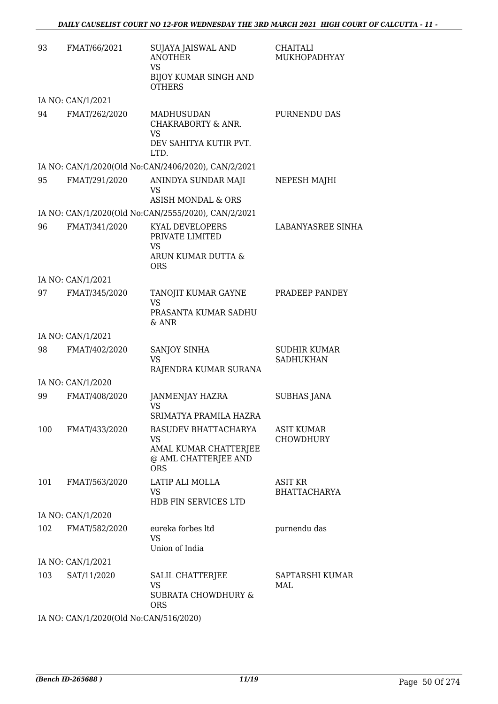| 93  | FMAT/66/2021      | SUJAYA JAISWAL AND<br><b>ANOTHER</b><br><b>VS</b><br><b>BIJOY KUMAR SINGH AND</b><br><b>OTHERS</b> | <b>CHAITALI</b><br>MUKHOPADHYAY         |
|-----|-------------------|----------------------------------------------------------------------------------------------------|-----------------------------------------|
|     | IA NO: CAN/1/2021 |                                                                                                    |                                         |
| 94  | FMAT/262/2020     | MADHUSUDAN<br>CHAKRABORTY & ANR.<br>VS<br>DEV SAHITYA KUTIR PVT.<br>LTD.                           | PURNENDU DAS                            |
|     |                   | IA NO: CAN/1/2020(Old No:CAN/2406/2020), CAN/2/2021                                                |                                         |
| 95  | FMAT/291/2020     | ANINDYA SUNDAR MAJI<br>VS<br><b>ASISH MONDAL &amp; ORS</b>                                         | NEPESH MAJHI                            |
|     |                   | IA NO: CAN/1/2020(Old No:CAN/2555/2020), CAN/2/2021                                                |                                         |
| 96  | FMAT/341/2020     | <b>KYAL DEVELOPERS</b><br>PRIVATE LIMITED<br>VS<br>ARUN KUMAR DUTTA &<br><b>ORS</b>                | LABANYASREE SINHA                       |
|     | IA NO: CAN/1/2021 |                                                                                                    |                                         |
| 97  | FMAT/345/2020     | TANOJIT KUMAR GAYNE<br><b>VS</b><br>PRASANTA KUMAR SADHU<br>& ANR                                  | PRADEEP PANDEY                          |
|     | IA NO: CAN/1/2021 |                                                                                                    |                                         |
| 98  | FMAT/402/2020     | SANJOY SINHA<br>VS.<br>RAJENDRA KUMAR SURANA                                                       | <b>SUDHIR KUMAR</b><br><b>SADHUKHAN</b> |
|     | IA NO: CAN/1/2020 |                                                                                                    |                                         |
| 99  | FMAT/408/2020     | JANMENJAY HAZRA<br><b>VS</b><br>SRIMATYA PRAMILA HAZRA                                             | <b>SUBHAS JANA</b>                      |
| 100 | FMAT/433/2020     | <b>BASUDEV BHATTACHARYA</b><br>VS<br>AMAL KUMAR CHATTERJEE<br>@ AML CHATTERJEE AND<br><b>ORS</b>   | ASIT KUMAR<br>CHOWDHURY                 |
| 101 | FMAT/563/2020     | LATIP ALI MOLLA<br>VS<br>HDB FIN SERVICES LTD                                                      | ASIT KR<br><b>BHATTACHARYA</b>          |
|     | IA NO: CAN/1/2020 |                                                                                                    |                                         |
| 102 | FMAT/582/2020     | eureka forbes ltd<br><b>VS</b><br>Union of India                                                   | purnendu das                            |
|     | IA NO: CAN/1/2021 |                                                                                                    |                                         |
| 103 | SAT/11/2020       | SALIL CHATTERJEE<br>VS<br><b>SUBRATA CHOWDHURY &amp;</b><br><b>ORS</b>                             | SAPTARSHI KUMAR<br>MAL                  |

IA NO: CAN/1/2020(Old No:CAN/516/2020)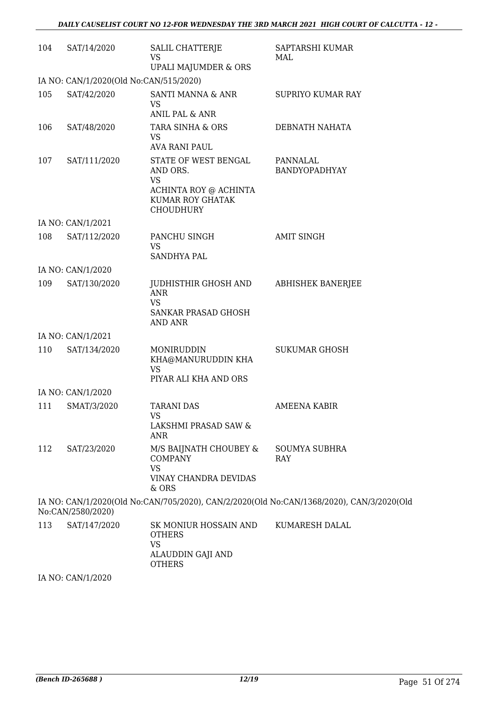| 104 | SAT/14/2020                            | <b>SALIL CHATTERJE</b><br><b>VS</b><br>UPALI MAJUMDER & ORS                                                    | SAPTARSHI KUMAR<br>MAL                                                                   |
|-----|----------------------------------------|----------------------------------------------------------------------------------------------------------------|------------------------------------------------------------------------------------------|
|     | IA NO: CAN/1/2020(Old No:CAN/515/2020) |                                                                                                                |                                                                                          |
| 105 | SAT/42/2020                            | SANTI MANNA & ANR<br>VS<br>ANIL PAL & ANR                                                                      | <b>SUPRIYO KUMAR RAY</b>                                                                 |
| 106 | SAT/48/2020                            | TARA SINHA & ORS<br>VS.<br><b>AVA RANI PAUL</b>                                                                | DEBNATH NAHATA                                                                           |
| 107 | SAT/111/2020                           | STATE OF WEST BENGAL<br>AND ORS.<br><b>VS</b><br>ACHINTA ROY @ ACHINTA<br>KUMAR ROY GHATAK<br><b>CHOUDHURY</b> | PANNALAL<br>BANDYOPADHYAY                                                                |
|     | IA NO: CAN/1/2021                      |                                                                                                                |                                                                                          |
| 108 | SAT/112/2020                           | PANCHU SINGH<br><b>VS</b><br><b>SANDHYA PAL</b>                                                                | <b>AMIT SINGH</b>                                                                        |
|     | IA NO: CAN/1/2020                      |                                                                                                                |                                                                                          |
| 109 | SAT/130/2020                           | JUDHISTHIR GHOSH AND<br><b>ANR</b><br><b>VS</b><br>SANKAR PRASAD GHOSH                                         | <b>ABHISHEK BANERJEE</b>                                                                 |
|     |                                        | AND ANR                                                                                                        |                                                                                          |
|     | IA NO: CAN/1/2021                      |                                                                                                                |                                                                                          |
| 110 | SAT/134/2020                           | MONIRUDDIN<br>KHA@MANURUDDIN KHA<br>VS<br>PIYAR ALI KHA AND ORS                                                | <b>SUKUMAR GHOSH</b>                                                                     |
|     | IA NO: CAN/1/2020                      |                                                                                                                |                                                                                          |
| 111 | SMAT/3/2020                            | <b>TARANI DAS</b><br>VS<br>LAKSHMI PRASAD SAW &<br>ANR                                                         | AMEENA KABIR                                                                             |
| 112 | SAT/23/2020                            | M/S BAIJNATH CHOUBEY &<br><b>COMPANY</b><br><b>VS</b><br>VINAY CHANDRA DEVIDAS<br>& ORS                        | SOUMYA SUBHRA<br><b>RAY</b>                                                              |
|     | No:CAN/2580/2020)                      |                                                                                                                | IA NO: CAN/1/2020(Old No:CAN/705/2020), CAN/2/2020(Old No:CAN/1368/2020), CAN/3/2020(Old |
| 113 | SAT/147/2020                           | SK MONIUR HOSSAIN AND<br><b>OTHERS</b><br><b>VS</b><br>ALAUDDIN GAJI AND<br><b>OTHERS</b>                      | KUMARESH DALAL                                                                           |

IA NO: CAN/1/2020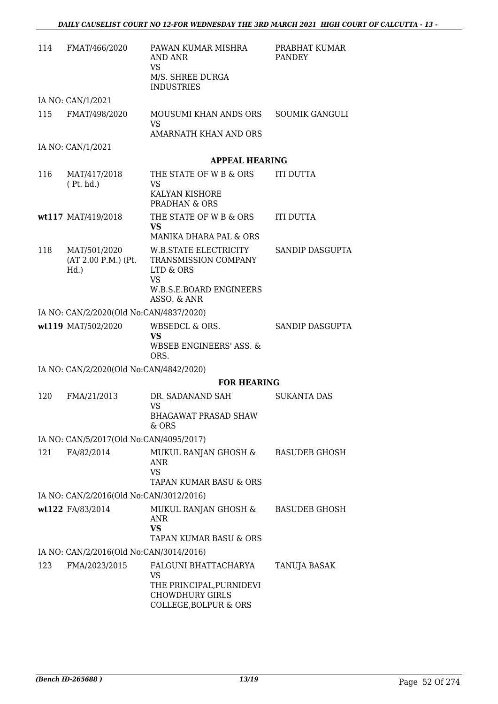| 114 | FMAT/466/2020                                  | PAWAN KUMAR MISHRA<br>AND ANR<br>VS.<br>M/S. SHREE DURGA<br><b>INDUSTRIES</b>                             | PRABHAT KUMAR<br><b>PANDEY</b> |
|-----|------------------------------------------------|-----------------------------------------------------------------------------------------------------------|--------------------------------|
|     | IA NO: CAN/1/2021                              |                                                                                                           |                                |
| 115 | FMAT/498/2020                                  | MOUSUMI KHAN ANDS ORS<br><b>VS</b>                                                                        | <b>SOUMIK GANGULI</b>          |
|     |                                                | AMARNATH KHAN AND ORS                                                                                     |                                |
|     | IA NO: CAN/1/2021                              |                                                                                                           |                                |
|     |                                                | <b>APPEAL HEARING</b>                                                                                     |                                |
| 116 | MAT/417/2018<br>(Pt. hd.)                      | THE STATE OF W B & ORS<br>VS                                                                              | <b>ITI DUTTA</b>               |
|     |                                                | KALYAN KISHORE<br>PRADHAN & ORS                                                                           |                                |
|     | wt117 MAT/419/2018                             | THE STATE OF W B & ORS<br><b>VS</b>                                                                       | <b>ITI DUTTA</b>               |
|     |                                                | MANIKA DHARA PAL & ORS                                                                                    |                                |
| 118 | MAT/501/2020<br>(AT 2.00 P.M.) (Pt.<br>$Hd.$ ) | W.B.STATE ELECTRICITY<br>TRANSMISSION COMPANY<br>LTD & ORS<br><b>VS</b>                                   | SANDIP DASGUPTA                |
|     |                                                | W.B.S.E.BOARD ENGINEERS<br>ASSO. & ANR                                                                    |                                |
|     | IA NO: CAN/2/2020(Old No:CAN/4837/2020)        |                                                                                                           |                                |
|     | wt119 MAT/502/2020                             | WBSEDCL & ORS.<br><b>VS</b>                                                                               | SANDIP DASGUPTA                |
|     |                                                | <b>WBSEB ENGINEERS' ASS. &amp;</b><br>ORS.                                                                |                                |
|     | IA NO: CAN/2/2020(Old No:CAN/4842/2020)        |                                                                                                           |                                |
|     |                                                | <b>FOR HEARING</b>                                                                                        |                                |
| 120 | FMA/21/2013                                    | DR. SADANAND SAH<br><b>VS</b>                                                                             | SUKANTA DAS                    |
|     |                                                | <b>BHAGAWAT PRASAD SHAW</b><br>& ORS                                                                      |                                |
|     | IA NO: CAN/5/2017(Old No:CAN/4095/2017)        |                                                                                                           |                                |
| 121 | FA/82/2014                                     | MUKUL RANJAN GHOSH &<br>ANR<br><b>VS</b>                                                                  | BASUDEB GHOSH                  |
|     |                                                | TAPAN KUMAR BASU & ORS                                                                                    |                                |
|     | IA NO: CAN/2/2016(Old No:CAN/3012/2016)        |                                                                                                           |                                |
|     | wt122 FA/83/2014                               | MUKUL RANJAN GHOSH &<br><b>ANR</b><br>VS                                                                  | <b>BASUDEB GHOSH</b>           |
|     |                                                | TAPAN KUMAR BASU & ORS                                                                                    |                                |
|     | IA NO: CAN/2/2016(Old No:CAN/3014/2016)        |                                                                                                           |                                |
| 123 | FMA/2023/2015                                  | FALGUNI BHATTACHARYA<br>VS<br>THE PRINCIPAL, PURNIDEVI<br><b>CHOWDHURY GIRLS</b><br>COLLEGE, BOLPUR & ORS | TANUJA BASAK                   |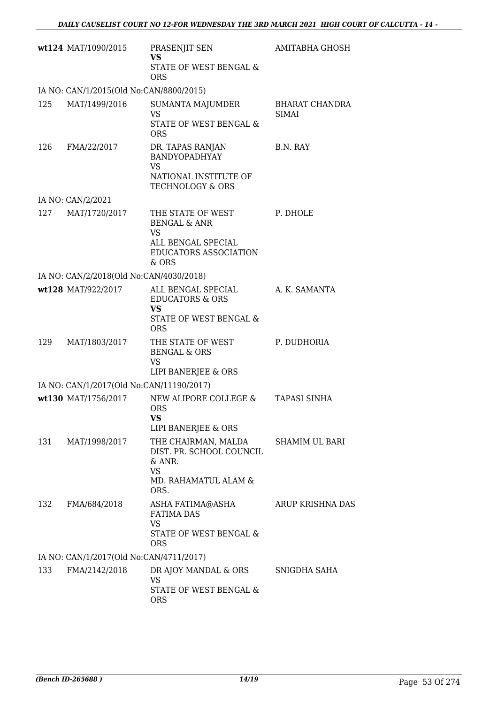|     | wt124 MAT/1090/2015                      | PRASENJIT SEN<br><b>VS</b>                                                       | AMITABHA GHOSH                        |
|-----|------------------------------------------|----------------------------------------------------------------------------------|---------------------------------------|
|     |                                          | STATE OF WEST BENGAL &<br><b>ORS</b>                                             |                                       |
|     | IA NO: CAN/1/2015(Old No:CAN/8800/2015)  |                                                                                  |                                       |
| 125 | MAT/1499/2016                            | SUMANTA MAJUMDER<br><b>VS</b><br>STATE OF WEST BENGAL &                          | <b>BHARAT CHANDRA</b><br><b>SIMAI</b> |
|     |                                          | <b>ORS</b>                                                                       |                                       |
| 126 | FMA/22/2017                              | DR. TAPAS RANJAN<br>BANDYOPADHYAY<br><b>VS</b>                                   | B.N. RAY                              |
|     |                                          | NATIONAL INSTITUTE OF<br><b>TECHNOLOGY &amp; ORS</b>                             |                                       |
|     | IA NO: CAN/2/2021                        |                                                                                  |                                       |
| 127 | MAT/1720/2017                            | THE STATE OF WEST<br><b>BENGAL &amp; ANR</b><br><b>VS</b>                        | P. DHOLE                              |
|     |                                          | ALL BENGAL SPECIAL<br><b>EDUCATORS ASSOCIATION</b><br>& ORS                      |                                       |
|     | IA NO: CAN/2/2018(Old No:CAN/4030/2018)  |                                                                                  |                                       |
|     | wt128 MAT/922/2017                       | ALL BENGAL SPECIAL<br><b>EDUCATORS &amp; ORS</b><br><b>VS</b>                    | A. K. SAMANTA                         |
|     |                                          | STATE OF WEST BENGAL &<br><b>ORS</b>                                             |                                       |
| 129 | MAT/1803/2017                            | THE STATE OF WEST<br><b>BENGAL &amp; ORS</b><br><b>VS</b><br>LIPI BANERJEE & ORS | P. DUDHORIA                           |
|     | IA NO: CAN/1/2017(Old No:CAN/11190/2017) |                                                                                  |                                       |
|     | wt130 MAT/1756/2017                      | NEW ALIPORE COLLEGE &                                                            | <b>TAPASI SINHA</b>                   |
|     |                                          | <b>ORS</b><br>VS<br>LIPI BANERJEE & ORS                                          |                                       |
| 131 | MAT/1998/2017                            | THE CHAIRMAN, MALDA<br>DIST. PR. SCHOOL COUNCIL<br>& ANR.<br><b>VS</b>           | SHAMIM UL BARI                        |
|     |                                          | MD. RAHAMATUL ALAM &<br>ORS.                                                     |                                       |
| 132 | FMA/684/2018                             | ASHA FATIMA@ASHA<br><b>FATIMA DAS</b><br><b>VS</b>                               | ARUP KRISHNA DAS                      |
|     |                                          | STATE OF WEST BENGAL &<br><b>ORS</b>                                             |                                       |
|     | IA NO: CAN/1/2017(Old No:CAN/4711/2017)  |                                                                                  |                                       |
| 133 | FMA/2142/2018                            | DR AJOY MANDAL & ORS<br><b>VS</b>                                                | SNIGDHA SAHA                          |
|     |                                          | STATE OF WEST BENGAL &<br><b>ORS</b>                                             |                                       |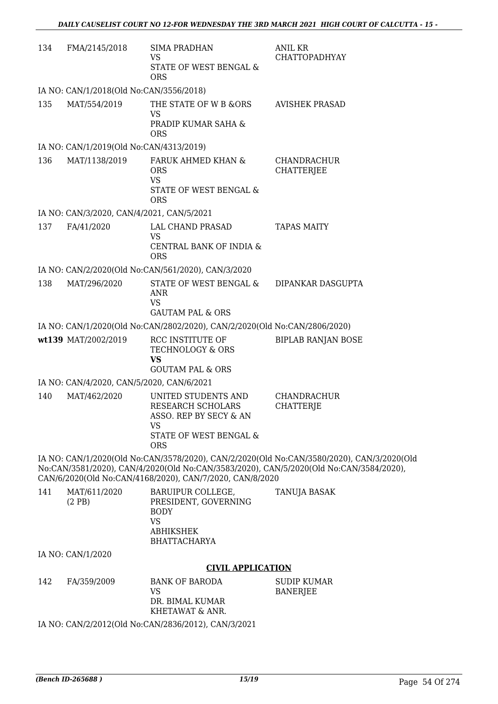| 134 | FMA/2145/2018                             | <b>SIMA PRADHAN</b><br>VS<br>STATE OF WEST BENGAL &<br><b>ORS</b>                                                | <b>ANIL KR</b><br><b>CHATTOPADHYAY</b>                                                                                                                                              |
|-----|-------------------------------------------|------------------------------------------------------------------------------------------------------------------|-------------------------------------------------------------------------------------------------------------------------------------------------------------------------------------|
|     | IA NO: CAN/1/2018(Old No:CAN/3556/2018)   |                                                                                                                  |                                                                                                                                                                                     |
| 135 | MAT/554/2019                              | THE STATE OF W B &ORS                                                                                            | <b>AVISHEK PRASAD</b>                                                                                                                                                               |
|     |                                           | <b>VS</b><br>PRADIP KUMAR SAHA &<br><b>ORS</b>                                                                   |                                                                                                                                                                                     |
|     | IA NO: CAN/1/2019(Old No:CAN/4313/2019)   |                                                                                                                  |                                                                                                                                                                                     |
| 136 | MAT/1138/2019                             | FARUK AHMED KHAN &<br><b>ORS</b><br><b>VS</b><br>STATE OF WEST BENGAL &<br><b>ORS</b>                            | CHANDRACHUR<br><b>CHATTERJEE</b>                                                                                                                                                    |
|     | IA NO: CAN/3/2020, CAN/4/2021, CAN/5/2021 |                                                                                                                  |                                                                                                                                                                                     |
| 137 | FA/41/2020                                | LAL CHAND PRASAD<br><b>VS</b>                                                                                    | <b>TAPAS MAITY</b>                                                                                                                                                                  |
|     |                                           | CENTRAL BANK OF INDIA &<br><b>ORS</b>                                                                            |                                                                                                                                                                                     |
|     |                                           | IA NO: CAN/2/2020(Old No:CAN/561/2020), CAN/3/2020                                                               |                                                                                                                                                                                     |
| 138 | MAT/296/2020                              | STATE OF WEST BENGAL &<br><b>ANR</b><br><b>VS</b><br><b>GAUTAM PAL &amp; ORS</b>                                 | DIPANKAR DASGUPTA                                                                                                                                                                   |
|     |                                           | IA NO: CAN/1/2020(Old No:CAN/2802/2020), CAN/2/2020(Old No:CAN/2806/2020)                                        |                                                                                                                                                                                     |
|     | wt139 MAT/2002/2019                       | RCC INSTITUTE OF<br>TECHNOLOGY & ORS<br><b>VS</b>                                                                | <b>BIPLAB RANJAN BOSE</b>                                                                                                                                                           |
|     |                                           | <b>GOUTAM PAL &amp; ORS</b>                                                                                      |                                                                                                                                                                                     |
|     | IA NO: CAN/4/2020, CAN/5/2020, CAN/6/2021 |                                                                                                                  |                                                                                                                                                                                     |
| 140 | MAT/462/2020                              | UNITED STUDENTS AND<br>RESEARCH SCHOLARS<br>ASSO. REP BY SECY & AN<br>VS<br>STATE OF WEST BENGAL &<br><b>ORS</b> | CHANDRACHUR<br>CHATTERJE                                                                                                                                                            |
|     |                                           | CAN/6/2020(Old No:CAN/4168/2020), CAN/7/2020, CAN/8/2020                                                         | IA NO: CAN/1/2020(Old No:CAN/3578/2020), CAN/2/2020(Old No:CAN/3580/2020), CAN/3/2020(Old<br>No:CAN/3581/2020), CAN/4/2020(Old No:CAN/3583/2020), CAN/5/2020(Old No:CAN/3584/2020), |
| 141 | MAT/611/2020<br>(2PB)                     | BARUIPUR COLLEGE,<br>PRESIDENT, GOVERNING<br><b>BODY</b><br><b>VS</b><br><b>ABHIKSHEK</b><br><b>BHATTACHARYA</b> | <b>TANUJA BASAK</b>                                                                                                                                                                 |
|     | IA NO: CAN/1/2020                         |                                                                                                                  |                                                                                                                                                                                     |
|     |                                           | <b>CIVIL APPLICATION</b>                                                                                         |                                                                                                                                                                                     |
| 142 | FA/359/2009                               | <b>BANK OF BARODA</b><br><b>VS</b><br>DR. BIMAL KUMAR                                                            | <b>SUDIP KUMAR</b><br><b>BANERJEE</b>                                                                                                                                               |
|     |                                           | KHETAWAT & ANR.<br>IA NO: CAN/2/2012(Old No:CAN/2836/2012), CAN/3/2021                                           |                                                                                                                                                                                     |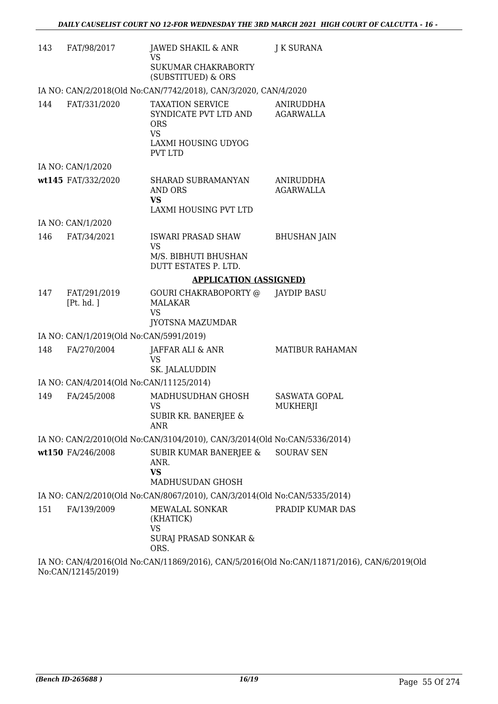| 143 | FAT/98/2017                              | JAWED SHAKIL & ANR<br><b>VS</b>                                                                                      | J K SURANA                                                                                  |
|-----|------------------------------------------|----------------------------------------------------------------------------------------------------------------------|---------------------------------------------------------------------------------------------|
|     |                                          | SUKUMAR CHAKRABORTY<br>(SUBSTITUED) & ORS                                                                            |                                                                                             |
|     |                                          | IA NO: CAN/2/2018(Old No:CAN/7742/2018), CAN/3/2020, CAN/4/2020                                                      |                                                                                             |
| 144 | FAT/331/2020                             | <b>TAXATION SERVICE</b><br>SYNDICATE PVT LTD AND<br><b>ORS</b><br><b>VS</b><br>LAXMI HOUSING UDYOG<br><b>PVT LTD</b> | ANIRUDDHA<br>AGARWALLA                                                                      |
|     | IA NO: CAN/1/2020                        |                                                                                                                      |                                                                                             |
|     | wt145 FAT/332/2020                       | SHARAD SUBRAMANYAN<br>AND ORS<br><b>VS</b><br>LAXMI HOUSING PVT LTD                                                  | ANIRUDDHA<br><b>AGARWALLA</b>                                                               |
|     | IA NO: CAN/1/2020                        |                                                                                                                      |                                                                                             |
| 146 | FAT/34/2021                              | <b>ISWARI PRASAD SHAW</b><br><b>VS</b>                                                                               | <b>BHUSHAN JAIN</b>                                                                         |
|     |                                          | M/S. BIBHUTI BHUSHAN<br>DUTT ESTATES P. LTD.                                                                         |                                                                                             |
|     |                                          | <b>APPLICATION (ASSIGNED)</b>                                                                                        |                                                                                             |
| 147 | FAT/291/2019<br>[Pt. hd. ]               | GOURI CHAKRABOPORTY @<br><b>MALAKAR</b><br><b>VS</b>                                                                 | JAYDIP BASU                                                                                 |
|     |                                          | <b>JYOTSNA MAZUMDAR</b>                                                                                              |                                                                                             |
|     | IA NO: CAN/1/2019(Old No:CAN/5991/2019)  |                                                                                                                      |                                                                                             |
| 148 | FA/270/2004                              | JAFFAR ALI & ANR<br>VS<br>SK. JALALUDDIN                                                                             | <b>MATIBUR RAHAMAN</b>                                                                      |
|     | IA NO: CAN/4/2014(Old No:CAN/11125/2014) |                                                                                                                      |                                                                                             |
| 149 | FA/245/2008                              | MADHUSUDHAN GHOSH<br>VS<br>SUBIR KR. BANERJEE &<br><b>ANR</b>                                                        | <b>SASWATA GOPAL</b><br><b>MUKHERJI</b>                                                     |
|     |                                          | IA NO: CAN/2/2010(Old No:CAN/3104/2010), CAN/3/2014(Old No:CAN/5336/2014)                                            |                                                                                             |
|     | wt150 FA/246/2008                        | SUBIR KUMAR BANERJEE &<br>ANR.<br><b>VS</b><br>MADHUSUDAN GHOSH                                                      | <b>SOURAV SEN</b>                                                                           |
|     |                                          | IA NO: CAN/2/2010(Old No:CAN/8067/2010), CAN/3/2014(Old No:CAN/5335/2014)                                            |                                                                                             |
| 151 | FA/139/2009                              | MEWALAL SONKAR<br>(KHATICK)<br><b>VS</b><br><b>SURAJ PRASAD SONKAR &amp;</b><br>ORS.                                 | PRADIP KUMAR DAS                                                                            |
|     |                                          |                                                                                                                      | IA NO: CAN/4/2016(Old No:CAN/11869/2016), CAN/5/2016(Old No:CAN/11871/2016), CAN/6/2019(Old |

No:CAN/12145/2019)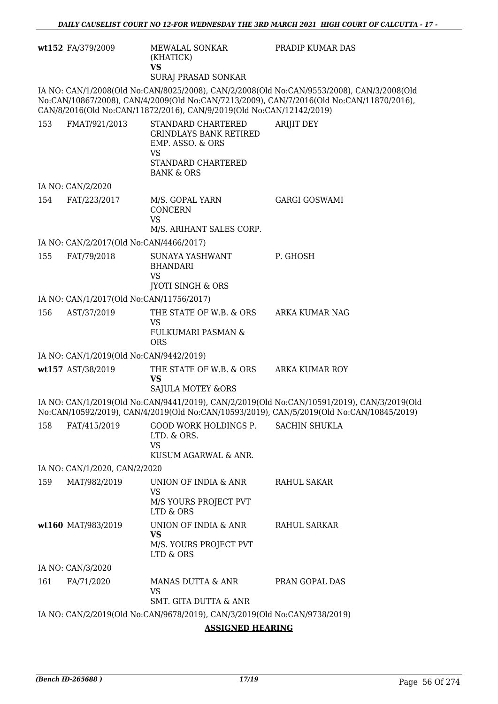|                                                                           | wt152 FA/379/2009                        | MEWALAL SONKAR<br>(KHATICK)<br><b>VS</b><br>SURAJ PRASAD SONKAR                                                              | PRADIP KUMAR DAS                                                                                                                                                                      |
|---------------------------------------------------------------------------|------------------------------------------|------------------------------------------------------------------------------------------------------------------------------|---------------------------------------------------------------------------------------------------------------------------------------------------------------------------------------|
|                                                                           |                                          | CAN/8/2016(Old No:CAN/11872/2016), CAN/9/2019(Old No:CAN/12142/2019)                                                         | IA NO: CAN/1/2008(Old No:CAN/8025/2008), CAN/2/2008(Old No:CAN/9553/2008), CAN/3/2008(Old<br>No:CAN/10867/2008), CAN/4/2009(Old No:CAN/7213/2009), CAN/7/2016(Old No:CAN/11870/2016), |
| 153                                                                       | FMAT/921/2013                            | STANDARD CHARTERED<br><b>GRINDLAYS BANK RETIRED</b><br>EMP. ASSO. & ORS<br>VS<br>STANDARD CHARTERED<br><b>BANK &amp; ORS</b> | <b>ARIJIT DEY</b>                                                                                                                                                                     |
|                                                                           | IA NO: CAN/2/2020                        |                                                                                                                              |                                                                                                                                                                                       |
| 154                                                                       | FAT/223/2017                             | M/S. GOPAL YARN<br><b>CONCERN</b><br><b>VS</b>                                                                               | <b>GARGI GOSWAMI</b>                                                                                                                                                                  |
|                                                                           |                                          | M/S. ARIHANT SALES CORP.                                                                                                     |                                                                                                                                                                                       |
|                                                                           | IA NO: CAN/2/2017(Old No:CAN/4466/2017)  |                                                                                                                              |                                                                                                                                                                                       |
| 155                                                                       | FAT/79/2018                              | SUNAYA YASHWANT<br><b>BHANDARI</b><br><b>VS</b><br><b>JYOTI SINGH &amp; ORS</b>                                              | P. GHOSH                                                                                                                                                                              |
|                                                                           | IA NO: CAN/1/2017(Old No:CAN/11756/2017) |                                                                                                                              |                                                                                                                                                                                       |
| 156                                                                       | AST/37/2019                              | THE STATE OF W.B. & ORS<br><b>VS</b><br><b>FULKUMARI PASMAN &amp;</b><br><b>ORS</b>                                          | ARKA KUMAR NAG                                                                                                                                                                        |
|                                                                           | IA NO: CAN/1/2019(Old No:CAN/9442/2019)  |                                                                                                                              |                                                                                                                                                                                       |
|                                                                           | wt157 AST/38/2019                        | THE STATE OF W.B. & ORS<br><b>VS</b><br><b>SAJULA MOTEY &amp;ORS</b>                                                         | <b>ARKA KUMAR ROY</b>                                                                                                                                                                 |
|                                                                           |                                          |                                                                                                                              | IA NO: CAN/1/2019(Old No:CAN/9441/2019), CAN/2/2019(Old No:CAN/10591/2019), CAN/3/2019(Old                                                                                            |
|                                                                           |                                          |                                                                                                                              | No:CAN/10592/2019), CAN/4/2019(Old No:CAN/10593/2019), CAN/5/2019(Old No:CAN/10845/2019)                                                                                              |
| 158                                                                       | FAT/415/2019                             | GOOD WORK HOLDINGS P.<br>LTD. & ORS.<br><b>VS</b><br>KUSUM AGARWAL & ANR.                                                    | <b>SACHIN SHUKLA</b>                                                                                                                                                                  |
|                                                                           | IA NO: CAN/1/2020, CAN/2/2020            |                                                                                                                              |                                                                                                                                                                                       |
| 159                                                                       | MAT/982/2019                             | UNION OF INDIA & ANR<br><b>VS</b><br>M/S YOURS PROJECT PVT                                                                   | <b>RAHUL SAKAR</b>                                                                                                                                                                    |
|                                                                           |                                          | LTD & ORS                                                                                                                    |                                                                                                                                                                                       |
|                                                                           | wt160 MAT/983/2019                       | UNION OF INDIA & ANR<br><b>VS</b><br>M/S. YOURS PROJECT PVT                                                                  | RAHUL SARKAR                                                                                                                                                                          |
|                                                                           |                                          | LTD & ORS                                                                                                                    |                                                                                                                                                                                       |
|                                                                           | IA NO: CAN/3/2020                        |                                                                                                                              |                                                                                                                                                                                       |
| 161                                                                       | FA/71/2020                               | MANAS DUTTA & ANR<br><b>VS</b><br><b>SMT. GITA DUTTA &amp; ANR</b>                                                           | PRAN GOPAL DAS                                                                                                                                                                        |
| IA NO: CAN/2/2019(Old No:CAN/9678/2019), CAN/3/2019(Old No:CAN/9738/2019) |                                          |                                                                                                                              |                                                                                                                                                                                       |

**ASSIGNED HEARING**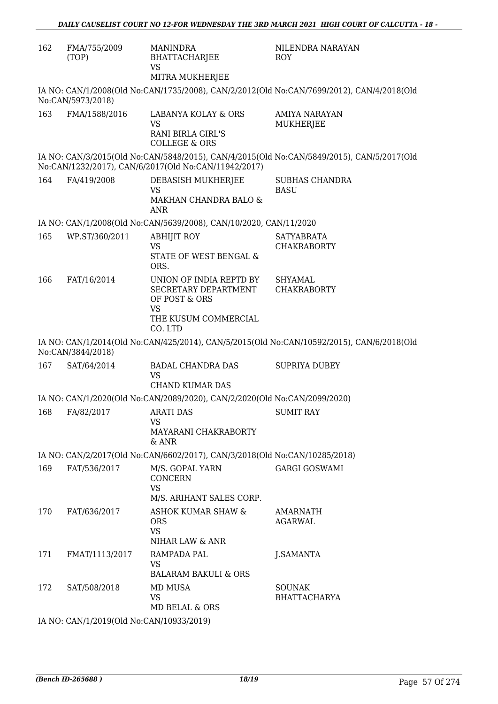| 162 | FMA/755/2009<br>(TOP)                          | <b>MANINDRA</b><br><b>BHATTACHARJEE</b><br><b>VS</b><br>MITRA MUKHERJEE     | NILENDRA NARAYAN<br>ROY                                                                   |
|-----|------------------------------------------------|-----------------------------------------------------------------------------|-------------------------------------------------------------------------------------------|
|     | No:CAN/5973/2018)                              |                                                                             | IA NO: CAN/1/2008(Old No:CAN/1735/2008), CAN/2/2012(Old No:CAN/7699/2012), CAN/4/2018(Old |
| 163 | FMA/1588/2016                                  | LABANYA KOLAY & ORS<br>VS                                                   | AMIYA NARAYAN<br>MUKHERJEE                                                                |
|     |                                                | RANI BIRLA GIRL'S<br><b>COLLEGE &amp; ORS</b>                               |                                                                                           |
|     |                                                | No:CAN/1232/2017), CAN/6/2017(Old No:CAN/11942/2017)                        | IA NO: CAN/3/2015(Old No:CAN/5848/2015), CAN/4/2015(Old No:CAN/5849/2015), CAN/5/2017(Old |
| 164 | FA/419/2008                                    | DEBASISH MUKHERJEE<br><b>VS</b><br>MAKHAN CHANDRA BALO &<br>ANR             | <b>SUBHAS CHANDRA</b><br><b>BASU</b>                                                      |
|     |                                                | IA NO: CAN/1/2008(Old No:CAN/5639/2008), CAN/10/2020, CAN/11/2020           |                                                                                           |
| 165 | WP.ST/360/2011                                 | <b>ABHIJIT ROY</b><br><b>VS</b>                                             | <b>SATYABRATA</b><br><b>CHAKRABORTY</b>                                                   |
|     |                                                | STATE OF WEST BENGAL &<br>ORS.                                              |                                                                                           |
| 166 | FAT/16/2014                                    | UNION OF INDIA REPTD BY<br>SECRETARY DEPARTMENT<br>OF POST & ORS            | <b>SHYAMAL</b><br><b>CHAKRABORTY</b>                                                      |
|     |                                                | <b>VS</b><br>THE KUSUM COMMERCIAL<br>CO. LTD                                |                                                                                           |
|     | No:CAN/3844/2018)                              |                                                                             | IA NO: CAN/1/2014(Old No:CAN/425/2014), CAN/5/2015(Old No:CAN/10592/2015), CAN/6/2018(Old |
| 167 | SAT/64/2014                                    | <b>BADAL CHANDRA DAS</b><br><b>VS</b>                                       | <b>SUPRIYA DUBEY</b>                                                                      |
|     |                                                | <b>CHAND KUMAR DAS</b>                                                      |                                                                                           |
|     |                                                | IA NO: CAN/1/2020(Old No:CAN/2089/2020), CAN/2/2020(Old No:CAN/2099/2020)   |                                                                                           |
| 168 | FA/82/2017                                     | <b>ARATI DAS</b><br>VS<br>MAYARANI CHAKRABORTY<br>& ANR                     | <b>SUMIT RAY</b>                                                                          |
|     |                                                | IA NO: CAN/2/2017(Old No:CAN/6602/2017), CAN/3/2018(Old No:CAN/10285/2018)  |                                                                                           |
| 169 | FAT/536/2017                                   | M/S. GOPAL YARN<br><b>CONCERN</b><br><b>VS</b>                              | <b>GARGI GOSWAMI</b>                                                                      |
|     |                                                | M/S. ARIHANT SALES CORP.                                                    |                                                                                           |
| 170 | FAT/636/2017                                   | <b>ASHOK KUMAR SHAW &amp;</b><br><b>ORS</b><br><b>VS</b><br>NIHAR LAW & ANR | AMARNATH<br><b>AGARWAL</b>                                                                |
| 171 | FMAT/1113/2017                                 | RAMPADA PAL                                                                 |                                                                                           |
|     |                                                | VS<br><b>BALARAM BAKULI &amp; ORS</b>                                       | J.SAMANTA                                                                                 |
| 172 | SAT/508/2018                                   | MD MUSA<br>VS                                                               | <b>SOUNAK</b><br><b>BHATTACHARYA</b>                                                      |
|     | <b>IA NO. CANILOO10(OJA No.CANILOO22/2010)</b> | MD BELAL & ORS                                                              |                                                                                           |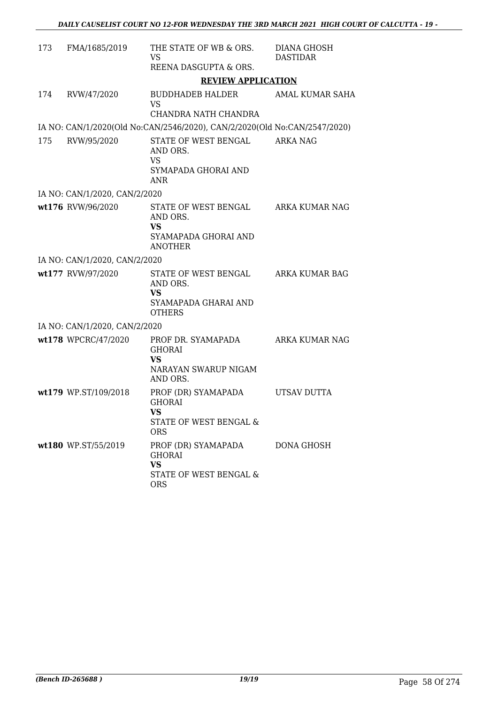| 173 | FMA/1685/2019                 | THE STATE OF WB & ORS.<br>VS<br>REENA DASGUPTA & ORS.                                     | <b>DIANA GHOSH</b><br><b>DASTIDAR</b> |
|-----|-------------------------------|-------------------------------------------------------------------------------------------|---------------------------------------|
|     |                               | <b>REVIEW APPLICATION</b>                                                                 |                                       |
| 174 | RVW/47/2020                   | BUDDHADEB HALDER<br><b>VS</b><br>CHANDRA NATH CHANDRA                                     | AMAL KUMAR SAHA                       |
|     |                               | IA NO: CAN/1/2020(Old No:CAN/2546/2020), CAN/2/2020(Old No:CAN/2547/2020)                 |                                       |
| 175 | RVW/95/2020                   | STATE OF WEST BENGAL<br>AND ORS.<br>VS<br>SYMAPADA GHORAI AND<br><b>ANR</b>               | <b>ARKA NAG</b>                       |
|     | IA NO: CAN/1/2020, CAN/2/2020 |                                                                                           |                                       |
|     | wt176 RVW/96/2020             | STATE OF WEST BENGAL<br>AND ORS.<br><b>VS</b><br>SYAMAPADA GHORAI AND<br><b>ANOTHER</b>   | ARKA KUMAR NAG                        |
|     | IA NO: CAN/1/2020, CAN/2/2020 |                                                                                           |                                       |
|     | wt177 RVW/97/2020             | STATE OF WEST BENGAL<br>AND ORS.<br><b>VS</b><br>SYAMAPADA GHARAI AND<br><b>OTHERS</b>    | ARKA KUMAR BAG                        |
|     | IA NO: CAN/1/2020, CAN/2/2020 |                                                                                           |                                       |
|     | wt178 WPCRC/47/2020           | PROF DR. SYAMAPADA<br><b>GHORAI</b><br>VS<br>NARAYAN SWARUP NIGAM<br>AND ORS.             | ARKA KUMAR NAG                        |
|     | wt179 WP.ST/109/2018          | PROF (DR) SYAMAPADA<br><b>GHORAI</b><br>VS<br>STATE OF WEST BENGAL &<br><b>ORS</b>        | UTSAV DUTTA                           |
|     | wt180 WP.ST/55/2019           | PROF (DR) SYAMAPADA<br><b>GHORAI</b><br><b>VS</b><br>STATE OF WEST BENGAL &<br><b>ORS</b> | DONA GHOSH                            |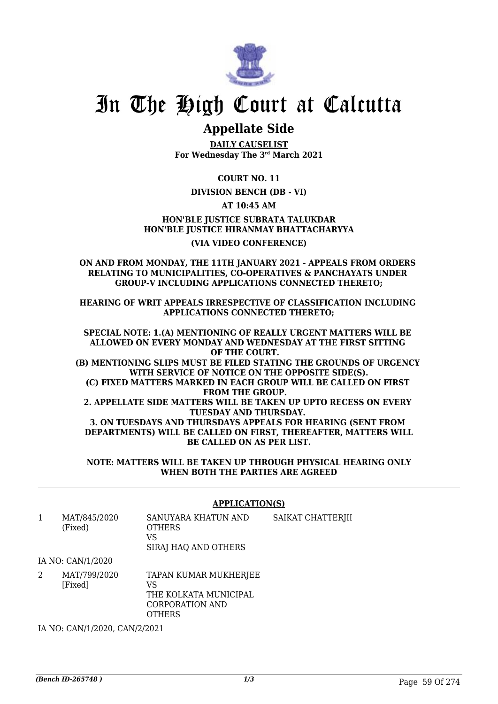

# In The High Court at Calcutta

### **Appellate Side**

**DAILY CAUSELIST For Wednesday The 3rd March 2021**

**COURT NO. 11**

#### **DIVISION BENCH (DB - VI)**

**AT 10:45 AM**

**HON'BLE JUSTICE SUBRATA TALUKDAR HON'BLE JUSTICE HIRANMAY BHATTACHARYYA (VIA VIDEO CONFERENCE)**

#### **ON AND FROM MONDAY, THE 11TH JANUARY 2021 - APPEALS FROM ORDERS RELATING TO MUNICIPALITIES, CO-OPERATIVES & PANCHAYATS UNDER GROUP-V INCLUDING APPLICATIONS CONNECTED THERETO;**

**HEARING OF WRIT APPEALS IRRESPECTIVE OF CLASSIFICATION INCLUDING APPLICATIONS CONNECTED THERETO;**

**SPECIAL NOTE: 1.(A) MENTIONING OF REALLY URGENT MATTERS WILL BE ALLOWED ON EVERY MONDAY AND WEDNESDAY AT THE FIRST SITTING OF THE COURT. (B) MENTIONING SLIPS MUST BE FILED STATING THE GROUNDS OF URGENCY WITH SERVICE OF NOTICE ON THE OPPOSITE SIDE(S). (C) FIXED MATTERS MARKED IN EACH GROUP WILL BE CALLED ON FIRST FROM THE GROUP. 2. APPELLATE SIDE MATTERS WILL BE TAKEN UP UPTO RECESS ON EVERY TUESDAY AND THURSDAY. 3. ON TUESDAYS AND THURSDAYS APPEALS FOR HEARING (SENT FROM DEPARTMENTS) WILL BE CALLED ON FIRST, THEREAFTER, MATTERS WILL BE CALLED ON AS PER LIST.**

**NOTE: MATTERS WILL BE TAKEN UP THROUGH PHYSICAL HEARING ONLY WHEN BOTH THE PARTIES ARE AGREED**

#### **APPLICATION(S)**

1 MAT/845/2020 (Fixed) SANUYARA KHATUN AND **OTHERS** VS SIRAJ HAQ AND OTHERS SAIKAT CHATTERJII

IA NO: CAN/1/2020

2 MAT/799/2020 [Fixed] TAPAN KUMAR MUKHERJEE VS THE KOLKATA MUNICIPAL CORPORATION AND **OTHERS** 

IA NO: CAN/1/2020, CAN/2/2021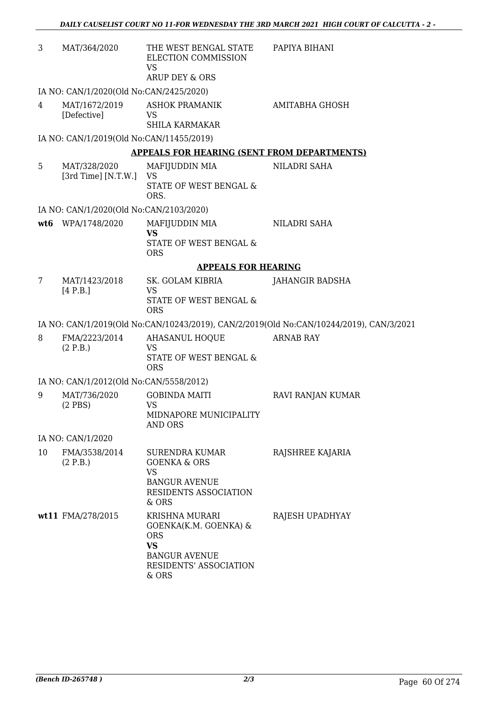| 3   | MAT/364/2020                             | THE WEST BENGAL STATE<br>ELECTION COMMISSION<br><b>VS</b>                                                               | PAPIYA BIHANI                                                                           |
|-----|------------------------------------------|-------------------------------------------------------------------------------------------------------------------------|-----------------------------------------------------------------------------------------|
|     |                                          | ARUP DEY & ORS                                                                                                          |                                                                                         |
|     | IA NO: CAN/1/2020(Old No:CAN/2425/2020)  |                                                                                                                         |                                                                                         |
| 4   | MAT/1672/2019<br>[Defective]             | <b>ASHOK PRAMANIK</b><br>VS<br><b>SHILA KARMAKAR</b>                                                                    | AMITABHA GHOSH                                                                          |
|     | IA NO: CAN/1/2019(Old No:CAN/11455/2019) |                                                                                                                         |                                                                                         |
|     |                                          | <b>APPEALS FOR HEARING (SENT FROM DEPARTMENTS)</b>                                                                      |                                                                                         |
| 5   | MAT/328/2020                             | MAFIJUDDIN MIA                                                                                                          | NILADRI SAHA                                                                            |
|     | [3rd Time] [N.T.W.]                      | <b>VS</b><br>STATE OF WEST BENGAL &<br>ORS.                                                                             |                                                                                         |
|     | IA NO: CAN/1/2020(Old No:CAN/2103/2020)  |                                                                                                                         |                                                                                         |
| wt6 | WPA/1748/2020                            | MAFIJUDDIN MIA                                                                                                          | NILADRI SAHA                                                                            |
|     |                                          | <b>VS</b><br>STATE OF WEST BENGAL &<br><b>ORS</b>                                                                       |                                                                                         |
|     |                                          | <b>APPEALS FOR HEARING</b>                                                                                              |                                                                                         |
| 7   | MAT/1423/2018                            | SK. GOLAM KIBRIA                                                                                                        | JAHANGIR BADSHA                                                                         |
|     | [4 P.B.]                                 | <b>VS</b><br>STATE OF WEST BENGAL &<br><b>ORS</b>                                                                       |                                                                                         |
|     |                                          |                                                                                                                         | IA NO: CAN/1/2019(Old No:CAN/10243/2019), CAN/2/2019(Old No:CAN/10244/2019), CAN/3/2021 |
| 8   | FMA/2223/2014                            | <b>AHASANUL HOQUE</b>                                                                                                   | <b>ARNAB RAY</b>                                                                        |
|     | (2 P.B.)                                 | <b>VS</b><br>STATE OF WEST BENGAL &<br><b>ORS</b>                                                                       |                                                                                         |
|     | IA NO: CAN/1/2012(Old No:CAN/5558/2012)  |                                                                                                                         |                                                                                         |
| 9   | MAT/736/2020                             | <b>GOBINDA MAITI</b>                                                                                                    | RAVI RANJAN KUMAR                                                                       |
|     | $(2$ PBS)                                | <b>VS</b><br>MIDNAPORE MUNICIPALITY<br><b>AND ORS</b>                                                                   |                                                                                         |
|     | IA NO: CAN/1/2020                        |                                                                                                                         |                                                                                         |
| 10  | FMA/3538/2014<br>(2 P.B.)                | <b>SURENDRA KUMAR</b><br><b>GOENKA &amp; ORS</b><br><b>VS</b><br><b>BANGUR AVENUE</b><br>RESIDENTS ASSOCIATION<br>& ORS | RAJSHREE KAJARIA                                                                        |
|     | wt11 FMA/278/2015                        | KRISHNA MURARI<br>GOENKA(K.M. GOENKA) &<br>ORS<br><b>VS</b><br><b>BANGUR AVENUE</b><br>RESIDENTS' ASSOCIATION<br>& ORS  | RAJESH UPADHYAY                                                                         |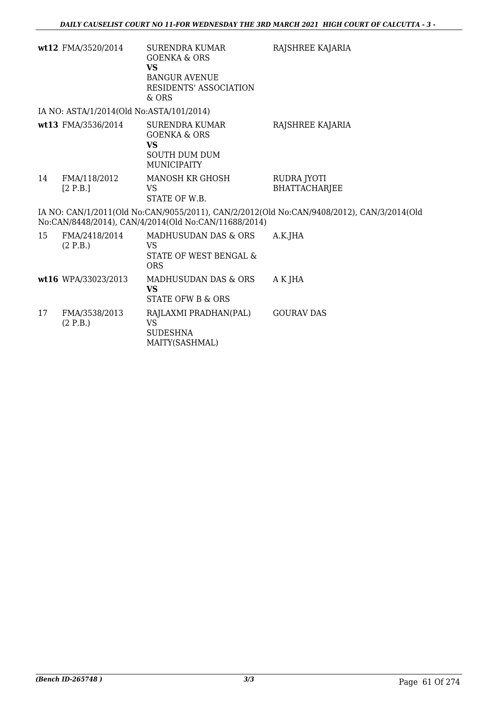|    | wt12 FMA/3520/2014                       | SURENDRA KUMAR<br><b>GOENKA &amp; ORS</b><br><b>VS</b><br><b>BANGUR AVENUE</b><br>RESIDENTS' ASSOCIATION<br>$&$ ORS | RAJSHREE KAJARIA                                                                          |
|----|------------------------------------------|---------------------------------------------------------------------------------------------------------------------|-------------------------------------------------------------------------------------------|
|    | IA NO: ASTA/1/2014(Old No:ASTA/101/2014) |                                                                                                                     |                                                                                           |
|    | wt13 FMA/3536/2014                       | <b>SURENDRA KUMAR</b><br><b>GOENKA &amp; ORS</b><br><b>VS</b><br><b>SOUTH DUM DUM</b><br><b>MUNICIPAITY</b>         | RAJSHREE KAJARIA                                                                          |
| 14 | FMA/118/2012<br>[2 P.B.]                 | <b>MANOSH KR GHOSH</b><br>VS<br>STATE OF W.B.                                                                       | RUDRA JYOTI<br><b>BHATTACHARJEE</b>                                                       |
|    |                                          | No:CAN/8448/2014), CAN/4/2014(Old No:CAN/11688/2014)                                                                | IA NO: CAN/1/2011(Old No:CAN/9055/2011), CAN/2/2012(Old No:CAN/9408/2012), CAN/3/2014(Old |
| 15 | FMA/2418/2014<br>(2 P.B.)                | MADHUSUDAN DAS & ORS<br>VS<br>STATE OF WEST BENGAL &<br><b>ORS</b>                                                  | A.K.JHA                                                                                   |
|    | wt16 WPA/33023/2013                      | MADHUSUDAN DAS & ORS<br><b>VS</b><br>STATE OFW B & ORS                                                              | A K JHA                                                                                   |
| 17 | FMA/3538/2013<br>(2 P.B.)                | RAJLAXMI PRADHAN(PAL)<br><b>VS</b><br><b>SUDESHNA</b><br>MAITY(SASHMAL)                                             | <b>GOURAV DAS</b>                                                                         |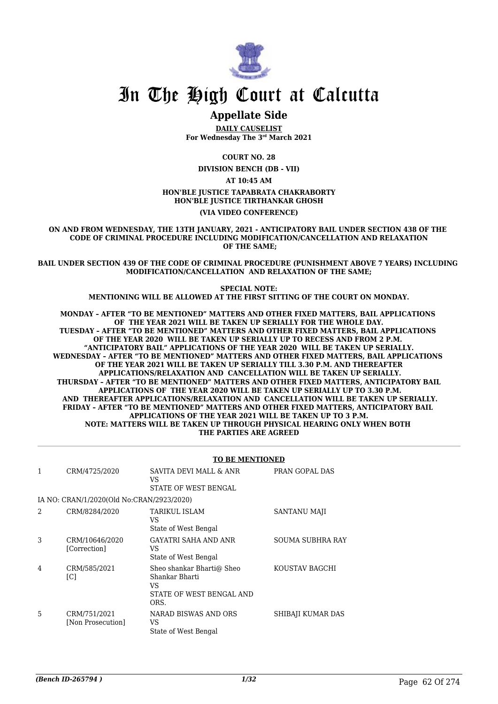

## In The High Court at Calcutta

### **Appellate Side**

**DAILY CAUSELIST For Wednesday The 3rd March 2021**

**COURT NO. 28**

**DIVISION BENCH (DB - VII)**

**AT 10:45 AM**

#### **HON'BLE JUSTICE TAPABRATA CHAKRABORTY HON'BLE JUSTICE TIRTHANKAR GHOSH**

**(VIA VIDEO CONFERENCE)**

**ON AND FROM WEDNESDAY, THE 13TH JANUARY, 2021 - ANTICIPATORY BAIL UNDER SECTION 438 OF THE CODE OF CRIMINAL PROCEDURE INCLUDING MODIFICATION/CANCELLATION AND RELAXATION OF THE SAME;**

**BAIL UNDER SECTION 439 OF THE CODE OF CRIMINAL PROCEDURE (PUNISHMENT ABOVE 7 YEARS) INCLUDING MODIFICATION/CANCELLATION AND RELAXATION OF THE SAME;**

> **SPECIAL NOTE: MENTIONING WILL BE ALLOWED AT THE FIRST SITTING OF THE COURT ON MONDAY.**

**MONDAY – AFTER "TO BE MENTIONED" MATTERS AND OTHER FIXED MATTERS, BAIL APPLICATIONS OF THE YEAR 2021 WILL BE TAKEN UP SERIALLY FOR THE WHOLE DAY. TUESDAY – AFTER "TO BE MENTIONED" MATTERS AND OTHER FIXED MATTERS, BAIL APPLICATIONS OF THE YEAR 2020 WILL BE TAKEN UP SERIALLY UP TO RECESS AND FROM 2 P.M. "ANTICIPATORY BAIL" APPLICATIONS OF THE YEAR 2020 WILL BE TAKEN UP SERIALLY. WEDNESDAY – AFTER "TO BE MENTIONED" MATTERS AND OTHER FIXED MATTERS, BAIL APPLICATIONS OF THE YEAR 2021 WILL BE TAKEN UP SERIALLY TILL 3.30 P.M. AND THEREAFTER APPLICATIONS/RELAXATION AND CANCELLATION WILL BE TAKEN UP SERIALLY. THURSDAY – AFTER "TO BE MENTIONED" MATTERS AND OTHER FIXED MATTERS, ANTICIPATORY BAIL APPLICATIONS OF THE YEAR 2020 WILL BE TAKEN UP SERIALLY UP TO 3.30 P.M. AND THEREAFTER APPLICATIONS/RELAXATION AND CANCELLATION WILL BE TAKEN UP SERIALLY. FRIDAY – AFTER "TO BE MENTIONED" MATTERS AND OTHER FIXED MATTERS, ANTICIPATORY BAIL APPLICATIONS OF THE YEAR 2021 WILL BE TAKEN UP TO 3 P.M. NOTE: MATTERS WILL BE TAKEN UP THROUGH PHYSICAL HEARING ONLY WHEN BOTH THE PARTIES ARE AGREED**

|   | <b>TO BE MENTIONED</b>                    |                                                                                        |                         |  |
|---|-------------------------------------------|----------------------------------------------------------------------------------------|-------------------------|--|
| 1 | CRM/4725/2020                             | SAVITA DEVI MALL & ANR<br>VS<br>STATE OF WEST BENGAL                                   | PRAN GOPAL DAS          |  |
|   | IA NO: CRAN/1/2020(Old No:CRAN/2923/2020) |                                                                                        |                         |  |
| 2 | CRM/8284/2020                             | TARIKUL ISLAM<br>VS.<br>State of West Bengal                                           | SANTANU MAJI            |  |
| 3 | CRM/10646/2020<br>[Correction]            | GAYATRI SAHA AND ANR<br>VS.<br>State of West Bengal                                    | <b>SOUMA SUBHRA RAY</b> |  |
| 4 | CRM/585/2021<br>[C]                       | Sheo shankar Bharti@ Sheo<br>Shankar Bharti<br>VS.<br>STATE OF WEST BENGAL AND<br>ORS. | KOUSTAV BAGCHI          |  |
| 5 | CRM/751/2021<br>[Non Prosecution]         | NARAD BISWAS AND ORS<br>VS.<br>State of West Bengal                                    | SHIBAJI KUMAR DAS       |  |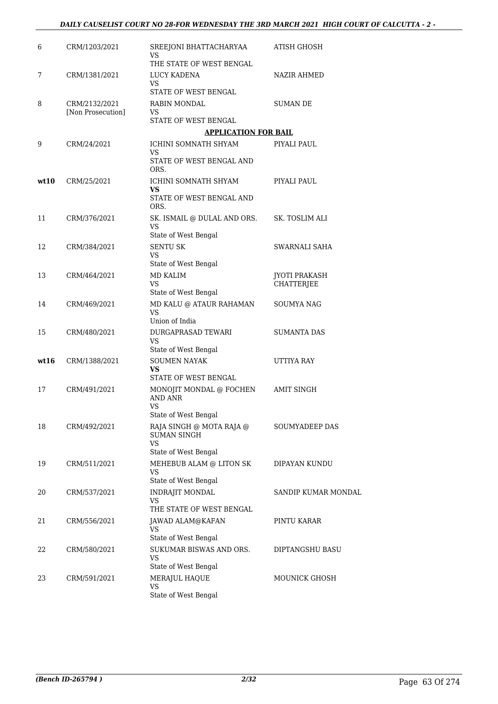| 6    | CRM/1203/2021                      | SREEJONI BHATTACHARYAA<br>VS                         | ATISH GHOSH          |
|------|------------------------------------|------------------------------------------------------|----------------------|
|      |                                    | THE STATE OF WEST BENGAL                             |                      |
| 7    | CRM/1381/2021                      | LUCY KADENA<br><b>VS</b><br>STATE OF WEST BENGAL     | <b>NAZIR AHMED</b>   |
| 8    |                                    | RABIN MONDAL                                         | <b>SUMAN DE</b>      |
|      | CRM/2132/2021<br>[Non Prosecution] | VS                                                   |                      |
|      |                                    | STATE OF WEST BENGAL                                 |                      |
|      |                                    | <b>APPLICATION FOR BAIL</b>                          |                      |
| 9    | CRM/24/2021                        | ICHINI SOMNATH SHYAM<br><b>VS</b>                    | PIYALI PAUL          |
|      |                                    | STATE OF WEST BENGAL AND<br>ORS.                     |                      |
| wt10 | CRM/25/2021                        | ICHINI SOMNATH SHYAM<br>VS.                          | PIYALI PAUL          |
|      |                                    | STATE OF WEST BENGAL AND<br>ORS.                     |                      |
| 11   | CRM/376/2021                       | SK. ISMAIL @ DULAL AND ORS.<br><b>VS</b>             | SK. TOSLIM ALI       |
|      |                                    | State of West Bengal                                 |                      |
| 12   | CRM/384/2021                       | <b>SENTU SK</b>                                      | SWARNALI SAHA        |
|      |                                    | <b>VS</b><br>State of West Bengal                    |                      |
| 13   | CRM/464/2021                       | <b>MD KALIM</b>                                      | <b>JYOTI PRAKASH</b> |
|      |                                    | VS.                                                  | CHATTERJEE           |
|      |                                    | State of West Bengal                                 |                      |
| 14   | CRM/469/2021                       | MD KALU @ ATAUR RAHAMAN<br>VS<br>Union of India      | <b>SOUMYA NAG</b>    |
| 15   | CRM/480/2021                       | DURGAPRASAD TEWARI                                   | <b>SUMANTA DAS</b>   |
|      |                                    | <b>VS</b>                                            |                      |
|      |                                    | State of West Bengal                                 |                      |
| wt16 | CRM/1388/2021                      | <b>SOUMEN NAYAK</b><br>VS.<br>STATE OF WEST BENGAL   | UTTIYA RAY           |
| 17   | CRM/491/2021                       | MONOJIT MONDAL @ FOCHEN                              | AMIT SINGH           |
|      |                                    | AND ANR<br>VS                                        |                      |
|      |                                    | State of West Bengal                                 |                      |
| 18   | CRM/492/2021                       | RAJA SINGH @ MOTA RAJA @<br><b>SUMAN SINGH</b><br>VS | SOUMYADEEP DAS       |
|      |                                    | State of West Bengal                                 |                      |
| 19   | CRM/511/2021                       | MEHEBUB ALAM @ LITON SK                              | DIPAYAN KUNDU        |
|      |                                    | <b>VS</b><br>State of West Bengal                    |                      |
| 20   | CRM/537/2021                       | INDRAJIT MONDAL                                      | SANDIP KUMAR MONDAL  |
|      |                                    | VS<br>THE STATE OF WEST BENGAL                       |                      |
| 21   | CRM/556/2021                       | JAWAD ALAM@KAFAN                                     | PINTU KARAR          |
|      |                                    | VS<br>State of West Bengal                           |                      |
| 22   | CRM/580/2021                       | SUKUMAR BISWAS AND ORS.                              | DIPTANGSHU BASU      |
|      |                                    | VS                                                   |                      |
|      |                                    | State of West Bengal                                 |                      |
| 23   | CRM/591/2021                       | MERAJUL HAQUE<br>VS                                  | <b>MOUNICK GHOSH</b> |
|      |                                    | State of West Bengal                                 |                      |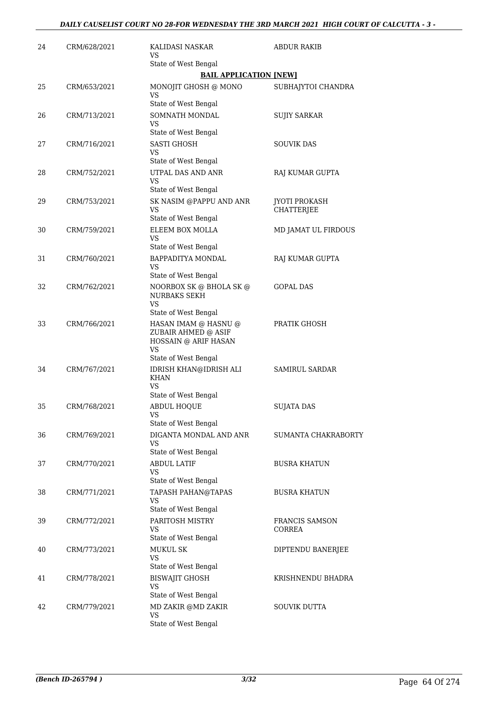| 24 | CRM/628/2021 | KALIDASI NASKAR<br>VS                                                            | ABDUR RAKIB                               |
|----|--------------|----------------------------------------------------------------------------------|-------------------------------------------|
|    |              | State of West Bengal                                                             |                                           |
|    |              | <b>BAIL APPLICATION [NEW]</b>                                                    |                                           |
| 25 | CRM/653/2021 | MONOJIT GHOSH @ MONO<br>VS                                                       | SUBHAJYTOI CHANDRA                        |
|    |              | State of West Bengal                                                             |                                           |
| 26 | CRM/713/2021 | SOMNATH MONDAL<br>VS<br>State of West Bengal                                     | <b>SUJIY SARKAR</b>                       |
| 27 | CRM/716/2021 | SASTI GHOSH                                                                      | <b>SOUVIK DAS</b>                         |
|    |              | VS<br>State of West Bengal                                                       |                                           |
| 28 | CRM/752/2021 | UTPAL DAS AND ANR<br>VS                                                          | RAJ KUMAR GUPTA                           |
|    |              | State of West Bengal                                                             |                                           |
| 29 | CRM/753/2021 | SK NASIM @PAPPU AND ANR<br>VS                                                    | <b>JYOTI PROKASH</b><br><b>CHATTERJEE</b> |
|    |              | State of West Bengal                                                             |                                           |
| 30 | CRM/759/2021 | ELEEM BOX MOLLA<br>VS<br>State of West Bengal                                    | MD JAMAT UL FIRDOUS                       |
| 31 | CRM/760/2021 | BAPPADITYA MONDAL                                                                | RAJ KUMAR GUPTA                           |
|    |              | VS<br>State of West Bengal                                                       |                                           |
| 32 | CRM/762/2021 | NOORBOX SK @ BHOLA SK @<br><b>NURBAKS SEKH</b><br>VS.                            | GOPAL DAS                                 |
|    |              | State of West Bengal                                                             |                                           |
| 33 | CRM/766/2021 | HASAN IMAM @ HASNU @<br>ZUBAIR AHMED @ ASIF<br>HOSSAIN @ ARIF HASAN<br><b>VS</b> | PRATIK GHOSH                              |
| 34 | CRM/767/2021 | State of West Bengal<br>IDRISH KHAN@IDRISH ALI<br><b>KHAN</b><br>VS              | <b>SAMIRUL SARDAR</b>                     |
|    |              | State of West Bengal                                                             |                                           |
| 35 | CRM/768/2021 | ABDUL HOQUE<br>VS<br>State of West Bengal                                        | <b>SUJATA DAS</b>                         |
| 36 | CRM/769/2021 | DIGANTA MONDAL AND ANR                                                           | SUMANTA CHAKRABORTY                       |
|    |              | VS<br>State of West Bengal                                                       |                                           |
| 37 | CRM/770/2021 | <b>ABDUL LATIF</b><br>VS                                                         | <b>BUSRA KHATUN</b>                       |
|    |              | State of West Bengal                                                             |                                           |
| 38 | CRM/771/2021 | <b>TAPASH PAHAN@TAPAS</b><br>VS<br>State of West Bengal                          | <b>BUSRA KHATUN</b>                       |
| 39 | CRM/772/2021 | PARITOSH MISTRY<br>VS                                                            | FRANCIS SAMSON<br><b>CORREA</b>           |
|    |              | State of West Bengal                                                             |                                           |
| 40 | CRM/773/2021 | <b>MUKUL SK</b><br>VS                                                            | DIPTENDU BANERJEE                         |
|    |              | State of West Bengal                                                             |                                           |
| 41 | CRM/778/2021 | <b>BISWAJIT GHOSH</b><br><b>VS</b><br>State of West Bengal                       | KRISHNENDU BHADRA                         |
| 42 | CRM/779/2021 | MD ZAKIR @MD ZAKIR                                                               | <b>SOUVIK DUTTA</b>                       |
|    |              | <b>VS</b><br>State of West Bengal                                                |                                           |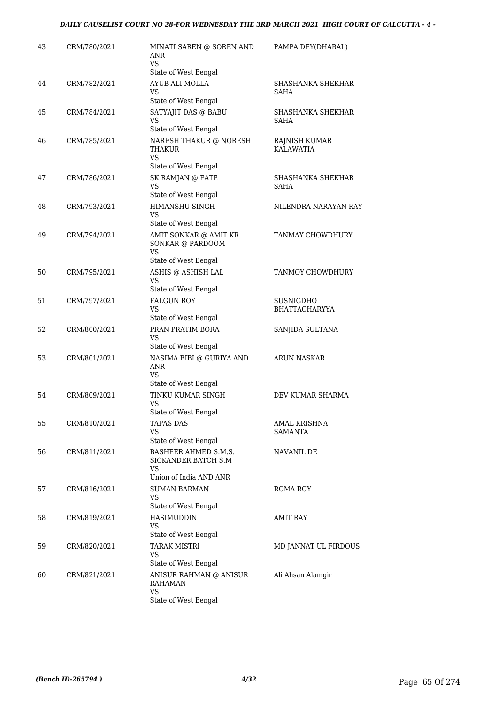| State of West Bengal<br>AYUB ALI MOLLA<br>44<br>CRM/782/2021<br>SHASHANKA SHEKHAR<br>VS<br>SAHA<br>State of West Bengal<br>SATYAJIT DAS @ BABU<br>45<br>CRM/784/2021<br>SHASHANKA SHEKHAR<br>VS<br>SAHA<br>State of West Bengal<br>CRM/785/2021<br>NARESH THAKUR @ NORESH<br>RAJNISH KUMAR<br>46<br><b>KALAWATIA</b><br>THAKUR<br>VS.<br>State of West Bengal<br>SK RAMJAN @ FATE<br>CRM/786/2021<br>SHASHANKA SHEKHAR<br>47<br><b>VS</b><br>SAHA<br>State of West Bengal<br>HIMANSHU SINGH<br>48<br>CRM/793/2021<br>NILENDRA NARAYAN RAY<br>VS<br>State of West Bengal<br>49<br>CRM/794/2021<br>AMIT SONKAR @ AMIT KR<br>TANMAY CHOWDHURY<br>SONKAR @ PARDOOM<br><b>VS</b><br>State of West Bengal<br>ASHIS @ ASHISH LAL<br>50<br>CRM/795/2021<br>TANMOY CHOWDHURY<br>VS<br>State of West Bengal<br>51<br>CRM/797/2021<br><b>FALGUN ROY</b><br>SUSNIGDHO<br>VS.<br>BHATTACHARYYA<br>State of West Bengal<br>PRAN PRATIM BORA<br>52<br>CRM/800/2021<br>SANJIDA SULTANA<br>VS<br>State of West Bengal<br>NASIMA BIBI @ GURIYA AND<br>CRM/801/2021<br><b>ARUN NASKAR</b><br>53<br>ANR<br>VS.<br>State of West Bengal<br>TINKU KUMAR SINGH<br>54<br>CRM/809/2021<br>DEV KUMAR SHARMA<br>VS.<br>State of West Bengal<br>55<br>CRM/810/2021<br><b>TAPAS DAS</b><br><b>AMAL KRISHNA</b><br>VS<br><b>SAMANTA</b><br>State of West Bengal<br>56<br>CRM/811/2021<br>BASHEER AHMED S.M.S.<br>NAVANIL DE<br>SICKANDER BATCH S.M<br>VS<br>Union of India AND ANR<br>CRM/816/2021<br><b>SUMAN BARMAN</b><br><b>ROMA ROY</b><br>57<br><b>VS</b><br>State of West Bengal<br>HASIMUDDIN<br><b>AMIT RAY</b><br>58<br>CRM/819/2021<br>VS<br>State of West Bengal<br>59<br><b>TARAK MISTRI</b><br>MD JANNAT UL FIRDOUS<br>CRM/820/2021 | 43 | CRM/780/2021 | MINATI SAREN @ SOREN AND<br>ANR<br>VS. | PAMPA DEY(DHABAL) |
|---------------------------------------------------------------------------------------------------------------------------------------------------------------------------------------------------------------------------------------------------------------------------------------------------------------------------------------------------------------------------------------------------------------------------------------------------------------------------------------------------------------------------------------------------------------------------------------------------------------------------------------------------------------------------------------------------------------------------------------------------------------------------------------------------------------------------------------------------------------------------------------------------------------------------------------------------------------------------------------------------------------------------------------------------------------------------------------------------------------------------------------------------------------------------------------------------------------------------------------------------------------------------------------------------------------------------------------------------------------------------------------------------------------------------------------------------------------------------------------------------------------------------------------------------------------------------------------------------------------------------------------------------------------------------------------------------------------------|----|--------------|----------------------------------------|-------------------|
|                                                                                                                                                                                                                                                                                                                                                                                                                                                                                                                                                                                                                                                                                                                                                                                                                                                                                                                                                                                                                                                                                                                                                                                                                                                                                                                                                                                                                                                                                                                                                                                                                                                                                                                     |    |              |                                        |                   |
|                                                                                                                                                                                                                                                                                                                                                                                                                                                                                                                                                                                                                                                                                                                                                                                                                                                                                                                                                                                                                                                                                                                                                                                                                                                                                                                                                                                                                                                                                                                                                                                                                                                                                                                     |    |              |                                        |                   |
|                                                                                                                                                                                                                                                                                                                                                                                                                                                                                                                                                                                                                                                                                                                                                                                                                                                                                                                                                                                                                                                                                                                                                                                                                                                                                                                                                                                                                                                                                                                                                                                                                                                                                                                     |    |              |                                        |                   |
|                                                                                                                                                                                                                                                                                                                                                                                                                                                                                                                                                                                                                                                                                                                                                                                                                                                                                                                                                                                                                                                                                                                                                                                                                                                                                                                                                                                                                                                                                                                                                                                                                                                                                                                     |    |              |                                        |                   |
|                                                                                                                                                                                                                                                                                                                                                                                                                                                                                                                                                                                                                                                                                                                                                                                                                                                                                                                                                                                                                                                                                                                                                                                                                                                                                                                                                                                                                                                                                                                                                                                                                                                                                                                     |    |              |                                        |                   |
|                                                                                                                                                                                                                                                                                                                                                                                                                                                                                                                                                                                                                                                                                                                                                                                                                                                                                                                                                                                                                                                                                                                                                                                                                                                                                                                                                                                                                                                                                                                                                                                                                                                                                                                     |    |              |                                        |                   |
|                                                                                                                                                                                                                                                                                                                                                                                                                                                                                                                                                                                                                                                                                                                                                                                                                                                                                                                                                                                                                                                                                                                                                                                                                                                                                                                                                                                                                                                                                                                                                                                                                                                                                                                     |    |              |                                        |                   |
|                                                                                                                                                                                                                                                                                                                                                                                                                                                                                                                                                                                                                                                                                                                                                                                                                                                                                                                                                                                                                                                                                                                                                                                                                                                                                                                                                                                                                                                                                                                                                                                                                                                                                                                     |    |              |                                        |                   |
|                                                                                                                                                                                                                                                                                                                                                                                                                                                                                                                                                                                                                                                                                                                                                                                                                                                                                                                                                                                                                                                                                                                                                                                                                                                                                                                                                                                                                                                                                                                                                                                                                                                                                                                     |    |              |                                        |                   |
|                                                                                                                                                                                                                                                                                                                                                                                                                                                                                                                                                                                                                                                                                                                                                                                                                                                                                                                                                                                                                                                                                                                                                                                                                                                                                                                                                                                                                                                                                                                                                                                                                                                                                                                     |    |              |                                        |                   |
|                                                                                                                                                                                                                                                                                                                                                                                                                                                                                                                                                                                                                                                                                                                                                                                                                                                                                                                                                                                                                                                                                                                                                                                                                                                                                                                                                                                                                                                                                                                                                                                                                                                                                                                     |    |              |                                        |                   |
|                                                                                                                                                                                                                                                                                                                                                                                                                                                                                                                                                                                                                                                                                                                                                                                                                                                                                                                                                                                                                                                                                                                                                                                                                                                                                                                                                                                                                                                                                                                                                                                                                                                                                                                     |    |              |                                        |                   |
|                                                                                                                                                                                                                                                                                                                                                                                                                                                                                                                                                                                                                                                                                                                                                                                                                                                                                                                                                                                                                                                                                                                                                                                                                                                                                                                                                                                                                                                                                                                                                                                                                                                                                                                     |    |              |                                        |                   |
|                                                                                                                                                                                                                                                                                                                                                                                                                                                                                                                                                                                                                                                                                                                                                                                                                                                                                                                                                                                                                                                                                                                                                                                                                                                                                                                                                                                                                                                                                                                                                                                                                                                                                                                     |    |              |                                        |                   |
|                                                                                                                                                                                                                                                                                                                                                                                                                                                                                                                                                                                                                                                                                                                                                                                                                                                                                                                                                                                                                                                                                                                                                                                                                                                                                                                                                                                                                                                                                                                                                                                                                                                                                                                     |    |              |                                        |                   |
|                                                                                                                                                                                                                                                                                                                                                                                                                                                                                                                                                                                                                                                                                                                                                                                                                                                                                                                                                                                                                                                                                                                                                                                                                                                                                                                                                                                                                                                                                                                                                                                                                                                                                                                     |    |              |                                        |                   |
|                                                                                                                                                                                                                                                                                                                                                                                                                                                                                                                                                                                                                                                                                                                                                                                                                                                                                                                                                                                                                                                                                                                                                                                                                                                                                                                                                                                                                                                                                                                                                                                                                                                                                                                     |    |              |                                        |                   |
|                                                                                                                                                                                                                                                                                                                                                                                                                                                                                                                                                                                                                                                                                                                                                                                                                                                                                                                                                                                                                                                                                                                                                                                                                                                                                                                                                                                                                                                                                                                                                                                                                                                                                                                     |    |              |                                        |                   |
|                                                                                                                                                                                                                                                                                                                                                                                                                                                                                                                                                                                                                                                                                                                                                                                                                                                                                                                                                                                                                                                                                                                                                                                                                                                                                                                                                                                                                                                                                                                                                                                                                                                                                                                     |    |              |                                        |                   |
|                                                                                                                                                                                                                                                                                                                                                                                                                                                                                                                                                                                                                                                                                                                                                                                                                                                                                                                                                                                                                                                                                                                                                                                                                                                                                                                                                                                                                                                                                                                                                                                                                                                                                                                     |    |              |                                        |                   |
|                                                                                                                                                                                                                                                                                                                                                                                                                                                                                                                                                                                                                                                                                                                                                                                                                                                                                                                                                                                                                                                                                                                                                                                                                                                                                                                                                                                                                                                                                                                                                                                                                                                                                                                     |    |              |                                        |                   |
|                                                                                                                                                                                                                                                                                                                                                                                                                                                                                                                                                                                                                                                                                                                                                                                                                                                                                                                                                                                                                                                                                                                                                                                                                                                                                                                                                                                                                                                                                                                                                                                                                                                                                                                     |    |              |                                        |                   |
|                                                                                                                                                                                                                                                                                                                                                                                                                                                                                                                                                                                                                                                                                                                                                                                                                                                                                                                                                                                                                                                                                                                                                                                                                                                                                                                                                                                                                                                                                                                                                                                                                                                                                                                     |    |              |                                        |                   |
|                                                                                                                                                                                                                                                                                                                                                                                                                                                                                                                                                                                                                                                                                                                                                                                                                                                                                                                                                                                                                                                                                                                                                                                                                                                                                                                                                                                                                                                                                                                                                                                                                                                                                                                     |    |              |                                        |                   |
|                                                                                                                                                                                                                                                                                                                                                                                                                                                                                                                                                                                                                                                                                                                                                                                                                                                                                                                                                                                                                                                                                                                                                                                                                                                                                                                                                                                                                                                                                                                                                                                                                                                                                                                     |    |              |                                        |                   |
|                                                                                                                                                                                                                                                                                                                                                                                                                                                                                                                                                                                                                                                                                                                                                                                                                                                                                                                                                                                                                                                                                                                                                                                                                                                                                                                                                                                                                                                                                                                                                                                                                                                                                                                     |    |              |                                        |                   |
|                                                                                                                                                                                                                                                                                                                                                                                                                                                                                                                                                                                                                                                                                                                                                                                                                                                                                                                                                                                                                                                                                                                                                                                                                                                                                                                                                                                                                                                                                                                                                                                                                                                                                                                     |    |              |                                        |                   |
|                                                                                                                                                                                                                                                                                                                                                                                                                                                                                                                                                                                                                                                                                                                                                                                                                                                                                                                                                                                                                                                                                                                                                                                                                                                                                                                                                                                                                                                                                                                                                                                                                                                                                                                     |    |              |                                        |                   |
|                                                                                                                                                                                                                                                                                                                                                                                                                                                                                                                                                                                                                                                                                                                                                                                                                                                                                                                                                                                                                                                                                                                                                                                                                                                                                                                                                                                                                                                                                                                                                                                                                                                                                                                     |    |              | <b>VS</b>                              |                   |
| State of West Bengal                                                                                                                                                                                                                                                                                                                                                                                                                                                                                                                                                                                                                                                                                                                                                                                                                                                                                                                                                                                                                                                                                                                                                                                                                                                                                                                                                                                                                                                                                                                                                                                                                                                                                                |    |              |                                        |                   |
| ANISUR RAHMAN @ ANISUR<br>Ali Ahsan Alamgir<br>60<br>CRM/821/2021<br>RAHAMAN                                                                                                                                                                                                                                                                                                                                                                                                                                                                                                                                                                                                                                                                                                                                                                                                                                                                                                                                                                                                                                                                                                                                                                                                                                                                                                                                                                                                                                                                                                                                                                                                                                        |    |              |                                        |                   |
| <b>VS</b><br>State of West Bengal                                                                                                                                                                                                                                                                                                                                                                                                                                                                                                                                                                                                                                                                                                                                                                                                                                                                                                                                                                                                                                                                                                                                                                                                                                                                                                                                                                                                                                                                                                                                                                                                                                                                                   |    |              |                                        |                   |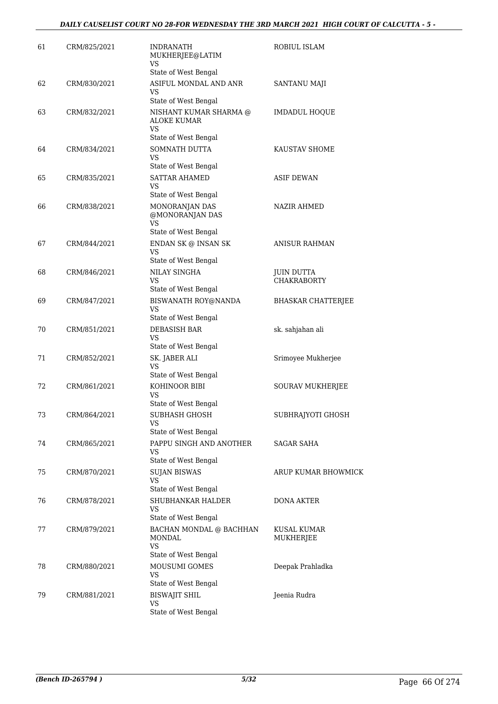| 61 | CRM/825/2021 | <b>INDRANATH</b><br>MUKHERJEE@LATIM<br><b>VS</b>                           | ROBIUL ISLAM              |
|----|--------------|----------------------------------------------------------------------------|---------------------------|
|    |              | State of West Bengal                                                       |                           |
| 62 | CRM/830/2021 | ASIFUL MONDAL AND ANR<br><b>VS</b><br>State of West Bengal                 | SANTANU MAJI              |
| 63 | CRM/832/2021 | NISHANT KUMAR SHARMA @<br><b>ALOKE KUMAR</b><br>VS<br>State of West Bengal | <b>IMDADUL HOQUE</b>      |
| 64 | CRM/834/2021 | SOMNATH DUTTA<br>VS                                                        | KAUSTAV SHOME             |
|    |              | State of West Bengal                                                       |                           |
| 65 | CRM/835/2021 | <b>SATTAR AHAMED</b><br>VS<br>State of West Bengal                         | <b>ASIF DEWAN</b>         |
| 66 | CRM/838/2021 | MONORANJAN DAS<br>@MONORANJAN DAS<br>VS.                                   | <b>NAZIR AHMED</b>        |
|    |              | State of West Bengal                                                       |                           |
| 67 | CRM/844/2021 | ENDAN SK $\circledcirc$ INSAN SK<br>VS<br>State of West Bengal             | <b>ANISUR RAHMAN</b>      |
| 68 | CRM/846/2021 | NILAY SINGHA                                                               | <b>JUIN DUTTA</b>         |
|    |              | VS<br>State of West Bengal                                                 | <b>CHAKRABORTY</b>        |
| 69 | CRM/847/2021 | BISWANATH ROY@NANDA<br>VS<br>State of West Bengal                          | <b>BHASKAR CHATTERJEE</b> |
| 70 | CRM/851/2021 | <b>DEBASISH BAR</b><br><b>VS</b>                                           | sk. sahjahan ali          |
|    |              | State of West Bengal                                                       |                           |
| 71 | CRM/852/2021 | SK. JABER ALI<br>VS                                                        | Srimoyee Mukherjee        |
|    |              | State of West Bengal                                                       |                           |
| 72 | CRM/861/2021 | KOHINOOR BIBI<br>VS<br>State of West Bengal                                | SOURAV MUKHERJEE          |
| 73 | CRM/864/2021 | SUBHASH GHOSH<br>VS                                                        | SUBHRAJYOTI GHOSH         |
|    |              | State of West Bengal                                                       |                           |
| 74 | CRM/865/2021 | PAPPU SINGH AND ANOTHER<br>VS                                              | <b>SAGAR SAHA</b>         |
|    |              | State of West Bengal                                                       |                           |
| 75 | CRM/870/2021 | <b>SUJAN BISWAS</b><br><b>VS</b><br>State of West Bengal                   | ARUP KUMAR BHOWMICK       |
| 76 | CRM/878/2021 | SHUBHANKAR HALDER                                                          | <b>DONA AKTER</b>         |
|    |              | VS<br>State of West Bengal                                                 |                           |
| 77 | CRM/879/2021 | BACHAN MONDAL @ BACHHAN<br>MONDAL<br>VS<br>State of West Bengal            | KUSAL KUMAR<br>MUKHERJEE  |
| 78 | CRM/880/2021 | MOUSUMI GOMES<br>VS                                                        | Deepak Prahladka          |
|    |              | State of West Bengal                                                       |                           |
| 79 | CRM/881/2021 | <b>BISWAJIT SHIL</b><br>VS<br>State of West Bengal                         | Jeenia Rudra              |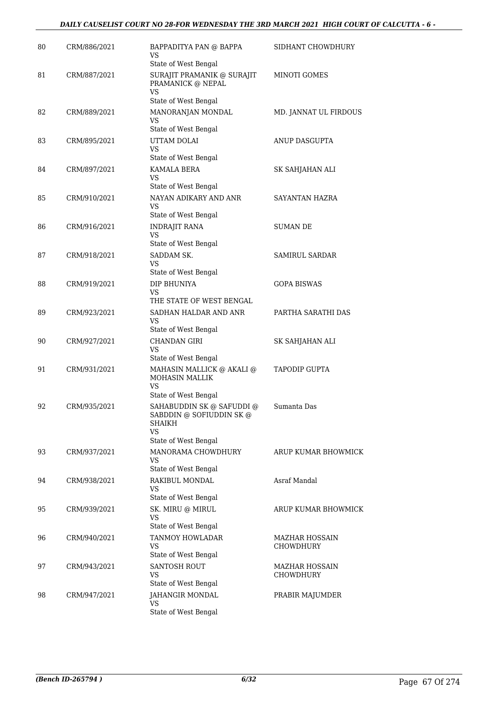| 80 | CRM/886/2021 | BAPPADITYA PAN @ BAPPA<br>VS                                                 | SIDHANT CHOWDHURY     |
|----|--------------|------------------------------------------------------------------------------|-----------------------|
| 81 | CRM/887/2021 | State of West Bengal<br>SURAJIT PRAMANIK @ SURAJIT                           | MINOTI GOMES          |
|    |              | PRAMANICK @ NEPAL<br><b>VS</b><br>State of West Bengal                       |                       |
| 82 | CRM/889/2021 | MANORANJAN MONDAL                                                            | MD. JANNAT UL FIRDOUS |
|    |              | <b>VS</b><br>State of West Bengal                                            |                       |
| 83 | CRM/895/2021 | UTTAM DOLAI                                                                  | ANUP DASGUPTA         |
|    |              | VS<br>State of West Bengal                                                   |                       |
| 84 | CRM/897/2021 | KAMALA BERA<br>VS                                                            | SK SAHJAHAN ALI       |
|    |              | State of West Bengal                                                         |                       |
| 85 | CRM/910/2021 | NAYAN ADIKARY AND ANR<br>VS                                                  | SAYANTAN HAZRA        |
|    |              | State of West Bengal                                                         |                       |
| 86 | CRM/916/2021 | <b>INDRAJIT RANA</b><br>VS                                                   | <b>SUMAN DE</b>       |
|    |              | State of West Bengal                                                         |                       |
| 87 | CRM/918/2021 | SADDAM SK.<br>VS                                                             | <b>SAMIRUL SARDAR</b> |
|    |              | State of West Bengal                                                         |                       |
| 88 | CRM/919/2021 | DIP BHUNIYA                                                                  | <b>GOPA BISWAS</b>    |
|    |              | VS<br>THE STATE OF WEST BENGAL                                               |                       |
| 89 | CRM/923/2021 | SADHAN HALDAR AND ANR                                                        | PARTHA SARATHI DAS    |
|    |              | VS<br>State of West Bengal                                                   |                       |
| 90 | CRM/927/2021 | <b>CHANDAN GIRI</b>                                                          | SK SAHJAHAN ALI       |
|    |              | VS<br>State of West Bengal                                                   |                       |
| 91 | CRM/931/2021 | MAHASIN MALLICK @ AKALI @                                                    | <b>TAPODIP GUPTA</b>  |
|    |              | <b>MOHASIN MALLIK</b><br>VS                                                  |                       |
|    |              | State of West Bengal                                                         |                       |
| 92 | CRM/935/2021 | SAHABUDDIN SK @ SAFUDDI @<br>SABDDIN @ SOFIUDDIN SK @<br>SHAIKH<br><b>VS</b> | Sumanta Das           |
|    |              | State of West Bengal                                                         |                       |
| 93 | CRM/937/2021 | MANORAMA CHOWDHURY<br>VS                                                     | ARUP KUMAR BHOWMICK   |
|    |              | State of West Bengal                                                         |                       |
| 94 | CRM/938/2021 | RAKIBUL MONDAL<br>VS<br>State of West Bengal                                 | Asraf Mandal          |
| 95 | CRM/939/2021 | SK. MIRU @ MIRUL                                                             | ARUP KUMAR BHOWMICK   |
|    |              | <b>VS</b><br>State of West Bengal                                            |                       |
| 96 | CRM/940/2021 | <b>TANMOY HOWLADAR</b>                                                       | <b>MAZHAR HOSSAIN</b> |
|    |              | VS<br>State of West Bengal                                                   | CHOWDHURY             |
| 97 | CRM/943/2021 | <b>SANTOSH ROUT</b>                                                          | MAZHAR HOSSAIN        |
|    |              | VS                                                                           | <b>CHOWDHURY</b>      |
|    |              | State of West Bengal                                                         |                       |
| 98 | CRM/947/2021 | JAHANGIR MONDAL<br><b>VS</b>                                                 | PRABIR MAJUMDER       |
|    |              | State of West Bengal                                                         |                       |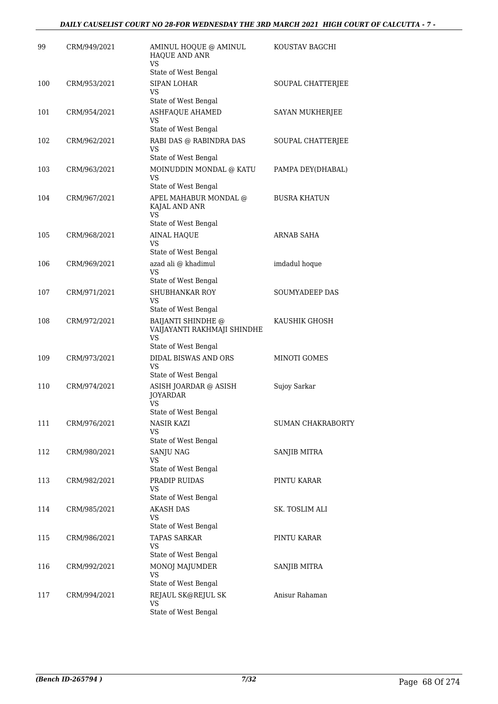| 99  | CRM/949/2021 | AMINUL HOQUE @ AMINUL<br>HAQUE AND ANR<br><b>VS</b>                                      | KOUSTAV BAGCHI           |
|-----|--------------|------------------------------------------------------------------------------------------|--------------------------|
| 100 | CRM/953/2021 | State of West Bengal<br><b>SIPAN LOHAR</b><br><b>VS</b>                                  | SOUPAL CHATTERJEE        |
| 101 | CRM/954/2021 | State of West Bengal<br><b>ASHFAQUE AHAMED</b><br><b>VS</b>                              | SAYAN MUKHERJEE          |
| 102 | CRM/962/2021 | State of West Bengal<br>RABI DAS @ RABINDRA DAS                                          | SOUPAL CHATTERJEE        |
| 103 | CRM/963/2021 | VS<br>State of West Bengal<br>MOINUDDIN MONDAL @ KATU                                    | PAMPA DEY(DHABAL)        |
| 104 | CRM/967/2021 | VS.<br>State of West Bengal<br>APEL MAHABUR MONDAL @                                     | <b>BUSRA KHATUN</b>      |
|     |              | KAJAL AND ANR<br><b>VS</b><br>State of West Bengal                                       |                          |
| 105 | CRM/968/2021 | <b>AINAL HAQUE</b><br><b>VS</b><br>State of West Bengal                                  | ARNAB SAHA               |
| 106 | CRM/969/2021 | azad ali @ khadimul<br><b>VS</b><br>State of West Bengal                                 | imdadul hoque            |
| 107 | CRM/971/2021 | SHUBHANKAR ROY<br>VS<br>State of West Bengal                                             | SOUMYADEEP DAS           |
| 108 | CRM/972/2021 | <b>BAIJANTI SHINDHE</b> @<br>VAIJAYANTI RAKHMAJI SHINDHE<br><b>VS</b>                    | KAUSHIK GHOSH            |
| 109 | CRM/973/2021 | State of West Bengal<br><b>DIDAL BISWAS AND ORS</b><br><b>VS</b><br>State of West Bengal | MINOTI GOMES             |
| 110 | CRM/974/2021 | ASISH JOARDAR @ ASISH<br><b>JOYARDAR</b><br><b>VS</b>                                    | Sujoy Sarkar             |
| 111 | CRM/976/2021 | State of West Bengal<br>NASIR KAZI<br>VS                                                 | <b>SUMAN CHAKRABORTY</b> |
| 112 | CRM/980/2021 | State of West Bengal<br><b>SANJU NAG</b><br><b>VS</b><br>State of West Bengal            | <b>SANJIB MITRA</b>      |
| 113 | CRM/982/2021 | PRADIP RUIDAS<br><b>VS</b><br>State of West Bengal                                       | PINTU KARAR              |
| 114 | CRM/985/2021 | <b>AKASH DAS</b><br>VS<br>State of West Bengal                                           | SK. TOSLIM ALI           |
| 115 | CRM/986/2021 | <b>TAPAS SARKAR</b><br>VS<br>State of West Bengal                                        | PINTU KARAR              |
| 116 | CRM/992/2021 | MONOJ MAJUMDER<br>VS<br>State of West Bengal                                             | <b>SANJIB MITRA</b>      |
| 117 | CRM/994/2021 | REJAUL SK@REJUL SK<br>VS<br>State of West Bengal                                         | Anisur Rahaman           |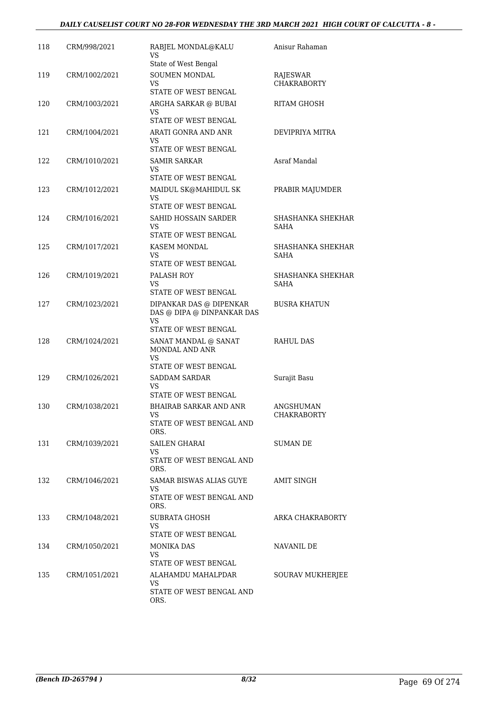#### *DAILY CAUSELIST COURT NO 28-FOR WEDNESDAY THE 3RD MARCH 2021 HIGH COURT OF CALCUTTA - 8 -*

| 118 | CRM/998/2021  | RABJEL MONDAL@KALU<br><b>VS</b>                                                                | Anisur Rahaman                          |
|-----|---------------|------------------------------------------------------------------------------------------------|-----------------------------------------|
| 119 | CRM/1002/2021 | State of West Bengal<br>SOUMEN MONDAL<br>VS.<br>STATE OF WEST BENGAL                           | RAJESWAR<br><b>CHAKRABORTY</b>          |
| 120 | CRM/1003/2021 | ARGHA SARKAR @ BUBAI<br>VS                                                                     | RITAM GHOSH                             |
| 121 | CRM/1004/2021 | STATE OF WEST BENGAL<br>ARATI GONRA AND ANR<br>VS                                              | DEVIPRIYA MITRA                         |
| 122 | CRM/1010/2021 | STATE OF WEST BENGAL<br><b>SAMIR SARKAR</b><br>VS                                              | Asraf Mandal                            |
| 123 | CRM/1012/2021 | STATE OF WEST BENGAL<br>MAIDUL SK@MAHIDUL SK<br><b>VS</b><br>STATE OF WEST BENGAL              | PRABIR MAJUMDER                         |
| 124 | CRM/1016/2021 | SAHID HOSSAIN SARDER<br>VS<br>STATE OF WEST BENGAL                                             | SHASHANKA SHEKHAR<br><b>SAHA</b>        |
| 125 | CRM/1017/2021 | KASEM MONDAL<br>VS                                                                             | <b>SHASHANKA SHEKHAR</b><br><b>SAHA</b> |
| 126 | CRM/1019/2021 | STATE OF WEST BENGAL<br>PALASH ROY<br>VS<br>STATE OF WEST BENGAL                               | SHASHANKA SHEKHAR<br><b>SAHA</b>        |
| 127 | CRM/1023/2021 | DIPANKAR DAS @ DIPENKAR<br>DAS @ DIPA @ DINPANKAR DAS<br><b>VS</b>                             | <b>BUSRA KHATUN</b>                     |
| 128 | CRM/1024/2021 | STATE OF WEST BENGAL<br>SANAT MANDAL @ SANAT<br>MONDAL AND ANR<br>VS                           | <b>RAHUL DAS</b>                        |
| 129 | CRM/1026/2021 | STATE OF WEST BENGAL<br><b>SADDAM SARDAR</b><br>VS                                             | Surajit Basu                            |
| 130 | CRM/1038/2021 | STATE OF WEST BENGAL<br><b>BHAIRAB SARKAR AND ANR</b><br><b>VS</b><br>STATE OF WEST BENGAL AND | ANGSHUMAN<br>CHAKRABORTY                |
| 131 | CRM/1039/2021 | ORS.<br>SAILEN GHARAI<br>VS.<br>STATE OF WEST BENGAL AND                                       | SUMAN DE                                |
| 132 | CRM/1046/2021 | ORS.<br>SAMAR BISWAS ALIAS GUYE<br>VS.<br>STATE OF WEST BENGAL AND                             | AMIT SINGH                              |
| 133 | CRM/1048/2021 | ORS.<br><b>SUBRATA GHOSH</b><br>VS<br>STATE OF WEST BENGAL                                     | ARKA CHAKRABORTY                        |
| 134 | CRM/1050/2021 | <b>MONIKA DAS</b><br>VS.                                                                       | NAVANIL DE                              |
| 135 | CRM/1051/2021 | STATE OF WEST BENGAL<br>ALAHAMDU MAHALPDAR<br>VS.<br>STATE OF WEST BENGAL AND<br>ORS.          | SOURAV MUKHERJEE                        |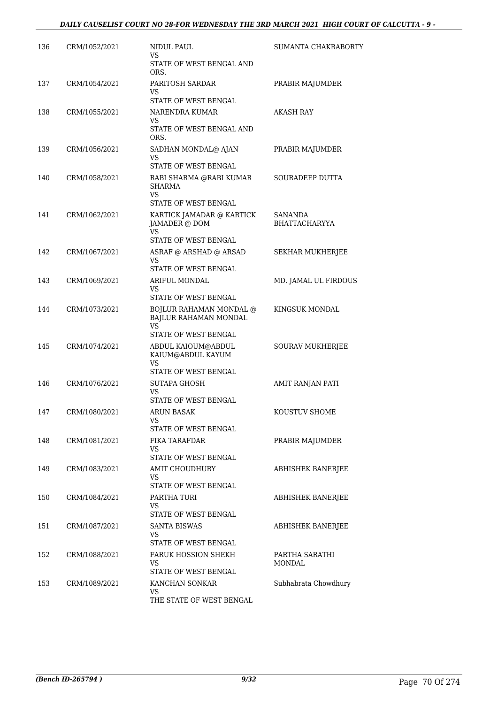| 136 | CRM/1052/2021 | NIDUL PAUL<br>VS.                                                              | SUMANTA CHAKRABORTY             |
|-----|---------------|--------------------------------------------------------------------------------|---------------------------------|
|     |               | STATE OF WEST BENGAL AND<br>ORS.                                               |                                 |
| 137 | CRM/1054/2021 | PARITOSH SARDAR<br>VS<br>STATE OF WEST BENGAL                                  | PRABIR MAJUMDER                 |
| 138 | CRM/1055/2021 | NARENDRA KUMAR                                                                 | <b>AKASH RAY</b>                |
|     |               | VS<br>STATE OF WEST BENGAL AND<br>ORS.                                         |                                 |
| 139 | CRM/1056/2021 | SADHAN MONDAL@ AJAN<br>VS<br>STATE OF WEST BENGAL                              | PRABIR MAJUMDER                 |
| 140 | CRM/1058/2021 | RABI SHARMA @RABI KUMAR<br><b>SHARMA</b><br>VS.                                | SOURADEEP DUTTA                 |
| 141 | CRM/1062/2021 | STATE OF WEST BENGAL<br>KARTICK JAMADAR @ KARTICK<br>JAMADER @ DOM<br>VS       | SANANDA<br><b>BHATTACHARYYA</b> |
| 142 | CRM/1067/2021 | STATE OF WEST BENGAL<br>ASRAF @ ARSHAD @ ARSAD<br>VS                           | SEKHAR MUKHERJEE                |
| 143 | CRM/1069/2021 | STATE OF WEST BENGAL<br>ARIFUL MONDAL                                          | MD. JAMAL UL FIRDOUS            |
|     |               | VS<br>STATE OF WEST BENGAL                                                     |                                 |
| 144 | CRM/1073/2021 | BOJLUR RAHAMAN MONDAL @<br>BAJLUR RAHAMAN MONDAL<br>VS<br>STATE OF WEST BENGAL | KINGSUK MONDAL                  |
| 145 | CRM/1074/2021 | ABDUL KAIOUM@ABDUL<br>KAIUM@ABDUL KAYUM<br><b>VS</b><br>STATE OF WEST BENGAL   | SOURAV MUKHERJEE                |
| 146 | CRM/1076/2021 | <b>SUTAPA GHOSH</b><br>VS                                                      | AMIT RANJAN PATI                |
| 147 | CRM/1080/2021 | STATE OF WEST BENGAL<br><b>ARUN BASAK</b><br>VS<br>STATE OF WEST BENGAL        | KOUSTUV SHOME                   |
| 148 | CRM/1081/2021 | FIKA TARAFDAR<br>VS<br>STATE OF WEST BENGAL                                    | PRABIR MAJUMDER                 |
| 149 | CRM/1083/2021 | AMIT CHOUDHURY<br>VS<br>STATE OF WEST BENGAL                                   | ABHISHEK BANERJEE               |
| 150 | CRM/1084/2021 | PARTHA TURI<br>VS<br>STATE OF WEST BENGAL                                      | ABHISHEK BANERJEE               |
| 151 | CRM/1087/2021 | SANTA BISWAS<br>VS<br>STATE OF WEST BENGAL                                     | ABHISHEK BANERJEE               |
| 152 | CRM/1088/2021 | FARUK HOSSION SHEKH<br>VS<br>STATE OF WEST BENGAL                              | PARTHA SARATHI<br><b>MONDAL</b> |
| 153 | CRM/1089/2021 | KANCHAN SONKAR<br>VS<br>THE STATE OF WEST BENGAL                               | Subhabrata Chowdhury            |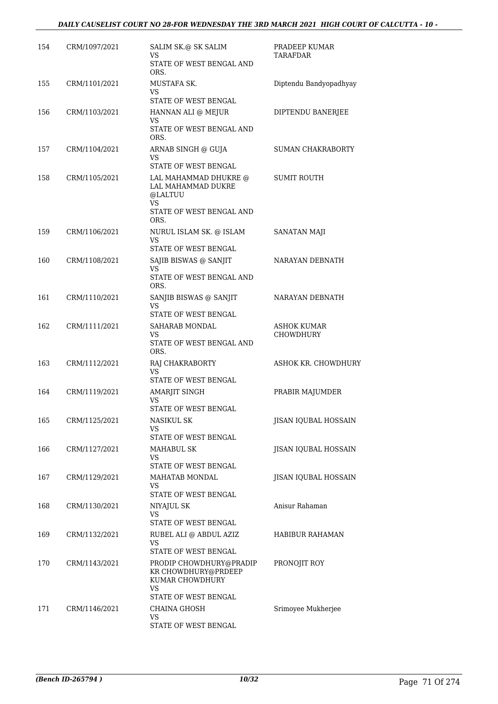#### *DAILY CAUSELIST COURT NO 28-FOR WEDNESDAY THE 3RD MARCH 2021 HIGH COURT OF CALCUTTA - 10 -*

| 154 | CRM/1097/2021 | SALIM SK.@ SK SALIM<br>VS                                                                         | PRADEEP KUMAR<br><b>TARAFDAR</b> |
|-----|---------------|---------------------------------------------------------------------------------------------------|----------------------------------|
|     |               | STATE OF WEST BENGAL AND<br>ORS.                                                                  |                                  |
| 155 | CRM/1101/2021 | MUSTAFA SK.<br><b>VS</b><br>STATE OF WEST BENGAL                                                  | Diptendu Bandyopadhyay           |
| 156 | CRM/1103/2021 | HANNAN ALI @ MEJUR                                                                                | DIPTENDU BANERJEE                |
|     |               | VS                                                                                                |                                  |
|     |               | STATE OF WEST BENGAL AND<br>ORS.                                                                  |                                  |
| 157 | CRM/1104/2021 | ARNAB SINGH @ GUJA                                                                                | <b>SUMAN CHAKRABORTY</b>         |
|     |               | VS<br>STATE OF WEST BENGAL                                                                        |                                  |
| 158 | CRM/1105/2021 | LAL MAHAMMAD DHUKRE @<br>LAL MAHAMMAD DUKRE<br>@LALTUU<br>VS.<br>STATE OF WEST BENGAL AND<br>ORS. | <b>SUMIT ROUTH</b>               |
| 159 | CRM/1106/2021 | NURUL ISLAM SK. @ ISLAM                                                                           | SANATAN MAJI                     |
|     |               | <b>VS</b><br>STATE OF WEST BENGAL                                                                 |                                  |
| 160 | CRM/1108/2021 | SAJIB BISWAS @ SANJIT                                                                             | NARAYAN DEBNATH                  |
|     |               | VS                                                                                                |                                  |
|     |               | STATE OF WEST BENGAL AND<br>ORS.                                                                  |                                  |
| 161 | CRM/1110/2021 | SANJIB BISWAS @ SANJIT                                                                            | NARAYAN DEBNATH                  |
|     |               | VS<br>STATE OF WEST BENGAL                                                                        |                                  |
| 162 | CRM/1111/2021 | SAHARAB MONDAL                                                                                    | <b>ASHOK KUMAR</b>               |
|     |               | VS.                                                                                               | <b>CHOWDHURY</b>                 |
|     |               | STATE OF WEST BENGAL AND<br>ORS.                                                                  |                                  |
| 163 | CRM/1112/2021 | RAJ CHAKRABORTY<br>VS.                                                                            | ASHOK KR. CHOWDHURY              |
| 164 | CRM/1119/2021 | STATE OF WEST BENGAL<br>AMARJIT SINGH                                                             | PRABIR MAJUMDER                  |
|     |               | VS<br>STATE OF WEST BENGAL                                                                        |                                  |
| 165 | CRM/1125/2021 | <b>NASIKUL SK</b>                                                                                 | JISAN IQUBAL HOSSAIN             |
|     |               | VS.<br>STATE OF WEST BENGAL                                                                       |                                  |
| 166 | CRM/1127/2021 | <b>MAHABUL SK</b>                                                                                 | JISAN IQUBAL HOSSAIN             |
|     |               | VS                                                                                                |                                  |
|     |               | STATE OF WEST BENGAL                                                                              |                                  |
| 167 | CRM/1129/2021 | MAHATAB MONDAL<br>VS<br>STATE OF WEST BENGAL                                                      | JISAN IQUBAL HOSSAIN             |
| 168 | CRM/1130/2021 | NIYAJUL SK                                                                                        | Anisur Rahaman                   |
|     |               | VS                                                                                                |                                  |
|     |               | STATE OF WEST BENGAL                                                                              |                                  |
| 169 | CRM/1132/2021 | RUBEL ALI @ ABDUL AZIZ<br>VS.                                                                     | HABIBUR RAHAMAN                  |
|     |               | STATE OF WEST BENGAL                                                                              |                                  |
| 170 | CRM/1143/2021 | PRODIP CHOWDHURY@PRADIP<br>KR CHOWDHURY@PRDEEP<br>KUMAR CHOWDHURY<br><b>VS</b>                    | PRONOJIT ROY                     |
|     |               | STATE OF WEST BENGAL                                                                              |                                  |
| 171 | CRM/1146/2021 | <b>CHAINA GHOSH</b><br>VS                                                                         | Srimoyee Mukherjee               |
|     |               | STATE OF WEST BENGAL                                                                              |                                  |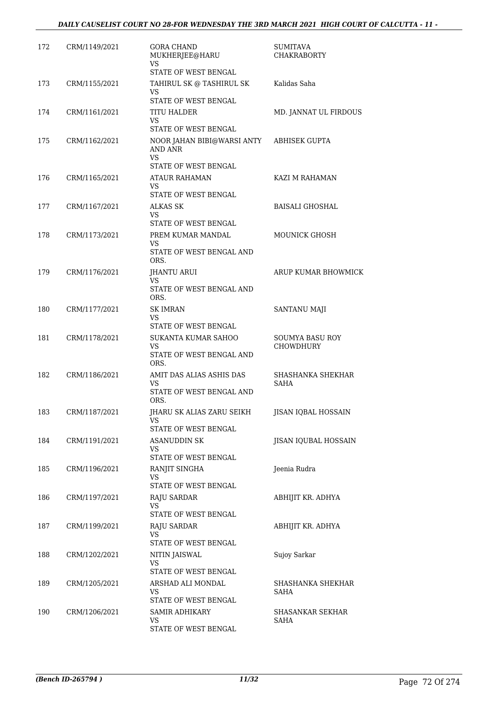| 172 | CRM/1149/2021 | <b>GORA CHAND</b><br>MUKHERJEE@HARU<br><b>VS</b>                    | <b>SUMITAVA</b><br><b>CHAKRABORTY</b>      |
|-----|---------------|---------------------------------------------------------------------|--------------------------------------------|
|     |               | <b>STATE OF WEST BENGAL</b>                                         |                                            |
| 173 | CRM/1155/2021 | TAHIRUL SK @ TASHIRUL SK<br>VS<br>STATE OF WEST BENGAL              | Kalidas Saha                               |
| 174 | CRM/1161/2021 | <b>TITU HALDER</b><br>VS                                            | MD. JANNAT UL FIRDOUS                      |
| 175 | CRM/1162/2021 | STATE OF WEST BENGAL<br>NOOR JAHAN BIBI@WARSI ANTY<br>AND ANR<br>VS | <b>ABHISEK GUPTA</b>                       |
| 176 | CRM/1165/2021 | STATE OF WEST BENGAL<br>ATAUR RAHAMAN<br>VS                         | KAZI M RAHAMAN                             |
|     |               | STATE OF WEST BENGAL                                                |                                            |
| 177 | CRM/1167/2021 | <b>ALKAS SK</b><br>VS.<br>STATE OF WEST BENGAL                      | <b>BAISALI GHOSHAL</b>                     |
| 178 | CRM/1173/2021 | PREM KUMAR MANDAL<br>VS<br>STATE OF WEST BENGAL AND<br>ORS.         | <b>MOUNICK GHOSH</b>                       |
| 179 | CRM/1176/2021 | <b>JHANTU ARUI</b><br>VS.<br>STATE OF WEST BENGAL AND               | ARUP KUMAR BHOWMICK                        |
| 180 | CRM/1177/2021 | ORS.<br><b>SK IMRAN</b><br>VS                                       | SANTANU MAJI                               |
| 181 | CRM/1178/2021 | STATE OF WEST BENGAL<br>SUKANTA KUMAR SAHOO<br>VS                   | <b>SOUMYA BASU ROY</b><br><b>CHOWDHURY</b> |
|     |               | STATE OF WEST BENGAL AND<br>ORS.                                    |                                            |
| 182 | CRM/1186/2021 | AMIT DAS ALIAS ASHIS DAS<br>VS                                      | SHASHANKA SHEKHAR<br><b>SAHA</b>           |
|     |               | STATE OF WEST BENGAL AND<br>ORS.                                    |                                            |
| 183 | CRM/1187/2021 | JHARU SK ALIAS ZARU SEIKH<br>VS<br>STATE OF WEST BENGAL             | JISAN IQBAL HOSSAIN                        |
| 184 | CRM/1191/2021 | <b>ASANUDDIN SK</b><br>VS                                           | JISAN IQUBAL HOSSAIN                       |
|     |               | STATE OF WEST BENGAL                                                |                                            |
| 185 | CRM/1196/2021 | RANJIT SINGHA<br>VS<br>STATE OF WEST BENGAL                         | Jeenia Rudra                               |
| 186 | CRM/1197/2021 | RAJU SARDAR<br>VS<br>STATE OF WEST BENGAL                           | ABHIJIT KR. ADHYA                          |
| 187 | CRM/1199/2021 | RAJU SARDAR<br>VS                                                   | ABHIJIT KR. ADHYA                          |
| 188 | CRM/1202/2021 | STATE OF WEST BENGAL<br>NITIN JAISWAL<br>VS<br>STATE OF WEST BENGAL | Sujoy Sarkar                               |
| 189 | CRM/1205/2021 | ARSHAD ALI MONDAL<br>VS.<br>STATE OF WEST BENGAL                    | SHASHANKA SHEKHAR<br>SAHA                  |
| 190 | CRM/1206/2021 | <b>SAMIR ADHIKARY</b><br>VS<br>STATE OF WEST BENGAL                 | SHASANKAR SEKHAR<br>SAHA                   |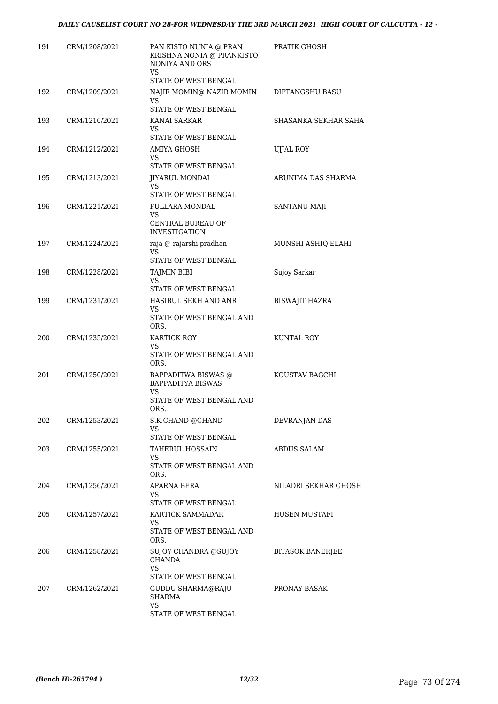| 191 | CRM/1208/2021 | PAN KISTO NUNIA @ PRAN<br>KRISHNA NONIA @ PRANKISTO<br>NONIYA AND ORS<br>VS. | PRATIK GHOSH            |
|-----|---------------|------------------------------------------------------------------------------|-------------------------|
|     |               | STATE OF WEST BENGAL                                                         |                         |
| 192 | CRM/1209/2021 | NAJIR MOMIN@ NAZIR MOMIN<br>VS.                                              | <b>DIPTANGSHU BASU</b>  |
| 193 | CRM/1210/2021 | STATE OF WEST BENGAL<br>KANAI SARKAR<br>VS.                                  | SHASANKA SEKHAR SAHA    |
|     |               | STATE OF WEST BENGAL                                                         |                         |
| 194 | CRM/1212/2021 | AMIYA GHOSH<br>VS                                                            | UJJAL ROY               |
|     |               | STATE OF WEST BENGAL                                                         |                         |
| 195 | CRM/1213/2021 | JIYARUL MONDAL<br>VS.<br>STATE OF WEST BENGAL                                | ARUNIMA DAS SHARMA      |
| 196 | CRM/1221/2021 | <b>FULLARA MONDAL</b><br>VS.<br><b>CENTRAL BUREAU OF</b>                     | SANTANU MAJI            |
|     |               | <b>INVESTIGATION</b>                                                         |                         |
| 197 | CRM/1224/2021 | raja @ rajarshi pradhan<br><b>VS</b><br>STATE OF WEST BENGAL                 | MUNSHI ASHIQ ELAHI      |
| 198 | CRM/1228/2021 | TAJMIN BIBI                                                                  | Sujoy Sarkar            |
|     |               | <b>VS</b>                                                                    |                         |
|     |               | STATE OF WEST BENGAL                                                         |                         |
| 199 | CRM/1231/2021 | HASIBUL SEKH AND ANR<br>VS.<br>STATE OF WEST BENGAL AND<br>ORS.              | <b>BISWAJIT HAZRA</b>   |
| 200 | CRM/1235/2021 | <b>KARTICK ROY</b>                                                           | <b>KUNTAL ROY</b>       |
|     |               | VS<br>STATE OF WEST BENGAL AND<br>ORS.                                       |                         |
| 201 | CRM/1250/2021 | BAPPADITWA BISWAS @<br><b>BAPPADITYA BISWAS</b><br>VS                        | KOUSTAV BAGCHI          |
|     |               | STATE OF WEST BENGAL AND<br>ORS.                                             |                         |
| 202 | CRM/1253/2021 | S.K.CHAND @CHAND<br><b>VS</b><br>STATE OF WEST BENGAL                        | DEVRANJAN DAS           |
| 203 | CRM/1255/2021 | TAHERUL HOSSAIN                                                              | <b>ABDUS SALAM</b>      |
|     |               | VS<br>STATE OF WEST BENGAL AND<br>ORS.                                       |                         |
| 204 | CRM/1256/2021 | APARNA BERA                                                                  | NILADRI SEKHAR GHOSH    |
|     |               | VS.                                                                          |                         |
|     |               | STATE OF WEST BENGAL                                                         |                         |
| 205 | CRM/1257/2021 | KARTICK SAMMADAR<br>VS.<br>STATE OF WEST BENGAL AND<br>ORS.                  | HUSEN MUSTAFI           |
| 206 | CRM/1258/2021 | SUJOY CHANDRA @SUJOY                                                         | <b>BITASOK BANERJEE</b> |
|     |               | <b>CHANDA</b><br>VS.                                                         |                         |
|     |               | STATE OF WEST BENGAL                                                         |                         |
| 207 | CRM/1262/2021 | GUDDU SHARMA@RAJU<br><b>SHARMA</b><br><b>VS</b>                              | PRONAY BASAK            |
|     |               | STATE OF WEST BENGAL                                                         |                         |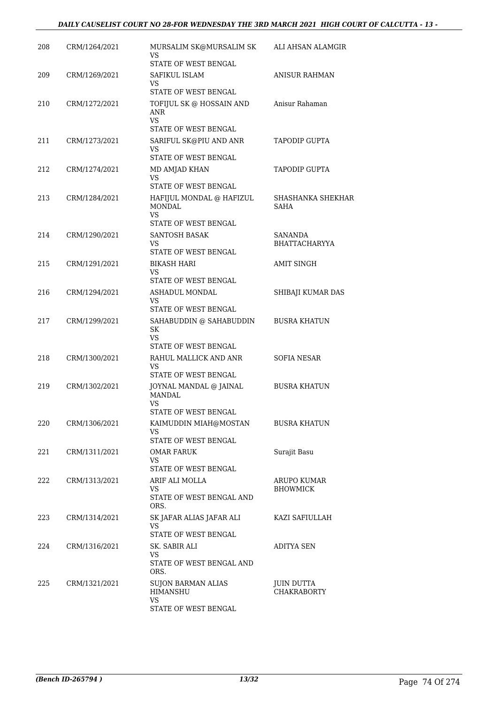### *DAILY CAUSELIST COURT NO 28-FOR WEDNESDAY THE 3RD MARCH 2021 HIGH COURT OF CALCUTTA - 13 -*

| 208 | CRM/1264/2021 | MURSALIM SK@MURSALIM SK<br>VS                                                | ALI AHSAN ALAMGIR                      |
|-----|---------------|------------------------------------------------------------------------------|----------------------------------------|
| 209 | CRM/1269/2021 | STATE OF WEST BENGAL<br>SAFIKUL ISLAM                                        | <b>ANISUR RAHMAN</b>                   |
|     |               | VS.<br>STATE OF WEST BENGAL                                                  |                                        |
| 210 | CRM/1272/2021 | TOFIJUL SK @ HOSSAIN AND<br>ANR                                              | Anisur Rahaman                         |
|     |               | <b>VS</b><br>STATE OF WEST BENGAL                                            |                                        |
| 211 | CRM/1273/2021 | SARIFUL SK@PIU AND ANR<br>VS<br>STATE OF WEST BENGAL                         | <b>TAPODIP GUPTA</b>                   |
| 212 | CRM/1274/2021 | MD AMJAD KHAN<br>VS.                                                         | <b>TAPODIP GUPTA</b>                   |
| 213 | CRM/1284/2021 | STATE OF WEST BENGAL<br>HAFIJUL MONDAL @ HAFIZUL<br><b>MONDAL</b><br>VS      | SHASHANKA SHEKHAR<br><b>SAHA</b>       |
|     |               | STATE OF WEST BENGAL                                                         |                                        |
| 214 | CRM/1290/2021 | <b>SANTOSH BASAK</b><br>VS<br>STATE OF WEST BENGAL                           | <b>SANANDA</b><br><b>BHATTACHARYYA</b> |
| 215 | CRM/1291/2021 | <b>BIKASH HARI</b><br>VS<br>STATE OF WEST BENGAL                             | <b>AMIT SINGH</b>                      |
| 216 | CRM/1294/2021 | ASHADUL MONDAL                                                               | SHIBAJI KUMAR DAS                      |
|     |               | VS<br>STATE OF WEST BENGAL                                                   |                                        |
| 217 | CRM/1299/2021 | SAHABUDDIN @ SAHABUDDIN<br><b>SK</b><br>VS.                                  | <b>BUSRA KHATUN</b>                    |
|     |               | STATE OF WEST BENGAL                                                         |                                        |
| 218 | CRM/1300/2021 | RAHUL MALLICK AND ANR<br>VS<br>STATE OF WEST BENGAL                          | SOFIA NESAR                            |
| 219 | CRM/1302/2021 | JOYNAL MANDAL @ JAINAL<br><b>MANDAL</b><br><b>VS</b><br>STATE OF WEST BENGAL | <b>BUSRA KHATUN</b>                    |
| 220 | CRM/1306/2021 | KAIMUDDIN MIAH@MOSTAN                                                        | <b>BUSRA KHATUN</b>                    |
|     |               | VS<br>STATE OF WEST BENGAL                                                   |                                        |
| 221 | CRM/1311/2021 | <b>OMAR FARUK</b>                                                            | Surajit Basu                           |
|     |               | <b>VS</b><br>STATE OF WEST BENGAL                                            |                                        |
| 222 | CRM/1313/2021 | ARIF ALI MOLLA                                                               | <b>ARUPO KUMAR</b>                     |
|     |               | <b>VS</b><br>STATE OF WEST BENGAL AND<br>ORS.                                | <b>BHOWMICK</b>                        |
| 223 | CRM/1314/2021 | SK JAFAR ALIAS JAFAR ALI<br>VS<br>STATE OF WEST BENGAL                       | KAZI SAFIULLAH                         |
| 224 | CRM/1316/2021 | SK. SABIR ALI                                                                | <b>ADITYA SEN</b>                      |
|     |               | VS<br>STATE OF WEST BENGAL AND<br>ORS.                                       |                                        |
| 225 | CRM/1321/2021 | <b>SUJON BARMAN ALIAS</b><br>HIMANSHU<br><b>VS</b>                           | JUIN DUTTA<br><b>CHAKRABORTY</b>       |
|     |               | STATE OF WEST BENGAL                                                         |                                        |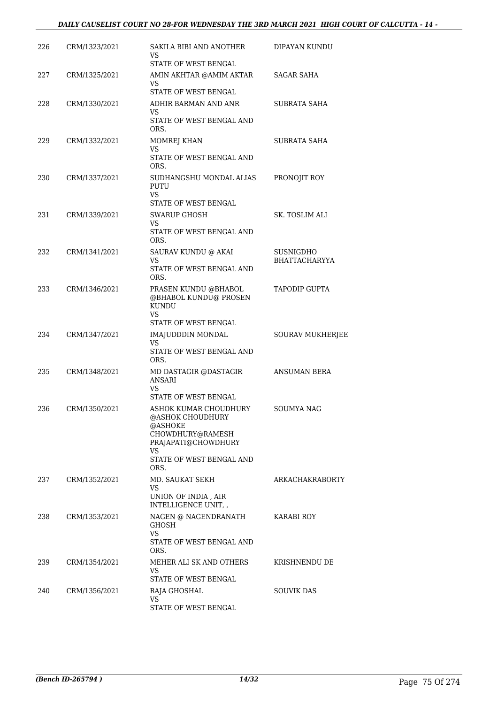| 226 | CRM/1323/2021 | SAKILA BIBI AND ANOTHER<br>VS                                            | DIPAYAN KUNDU                            |
|-----|---------------|--------------------------------------------------------------------------|------------------------------------------|
| 227 | CRM/1325/2021 | STATE OF WEST BENGAL<br>AMIN AKHTAR @AMIM AKTAR<br>VS                    | <b>SAGAR SAHA</b>                        |
|     |               | STATE OF WEST BENGAL                                                     |                                          |
| 228 | CRM/1330/2021 | ADHIR BARMAN AND ANR<br>VS.                                              | <b>SUBRATA SAHA</b>                      |
|     |               | STATE OF WEST BENGAL AND<br>ORS.                                         |                                          |
| 229 | CRM/1332/2021 | MOMREJ KHAN<br>VS                                                        | SUBRATA SAHA                             |
|     |               | STATE OF WEST BENGAL AND<br>ORS.                                         |                                          |
| 230 | CRM/1337/2021 | SUDHANGSHU MONDAL ALIAS<br>PUTU<br>VS                                    | PRONOJIT ROY                             |
|     |               | STATE OF WEST BENGAL                                                     |                                          |
| 231 | CRM/1339/2021 | <b>SWARUP GHOSH</b><br>VS                                                | <b>SK. TOSLIM ALI</b>                    |
|     |               | STATE OF WEST BENGAL AND<br>ORS.                                         |                                          |
| 232 | CRM/1341/2021 | SAURAV KUNDU @ AKAI<br>VS                                                | <b>SUSNIGDHO</b><br><b>BHATTACHARYYA</b> |
|     |               | STATE OF WEST BENGAL AND<br>ORS.                                         |                                          |
| 233 | CRM/1346/2021 | PRASEN KUNDU @BHABOL<br>@BHABOL KUNDU@ PROSEN<br><b>KUNDU</b><br>VS      | TAPODIP GUPTA                            |
|     |               | STATE OF WEST BENGAL                                                     |                                          |
| 234 | CRM/1347/2021 | IMAJUDDDIN MONDAL<br>VS                                                  | <b>SOURAV MUKHERJEE</b>                  |
|     |               | STATE OF WEST BENGAL AND<br>ORS.                                         |                                          |
| 235 | CRM/1348/2021 | MD DASTAGIR @DASTAGIR<br><b>ANSARI</b>                                   | <b>ANSUMAN BERA</b>                      |
|     |               | VS.<br><b>STATE OF WEST BENGAL</b>                                       |                                          |
| 236 | CRM/1350/2021 | ASHOK KUMAR CHOUDHURY<br>@ASHOK CHOUDHURY<br>@ASHOKE<br>CHOWDHURY@RAMESH | <b>SOUMYA NAG</b>                        |
|     |               | PRAJAPATI@CHOWDHURY<br>VS.                                               |                                          |
|     |               | STATE OF WEST BENGAL AND<br>ORS.                                         |                                          |
| 237 | CRM/1352/2021 | MD. SAUKAT SEKH<br><b>VS</b>                                             | ARKACHAKRABORTY                          |
|     |               | UNION OF INDIA, AIR<br>INTELLIGENCE UNIT,                                |                                          |
| 238 | CRM/1353/2021 | NAGEN @ NAGENDRANATH<br><b>GHOSH</b><br>VS                               | <b>KARABI ROY</b>                        |
|     |               | STATE OF WEST BENGAL AND<br>ORS.                                         |                                          |
| 239 | CRM/1354/2021 | MEHER ALI SK AND OTHERS<br>VS                                            | KRISHNENDU DE                            |
|     |               | STATE OF WEST BENGAL                                                     |                                          |
| 240 | CRM/1356/2021 | RAJA GHOSHAL<br>VS<br>STATE OF WEST BENGAL                               | SOUVIK DAS                               |
|     |               |                                                                          |                                          |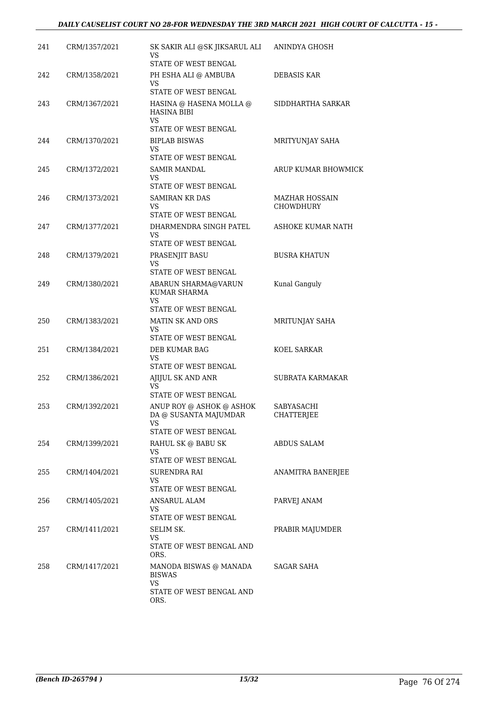#### *DAILY CAUSELIST COURT NO 28-FOR WEDNESDAY THE 3RD MARCH 2021 HIGH COURT OF CALCUTTA - 15 -*

| 241 | CRM/1357/2021 | SK SAKIR ALI @SK JIKSARUL ALI<br>VS<br>STATE OF WEST BENGAL                     | ANINDYA GHOSH                   |
|-----|---------------|---------------------------------------------------------------------------------|---------------------------------|
| 242 | CRM/1358/2021 | PH ESHA ALI @ AMBUBA<br>VS.                                                     | DEBASIS KAR                     |
|     |               | STATE OF WEST BENGAL                                                            |                                 |
| 243 | CRM/1367/2021 | HASINA @ HASENA MOLLA @<br><b>HASINA BIBI</b><br>VS                             | SIDDHARTHA SARKAR               |
|     |               | STATE OF WEST BENGAL                                                            |                                 |
| 244 | CRM/1370/2021 | <b>BIPLAB BISWAS</b><br>VS.<br>STATE OF WEST BENGAL                             | MRITYUNJAY SAHA                 |
| 245 | CRM/1372/2021 | <b>SAMIR MANDAL</b>                                                             | ARUP KUMAR BHOWMICK             |
|     |               | VS.<br>STATE OF WEST BENGAL                                                     |                                 |
| 246 | CRM/1373/2021 | <b>SAMIRAN KR DAS</b>                                                           | <b>MAZHAR HOSSAIN</b>           |
|     |               | VS<br>STATE OF WEST BENGAL                                                      | <b>CHOWDHURY</b>                |
| 247 | CRM/1377/2021 | DHARMENDRA SINGH PATEL<br>VS<br>STATE OF WEST BENGAL                            | ASHOKE KUMAR NATH               |
| 248 | CRM/1379/2021 | PRASENJIT BASU                                                                  | <b>BUSRA KHATUN</b>             |
|     |               | VS<br>STATE OF WEST BENGAL                                                      |                                 |
| 249 | CRM/1380/2021 | ABARUN SHARMA@VARUN<br><b>KUMAR SHARMA</b><br>VS                                | Kunal Ganguly                   |
|     |               | STATE OF WEST BENGAL                                                            |                                 |
| 250 | CRM/1383/2021 | <b>MATIN SK AND ORS</b><br>VS.<br>STATE OF WEST BENGAL                          | MRITUNJAY SAHA                  |
| 251 | CRM/1384/2021 | DEB KUMAR BAG                                                                   | KOEL SARKAR                     |
|     |               | <b>VS</b><br>STATE OF WEST BENGAL                                               |                                 |
| 252 | CRM/1386/2021 | AJIJUL SK AND ANR<br>VS                                                         | SUBRATA KARMAKAR                |
|     |               | STATE OF WEST BENGAL                                                            |                                 |
| 253 | CRM/1392/2021 | ANUP ROY @ ASHOK @ ASHOK<br>DA @ SUSANTA MAJUMDAR<br>VS<br>STATE OF WEST BENGAL | SABYASACHI<br><b>CHATTERJEE</b> |
| 254 | CRM/1399/2021 | RAHUL SK @ BABU SK                                                              | <b>ABDUS SALAM</b>              |
|     |               | VS.<br>STATE OF WEST BENGAL                                                     |                                 |
| 255 | CRM/1404/2021 | SURENDRA RAI<br>VS<br>STATE OF WEST BENGAL                                      | ANAMITRA BANERJEE               |
| 256 | CRM/1405/2021 | <b>ANSARUL ALAM</b>                                                             | PARVEJ ANAM                     |
|     |               | VS.<br>STATE OF WEST BENGAL                                                     |                                 |
| 257 | CRM/1411/2021 | SELIM SK.<br>VS.<br>STATE OF WEST BENGAL AND                                    | PRABIR MAJUMDER                 |
| 258 | CRM/1417/2021 | ORS.<br>MANODA BISWAS @ MANADA<br><b>BISWAS</b><br>VS.                          | SAGAR SAHA                      |
|     |               | STATE OF WEST BENGAL AND<br>ORS.                                                |                                 |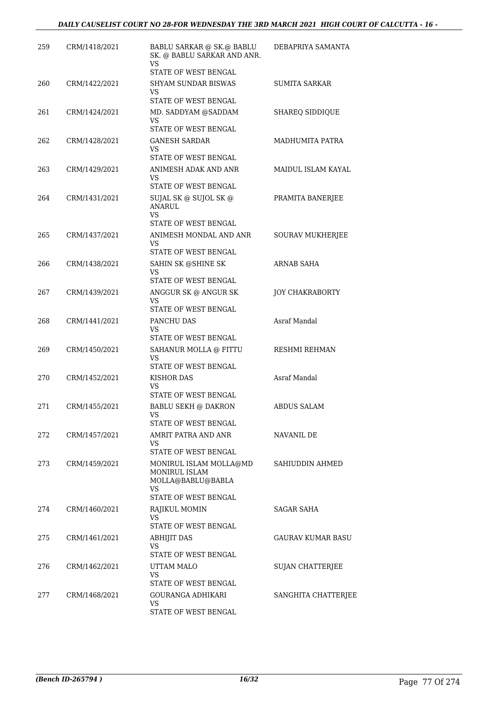| 259 | CRM/1418/2021 | <b>BABLU SARKAR @ SK.@ BABLU</b><br>SK. @ BABLU SARKAR AND ANR.<br>VS | DEBAPRIYA SAMANTA        |
|-----|---------------|-----------------------------------------------------------------------|--------------------------|
|     |               | STATE OF WEST BENGAL                                                  |                          |
| 260 | CRM/1422/2021 | <b>SHYAM SUNDAR BISWAS</b><br>VS<br>STATE OF WEST BENGAL              | SUMITA SARKAR            |
| 261 | CRM/1424/2021 | MD. SADDYAM @SADDAM                                                   | <b>SHAREQ SIDDIQUE</b>   |
|     |               | VS                                                                    |                          |
|     |               | STATE OF WEST BENGAL                                                  |                          |
| 262 | CRM/1428/2021 | GANESH SARDAR<br>VS<br>STATE OF WEST BENGAL                           | MADHUMITA PATRA          |
| 263 | CRM/1429/2021 | ANIMESH ADAK AND ANR                                                  | MAIDUL ISLAM KAYAL       |
|     |               | VS<br>STATE OF WEST BENGAL                                            |                          |
| 264 | CRM/1431/2021 | SUJAL SK @ SUJOL SK @<br><b>ANARUL</b><br>VS<br>STATE OF WEST BENGAL  | PRAMITA BANERJEE         |
|     |               |                                                                       |                          |
| 265 | CRM/1437/2021 | ANIMESH MONDAL AND ANR<br>VS                                          | <b>SOURAV MUKHERJEE</b>  |
|     |               | STATE OF WEST BENGAL                                                  |                          |
| 266 | CRM/1438/2021 | SAHIN SK @SHINE SK<br>VS                                              | ARNAB SAHA               |
|     |               | STATE OF WEST BENGAL                                                  |                          |
| 267 | CRM/1439/2021 | ANGGUR SK @ ANGUR SK<br>VS.<br>STATE OF WEST BENGAL                   | <b>JOY CHAKRABORTY</b>   |
| 268 | CRM/1441/2021 | PANCHU DAS                                                            | Asraf Mandal             |
|     |               | VS                                                                    |                          |
|     |               | STATE OF WEST BENGAL                                                  |                          |
| 269 | CRM/1450/2021 | SAHANUR MOLLA @ FITTU<br>VS<br>STATE OF WEST BENGAL                   | RESHMI REHMAN            |
| 270 | CRM/1452/2021 | KISHOR DAS                                                            | Asraf Mandal             |
|     |               | VS<br>STATE OF WEST BENGAL                                            |                          |
| 271 | CRM/1455/2021 | <b>BABLU SEKH @ DAKRON</b>                                            | <b>ABDUS SALAM</b>       |
|     |               | VS.<br>STATE OF WEST BENGAL                                           |                          |
| 272 | CRM/1457/2021 | AMRIT PATRA AND ANR                                                   | NAVANIL DE               |
|     |               | VS<br>STATE OF WEST BENGAL                                            |                          |
| 273 | CRM/1459/2021 | MONIRUL ISLAM MOLLA@MD                                                | SAHIUDDIN AHMED          |
|     |               | MONIRUL ISLAM<br>MOLLA@BABLU@BABLA<br>VS                              |                          |
|     |               | STATE OF WEST BENGAL                                                  |                          |
| 274 | CRM/1460/2021 | RAJIKUL MOMIN<br>VS.                                                  | SAGAR SAHA               |
|     |               | STATE OF WEST BENGAL                                                  |                          |
| 275 | CRM/1461/2021 | <b>ABHIJIT DAS</b>                                                    | <b>GAURAV KUMAR BASU</b> |
|     |               | VS<br>STATE OF WEST BENGAL                                            |                          |
| 276 | CRM/1462/2021 | UTTAM MALO                                                            | SUJAN CHATTERJEE         |
|     |               | VS                                                                    |                          |
|     |               | STATE OF WEST BENGAL                                                  |                          |
| 277 | CRM/1468/2021 | GOURANGA ADHIKARI<br>VS                                               | SANGHITA CHATTERJEE      |
|     |               | STATE OF WEST BENGAL                                                  |                          |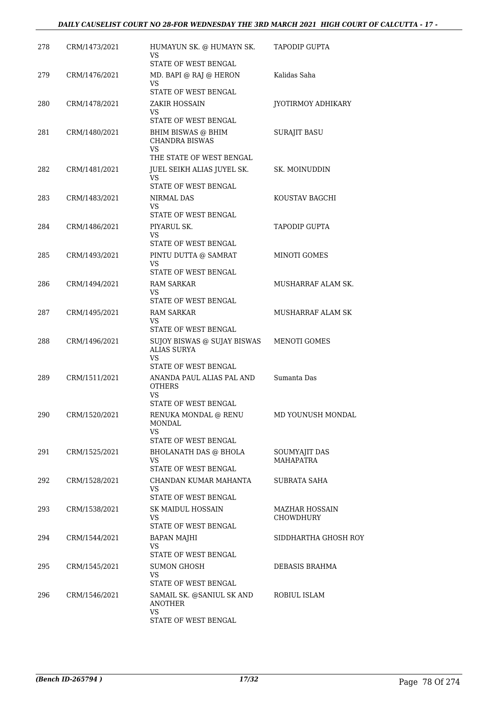| 278 | CRM/1473/2021 | HUMAYUN SK. @ HUMAYN SK.<br>VS<br>STATE OF WEST BENGAL                                                         | TAPODIP GUPTA                             |
|-----|---------------|----------------------------------------------------------------------------------------------------------------|-------------------------------------------|
| 279 | CRM/1476/2021 | MD. BAPI @ RAJ @ HERON<br><b>VS</b><br>STATE OF WEST BENGAL                                                    | Kalidas Saha                              |
| 280 | CRM/1478/2021 | ZAKIR HOSSAIN<br>VS.                                                                                           | JYOTIRMOY ADHIKARY                        |
| 281 | CRM/1480/2021 | STATE OF WEST BENGAL<br>BHIM BISWAS @ BHIM<br><b>CHANDRA BISWAS</b><br><b>VS</b>                               | <b>SURAJIT BASU</b>                       |
| 282 | CRM/1481/2021 | THE STATE OF WEST BENGAL<br>JUEL SEIKH ALIAS JUYEL SK.<br>VS.<br>STATE OF WEST BENGAL                          | SK. MOINUDDIN                             |
| 283 | CRM/1483/2021 | NIRMAL DAS<br><b>VS</b>                                                                                        | KOUSTAV BAGCHI                            |
| 284 | CRM/1486/2021 | STATE OF WEST BENGAL<br>PIYARUL SK.<br>VS<br>STATE OF WEST BENGAL                                              | <b>TAPODIP GUPTA</b>                      |
| 285 | CRM/1493/2021 | PINTU DUTTA @ SAMRAT<br>VS<br>STATE OF WEST BENGAL                                                             | MINOTI GOMES                              |
| 286 | CRM/1494/2021 | <b>RAM SARKAR</b><br><b>VS</b><br>STATE OF WEST BENGAL                                                         | MUSHARRAF ALAM SK.                        |
| 287 | CRM/1495/2021 | <b>RAM SARKAR</b><br>VS                                                                                        | MUSHARRAF ALAM SK                         |
| 288 | CRM/1496/2021 | STATE OF WEST BENGAL<br>SUJOY BISWAS @ SUJAY BISWAS<br><b>ALIAS SURYA</b><br><b>VS</b><br>STATE OF WEST BENGAL | MENOTI GOMES                              |
| 289 | CRM/1511/2021 | ANANDA PAUL ALIAS PAL AND<br><b>OTHERS</b><br>VS.                                                              | Sumanta Das                               |
| 290 | CRM/1520/2021 | STATE OF WEST BENGAL<br>RENUKA MONDAL @ RENU<br><b>MONDAL</b><br>VS.                                           | MD YOUNUSH MONDAL                         |
| 291 | CRM/1525/2021 | STATE OF WEST BENGAL<br><b>BHOLANATH DAS @ BHOLA</b><br>VS.<br>STATE OF WEST BENGAL                            | SOUMYAJIT DAS<br><b>MAHAPATRA</b>         |
| 292 | CRM/1528/2021 | CHANDAN KUMAR MAHANTA<br>VS.<br>STATE OF WEST BENGAL                                                           | SUBRATA SAHA                              |
| 293 | CRM/1538/2021 | SK MAIDUL HOSSAIN<br>VS.<br>STATE OF WEST BENGAL                                                               | <b>MAZHAR HOSSAIN</b><br><b>CHOWDHURY</b> |
| 294 | CRM/1544/2021 | <b>BAPAN MAJHI</b><br><b>VS</b><br>STATE OF WEST BENGAL                                                        | SIDDHARTHA GHOSH ROY                      |
| 295 | CRM/1545/2021 | <b>SUMON GHOSH</b><br>VS.<br>STATE OF WEST BENGAL                                                              | DEBASIS BRAHMA                            |
| 296 | CRM/1546/2021 | SAMAIL SK. @SANIUL SK AND<br><b>ANOTHER</b><br><b>VS</b><br>STATE OF WEST BENGAL                               | ROBIUL ISLAM                              |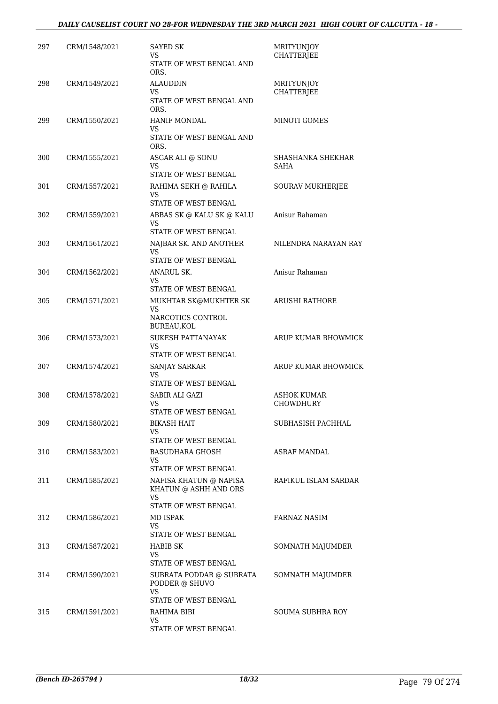| 297 | CRM/1548/2021 | <b>SAYED SK</b><br>VS<br>STATE OF WEST BENGAL AND  | MRITYUNJOY<br><b>CHATTERJEE</b> |
|-----|---------------|----------------------------------------------------|---------------------------------|
|     |               | ORS.                                               |                                 |
| 298 | CRM/1549/2021 | <b>ALAUDDIN</b><br>VS                              | MRITYUNJOY<br><b>CHATTERJEE</b> |
|     |               | STATE OF WEST BENGAL AND<br>ORS.                   |                                 |
| 299 | CRM/1550/2021 | HANIF MONDAL<br>VS                                 | MINOTI GOMES                    |
|     |               | STATE OF WEST BENGAL AND<br>ORS.                   |                                 |
| 300 | CRM/1555/2021 | ASGAR ALI @ SONU<br>VS                             | SHASHANKA SHEKHAR<br>SAHA       |
|     |               | STATE OF WEST BENGAL                               |                                 |
| 301 | CRM/1557/2021 | RAHIMA SEKH @ RAHILA<br>VS<br>STATE OF WEST BENGAL | SOURAV MUKHERJEE                |
| 302 | CRM/1559/2021 | ABBAS SK @ KALU SK @ KALU                          | Anisur Rahaman                  |
|     |               | VS<br>STATE OF WEST BENGAL                         |                                 |
| 303 | CRM/1561/2021 | NAJBAR SK. AND ANOTHER                             | NILENDRA NARAYAN RAY            |
|     |               | VS.                                                |                                 |
| 304 | CRM/1562/2021 | STATE OF WEST BENGAL<br>ANARUL SK.                 | Anisur Rahaman                  |
|     |               | VS                                                 |                                 |
| 305 | CRM/1571/2021 | STATE OF WEST BENGAL<br>MUKHTAR SK@MUKHTER SK      | <b>ARUSHI RATHORE</b>           |
|     |               | VS                                                 |                                 |
|     |               | NARCOTICS CONTROL<br>BUREAU, KOL                   |                                 |
| 306 | CRM/1573/2021 | <b>SUKESH PATTANAYAK</b>                           | ARUP KUMAR BHOWMICK             |
|     |               | VS<br>STATE OF WEST BENGAL                         |                                 |
| 307 | CRM/1574/2021 | SANJAY SARKAR                                      | ARUP KUMAR BHOWMICK             |
|     |               | VS<br>STATE OF WEST BENGAL                         |                                 |
| 308 | CRM/1578/2021 | SABIR ALI GAZI                                     | <b>ASHOK KUMAR</b>              |
|     |               | VS<br>STATE OF WEST BENGAL                         | <b>CHOWDHURY</b>                |
| 309 | CRM/1580/2021 | <b>BIKASH HAIT</b>                                 | SUBHASISH PACHHAL               |
|     |               | <b>VS</b><br>STATE OF WEST BENGAL                  |                                 |
| 310 | CRM/1583/2021 | <b>BASUDHARA GHOSH</b>                             | ASRAF MANDAL                    |
|     |               | <b>VS</b><br>STATE OF WEST BENGAL                  |                                 |
| 311 | CRM/1585/2021 | NAFISA KHATUN @ NAPISA                             | RAFIKUL ISLAM SARDAR            |
|     |               | KHATUN @ ASHH AND ORS<br>VS.                       |                                 |
|     |               | STATE OF WEST BENGAL                               |                                 |
| 312 | CRM/1586/2021 | MD ISPAK<br>VS.                                    | <b>FARNAZ NASIM</b>             |
|     |               | STATE OF WEST BENGAL                               |                                 |
| 313 | CRM/1587/2021 | HABIB SK<br>VS                                     | SOMNATH MAJUMDER                |
|     |               | STATE OF WEST BENGAL                               |                                 |
| 314 | CRM/1590/2021 | SUBRATA PODDAR @ SUBRATA<br>PODDER @ SHUVO<br>VS.  | SOMNATH MAJUMDER                |
|     |               | STATE OF WEST BENGAL                               |                                 |
| 315 | CRM/1591/2021 | RAHIMA BIBI<br>VS.                                 | <b>SOUMA SUBHRA ROY</b>         |
|     |               | STATE OF WEST BENGAL                               |                                 |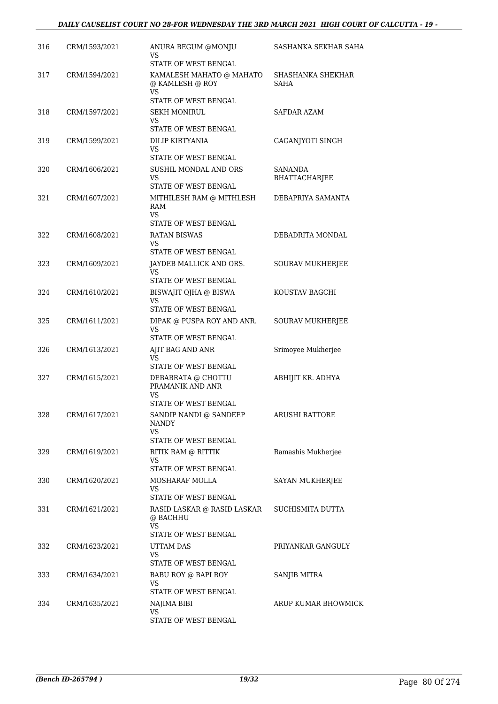| 316 | CRM/1593/2021 | ANURA BEGUM @MONJU<br>VS<br>STATE OF WEST BENGAL                                            | SASHANKA SEKHAR SAHA      |
|-----|---------------|---------------------------------------------------------------------------------------------|---------------------------|
| 317 | CRM/1594/2021 | KAMALESH MAHATO @ MAHATO<br>@ KAMLESH @ ROY<br>VS<br>STATE OF WEST BENGAL                   | SHASHANKA SHEKHAR<br>SAHA |
| 318 | CRM/1597/2021 | <b>SEKH MONIRUL</b><br>VS<br>STATE OF WEST BENGAL                                           | SAFDAR AZAM               |
| 319 | CRM/1599/2021 | DILIP KIRTYANIA<br>VS<br>STATE OF WEST BENGAL                                               | GAGANJYOTI SINGH          |
| 320 | CRM/1606/2021 | SUSHIL MONDAL AND ORS<br>VS<br>STATE OF WEST BENGAL                                         | SANANDA<br>BHATTACHARJEE  |
| 321 | CRM/1607/2021 | MITHILESH RAM @ MITHLESH<br>RAM<br>VS                                                       | DEBAPRIYA SAMANTA         |
| 322 | CRM/1608/2021 | STATE OF WEST BENGAL<br><b>RATAN BISWAS</b><br>VS                                           | DEBADRITA MONDAL          |
| 323 | CRM/1609/2021 | <b>STATE OF WEST BENGAL</b><br>JAYDEB MALLICK AND ORS.<br><b>VS</b><br>STATE OF WEST BENGAL | <b>SOURAV MUKHERJEE</b>   |
| 324 | CRM/1610/2021 | BISWAJIT OJHA @ BISWA<br>VS<br>STATE OF WEST BENGAL                                         | KOUSTAV BAGCHI            |
| 325 | CRM/1611/2021 | DIPAK @ PUSPA ROY AND ANR.<br>VS<br>STATE OF WEST BENGAL                                    | SOURAV MUKHERJEE          |
| 326 | CRM/1613/2021 | AJIT BAG AND ANR<br>VS<br>STATE OF WEST BENGAL                                              | Srimoyee Mukherjee        |
| 327 | CRM/1615/2021 | DEBABRATA @ CHOTTU<br>PRAMANIK AND ANR<br>VS<br>STATE OF WEST BENGAL                        | ABHIJIT KR. ADHYA         |
| 328 | CRM/1617/2021 | SANDIP NANDI @ SANDEEP<br><b>NANDY</b><br>VS.                                               | ARUSHI RATTORE            |
| 329 | CRM/1619/2021 | STATE OF WEST BENGAL<br>RITIK RAM @ RITTIK<br><b>VS</b><br>STATE OF WEST BENGAL             | Ramashis Mukherjee        |
| 330 | CRM/1620/2021 | MOSHARAF MOLLA<br><b>VS</b><br><b>STATE OF WEST BENGAL</b>                                  | SAYAN MUKHERJEE           |
| 331 | CRM/1621/2021 | RASID LASKAR @ RASID LASKAR<br>@ BACHHU<br>VS.<br>STATE OF WEST BENGAL                      | SUCHISMITA DUTTA          |
| 332 | CRM/1623/2021 | <b>UTTAM DAS</b><br><b>VS</b><br>STATE OF WEST BENGAL                                       | PRIYANKAR GANGULY         |
| 333 | CRM/1634/2021 | BABU ROY @ BAPI ROY<br>VS<br>STATE OF WEST BENGAL                                           | SANJIB MITRA              |
| 334 | CRM/1635/2021 | NAJIMA BIBI<br><b>VS</b><br>STATE OF WEST BENGAL                                            | ARUP KUMAR BHOWMICK       |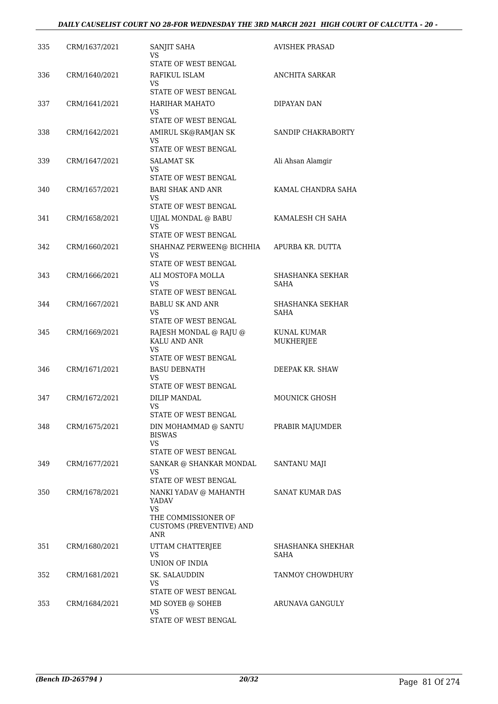| 335 | CRM/1637/2021 | SANJIT SAHA<br>VS<br>STATE OF WEST BENGAL                                                                     | <b>AVISHEK PRASAD</b>           |
|-----|---------------|---------------------------------------------------------------------------------------------------------------|---------------------------------|
| 336 | CRM/1640/2021 | RAFIKUL ISLAM<br>VS.<br>STATE OF WEST BENGAL                                                                  | <b>ANCHITA SARKAR</b>           |
| 337 | CRM/1641/2021 | <b>HARIHAR MAHATO</b><br>VS<br>STATE OF WEST BENGAL                                                           | DIPAYAN DAN                     |
| 338 | CRM/1642/2021 | AMIRUL SK@RAMJAN SK<br>VS<br>STATE OF WEST BENGAL                                                             | SANDIP CHAKRABORTY              |
| 339 | CRM/1647/2021 | <b>SALAMAT SK</b><br>VS.<br>STATE OF WEST BENGAL                                                              | Ali Ahsan Alamgir               |
| 340 | CRM/1657/2021 | <b>BARI SHAK AND ANR</b><br>VS<br>STATE OF WEST BENGAL                                                        | KAMAL CHANDRA SAHA              |
| 341 | CRM/1658/2021 | UJJAL MONDAL @ BABU<br>VS<br>STATE OF WEST BENGAL                                                             | KAMALESH CH SAHA                |
| 342 | CRM/1660/2021 | SHAHNAZ PERWEEN@ BICHHIA<br>VS<br>STATE OF WEST BENGAL                                                        | APURBA KR. DUTTA                |
| 343 | CRM/1666/2021 | ALI MOSTOFA MOLLA<br>VS.<br>STATE OF WEST BENGAL                                                              | SHASHANKA SEKHAR<br>SAHA        |
| 344 | CRM/1667/2021 | <b>BABLU SK AND ANR</b><br>VS<br>STATE OF WEST BENGAL                                                         | SHASHANKA SEKHAR<br>SAHA        |
| 345 | CRM/1669/2021 | RAJESH MONDAL @ RAJU @<br>KALU AND ANR<br>VS<br>STATE OF WEST BENGAL                                          | KUNAL KUMAR<br><b>MUKHERJEE</b> |
| 346 | CRM/1671/2021 | <b>BASU DEBNATH</b><br>VS<br>STATE OF WEST BENGAL                                                             | DEEPAK KR. SHAW                 |
| 347 | CRM/1672/2021 | <b>DILIP MANDAL</b><br>VS<br>STATE OF WEST BENGAL                                                             | MOUNICK GHOSH                   |
| 348 | CRM/1675/2021 | DIN MOHAMMAD @ SANTU<br><b>BISWAS</b><br>VS.<br>STATE OF WEST BENGAL                                          | PRABIR MAJUMDER                 |
| 349 | CRM/1677/2021 | SANKAR @ SHANKAR MONDAL<br>VS.<br>STATE OF WEST BENGAL                                                        | SANTANU MAJI                    |
| 350 | CRM/1678/2021 | NANKI YADAV @ MAHANTH<br><b>YADAV</b><br>VS.<br>THE COMMISSIONER OF<br><b>CUSTOMS (PREVENTIVE) AND</b><br>ANR | SANAT KUMAR DAS                 |
| 351 | CRM/1680/2021 | UTTAM CHATTERJEE<br>VS<br>UNION OF INDIA                                                                      | SHASHANKA SHEKHAR<br>SAHA       |
| 352 | CRM/1681/2021 | <b>SK. SALAUDDIN</b><br>VS.<br>STATE OF WEST BENGAL                                                           | TANMOY CHOWDHURY                |
| 353 | CRM/1684/2021 | MD SOYEB @ SOHEB<br>VS<br>STATE OF WEST BENGAL                                                                | ARUNAVA GANGULY                 |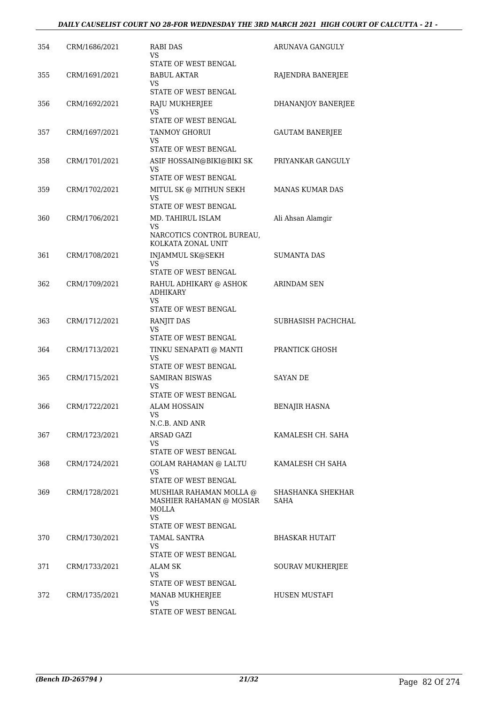| 354 | CRM/1686/2021 | <b>RABI DAS</b><br>VS                               | ARUNAVA GANGULY           |
|-----|---------------|-----------------------------------------------------|---------------------------|
|     |               | STATE OF WEST BENGAL                                |                           |
| 355 | CRM/1691/2021 | <b>BABUL AKTAR</b><br>VS                            | RAJENDRA BANERJEE         |
|     |               | STATE OF WEST BENGAL                                |                           |
| 356 | CRM/1692/2021 | RAJU MUKHERJEE<br>VS<br>STATE OF WEST BENGAL        | DHANANJOY BANERJEE        |
|     |               |                                                     |                           |
| 357 | CRM/1697/2021 | <b>TANMOY GHORUI</b><br>VS<br>STATE OF WEST BENGAL  | <b>GAUTAM BANERJEE</b>    |
| 358 | CRM/1701/2021 | ASIF HOSSAIN@BIKI@BIKI SK                           | PRIYANKAR GANGULY         |
|     |               | VS<br>STATE OF WEST BENGAL                          |                           |
| 359 | CRM/1702/2021 | MITUL SK @ MITHUN SEKH<br>VS                        | <b>MANAS KUMAR DAS</b>    |
|     |               | STATE OF WEST BENGAL                                |                           |
| 360 | CRM/1706/2021 | MD. TAHIRUL ISLAM<br>VS                             | Ali Ahsan Alamgir         |
|     |               | NARCOTICS CONTROL BUREAU,<br>KOLKATA ZONAL UNIT     |                           |
| 361 | CRM/1708/2021 | <b>INJAMMUL SK@SEKH</b>                             | <b>SUMANTA DAS</b>        |
|     |               | VS<br>STATE OF WEST BENGAL                          |                           |
|     |               |                                                     |                           |
| 362 | CRM/1709/2021 | RAHUL ADHIKARY @ ASHOK<br><b>ADHIKARY</b><br>VS     | <b>ARINDAM SEN</b>        |
|     |               | STATE OF WEST BENGAL                                |                           |
| 363 | CRM/1712/2021 | <b>RANJIT DAS</b>                                   | SUBHASISH PACHCHAL        |
|     |               | VS<br>STATE OF WEST BENGAL                          |                           |
| 364 | CRM/1713/2021 | TINKU SENAPATI @ MANTI<br>VS                        | PRANTICK GHOSH            |
|     |               | STATE OF WEST BENGAL                                |                           |
| 365 | CRM/1715/2021 | <b>SAMIRAN BISWAS</b><br>VS<br>STATE OF WEST BENGAL | <b>SAYAN DE</b>           |
|     |               |                                                     |                           |
| 366 | CRM/1722/2021 | <b>ALAM HOSSAIN</b><br>VS.<br>N.C.B. AND ANR        | <b>BENAJIR HASNA</b>      |
| 367 | CRM/1723/2021 | ARSAD GAZI                                          | KAMALESH CH. SAHA         |
|     |               | VS.<br>STATE OF WEST BENGAL                         |                           |
| 368 | CRM/1724/2021 | <b>GOLAM RAHAMAN @ LALTU</b>                        | KAMALESH CH SAHA          |
|     |               | VS<br>STATE OF WEST BENGAL                          |                           |
| 369 | CRM/1728/2021 | MUSHIAR RAHAMAN MOLLA @<br>MASHIER RAHAMAN @ MOSIAR | SHASHANKA SHEKHAR<br>SAHA |
|     |               | MOLLA<br>VS                                         |                           |
|     |               | STATE OF WEST BENGAL                                |                           |
| 370 | CRM/1730/2021 | <b>TAMAL SANTRA</b><br>VS                           | <b>BHASKAR HUTAIT</b>     |
|     |               | STATE OF WEST BENGAL                                |                           |
| 371 | CRM/1733/2021 | <b>ALAM SK</b><br>VS<br>STATE OF WEST BENGAL        | SOURAV MUKHERJEE          |
|     |               |                                                     |                           |
| 372 | CRM/1735/2021 | MANAB MUKHERJEE<br>VS<br>STATE OF WEST BENGAL       | HUSEN MUSTAFI             |
|     |               |                                                     |                           |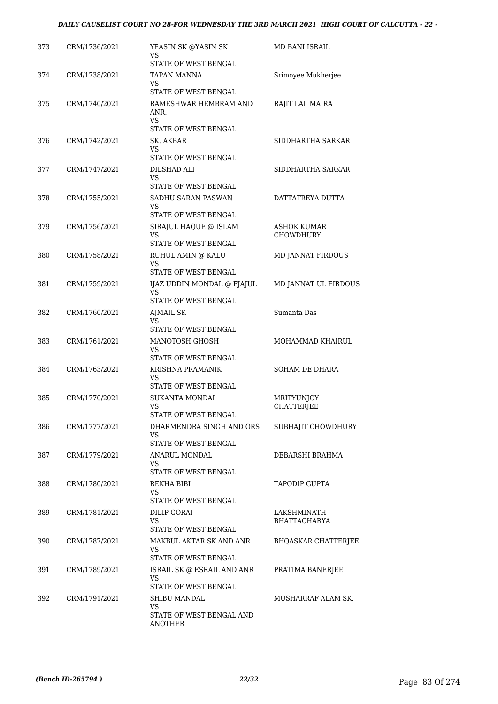| 373 | CRM/1736/2021 | YEASIN SK @YASIN SK<br>VS<br><b>STATE OF WEST BENGAL</b>                                 | MD BANI ISRAIL                         |
|-----|---------------|------------------------------------------------------------------------------------------|----------------------------------------|
| 374 | CRM/1738/2021 | <b>TAPAN MANNA</b><br>VS.<br>STATE OF WEST BENGAL                                        | Srimoyee Mukherjee                     |
| 375 | CRM/1740/2021 | RAMESHWAR HEMBRAM AND<br>ANR.<br>VS.                                                     | RAJIT LAL MAIRA                        |
|     |               | STATE OF WEST BENGAL                                                                     |                                        |
| 376 | CRM/1742/2021 | SK. AKBAR<br>VS.<br>STATE OF WEST BENGAL                                                 | SIDDHARTHA SARKAR                      |
| 377 | CRM/1747/2021 | DILSHAD ALI<br>VS.<br>STATE OF WEST BENGAL                                               | SIDDHARTHA SARKAR                      |
| 378 | CRM/1755/2021 | SADHU SARAN PASWAN<br>VS<br>STATE OF WEST BENGAL                                         | DATTATREYA DUTTA                       |
| 379 | CRM/1756/2021 | SIRAJUL HAQUE @ ISLAM<br>VS                                                              | <b>ASHOK KUMAR</b><br><b>CHOWDHURY</b> |
| 380 | CRM/1758/2021 | STATE OF WEST BENGAL<br>RUHUL AMIN @ KALU<br>VS                                          | <b>MD JANNAT FIRDOUS</b>               |
|     |               | STATE OF WEST BENGAL                                                                     |                                        |
| 381 | CRM/1759/2021 | IJAZ UDDIN MONDAL @ FJAJUL<br>VS<br>STATE OF WEST BENGAL                                 | MD JANNAT UL FIRDOUS                   |
| 382 | CRM/1760/2021 | <b>AJMAIL SK</b><br>VS.<br>STATE OF WEST BENGAL                                          | Sumanta Das                            |
| 383 | CRM/1761/2021 | MANOTOSH GHOSH<br>VS.<br>STATE OF WEST BENGAL                                            | MOHAMMAD KHAIRUL                       |
| 384 | CRM/1763/2021 | KRISHNA PRAMANIK<br>VS<br>STATE OF WEST BENGAL                                           | SOHAM DE DHARA                         |
| 385 | CRM/1770/2021 | <b>SUKANTA MONDAL</b><br>VS<br>STATE OF WEST BENGAL                                      | MRITYUNJOY<br><b>CHATTERJEE</b>        |
| 386 | CRM/1777/2021 | DHARMENDRA SINGH AND ORS<br>VS.<br>STATE OF WEST BENGAL                                  | SUBHAJIT CHOWDHURY                     |
| 387 | CRM/1779/2021 | ANARUL MONDAL<br>VS.<br>STATE OF WEST BENGAL                                             | DEBARSHI BRAHMA                        |
| 388 | CRM/1780/2021 | REKHA BIBI<br>VS.                                                                        | <b>TAPODIP GUPTA</b>                   |
| 389 | CRM/1781/2021 | STATE OF WEST BENGAL<br>DILIP GORAI<br>VS.<br>STATE OF WEST BENGAL                       | LAKSHMINATH<br><b>BHATTACHARYA</b>     |
| 390 | CRM/1787/2021 | MAKBUL AKTAR SK AND ANR<br>VS.<br>STATE OF WEST BENGAL                                   | BHQASKAR CHATTERJEE                    |
| 391 | CRM/1789/2021 | ISRAIL SK @ ESRAIL AND ANR<br>VS.                                                        | PRATIMA BANERJEE                       |
| 392 | CRM/1791/2021 | STATE OF WEST BENGAL<br>SHIBU MANDAL<br>VS<br>STATE OF WEST BENGAL AND<br><b>ANOTHER</b> | MUSHARRAF ALAM SK.                     |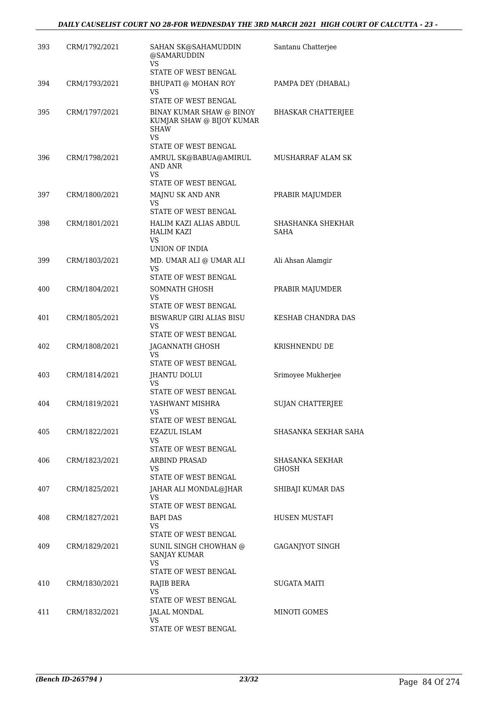| 393 | CRM/1792/2021 | SAHAN SK@SAHAMUDDIN<br>@SAMARUDDIN<br>VS.                                   | Santanu Chatterjee                      |
|-----|---------------|-----------------------------------------------------------------------------|-----------------------------------------|
|     |               | STATE OF WEST BENGAL                                                        |                                         |
| 394 | CRM/1793/2021 | BHUPATI @ MOHAN ROY<br>VS<br>STATE OF WEST BENGAL                           | PAMPA DEY (DHABAL)                      |
|     |               |                                                                             |                                         |
| 395 | CRM/1797/2021 | BINAY KUMAR SHAW @ BINOY<br>KUMJAR SHAW @ BIJOY KUMAR<br><b>SHAW</b><br>VS  | <b>BHASKAR CHATTERJEE</b>               |
|     |               | STATE OF WEST BENGAL                                                        |                                         |
| 396 | CRM/1798/2021 | AMRUL SK@BABUA@AMIRUL<br>AND ANR<br>VS.                                     | MUSHARRAF ALAM SK                       |
|     |               | STATE OF WEST BENGAL                                                        |                                         |
| 397 | CRM/1800/2021 | MAJNU SK AND ANR<br><b>VS</b>                                               | PRABIR MAJUMDER                         |
|     |               | STATE OF WEST BENGAL                                                        |                                         |
| 398 | CRM/1801/2021 | HALIM KAZI ALIAS ABDUL<br><b>HALIM KAZI</b><br>VS                           | <b>SHASHANKA SHEKHAR</b><br><b>SAHA</b> |
|     |               | UNION OF INDIA                                                              |                                         |
| 399 | CRM/1803/2021 | MD. UMAR ALI @ UMAR ALI<br>VS<br>STATE OF WEST BENGAL                       | Ali Ahsan Alamgir                       |
| 400 | CRM/1804/2021 | SOMNATH GHOSH                                                               | PRABIR MAJUMDER                         |
|     |               | VS.<br>STATE OF WEST BENGAL                                                 |                                         |
| 401 | CRM/1805/2021 | <b>BISWARUP GIRI ALIAS BISU</b>                                             | KESHAB CHANDRA DAS                      |
|     |               | VS<br>STATE OF WEST BENGAL                                                  |                                         |
| 402 | CRM/1808/2021 | JAGANNATH GHOSH<br>VS                                                       | KRISHNENDU DE                           |
|     |               | STATE OF WEST BENGAL                                                        |                                         |
| 403 | CRM/1814/2021 | JHANTU DOLUI<br>VS<br>STATE OF WEST BENGAL                                  | Srimoyee Mukherjee                      |
| 404 | CRM/1819/2021 | YASHWANT MISHRA                                                             | <b>SUJAN CHATTERJEE</b>                 |
|     |               | VS<br>STATE OF WEST BENGAL                                                  |                                         |
| 405 | CRM/1822/2021 | EZAZUL ISLAM                                                                | SHASANKA SEKHAR SAHA                    |
|     |               | VS<br>STATE OF WEST BENGAL                                                  |                                         |
| 406 | CRM/1823/2021 | <b>ARBIND PRASAD</b>                                                        | SHASANKA SEKHAR                         |
|     |               | <b>VS</b><br>STATE OF WEST BENGAL                                           | GHOSH                                   |
| 407 | CRM/1825/2021 | JAHAR ALI MONDAL@JHAR                                                       | SHIBAJI KUMAR DAS                       |
|     |               | VS.                                                                         |                                         |
|     |               | STATE OF WEST BENGAL                                                        |                                         |
| 408 | CRM/1827/2021 | <b>BAPI DAS</b><br>VS.<br>STATE OF WEST BENGAL                              | HUSEN MUSTAFI                           |
| 409 | CRM/1829/2021 | SUNIL SINGH CHOWHAN @<br><b>SANJAY KUMAR</b><br>VS.<br>STATE OF WEST BENGAL | GAGANJYOT SINGH                         |
| 410 | CRM/1830/2021 | RAJIB BERA                                                                  | <b>SUGATA MAITI</b>                     |
|     |               | VS.                                                                         |                                         |
|     |               | STATE OF WEST BENGAL                                                        |                                         |
| 411 | CRM/1832/2021 | JALAL MONDAL<br>VS                                                          | MINOTI GOMES                            |
|     |               | STATE OF WEST BENGAL                                                        |                                         |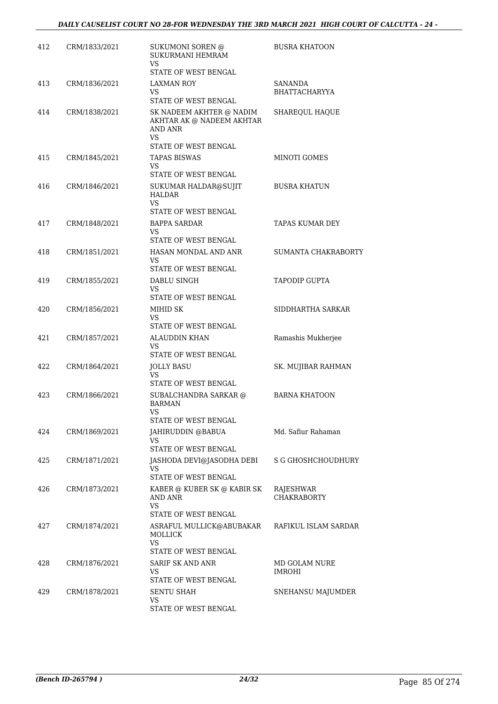| 412 | CRM/1833/2021 | SUKUMONI SOREN @<br>SUKURMANI HEMRAM<br>VS                                                            | <b>BUSRA KHATOON</b>                   |
|-----|---------------|-------------------------------------------------------------------------------------------------------|----------------------------------------|
|     |               | STATE OF WEST BENGAL                                                                                  |                                        |
| 413 | CRM/1836/2021 | <b>LAXMAN ROY</b><br>VS<br>STATE OF WEST BENGAL                                                       | <b>SANANDA</b><br><b>BHATTACHARYYA</b> |
| 414 | CRM/1838/2021 | SK NADEEM AKHTER @ NADIM<br>AKHTAR AK @ NADEEM AKHTAR<br>AND ANR<br><b>VS</b><br>STATE OF WEST BENGAL | SHAREQUL HAQUE                         |
| 415 | CRM/1845/2021 | <b>TAPAS BISWAS</b><br>VS<br>STATE OF WEST BENGAL                                                     | MINOTI GOMES                           |
| 416 | CRM/1846/2021 | SUKUMAR HALDAR@SUJIT<br>HALDAR<br>VS.<br>STATE OF WEST BENGAL                                         | <b>BUSRA KHATUN</b>                    |
| 417 | CRM/1848/2021 | <b>BAPPA SARDAR</b><br>VS<br>STATE OF WEST BENGAL                                                     | TAPAS KUMAR DEY                        |
| 418 | CRM/1851/2021 | HASAN MONDAL AND ANR<br>VS.<br>STATE OF WEST BENGAL                                                   | SUMANTA CHAKRABORTY                    |
| 419 | CRM/1855/2021 | DABLU SINGH<br>VS<br>STATE OF WEST BENGAL                                                             | <b>TAPODIP GUPTA</b>                   |
| 420 | CRM/1856/2021 | MIHID SK<br>VS<br>STATE OF WEST BENGAL                                                                | SIDDHARTHA SARKAR                      |
| 421 | CRM/1857/2021 | <b>ALAUDDIN KHAN</b><br>VS.<br>STATE OF WEST BENGAL                                                   | Ramashis Mukherjee                     |
| 422 | CRM/1864/2021 | <b>JOLLY BASU</b><br><b>VS</b><br>STATE OF WEST BENGAL                                                | SK. MUJIBAR RAHMAN                     |
| 423 | CRM/1866/2021 | SUBALCHANDRA SARKAR @<br><b>BARMAN</b><br>VS<br>STATE OF WEST BENGAL                                  | <b>BARNA KHATOON</b>                   |
| 424 | CRM/1869/2021 | JAHIRUDDIN @BABUA<br>VS.<br>STATE OF WEST BENGAL                                                      | Md. Safiur Rahaman                     |
| 425 | CRM/1871/2021 | JASHODA DEVI@JASODHA DEBI<br>VS<br>STATE OF WEST BENGAL                                               | S G GHOSHCHOUDHURY                     |
| 426 | CRM/1873/2021 | KABER @ KUBER SK @ KABIR SK<br>AND ANR<br>VS                                                          | RAJESHWAR<br>CHAKRABORTY               |
| 427 | CRM/1874/2021 | STATE OF WEST BENGAL<br>ASRAFUL MULLICK@ABUBAKAR<br>MOLLICK<br>VS<br>STATE OF WEST BENGAL             | RAFIKUL ISLAM SARDAR                   |
| 428 | CRM/1876/2021 | SARIF SK AND ANR<br>VS<br>STATE OF WEST BENGAL                                                        | MD GOLAM NURE<br>IMROHI                |
| 429 | CRM/1878/2021 | SENTU SHAH<br>VS<br>STATE OF WEST BENGAL                                                              | SNEHANSU MAJUMDER                      |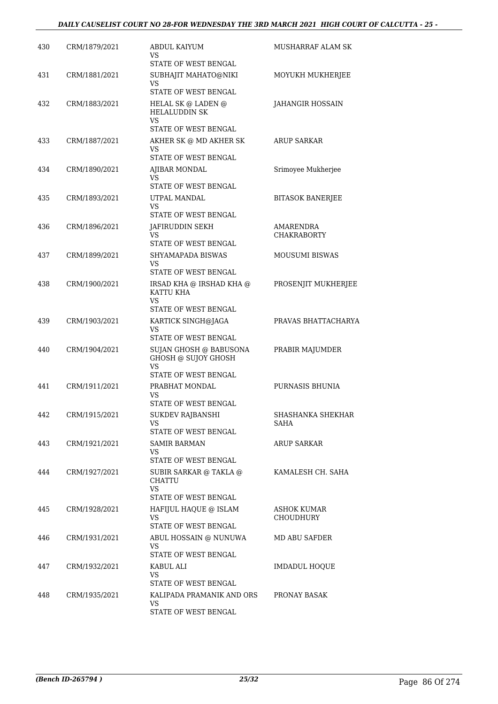| 430 | CRM/1879/2021 | <b>ABDUL KAIYUM</b><br>VS<br>STATE OF WEST BENGAL                             | MUSHARRAF ALAM SK                      |
|-----|---------------|-------------------------------------------------------------------------------|----------------------------------------|
| 431 | CRM/1881/2021 | SUBHAJIT MAHATO@NIKI<br>VS<br>STATE OF WEST BENGAL                            | MOYUKH MUKHERJEE                       |
| 432 | CRM/1883/2021 | HELAL SK @ LADEN @<br><b>HELALUDDIN SK</b><br>VS                              | <b>JAHANGIR HOSSAIN</b>                |
| 433 | CRM/1887/2021 | STATE OF WEST BENGAL<br>AKHER SK @ MD AKHER SK<br>VS.<br>STATE OF WEST BENGAL | <b>ARUP SARKAR</b>                     |
| 434 | CRM/1890/2021 | AJIBAR MONDAL<br>VS<br>STATE OF WEST BENGAL                                   | Srimoyee Mukherjee                     |
| 435 | CRM/1893/2021 | UTPAL MANDAL<br>VS<br>STATE OF WEST BENGAL                                    | <b>BITASOK BANERJEE</b>                |
| 436 | CRM/1896/2021 | JAFIRUDDIN SEKH<br>VS<br>STATE OF WEST BENGAL                                 | <b>AMARENDRA</b><br><b>CHAKRABORTY</b> |
| 437 | CRM/1899/2021 | SHYAMAPADA BISWAS<br>VS<br>STATE OF WEST BENGAL                               | <b>MOUSUMI BISWAS</b>                  |
| 438 | CRM/1900/2021 | IRSAD KHA @ IRSHAD KHA @<br>KATTU KHA<br>VS<br>STATE OF WEST BENGAL           | PROSENJIT MUKHERJEE                    |
| 439 | CRM/1903/2021 | KARTICK SINGH@JAGA<br>VS.<br>STATE OF WEST BENGAL                             | PRAVAS BHATTACHARYA                    |
| 440 | CRM/1904/2021 | SUJAN GHOSH @ BABUSONA<br>GHOSH @ SUJOY GHOSH<br>VS<br>STATE OF WEST BENGAL   | PRABIR MAJUMDER                        |
| 441 | CRM/1911/2021 | PRABHAT MONDAL<br>VS<br>STATE OF WEST BENGAL                                  | PURNASIS BHUNIA                        |
| 442 | CRM/1915/2021 | SUKDEV RAJBANSHI<br>VS.<br>STATE OF WEST BENGAL                               | SHASHANKA SHEKHAR<br>SAHA              |
| 443 | CRM/1921/2021 | <b>SAMIR BARMAN</b><br>VS.<br>STATE OF WEST BENGAL                            | <b>ARUP SARKAR</b>                     |
| 444 | CRM/1927/2021 | SUBIR SARKAR @ TAKLA @<br><b>CHATTU</b><br>VS<br>STATE OF WEST BENGAL         | KAMALESH CH. SAHA                      |
| 445 | CRM/1928/2021 | HAFIJUL HAQUE @ ISLAM<br>VS.<br>STATE OF WEST BENGAL                          | <b>ASHOK KUMAR</b><br><b>CHOUDHURY</b> |
| 446 | CRM/1931/2021 | ABUL HOSSAIN @ NUNUWA<br>VS.<br>STATE OF WEST BENGAL                          | MD ABU SAFDER                          |
| 447 | CRM/1932/2021 | KABUL ALI<br>VS.<br>STATE OF WEST BENGAL                                      | <b>IMDADUL HOQUE</b>                   |
| 448 | CRM/1935/2021 | KALIPADA PRAMANIK AND ORS<br>VS.<br>STATE OF WEST BENGAL                      | PRONAY BASAK                           |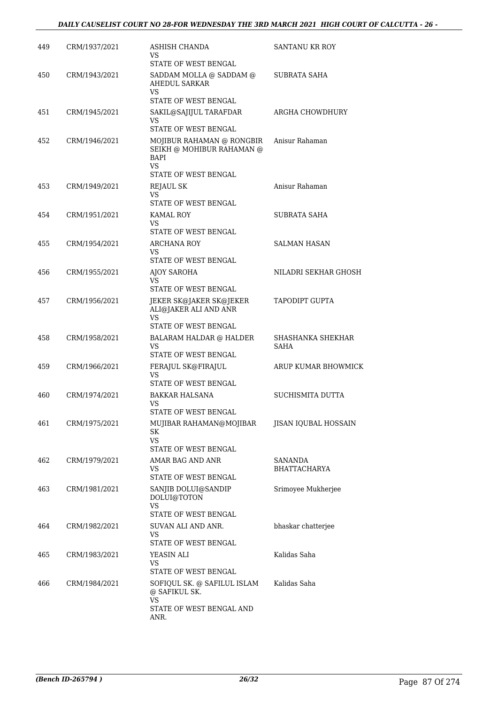| 449 | CRM/1937/2021 | ASHISH CHANDA                                                                                                        | SANTANU KR ROY            |
|-----|---------------|----------------------------------------------------------------------------------------------------------------------|---------------------------|
|     |               | VS<br>STATE OF WEST BENGAL                                                                                           |                           |
| 450 | CRM/1943/2021 | SADDAM MOLLA @ SADDAM @<br>AHEDUL SARKAR<br>VS<br>STATE OF WEST BENGAL                                               | <b>SUBRATA SAHA</b>       |
| 451 | CRM/1945/2021 | SAKIL@SAJIJUL TARAFDAR<br>VS                                                                                         | ARGHA CHOWDHURY           |
| 452 | CRM/1946/2021 | STATE OF WEST BENGAL<br>MOJIBUR RAHAMAN @ RONGBIR<br>SEIKH @ MOHIBUR RAHAMAN @<br>BAPI<br>VS<br>STATE OF WEST BENGAL | Anisur Rahaman            |
| 453 | CRM/1949/2021 | REJAUL SK                                                                                                            | Anisur Rahaman            |
|     |               | VS<br>STATE OF WEST BENGAL                                                                                           |                           |
| 454 | CRM/1951/2021 | <b>KAMAL ROY</b><br>VS.<br>STATE OF WEST BENGAL                                                                      | SUBRATA SAHA              |
| 455 | CRM/1954/2021 | <b>ARCHANA ROY</b><br>VS<br>STATE OF WEST BENGAL                                                                     | <b>SALMAN HASAN</b>       |
| 456 | CRM/1955/2021 | AJOY SAROHA<br><b>VS</b>                                                                                             | NILADRI SEKHAR GHOSH      |
| 457 | CRM/1956/2021 | STATE OF WEST BENGAL<br>JEKER SK@JAKER SK@JEKER<br>ALI@JAKER ALI AND ANR<br>VS                                       | TAPODIPT GUPTA            |
|     |               | STATE OF WEST BENGAL                                                                                                 |                           |
| 458 | CRM/1958/2021 | BALARAM HALDAR @ HALDER<br>VS<br>STATE OF WEST BENGAL                                                                | SHASHANKA SHEKHAR<br>SAHA |
| 459 | CRM/1966/2021 | FERAJUL SK@FIRAJUL<br>VS<br>STATE OF WEST BENGAL                                                                     | ARUP KUMAR BHOWMICK       |
| 460 | CRM/1974/2021 | <b>BAKKAR HALSANA</b><br><b>VS</b>                                                                                   | SUCHISMITA DUTTA          |
| 461 | CRM/1975/2021 | STATE OF WEST BENGAL<br>MUJIBAR RAHAMAN@MOJIBAR<br>SK<br><b>VS</b>                                                   | JISAN IQUBAL HOSSAIN      |
| 462 | CRM/1979/2021 | STATE OF WEST BENGAL<br>AMAR BAG AND ANR                                                                             | SANANDA                   |
|     |               | VS.<br>STATE OF WEST BENGAL                                                                                          | BHATTACHARYA              |
| 463 | CRM/1981/2021 | SANJIB DOLUI@SANDIP<br>DOLUI@TOTON<br>VS<br>STATE OF WEST BENGAL                                                     | Srimoyee Mukherjee        |
| 464 | CRM/1982/2021 | SUVAN ALI AND ANR.<br>VS<br>STATE OF WEST BENGAL                                                                     | bhaskar chatterjee        |
| 465 | CRM/1983/2021 | YEASIN ALI<br>VS.<br>STATE OF WEST BENGAL                                                                            | Kalidas Saha              |
| 466 | CRM/1984/2021 | SOFIQUL SK. @ SAFILUL ISLAM<br>@ SAFIKUL SK.<br><b>VS</b>                                                            | Kalidas Saha              |
|     |               | STATE OF WEST BENGAL AND<br>ANR.                                                                                     |                           |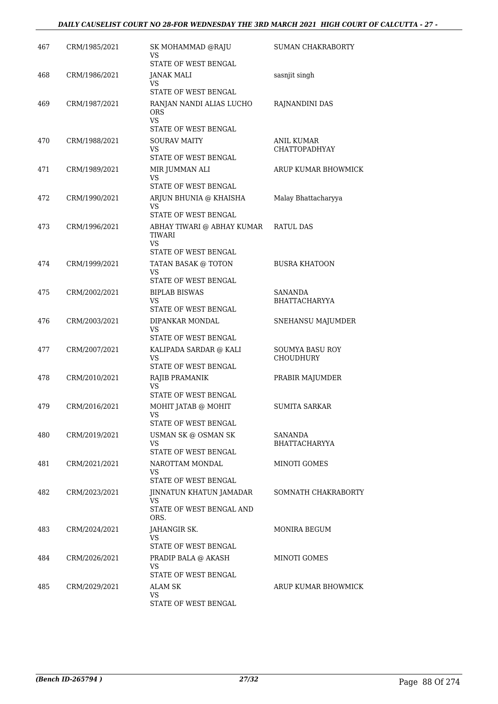### *DAILY CAUSELIST COURT NO 28-FOR WEDNESDAY THE 3RD MARCH 2021 HIGH COURT OF CALCUTTA - 27 -*

| 467 | CRM/1985/2021 | SK MOHAMMAD @RAJU<br>VS                                   | <b>SUMAN CHAKRABORTY</b>                  |
|-----|---------------|-----------------------------------------------------------|-------------------------------------------|
|     |               | STATE OF WEST BENGAL                                      |                                           |
| 468 | CRM/1986/2021 | <b>JANAK MALI</b><br><b>VS</b>                            | sasnjit singh                             |
|     |               | STATE OF WEST BENGAL                                      |                                           |
| 469 | CRM/1987/2021 | RANJAN NANDI ALIAS LUCHO<br><b>ORS</b><br><b>VS</b>       | RAJNANDINI DAS                            |
|     |               | STATE OF WEST BENGAL                                      |                                           |
| 470 | CRM/1988/2021 | <b>SOURAV MAITY</b><br>VS.<br><b>STATE OF WEST BENGAL</b> | <b>ANIL KUMAR</b><br><b>CHATTOPADHYAY</b> |
| 471 |               |                                                           | ARUP KUMAR BHOWMICK                       |
|     | CRM/1989/2021 | MIR JUMMAN ALI<br>VS.<br>STATE OF WEST BENGAL             |                                           |
| 472 | CRM/1990/2021 | ARJUN BHUNIA @ KHAISHA                                    | Malay Bhattacharyya                       |
|     |               | <b>VS</b><br>STATE OF WEST BENGAL                         |                                           |
| 473 | CRM/1996/2021 | ABHAY TIWARI @ ABHAY KUMAR<br><b>TIWARI</b><br>VS.        | <b>RATUL DAS</b>                          |
|     |               | STATE OF WEST BENGAL                                      |                                           |
| 474 | CRM/1999/2021 | TATAN BASAK @ TOTON<br>VS                                 | <b>BUSRA KHATOON</b>                      |
|     |               | STATE OF WEST BENGAL                                      |                                           |
| 475 | CRM/2002/2021 | <b>BIPLAB BISWAS</b>                                      | <b>SANANDA</b>                            |
|     |               | VS<br>STATE OF WEST BENGAL                                | <b>BHATTACHARYYA</b>                      |
| 476 | CRM/2003/2021 | DIPANKAR MONDAL                                           | SNEHANSU MAJUMDER                         |
|     |               | <b>VS</b>                                                 |                                           |
|     |               | STATE OF WEST BENGAL                                      |                                           |
| 477 | CRM/2007/2021 | KALIPADA SARDAR @ KALI<br><b>VS</b>                       | SOUMYA BASU ROY<br><b>CHOUDHURY</b>       |
|     |               | STATE OF WEST BENGAL                                      |                                           |
| 478 | CRM/2010/2021 | RAJIB PRAMANIK<br>VS.                                     | PRABIR MAJUMDER                           |
|     |               | STATE OF WEST BENGAL                                      |                                           |
| 479 | CRM/2016/2021 | MOHIT JATAB @ MOHIT                                       | <b>SUMITA SARKAR</b>                      |
|     |               | STATE OF WEST BENGAL                                      |                                           |
| 480 | CRM/2019/2021 | USMAN SK @ OSMAN SK<br>VS.<br>STATE OF WEST BENGAL        | SANANDA<br><b>BHATTACHARYYA</b>           |
| 481 | CRM/2021/2021 | NAROTTAM MONDAL                                           | MINOTI GOMES                              |
|     |               | VS.<br>STATE OF WEST BENGAL                               |                                           |
| 482 | CRM/2023/2021 | JINNATUN KHATUN JAMADAR                                   | SOMNATH CHAKRABORTY                       |
|     |               | VS                                                        |                                           |
|     |               | STATE OF WEST BENGAL AND<br>ORS.                          |                                           |
| 483 | CRM/2024/2021 | JAHANGIR SK.                                              | MONIRA BEGUM                              |
|     |               | VS.<br>STATE OF WEST BENGAL                               |                                           |
| 484 | CRM/2026/2021 | PRADIP BALA @ AKASH                                       | MINOTI GOMES                              |
|     |               | VS                                                        |                                           |
|     |               | STATE OF WEST BENGAL                                      |                                           |
| 485 | CRM/2029/2021 | <b>ALAM SK</b><br>VS.                                     | ARUP KUMAR BHOWMICK                       |
|     |               | STATE OF WEST BENGAL                                      |                                           |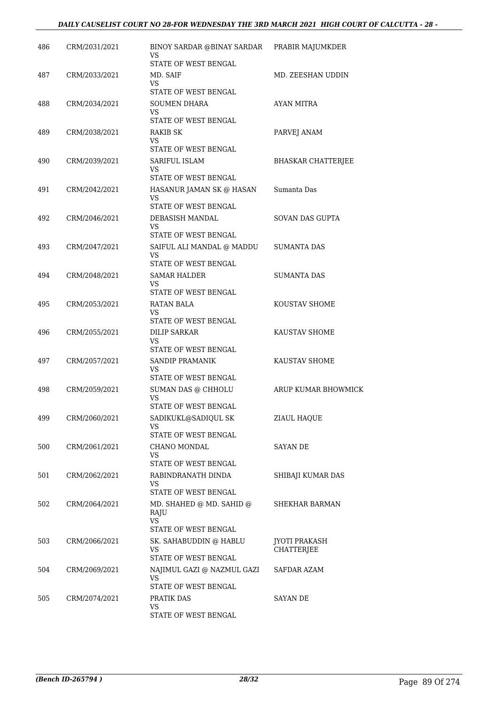| 486 | CRM/2031/2021 | BINOY SARDAR @BINAY SARDAR<br>VS           | PRABIR MAJUMKDER                   |
|-----|---------------|--------------------------------------------|------------------------------------|
|     |               | STATE OF WEST BENGAL                       |                                    |
| 487 | CRM/2033/2021 | MD. SAIF<br>VS                             | MD. ZEESHAN UDDIN                  |
|     |               | STATE OF WEST BENGAL                       |                                    |
| 488 | CRM/2034/2021 | <b>SOUMEN DHARA</b>                        | AYAN MITRA                         |
|     |               | VS.<br>STATE OF WEST BENGAL                |                                    |
| 489 | CRM/2038/2021 | RAKIB SK                                   | PARVEJ ANAM                        |
|     |               | VS<br>STATE OF WEST BENGAL                 |                                    |
| 490 | CRM/2039/2021 | SARIFUL ISLAM                              | <b>BHASKAR CHATTERJEE</b>          |
|     |               | VS                                         |                                    |
|     |               | STATE OF WEST BENGAL                       |                                    |
| 491 | CRM/2042/2021 | HASANUR JAMAN SK @ HASAN<br>VS.            | Sumanta Das                        |
|     |               | STATE OF WEST BENGAL                       |                                    |
| 492 | CRM/2046/2021 | DEBASISH MANDAL                            | SOVAN DAS GUPTA                    |
|     |               | VS<br>STATE OF WEST BENGAL                 |                                    |
| 493 | CRM/2047/2021 | SAIFUL ALI MANDAL @ MADDU                  | SUMANTA DAS                        |
|     |               | VS                                         |                                    |
|     |               | STATE OF WEST BENGAL                       |                                    |
| 494 | CRM/2048/2021 | <b>SAMAR HALDER</b><br>VS                  | <b>SUMANTA DAS</b>                 |
|     |               | STATE OF WEST BENGAL                       |                                    |
| 495 | CRM/2053/2021 | RATAN BALA                                 | KOUSTAV SHOME                      |
|     |               | VS.<br>STATE OF WEST BENGAL                |                                    |
| 496 | CRM/2055/2021 | DILIP SARKAR                               | KAUSTAV SHOME                      |
|     |               | VS<br>STATE OF WEST BENGAL                 |                                    |
| 497 | CRM/2057/2021 | SANDIP PRAMANIK                            | KAUSTAV SHOME                      |
|     |               | VS                                         |                                    |
|     |               | STATE OF WEST BENGAL                       |                                    |
| 498 | CRM/2059/2021 | SUMAN DAS @ CHHOLU<br>VS                   | <b>ARUP KUMAR BHOWMICK</b>         |
|     |               | STATE OF WEST BENGAL                       |                                    |
| 499 | CRM/2060/2021 | SADIKUKL@SADIQUL SK                        | ZIAUL HAQUE                        |
|     |               | VS.<br>STATE OF WEST BENGAL                |                                    |
| 500 | CRM/2061/2021 | CHANO MONDAL                               | <b>SAYAN DE</b>                    |
|     |               | VS                                         |                                    |
| 501 | CRM/2062/2021 | STATE OF WEST BENGAL<br>RABINDRANATH DINDA |                                    |
|     |               | VS                                         | SHIBAJI KUMAR DAS                  |
|     |               | STATE OF WEST BENGAL                       |                                    |
| 502 | CRM/2064/2021 | MD. SHAHED @ MD. SAHID @<br>RAJU           | SHEKHAR BARMAN                     |
|     |               | VS.                                        |                                    |
|     |               | STATE OF WEST BENGAL                       |                                    |
| 503 | CRM/2066/2021 | SK. SAHABUDDIN @ HABLU<br>VS               | <b>JYOTI PRAKASH</b><br>CHATTERJEE |
|     |               | STATE OF WEST BENGAL                       |                                    |
| 504 | CRM/2069/2021 | NAJIMUL GAZI @ NAZMUL GAZI                 | SAFDAR AZAM                        |
|     |               | <b>VS</b><br>STATE OF WEST BENGAL          |                                    |
| 505 | CRM/2074/2021 | PRATIK DAS                                 | <b>SAYAN DE</b>                    |
|     |               | VS                                         |                                    |
|     |               | STATE OF WEST BENGAL                       |                                    |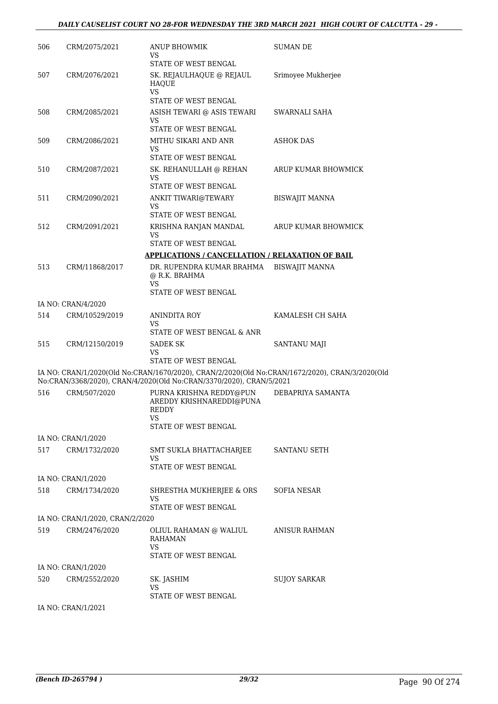#### *DAILY CAUSELIST COURT NO 28-FOR WEDNESDAY THE 3RD MARCH 2021 HIGH COURT OF CALCUTTA - 29 -*

| 506 | CRM/2075/2021                        | ANUP BHOWMIK<br>VS                                                                                                                                                    | SUMAN DE              |
|-----|--------------------------------------|-----------------------------------------------------------------------------------------------------------------------------------------------------------------------|-----------------------|
| 507 | CRM/2076/2021                        | STATE OF WEST BENGAL<br>SK. REJAULHAQUE @ REJAUL<br>HAQUE                                                                                                             | Srimoyee Mukherjee    |
|     |                                      | <b>VS</b><br>STATE OF WEST BENGAL                                                                                                                                     |                       |
| 508 | CRM/2085/2021                        | ASISH TEWARI @ ASIS TEWARI<br>VS                                                                                                                                      | SWARNALI SAHA         |
|     |                                      | STATE OF WEST BENGAL                                                                                                                                                  |                       |
| 509 | CRM/2086/2021                        | MITHU SIKARI AND ANR<br><b>VS</b><br>STATE OF WEST BENGAL                                                                                                             | ASHOK DAS             |
| 510 | CRM/2087/2021                        | SK. REHANULLAH @ REHAN<br><b>VS</b>                                                                                                                                   | ARUP KUMAR BHOWMICK   |
|     |                                      | STATE OF WEST BENGAL                                                                                                                                                  |                       |
| 511 | CRM/2090/2021                        | ANKIT TIWARI@TEWARY<br>VS<br>STATE OF WEST BENGAL                                                                                                                     | <b>BISWAJIT MANNA</b> |
| 512 | CRM/2091/2021                        | KRISHNA RANJAN MANDAL<br>VS<br>STATE OF WEST BENGAL                                                                                                                   | ARUP KUMAR BHOWMICK   |
|     |                                      | <b>APPLICATIONS / CANCELLATION / RELAXATION OF BAIL</b>                                                                                                               |                       |
| 513 | CRM/11868/2017                       | DR. RUPENDRA KUMAR BRAHMA                                                                                                                                             | <b>BISWAJIT MANNA</b> |
|     |                                      | @ R.K. BRAHMA<br>VS.                                                                                                                                                  |                       |
|     |                                      | STATE OF WEST BENGAL                                                                                                                                                  |                       |
| 514 | IA NO: CRAN/4/2020<br>CRM/10529/2019 | <b>ANINDITA ROY</b>                                                                                                                                                   | KAMALESH CH SAHA      |
|     |                                      | VS                                                                                                                                                                    |                       |
|     |                                      | STATE OF WEST BENGAL & ANR                                                                                                                                            |                       |
| 515 | CRM/12150/2019                       | SADEK SK<br>VS<br>STATE OF WEST BENGAL                                                                                                                                | SANTANU MAJI          |
|     |                                      | IA NO: CRAN/1/2020(Old No:CRAN/1670/2020), CRAN/2/2020(Old No:CRAN/1672/2020), CRAN/3/2020(Old<br>No:CRAN/3368/2020), CRAN/4/2020(Old No:CRAN/3370/2020), CRAN/5/2021 |                       |
| 516 | CRM/507/2020                         | PURNA KRISHNA REDDY@PUN<br>AREDDY KRISHNAREDDI@PUNA<br>REDDY<br>VS<br>STATE OF WEST BENGAL                                                                            | DEBAPRIYA SAMANTA     |
|     | IA NO: CRAN/1/2020                   |                                                                                                                                                                       |                       |
| 517 | CRM/1732/2020                        | SMT SUKLA BHATTACHARJEE<br>VS<br>STATE OF WEST BENGAL                                                                                                                 | SANTANU SETH          |
|     | IA NO: CRAN/1/2020                   |                                                                                                                                                                       |                       |
| 518 | CRM/1734/2020                        | SHRESTHA MUKHERJEE & ORS<br>VS<br>STATE OF WEST BENGAL                                                                                                                | SOFIA NESAR           |
|     | IA NO: CRAN/1/2020, CRAN/2/2020      |                                                                                                                                                                       |                       |
| 519 | CRM/2476/2020                        | OLIUL RAHAMAN @ WALIUL<br><b>RAHAMAN</b><br><b>VS</b>                                                                                                                 | ANISUR RAHMAN         |
|     | IA NO: CRAN/1/2020                   | STATE OF WEST BENGAL                                                                                                                                                  |                       |
| 520 | CRM/2552/2020                        | SK. JASHIM<br>VS                                                                                                                                                      | <b>SUJOY SARKAR</b>   |
|     |                                      | STATE OF WEST BENGAL                                                                                                                                                  |                       |
|     | IA NO: CRAN/1/2021                   |                                                                                                                                                                       |                       |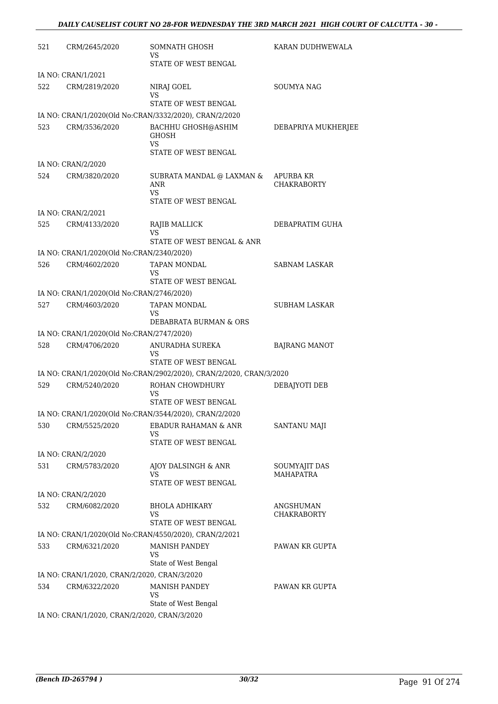| 521 | CRM/2645/2020                                | SOMNATH GHOSH<br>VS                                                   | KARAN DUDHWEWALA                       |
|-----|----------------------------------------------|-----------------------------------------------------------------------|----------------------------------------|
|     | IA NO: CRAN/1/2021                           | STATE OF WEST BENGAL                                                  |                                        |
| 522 | CRM/2819/2020                                | NIRAJ GOEL                                                            | <b>SOUMYA NAG</b>                      |
|     |                                              | VS                                                                    |                                        |
|     |                                              | STATE OF WEST BENGAL                                                  |                                        |
|     |                                              | IA NO: CRAN/1/2020(Old No:CRAN/3332/2020), CRAN/2/2020                |                                        |
| 523 | CRM/3536/2020                                | BACHHU GHOSH@ASHIM<br><b>GHOSH</b><br>VS<br>STATE OF WEST BENGAL      | DEBAPRIYA MUKHERJEE                    |
|     | IA NO: CRAN/2/2020                           |                                                                       |                                        |
| 524 | CRM/3820/2020                                | SUBRATA MANDAL @ LAXMAN &<br><b>ANR</b><br>VS<br>STATE OF WEST BENGAL | <b>APURBA KR</b><br><b>CHAKRABORTY</b> |
|     | IA NO: CRAN/2/2021                           |                                                                       |                                        |
| 525 | CRM/4133/2020                                | RAJIB MALLICK<br>VS                                                   | DEBAPRATIM GUHA                        |
|     |                                              | STATE OF WEST BENGAL & ANR                                            |                                        |
|     | IA NO: CRAN/1/2020(Old No:CRAN/2340/2020)    |                                                                       |                                        |
| 526 | CRM/4602/2020                                | TAPAN MONDAL<br>VS<br>STATE OF WEST BENGAL                            | <b>SABNAM LASKAR</b>                   |
|     | IA NO: CRAN/1/2020(Old No:CRAN/2746/2020)    |                                                                       |                                        |
| 527 | CRM/4603/2020                                | TAPAN MONDAL                                                          | <b>SUBHAM LASKAR</b>                   |
|     |                                              | VS<br>DEBABRATA BURMAN & ORS                                          |                                        |
|     | IA NO: CRAN/1/2020(Old No:CRAN/2747/2020)    |                                                                       |                                        |
| 528 | CRM/4706/2020                                | ANURADHA SUREKA<br>VS                                                 | <b>BAJRANG MANOT</b>                   |
|     |                                              | STATE OF WEST BENGAL                                                  |                                        |
|     |                                              | IA NO: CRAN/1/2020(Old No:CRAN/2902/2020), CRAN/2/2020, CRAN/3/2020   |                                        |
| 529 | CRM/5240/2020                                | ROHAN CHOWDHURY<br>VS<br>STATE OF WEST BENGAL                         | DEBAJYOTI DEB                          |
|     |                                              | IA NO: CRAN/1/2020(Old No:CRAN/3544/2020), CRAN/2/2020                |                                        |
| 530 | CRM/5525/2020                                | <b>EBADUR RAHAMAN &amp; ANR</b><br>VS<br>STATE OF WEST BENGAL         | SANTANU MAJI                           |
|     | IA NO: CRAN/2/2020                           |                                                                       |                                        |
| 531 | CRM/5783/2020                                | AJOY DALSINGH & ANR<br>VS<br>STATE OF WEST BENGAL                     | SOUMYAJIT DAS<br><b>MAHAPATRA</b>      |
|     | IA NO: CRAN/2/2020                           |                                                                       |                                        |
| 532 | CRM/6082/2020                                | <b>BHOLA ADHIKARY</b>                                                 | <b>ANGSHUMAN</b>                       |
|     |                                              | VS<br>STATE OF WEST BENGAL                                            | <b>CHAKRABORTY</b>                     |
|     |                                              | IA NO: CRAN/1/2020(Old No:CRAN/4550/2020), CRAN/2/2021                |                                        |
| 533 | CRM/6321/2020                                | <b>MANISH PANDEY</b><br>VS<br>State of West Bengal                    | PAWAN KR GUPTA                         |
|     | IA NO: CRAN/1/2020, CRAN/2/2020, CRAN/3/2020 |                                                                       |                                        |
| 534 | CRM/6322/2020                                | <b>MANISH PANDEY</b><br>VS                                            | PAWAN KR GUPTA                         |
|     | IA NO: CRAN/1/2020, CRAN/2/2020, CRAN/3/2020 | State of West Bengal                                                  |                                        |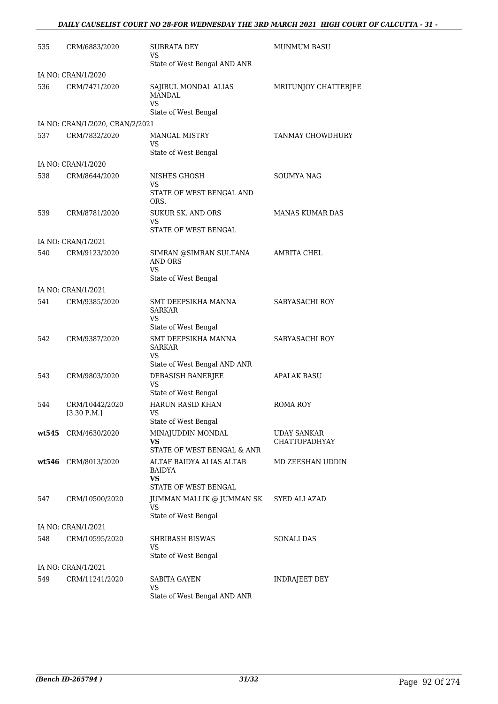### *DAILY CAUSELIST COURT NO 28-FOR WEDNESDAY THE 3RD MARCH 2021 HIGH COURT OF CALCUTTA - 31 -*

| 535   | CRM/6883/2020                   | <b>SUBRATA DEY</b><br>VS                                                       | <b>MUNMUM BASU</b>                         |
|-------|---------------------------------|--------------------------------------------------------------------------------|--------------------------------------------|
|       |                                 | State of West Bengal AND ANR                                                   |                                            |
|       | IA NO: CRAN/1/2020              |                                                                                |                                            |
| 536   | CRM/7471/2020                   | SAJIBUL MONDAL ALIAS<br><b>MANDAL</b><br>VS                                    | MRITUNJOY CHATTERJEE                       |
|       |                                 | State of West Bengal                                                           |                                            |
|       | IA NO: CRAN/1/2020, CRAN/2/2021 |                                                                                |                                            |
| 537   | CRM/7832/2020                   | <b>MANGAL MISTRY</b><br>VS<br>State of West Bengal                             | TANMAY CHOWDHURY                           |
|       | IA NO: CRAN/1/2020              |                                                                                |                                            |
| 538   | CRM/8644/2020                   | NISHES GHOSH<br>VS<br>STATE OF WEST BENGAL AND<br>ORS.                         | <b>SOUMYA NAG</b>                          |
| 539   | CRM/8781/2020                   | <b>SUKUR SK. AND ORS</b><br>VS<br>STATE OF WEST BENGAL                         | <b>MANAS KUMAR DAS</b>                     |
|       | IA NO: CRAN/1/2021              |                                                                                |                                            |
| 540   | CRM/9123/2020                   | SIMRAN @SIMRAN SULTANA<br><b>AND ORS</b><br>VS                                 | <b>AMRITA CHEL</b>                         |
|       |                                 | State of West Bengal                                                           |                                            |
|       | IA NO: CRAN/1/2021              |                                                                                |                                            |
| 541   | CRM/9385/2020                   | SMT DEEPSIKHA MANNA<br><b>SARKAR</b><br>VS<br>State of West Bengal             | SABYASACHI ROY                             |
| 542   | CRM/9387/2020                   | SMT DEEPSIKHA MANNA<br><b>SARKAR</b><br>VS                                     | SABYASACHI ROY                             |
|       |                                 | State of West Bengal AND ANR                                                   |                                            |
| 543   | CRM/9803/2020                   | DEBASISH BANERJEE<br>VS<br>State of West Bengal                                | <b>APALAK BASU</b>                         |
| 544   | CRM/10442/2020<br>[3.30 P.M.]   | HARUN RASID KHAN<br>VS.                                                        | <b>ROMA ROY</b>                            |
|       |                                 | State of West Bengal                                                           |                                            |
| wt545 | CRM/4630/2020                   | MINAJUDDIN MONDAL<br>VS.<br>STATE OF WEST BENGAL & ANR                         | <b>UDAY SANKAR</b><br><b>CHATTOPADHYAY</b> |
| wt546 | CRM/8013/2020                   | ALTAF BAIDYA ALIAS ALTAB<br><b>BAIDYA</b><br><b>VS</b><br>STATE OF WEST BENGAL | MD ZEESHAN UDDIN                           |
| 547   | CRM/10500/2020                  | JUMMAN MALLIK @ JUMMAN SK<br>VS<br>State of West Bengal                        | SYED ALI AZAD                              |
|       | IA NO: CRAN/1/2021              |                                                                                |                                            |
| 548   | CRM/10595/2020                  | SHRIBASH BISWAS<br>VS                                                          | <b>SONALI DAS</b>                          |
|       |                                 | State of West Bengal                                                           |                                            |
|       | IA NO: CRAN/1/2021              |                                                                                |                                            |
| 549   | CRM/11241/2020                  | <b>SABITA GAYEN</b><br>VS<br>State of West Bengal AND ANR                      | INDRAJEET DEY                              |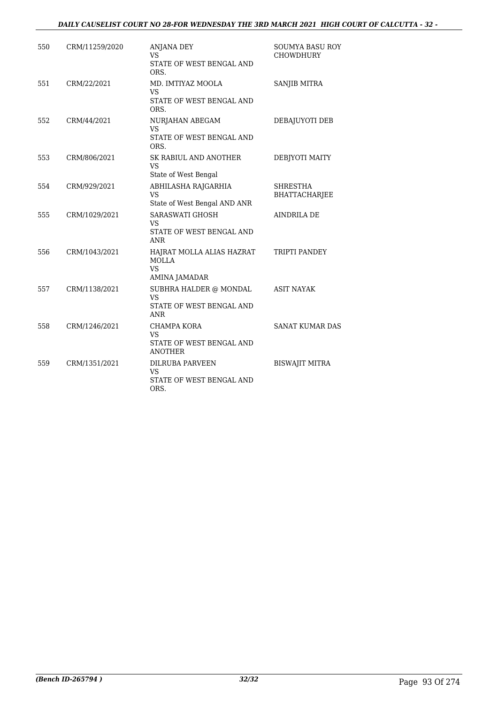### *DAILY CAUSELIST COURT NO 28-FOR WEDNESDAY THE 3RD MARCH 2021 HIGH COURT OF CALCUTTA - 32 -*

| 550 | CRM/11259/2020 | <b>ANJANA DEY</b><br>VS<br>STATE OF WEST BENGAL AND<br>ORS.                   | SOUMYA BASU ROY<br><b>CHOWDHURY</b>     |
|-----|----------------|-------------------------------------------------------------------------------|-----------------------------------------|
| 551 | CRM/22/2021    | MD. IMTIYAZ MOOLA<br><b>VS</b><br>STATE OF WEST BENGAL AND<br>ORS.            | SANJIB MITRA                            |
| 552 | CRM/44/2021    | NURJAHAN ABEGAM<br><b>VS</b><br>STATE OF WEST BENGAL AND<br>ORS.              | DEBAJUYOTI DEB                          |
| 553 | CRM/806/2021   | <b>SK RABIUL AND ANOTHER</b><br><b>VS</b><br>State of West Bengal             | DEBJYOTI MAITY                          |
| 554 | CRM/929/2021   | ABHILASHA RAJGARHIA<br><b>VS</b><br>State of West Bengal AND ANR              | <b>SHRESTHA</b><br><b>BHATTACHARJEE</b> |
| 555 | CRM/1029/2021  | <b>SARASWATI GHOSH</b><br><b>VS</b><br>STATE OF WEST BENGAL AND<br><b>ANR</b> | <b>AINDRILA DE</b>                      |
| 556 | CRM/1043/2021  | HAJRAT MOLLA ALIAS HAZRAT<br><b>MOLLA</b><br>VS<br>AMINA JAMADAR              | TRIPTI PANDEY                           |
| 557 | CRM/1138/2021  | SUBHRA HALDER @ MONDAL<br><b>VS</b><br>STATE OF WEST BENGAL AND<br>ANR        | <b>ASIT NAYAK</b>                       |
| 558 | CRM/1246/2021  | <b>CHAMPA KORA</b><br><b>VS</b><br>STATE OF WEST BENGAL AND<br><b>ANOTHER</b> | <b>SANAT KUMAR DAS</b>                  |
| 559 | CRM/1351/2021  | DILRUBA PARVEEN<br><b>VS</b><br>STATE OF WEST BENGAL AND<br>ORS.              | <b>BISWAJIT MITRA</b>                   |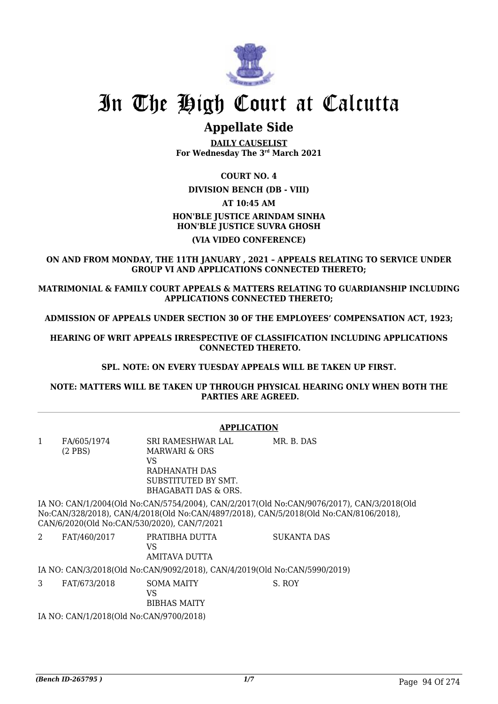

# In The High Court at Calcutta

# **Appellate Side**

**DAILY CAUSELIST For Wednesday The 3rd March 2021**

## **COURT NO. 4**

**DIVISION BENCH (DB - VIII)**

#### **AT 10:45 AM**

## **HON'BLE JUSTICE ARINDAM SINHA HON'BLE JUSTICE SUVRA GHOSH**

#### **(VIA VIDEO CONFERENCE)**

**ON AND FROM MONDAY, THE 11TH JANUARY , 2021 – APPEALS RELATING TO SERVICE UNDER GROUP VI AND APPLICATIONS CONNECTED THERETO;**

**MATRIMONIAL & FAMILY COURT APPEALS & MATTERS RELATING TO GUARDIANSHIP INCLUDING APPLICATIONS CONNECTED THERETO;**

**ADMISSION OF APPEALS UNDER SECTION 30 OF THE EMPLOYEES' COMPENSATION ACT, 1923;**

**HEARING OF WRIT APPEALS IRRESPECTIVE OF CLASSIFICATION INCLUDING APPLICATIONS CONNECTED THERETO.**

**SPL. NOTE: ON EVERY TUESDAY APPEALS WILL BE TAKEN UP FIRST.**

**NOTE: MATTERS WILL BE TAKEN UP THROUGH PHYSICAL HEARING ONLY WHEN BOTH THE PARTIES ARE AGREED.**

|                | <b>APPLICATION</b>                                                                                                                                                                                                                |                                                                                                          |             |  |  |
|----------------|-----------------------------------------------------------------------------------------------------------------------------------------------------------------------------------------------------------------------------------|----------------------------------------------------------------------------------------------------------|-------------|--|--|
| $\mathbf{1}$   | FA/605/1974<br>$(2$ PBS)                                                                                                                                                                                                          | SRI RAMESHWAR LAL<br>MARWARI & ORS<br>VS<br>RADHANATH DAS<br>SUBSTITUTED BY SMT.<br>BHAGABATI DAS & ORS. | MR. B. DAS  |  |  |
|                | IA NO: CAN/1/2004(Old No:CAN/5754/2004), CAN/2/2017(Old No:CAN/9076/2017), CAN/3/2018(Old<br>No:CAN/328/2018), CAN/4/2018(Old No:CAN/4897/2018), CAN/5/2018(Old No:CAN/8106/2018),<br>CAN/6/2020(Old No:CAN/530/2020), CAN/7/2021 |                                                                                                          |             |  |  |
| $\overline{2}$ | FAT/460/2017                                                                                                                                                                                                                      | PRATIBHA DUTTA<br>VS<br>AMITAVA DUTTA                                                                    | SUKANTA DAS |  |  |
|                |                                                                                                                                                                                                                                   | IA NO: CAN/3/2018(Old No:CAN/9092/2018), CAN/4/2019(Old No:CAN/5990/2019)                                |             |  |  |
| 3              | FAT/673/2018                                                                                                                                                                                                                      | SOMA MAITY<br>VS.<br><b>BIBHAS MAITY</b>                                                                 | S. ROY      |  |  |
|                | IA NO: CAN/1/2018(Old No:CAN/9700/2018)                                                                                                                                                                                           |                                                                                                          |             |  |  |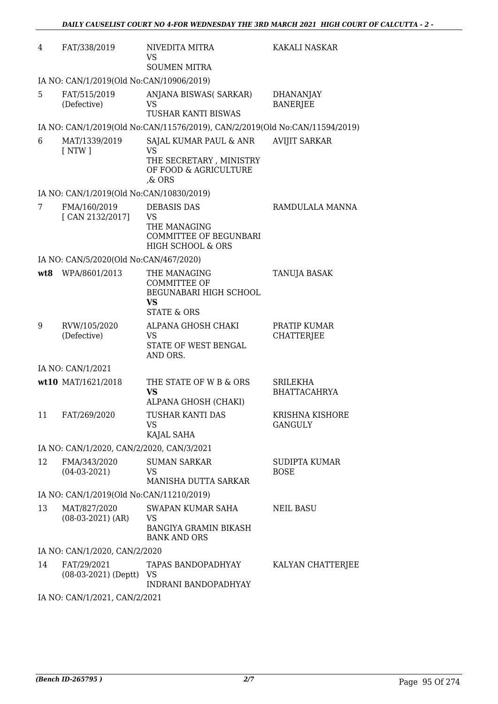| 4                             | FAT/338/2019                              | NIVEDITA MITRA<br>VS<br><b>SOUMEN MITRA</b>                                                         | KAKALI NASKAR                       |  |  |  |
|-------------------------------|-------------------------------------------|-----------------------------------------------------------------------------------------------------|-------------------------------------|--|--|--|
|                               | IA NO: CAN/1/2019(Old No:CAN/10906/2019)  |                                                                                                     |                                     |  |  |  |
| 5                             | FAT/515/2019<br>(Defective)               | ANJANA BISWAS(SARKAR)<br>VS.<br>TUSHAR KANTI BISWAS                                                 | <b>DHANANJAY</b><br><b>BANERJEE</b> |  |  |  |
|                               |                                           | IA NO: CAN/1/2019(Old No:CAN/11576/2019), CAN/2/2019(Old No:CAN/11594/2019)                         |                                     |  |  |  |
| 6                             | MAT/1339/2019<br>[NTW]                    | SAJAL KUMAR PAUL & ANR<br><b>VS</b><br>THE SECRETARY, MINISTRY<br>OF FOOD & AGRICULTURE<br>$\&$ ORS | <b>AVIJIT SARKAR</b>                |  |  |  |
|                               | IA NO: CAN/1/2019(Old No:CAN/10830/2019)  |                                                                                                     |                                     |  |  |  |
| 7                             | FMA/160/2019<br>[CAN 2132/2017]           | <b>DEBASIS DAS</b><br>VS<br>THE MANAGING<br><b>COMMITTEE OF BEGUNBARI</b><br>HIGH SCHOOL & ORS      | RAMDULALA MANNA                     |  |  |  |
|                               | IA NO: CAN/5/2020(Old No:CAN/467/2020)    |                                                                                                     |                                     |  |  |  |
| wt8                           | WPA/8601/2013                             | THE MANAGING<br>COMMITTEE OF<br>BEGUNABARI HIGH SCHOOL<br>VS<br><b>STATE &amp; ORS</b>              | TANUJA BASAK                        |  |  |  |
| 9                             | RVW/105/2020<br>(Defective)               | ALPANA GHOSH CHAKI<br>VS<br>STATE OF WEST BENGAL<br>AND ORS.                                        | PRATIP KUMAR<br><b>CHATTERJEE</b>   |  |  |  |
|                               | IA NO: CAN/1/2021                         |                                                                                                     |                                     |  |  |  |
|                               | wt10 MAT/1621/2018                        | THE STATE OF W B & ORS<br>VS<br>ALPANA GHOSH (CHAKI)                                                | SRILEKHA<br><b>BHATTACAHRYA</b>     |  |  |  |
| 11                            | FAT/269/2020                              | TUSHAR KANTI DAS<br>VS.<br>KAJAL SAHA                                                               | KRISHNA KISHORE<br><b>GANGULY</b>   |  |  |  |
|                               | IA NO: CAN/1/2020, CAN/2/2020, CAN/3/2021 |                                                                                                     |                                     |  |  |  |
| 12                            | FMA/343/2020<br>$(04-03-2021)$            | <b>SUMAN SARKAR</b><br>VS.<br>MANISHA DUTTA SARKAR                                                  | <b>SUDIPTA KUMAR</b><br><b>BOSE</b> |  |  |  |
|                               | IA NO: CAN/1/2019(Old No:CAN/11210/2019)  |                                                                                                     |                                     |  |  |  |
| 13                            | MAT/827/2020<br>$(08-03-2021)$ (AR)       | SWAPAN KUMAR SAHA<br>VS<br>BANGIYA GRAMIN BIKASH<br><b>BANK AND ORS</b>                             | NEIL BASU                           |  |  |  |
|                               | IA NO: CAN/1/2020, CAN/2/2020             |                                                                                                     |                                     |  |  |  |
| 14                            | FAT/29/2021<br>$(08-03-2021)$ (Deptt)     | TAPAS BANDOPADHYAY<br>VS<br>INDRANI BANDOPADHYAY                                                    | KALYAN CHATTERJEE                   |  |  |  |
| IA NO: CAN/1/2021, CAN/2/2021 |                                           |                                                                                                     |                                     |  |  |  |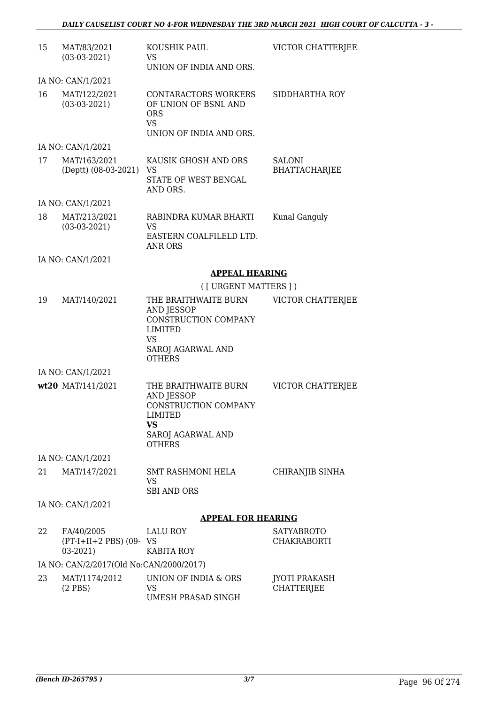| 15                | MAT/83/2021<br>$(03-03-2021)$                       | KOUSHIK PAUL<br>VS<br>UNION OF INDIA AND ORS.                                                                                   | VICTOR CHATTERJEE                         |  |
|-------------------|-----------------------------------------------------|---------------------------------------------------------------------------------------------------------------------------------|-------------------------------------------|--|
| IA NO: CAN/1/2021 |                                                     |                                                                                                                                 |                                           |  |
| 16                | MAT/122/2021<br>$(03-03-2021)$                      | CONTARACTORS WORKERS<br>OF UNION OF BSNL AND<br><b>ORS</b><br><b>VS</b><br>UNION OF INDIA AND ORS.                              | SIDDHARTHA ROY                            |  |
|                   | IA NO: CAN/1/2021                                   |                                                                                                                                 |                                           |  |
| 17                | MAT/163/2021<br>(Deptt) (08-03-2021) VS             | KAUSIK GHOSH AND ORS<br>STATE OF WEST BENGAL<br>AND ORS.                                                                        | <b>SALONI</b><br><b>BHATTACHARJEE</b>     |  |
|                   | IA NO: CAN/1/2021                                   |                                                                                                                                 |                                           |  |
| 18                | MAT/213/2021<br>$(03-03-2021)$                      | RABINDRA KUMAR BHARTI<br>VS<br>EASTERN COALFILELD LTD.<br><b>ANR ORS</b>                                                        | Kunal Ganguly                             |  |
|                   | IA NO: CAN/1/2021                                   |                                                                                                                                 |                                           |  |
|                   |                                                     | <b>APPEAL HEARING</b>                                                                                                           |                                           |  |
|                   |                                                     | ([ URGENT MATTERS ] )                                                                                                           |                                           |  |
| 19                | MAT/140/2021                                        | THE BRAITHWAITE BURN<br>AND JESSOP<br>CONSTRUCTION COMPANY<br><b>LIMITED</b><br><b>VS</b><br>SAROJ AGARWAL AND<br><b>OTHERS</b> | VICTOR CHATTERJEE                         |  |
|                   | IA NO: CAN/1/2021                                   |                                                                                                                                 |                                           |  |
|                   | wt20 MAT/141/2021                                   | THE BRAITHWAITE BURN<br><b>AND JESSOP</b><br>CONSTRUCTION COMPANY<br>LIMITED<br>VS<br>SAROJ AGARWAL AND<br><b>OTHERS</b>        | VICTOR CHATTERJEE                         |  |
|                   | IA NO: CAN/1/2021                                   |                                                                                                                                 |                                           |  |
| 21                | MAT/147/2021                                        | SMT RASHMONI HELA<br>VS<br><b>SBI AND ORS</b>                                                                                   | CHIRANJIB SINHA                           |  |
|                   | IA NO: CAN/1/2021                                   |                                                                                                                                 |                                           |  |
|                   |                                                     | <b>APPEAL FOR HEARING</b>                                                                                                       |                                           |  |
| 22                | FA/40/2005<br>$(PT-I+II+2 PBS)$ (09- VS<br>03-2021) | LALU ROY<br>KABITA ROY                                                                                                          | SATYABROTO<br>CHAKRABORTI                 |  |
|                   | IA NO: CAN/2/2017(Old No:CAN/2000/2017)             |                                                                                                                                 |                                           |  |
| 23                | MAT/1174/2012<br>$(2$ PBS)                          | UNION OF INDIA & ORS<br>VS<br>UMESH PRASAD SINGH                                                                                | <b>JYOTI PRAKASH</b><br><b>CHATTERJEE</b> |  |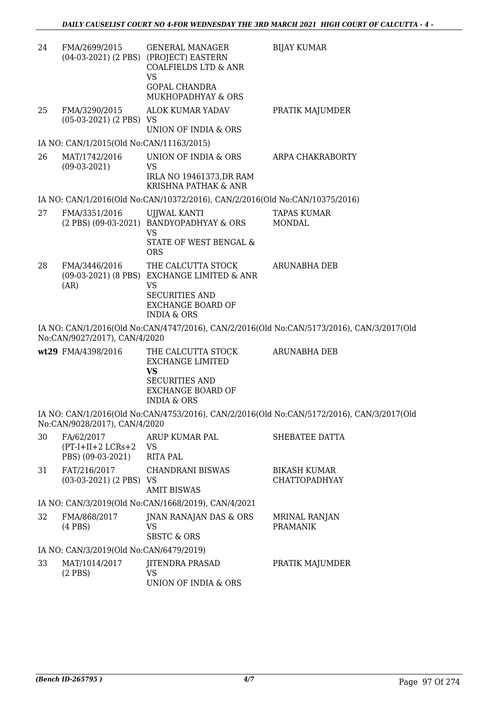| 24 | FMA/2699/2015                                              | <b>GENERAL MANAGER</b><br>(04-03-2021) (2 PBS) (PROJECT) EASTERN<br><b>COALFIELDS LTD &amp; ANR</b><br><b>VS</b><br><b>GOPAL CHANDRA</b><br>MUKHOPADHYAY & ORS       | <b>BIJAY KUMAR</b>                                                                        |
|----|------------------------------------------------------------|----------------------------------------------------------------------------------------------------------------------------------------------------------------------|-------------------------------------------------------------------------------------------|
| 25 | FMA/3290/2015<br>$(05-03-2021)$ (2 PBS) VS                 | <b>ALOK KUMAR YADAV</b><br>UNION OF INDIA & ORS                                                                                                                      | PRATIK MAJUMDER                                                                           |
|    | IA NO: CAN/1/2015(Old No:CAN/11163/2015)                   |                                                                                                                                                                      |                                                                                           |
| 26 | MAT/1742/2016<br>$(09-03-2021)$                            | UNION OF INDIA & ORS<br><b>VS</b><br>IRLA NO 19461373, DR RAM<br>KRISHNA PATHAK & ANR                                                                                | ARPA CHAKRABORTY                                                                          |
|    |                                                            | IA NO: CAN/1/2016(Old No:CAN/10372/2016), CAN/2/2016(Old No:CAN/10375/2016)                                                                                          |                                                                                           |
| 27 | FMA/3351/2016                                              | UJJWAL KANTI<br>(2 PBS) (09-03-2021) BANDYOPADHYAY & ORS<br><b>VS</b><br><b>STATE OF WEST BENGAL &amp;</b>                                                           | <b>TAPAS KUMAR</b><br>MONDAL                                                              |
| 28 | FMA/3446/2016<br>(AR)                                      | <b>ORS</b><br>THE CALCUTTA STOCK<br>(09-03-2021) (8 PBS) EXCHANGE LIMITED & ANR<br>VS<br><b>SECURITIES AND</b><br><b>EXCHANGE BOARD OF</b><br><b>INDIA &amp; ORS</b> | <b>ARUNABHA DEB</b>                                                                       |
|    | No:CAN/9027/2017), CAN/4/2020                              |                                                                                                                                                                      | IA NO: CAN/1/2016(Old No:CAN/4747/2016), CAN/2/2016(Old No:CAN/5173/2016), CAN/3/2017(Old |
|    | wt29 FMA/4398/2016                                         | THE CALCUTTA STOCK<br><b>EXCHANGE LIMITED</b><br><b>VS</b><br><b>SECURITIES AND</b><br><b>EXCHANGE BOARD OF</b><br><b>INDIA &amp; ORS</b>                            | <b>ARUNABHA DEB</b>                                                                       |
|    | No:CAN/9028/2017), CAN/4/2020                              |                                                                                                                                                                      | IA NO: CAN/1/2016(Old No:CAN/4753/2016), CAN/2/2016(Old No:CAN/5172/2016), CAN/3/2017(Old |
| 30 | FA/62/2017<br>$(PT-I+II+2 LCRs+2 VS)$<br>PBS) (09-03-2021) | ARUP KUMAR PAL<br><b>RITA PAL</b>                                                                                                                                    | SHEBATEE DATTA                                                                            |
| 31 | FAT/216/2017<br>$(03-03-2021)$ $(2$ PBS) VS                | <b>CHANDRANI BISWAS</b><br><b>AMIT BISWAS</b>                                                                                                                        | <b>BIKASH KUMAR</b><br><b>CHATTOPADHYAY</b>                                               |
|    |                                                            | IA NO: CAN/3/2019(Old No:CAN/1668/2019), CAN/4/2021                                                                                                                  |                                                                                           |
| 32 | FMA/868/2017<br>$(4$ PBS $)$                               | JNAN RANAJAN DAS & ORS<br>VS<br><b>SBSTC &amp; ORS</b>                                                                                                               | <b>MRINAL RANJAN</b><br><b>PRAMANIK</b>                                                   |
|    | IA NO: CAN/3/2019(Old No:CAN/6479/2019)                    |                                                                                                                                                                      |                                                                                           |
| 33 | MAT/1014/2017<br>$(2$ PBS $)$                              | <b>JITENDRA PRASAD</b><br>VS<br>UNION OF INDIA & ORS                                                                                                                 | PRATIK MAJUMDER                                                                           |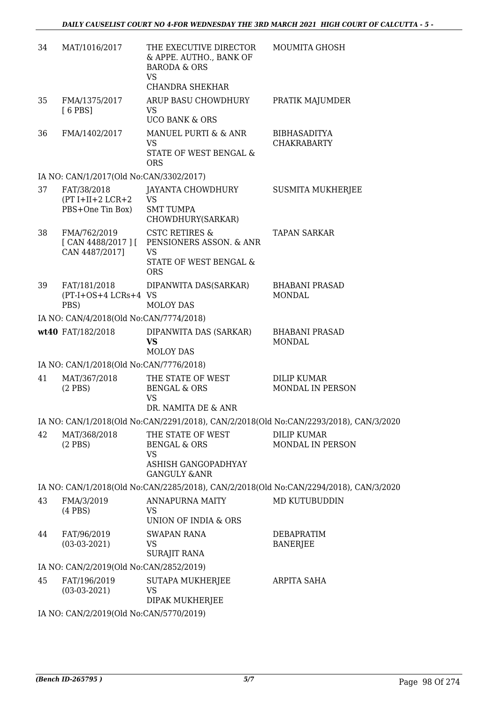| 34 | MAT/1016/2017                                         | THE EXECUTIVE DIRECTOR<br>& APPE. AUTHO., BANK OF<br><b>BARODA &amp; ORS</b>                                                | <b>MOUMITA GHOSH</b>                                                                                        |
|----|-------------------------------------------------------|-----------------------------------------------------------------------------------------------------------------------------|-------------------------------------------------------------------------------------------------------------|
|    |                                                       | VS<br>CHANDRA SHEKHAR                                                                                                       |                                                                                                             |
| 35 | FMA/1375/2017<br>$[6$ PBS]                            | ARUP BASU CHOWDHURY<br>VS.                                                                                                  | PRATIK MAJUMDER                                                                                             |
|    |                                                       | <b>UCO BANK &amp; ORS</b>                                                                                                   |                                                                                                             |
| 36 | FMA/1402/2017                                         | MANUEL PURTI & & ANR<br>VS.<br>STATE OF WEST BENGAL &<br><b>ORS</b>                                                         | <b>BIBHASADITYA</b><br><b>CHAKRABARTY</b>                                                                   |
|    | IA NO: CAN/1/2017(Old No:CAN/3302/2017)               |                                                                                                                             |                                                                                                             |
| 37 | FAT/38/2018<br>$(PT I+II+2 LCR+2$<br>PBS+One Tin Box) | JAYANTA CHOWDHURY<br><b>VS</b><br><b>SMT TUMPA</b><br>CHOWDHURY(SARKAR)                                                     | SUSMITA MUKHERJEE                                                                                           |
| 38 | FMA/762/2019<br>CAN 4487/2017]                        | <b>CSTC RETIRES &amp;</b><br>[CAN 4488/2017] [ PENSIONERS ASSON. & ANR<br><b>VS</b><br>STATE OF WEST BENGAL &<br><b>ORS</b> | <b>TAPAN SARKAR</b>                                                                                         |
| 39 | FAT/181/2018<br>(PT-I+OS+4 LCRs+4 VS<br>PBS)          | DIPANWITA DAS(SARKAR)<br><b>MOLOY DAS</b>                                                                                   | <b>BHABANI PRASAD</b><br><b>MONDAL</b>                                                                      |
|    | IA NO: CAN/4/2018(Old No:CAN/7774/2018)               |                                                                                                                             |                                                                                                             |
|    | wt40 FAT/182/2018                                     | DIPANWITA DAS (SARKAR)<br>VS<br><b>MOLOY DAS</b>                                                                            | <b>BHABANI PRASAD</b><br><b>MONDAL</b>                                                                      |
|    | IA NO: CAN/1/2018(Old No:CAN/7776/2018)               |                                                                                                                             |                                                                                                             |
| 41 | MAT/367/2018                                          | THE STATE OF WEST                                                                                                           | <b>DILIP KUMAR</b>                                                                                          |
|    | $(2$ PBS)                                             | <b>BENGAL &amp; ORS</b><br>VS                                                                                               | MONDAL IN PERSON                                                                                            |
|    |                                                       | DR. NAMITA DE & ANR                                                                                                         |                                                                                                             |
| 42 | MAT/368/2018                                          | THE STATE OF WEST                                                                                                           | IA NO: CAN/1/2018(Old No:CAN/2291/2018), CAN/2/2018(Old No:CAN/2293/2018), CAN/3/2020<br><b>DILIP KUMAR</b> |
|    | $(2$ PBS)                                             | <b>BENGAL &amp; ORS</b><br>VS<br>ASHISH GANGOPADHYAY<br><b>GANGULY &amp;ANR</b>                                             | MONDAL IN PERSON                                                                                            |
|    |                                                       |                                                                                                                             | IA NO: CAN/1/2018(Old No:CAN/2285/2018), CAN/2/2018(Old No:CAN/2294/2018), CAN/3/2020                       |
| 43 | FMA/3/2019<br>$(4$ PBS $)$                            | ANNAPURNA MAITY<br>VS                                                                                                       | MD KUTUBUDDIN                                                                                               |
|    |                                                       | UNION OF INDIA & ORS                                                                                                        |                                                                                                             |
| 44 | FAT/96/2019<br>$(03-03-2021)$                         | <b>SWAPAN RANA</b><br><b>VS</b><br>SURAJIT RANA                                                                             | DEBAPRATIM<br><b>BANERJEE</b>                                                                               |
|    | IA NO: CAN/2/2019(Old No:CAN/2852/2019)               |                                                                                                                             |                                                                                                             |
| 45 | FAT/196/2019<br>$(03-03-2021)$                        | SUTAPA MUKHERJEE<br><b>VS</b><br>DIPAK MUKHERJEE                                                                            | ARPITA SAHA                                                                                                 |
|    | IA NO: CAN/2/2019(Old No:CAN/5770/2019)               |                                                                                                                             |                                                                                                             |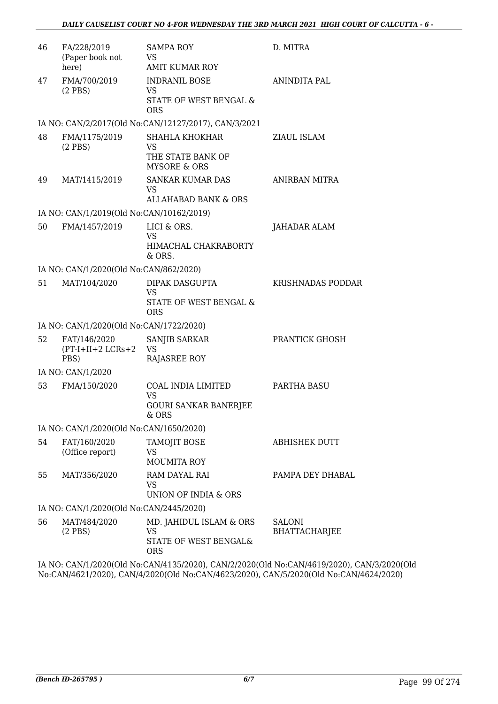| 46 | FA/228/2019<br>(Paper book not<br>here)      | <b>SAMPA ROY</b><br>VS.<br><b>AMIT KUMAR ROY</b>                               | D. MITRA                       |
|----|----------------------------------------------|--------------------------------------------------------------------------------|--------------------------------|
| 47 | FMA/700/2019<br>$(2$ PBS)                    | <b>INDRANIL BOSE</b><br>VS.<br><b>STATE OF WEST BENGAL &amp;</b><br><b>ORS</b> | ANINDITA PAL                   |
|    |                                              | IA NO: CAN/2/2017(Old No:CAN/12127/2017), CAN/3/2021                           |                                |
| 48 | FMA/1175/2019<br>$(2$ PBS)                   | <b>SHAHLA KHOKHAR</b><br>VS.<br>THE STATE BANK OF<br><b>MYSORE &amp; ORS</b>   | ZIAUL ISLAM                    |
| 49 | MAT/1415/2019                                | <b>SANKAR KUMAR DAS</b><br>VS<br>ALLAHABAD BANK & ORS                          | ANIRBAN MITRA                  |
|    | IA NO: CAN/1/2019(Old No:CAN/10162/2019)     |                                                                                |                                |
| 50 | FMA/1457/2019                                | LICI & ORS.<br><b>VS</b><br>HIMACHAL CHAKRABORTY<br>& ORS.                     | JAHADAR ALAM                   |
|    | IA NO: CAN/1/2020(Old No:CAN/862/2020)       |                                                                                |                                |
| 51 | MAT/104/2020                                 | DIPAK DASGUPTA<br><b>VS</b><br>STATE OF WEST BENGAL &<br><b>ORS</b>            | KRISHNADAS PODDAR              |
|    | IA NO: CAN/1/2020(Old No:CAN/1722/2020)      |                                                                                |                                |
| 52 | FAT/146/2020<br>$(PT-I+II+2 LCRs+2)$<br>PBS) | SANJIB SARKAR<br>VS<br><b>RAJASREE ROY</b>                                     | PRANTICK GHOSH                 |
|    | IA NO: CAN/1/2020                            |                                                                                |                                |
| 53 | FMA/150/2020                                 | COAL INDIA LIMITED<br><b>VS</b><br><b>GOURI SANKAR BANERJEE</b><br>$&$ ORS     | PARTHA BASU                    |
|    | IA NO: CAN/1/2020(Old No:CAN/1650/2020)      |                                                                                |                                |
| 54 | FAT/160/2020<br>(Office report)              | TAMOJIT BOSE<br>VS<br><b>MOUMITA ROY</b>                                       | <b>ABHISHEK DUTT</b>           |
| 55 | MAT/356/2020                                 | RAM DAYAL RAI<br>VS<br>UNION OF INDIA & ORS                                    | PAMPA DEY DHABAL               |
|    | IA NO: CAN/1/2020(Old No:CAN/2445/2020)      |                                                                                |                                |
| 56 | MAT/484/2020<br>$(2$ PBS)                    | MD. JAHIDUL ISLAM & ORS<br>VS<br>STATE OF WEST BENGAL&<br><b>ORS</b>           | SALONI<br><b>BHATTACHARJEE</b> |

IA NO: CAN/1/2020(Old No:CAN/4135/2020), CAN/2/2020(Old No:CAN/4619/2020), CAN/3/2020(Old No:CAN/4621/2020), CAN/4/2020(Old No:CAN/4623/2020), CAN/5/2020(Old No:CAN/4624/2020)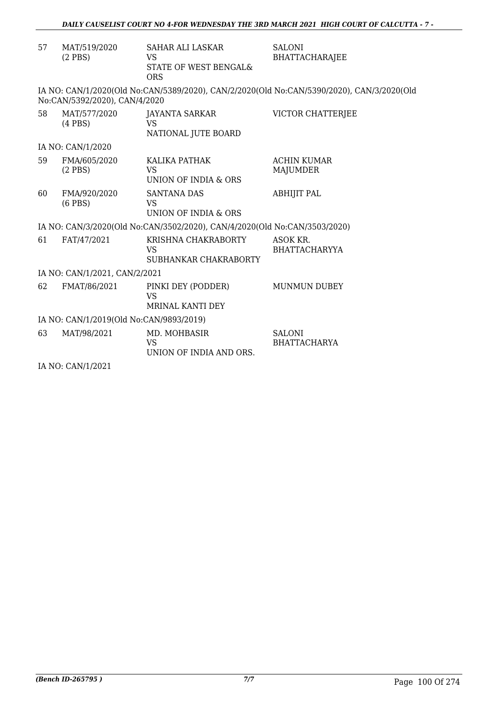| 57 | MAT/519/2020<br>$(2$ PBS)               | <b>SAHAR ALI LASKAR</b><br>VS<br>STATE OF WEST BENGAL&<br><b>ORS</b>      | <b>SALONI</b><br><b>BHATTACHARAJEE</b>                                                    |  |  |
|----|-----------------------------------------|---------------------------------------------------------------------------|-------------------------------------------------------------------------------------------|--|--|
|    | No:CAN/5392/2020), CAN/4/2020           |                                                                           | IA NO: CAN/1/2020(Old No:CAN/5389/2020), CAN/2/2020(Old No:CAN/5390/2020), CAN/3/2020(Old |  |  |
| 58 | MAT/577/2020<br>$(4$ PBS)               | JAYANTA SARKAR<br><b>VS</b><br>NATIONAL JUTE BOARD                        | VICTOR CHATTERJEE                                                                         |  |  |
|    | IA NO: CAN/1/2020                       |                                                                           |                                                                                           |  |  |
| 59 | FMA/605/2020<br>$(2$ PBS)               | KALIKA PATHAK<br>VS.<br>UNION OF INDIA & ORS                              | <b>ACHIN KUMAR</b><br>MAJUMDER                                                            |  |  |
| 60 | FMA/920/2020<br>$(6$ PBS $)$            | <b>SANTANA DAS</b><br><b>VS</b><br>UNION OF INDIA & ORS                   | <b>ABHIJIT PAL</b>                                                                        |  |  |
|    |                                         | IA NO: CAN/3/2020(Old No:CAN/3502/2020), CAN/4/2020(Old No:CAN/3503/2020) |                                                                                           |  |  |
| 61 | FAT/47/2021                             | KRISHNA CHAKRABORTY<br><b>VS</b><br>SUBHANKAR CHAKRABORTY                 | ASOK KR.<br><b>BHATTACHARYYA</b>                                                          |  |  |
|    | IA NO: CAN/1/2021, CAN/2/2021           |                                                                           |                                                                                           |  |  |
| 62 | FMAT/86/2021                            | PINKI DEY (PODDER)<br>VS<br>MRINAL KANTI DEY                              | <b>MUNMUN DUBEY</b>                                                                       |  |  |
|    | IA NO: CAN/1/2019(Old No:CAN/9893/2019) |                                                                           |                                                                                           |  |  |
| 63 | MAT/98/2021                             | MD. MOHBASIR<br><b>VS</b><br>UNION OF INDIA AND ORS.                      | <b>SALONI</b><br><b>BHATTACHARYA</b>                                                      |  |  |
|    |                                         |                                                                           |                                                                                           |  |  |

IA NO: CAN/1/2021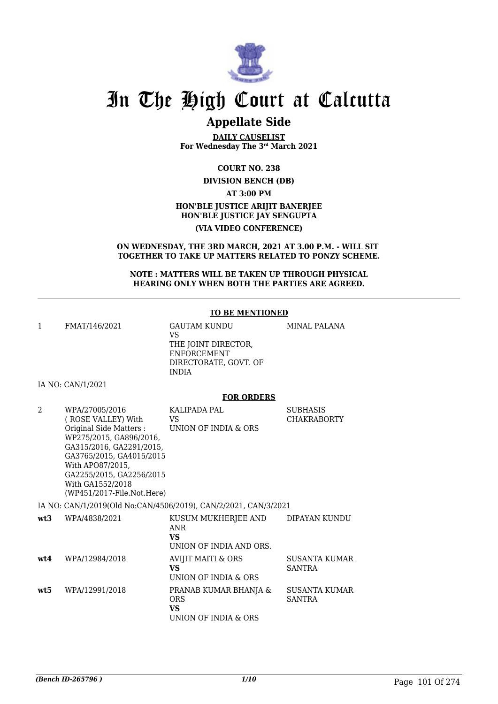

# In The High Court at Calcutta

## **Appellate Side**

**DAILY CAUSELIST For Wednesday The 3rd March 2021**

**COURT NO. 238**

**DIVISION BENCH (DB)**

**AT 3:00 PM**

**HON'BLE JUSTICE ARIJIT BANERJEE HON'BLE JUSTICE JAY SENGUPTA**

**(VIA VIDEO CONFERENCE)**

**ON WEDNESDAY, THE 3RD MARCH, 2021 AT 3.00 P.M. - WILL SIT TOGETHER TO TAKE UP MATTERS RELATED TO PONZY SCHEME.**

**NOTE : MATTERS WILL BE TAKEN UP THROUGH PHYSICAL HEARING ONLY WHEN BOTH THE PARTIES ARE AGREED.**

#### **TO BE MENTIONED**

MINAL PALANA

1 FMAT/146/2021 GAUTAM KUNDU

VS THE JOINT DIRECTOR, ENFORCEMENT DIRECTORATE, GOVT. OF INDIA

IA NO: CAN/1/2021

#### **FOR ORDERS**

| $\overline{\mathcal{L}}$ | WPA/27005/2016                       | KALIPADA PAL                                                    | <b>SUBHASIS</b>      |
|--------------------------|--------------------------------------|-----------------------------------------------------------------|----------------------|
|                          | ( ROSE VALLEY) With                  | VS.                                                             | <b>CHAKRABORTY</b>   |
|                          | Original Side Matters :              | UNION OF INDIA & ORS                                            |                      |
|                          | WP275/2015, GA896/2016,              |                                                                 |                      |
|                          | GA315/2016, GA2291/2015,             |                                                                 |                      |
|                          | GA3765/2015, GA4015/2015             |                                                                 |                      |
|                          | With APO87/2015,                     |                                                                 |                      |
|                          | GA2255/2015, GA2256/2015             |                                                                 |                      |
|                          | With GA1552/2018                     |                                                                 |                      |
|                          | $(WP451/2017\text{-File.Not. Here})$ |                                                                 |                      |
|                          |                                      | IA NO: CAN/1/2019(Old No:CAN/4506/2019), CAN/2/2021, CAN/3/2021 |                      |
| wt3                      | WPA/4838/2021                        | KUSUM MUKHERJEE AND                                             | DIPAYAN KUNDU        |
|                          |                                      | ANR                                                             |                      |
|                          |                                      | <b>VS</b>                                                       |                      |
|                          |                                      | UNION OF INDIA AND ORS.                                         |                      |
| wt.4                     | WPA/12984/2018                       | AVIJIT MAITI & ORS                                              | <b>SUSANTA KUMAR</b> |
|                          |                                      | <b>VS</b>                                                       | <b>SANTRA</b>        |
|                          |                                      | UNION OF INDIA & ORS                                            |                      |
| wt5                      | WPA/12991/2018                       | PRANAB KUMAR BHANJA &                                           | <b>SUSANTA KUMAR</b> |
|                          |                                      | <b>ORS</b>                                                      | <b>SANTRA</b>        |
|                          |                                      | VS.                                                             |                      |
|                          |                                      | UNION OF INDIA & ORS                                            |                      |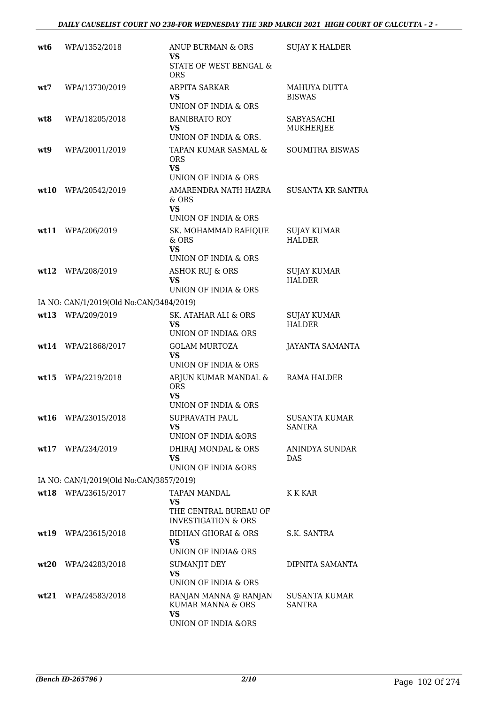| wt6  | WPA/1352/2018                           | ANUP BURMAN & ORS<br>VS<br>STATE OF WEST BENGAL &                                       | <b>SUJAY K HALDER</b>                 |
|------|-----------------------------------------|-----------------------------------------------------------------------------------------|---------------------------------------|
| wt7  | WPA/13730/2019                          | <b>ORS</b><br>ARPITA SARKAR<br>VS<br>UNION OF INDIA & ORS                               | MAHUYA DUTTA<br><b>BISWAS</b>         |
| wt8  | WPA/18205/2018                          | <b>BANIBRATO ROY</b><br>VS<br>UNION OF INDIA & ORS.                                     | SABYASACHI<br><b>MUKHERJEE</b>        |
| wt9  | WPA/20011/2019                          | TAPAN KUMAR SASMAL &<br><b>ORS</b><br><b>VS</b>                                         | <b>SOUMITRA BISWAS</b>                |
| wt10 | WPA/20542/2019                          | UNION OF INDIA & ORS<br>AMARENDRA NATH HAZRA<br>& ORS<br><b>VS</b>                      | <b>SUSANTA KR SANTRA</b>              |
|      | wt11 WPA/206/2019                       | UNION OF INDIA & ORS<br>SK. MOHAMMAD RAFIQUE<br>$&$ ORS<br><b>VS</b>                    | <b>SUJAY KUMAR</b><br><b>HALDER</b>   |
| wt12 | WPA/208/2019                            | UNION OF INDIA & ORS<br><b>ASHOK RUJ &amp; ORS</b><br><b>VS</b><br>UNION OF INDIA & ORS | <b>SUJAY KUMAR</b><br><b>HALDER</b>   |
|      | IA NO: CAN/1/2019(Old No:CAN/3484/2019) |                                                                                         |                                       |
|      | wt13 WPA/209/2019                       | SK. ATAHAR ALI & ORS<br>VS<br>UNION OF INDIA& ORS                                       | <b>SUJAY KUMAR</b><br><b>HALDER</b>   |
|      | wt14 WPA/21868/2017                     | <b>GOLAM MURTOZA</b><br><b>VS</b><br>UNION OF INDIA & ORS                               | JAYANTA SAMANTA                       |
| wt15 | WPA/2219/2018                           | ARJUN KUMAR MANDAL &<br><b>ORS</b><br><b>VS</b><br>UNION OF INDIA & ORS                 | RAMA HALDER                           |
|      | wt16 WPA/23015/2018                     | <b>SUPRAVATH PAUL</b><br>VS<br>UNION OF INDIA &ORS                                      | <b>SUSANTA KUMAR</b><br><b>SANTRA</b> |
|      | wt17 WPA/234/2019                       | DHIRAJ MONDAL & ORS<br><b>VS</b><br>UNION OF INDIA &ORS                                 | ANINDYA SUNDAR<br><b>DAS</b>          |
|      | IA NO: CAN/1/2019(Old No:CAN/3857/2019) |                                                                                         |                                       |
|      | wt18 WPA/23615/2017                     | TAPAN MANDAL<br>VS<br>THE CENTRAL BUREAU OF<br><b>INVESTIGATION &amp; ORS</b>           | K K KAR                               |
|      | wt19 WPA/23615/2018                     | BIDHAN GHORAI & ORS<br>VS<br>UNION OF INDIA& ORS                                        | S.K. SANTRA                           |
| wt20 | WPA/24283/2018                          | SUMANJIT DEY<br><b>VS</b><br>UNION OF INDIA & ORS                                       | DIPNITA SAMANTA                       |
|      | $wt21$ WPA/24583/2018                   | RANJAN MANNA @ RANJAN<br>KUMAR MANNA & ORS<br><b>VS</b><br>UNION OF INDIA &ORS          | <b>SUSANTA KUMAR</b><br>SANTRA        |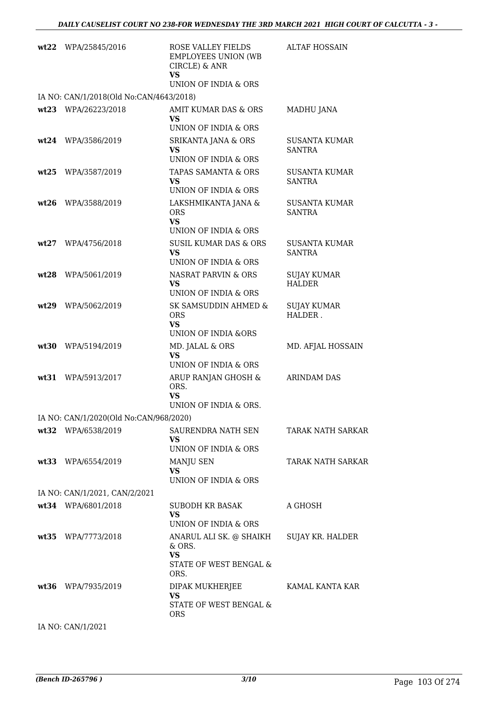|      | wt22 WPA/25845/2016                     | ROSE VALLEY FIELDS<br><b>EMPLOYEES UNION (WB</b><br>CIRCLE) & ANR<br><b>VS</b><br>UNION OF INDIA & ORS | <b>ALTAF HOSSAIN</b>                  |
|------|-----------------------------------------|--------------------------------------------------------------------------------------------------------|---------------------------------------|
|      | IA NO: CAN/1/2018(Old No:CAN/4643/2018) |                                                                                                        |                                       |
|      | wt23 WPA/26223/2018                     | AMIT KUMAR DAS & ORS<br>VS.<br>UNION OF INDIA & ORS                                                    | MADHU JANA                            |
| wt24 | WPA/3586/2019                           | <b>SRIKANTA JANA &amp; ORS</b><br>VS<br>UNION OF INDIA & ORS                                           | <b>SUSANTA KUMAR</b><br><b>SANTRA</b> |
| wt25 | WPA/3587/2019                           | TAPAS SAMANTA & ORS<br><b>VS</b><br>UNION OF INDIA & ORS                                               | <b>SUSANTA KUMAR</b><br><b>SANTRA</b> |
| wt26 | WPA/3588/2019                           | LAKSHMIKANTA JANA &<br><b>ORS</b><br><b>VS</b>                                                         | <b>SUSANTA KUMAR</b><br><b>SANTRA</b> |
|      |                                         | UNION OF INDIA & ORS                                                                                   |                                       |
| wt27 | WPA/4756/2018                           | <b>SUSIL KUMAR DAS &amp; ORS</b><br><b>VS</b><br>UNION OF INDIA & ORS                                  | <b>SUSANTA KUMAR</b><br><b>SANTRA</b> |
| wt28 | WPA/5061/2019                           | NASRAT PARVIN & ORS<br><b>VS</b><br>UNION OF INDIA & ORS                                               | <b>SUJAY KUMAR</b><br><b>HALDER</b>   |
| wt29 | WPA/5062/2019                           | SK SAMSUDDIN AHMED &<br><b>ORS</b><br>VS.<br>UNION OF INDIA &ORS                                       | <b>SUJAY KUMAR</b><br>HALDER.         |
| wt30 | WPA/5194/2019                           | MD. JALAL & ORS<br><b>VS</b><br>UNION OF INDIA & ORS                                                   | MD. AFJAL HOSSAIN                     |
| wt31 | WPA/5913/2017                           | ARUP RANJAN GHOSH &<br>ORS.<br><b>VS</b><br>UNION OF INDIA & ORS.                                      | <b>ARINDAM DAS</b>                    |
|      | IA NO: CAN/1/2020(Old No:CAN/968/2020)  |                                                                                                        |                                       |
|      | wt32 WPA/6538/2019                      | SAURENDRA NATH SEN<br>VS.<br>UNION OF INDIA & ORS                                                      | TARAK NATH SARKAR                     |
|      | wt33 WPA/6554/2019                      | MANJU SEN<br><b>VS</b><br>UNION OF INDIA & ORS                                                         | <b>TARAK NATH SARKAR</b>              |
|      | IA NO: CAN/1/2021, CAN/2/2021           |                                                                                                        |                                       |
|      | wt34 WPA/6801/2018                      | SUBODH KR BASAK<br><b>VS</b><br>UNION OF INDIA & ORS                                                   | A GHOSH                               |
|      | wt35 WPA/7773/2018                      | ANARUL ALI SK. @ SHAIKH<br>$&$ ORS.<br><b>VS</b>                                                       | SUJAY KR. HALDER                      |
|      |                                         | STATE OF WEST BENGAL &<br>ORS.                                                                         |                                       |
|      | wt36 WPA/7935/2019                      | DIPAK MUKHERJEE<br><b>VS</b><br>STATE OF WEST BENGAL &                                                 | KAMAL KANTA KAR                       |
|      | IA NO: CAN/1/2021                       | <b>ORS</b>                                                                                             |                                       |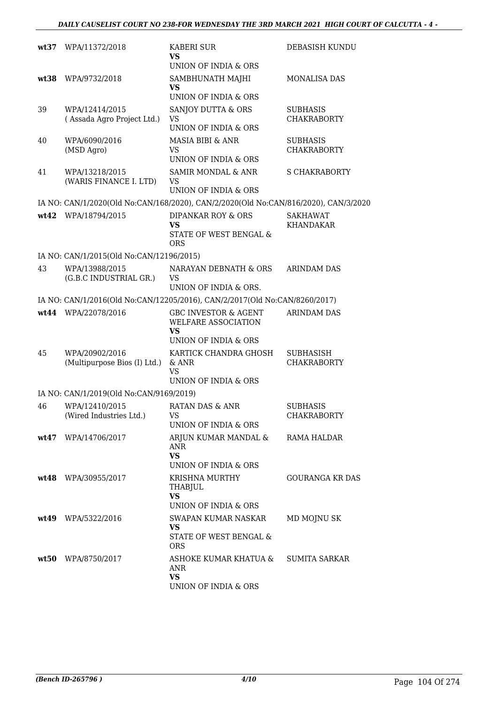| wt37  | WPA/11372/2018                                 | KABERI SUR<br>VS                                                                     | DEBASISH KUNDU                         |
|-------|------------------------------------------------|--------------------------------------------------------------------------------------|----------------------------------------|
| wt:38 | WPA/9732/2018                                  | UNION OF INDIA & ORS<br>SAMBHUNATH MAJHI<br><b>VS</b><br>UNION OF INDIA & ORS        | <b>MONALISA DAS</b>                    |
| 39    | WPA/12414/2015<br>(Assada Agro Project Ltd.)   | SANJOY DUTTA & ORS<br>VS<br>UNION OF INDIA & ORS                                     | <b>SUBHASIS</b><br><b>CHAKRABORTY</b>  |
| 40    | WPA/6090/2016<br>(MSD Agro)                    | <b>MASIA BIBI &amp; ANR</b><br><b>VS</b><br>UNION OF INDIA & ORS                     | <b>SUBHASIS</b><br><b>CHAKRABORTY</b>  |
| 41    | WPA/13218/2015<br>(WARIS FINANCE I. LTD)       | SAMIR MONDAL & ANR<br>VS<br>UNION OF INDIA & ORS                                     | <b>S CHAKRABORTY</b>                   |
|       |                                                | IA NO: CAN/1/2020(Old No:CAN/168/2020), CAN/2/2020(Old No:CAN/816/2020), CAN/3/2020  |                                        |
|       | wt42 WPA/18794/2015                            | <b>DIPANKAR ROY &amp; ORS</b><br><b>VS</b><br>STATE OF WEST BENGAL &<br><b>ORS</b>   | <b>SAKHAWAT</b><br><b>KHANDAKAR</b>    |
|       | IA NO: CAN/1/2015(Old No:CAN/12196/2015)       |                                                                                      |                                        |
| 43    | WPA/13988/2015<br>(G.B.C INDUSTRIAL GR.)       | NARAYAN DEBNATH & ORS<br>VS<br>UNION OF INDIA & ORS.                                 | <b>ARINDAM DAS</b>                     |
|       |                                                | IA NO: CAN/1/2016(Old No:CAN/12205/2016), CAN/2/2017(Old No:CAN/8260/2017)           |                                        |
|       | wt44 WPA/22078/2016                            | <b>GBC INVESTOR &amp; AGENT</b><br>WELFARE ASSOCIATION<br>VS<br>UNION OF INDIA & ORS | <b>ARINDAM DAS</b>                     |
| 45    | WPA/20902/2016<br>(Multipurpose Bios (I) Ltd.) | KARTICK CHANDRA GHOSH<br>$&$ ANR<br>VS<br>UNION OF INDIA & ORS                       | <b>SUBHASISH</b><br><b>CHAKRABORTY</b> |
|       | IA NO: CAN/1/2019(Old No:CAN/9169/2019)        |                                                                                      |                                        |
| 46    | WPA/12410/2015<br>(Wired Industries Ltd.)      | RATAN DAS & ANR<br><b>VS</b><br>UNION OF INDIA & ORS                                 | <b>SUBHASIS</b><br><b>CHAKRABORTY</b>  |
| wt47  | WPA/14706/2017                                 | ARJUN KUMAR MANDAL &<br>ANR<br><b>VS</b><br>UNION OF INDIA & ORS                     | RAMA HALDAR                            |
|       | wt48 WPA/30955/2017                            | KRISHNA MURTHY<br>THABJUL<br><b>VS</b><br>UNION OF INDIA & ORS                       | GOURANGA KR DAS                        |
|       | $wt49$ WPA/5322/2016                           | SWAPAN KUMAR NASKAR<br><b>VS</b><br>STATE OF WEST BENGAL &<br>ORS.                   | MD MOJNU SK                            |
|       | wt50 WPA/8750/2017                             | ASHOKE KUMAR KHATUA &<br><b>ANR</b><br><b>VS</b><br>UNION OF INDIA & ORS             | SUMITA SARKAR                          |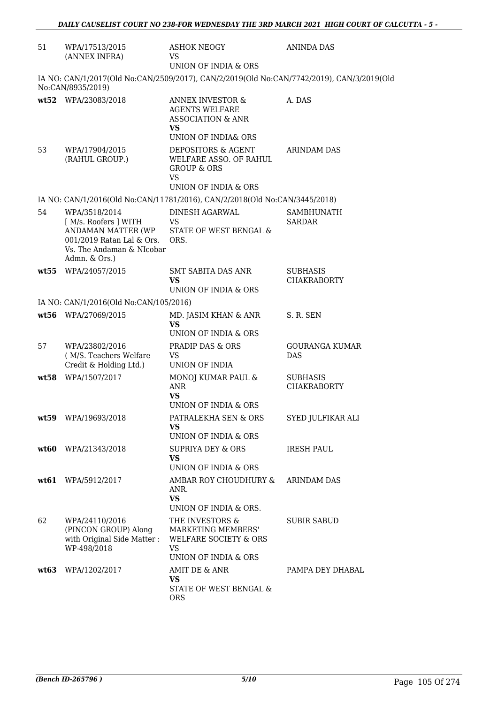| 51   | WPA/17513/2015<br>(ANNEX INFRA)                                                                                                         | <b>ASHOK NEOGY</b><br><b>VS</b><br>UNION OF INDIA & ORS                                                                  | <b>ANINDA DAS</b>                     |
|------|-----------------------------------------------------------------------------------------------------------------------------------------|--------------------------------------------------------------------------------------------------------------------------|---------------------------------------|
|      | No:CAN/8935/2019)                                                                                                                       | IA NO: CAN/1/2017(Old No:CAN/2509/2017), CAN/2/2019(Old No:CAN/7742/2019), CAN/3/2019(Old                                |                                       |
|      | wt52 WPA/23083/2018                                                                                                                     | <b>ANNEX INVESTOR &amp;</b><br><b>AGENTS WELFARE</b><br><b>ASSOCIATION &amp; ANR</b><br><b>VS</b><br>UNION OF INDIA& ORS | A. DAS                                |
| 53   | WPA/17904/2015<br>(RAHUL GROUP.)                                                                                                        | DEPOSITORS & AGENT<br>WELFARE ASSO. OF RAHUL<br><b>GROUP &amp; ORS</b><br><b>VS</b><br>UNION OF INDIA & ORS              | <b>ARINDAM DAS</b>                    |
|      |                                                                                                                                         | IA NO: CAN/1/2016(Old No:CAN/11781/2016), CAN/2/2018(Old No:CAN/3445/2018)                                               |                                       |
| 54   | WPA/3518/2014<br>[ M/s. Roofers ] WITH<br>ANDAMAN MATTER (WP<br>001/2019 Ratan Lal & Ors.<br>Vs. The Andaman & NIcobar<br>Admn. & Ors.) | DINESH AGARWAL<br>VS.<br>STATE OF WEST BENGAL &<br>ORS.                                                                  | SAMBHUNATH<br><b>SARDAR</b>           |
| wt55 | WPA/24057/2015                                                                                                                          | SMT SABITA DAS ANR<br>VS<br>UNION OF INDIA & ORS                                                                         | <b>SUBHASIS</b><br><b>CHAKRABORTY</b> |
|      | IA NO: CAN/1/2016(Old No:CAN/105/2016)                                                                                                  |                                                                                                                          |                                       |
|      | wt56 WPA/27069/2015                                                                                                                     | MD. JASIM KHAN & ANR<br><b>VS</b><br>UNION OF INDIA & ORS                                                                | S. R. SEN                             |
| 57   | WPA/23802/2016<br>(M/S. Teachers Welfare<br>Credit & Holding Ltd.)                                                                      | PRADIP DAS & ORS<br><b>VS</b><br>UNION OF INDIA                                                                          | <b>GOURANGA KUMAR</b><br><b>DAS</b>   |
|      | wt58 WPA/1507/2017                                                                                                                      | MONOJ KUMAR PAUL &<br>ANR<br>VS.<br>UNION OF INDIA & ORS                                                                 | <b>SUBHASIS</b><br><b>CHAKRABORTY</b> |
|      | wt59 WPA/19693/2018                                                                                                                     | PATRALEKHA SEN & ORS<br>VS.<br>UNION OF INDIA & ORS                                                                      | SYED JULFIKAR ALI                     |
|      | wt60 WPA/21343/2018                                                                                                                     | SUPRIYA DEY & ORS<br>VS.<br>UNION OF INDIA & ORS                                                                         | <b>IRESH PAUL</b>                     |
|      | wt61 WPA/5912/2017                                                                                                                      | AMBAR ROY CHOUDHURY &<br>ANR.<br><b>VS</b><br>UNION OF INDIA & ORS.                                                      | <b>ARINDAM DAS</b>                    |
| 62   | WPA/24110/2016<br>(PINCON GROUP) Along<br>with Original Side Matter :<br>WP-498/2018                                                    | THE INVESTORS &<br>MARKETING MEMBERS'<br>WELFARE SOCIETY & ORS<br><b>VS</b><br>UNION OF INDIA & ORS                      | SUBIR SABUD                           |
| wt63 | WPA/1202/2017                                                                                                                           | AMIT DE & ANR<br><b>VS</b><br>STATE OF WEST BENGAL &<br><b>ORS</b>                                                       | PAMPA DEY DHABAL                      |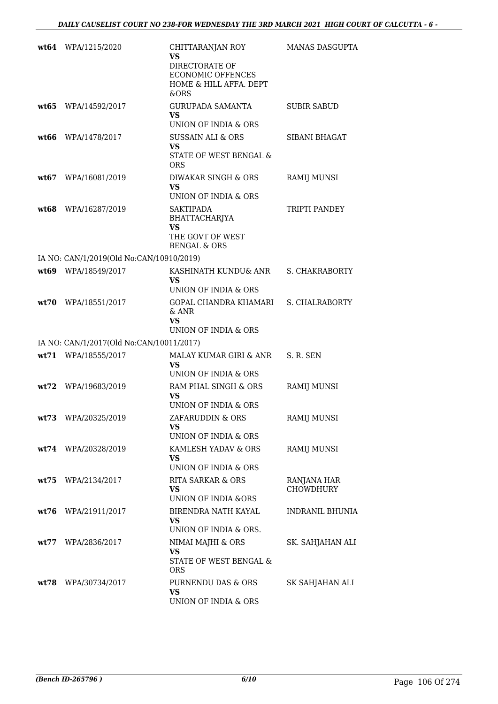|      | wt64 WPA/1215/2020                       | CHITTARANJAN ROY<br><b>VS</b><br>DIRECTORATE OF<br><b>ECONOMIC OFFENCES</b><br>HOME & HILL AFFA. DEPT<br>&ORS | <b>MANAS DASGUPTA</b>           |
|------|------------------------------------------|---------------------------------------------------------------------------------------------------------------|---------------------------------|
| wt65 | WPA/14592/2017                           | GURUPADA SAMANTA<br><b>VS</b><br>UNION OF INDIA & ORS                                                         | <b>SUBIR SABUD</b>              |
| wt66 | WPA/1478/2017                            | <b>SUSSAIN ALI &amp; ORS</b><br><b>VS</b><br>STATE OF WEST BENGAL &<br><b>ORS</b>                             | <b>SIBANI BHAGAT</b>            |
|      | wt67 WPA/16081/2019                      | DIWAKAR SINGH & ORS<br><b>VS</b><br>UNION OF INDIA & ORS                                                      | RAMIJ MUNSI                     |
|      | wt68 WPA/16287/2019                      | <b>SAKTIPADA</b><br>BHATTACHARJYA<br>VS<br>THE GOVT OF WEST<br><b>BENGAL &amp; ORS</b>                        | TRIPTI PANDEY                   |
|      | IA NO: CAN/1/2019(Old No:CAN/10910/2019) |                                                                                                               |                                 |
|      | wt69 WPA/18549/2017                      | KASHINATH KUNDU& ANR<br><b>VS</b><br>UNION OF INDIA & ORS                                                     | S. CHAKRABORTY                  |
| wt70 | WPA/18551/2017                           | GOPAL CHANDRA KHAMARI<br>& ANR<br><b>VS</b><br>UNION OF INDIA & ORS                                           | S. CHALRABORTY                  |
|      | IA NO: CAN/1/2017(Old No:CAN/10011/2017) |                                                                                                               |                                 |
|      | wt71 WPA/18555/2017                      | MALAY KUMAR GIRI & ANR                                                                                        | S. R. SEN                       |
|      |                                          | <b>VS</b><br>UNION OF INDIA & ORS                                                                             |                                 |
|      | wt72 WPA/19683/2019                      | RAM PHAL SINGH & ORS<br>VS<br>UNION OF INDIA & ORS                                                            | <b>RAMIJ MUNSI</b>              |
|      | wt73 WPA/20325/2019                      | ZAFARUDDIN & ORS<br>VS<br>UNION OF INDIA & ORS                                                                | RAMIJ MUNSI                     |
|      | wt74 WPA/20328/2019                      | KAMLESH YADAV & ORS<br>VS<br>UNION OF INDIA & ORS                                                             | RAMIJ MUNSI                     |
| wt75 | WPA/2134/2017                            | RITA SARKAR & ORS<br><b>VS</b><br><b>UNION OF INDIA &amp;ORS</b>                                              | RANJANA HAR<br><b>CHOWDHURY</b> |
| wt76 | WPA/21911/2017                           | BIRENDRA NATH KAYAL<br><b>VS</b><br>UNION OF INDIA & ORS.                                                     | <b>INDRANIL BHUNIA</b>          |
| wt77 | WPA/2836/2017                            | NIMAI MAJHI & ORS<br><b>VS</b><br>STATE OF WEST BENGAL &<br><b>ORS</b>                                        | SK. SAHJAHAN ALI                |
| wt78 | WPA/30734/2017                           | PURNENDU DAS & ORS<br><b>VS</b><br>UNION OF INDIA & ORS                                                       | SK SAHJAHAN ALI                 |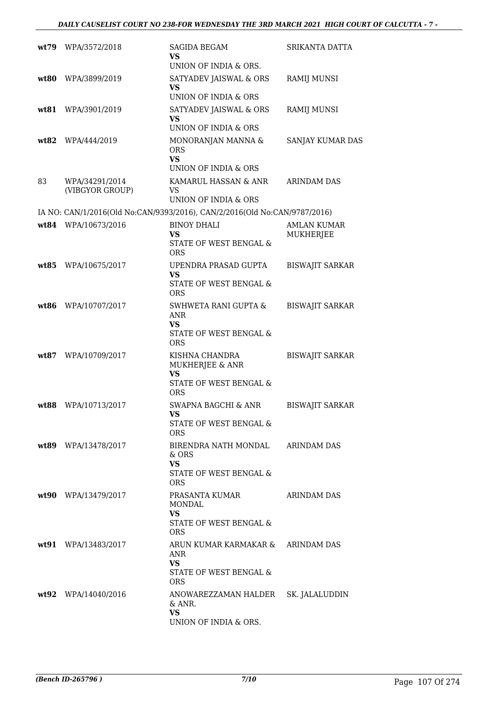|      | wt79 WPA/3572/2018                | <b>SAGIDA BEGAM</b><br>VS.                                                                           | SRIKANTA DATTA                         |
|------|-----------------------------------|------------------------------------------------------------------------------------------------------|----------------------------------------|
| wt80 | WPA/3899/2019                     | UNION OF INDIA & ORS.<br>SATYADEV JAISWAL & ORS<br>VS                                                | <b>RAMIJ MUNSI</b>                     |
| wt81 | WPA/3901/2019                     | UNION OF INDIA & ORS<br>SATYADEV JAISWAL & ORS<br>VS<br>UNION OF INDIA & ORS                         | <b>RAMIJ MUNSI</b>                     |
| wt82 | WPA/444/2019                      | MONORANJAN MANNA &<br><b>ORS</b><br>VS                                                               | SANJAY KUMAR DAS                       |
| 83   | WPA/34291/2014<br>(VIBGYOR GROUP) | UNION OF INDIA & ORS<br>KAMARUL HASSAN & ANR<br>VS<br>UNION OF INDIA & ORS                           | <b>ARINDAM DAS</b>                     |
|      |                                   | IA NO: CAN/1/2016(Old No:CAN/9393/2016), CAN/2/2016(Old No:CAN/9787/2016)                            |                                        |
|      | wt84 WPA/10673/2016               | <b>BINOY DHALI</b><br>VS<br>STATE OF WEST BENGAL &                                                   | <b>AMLAN KUMAR</b><br><b>MUKHERJEE</b> |
| wt85 | WPA/10675/2017                    | <b>ORS</b><br>UPENDRA PRASAD GUPTA<br>VS<br>STATE OF WEST BENGAL &<br><b>ORS</b>                     | <b>BISWAJIT SARKAR</b>                 |
| wt86 | WPA/10707/2017                    | SWHWETA RANI GUPTA &<br><b>ANR</b><br>VS<br>STATE OF WEST BENGAL &<br><b>ORS</b>                     | <b>BISWAJIT SARKAR</b>                 |
| wt87 | WPA/10709/2017                    | KISHNA CHANDRA<br>MUKHERJEE & ANR<br>VS<br>STATE OF WEST BENGAL &<br><b>ORS</b>                      | <b>BISWAJIT SARKAR</b>                 |
| wt88 | WPA/10713/2017                    | <b>SWAPNA BAGCHI &amp; ANR</b><br>VS<br>STATE OF WEST BENGAL &<br>ORS                                | <b>BISWAJIT SARKAR</b>                 |
|      | wt89 WPA/13478/2017               | BIRENDRA NATH MONDAL<br>& ORS<br><b>VS</b><br>STATE OF WEST BENGAL &                                 | <b>ARINDAM DAS</b>                     |
|      | wt90 WPA/13479/2017               | ORS.<br>PRASANTA KUMAR<br><b>MONDAL</b><br>VS<br>STATE OF WEST BENGAL &                              | <b>ARINDAM DAS</b>                     |
|      | wt91 WPA/13483/2017               | <b>ORS</b><br>ARUN KUMAR KARMAKAR & ARINDAM DAS<br><b>ANR</b><br><b>VS</b><br>STATE OF WEST BENGAL & |                                        |
|      | wt92 WPA/14040/2016               | <b>ORS</b><br>ANOWAREZZAMAN HALDER<br>& ANR.<br><b>VS</b><br>UNION OF INDIA & ORS.                   | SK. JALALUDDIN                         |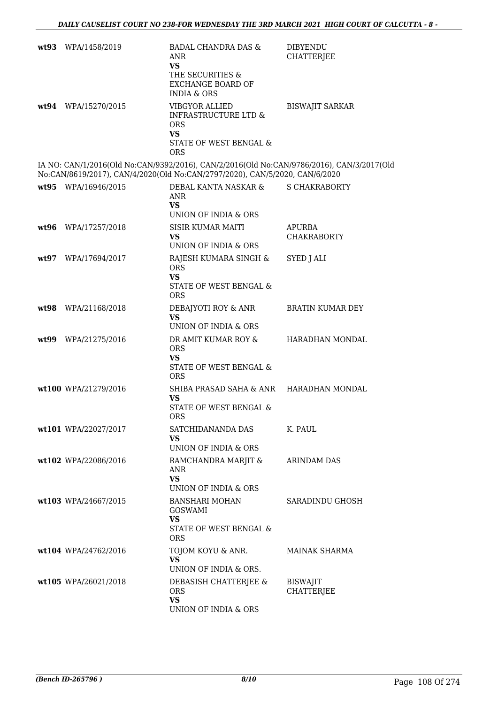| wt93 WPA/1458/2019   | <b>BADAL CHANDRA DAS &amp;</b><br>ANR<br><b>VS</b><br>THE SECURITIES &<br><b>EXCHANGE BOARD OF</b><br><b>INDIA &amp; ORS</b>                                             | <b>DIBYENDU</b><br>CHATTERJEE        |
|----------------------|--------------------------------------------------------------------------------------------------------------------------------------------------------------------------|--------------------------------------|
| wt94 WPA/15270/2015  | <b>VIBGYOR ALLIED</b><br><b>INFRASTRUCTURE LTD &amp;</b><br><b>ORS</b><br><b>VS</b><br>STATE OF WEST BENGAL &<br><b>ORS</b>                                              | <b>BISWAJIT SARKAR</b>               |
|                      | IA NO: CAN/1/2016(Old No:CAN/9392/2016), CAN/2/2016(Old No:CAN/9786/2016), CAN/3/2017(Old<br>No:CAN/8619/2017), CAN/4/2020(Old No:CAN/2797/2020), CAN/5/2020, CAN/6/2020 |                                      |
| wt95 WPA/16946/2015  | DEBAL KANTA NASKAR & S CHAKRABORTY<br>ANR<br><b>VS</b>                                                                                                                   |                                      |
| wt96 WPA/17257/2018  | UNION OF INDIA & ORS<br><b>SISIR KUMAR MAITI</b><br><b>VS</b><br>UNION OF INDIA & ORS                                                                                    | APURBA<br><b>CHAKRABORTY</b>         |
| wt97 WPA/17694/2017  | RAJESH KUMARA SINGH &<br><b>ORS</b><br><b>VS</b><br>STATE OF WEST BENGAL &<br><b>ORS</b>                                                                                 | SYED J ALI                           |
| wt98 WPA/21168/2018  | DEBAJYOTI ROY & ANR<br><b>VS</b><br>UNION OF INDIA & ORS                                                                                                                 | BRATIN KUMAR DEY                     |
| wt99 WPA/21275/2016  | DR AMIT KUMAR ROY &<br><b>ORS</b><br><b>VS</b><br>STATE OF WEST BENGAL &<br><b>ORS</b>                                                                                   | HARADHAN MONDAL                      |
| wt100 WPA/21279/2016 | SHIBA PRASAD SAHA & ANR<br>VS<br>STATE OF WEST BENGAL &<br>ORS                                                                                                           | HARADHAN MONDAL                      |
| wt101 WPA/22027/2017 | SATCHIDANANDA DAS<br><b>VS</b><br>UNION OF INDIA & ORS                                                                                                                   | K. PAUL                              |
| wt102 WPA/22086/2016 | RAMCHANDRA MARJIT &<br>ANR<br><b>VS</b><br>UNION OF INDIA & ORS                                                                                                          | <b>ARINDAM DAS</b>                   |
| wt103 WPA/24667/2015 | <b>BANSHARI MOHAN</b><br><b>GOSWAMI</b><br><b>VS</b><br>STATE OF WEST BENGAL &<br><b>ORS</b>                                                                             | SARADINDU GHOSH                      |
| wt104 WPA/24762/2016 | TOJOM KOYU & ANR.<br>VS.<br>UNION OF INDIA & ORS.                                                                                                                        | <b>MAINAK SHARMA</b>                 |
| wt105 WPA/26021/2018 | DEBASISH CHATTERJEE &<br><b>ORS</b><br><b>VS</b><br>UNION OF INDIA & ORS                                                                                                 | <b>BISWAJIT</b><br><b>CHATTERJEE</b> |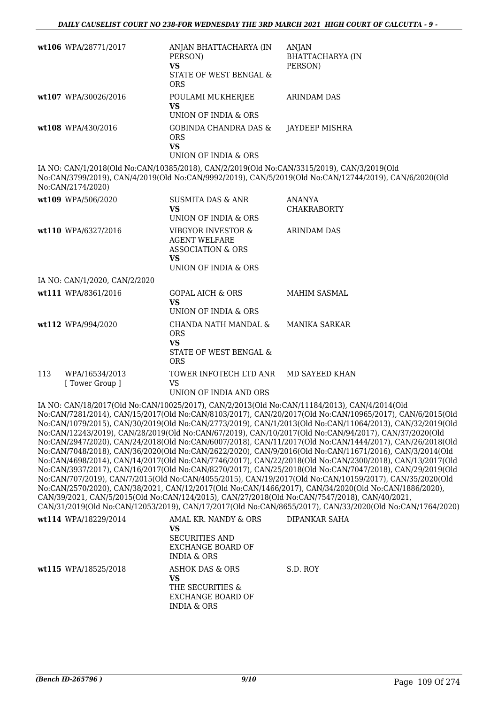|     | wt106 WPA/28771/2017             | ANJAN BHATTACHARYA (IN<br>PERSON)<br><b>VS</b><br>STATE OF WEST BENGAL &<br><b>ORS</b>                           | ANJAN<br><b>BHATTACHARYA (IN</b><br>PERSON)                                                                                                                                                                                                                                                                                                                                                                                                                                                                                                                                                                                                                                                                                                                                                                                                                                                                                                                                                                                                                                                                                                                                                                                                                                                                   |
|-----|----------------------------------|------------------------------------------------------------------------------------------------------------------|---------------------------------------------------------------------------------------------------------------------------------------------------------------------------------------------------------------------------------------------------------------------------------------------------------------------------------------------------------------------------------------------------------------------------------------------------------------------------------------------------------------------------------------------------------------------------------------------------------------------------------------------------------------------------------------------------------------------------------------------------------------------------------------------------------------------------------------------------------------------------------------------------------------------------------------------------------------------------------------------------------------------------------------------------------------------------------------------------------------------------------------------------------------------------------------------------------------------------------------------------------------------------------------------------------------|
|     | wt107 WPA/30026/2016             | POULAMI MUKHERJEE<br><b>VS</b><br>UNION OF INDIA & ORS                                                           | <b>ARINDAM DAS</b>                                                                                                                                                                                                                                                                                                                                                                                                                                                                                                                                                                                                                                                                                                                                                                                                                                                                                                                                                                                                                                                                                                                                                                                                                                                                                            |
|     | wt108 WPA/430/2016               | <b>GOBINDA CHANDRA DAS &amp;</b><br><b>ORS</b><br><b>VS</b><br>UNION OF INDIA & ORS                              | JAYDEEP MISHRA                                                                                                                                                                                                                                                                                                                                                                                                                                                                                                                                                                                                                                                                                                                                                                                                                                                                                                                                                                                                                                                                                                                                                                                                                                                                                                |
|     | No:CAN/2174/2020)                | IA NO: CAN/1/2018(Old No:CAN/10385/2018), CAN/2/2019(Old No:CAN/3315/2019), CAN/3/2019(Old                       | No:CAN/3799/2019), CAN/4/2019(Old No:CAN/9992/2019), CAN/5/2019(Old No:CAN/12744/2019), CAN/6/2020(Old                                                                                                                                                                                                                                                                                                                                                                                                                                                                                                                                                                                                                                                                                                                                                                                                                                                                                                                                                                                                                                                                                                                                                                                                        |
|     | wt109 WPA/506/2020               | <b>SUSMITA DAS &amp; ANR</b><br>VS<br>UNION OF INDIA & ORS                                                       | ANANYA<br><b>CHAKRABORTY</b>                                                                                                                                                                                                                                                                                                                                                                                                                                                                                                                                                                                                                                                                                                                                                                                                                                                                                                                                                                                                                                                                                                                                                                                                                                                                                  |
|     | wt110 WPA/6327/2016              | VIBGYOR INVESTOR &<br><b>AGENT WELFARE</b><br><b>ASSOCIATION &amp; ORS</b><br><b>VS</b>                          | <b>ARINDAM DAS</b>                                                                                                                                                                                                                                                                                                                                                                                                                                                                                                                                                                                                                                                                                                                                                                                                                                                                                                                                                                                                                                                                                                                                                                                                                                                                                            |
|     |                                  | UNION OF INDIA & ORS                                                                                             |                                                                                                                                                                                                                                                                                                                                                                                                                                                                                                                                                                                                                                                                                                                                                                                                                                                                                                                                                                                                                                                                                                                                                                                                                                                                                                               |
|     | IA NO: CAN/1/2020, CAN/2/2020    |                                                                                                                  |                                                                                                                                                                                                                                                                                                                                                                                                                                                                                                                                                                                                                                                                                                                                                                                                                                                                                                                                                                                                                                                                                                                                                                                                                                                                                                               |
|     | wt111 WPA/8361/2016              | <b>GOPAL AICH &amp; ORS</b><br><b>VS</b><br>UNION OF INDIA & ORS                                                 | <b>MAHIM SASMAL</b>                                                                                                                                                                                                                                                                                                                                                                                                                                                                                                                                                                                                                                                                                                                                                                                                                                                                                                                                                                                                                                                                                                                                                                                                                                                                                           |
|     | wt112 WPA/994/2020               | CHANDA NATH MANDAL &<br><b>ORS</b><br><b>VS</b><br>STATE OF WEST BENGAL &<br><b>ORS</b>                          | <b>MANIKA SARKAR</b>                                                                                                                                                                                                                                                                                                                                                                                                                                                                                                                                                                                                                                                                                                                                                                                                                                                                                                                                                                                                                                                                                                                                                                                                                                                                                          |
| 113 | WPA/16534/2013<br>[Tower Group ] | TOWER INFOTECH LTD ANR<br><b>VS</b><br>UNION OF INDIA AND ORS                                                    | MD SAYEED KHAN                                                                                                                                                                                                                                                                                                                                                                                                                                                                                                                                                                                                                                                                                                                                                                                                                                                                                                                                                                                                                                                                                                                                                                                                                                                                                                |
|     |                                  |                                                                                                                  | IA NO: CAN/18/2017(Old No:CAN/10025/2017), CAN/2/2013(Old No:CAN/11184/2013), CAN/4/2014(Old<br>No:CAN/7281/2014), CAN/15/2017(Old No:CAN/8103/2017), CAN/20/2017(Old No:CAN/10965/2017), CAN/6/2015(Old<br>No:CAN/1079/2015), CAN/30/2019(Old No:CAN/2773/2019), CAN/1/2013(Old No:CAN/11064/2013), CAN/32/2019(Old<br>No:CAN/12243/2019), CAN/28/2019(Old No:CAN/67/2019), CAN/10/2017(Old No:CAN/94/2017), CAN/37/2020(Old<br>No:CAN/2947/2020), CAN/24/2018(Old No:CAN/6007/2018), CAN/11/2017(Old No:CAN/1444/2017), CAN/26/2018(Old<br>No:CAN/7048/2018), CAN/36/2020(Old No:CAN/2622/2020), CAN/9/2016(Old No:CAN/11671/2016), CAN/3/2014(Old<br>No:CAN/4698/2014), CAN/14/2017(Old No:CAN/7746/2017), CAN/22/2018(Old No:CAN/2300/2018), CAN/13/2017(Old<br>No:CAN/3937/2017), CAN/16/2017(Old No:CAN/8270/2017), CAN/25/2018(Old No:CAN/7047/2018), CAN/29/2019(Old<br>No:CAN/707/2019), CAN/7/2015(Old No:CAN/4055/2015), CAN/19/2017(Old No:CAN/10159/2017), CAN/35/2020(Old<br>No:CAN/2570/2020), CAN/38/2021, CAN/12/2017(Old No:CAN/1466/2017), CAN/34/2020(Old No:CAN/1886/2020),<br>CAN/39/2021, CAN/5/2015(Old No:CAN/124/2015), CAN/27/2018(Old No:CAN/7547/2018), CAN/40/2021,<br>CAN/31/2019(Old No:CAN/12053/2019), CAN/17/2017(Old No:CAN/8655/2017), CAN/33/2020(Old No:CAN/1764/2020) |
|     | wt114 WPA/18229/2014             | AMAL KR. NANDY & ORS<br><b>VS</b><br><b>SECURITIES AND</b><br><b>EXCHANGE BOARD OF</b><br><b>INDIA &amp; ORS</b> | DIPANKAR SAHA                                                                                                                                                                                                                                                                                                                                                                                                                                                                                                                                                                                                                                                                                                                                                                                                                                                                                                                                                                                                                                                                                                                                                                                                                                                                                                 |
|     | wt115 WPA/18525/2018             | <b>ASHOK DAS &amp; ORS</b><br><b>VS</b><br>THE SECURITIES &<br><b>EXCHANGE BOARD OF</b>                          | S.D. ROY                                                                                                                                                                                                                                                                                                                                                                                                                                                                                                                                                                                                                                                                                                                                                                                                                                                                                                                                                                                                                                                                                                                                                                                                                                                                                                      |

INDIA & ORS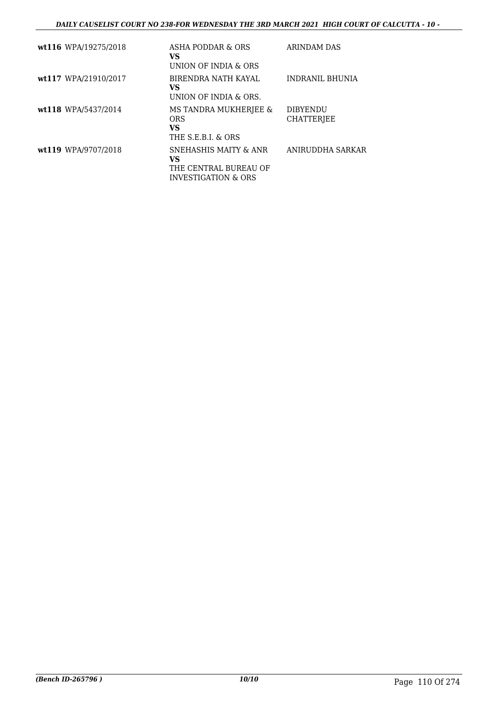| wt116 WPA/19275/2018 | ASHA PODDAR & ORS<br>VS.<br>UNION OF INDIA & ORS                                                   | ARINDAM DAS                          |
|----------------------|----------------------------------------------------------------------------------------------------|--------------------------------------|
| wt117 WPA/21910/2017 | BIRENDRA NATH KAYAL<br>VS.<br>UNION OF INDIA & ORS.                                                | <b>INDRANIL BHUNIA</b>               |
| wt118 WPA/5437/2014  | MS TANDRA MUKHERJEE &<br><b>ORS</b><br><b>VS</b><br>THE S.E.B.I. & ORS                             | <b>DIBYENDU</b><br><b>CHATTERIEE</b> |
| wt119 WPA/9707/2018  | <b>SNEHASHIS MAITY &amp; ANR</b><br>VS.<br>THE CENTRAL BUREAU OF<br><b>INVESTIGATION &amp; ORS</b> | ANIRUDDHA SARKAR                     |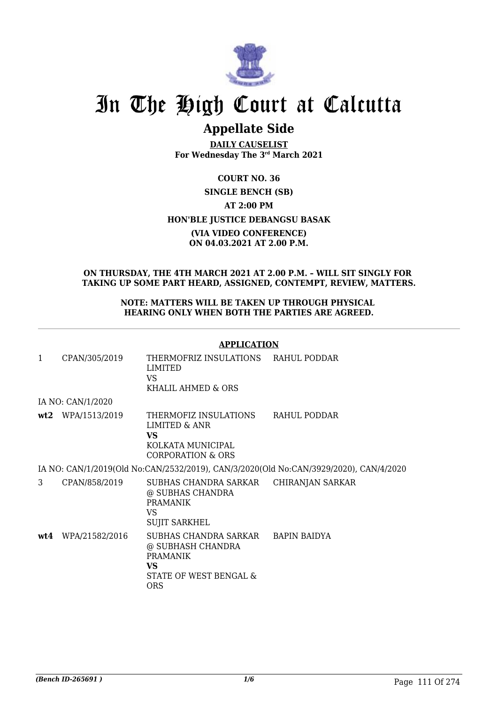

## **Appellate Side**

**DAILY CAUSELIST For Wednesday The 3rd March 2021**

### **COURT NO. 36 SINGLE BENCH (SB) AT 2:00 PM HON'BLE JUSTICE DEBANGSU BASAK (VIA VIDEO CONFERENCE) ON 04.03.2021 AT 2.00 P.M.**

#### **ON THURSDAY, THE 4TH MARCH 2021 AT 2.00 P.M. – WILL SIT SINGLY FOR TAKING UP SOME PART HEARD, ASSIGNED, CONTEMPT, REVIEW, MATTERS.**

#### **NOTE: MATTERS WILL BE TAKEN UP THROUGH PHYSICAL HEARING ONLY WHEN BOTH THE PARTIES ARE AGREED.**

#### **APPLICATION**

| 1   | CPAN/305/2019     | THERMOFRIZ INSULATIONS RAHUL PODDAR<br>LIMITED<br>VS.<br>KHALIL AHMED & ORS                                  |                                                                                       |
|-----|-------------------|--------------------------------------------------------------------------------------------------------------|---------------------------------------------------------------------------------------|
|     | IA NO: CAN/1/2020 |                                                                                                              |                                                                                       |
|     | wt2 WPA/1513/2019 | THERMOFIZ INSULATIONS<br>LIMITED & ANR<br>VS.<br>KOLKATA MUNICIPAL<br>CORPORATION & ORS                      | RAHUL PODDAR                                                                          |
|     |                   |                                                                                                              | IA NO: CAN/1/2019(Old No:CAN/2532/2019), CAN/3/2020(Old No:CAN/3929/2020), CAN/4/2020 |
| 3   | CPAN/858/2019     | SUBHAS CHANDRA SARKAR CHIRANJAN SARKAR<br>@ SUBHAS CHANDRA<br><b>PRAMANIK</b><br>VS.<br><b>SUJIT SARKHEL</b> |                                                                                       |
| wt4 | WPA/21582/2016    | SUBHAS CHANDRA SARKAR<br>@ SUBHASH CHANDRA<br><b>PRAMANIK</b><br>VS.<br>STATE OF WEST BENGAL &<br><b>ORS</b> | BAPIN BAIDYA                                                                          |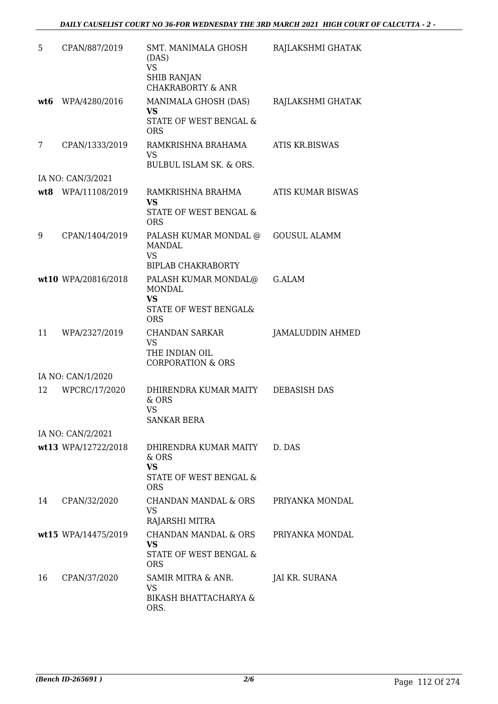| 5   | CPAN/887/2019       | SMT. MANIMALA GHOSH<br>(DAS)<br><b>VS</b><br><b>SHIB RANJAN</b><br><b>CHAKRABORTY &amp; ANR</b> | RAJLAKSHMI GHATAK        |
|-----|---------------------|-------------------------------------------------------------------------------------------------|--------------------------|
| wt6 | WPA/4280/2016       | MANIMALA GHOSH (DAS)<br><b>VS</b><br>STATE OF WEST BENGAL &<br><b>ORS</b>                       | RAJLAKSHMI GHATAK        |
| 7   | CPAN/1333/2019      | RAMKRISHNA BRAHAMA<br>VS<br>BULBUL ISLAM SK. & ORS.                                             | ATIS KR.BISWAS           |
|     | IA NO: CAN/3/2021   |                                                                                                 |                          |
| wt8 | WPA/11108/2019      | RAMKRISHNA BRAHMA<br><b>VS</b><br>STATE OF WEST BENGAL &<br><b>ORS</b>                          | <b>ATIS KUMAR BISWAS</b> |
| 9   | CPAN/1404/2019      | PALASH KUMAR MONDAL @<br>MANDAL<br><b>VS</b><br><b>BIPLAB CHAKRABORTY</b>                       | <b>GOUSUL ALAMM</b>      |
|     | wt10 WPA/20816/2018 | PALASH KUMAR MONDAL@<br>MONDAL<br><b>VS</b><br>STATE OF WEST BENGAL&<br><b>ORS</b>              | G.AI.AM                  |
| 11  | WPA/2327/2019       | <b>CHANDAN SARKAR</b><br><b>VS</b><br>THE INDIAN OIL<br><b>CORPORATION &amp; ORS</b>            | <b>JAMALUDDIN AHMED</b>  |
|     | IA NO: CAN/1/2020   |                                                                                                 |                          |
| 12  | WPCRC/17/2020       | DHIRENDRA KUMAR MAITY<br>& ORS<br><b>VS</b><br><b>SANKAR BERA</b>                               | <b>DEBASISH DAS</b>      |
|     | IA NO: CAN/2/2021   |                                                                                                 |                          |
|     | wt13 WPA/12722/2018 | DHIRENDRA KUMAR MAITY<br>& ORS<br><b>VS</b><br>STATE OF WEST BENGAL &<br><b>ORS</b>             | D. DAS                   |
| 14  | CPAN/32/2020        | CHANDAN MANDAL & ORS<br><b>VS</b><br>RAJARSHI MITRA                                             | PRIYANKA MONDAL          |
|     | wt15 WPA/14475/2019 | <b>CHANDAN MANDAL &amp; ORS</b><br><b>VS</b><br>STATE OF WEST BENGAL &<br><b>ORS</b>            | PRIYANKA MONDAL          |
| 16  | CPAN/37/2020        | SAMIR MITRA & ANR.<br><b>VS</b><br><b>BIKASH BHATTACHARYA &amp;</b><br>ORS.                     | JAI KR. SURANA           |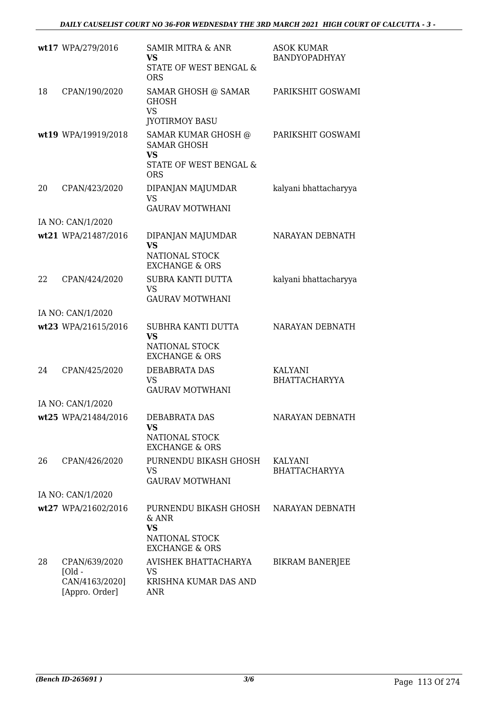|                   | wt17 WPA/279/2016                                              | <b>SAMIR MITRA &amp; ANR</b><br><b>VS</b><br>STATE OF WEST BENGAL &<br><b>ORS</b>              | <b>ASOK KUMAR</b><br><b>BANDYOPADHYAY</b> |  |
|-------------------|----------------------------------------------------------------|------------------------------------------------------------------------------------------------|-------------------------------------------|--|
| 18                | CPAN/190/2020                                                  | SAMAR GHOSH @ SAMAR<br><b>GHOSH</b><br><b>VS</b><br><b>JYOTIRMOY BASU</b>                      | PARIKSHIT GOSWAMI                         |  |
|                   | wt19 WPA/19919/2018                                            | SAMAR KUMAR GHOSH @<br><b>SAMAR GHOSH</b><br><b>VS</b><br>STATE OF WEST BENGAL &<br><b>ORS</b> | PARIKSHIT GOSWAMI                         |  |
| 20                | CPAN/423/2020                                                  | DIPANJAN MAJUMDAR<br><b>VS</b><br><b>GAURAV MOTWHANI</b>                                       | kalyani bhattacharyya                     |  |
|                   | IA NO: CAN/1/2020                                              |                                                                                                |                                           |  |
|                   | wt21 WPA/21487/2016                                            | DIPANJAN MAJUMDAR<br><b>VS</b><br>NATIONAL STOCK<br><b>EXCHANGE &amp; ORS</b>                  | NARAYAN DEBNATH                           |  |
| 22                | CPAN/424/2020                                                  | <b>SUBRA KANTI DUTTA</b><br><b>VS</b><br><b>GAURAV MOTWHANI</b>                                | kalyani bhattacharyya                     |  |
|                   | IA NO: CAN/1/2020                                              |                                                                                                |                                           |  |
|                   | wt23 WPA/21615/2016                                            | SUBHRA KANTI DUTTA<br><b>VS</b><br>NATIONAL STOCK<br><b>EXCHANGE &amp; ORS</b>                 | NARAYAN DEBNATH                           |  |
| 24                | CPAN/425/2020                                                  | <b>DEBABRATA DAS</b><br><b>VS</b><br><b>GAURAV MOTWHANI</b>                                    | KALYANI<br><b>BHATTACHARYYA</b>           |  |
|                   | IA NO: CAN/1/2020                                              |                                                                                                |                                           |  |
|                   | wt25 WPA/21484/2016                                            | DEBABRATA DAS<br><b>VS</b><br>NATIONAL STOCK<br><b>EXCHANGE &amp; ORS</b>                      | NARAYAN DEBNATH                           |  |
| 26                | CPAN/426/2020                                                  | PURNENDU BIKASH GHOSH<br><b>VS</b><br><b>GAURAV MOTWHANI</b>                                   | KALYANI<br><b>BHATTACHARYYA</b>           |  |
| IA NO: CAN/1/2020 |                                                                |                                                                                                |                                           |  |
|                   | wt27 WPA/21602/2016                                            | PURNENDU BIKASH GHOSH<br>& ANR<br><b>VS</b><br>NATIONAL STOCK<br><b>EXCHANGE &amp; ORS</b>     | NARAYAN DEBNATH                           |  |
| 28                | CPAN/639/2020<br>$I$ Old -<br>CAN/4163/2020]<br>[Appro. Order] | AVISHEK BHATTACHARYA<br>VS.<br>KRISHNA KUMAR DAS AND<br>ANR                                    | <b>BIKRAM BANERJEE</b>                    |  |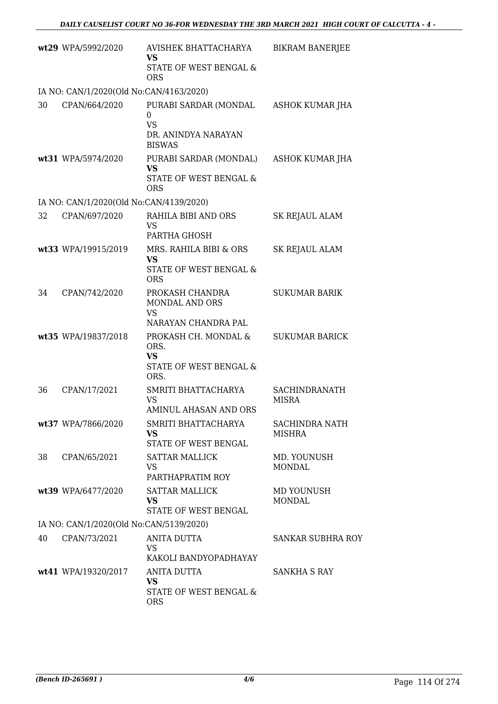|    | wt29 WPA/5992/2020                      | AVISHEK BHATTACHARYA<br><b>VS</b><br>STATE OF WEST BENGAL &<br><b>ORS</b>       | <b>BIKRAM BANERJEE</b>                 |
|----|-----------------------------------------|---------------------------------------------------------------------------------|----------------------------------------|
|    | IA NO: CAN/1/2020(Old No:CAN/4163/2020) |                                                                                 |                                        |
| 30 | CPAN/664/2020                           | PURABI SARDAR (MONDAL<br>0<br><b>VS</b><br>DR. ANINDYA NARAYAN<br><b>BISWAS</b> | ASHOK KUMAR JHA                        |
|    | wt31 WPA/5974/2020                      | PURABI SARDAR (MONDAL)<br><b>VS</b><br>STATE OF WEST BENGAL &<br><b>ORS</b>     | ASHOK KUMAR JHA                        |
|    | IA NO: CAN/1/2020(Old No:CAN/4139/2020) |                                                                                 |                                        |
| 32 | CPAN/697/2020                           | RAHILA BIBI AND ORS<br><b>VS</b><br>PARTHA GHOSH                                | SK REJAUL ALAM                         |
|    | wt33 WPA/19915/2019                     | MRS. RAHILA BIBI & ORS<br><b>VS</b><br>STATE OF WEST BENGAL &<br><b>ORS</b>     | <b>SK REJAUL ALAM</b>                  |
| 34 | CPAN/742/2020                           | PROKASH CHANDRA<br>MONDAL AND ORS<br><b>VS</b><br>NARAYAN CHANDRA PAL           | <b>SUKUMAR BARIK</b>                   |
|    | wt35 WPA/19837/2018                     | PROKASH CH. MONDAL &<br>ORS.<br><b>VS</b><br>STATE OF WEST BENGAL &<br>ORS.     | <b>SUKUMAR BARICK</b>                  |
| 36 | CPAN/17/2021                            | SMRITI BHATTACHARYA<br><b>VS</b><br>AMINUL AHASAN AND ORS                       | <b>SACHINDRANATH</b><br><b>MISRA</b>   |
|    | wt37 WPA/7866/2020                      | SMRITI BHATTACHARYA<br><b>VS</b><br>STATE OF WEST BENGAL                        | <b>SACHINDRA NATH</b><br><b>MISHRA</b> |
| 38 | CPAN/65/2021                            | <b>SATTAR MALLICK</b><br><b>VS</b><br>PARTHAPRATIM ROY                          | MD. YOUNUSH<br><b>MONDAL</b>           |
|    | wt39 WPA/6477/2020                      | <b>SATTAR MALLICK</b><br><b>VS</b><br>STATE OF WEST BENGAL                      | MD YOUNUSH<br><b>MONDAL</b>            |
|    | IA NO: CAN/1/2020(Old No:CAN/5139/2020) |                                                                                 |                                        |
| 40 | CPAN/73/2021                            | <b>ANITA DUTTA</b><br><b>VS</b><br>KAKOLI BANDYOPADHAYAY                        | <b>SANKAR SUBHRA ROY</b>               |
|    | wt41 WPA/19320/2017                     | <b>ANITA DUTTA</b><br><b>VS</b><br>STATE OF WEST BENGAL &<br><b>ORS</b>         | SANKHA S RAY                           |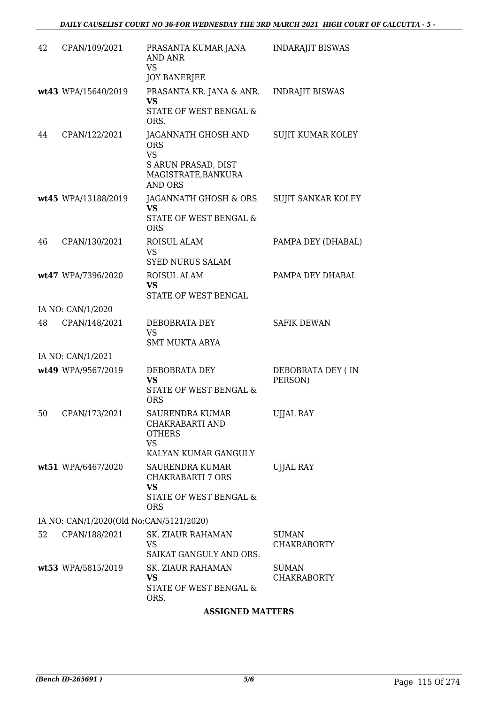| 42 | CPAN/109/2021                           | PRASANTA KUMAR JANA<br><b>AND ANR</b><br><b>VS</b><br><b>JOY BANERJEE</b>                                      | <b>INDARAJIT BISWAS</b>            |
|----|-----------------------------------------|----------------------------------------------------------------------------------------------------------------|------------------------------------|
|    | wt43 WPA/15640/2019                     | PRASANTA KR. JANA & ANR.<br><b>VS</b><br>STATE OF WEST BENGAL &<br>ORS.                                        | INDRAJIT BISWAS                    |
| 44 | CPAN/122/2021                           | JAGANNATH GHOSH AND<br><b>ORS</b><br><b>VS</b><br>S ARUN PRASAD, DIST<br>MAGISTRATE, BANKURA<br><b>AND ORS</b> | SUJIT KUMAR KOLEY                  |
|    | wt45 WPA/13188/2019                     | JAGANNATH GHOSH & ORS<br><b>VS</b><br><b>STATE OF WEST BENGAL &amp;</b><br><b>ORS</b>                          | SUJIT SANKAR KOLEY                 |
| 46 | CPAN/130/2021                           | ROISUL ALAM<br><b>VS</b><br><b>SYED NURUS SALAM</b>                                                            | PAMPA DEY (DHABAL)                 |
|    | wt47 WPA/7396/2020                      | ROISUL ALAM<br><b>VS</b><br>STATE OF WEST BENGAL                                                               | PAMPA DEY DHABAL                   |
|    | IA NO: CAN/1/2020                       |                                                                                                                |                                    |
| 48 | CPAN/148/2021                           | DEBOBRATA DEY<br><b>VS</b><br><b>SMT MUKTA ARYA</b>                                                            | <b>SAFIK DEWAN</b>                 |
|    | IA NO: CAN/1/2021                       |                                                                                                                |                                    |
|    | wt49 WPA/9567/2019                      | DEBOBRATA DEY<br><b>VS</b><br>STATE OF WEST BENGAL &<br><b>ORS</b>                                             | DEBOBRATA DEY (IN<br>PERSON)       |
| 50 | CPAN/173/2021                           | SAURENDRA KUMAR<br>CHAKRABARTI AND<br><b>OTHERS</b><br><b>VS</b><br>KALYAN KUMAR GANGULY                       | UJJAL RAY                          |
|    | wt51 WPA/6467/2020                      | SAURENDRA KUMAR<br>CHAKRABARTI 7 ORS<br><b>VS</b><br>STATE OF WEST BENGAL &<br><b>ORS</b>                      | <b>UJJAL RAY</b>                   |
|    | IA NO: CAN/1/2020(Old No:CAN/5121/2020) |                                                                                                                |                                    |
| 52 | CPAN/188/2021                           | SK. ZIAUR RAHAMAN<br><b>VS</b><br>SAIKAT GANGULY AND ORS.                                                      | <b>SUMAN</b><br><b>CHAKRABORTY</b> |
|    | wt53 WPA/5815/2019                      | <b>SK. ZIAUR RAHAMAN</b><br><b>VS</b><br>STATE OF WEST BENGAL &<br>ORS.                                        | <b>SUMAN</b><br><b>CHAKRABORTY</b> |

#### **ASSIGNED MATTERS**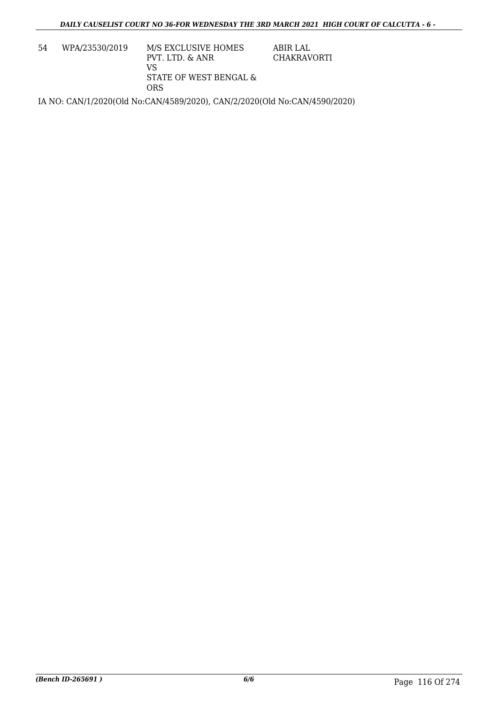| 54 | WPA/23530/2019 | M/S EXCLUSIVE HOMES<br>PVT. LTD. & ANR<br>VS<br>STATE OF WEST BENGAL & | ABIR LAL<br>CHAKRAVORTI |
|----|----------------|------------------------------------------------------------------------|-------------------------|
|    |                | ORS                                                                    |                         |

IA NO: CAN/1/2020(Old No:CAN/4589/2020), CAN/2/2020(Old No:CAN/4590/2020)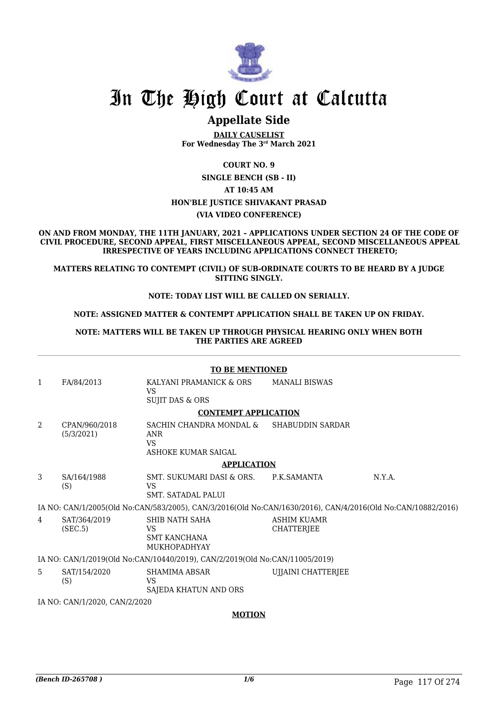

### **Appellate Side**

**DAILY CAUSELIST For Wednesday The 3rd March 2021**

**COURT NO. 9**

#### **SINGLE BENCH (SB - II) AT 10:45 AM HON'BLE JUSTICE SHIVAKANT PRASAD (VIA VIDEO CONFERENCE)**

**ON AND FROM MONDAY, THE 11TH JANUARY, 2021 – APPLICATIONS UNDER SECTION 24 OF THE CODE OF CIVIL PROCEDURE, SECOND APPEAL, FIRST MISCELLANEOUS APPEAL, SECOND MISCELLANEOUS APPEAL IRRESPECTIVE OF YEARS INCLUDING APPLICATIONS CONNECT THERETO;**

**MATTERS RELATING TO CONTEMPT (CIVIL) OF SUB-ORDINATE COURTS TO BE HEARD BY A JUDGE SITTING SINGLY.**

#### **NOTE: TODAY LIST WILL BE CALLED ON SERIALLY.**

#### **NOTE: ASSIGNED MATTER & CONTEMPT APPLICATION SHALL BE TAKEN UP ON FRIDAY.**

#### **NOTE: MATTERS WILL BE TAKEN UP THROUGH PHYSICAL HEARING ONLY WHEN BOTH THE PARTIES ARE AGREED**

#### **TO BE MENTIONED**

1 FA/84/2013 KALYANI PRAMANICK & ORS VS SUJIT DAS & ORS MANALI BISWAS **CONTEMPT APPLICATION** 2 CPAN/960/2018 (5/3/2021) SACHIN CHANDRA MONDAL & ANR VS ASHOKE KUMAR SAIGAL SHABUDDIN SARDAR **APPLICATION** 3 SA/164/1988 (S) SMT. SUKUMARI DASI & ORS. VS SMT. SATADAL PALUI P.K.SAMANTA N.Y.A. IA NO: CAN/1/2005(Old No:CAN/583/2005), CAN/3/2016(Old No:CAN/1630/2016), CAN/4/2016(Old No:CAN/10882/2016) 4 SAT/364/2019 (SEC.5) SHIB NATH SAHA VS SMT KANCHANA MUKHOPADHYAY ASHIM KUAMR **CHATTERJEE** IA NO: CAN/1/2019(Old No:CAN/10440/2019), CAN/2/2019(Old No:CAN/11005/2019) 5 SAT/154/2020 (S) SHAMIMA ABSAR VS SAJEDA KHATUN AND ORS UJJAINI CHATTERJEE IA NO: CAN/1/2020, CAN/2/2020

#### **MOTION**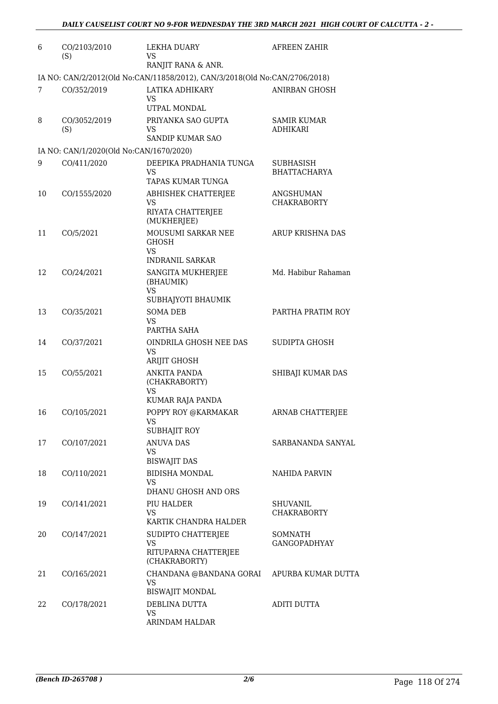| 6  | CO/2103/2010<br>(S)                     | LEKHA DUARY<br><b>VS</b><br>RANJIT RANA & ANR.                                              | <b>AFREEN ZAHIR</b>                   |
|----|-----------------------------------------|---------------------------------------------------------------------------------------------|---------------------------------------|
|    |                                         | IA NO: CAN/2/2012(Old No:CAN/11858/2012), CAN/3/2018(Old No:CAN/2706/2018)                  |                                       |
| 7  | CO/352/2019                             | LATIKA ADHIKARY<br>VS<br>UTPAL MONDAL                                                       | <b>ANIRBAN GHOSH</b>                  |
| 8  | CO/3052/2019<br>(S)                     | PRIYANKA SAO GUPTA<br>VS<br>SANDIP KUMAR SAO                                                | <b>SAMIR KUMAR</b><br><b>ADHIKARI</b> |
|    | IA NO: CAN/1/2020(Old No:CAN/1670/2020) |                                                                                             |                                       |
| 9  | CO/411/2020                             | DEEPIKA PRADHANIA TUNGA<br>VS<br>TAPAS KUMAR TUNGA                                          | SUBHASISH<br><b>BHATTACHARYA</b>      |
| 10 | CO/1555/2020                            | ABHISHEK CHATTERJEE<br>VS<br>RIYATA CHATTERJEE<br>(MUKHERJEE)                               | ANGSHUMAN<br><b>CHAKRABORTY</b>       |
| 11 | CO/5/2021                               | MOUSUMI SARKAR NEE<br><b>GHOSH</b><br>VS                                                    | ARUP KRISHNA DAS                      |
| 12 | CO/24/2021                              | <b>INDRANIL SARKAR</b><br>SANGITA MUKHERJEE<br>(BHAUMIK)<br><b>VS</b><br>SUBHAJYOTI BHAUMIK | Md. Habibur Rahaman                   |
| 13 | CO/35/2021                              | <b>SOMA DEB</b><br>VS<br>PARTHA SAHA                                                        | PARTHA PRATIM ROY                     |
| 14 | CO/37/2021                              | OINDRILA GHOSH NEE DAS<br>VS<br>ARIJIT GHOSH                                                | SUDIPTA GHOSH                         |
| 15 | CO/55/2021                              | <b>ANKITA PANDA</b><br>(CHAKRABORTY)<br>VS<br>KUMAR RAJA PANDA                              | SHIBAJI KUMAR DAS                     |
| 16 | CO/105/2021                             | POPPY ROY @KARMAKAR<br><b>VS</b><br>SUBHAJIT ROY                                            | ARNAB CHATTERJEE                      |
| 17 | CO/107/2021                             | <b>ANUVA DAS</b><br>VS<br><b>BISWAJIT DAS</b>                                               | SARBANANDA SANYAL                     |
| 18 | CO/110/2021                             | <b>BIDISHA MONDAL</b><br>VS<br>DHANU GHOSH AND ORS                                          | NAHIDA PARVIN                         |
| 19 | CO/141/2021                             | PIU HALDER<br><b>VS</b><br>KARTIK CHANDRA HALDER                                            | <b>SHUVANIL</b><br><b>CHAKRABORTY</b> |
| 20 | CO/147/2021                             | SUDIPTO CHATTERJEE<br>VS<br>RITUPARNA CHATTERJEE<br>(CHAKRABORTY)                           | SOMNATH<br><b>GANGOPADHYAY</b>        |
| 21 | CO/165/2021                             | CHANDANA @BANDANA GORAI APURBA KUMAR DUTTA<br><b>VS</b><br><b>BISWAJIT MONDAL</b>           |                                       |
| 22 | CO/178/2021                             | DEBLINA DUTTA<br><b>VS</b><br>ARINDAM HALDAR                                                | <b>ADITI DUTTA</b>                    |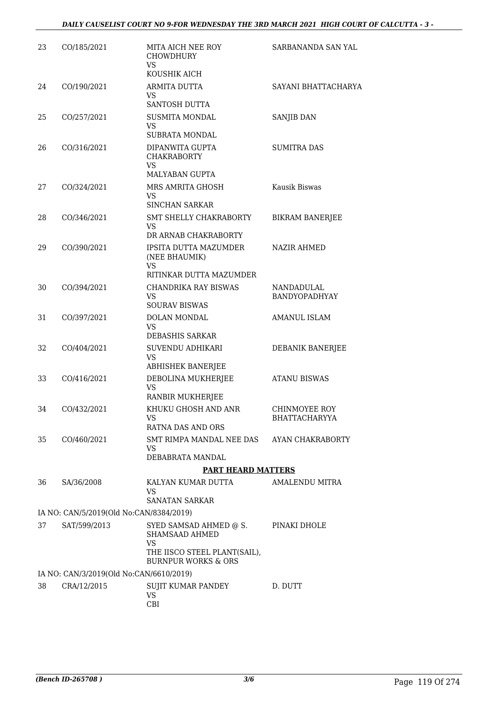| 23. | CO/185/2021                             | MITA AICH NEE ROY<br><b>CHOWDHURY</b><br><b>VS</b><br>KOUSHIK AICH                           | SARBANANDA SAN YAL                           |
|-----|-----------------------------------------|----------------------------------------------------------------------------------------------|----------------------------------------------|
| 24  | CO/190/2021                             | ARMITA DUTTA<br>VS<br>SANTOSH DUTTA                                                          | SAYANI BHATTACHARYA                          |
| 25  | CO/257/2021                             | <b>SUSMITA MONDAL</b><br>VS<br>SUBRATA MONDAL                                                | SANJIB DAN                                   |
| 26  | CO/316/2021                             | DIPANWITA GUPTA<br><b>CHAKRABORTY</b><br><b>VS</b><br><b>MALYABAN GUPTA</b>                  | <b>SUMITRA DAS</b>                           |
| 27  | CO/324/2021                             | MRS AMRITA GHOSH<br>VS<br><b>SINCHAN SARKAR</b>                                              | Kausik Biswas                                |
| 28  | CO/346/2021                             | SMT SHELLY CHAKRABORTY<br>VS<br>DR ARNAB CHAKRABORTY                                         | <b>BIKRAM BANERJEE</b>                       |
| 29  | CO/390/2021                             | IPSITA DUTTA MAZUMDER<br>(NEE BHAUMIK)<br><b>VS</b>                                          | NAZIR AHMED                                  |
| 30  | CO/394/2021                             | RITINKAR DUTTA MAZUMDER<br>CHANDRIKA RAY BISWAS<br><b>VS</b><br><b>SOURAV BISWAS</b>         | <b>NANDADULAL</b><br>BANDYOPADHYAY           |
| 31  | CO/397/2021                             | DOLAN MONDAL<br>VS<br>DEBASHIS SARKAR                                                        | <b>AMANUL ISLAM</b>                          |
| 32  | CO/404/2021                             | SUVENDU ADHIKARI<br>VS<br><b>ABHISHEK BANERJEE</b>                                           | DEBANIK BANERJEE                             |
| 33  | CO/416/2021                             | DEBOLINA MUKHERJEE<br><b>VS</b><br>RANBIR MUKHERJEE                                          | <b>ATANU BISWAS</b>                          |
| 34  | CO/432/2021                             | KHUKU GHOSH AND ANR<br><b>VS</b><br>RATNA DAS AND ORS                                        | <b>CHINMOYEE ROY</b><br><b>BHATTACHARYYA</b> |
| 35  | CO/460/2021                             | SMT RIMPA MANDAL NEE DAS AYAN CHAKRABORTY<br>VS<br>DEBABRATA MANDAL                          |                                              |
|     |                                         | <b>PART HEARD MATTERS</b>                                                                    |                                              |
| 36  | SA/36/2008                              | KALYAN KUMAR DUTTA<br>VS<br><b>SANATAN SARKAR</b>                                            | AMALENDU MITRA                               |
|     | IA NO: CAN/5/2019(Old No:CAN/8384/2019) |                                                                                              |                                              |
| 37  | SAT/599/2013                            | SYED SAMSAD AHMED @ S.<br><b>SHAMSAAD AHMED</b><br><b>VS</b><br>THE IISCO STEEL PLANT(SAIL), | PINAKI DHOLE                                 |
|     | IA NO: CAN/3/2019(Old No:CAN/6610/2019) | <b>BURNPUR WORKS &amp; ORS</b>                                                               |                                              |
| 38  | CRA/12/2015                             | SUJIT KUMAR PANDEY<br>VS<br>CBI                                                              | D. DUTT                                      |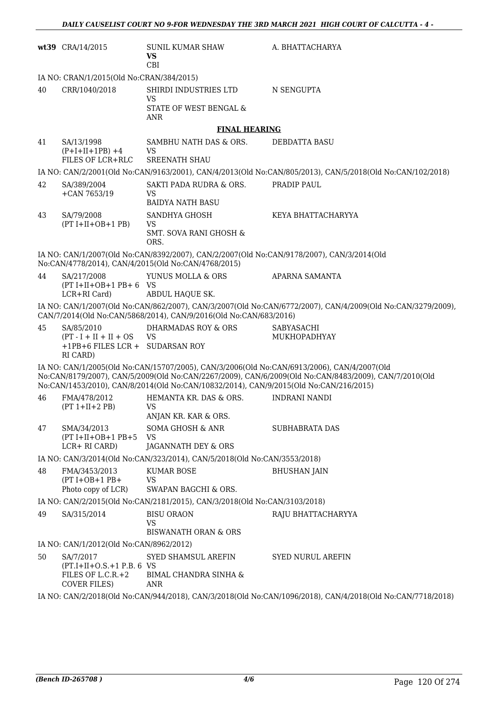|    | wt39 CRA/14/2015                                                                      | SUNIL KUMAR SHAW<br><b>VS</b><br>CBI                                                                                                                                                | A. BHATTACHARYA                                                                                             |
|----|---------------------------------------------------------------------------------------|-------------------------------------------------------------------------------------------------------------------------------------------------------------------------------------|-------------------------------------------------------------------------------------------------------------|
|    | IA NO: CRAN/1/2015(Old No:CRAN/384/2015)                                              |                                                                                                                                                                                     |                                                                                                             |
| 40 | CRR/1040/2018                                                                         | SHIRDI INDUSTRIES LTD<br><b>VS</b>                                                                                                                                                  | N SENGUPTA                                                                                                  |
|    |                                                                                       | STATE OF WEST BENGAL &<br><b>ANR</b>                                                                                                                                                |                                                                                                             |
|    |                                                                                       | <b>FINAL HEARING</b>                                                                                                                                                                |                                                                                                             |
| 41 | SA/13/1998<br>$(P+I+II+1PB) +4$<br>FILES OF LCR+RLC                                   | SAMBHU NATH DAS & ORS.<br><b>VS</b><br><b>SREENATH SHAU</b>                                                                                                                         | <b>DEBDATTA BASU</b>                                                                                        |
|    |                                                                                       |                                                                                                                                                                                     | IA NO: CAN/2/2001(Old No:CAN/9163/2001), CAN/4/2013(Old No:CAN/805/2013), CAN/5/2018(Old No:CAN/102/2018)   |
| 42 | SA/389/2004<br>$+CAN 7653/19$                                                         | SAKTI PADA RUDRA & ORS.<br>VS<br><b>BAIDYA NATH BASU</b>                                                                                                                            | PRADIP PAUL                                                                                                 |
| 43 | SA/79/2008<br>$(PT I+II+OB+1 PB)$                                                     | SANDHYA GHOSH<br>VS.                                                                                                                                                                | KEYA BHATTACHARYYA                                                                                          |
|    |                                                                                       | <b>SMT. SOVA RANI GHOSH &amp;</b><br>ORS.                                                                                                                                           |                                                                                                             |
|    |                                                                                       | IA NO: CAN/1/2007(Old No:CAN/8392/2007), CAN/2/2007(Old No:CAN/9178/2007), CAN/3/2014(Old<br>No:CAN/4778/2014), CAN/4/2015(Old No:CAN/4768/2015)                                    |                                                                                                             |
| 44 | SA/217/2008<br>$(PT I+II+OB+1 PB+6 VS)$<br>LCR+RI Card)                               | YUNUS MOLLA & ORS<br>ABDUL HAQUE SK.                                                                                                                                                | APARNA SAMANTA                                                                                              |
|    |                                                                                       | CAN/7/2014(Old No:CAN/5868/2014), CAN/9/2016(Old No:CAN/683/2016)                                                                                                                   | IA NO: CAN/1/2007(Old No:CAN/862/2007), CAN/3/2007(Old No:CAN/6772/2007), CAN/4/2009(Old No:CAN/3279/2009), |
| 45 | SA/85/2010<br>$(PT - I + II + II + OS$<br>+1PB+6 FILES LCR + SUDARSAN ROY<br>RI CARD) | <b>DHARMADAS ROY &amp; ORS</b><br><b>VS</b>                                                                                                                                         | <b>SABYASACHI</b><br><b>MUKHOPADHYAY</b>                                                                    |
|    |                                                                                       | IA NO: CAN/1/2005(Old No:CAN/15707/2005), CAN/3/2006(Old No:CAN/6913/2006), CAN/4/2007(Old<br>No:CAN/1453/2010), CAN/8/2014(Old No:CAN/10832/2014), CAN/9/2015(Old No:CAN/216/2015) | No:CAN/8179/2007), CAN/5/2009(Old No:CAN/2267/2009), CAN/6/2009(Old No:CAN/8483/2009), CAN/7/2010(Old       |
| 46 | FMA/478/2012<br>$(PT 1+II+2PB)$                                                       | HEMANTA KR. DAS & ORS.<br><b>VS</b><br>ANJAN KR. KAR & ORS.                                                                                                                         | INDRANI NANDI                                                                                               |
| 47 | SMA/34/2013<br>$(PT I+II+OB+1 PB+5$<br>LCR+ RI CARD)                                  | SOMA GHOSH & ANR<br><b>VS</b><br>JAGANNATH DEY & ORS                                                                                                                                | SUBHABRATA DAS                                                                                              |
|    |                                                                                       | IA NO: CAN/3/2014(Old No:CAN/323/2014), CAN/5/2018(Old No:CAN/3553/2018)                                                                                                            |                                                                                                             |
| 48 | FMA/3453/2013<br>$(PT I+OB+1 PB+$<br>Photo copy of LCR)                               | KUMAR BOSE<br><b>VS</b><br>SWAPAN BAGCHI & ORS.                                                                                                                                     | <b>BHUSHAN JAIN</b>                                                                                         |
|    |                                                                                       | IA NO: CAN/2/2015(Old No:CAN/2181/2015), CAN/3/2018(Old No:CAN/3103/2018)                                                                                                           |                                                                                                             |
| 49 | SA/315/2014                                                                           | <b>BISU ORAON</b><br>VS<br><b>BISWANATH ORAN &amp; ORS</b>                                                                                                                          | RAJU BHATTACHARYYA                                                                                          |
|    | IA NO: CAN/1/2012(Old No:CAN/8962/2012)                                               |                                                                                                                                                                                     |                                                                                                             |
| 50 | SA/7/2017<br>$(PT.I+II+O.S.+1 P.B. 6 VS)$<br>FILES OF L.C.R.+2                        | SYED SHAMSUL AREFIN<br><b>BIMAL CHANDRA SINHA &amp;</b>                                                                                                                             | <b>SYED NURUL AREFIN</b>                                                                                    |
|    | <b>COVER FILES)</b>                                                                   | ANR                                                                                                                                                                                 | IA NO: CAN/2/2018(Old No:CAN/944/2018), CAN/3/2018(Old No:CAN/1096/2018), CAN/4/2018(Old No:CAN/7718/2018)  |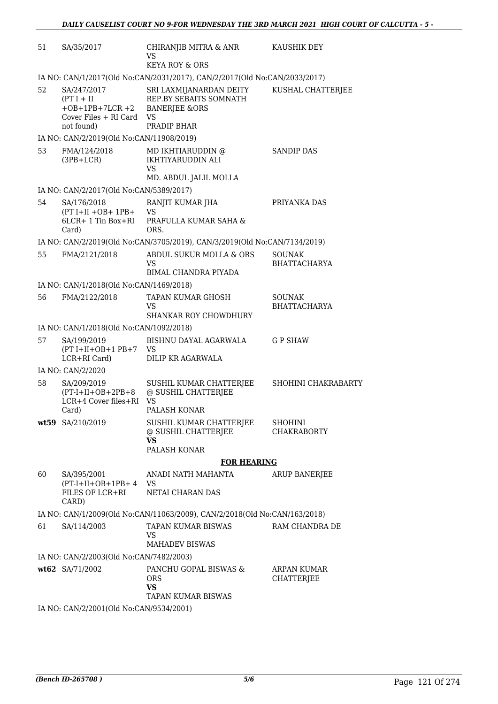| 51 | SA/35/2017                                                                                   | CHIRANJIB MITRA & ANR<br><b>VS</b><br><b>KEYA ROY &amp; ORS</b>                                    | KAUSHIK DEY                          |
|----|----------------------------------------------------------------------------------------------|----------------------------------------------------------------------------------------------------|--------------------------------------|
|    |                                                                                              | IA NO: CAN/1/2017(Old No:CAN/2031/2017), CAN/2/2017(Old No:CAN/2033/2017)                          |                                      |
| 52 | SA/247/2017<br>$(PT I + II$<br>$+OB + 1PB + 7LCR + 2$<br>Cover Files + RI Card<br>not found) | SRI LAXMIJANARDAN DEITY<br>REP.BY SEBAITS SOMNATH<br><b>BANERJEE &amp;ORS</b><br>VS<br>PRADIP BHAR | KUSHAL CHATTERJEE                    |
|    | IA NO: CAN/2/2019(Old No:CAN/11908/2019)                                                     |                                                                                                    |                                      |
| 53 | FMA/124/2018<br>$(3PB+LCR)$                                                                  | MD IKHTIARUDDIN @<br>IKHTIYARUDDIN ALI<br><b>VS</b><br>MD. ABDUL JALIL MOLLA                       | <b>SANDIP DAS</b>                    |
|    | IA NO: CAN/2/2017(Old No:CAN/5389/2017)                                                      |                                                                                                    |                                      |
| 54 | SA/176/2018<br>$(PT I+II+OB+ 1PB+$<br>6LCR+ 1 Tin Box+RI<br>Card)                            | RANJIT KUMAR JHA<br>VS<br>PRAFULLA KUMAR SAHA &<br>ORS.                                            | PRIYANKA DAS                         |
|    |                                                                                              | IA NO: CAN/2/2019(Old No:CAN/3705/2019), CAN/3/2019(Old No:CAN/7134/2019)                          |                                      |
| 55 | FMA/2121/2018                                                                                | ABDUL SUKUR MOLLA & ORS<br>VS<br>BIMAL CHANDRA PIYADA                                              | <b>SOUNAK</b><br><b>BHATTACHARYA</b> |
|    | IA NO: CAN/1/2018(Old No:CAN/1469/2018)                                                      |                                                                                                    |                                      |
| 56 | FMA/2122/2018                                                                                | TAPAN KUMAR GHOSH<br>VS<br><b>SHANKAR ROY CHOWDHURY</b>                                            | SOUNAK<br><b>BHATTACHARYA</b>        |
|    | IA NO: CAN/1/2018(Old No:CAN/1092/2018)                                                      |                                                                                                    |                                      |
| 57 | SA/199/2019<br>$(PT I+II+OB+1 PB+7$<br>LCR+RI Card)                                          | BISHNU DAYAL AGARWALA<br><b>VS</b><br>DILIP KR AGARWALA                                            | <b>GP SHAW</b>                       |
|    | IA NO: CAN/2/2020                                                                            |                                                                                                    |                                      |
| 58 | SA/209/2019<br>$(PT-I+II+OB+2PB+8$<br>LCR+4 Cover files+RI<br>Card)                          | SUSHIL KUMAR CHATTERJEE<br>@ SUSHIL CHATTERJEE<br><b>VS</b><br>PALASH KONAR                        | SHOHINI CHAKRABARTY                  |
|    | wt59 SA/210/2019                                                                             | SUSHIL KUMAR CHATTERJEE<br>@ SUSHIL CHATTERJEE<br><b>VS</b><br>PALASH KONAR                        | <b>SHOHINI</b><br><b>CHAKRABORTY</b> |
|    |                                                                                              | <b>FOR HEARING</b>                                                                                 |                                      |
| 60 | SA/395/2001<br>$(PT-I+II+OB+1PB+4$<br>FILES OF LCR+RI<br>CARD)                               | ANADI NATH MAHANTA<br>VS<br>NETAI CHARAN DAS                                                       | ARUP BANERJEE                        |
|    |                                                                                              | IA NO: CAN/1/2009(Old No:CAN/11063/2009), CAN/2/2018(Old No:CAN/163/2018)                          |                                      |
| 61 | SA/114/2003                                                                                  | TAPAN KUMAR BISWAS<br>VS<br><b>MAHADEV BISWAS</b>                                                  | RAM CHANDRA DE                       |
|    | IA NO: CAN/2/2003(Old No:CAN/7482/2003)                                                      |                                                                                                    |                                      |
|    | wt62 SA/71/2002                                                                              | PANCHU GOPAL BISWAS &<br><b>ORS</b><br><b>VS</b><br>TAPAN KUMAR BISWAS                             | ARPAN KUMAR<br><b>CHATTERJEE</b>     |
|    | IA NO: CAN/2/2001(Old No:CAN/9534/2001)                                                      |                                                                                                    |                                      |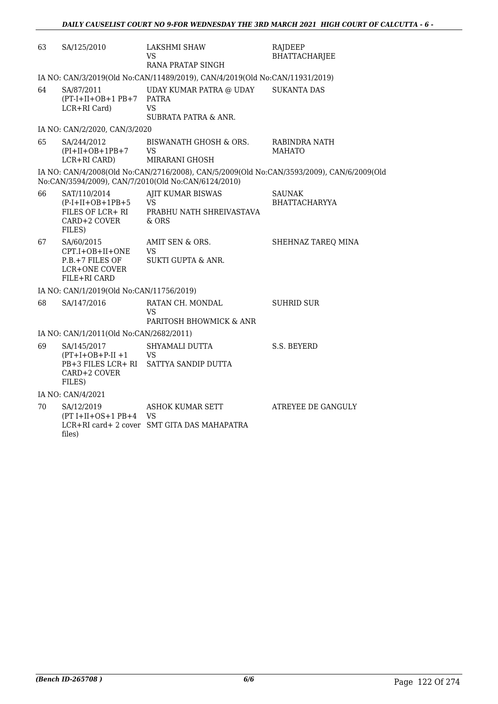| 63 | SA/125/2010                                                                       | LAKSHMI SHAW<br>VS<br>RANA PRATAP SINGH                                                                                                          | RAJDEEP<br><b>BHATTACHARJEE</b> |
|----|-----------------------------------------------------------------------------------|--------------------------------------------------------------------------------------------------------------------------------------------------|---------------------------------|
|    |                                                                                   | IA NO: CAN/3/2019(Old No:CAN/11489/2019), CAN/4/2019(Old No:CAN/11931/2019)                                                                      |                                 |
| 64 | SA/87/2011<br>$(PT-I+II+OB+1PB+7)$<br>LCR+RI Card)                                | UDAY KUMAR PATRA @ UDAY<br><b>PATRA</b><br><b>VS</b><br><b>SUBRATA PATRA &amp; ANR.</b>                                                          | <b>SUKANTA DAS</b>              |
|    | IA NO: CAN/2/2020, CAN/3/2020                                                     |                                                                                                                                                  |                                 |
| 65 | SA/244/2012<br>$(PI+II+OB+1PB+7$<br>LCR+RI CARD)                                  | BISWANATH GHOSH & ORS.<br><b>VS</b><br>MIRARANI GHOSH                                                                                            | RABINDRA NATH<br><b>MAHATO</b>  |
|    |                                                                                   | IA NO: CAN/4/2008(Old No:CAN/2716/2008), CAN/5/2009(Old No:CAN/3593/2009), CAN/6/2009(Old<br>No:CAN/3594/2009), CAN/7/2010(Old No:CAN/6124/2010) |                                 |
| 66 | SAT/110/2014<br>$(P-I+II+OB+1PB+5$<br>FILES OF LCR+ RI<br>CARD+2 COVER<br>FILES)  | AJIT KUMAR BISWAS<br><b>VS</b><br>PRABHU NATH SHREIVASTAVA<br>& ORS                                                                              | SAUNAK<br><b>BHATTACHARYYA</b>  |
| 67 | SA/60/2015<br>CPT.I+OB+II+ONE<br>P.B.+7 FILES OF<br>LCR+ONE COVER<br>FILE+RI CARD | AMIT SEN & ORS.<br>VS<br>SUKTI GUPTA & ANR.                                                                                                      | SHEHNAZ TAREQ MINA              |
|    | IA NO: CAN/1/2019(Old No:CAN/11756/2019)                                          |                                                                                                                                                  |                                 |
| 68 | SA/147/2016                                                                       | RATAN CH. MONDAL<br>VS<br>PARITOSH BHOWMICK & ANR                                                                                                | <b>SUHRID SUR</b>               |
|    | IA NO: CAN/1/2011(Old No:CAN/2682/2011)                                           |                                                                                                                                                  |                                 |
| 69 | SA/145/2017<br>$(PT+I+OB+P-II+1$<br>PB+3 FILES LCR+ RI<br>CARD+2 COVER<br>FILES)  | SHYAMALI DUTTA<br><b>VS</b><br>SATTYA SANDIP DUTTA                                                                                               | S.S. BEYERD                     |
|    | IA NO: CAN/4/2021                                                                 |                                                                                                                                                  |                                 |
| 70 | SA/12/2019<br>$(PT I+II+OS+1 PB+4 VS)$<br>files)                                  | ASHOK KUMAR SETT<br>LCR+RI card+ 2 cover SMT GITA DAS MAHAPATRA                                                                                  | ATREYEE DE GANGULY              |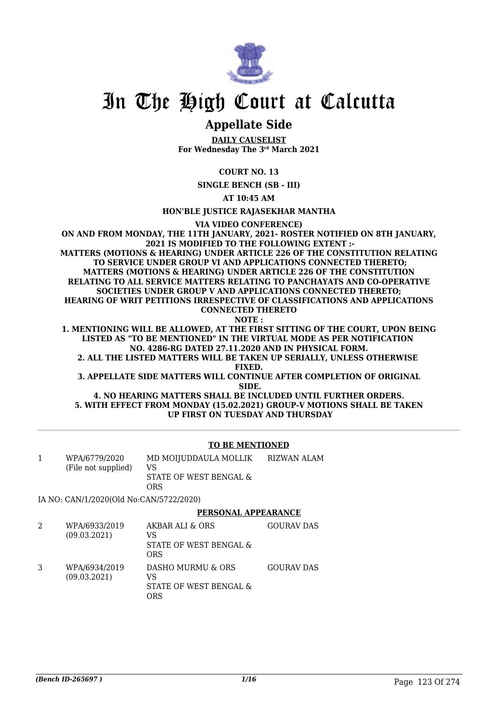

### **Appellate Side**

**DAILY CAUSELIST For Wednesday The 3rd March 2021**

**COURT NO. 13**

**SINGLE BENCH (SB - III)**

**AT 10:45 AM**

**HON'BLE JUSTICE RAJASEKHAR MANTHA**

**VIA VIDEO CONFERENCE)**

**ON AND FROM MONDAY, THE 11TH JANUARY, 2021- ROSTER NOTIFIED ON 8TH JANUARY, 2021 IS MODIFIED TO THE FOLLOWING EXTENT :- MATTERS (MOTIONS & HEARING) UNDER ARTICLE 226 OF THE CONSTITUTION RELATING TO SERVICE UNDER GROUP VI AND APPLICATIONS CONNECTED THERETO; MATTERS (MOTIONS & HEARING) UNDER ARTICLE 226 OF THE CONSTITUTION RELATING TO ALL SERVICE MATTERS RELATING TO PANCHAYATS AND CO-OPERATIVE SOCIETIES UNDER GROUP V AND APPLICATIONS CONNECTED THERETO; HEARING OF WRIT PETITIONS IRRESPECTIVE OF CLASSIFICATIONS AND APPLICATIONS CONNECTED THERETO NOTE :**

**1. MENTIONING WILL BE ALLOWED, AT THE FIRST SITTING OF THE COURT, UPON BEING LISTED AS "TO BE MENTIONED" IN THE VIRTUAL MODE AS PER NOTIFICATION NO. 4286-RG DATED 27.11.2020 AND IN PHYSICAL FORM. 2. ALL THE LISTED MATTERS WILL BE TAKEN UP SERIALLY, UNLESS OTHERWISE** 

**FIXED.**

**3. APPELLATE SIDE MATTERS WILL CONTINUE AFTER COMPLETION OF ORIGINAL SIDE.**

**4. NO HEARING MATTERS SHALL BE INCLUDED UNTIL FURTHER ORDERS. 5. WITH EFFECT FROM MONDAY (15.02.2021) GROUP-V MOTIONS SHALL BE TAKEN UP FIRST ON TUESDAY AND THURSDAY**

#### **TO BE MENTIONED**

1 WPA/6779/2020 (File not supplied) MD MOIJUDDAULA MOLLIK VS STATE OF WEST BENGAL & ORS RIZWAN ALAM

IA NO: CAN/1/2020(Old No:CAN/5722/2020)

#### **PERSONAL APPEARANCE**

2 WPA/6933/2019 (09.03.2021) AKBAR ALI & ORS VS STATE OF WEST BENGAL & ORS GOURAV DAS 3 WPA/6934/2019 (09.03.2021) DASHO MURMU & ORS VS STATE OF WEST BENGAL & ORS GOURAV DAS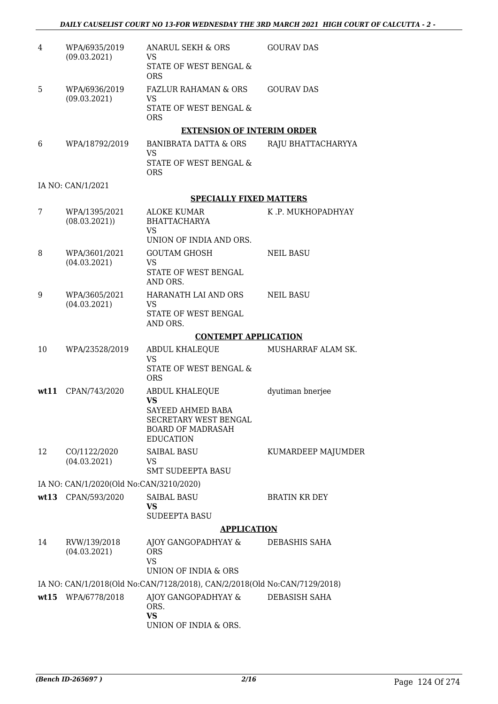| 4    | WPA/6935/2019<br>(09.03.2021)           | ANARUL SEKH & ORS<br><b>VS</b>                                                                                 | <b>GOURAV DAS</b>    |
|------|-----------------------------------------|----------------------------------------------------------------------------------------------------------------|----------------------|
|      |                                         | STATE OF WEST BENGAL &<br><b>ORS</b>                                                                           |                      |
| 5    | WPA/6936/2019<br>(09.03.2021)           | <b>FAZLUR RAHAMAN &amp; ORS</b><br><b>VS</b>                                                                   | <b>GOURAV DAS</b>    |
|      |                                         | STATE OF WEST BENGAL &<br><b>ORS</b>                                                                           |                      |
|      |                                         | <b>EXTENSION OF INTERIM ORDER</b>                                                                              |                      |
| 6    | WPA/18792/2019                          | <b>BANIBRATA DATTA &amp; ORS</b><br><b>VS</b>                                                                  | RAJU BHATTACHARYYA   |
|      |                                         | STATE OF WEST BENGAL &<br><b>ORS</b>                                                                           |                      |
|      | IA NO: CAN/1/2021                       |                                                                                                                |                      |
|      |                                         | <b>SPECIALLY FIXED MATTERS</b>                                                                                 |                      |
| 7    | WPA/1395/2021<br>(08.03.2021)           | <b>ALOKE KUMAR</b><br><b>BHATTACHARYA</b><br><b>VS</b>                                                         | K.P. MUKHOPADHYAY    |
|      |                                         | UNION OF INDIA AND ORS.                                                                                        |                      |
| 8    | WPA/3601/2021<br>(04.03.2021)           | <b>GOUTAM GHOSH</b><br><b>VS</b>                                                                               | <b>NEIL BASU</b>     |
|      |                                         | STATE OF WEST BENGAL<br>AND ORS.                                                                               |                      |
| 9    | WPA/3605/2021                           | HARANATH LAI AND ORS                                                                                           | <b>NEIL BASU</b>     |
|      | (04.03.2021)                            | <b>VS</b><br>STATE OF WEST BENGAL<br>AND ORS.                                                                  |                      |
|      |                                         | <b>CONTEMPT APPLICATION</b>                                                                                    |                      |
| 10   | WPA/23528/2019                          | ABDUL KHALEQUE                                                                                                 | MUSHARRAF ALAM SK.   |
|      |                                         | <b>VS</b><br><b>STATE OF WEST BENGAL &amp;</b><br><b>ORS</b>                                                   |                      |
| wt11 | CPAN/743/2020                           | <b>ABDUL KHALEQUE</b>                                                                                          | dyutiman bnerjee     |
|      |                                         | <b>VS</b><br>SAYEED AHMED BABA<br><b>SECRETARY WEST BENGAL</b><br><b>BOARD OF MADRASAH</b><br><b>EDUCATION</b> |                      |
| 12   | CO/1122/2020                            | <b>SAIBAL BASU</b>                                                                                             | KUMARDEEP MAJUMDER   |
|      | (04.03.2021)                            | <b>VS</b><br><b>SMT SUDEEPTA BASU</b>                                                                          |                      |
|      | IA NO: CAN/1/2020(Old No:CAN/3210/2020) |                                                                                                                |                      |
|      | wt13 CPAN/593/2020                      | <b>SAIBAL BASU</b>                                                                                             | <b>BRATIN KR DEY</b> |
|      |                                         | <b>VS</b><br><b>SUDEEPTA BASU</b>                                                                              |                      |
|      |                                         | <b>APPLICATION</b>                                                                                             |                      |
| 14   | RVW/139/2018<br>(04.03.2021)            | AJOY GANGOPADHYAY &<br><b>ORS</b><br><b>VS</b><br>UNION OF INDIA & ORS                                         | DEBASHIS SAHA        |
|      |                                         | IA NO: CAN/1/2018(Old No:CAN/7128/2018), CAN/2/2018(Old No:CAN/7129/2018)                                      |                      |
|      | wt15 WPA/6778/2018                      | AJOY GANGOPADHYAY &<br>ORS.                                                                                    | DEBASISH SAHA        |
|      |                                         | <b>VS</b><br>UNION OF INDIA & ORS.                                                                             |                      |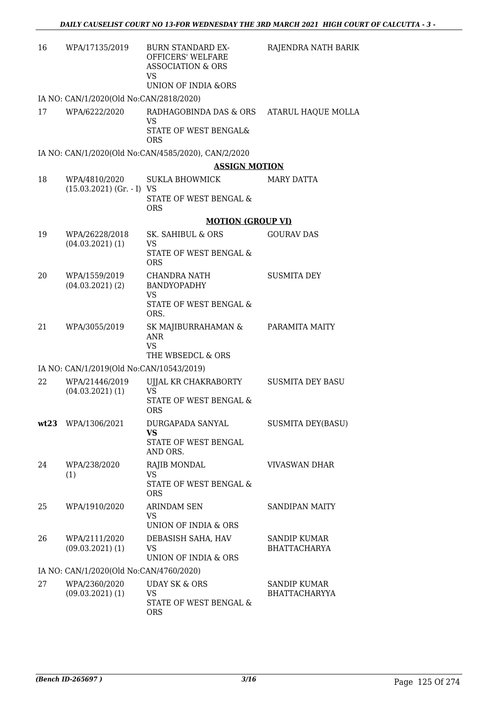| 16 | WPA/17135/2019                           | <b>BURN STANDARD EX-</b><br>OFFICERS' WELFARE<br><b>ASSOCIATION &amp; ORS</b><br>VS<br><b>UNION OF INDIA &amp;ORS</b> | RAJENDRA NATH BARIK      |
|----|------------------------------------------|-----------------------------------------------------------------------------------------------------------------------|--------------------------|
|    | IA NO: CAN/1/2020(Old No:CAN/2818/2020)  |                                                                                                                       |                          |
| 17 | WPA/6222/2020                            | RADHAGOBINDA DAS & ORS                                                                                                | ATARUL HAQUE MOLLA       |
|    |                                          | <b>VS</b><br>STATE OF WEST BENGAL&                                                                                    |                          |
|    |                                          | <b>ORS</b>                                                                                                            |                          |
|    |                                          | IA NO: CAN/1/2020(Old No:CAN/4585/2020), CAN/2/2020                                                                   |                          |
|    |                                          | <b>ASSIGN MOTION</b>                                                                                                  |                          |
| 18 | WPA/4810/2020                            | <b>SUKLA BHOWMICK</b>                                                                                                 | MARY DATTA               |
|    | $(15.03.2021)$ (Gr. - I) VS              | STATE OF WEST BENGAL &<br><b>ORS</b>                                                                                  |                          |
|    |                                          | <b>MOTION (GROUP VI)</b>                                                                                              |                          |
| 19 | WPA/26228/2018                           | SK. SAHIBUL & ORS                                                                                                     | <b>GOURAV DAS</b>        |
|    | $(04.03.2021)$ (1)                       | <b>VS</b><br>STATE OF WEST BENGAL &<br><b>ORS</b>                                                                     |                          |
| 20 | WPA/1559/2019                            | CHANDRA NATH                                                                                                          | <b>SUSMITA DEY</b>       |
|    | $(04.03.2021)$ (2)                       | <b>BANDYOPADHY</b>                                                                                                    |                          |
|    |                                          | <b>VS</b><br>STATE OF WEST BENGAL &<br>ORS.                                                                           |                          |
| 21 | WPA/3055/2019                            | SK MAJIBURRAHAMAN &<br><b>ANR</b><br><b>VS</b><br>THE WBSEDCL & ORS                                                   | PARAMITA MAITY           |
|    | IA NO: CAN/1/2019(Old No:CAN/10543/2019) |                                                                                                                       |                          |
| 22 | WPA/21446/2019                           | UJJAL KR CHAKRABORTY                                                                                                  | <b>SUSMITA DEY BASU</b>  |
|    | $(04.03.2021)$ (1)                       | <b>VS</b>                                                                                                             |                          |
|    |                                          | STATE OF WEST BENGAL &<br><b>ORS</b>                                                                                  |                          |
|    | wt23 WPA/1306/2021                       | DURGAPADA SANYAL                                                                                                      | <b>SUSMITA DEY(BASU)</b> |
|    |                                          | <b>VS</b><br>STATE OF WEST BENGAL<br>AND ORS.                                                                         |                          |
| 24 | WPA/238/2020                             | RAJIB MONDAL                                                                                                          | <b>VIVASWAN DHAR</b>     |
|    | (1)                                      | <b>VS</b><br>STATE OF WEST BENGAL &<br><b>ORS</b>                                                                     |                          |
| 25 | WPA/1910/2020                            | <b>ARINDAM SEN</b>                                                                                                    | <b>SANDIPAN MAITY</b>    |
|    |                                          | <b>VS</b><br>UNION OF INDIA & ORS                                                                                     |                          |
| 26 | WPA/2111/2020                            | DEBASISH SAHA, HAV                                                                                                    | <b>SANDIP KUMAR</b>      |
|    | $(09.03.2021)$ $(1)$                     | <b>VS</b><br>UNION OF INDIA & ORS                                                                                     | <b>BHATTACHARYA</b>      |
|    | IA NO: CAN/1/2020(Old No:CAN/4760/2020)  |                                                                                                                       |                          |
| 27 | WPA/2360/2020                            | <b>UDAY SK &amp; ORS</b>                                                                                              | <b>SANDIP KUMAR</b>      |
|    | $(09.03.2021)$ $(1)$                     | <b>VS</b>                                                                                                             | <b>BHATTACHARYYA</b>     |
|    |                                          | STATE OF WEST BENGAL &<br><b>ORS</b>                                                                                  |                          |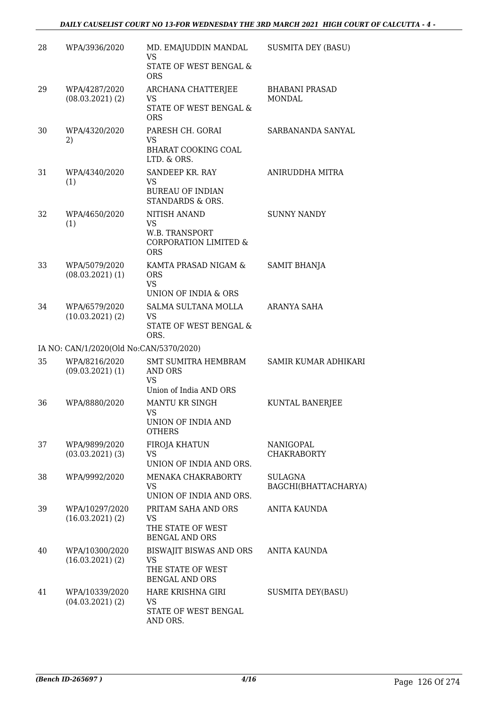#### *DAILY CAUSELIST COURT NO 13-FOR WEDNESDAY THE 3RD MARCH 2021 HIGH COURT OF CALCUTTA - 4 -*

| 28 | WPA/3936/2020                           | MD. EMAJUDDIN MANDAL<br><b>VS</b><br>STATE OF WEST BENGAL & | <b>SUSMITA DEY (BASU)</b>              |
|----|-----------------------------------------|-------------------------------------------------------------|----------------------------------------|
|    |                                         | <b>ORS</b>                                                  |                                        |
| 29 | WPA/4287/2020<br>$(08.03.2021)$ (2)     | ARCHANA CHATTERJEE<br><b>VS</b>                             | <b>BHABANI PRASAD</b><br><b>MONDAL</b> |
|    |                                         | STATE OF WEST BENGAL &<br><b>ORS</b>                        |                                        |
| 30 | WPA/4320/2020                           | PARESH CH. GORAI                                            | SARBANANDA SANYAL                      |
|    | 2)                                      | <b>VS</b><br><b>BHARAT COOKING COAL</b><br>LTD. & ORS.      |                                        |
| 31 | WPA/4340/2020                           | SANDEEP KR. RAY                                             | ANIRUDDHA MITRA                        |
|    | (1)                                     | <b>VS</b><br><b>BUREAU OF INDIAN</b><br>STANDARDS & ORS.    |                                        |
| 32 | WPA/4650/2020                           | <b>NITISH ANAND</b>                                         | <b>SUNNY NANDY</b>                     |
|    | (1)                                     | <b>VS</b><br>W.B. TRANSPORT                                 |                                        |
|    |                                         | <b>CORPORATION LIMITED &amp;</b><br><b>ORS</b>              |                                        |
| 33 | WPA/5079/2020                           | KAMTA PRASAD NIGAM &                                        | <b>SAMIT BHANJA</b>                    |
|    | $(08.03.2021)$ $(1)$                    | <b>ORS</b><br><b>VS</b>                                     |                                        |
|    |                                         | UNION OF INDIA & ORS                                        |                                        |
| 34 | WPA/6579/2020                           | SALMA SULTANA MOLLA                                         | ARANYA SAHA                            |
|    | (10.03.2021)(2)                         | <b>VS</b><br>STATE OF WEST BENGAL &<br>ORS.                 |                                        |
|    | IA NO: CAN/1/2020(Old No:CAN/5370/2020) |                                                             |                                        |
| 35 | WPA/8216/2020                           | <b>SMT SUMITRA HEMBRAM</b>                                  | SAMIR KUMAR ADHIKARI                   |
|    | $(09.03.2021)$ $(1)$                    | <b>AND ORS</b>                                              |                                        |
|    |                                         | <b>VS</b><br>Union of India AND ORS                         |                                        |
| 36 | WPA/8880/2020                           | <b>MANTU KR SINGH</b>                                       | KUNTAL BANERJEE                        |
|    |                                         | VS                                                          |                                        |
|    |                                         | UNION OF INDIA AND<br><b>OTHERS</b>                         |                                        |
| 37 | WPA/9899/2020                           | FIROJA KHATUN                                               | NANIGOPAL                              |
|    | $(03.03.2021)$ (3)                      | VS.                                                         | <b>CHAKRABORTY</b>                     |
|    |                                         | UNION OF INDIA AND ORS.                                     |                                        |
| 38 | WPA/9992/2020                           | MENAKA CHAKRABORTY<br><b>VS</b>                             | SULAGNA<br>BAGCHI(BHATTACHARYA)        |
|    |                                         | UNION OF INDIA AND ORS.                                     |                                        |
| 39 | WPA/10297/2020                          | PRITAM SAHA AND ORS                                         | <b>ANITA KAUNDA</b>                    |
|    | (16.03.2021)(2)                         | <b>VS</b><br>THE STATE OF WEST                              |                                        |
|    |                                         | <b>BENGAL AND ORS</b>                                       |                                        |
| 40 | WPA/10300/2020                          | <b>BISWAJIT BISWAS AND ORS</b>                              | ANITA KAUNDA                           |
|    | (16.03.2021)(2)                         | <b>VS</b><br>THE STATE OF WEST                              |                                        |
|    |                                         | <b>BENGAL AND ORS</b>                                       |                                        |
| 41 | WPA/10339/2020                          | HARE KRISHNA GIRI                                           | <b>SUSMITA DEY(BASU)</b>               |
|    | $(04.03.2021)$ (2)                      | <b>VS</b><br>STATE OF WEST BENGAL                           |                                        |
|    |                                         | AND ORS.                                                    |                                        |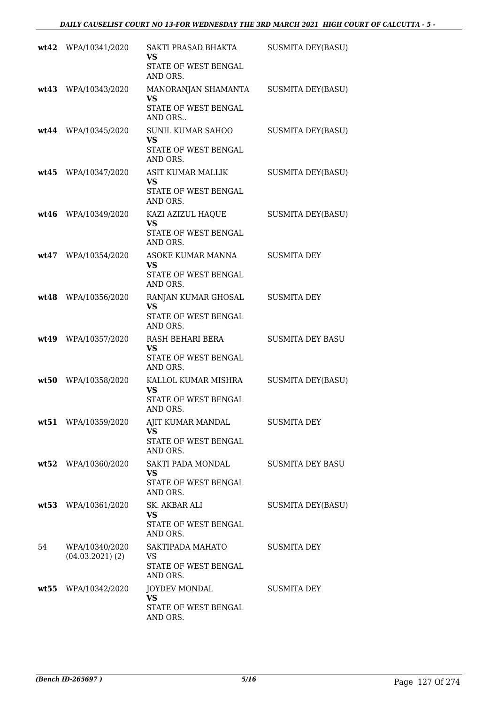|      | wt42 WPA/10341/2020                  | SAKTI PRASAD BHAKTA<br>VS<br>STATE OF WEST BENGAL<br>AND ORS.             | <b>SUSMITA DEY(BASU)</b> |
|------|--------------------------------------|---------------------------------------------------------------------------|--------------------------|
|      | wt43 WPA/10343/2020                  | MANORANJAN SHAMANTA<br><b>VS</b><br>STATE OF WEST BENGAL<br>AND ORS       | <b>SUSMITA DEY(BASU)</b> |
|      | wt44 WPA/10345/2020                  | <b>SUNIL KUMAR SAHOO</b><br><b>VS</b><br>STATE OF WEST BENGAL<br>AND ORS. | <b>SUSMITA DEY(BASU)</b> |
| wt45 | WPA/10347/2020                       | ASIT KUMAR MALLIK<br><b>VS</b><br>STATE OF WEST BENGAL<br>AND ORS.        | <b>SUSMITA DEY(BASU)</b> |
| wt46 | WPA/10349/2020                       | KAZI AZIZUL HAQUE<br><b>VS</b><br>STATE OF WEST BENGAL<br>AND ORS.        | <b>SUSMITA DEY(BASU)</b> |
|      | wt47 WPA/10354/2020                  | ASOKE KUMAR MANNA<br><b>VS</b><br>STATE OF WEST BENGAL<br>AND ORS.        | <b>SUSMITA DEY</b>       |
|      | wt48 WPA/10356/2020                  | RANJAN KUMAR GHOSAL<br><b>VS</b><br>STATE OF WEST BENGAL<br>AND ORS.      | <b>SUSMITA DEY</b>       |
|      | wt49 WPA/10357/2020                  | RASH BEHARI BERA<br><b>VS</b><br>STATE OF WEST BENGAL<br>AND ORS.         | <b>SUSMITA DEY BASU</b>  |
|      | wt50 WPA/10358/2020                  | KALLOL KUMAR MISHRA<br><b>VS</b><br>STATE OF WEST BENGAL<br>AND ORS.      | <b>SUSMITA DEY(BASU)</b> |
|      | wt51 WPA/10359/2020                  | AJIT KUMAR MANDAL<br><b>VS</b><br>STATE OF WEST BENGAL<br>AND ORS.        | <b>SUSMITA DEY</b>       |
|      | wt52 WPA/10360/2020                  | SAKTI PADA MONDAL<br><b>VS</b><br>STATE OF WEST BENGAL<br>AND ORS.        | <b>SUSMITA DEY BASU</b>  |
|      | wt53 WPA/10361/2020                  | <b>SK. AKBAR ALI</b><br><b>VS</b><br>STATE OF WEST BENGAL<br>AND ORS.     | <b>SUSMITA DEY(BASU)</b> |
| 54   | WPA/10340/2020<br>$(04.03.2021)$ (2) | SAKTIPADA MAHATO<br><b>VS</b><br>STATE OF WEST BENGAL<br>AND ORS.         | <b>SUSMITA DEY</b>       |
|      | wt55 WPA/10342/2020                  | <b>JOYDEV MONDAL</b><br><b>VS</b><br>STATE OF WEST BENGAL<br>AND ORS.     | <b>SUSMITA DEY</b>       |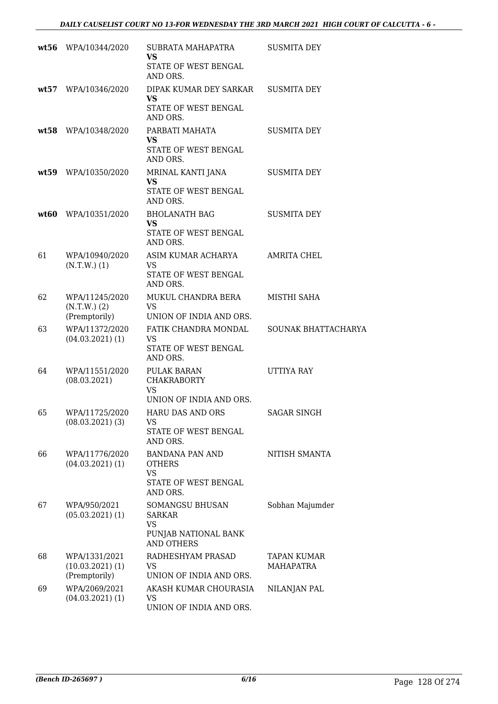|    | wt56 WPA/10344/2020                               | SUBRATA MAHAPATRA<br><b>VS</b><br>STATE OF WEST BENGAL<br>AND ORS.                  | <b>SUSMITA DEY</b>                     |
|----|---------------------------------------------------|-------------------------------------------------------------------------------------|----------------------------------------|
|    | wt57 WPA/10346/2020                               | DIPAK KUMAR DEY SARKAR<br><b>VS</b><br>STATE OF WEST BENGAL<br>AND ORS.             | <b>SUSMITA DEY</b>                     |
|    | wt58 WPA/10348/2020                               | PARBATI MAHATA<br><b>VS</b><br>STATE OF WEST BENGAL<br>AND ORS.                     | <b>SUSMITA DEY</b>                     |
|    | wt59 WPA/10350/2020                               | MRINAL KANTI JANA<br><b>VS</b><br>STATE OF WEST BENGAL<br>AND ORS.                  | <b>SUSMITA DEY</b>                     |
|    | wt60 WPA/10351/2020                               | <b>BHOLANATH BAG</b><br><b>VS</b><br>STATE OF WEST BENGAL<br>AND ORS.               | <b>SUSMITA DEY</b>                     |
| 61 | WPA/10940/2020<br>$(N.T.W.)$ (1)                  | ASIM KUMAR ACHARYA<br><b>VS</b><br>STATE OF WEST BENGAL<br>AND ORS.                 | <b>AMRITA CHEL</b>                     |
| 62 | WPA/11245/2020<br>$(N.T.W.)$ (2)<br>(Premptorily) | MUKUL CHANDRA BERA<br><b>VS</b><br>UNION OF INDIA AND ORS.                          | MISTHI SAHA                            |
| 63 | WPA/11372/2020<br>$(04.03.2021)$ (1)              | FATIK CHANDRA MONDAL<br><b>VS</b><br>STATE OF WEST BENGAL<br>AND ORS.               | SOUNAK BHATTACHARYA                    |
| 64 | WPA/11551/2020<br>(08.03.2021)                    | PULAK BARAN<br><b>CHAKRABORTY</b><br><b>VS</b><br>UNION OF INDIA AND ORS.           | UTTIYA RAY                             |
| 65 | WPA/11725/2020<br>$(08.03.2021)$ $(3)$            | HARU DAS AND ORS<br>VS.<br>STATE OF WEST BENGAL<br>AND ORS.                         | <b>SAGAR SINGH</b>                     |
| 66 | WPA/11776/2020<br>$(04.03.2021)$ (1)              | BANDANA PAN AND<br><b>OTHERS</b><br><b>VS</b><br>STATE OF WEST BENGAL<br>AND ORS.   | NITISH SMANTA                          |
| 67 | WPA/950/2021<br>$(05.03.2021)$ (1)                | SOMANGSU BHUSAN<br>SARKAR<br><b>VS</b><br>PUNJAB NATIONAL BANK<br><b>AND OTHERS</b> | Sobhan Majumder                        |
| 68 | WPA/1331/2021<br>(10.03.2021)(1)<br>(Premptorily) | RADHESHYAM PRASAD<br><b>VS</b><br>UNION OF INDIA AND ORS.                           | <b>TAPAN KUMAR</b><br><b>MAHAPATRA</b> |
| 69 | WPA/2069/2021<br>$(04.03.2021)$ (1)               | AKASH KUMAR CHOURASIA<br><b>VS</b><br>UNION OF INDIA AND ORS.                       | NILANJAN PAL                           |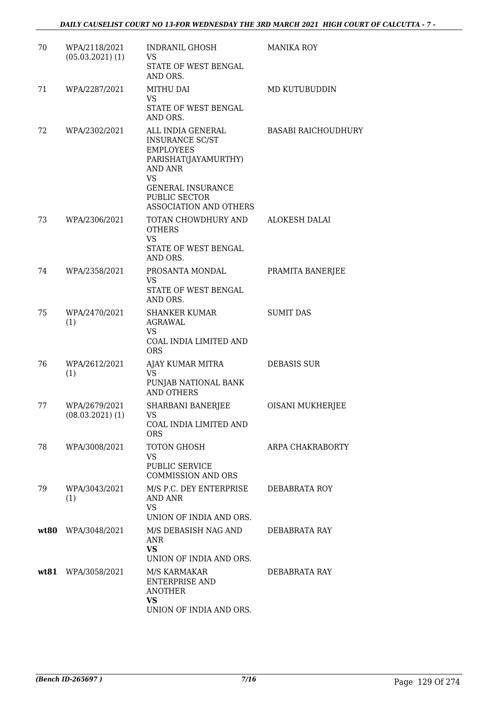| 70   | WPA/2118/2021<br>$(05.03.2021)$ $(1)$ | <b>INDRANIL GHOSH</b><br>VS<br>STATE OF WEST BENGAL                                                                                                                                           | <b>MANIKA ROY</b>          |
|------|---------------------------------------|-----------------------------------------------------------------------------------------------------------------------------------------------------------------------------------------------|----------------------------|
|      |                                       | AND ORS.                                                                                                                                                                                      |                            |
| 71   | WPA/2287/2021                         | MITHU DAI<br>VS                                                                                                                                                                               | MD KUTUBUDDIN              |
|      |                                       | STATE OF WEST BENGAL<br>AND ORS.                                                                                                                                                              |                            |
| 72   | WPA/2302/2021                         | ALL INDIA GENERAL<br><b>INSURANCE SC/ST</b><br><b>EMPLOYEES</b><br>PARISHAT(JAYAMURTHY)<br>AND ANR<br><b>VS</b><br><b>GENERAL INSURANCE</b><br>PUBLIC SECTOR<br><b>ASSOCIATION AND OTHERS</b> | <b>BASABI RAICHOUDHURY</b> |
| 73   | WPA/2306/2021                         | TOTAN CHOWDHURY AND<br><b>OTHERS</b><br><b>VS</b><br>STATE OF WEST BENGAL<br>AND ORS.                                                                                                         | <b>ALOKESH DALAI</b>       |
| 74   | WPA/2358/2021                         | PROSANTA MONDAL<br>VS<br>STATE OF WEST BENGAL<br>AND ORS.                                                                                                                                     | PRAMITA BANERJEE           |
| 75   | WPA/2470/2021<br>(1)                  | <b>SHANKER KUMAR</b><br><b>AGRAWAL</b><br>VS<br>COAL INDIA LIMITED AND<br><b>ORS</b>                                                                                                          | <b>SUMIT DAS</b>           |
| 76   | WPA/2612/2021<br>(1)                  | AJAY KUMAR MITRA<br><b>VS</b><br>PUNJAB NATIONAL BANK<br><b>AND OTHERS</b>                                                                                                                    | <b>DEBASIS SUR</b>         |
| 77   | WPA/2679/2021<br>(08.03.2021)(1)      | <b>SHARBANI BANERJEE</b><br>VS<br>COAL INDIA LIMITED AND<br><b>ORS</b>                                                                                                                        | <b>OISANI MUKHERJEE</b>    |
| 78   | WPA/3008/2021                         | TOTON GHOSH<br><b>VS</b><br>PUBLIC SERVICE<br><b>COMMISSION AND ORS</b>                                                                                                                       | <b>ARPA CHAKRABORTY</b>    |
| 79   | WPA/3043/2021<br>(1)                  | M/S P.C. DEY ENTERPRISE<br><b>AND ANR</b><br><b>VS</b><br>UNION OF INDIA AND ORS.                                                                                                             | DEBABRATA ROY              |
| wt80 | WPA/3048/2021                         | M/S DEBASISH NAG AND<br>ANR<br><b>VS</b><br>UNION OF INDIA AND ORS.                                                                                                                           | DEBABRATA RAY              |
| wt81 | WPA/3058/2021                         | M/S KARMAKAR<br><b>ENTERPRISE AND</b><br><b>ANOTHER</b><br><b>VS</b><br>UNION OF INDIA AND ORS.                                                                                               | DEBABRATA RAY              |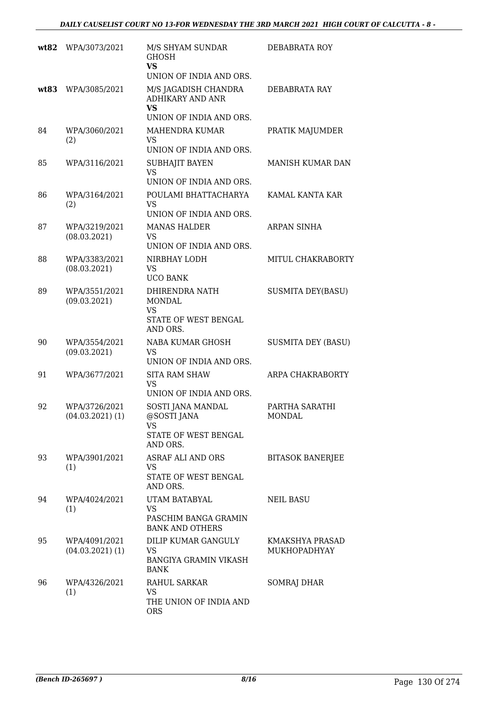| wt82 | WPA/3073/2021                         | M/S SHYAM SUNDAR<br><b>GHOSH</b><br>VS.<br>UNION OF INDIA AND ORS.                      | DEBABRATA ROY                   |
|------|---------------------------------------|-----------------------------------------------------------------------------------------|---------------------------------|
| wt83 | WPA/3085/2021                         | M/S JAGADISH CHANDRA<br><b>ADHIKARY AND ANR</b><br><b>VS</b><br>UNION OF INDIA AND ORS. | DEBABRATA RAY                   |
| 84   | WPA/3060/2021<br>(2)                  | <b>MAHENDRA KUMAR</b><br><b>VS</b><br>UNION OF INDIA AND ORS.                           | PRATIK MAJUMDER                 |
| 85   | WPA/3116/2021                         | <b>SUBHAJIT BAYEN</b><br><b>VS</b><br>UNION OF INDIA AND ORS.                           | MANISH KUMAR DAN                |
| 86   | WPA/3164/2021<br>(2)                  | POULAMI BHATTACHARYA<br><b>VS</b><br>UNION OF INDIA AND ORS.                            | KAMAL KANTA KAR                 |
| 87   | WPA/3219/2021<br>(08.03.2021)         | <b>MANAS HALDER</b><br><b>VS</b><br>UNION OF INDIA AND ORS.                             | <b>ARPAN SINHA</b>              |
| 88   | WPA/3383/2021<br>(08.03.2021)         | NIRBHAY LODH<br><b>VS</b><br><b>UCO BANK</b>                                            | MITUL CHAKRABORTY               |
| 89   | WPA/3551/2021<br>(09.03.2021)         | DHIRENDRA NATH<br><b>MONDAL</b><br><b>VS</b><br>STATE OF WEST BENGAL<br>AND ORS.        | <b>SUSMITA DEY(BASU)</b>        |
| 90   | WPA/3554/2021<br>(09.03.2021)         | NABA KUMAR GHOSH<br>VS<br>UNION OF INDIA AND ORS.                                       | <b>SUSMITA DEY (BASU)</b>       |
| 91   | WPA/3677/2021                         | <b>SITA RAM SHAW</b><br><b>VS</b><br>UNION OF INDIA AND ORS.                            | ARPA CHAKRABORTY                |
| 92   | WPA/3726/2021<br>$(04.03.2021)$ (1)   | SOSTI JANA MANDAL<br>@SOSTI JANA<br><b>VS</b><br>STATE OF WEST BENGAL<br>AND ORS.       | PARTHA SARATHI<br>MONDAL        |
| 93   | WPA/3901/2021<br>(1)                  | <b>ASRAF ALI AND ORS</b><br><b>VS</b><br>STATE OF WEST BENGAL<br>AND ORS.               | <b>BITASOK BANERJEE</b>         |
| 94   | WPA/4024/2021<br>(1)                  | UTAM BATABYAL<br><b>VS</b><br>PASCHIM BANGA GRAMIN<br><b>BANK AND OTHERS</b>            | <b>NEIL BASU</b>                |
| 95   | WPA/4091/2021<br>$(04.03.2021)$ $(1)$ | DILIP KUMAR GANGULY<br><b>VS</b><br><b>BANGIYA GRAMIN VIKASH</b><br><b>BANK</b>         | KMAKSHYA PRASAD<br>MUKHOPADHYAY |
| 96   | WPA/4326/2021<br>(1)                  | <b>RAHUL SARKAR</b><br><b>VS</b><br>THE UNION OF INDIA AND<br><b>ORS</b>                | <b>SOMRAJ DHAR</b>              |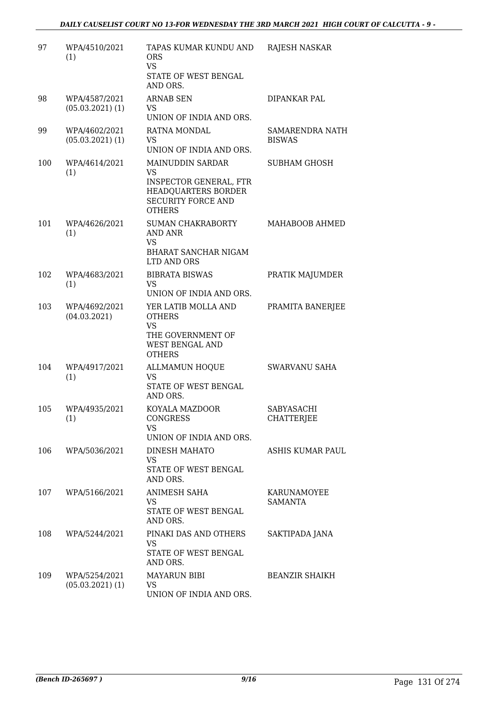| 97  | WPA/4510/2021<br>(1)                  | TAPAS KUMAR KUNDU AND<br>ORS.<br><b>VS</b><br>STATE OF WEST BENGAL<br>AND ORS.                                               | <b>RAJESH NASKAR</b>                 |
|-----|---------------------------------------|------------------------------------------------------------------------------------------------------------------------------|--------------------------------------|
| 98  | WPA/4587/2021<br>$(05.03.2021)$ $(1)$ | <b>ARNAB SEN</b><br><b>VS</b><br>UNION OF INDIA AND ORS.                                                                     | DIPANKAR PAL                         |
| 99  | WPA/4602/2021<br>$(05.03.2021)$ $(1)$ | RATNA MONDAL<br><b>VS</b><br>UNION OF INDIA AND ORS.                                                                         | SAMARENDRA NATH<br><b>BISWAS</b>     |
| 100 | WPA/4614/2021<br>(1)                  | MAINUDDIN SARDAR<br><b>VS</b><br>INSPECTOR GENERAL, FTR<br>HEADQUARTERS BORDER<br><b>SECURITY FORCE AND</b><br><b>OTHERS</b> | <b>SUBHAM GHOSH</b>                  |
| 101 | WPA/4626/2021<br>(1)                  | SUMAN CHAKRABORTY<br><b>AND ANR</b><br><b>VS</b><br>BHARAT SANCHAR NIGAM<br>LTD AND ORS                                      | MAHABOOB AHMED                       |
| 102 | WPA/4683/2021<br>(1)                  | <b>BIBRATA BISWAS</b><br><b>VS</b><br>UNION OF INDIA AND ORS.                                                                | PRATIK MAJUMDER                      |
| 103 | WPA/4692/2021<br>(04.03.2021)         | YER LATIB MOLLA AND<br><b>OTHERS</b><br>VS<br>THE GOVERNMENT OF<br>WEST BENGAL AND<br><b>OTHERS</b>                          | PRAMITA BANERJEE                     |
| 104 | WPA/4917/2021<br>(1)                  | <b>ALLMAMUN HOQUE</b><br>VS<br>STATE OF WEST BENGAL<br>AND ORS.                                                              | <b>SWARVANU SAHA</b>                 |
| 105 | WPA/4935/2021<br>(1)                  | KOYALA MAZDOOR<br><b>CONGRESS</b><br><b>VS</b><br>UNION OF INDIA AND ORS.                                                    | SABYASACHI<br><b>CHATTERJEE</b>      |
| 106 | WPA/5036/2021                         | <b>DINESH MAHATO</b><br>VS<br>STATE OF WEST BENGAL<br>AND ORS.                                                               | ASHIS KUMAR PAUL                     |
| 107 | WPA/5166/2021                         | ANIMESH SAHA<br><b>VS</b><br>STATE OF WEST BENGAL<br>AND ORS.                                                                | <b>KARUNAMOYEE</b><br><b>SAMANTA</b> |
| 108 | WPA/5244/2021                         | PINAKI DAS AND OTHERS<br><b>VS</b><br>STATE OF WEST BENGAL<br>AND ORS.                                                       | SAKTIPADA JANA                       |
| 109 | WPA/5254/2021<br>$(05.03.2021)$ (1)   | <b>MAYARUN BIBI</b><br>VS<br>UNION OF INDIA AND ORS.                                                                         | <b>BEANZIR SHAIKH</b>                |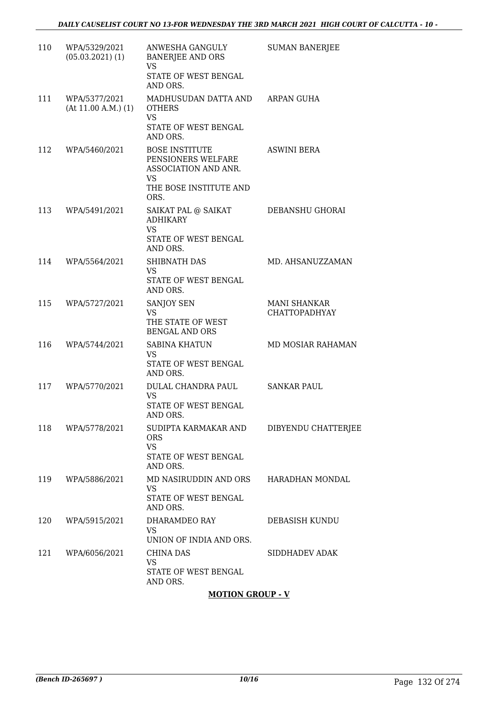| 110 | WPA/5329/2021<br>$(05.03.2021)$ (1)  | ANWESHA GANGULY<br><b>BANERJEE AND ORS</b><br>VS<br>STATE OF WEST BENGAL<br>AND ORS.                        | <b>SUMAN BANERJEE</b>                       |
|-----|--------------------------------------|-------------------------------------------------------------------------------------------------------------|---------------------------------------------|
| 111 | WPA/5377/2021<br>(At 11.00 A.M.) (1) | MADHUSUDAN DATTA AND ARPAN GUHA<br><b>OTHERS</b><br><b>VS</b><br>STATE OF WEST BENGAL<br>AND ORS.           |                                             |
| 112 | WPA/5460/2021                        | <b>BOSE INSTITUTE</b><br>PENSIONERS WELFARE<br>ASSOCIATION AND ANR.<br>VS<br>THE BOSE INSTITUTE AND<br>ORS. | ASWINI BERA                                 |
| 113 | WPA/5491/2021                        | SAIKAT PAL @ SAIKAT<br><b>ADHIKARY</b><br><b>VS</b><br>STATE OF WEST BENGAL<br>AND ORS.                     | DEBANSHU GHORAI                             |
| 114 | WPA/5564/2021                        | SHIBNATH DAS<br><b>VS</b><br>STATE OF WEST BENGAL<br>AND ORS.                                               | MD. AHSANUZZAMAN                            |
| 115 | WPA/5727/2021                        | <b>SANJOY SEN</b><br>VS.<br>THE STATE OF WEST<br><b>BENGAL AND ORS</b>                                      | <b>MANI SHANKAR</b><br><b>CHATTOPADHYAY</b> |
| 116 | WPA/5744/2021                        | <b>SABINA KHATUN</b><br><b>VS</b><br>STATE OF WEST BENGAL<br>AND ORS.                                       | <b>MD MOSIAR RAHAMAN</b>                    |
| 117 | WPA/5770/2021                        | DULAL CHANDRA PAUL<br>VS.<br>STATE OF WEST BENGAL<br>AND ORS.                                               | <b>SANKAR PAUL</b>                          |
| 118 | WPA/5778/2021                        | SUDIPTA KARMAKAR AND<br><b>ORS</b><br>VS<br>STATE OF WEST BENGAL<br>AND ORS.                                | DIBYENDU CHATTERJEE                         |
| 119 | WPA/5886/2021                        | MD NASIRUDDIN AND ORS<br><b>VS</b><br>STATE OF WEST BENGAL<br>AND ORS.                                      | HARADHAN MONDAL                             |
| 120 | WPA/5915/2021                        | DHARAMDEO RAY<br><b>VS</b><br>UNION OF INDIA AND ORS.                                                       | DEBASISH KUNDU                              |
| 121 | WPA/6056/2021                        | <b>CHINA DAS</b><br><b>VS</b><br>STATE OF WEST BENGAL<br>AND ORS.                                           | SIDDHADEV ADAK                              |
|     |                                      | <b>MOTION GROUP - V</b>                                                                                     |                                             |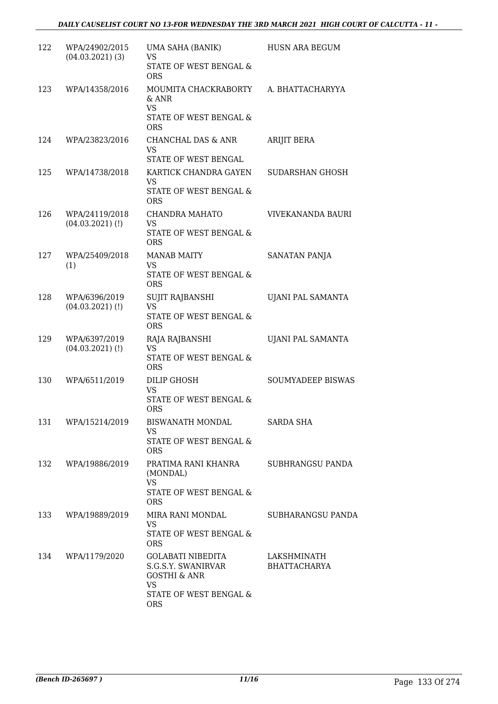| 122 | WPA/24902/2015<br>$(04.03.2021)$ (3) | UMA SAHA (BANIK)<br><b>VS</b><br>STATE OF WEST BENGAL &                              | <b>HUSN ARA BEGUM</b>       |
|-----|--------------------------------------|--------------------------------------------------------------------------------------|-----------------------------|
| 123 | WPA/14358/2016                       | <b>ORS</b><br>MOUMITA CHACKRABORTY<br>& ANR                                          | A. BHATTACHARYYA            |
|     |                                      | <b>VS</b><br>STATE OF WEST BENGAL &<br><b>ORS</b>                                    |                             |
| 124 | WPA/23823/2016                       | CHANCHAL DAS & ANR<br><b>VS</b><br>STATE OF WEST BENGAL                              | <b>ARIJIT BERA</b>          |
| 125 | WPA/14738/2018                       | KARTICK CHANDRA GAYEN<br><b>VS</b><br>STATE OF WEST BENGAL &<br><b>ORS</b>           | SUDARSHAN GHOSH             |
| 126 | WPA/24119/2018<br>$(04.03.2021)$ (!) | CHANDRA MAHATO<br><b>VS</b><br>STATE OF WEST BENGAL &<br><b>ORS</b>                  | <b>VIVEKANANDA BAURI</b>    |
| 127 | WPA/25409/2018<br>(1)                | <b>MANAB MAITY</b><br><b>VS</b><br><b>STATE OF WEST BENGAL &amp;</b><br><b>ORS</b>   | SANATAN PANJA               |
| 128 | WPA/6396/2019<br>$(04.03.2021)$ (!)  | <b>SUJIT RAJBANSHI</b><br><b>VS</b><br>STATE OF WEST BENGAL &<br><b>ORS</b>          | UJANI PAL SAMANTA           |
| 129 | WPA/6397/2019<br>$(04.03.2021)$ (!)  | RAJA RAJBANSHI<br><b>VS</b><br>STATE OF WEST BENGAL &<br><b>ORS</b>                  | UJANI PAL SAMANTA           |
| 130 | WPA/6511/2019                        | DILIP GHOSH<br><b>VS</b><br>STATE OF WEST BENGAL &<br><b>ORS</b>                     | <b>SOUMYADEEP BISWAS</b>    |
| 131 | WPA/15214/2019                       | BISWANATH MONDAL<br>VS<br>STATE OF WEST BENGAL &<br><b>ORS</b>                       | <b>SARDA SHA</b>            |
| 132 | WPA/19886/2019                       | PRATIMA RANI KHANRA<br>(MONDAL)<br><b>VS</b><br>STATE OF WEST BENGAL &<br><b>ORS</b> | SUBHRANGSU PANDA            |
| 133 | WPA/19889/2019                       | MIRA RANI MONDAL<br>VS<br>STATE OF WEST BENGAL &<br><b>ORS</b>                       | SUBHARANGSU PANDA           |
| 134 | WPA/1179/2020                        | GOLABATI NIBEDITA<br>S.G.S.Y. SWANIRVAR<br><b>GOSTHI &amp; ANR</b><br><b>VS</b>      | LAKSHMINATH<br>BHATTACHARYA |
|     |                                      | STATE OF WEST BENGAL &<br><b>ORS</b>                                                 |                             |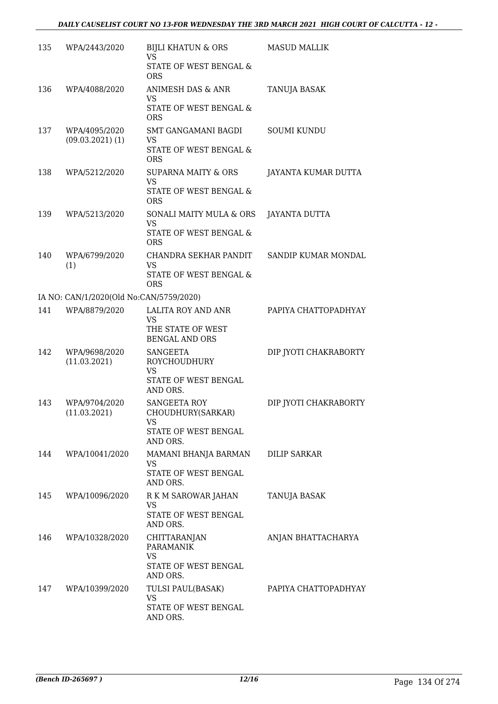| 135 | WPA/2443/2020                           | <b>BIJLI KHATUN &amp; ORS</b><br><b>VS</b><br>STATE OF WEST BENGAL &<br><b>ORS</b>      | <b>MASUD MALLIK</b>   |
|-----|-----------------------------------------|-----------------------------------------------------------------------------------------|-----------------------|
| 136 | WPA/4088/2020                           | ANIMESH DAS & ANR<br><b>VS</b><br>STATE OF WEST BENGAL &<br><b>ORS</b>                  | TANUJA BASAK          |
| 137 | WPA/4095/2020<br>$(09.03.2021)$ $(1)$   | SMT GANGAMANI BAGDI<br><b>VS</b><br>STATE OF WEST BENGAL &<br><b>ORS</b>                | <b>SOUMI KUNDU</b>    |
| 138 | WPA/5212/2020                           | SUPARNA MAITY & ORS<br><b>VS</b><br>STATE OF WEST BENGAL &<br><b>ORS</b>                | JAYANTA KUMAR DUTTA   |
| 139 | WPA/5213/2020                           | SONALI MAITY MULA & ORS<br><b>VS</b><br>STATE OF WEST BENGAL &<br><b>ORS</b>            | <b>JAYANTA DUTTA</b>  |
| 140 | WPA/6799/2020<br>(1)                    | CHANDRA SEKHAR PANDIT<br><b>VS</b><br>STATE OF WEST BENGAL &<br><b>ORS</b>              | SANDIP KUMAR MONDAL   |
|     | IA NO: CAN/1/2020(Old No:CAN/5759/2020) |                                                                                         |                       |
| 141 | WPA/8879/2020                           | LALITA ROY AND ANR<br><b>VS</b><br>THE STATE OF WEST<br><b>BENGAL AND ORS</b>           | PAPIYA CHATTOPADHYAY  |
| 142 | WPA/9698/2020<br>(11.03.2021)           | <b>SANGEETA</b><br><b>ROYCHOUDHURY</b><br><b>VS</b><br>STATE OF WEST BENGAL<br>AND ORS. | DIP JYOTI CHAKRABORTY |
| 143 | WPA/9704/2020<br>(11.03.2021)           | SANGEETA ROY<br>CHOUDHURY(SARKAR)<br><b>VS</b><br>STATE OF WEST BENGAL<br>AND ORS.      | DIP JYOTI CHAKRABORTY |
| 144 | WPA/10041/2020                          | MAMANI BHANJA BARMAN<br><b>VS</b><br>STATE OF WEST BENGAL<br>AND ORS.                   | DILIP SARKAR          |
| 145 | WPA/10096/2020                          | R K M SAROWAR JAHAN<br><b>VS</b><br>STATE OF WEST BENGAL<br>AND ORS.                    | <b>TANUJA BASAK</b>   |
| 146 | WPA/10328/2020                          | CHITTARANJAN<br><b>PARAMANIK</b><br><b>VS</b><br>STATE OF WEST BENGAL<br>AND ORS.       | ANJAN BHATTACHARYA    |
| 147 | WPA/10399/2020                          | TULSI PAUL(BASAK)<br><b>VS</b><br>STATE OF WEST BENGAL<br>AND ORS.                      | PAPIYA CHATTOPADHYAY  |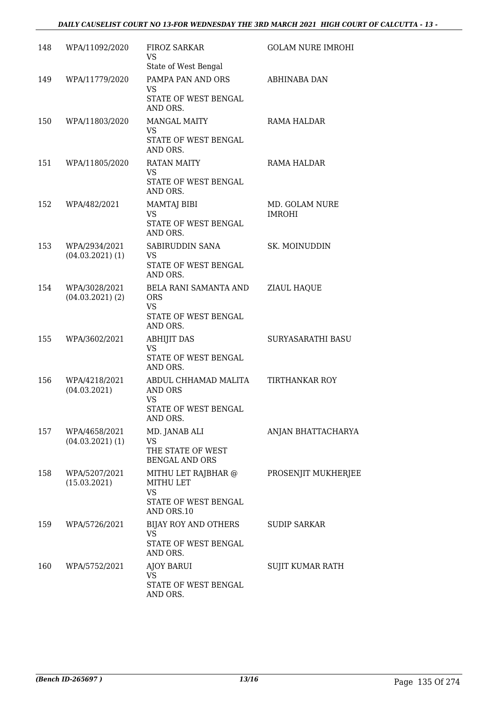#### *DAILY CAUSELIST COURT NO 13-FOR WEDNESDAY THE 3RD MARCH 2021 HIGH COURT OF CALCUTTA - 13 -*

| 148 | WPA/11092/2020                      | FIROZ SARKAR<br><b>VS</b><br>State of West Bengal                                   | <b>GOLAM NURE IMROHI</b>        |
|-----|-------------------------------------|-------------------------------------------------------------------------------------|---------------------------------|
| 149 | WPA/11779/2020                      | PAMPA PAN AND ORS<br><b>VS</b><br>STATE OF WEST BENGAL<br>AND ORS.                  | <b>ABHINABA DAN</b>             |
| 150 | WPA/11803/2020                      | <b>MANGAL MAITY</b><br><b>VS</b><br>STATE OF WEST BENGAL<br>AND ORS.                | RAMA HALDAR                     |
| 151 | WPA/11805/2020                      | <b>RATAN MAITY</b><br><b>VS</b><br>STATE OF WEST BENGAL<br>AND ORS.                 | RAMA HALDAR                     |
| 152 | WPA/482/2021                        | MAMTAJ BIBI<br><b>VS</b><br>STATE OF WEST BENGAL<br>AND ORS.                        | MD. GOLAM NURE<br><b>IMROHI</b> |
| 153 | WPA/2934/2021<br>$(04.03.2021)$ (1) | SABIRUDDIN SANA<br>VS<br>STATE OF WEST BENGAL<br>AND ORS.                           | SK. MOINUDDIN                   |
| 154 | WPA/3028/2021<br>$(04.03.2021)$ (2) | BELA RANI SAMANTA AND<br><b>ORS</b><br>VS.<br>STATE OF WEST BENGAL<br>AND ORS.      | ZIAUL HAQUE                     |
| 155 | WPA/3602/2021                       | <b>ABHIJIT DAS</b><br><b>VS</b><br>STATE OF WEST BENGAL<br>AND ORS.                 | SURYASARATHI BASU               |
| 156 | WPA/4218/2021<br>(04.03.2021)       | ABDUL CHHAMAD MALITA<br>AND ORS<br><b>VS</b><br>STATE OF WEST BENGAL<br>AND ORS.    | TIRTHANKAR ROY                  |
| 157 | WPA/4658/2021<br>$(04.03.2021)$ (1) | MD. JANAB ALI<br>VS<br>THE STATE OF WEST<br><b>BENGAL AND ORS</b>                   | ANJAN BHATTACHARYA              |
| 158 | WPA/5207/2021<br>(15.03.2021)       | MITHU LET RAJBHAR @<br>MITHU LET<br><b>VS</b><br>STATE OF WEST BENGAL<br>AND ORS.10 | PROSENJIT MUKHERJEE             |
| 159 | WPA/5726/2021                       | BIJAY ROY AND OTHERS<br>VS.<br>STATE OF WEST BENGAL<br>AND ORS.                     | SUDIP SARKAR                    |
| 160 | WPA/5752/2021                       | <b>AJOY BARUI</b><br>VS.<br>STATE OF WEST BENGAL<br>AND ORS.                        | SUJIT KUMAR RATH                |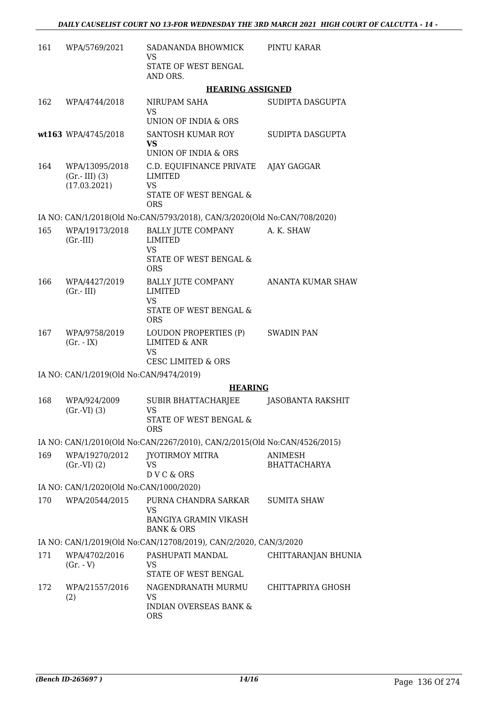| 161 | WPA/5769/2021                                     | SADANANDA BHOWMICK<br>VS                                                                                    | PINTU KARAR                    |
|-----|---------------------------------------------------|-------------------------------------------------------------------------------------------------------------|--------------------------------|
|     |                                                   | STATE OF WEST BENGAL<br>AND ORS.                                                                            |                                |
|     |                                                   | <b>HEARING ASSIGNED</b>                                                                                     |                                |
| 162 | WPA/4744/2018                                     | NIRUPAM SAHA<br><b>VS</b><br>UNION OF INDIA & ORS                                                           | SUDIPTA DASGUPTA               |
|     | wt163 WPA/4745/2018                               | SANTOSH KUMAR ROY<br><b>VS</b><br><b>UNION OF INDIA &amp; ORS</b>                                           | SUDIPTA DASGUPTA               |
| 164 | WPA/13095/2018<br>$(Gr.-III)$ (3)<br>(17.03.2021) | C.D. EQUIFINANCE PRIVATE AJAY GAGGAR<br><b>LIMITED</b><br><b>VS</b><br>STATE OF WEST BENGAL &<br><b>ORS</b> |                                |
|     |                                                   | IA NO: CAN/1/2018(Old No:CAN/5793/2018), CAN/3/2020(Old No:CAN/708/2020)                                    |                                |
| 165 | WPA/19173/2018<br>$(Gr.-III)$                     | BALLY JUTE COMPANY<br>LIMITED<br><b>VS</b><br>STATE OF WEST BENGAL &<br><b>ORS</b>                          | A. K. SHAW                     |
| 166 | WPA/4427/2019<br>$(Gr.-III)$                      | <b>BALLY JUTE COMPANY</b><br><b>LIMITED</b><br><b>VS</b><br>STATE OF WEST BENGAL &<br><b>ORS</b>            | <b>ANANTA KUMAR SHAW</b>       |
| 167 | WPA/9758/2019<br>$(Gr. - IX)$                     | LOUDON PROPERTIES (P)<br><b>LIMITED &amp; ANR</b><br><b>VS</b><br><b>CESC LIMITED &amp; ORS</b>             | <b>SWADIN PAN</b>              |
|     | IA NO: CAN/1/2019(Old No:CAN/9474/2019)           |                                                                                                             |                                |
|     |                                                   | <b>HEARING</b>                                                                                              |                                |
| 168 | WPA/924/2009<br>$(Gr.-VI)$ $(3)$                  | SUBIR BHATTACHARJEE<br><b>VS</b><br>STATE OF WEST BENGAL &<br><b>ORS</b>                                    | JASOBANTA RAKSHIT              |
|     |                                                   | IA NO: CAN/1/2010(Old No:CAN/2267/2010), CAN/2/2015(Old No:CAN/4526/2015)                                   |                                |
| 169 | WPA/19270/2012<br>$(Gr.-VI)$ $(2)$                | JYOTIRMOY MITRA<br><b>VS</b><br>D V C & ORS                                                                 | ANIMESH<br><b>BHATTACHARYA</b> |
|     | IA NO: CAN/1/2020(Old No:CAN/1000/2020)           |                                                                                                             |                                |
| 170 | WPA/20544/2015                                    | PURNA CHANDRA SARKAR<br><b>VS</b><br><b>BANGIYA GRAMIN VIKASH</b>                                           | <b>SUMITA SHAW</b>             |
|     |                                                   | <b>BANK &amp; ORS</b>                                                                                       |                                |
|     |                                                   | IA NO: CAN/1/2019(Old No:CAN/12708/2019), CAN/2/2020, CAN/3/2020                                            |                                |
| 171 | WPA/4702/2016<br>$(Gr. - V)$                      | PASHUPATI MANDAL<br><b>VS</b><br>STATE OF WEST BENGAL                                                       | CHITTARANJAN BHUNIA            |
| 172 | WPA/21557/2016<br>(2)                             | NAGENDRANATH MURMU<br><b>VS</b><br><b>INDIAN OVERSEAS BANK &amp;</b><br><b>ORS</b>                          | CHITTAPRIYA GHOSH              |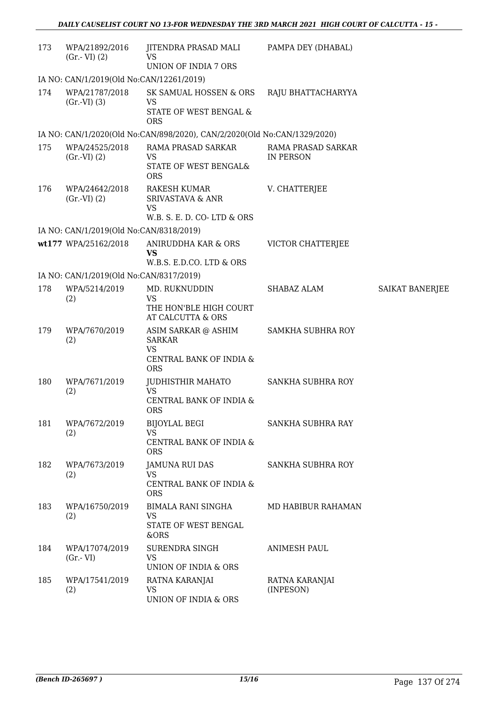| 173 | WPA/21892/2016<br>$(Gr.-VI)$ $(2)$       | JITENDRA PRASAD MALI<br><b>VS</b><br>UNION OF INDIA 7 ORS                                     | PAMPA DEY (DHABAL)              |                        |
|-----|------------------------------------------|-----------------------------------------------------------------------------------------------|---------------------------------|------------------------|
|     | IA NO: CAN/1/2019(Old No:CAN/12261/2019) |                                                                                               |                                 |                        |
| 174 | WPA/21787/2018<br>$(Gr.-VI)$ $(3)$       | SK SAMUAL HOSSEN & ORS<br>VS<br>STATE OF WEST BENGAL &<br><b>ORS</b>                          | RAJU BHATTACHARYYA              |                        |
|     |                                          | IA NO: CAN/1/2020(Old No:CAN/898/2020), CAN/2/2020(Old No:CAN/1329/2020)                      |                                 |                        |
| 175 | WPA/24525/2018<br>$(Gr.-VI)$ $(2)$       | RAMA PRASAD SARKAR<br>VS<br>STATE OF WEST BENGAL&<br><b>ORS</b>                               | RAMA PRASAD SARKAR<br>IN PERSON |                        |
| 176 | WPA/24642/2018<br>$(Gr.-VI)$ $(2)$       | <b>RAKESH KUMAR</b><br><b>SRIVASTAVA &amp; ANR</b><br><b>VS</b><br>W.B. S. E. D. CO-LTD & ORS | V. CHATTERJEE                   |                        |
|     | IA NO: CAN/1/2019(Old No:CAN/8318/2019)  |                                                                                               |                                 |                        |
|     | wt177 WPA/25162/2018                     | ANIRUDDHA KAR & ORS<br><b>VS</b><br>W.B.S. E.D.CO. LTD & ORS                                  | <b>VICTOR CHATTERJEE</b>        |                        |
|     | IA NO: CAN/1/2019(Old No:CAN/8317/2019)  |                                                                                               |                                 |                        |
| 178 | WPA/5214/2019                            | MD. RUKNUDDIN                                                                                 | SHABAZ ALAM                     | <b>SAIKAT BANERJEE</b> |
|     | (2)                                      | <b>VS</b><br>THE HON'BLE HIGH COURT<br>AT CALCUTTA & ORS                                      |                                 |                        |
| 179 | WPA/7670/2019<br>(2)                     | ASIM SARKAR @ ASHIM<br><b>SARKAR</b><br><b>VS</b><br>CENTRAL BANK OF INDIA &<br><b>ORS</b>    | SAMKHA SUBHRA ROY               |                        |
| 180 | WPA/7671/2019<br>(2)                     | JUDHISTHIR MAHATO<br><b>VS</b><br>CENTRAL BANK OF INDIA &                                     | SANKHA SUBHRA ROY               |                        |
| 181 | WPA/7672/2019<br>(2)                     | <b>ORS</b><br><b>BIJOYLAL BEGI</b><br><b>VS</b><br>CENTRAL BANK OF INDIA &<br><b>ORS</b>      | SANKHA SUBHRA RAY               |                        |
| 182 | WPA/7673/2019<br>(2)                     | <b>JAMUNA RUI DAS</b><br><b>VS</b><br>CENTRAL BANK OF INDIA &<br><b>ORS</b>                   | SANKHA SUBHRA ROY               |                        |
| 183 | WPA/16750/2019<br>(2)                    | <b>BIMALA RANI SINGHA</b><br><b>VS</b><br>STATE OF WEST BENGAL<br>&ORS                        | MD HABIBUR RAHAMAN              |                        |
| 184 | WPA/17074/2019<br>$(Gr.-VI)$             | SURENDRA SINGH<br><b>VS</b><br>UNION OF INDIA & ORS                                           | ANIMESH PAUL                    |                        |
| 185 | WPA/17541/2019<br>(2)                    | RATNA KARANJAI<br><b>VS</b><br>UNION OF INDIA & ORS                                           | RATNA KARANJAI<br>(INPESON)     |                        |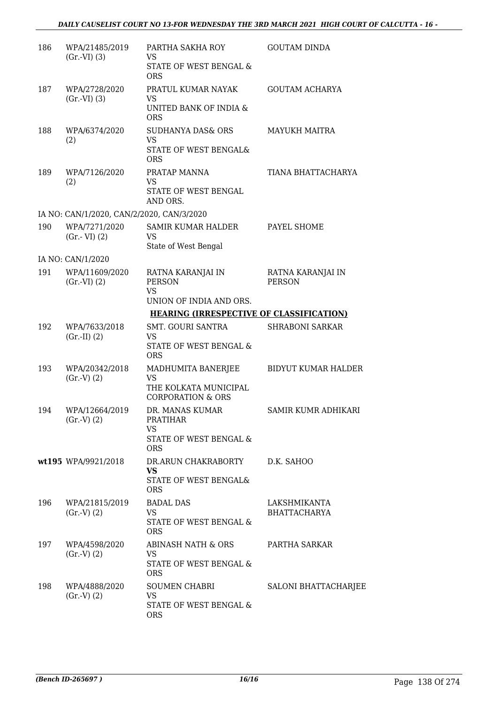| 186 | WPA/21485/2019<br>$(Gr.-VI)$ $(3)$        | PARTHA SAKHA ROY<br><b>VS</b>                                  | <b>GOUTAM DINDA</b>                 |
|-----|-------------------------------------------|----------------------------------------------------------------|-------------------------------------|
|     |                                           | STATE OF WEST BENGAL &<br><b>ORS</b>                           |                                     |
| 187 | WPA/2728/2020<br>$(Gr.-VI)$ $(3)$         | PRATUL KUMAR NAYAK<br><b>VS</b>                                | <b>GOUTAM ACHARYA</b>               |
|     |                                           | UNITED BANK OF INDIA &<br><b>ORS</b>                           |                                     |
| 188 | WPA/6374/2020<br>(2)                      | <b>SUDHANYA DAS&amp; ORS</b><br><b>VS</b>                      | <b>MAYUKH MAITRA</b>                |
|     |                                           | STATE OF WEST BENGAL&<br><b>ORS</b>                            |                                     |
| 189 | WPA/7126/2020<br>(2)                      | PRATAP MANNA<br><b>VS</b>                                      | TIANA BHATTACHARYA                  |
|     |                                           | STATE OF WEST BENGAL<br>AND ORS.                               |                                     |
|     | IA NO: CAN/1/2020, CAN/2/2020, CAN/3/2020 |                                                                |                                     |
| 190 | WPA/7271/2020<br>$(Gr.-VI)$ $(2)$         | <b>SAMIR KUMAR HALDER</b><br><b>VS</b><br>State of West Bengal | PAYEL SHOME                         |
|     | IA NO: CAN/1/2020                         |                                                                |                                     |
| 191 | WPA/11609/2020<br>$(Gr.-VI)$ $(2)$        | RATNA KARANJAI IN<br><b>PERSON</b>                             | RATNA KARANJAI IN<br><b>PERSON</b>  |
|     |                                           | <b>VS</b><br>UNION OF INDIA AND ORS.                           |                                     |
|     |                                           | <b>HEARING (IRRESPECTIVE OF CLASSIFICATION)</b>                |                                     |
| 192 | WPA/7633/2018<br>$(Gr.-II) (2)$           | SMT. GOURI SANTRA<br><b>VS</b>                                 | <b>SHRABONI SARKAR</b>              |
|     |                                           | STATE OF WEST BENGAL &<br><b>ORS</b>                           |                                     |
| 193 | WPA/20342/2018<br>$(Gr.V)$ $(2)$          | MADHUMITA BANERJEE<br><b>VS</b>                                | <b>BIDYUT KUMAR HALDER</b>          |
|     |                                           | THE KOLKATA MUNICIPAL<br><b>CORPORATION &amp; ORS</b>          |                                     |
| 194 | WPA/12664/2019<br>$(Gr.-V) (2)$           | DR. MANAS KUMAR<br><b>PRATIHAR</b>                             | SAMIR KUMR ADHIKARI                 |
|     |                                           | <b>VS</b><br>STATE OF WEST BENGAL &<br><b>ORS</b>              |                                     |
|     | wt195 WPA/9921/2018                       | DR.ARUN CHAKRABORTY                                            | D.K. SAHOO                          |
|     |                                           | <b>VS</b><br>STATE OF WEST BENGAL&<br><b>ORS</b>               |                                     |
| 196 | WPA/21815/2019                            | <b>BADAL DAS</b>                                               | LAKSHMIKANTA<br><b>BHATTACHARYA</b> |
|     | $(Gr.V)$ $(2)$                            | VS<br>STATE OF WEST BENGAL &<br><b>ORS</b>                     |                                     |
| 197 | WPA/4598/2020<br>(Gr.V) (2)               | ABINASH NATH & ORS<br><b>VS</b>                                | PARTHA SARKAR                       |
|     |                                           | STATE OF WEST BENGAL &<br><b>ORS</b>                           |                                     |
| 198 | WPA/4888/2020<br>(Gr.V) (2)               | SOUMEN CHABRI<br>VS                                            | <b>SALONI BHATTACHARJEE</b>         |
|     |                                           | STATE OF WEST BENGAL &<br><b>ORS</b>                           |                                     |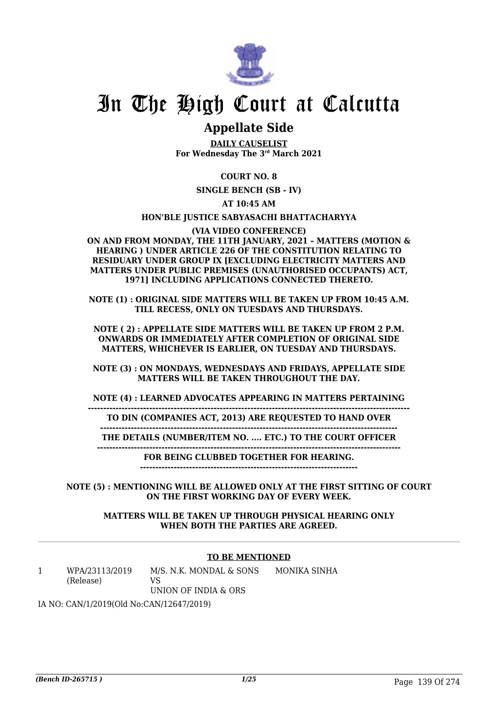

### **Appellate Side**

**DAILY CAUSELIST For Wednesday The 3rd March 2021**

#### **COURT NO. 8**

**SINGLE BENCH (SB - IV)**

**AT 10:45 AM**

#### **HON'BLE JUSTICE SABYASACHI BHATTACHARYYA**

#### **(VIA VIDEO CONFERENCE)**

**ON AND FROM MONDAY, THE 11TH JANUARY, 2021 – MATTERS (MOTION & HEARING ) UNDER ARTICLE 226 OF THE CONSTITUTION RELATING TO RESIDUARY UNDER GROUP IX [EXCLUDING ELECTRICITY MATTERS AND MATTERS UNDER PUBLIC PREMISES (UNAUTHORISED OCCUPANTS) ACT, 1971] INCLUDING APPLICATIONS CONNECTED THERETO.**

**NOTE (1) : ORIGINAL SIDE MATTERS WILL BE TAKEN UP FROM 10:45 A.M. TILL RECESS, ONLY ON TUESDAYS AND THURSDAYS.**

**NOTE ( 2) : APPELLATE SIDE MATTERS WILL BE TAKEN UP FROM 2 P.M. ONWARDS OR IMMEDIATELY AFTER COMPLETION OF ORIGINAL SIDE MATTERS, WHICHEVER IS EARLIER, ON TUESDAY AND THURSDAYS.**

**NOTE (3) : ON MONDAYS, WEDNESDAYS AND FRIDAYS, APPELLATE SIDE MATTERS WILL BE TAKEN THROUGHOUT THE DAY.**

**NOTE (4) : LEARNED ADVOCATES APPEARING IN MATTERS PERTAINING**

**--------------------------------------------------------------------------------------------------------- TO DIN (COMPANIES ACT, 2013) ARE REQUESTED TO HAND OVER**

**------------------------------------------------------------------------------------------------- THE DETAILS (NUMBER/ITEM NO. .... ETC.) TO THE COURT OFFICER**

**---------------------------------------------------------------------------------------------------**

**FOR BEING CLUBBED TOGETHER FOR HEARING.**

**-----------------------------------------------------------------------**

**NOTE (5) : MENTIONING WILL BE ALLOWED ONLY AT THE FIRST SITTING OF COURT ON THE FIRST WORKING DAY OF EVERY WEEK.**

> **MATTERS WILL BE TAKEN UP THROUGH PHYSICAL HEARING ONLY WHEN BOTH THE PARTIES ARE AGREED.**

#### **TO BE MENTIONED**

1 WPA/23113/2019 (Release) M/S. N.K. MONDAL & SONS  $V<sub>S</sub>$ UNION OF INDIA & ORS MONIKA SINHA

IA NO: CAN/1/2019(Old No:CAN/12647/2019)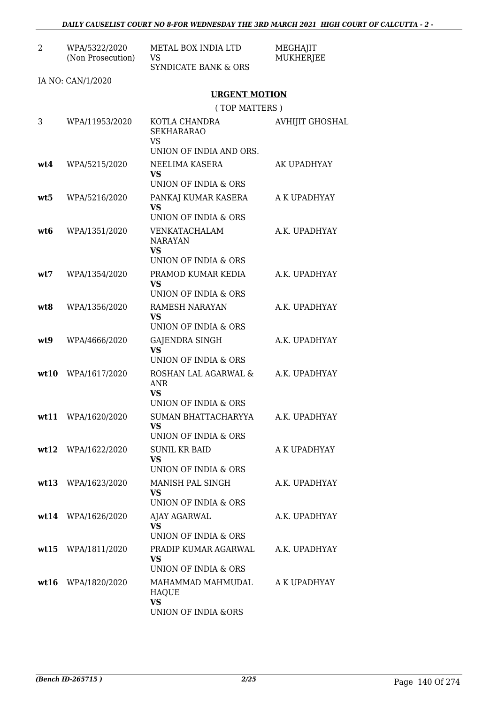| $\overline{2}$ | WPA/5322/2020<br>(Non Prosecution) | <b>METAL BOX INDIA LTD</b><br><b>VS</b><br>SYNDICATE BANK & ORS                              | MEGHAJIT<br><b>MUKHERJEE</b> |
|----------------|------------------------------------|----------------------------------------------------------------------------------------------|------------------------------|
|                | IA NO: CAN/1/2020                  |                                                                                              |                              |
|                |                                    | <b>URGENT MOTION</b>                                                                         |                              |
|                |                                    | (TOP MATTERS)                                                                                |                              |
| 3              | WPA/11953/2020                     | KOTLA CHANDRA<br><b>SEKHARARAO</b><br><b>VS</b><br>UNION OF INDIA AND ORS.                   | <b>AVHIJIT GHOSHAL</b>       |
| wt4            | WPA/5215/2020                      | NEELIMA KASERA<br>VS                                                                         | AK UPADHYAY                  |
|                |                                    | UNION OF INDIA & ORS                                                                         |                              |
| wt5            | WPA/5216/2020                      | PANKAJ KUMAR KASERA<br><b>VS</b>                                                             | A K UPADHYAY                 |
| wt6            | WPA/1351/2020                      | UNION OF INDIA & ORS<br>VENKATACHALAM<br><b>NARAYAN</b><br><b>VS</b><br>UNION OF INDIA & ORS | A.K. UPADHYAY                |
| wt7            | WPA/1354/2020                      | PRAMOD KUMAR KEDIA<br><b>VS</b><br>UNION OF INDIA & ORS                                      | A.K. UPADHYAY                |
| wt8            | WPA/1356/2020                      | RAMESH NARAYAN<br>VS<br>UNION OF INDIA & ORS                                                 | A.K. UPADHYAY                |
| wt9            | WPA/4666/2020                      | GAJENDRA SINGH<br><b>VS</b><br>UNION OF INDIA & ORS                                          | A.K. UPADHYAY                |
|                | wt10 WPA/1617/2020                 | ROSHAN LAL AGARWAL &<br><b>ANR</b><br>VS<br>UNION OF INDIA & ORS                             | A.K. UPADHYAY                |
|                | wt11 WPA/1620/2020                 | SUMAN BHATTACHARYYA<br>VS.<br>UNION OF INDIA & ORS                                           | A.K. UPADHYAY                |
|                | wt12 WPA/1622/2020                 | <b>SUNIL KR BAID</b><br><b>VS</b><br>UNION OF INDIA & ORS                                    | A K UPADHYAY                 |
|                | wt13 WPA/1623/2020                 | MANISH PAL SINGH<br>VS<br>UNION OF INDIA & ORS                                               | A.K. UPADHYAY                |
|                | wt14 WPA/1626/2020                 | AJAY AGARWAL<br>VS.<br>UNION OF INDIA & ORS                                                  | A.K. UPADHYAY                |
|                | wt15 WPA/1811/2020                 | PRADIP KUMAR AGARWAL<br><b>VS</b><br>UNION OF INDIA & ORS                                    | A.K. UPADHYAY                |
|                | wt16 WPA/1820/2020                 | MAHAMMAD MAHMUDAL<br><b>HAQUE</b><br><b>VS</b><br>UNION OF INDIA &ORS                        | A K UPADHYAY                 |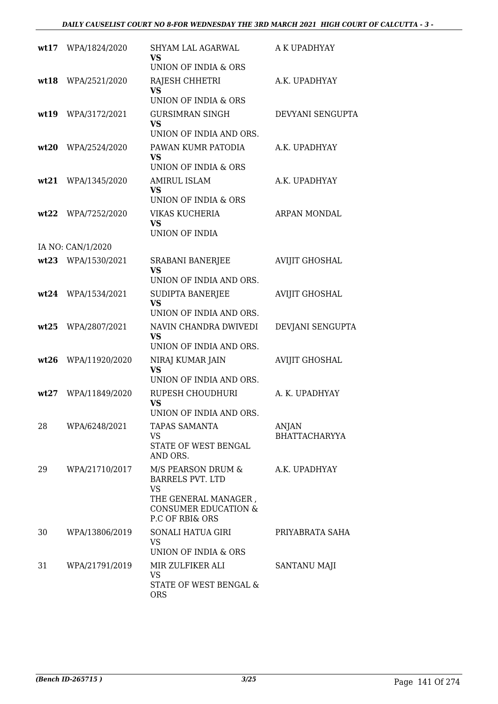| wt17 | WPA/1824/2020      | <b>SHYAM LAL AGARWAL</b><br>VS                          | A K UPADHYAY          |
|------|--------------------|---------------------------------------------------------|-----------------------|
|      |                    | UNION OF INDIA & ORS                                    |                       |
| wt18 | WPA/2521/2020      | RAJESH CHHETRI<br><b>VS</b><br>UNION OF INDIA & ORS     | A.K. UPADHYAY         |
|      |                    |                                                         | DEVYANI SENGUPTA      |
| wt19 | WPA/3172/2021      | <b>GURSIMRAN SINGH</b><br>VS<br>UNION OF INDIA AND ORS. |                       |
| wt20 | WPA/2524/2020      | PAWAN KUMR PATODIA                                      | A.K. UPADHYAY         |
|      |                    | <b>VS</b><br>UNION OF INDIA & ORS                       |                       |
| wt21 | WPA/1345/2020      | <b>AMIRUL ISLAM</b>                                     | A.K. UPADHYAY         |
|      |                    | <b>VS</b><br>UNION OF INDIA & ORS                       |                       |
| wt22 | WPA/7252/2020      | VIKAS KUCHERIA                                          | ARPAN MONDAL          |
|      |                    | VS.                                                     |                       |
|      |                    | <b>UNION OF INDIA</b>                                   |                       |
|      | IA NO: CAN/1/2020  |                                                         |                       |
|      | wt23 WPA/1530/2021 | SRABANI BANERJEE<br><b>VS</b>                           | <b>AVIJIT GHOSHAL</b> |
|      |                    | UNION OF INDIA AND ORS.                                 |                       |
|      | wt24 WPA/1534/2021 | SUDIPTA BANERJEE                                        | <b>AVIJIT GHOSHAL</b> |
|      |                    | <b>VS</b>                                               |                       |
|      |                    | UNION OF INDIA AND ORS.                                 |                       |
| wt25 | WPA/2807/2021      | NAVIN CHANDRA DWIVEDI<br><b>VS</b>                      | DEVJANI SENGUPTA      |
|      |                    | UNION OF INDIA AND ORS.                                 |                       |
| wt26 | WPA/11920/2020     | NIRAJ KUMAR JAIN                                        | <b>AVIJIT GHOSHAL</b> |
|      |                    | <b>VS</b><br>UNION OF INDIA AND ORS.                    |                       |
|      |                    |                                                         |                       |
| wt27 | WPA/11849/2020     | RUPESH CHOUDHURI<br>VS                                  | A. K. UPADHYAY        |
|      |                    | UNION OF INDIA AND ORS.                                 |                       |
| 28   | WPA/6248/2021      | <b>TAPAS SAMANTA</b>                                    | ANJAN                 |
|      |                    | VS<br>STATE OF WEST BENGAL                              | <b>BHATTACHARYYA</b>  |
|      |                    | AND ORS.                                                |                       |
| 29   | WPA/21710/2017     | M/S PEARSON DRUM &<br><b>BARRELS PVT. LTD</b>           | A.K. UPADHYAY         |
|      |                    | <b>VS</b>                                               |                       |
|      |                    | THE GENERAL MANAGER,                                    |                       |
|      |                    | <b>CONSUMER EDUCATION &amp;</b><br>P.C OF RBI& ORS      |                       |
| 30   | WPA/13806/2019     | SONALI HATUA GIRI                                       | PRIYABRATA SAHA       |
|      |                    | VS                                                      |                       |
|      |                    | UNION OF INDIA & ORS                                    |                       |
| 31   | WPA/21791/2019     | MIR ZULFIKER ALI                                        | SANTANU MAJI          |
|      |                    | VS<br>STATE OF WEST BENGAL &                            |                       |
|      |                    | <b>ORS</b>                                              |                       |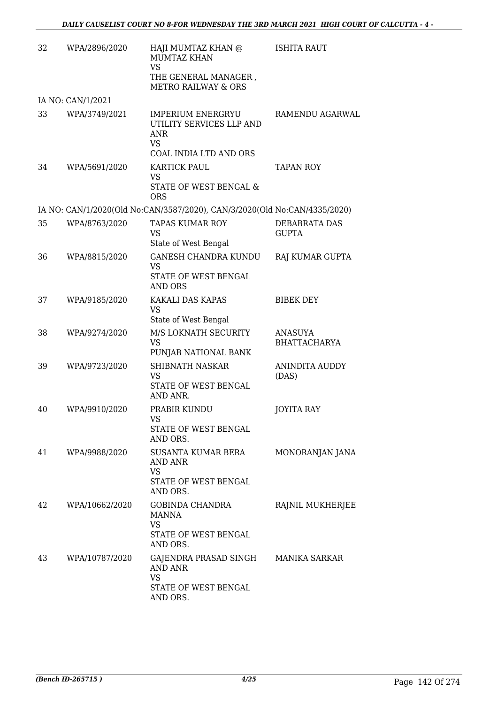| 32 | WPA/2896/2020     | HAJI MUMTAZ KHAN @<br><b>MUMTAZ KHAN</b><br><b>VS</b><br>THE GENERAL MANAGER,<br><b>METRO RAILWAY &amp; ORS</b> | <b>ISHITA RAUT</b>                    |
|----|-------------------|-----------------------------------------------------------------------------------------------------------------|---------------------------------------|
|    | IA NO: CAN/1/2021 |                                                                                                                 |                                       |
| 33 | WPA/3749/2021     | <b>IMPERIUM ENERGRYU</b><br>UTILITY SERVICES LLP AND<br>ANR<br><b>VS</b><br>COAL INDIA LTD AND ORS              | RAMENDU AGARWAL                       |
| 34 | WPA/5691/2020     | KARTICK PAUL<br><b>VS</b><br>STATE OF WEST BENGAL &<br><b>ORS</b>                                               | <b>TAPAN ROY</b>                      |
|    |                   | IA NO: CAN/1/2020(Old No:CAN/3587/2020), CAN/3/2020(Old No:CAN/4335/2020)                                       |                                       |
| 35 | WPA/8763/2020     | <b>TAPAS KUMAR ROY</b><br><b>VS</b><br>State of West Bengal                                                     | DEBABRATA DAS<br><b>GUPTA</b>         |
| 36 | WPA/8815/2020     | <b>GANESH CHANDRA KUNDU</b><br><b>VS</b><br>STATE OF WEST BENGAL<br>AND ORS                                     | RAJ KUMAR GUPTA                       |
| 37 | WPA/9185/2020     | KAKALI DAS KAPAS<br><b>VS</b><br>State of West Bengal                                                           | <b>BIBEK DEY</b>                      |
| 38 | WPA/9274/2020     | M/S LOKNATH SECURITY<br><b>VS</b><br>PUNJAB NATIONAL BANK                                                       | <b>ANASUYA</b><br><b>BHATTACHARYA</b> |
| 39 | WPA/9723/2020     | <b>SHIBNATH NASKAR</b><br>VS<br>STATE OF WEST BENGAL<br>AND ANR.                                                | <b>ANINDITA AUDDY</b><br>(DAS)        |
| 40 | WPA/9910/2020     | PRABIR KUNDU<br>VS<br>STATE OF WEST BENGAL<br>AND ORS.                                                          | <b>JOYITA RAY</b>                     |
| 41 | WPA/9988/2020     | <b>SUSANTA KUMAR BERA</b><br><b>AND ANR</b><br>VS<br>STATE OF WEST BENGAL                                       | MONORANJAN JANA                       |
| 42 | WPA/10662/2020    | AND ORS.<br><b>GOBINDA CHANDRA</b><br>MANNA<br><b>VS</b><br>STATE OF WEST BENGAL<br>AND ORS.                    | RAJNIL MUKHERJEE                      |
| 43 | WPA/10787/2020    | GAJENDRA PRASAD SINGH<br>AND ANR<br><b>VS</b><br>STATE OF WEST BENGAL<br>AND ORS.                               | MANIKA SARKAR                         |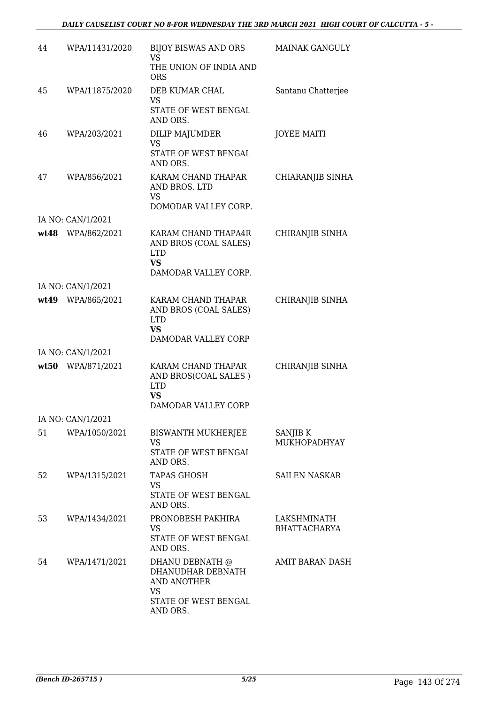#### *DAILY CAUSELIST COURT NO 8-FOR WEDNESDAY THE 3RD MARCH 2021 HIGH COURT OF CALCUTTA - 5 -*

| 44 | WPA/11431/2020    | BIJOY BISWAS AND ORS<br>VS.                                                                     | <b>MAINAK GANGULY</b>              |
|----|-------------------|-------------------------------------------------------------------------------------------------|------------------------------------|
|    |                   | THE UNION OF INDIA AND<br><b>ORS</b>                                                            |                                    |
| 45 | WPA/11875/2020    | DEB KUMAR CHAL<br>VS<br>STATE OF WEST BENGAL<br>AND ORS.                                        | Santanu Chatterjee                 |
| 46 | WPA/203/2021      | DILIP MAJUMDER<br><b>VS</b><br>STATE OF WEST BENGAL<br>AND ORS.                                 | <b>JOYEE MAITI</b>                 |
| 47 | WPA/856/2021      | KARAM CHAND THAPAR<br>AND BROS. LTD<br>VS.<br>DOMODAR VALLEY CORP.                              | CHIARANJIB SINHA                   |
|    | IA NO: CAN/1/2021 |                                                                                                 |                                    |
|    | wt48 WPA/862/2021 | KARAM CHAND THAPA4R<br>AND BROS (COAL SALES)<br><b>LTD</b><br><b>VS</b><br>DAMODAR VALLEY CORP. | CHIRANJIB SINHA                    |
|    | IA NO: CAN/1/2021 |                                                                                                 |                                    |
|    | wt49 WPA/865/2021 | KARAM CHAND THAPAR<br>AND BROS (COAL SALES)<br><b>LTD</b><br><b>VS</b><br>DAMODAR VALLEY CORP   | CHIRANJIB SINHA                    |
|    | IA NO: CAN/1/2021 |                                                                                                 |                                    |
|    | wt50 WPA/871/2021 | KARAM CHAND THAPAR<br>AND BROS(COAL SALES)<br><b>LTD</b><br><b>VS</b><br>DAMODAR VALLEY CORP    | CHIRANJIB SINHA                    |
|    | IA NO: CAN/1/2021 |                                                                                                 |                                    |
| 51 | WPA/1050/2021     | <b>BISWANTH MUKHERJEE</b><br>VS<br>STATE OF WEST BENGAL<br>AND ORS.                             | SANJIB K<br>MUKHOPADHYAY           |
| 52 | WPA/1315/2021     | <b>TAPAS GHOSH</b><br>VS<br>STATE OF WEST BENGAL<br>AND ORS.                                    | <b>SAILEN NASKAR</b>               |
| 53 | WPA/1434/2021     | PRONOBESH PAKHIRA<br><b>VS</b><br>STATE OF WEST BENGAL<br>AND ORS.                              | LAKSHMINATH<br><b>BHATTACHARYA</b> |
| 54 | WPA/1471/2021     | DHANU DEBNATH @<br>DHANUDHAR DEBNATH<br>AND ANOTHER<br>VS<br>STATE OF WEST BENGAL<br>AND ORS.   | AMIT BARAN DASH                    |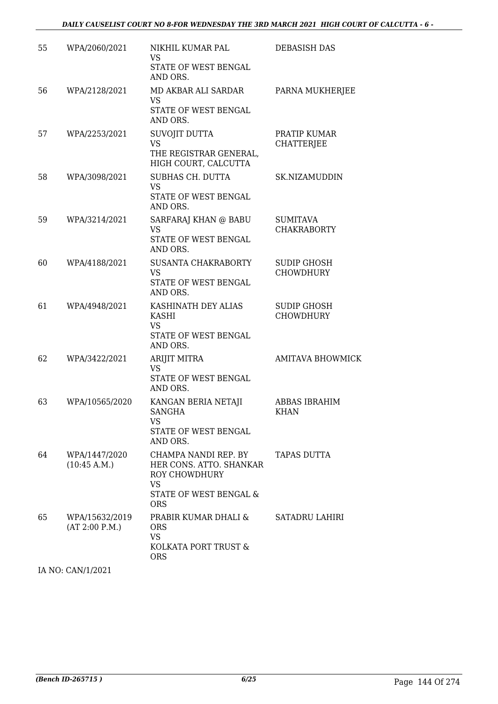| 55 | WPA/2060/2021                    | NIKHIL KUMAR PAL<br>VS                                                                                         | <b>DEBASISH DAS</b>                    |
|----|----------------------------------|----------------------------------------------------------------------------------------------------------------|----------------------------------------|
|    |                                  | STATE OF WEST BENGAL<br>AND ORS.                                                                               |                                        |
| 56 | WPA/2128/2021                    | MD AKBAR ALI SARDAR<br>VS<br>STATE OF WEST BENGAL<br>AND ORS.                                                  | PARNA MUKHERJEE                        |
| 57 | WPA/2253/2021                    | SUVOJIT DUTTA<br><b>VS</b><br>THE REGISTRAR GENERAL,<br>HIGH COURT, CALCUTTA                                   | PRATIP KUMAR<br><b>CHATTERJEE</b>      |
| 58 | WPA/3098/2021                    | SUBHAS CH. DUTTA<br><b>VS</b><br>STATE OF WEST BENGAL<br>AND ORS.                                              | SK.NIZAMUDDIN                          |
| 59 | WPA/3214/2021                    | SARFARAJ KHAN @ BABU<br><b>VS</b><br>STATE OF WEST BENGAL<br>AND ORS.                                          | <b>SUMITAVA</b><br><b>CHAKRABORTY</b>  |
| 60 | WPA/4188/2021                    | SUSANTA CHAKRABORTY<br><b>VS</b><br>STATE OF WEST BENGAL<br>AND ORS.                                           | <b>SUDIP GHOSH</b><br><b>CHOWDHURY</b> |
| 61 | WPA/4948/2021                    | KASHINATH DEY ALIAS<br>KASHI<br><b>VS</b><br>STATE OF WEST BENGAL<br>AND ORS.                                  | <b>SUDIP GHOSH</b><br><b>CHOWDHURY</b> |
| 62 | WPA/3422/2021                    | ARIJIT MITRA<br><b>VS</b><br>STATE OF WEST BENGAL<br>AND ORS.                                                  | <b>AMITAVA BHOWMICK</b>                |
| 63 | WPA/10565/2020                   | KANGAN BERIA NETAJI<br>SANGHA<br>VS.<br>STATE OF WEST BENGAL<br>AND ORS.                                       | <b>ABBAS IBRAHIM</b><br><b>KHAN</b>    |
| 64 | WPA/1447/2020<br>(10:45 A.M.)    | CHAMPA NANDI REP. BY<br>HER CONS. ATTO. SHANKAR<br>ROY CHOWDHURY<br>VS<br>STATE OF WEST BENGAL &<br><b>ORS</b> | TAPAS DUTTA                            |
| 65 | WPA/15632/2019<br>(AT 2:00 P.M.) | PRABIR KUMAR DHALI &<br><b>ORS</b><br>VS<br>KOLKATA PORT TRUST &<br><b>ORS</b>                                 | SATADRU LAHIRI                         |

IA NO: CAN/1/2021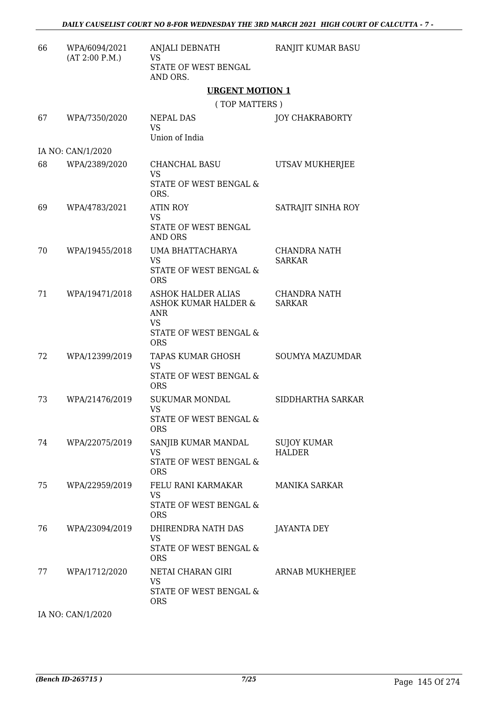| 66 | WPA/6094/2021<br>(AT 2:00 P.M.) | ANJALI DEBNATH<br><b>VS</b>                                                                            | RANJIT KUMAR BASU                    |
|----|---------------------------------|--------------------------------------------------------------------------------------------------------|--------------------------------------|
|    |                                 | STATE OF WEST BENGAL<br>AND ORS.                                                                       |                                      |
|    |                                 | <b>URGENT MOTION 1</b>                                                                                 |                                      |
|    |                                 | (TOP MATTERS)                                                                                          |                                      |
| 67 | WPA/7350/2020                   | NEPAL DAS<br><b>VS</b><br>Union of India                                                               | <b>JOY CHAKRABORTY</b>               |
|    | IA NO: CAN/1/2020               |                                                                                                        |                                      |
| 68 | WPA/2389/2020                   | <b>CHANCHAL BASU</b><br><b>VS</b><br>STATE OF WEST BENGAL &<br>ORS.                                    | UTSAV MUKHERJEE                      |
| 69 | WPA/4783/2021                   | ATIN ROY<br>VS                                                                                         | SATRAJIT SINHA ROY                   |
|    |                                 | STATE OF WEST BENGAL<br><b>AND ORS</b>                                                                 |                                      |
| 70 | WPA/19455/2018                  | UMA BHATTACHARYA<br>VS<br>STATE OF WEST BENGAL &<br><b>ORS</b>                                         | <b>CHANDRA NATH</b><br><b>SARKAR</b> |
| 71 | WPA/19471/2018                  | <b>ASHOK HALDER ALIAS</b><br>ASHOK KUMAR HALDER &<br>ANR<br>VS<br>STATE OF WEST BENGAL &<br><b>ORS</b> | CHANDRA NATH<br><b>SARKAR</b>        |
| 72 | WPA/12399/2019                  | TAPAS KUMAR GHOSH<br><b>VS</b><br>STATE OF WEST BENGAL &<br><b>ORS</b>                                 | SOUMYA MAZUMDAR                      |
| 73 | WPA/21476/2019                  | <b>SUKUMAR MONDAL</b><br><b>VS</b><br>STATE OF WEST BENGAL &<br><b>ORS</b>                             | SIDDHARTHA SARKAR                    |
| 74 | WPA/22075/2019                  | SANJIB KUMAR MANDAL<br>VS<br>STATE OF WEST BENGAL &<br><b>ORS</b>                                      | SUJOY KUMAR<br><b>HALDER</b>         |
| 75 | WPA/22959/2019                  | FELU RANI KARMAKAR<br><b>VS</b><br>STATE OF WEST BENGAL &<br><b>ORS</b>                                | <b>MANIKA SARKAR</b>                 |
| 76 | WPA/23094/2019                  | DHIRENDRA NATH DAS<br>VS<br>STATE OF WEST BENGAL &<br><b>ORS</b>                                       | <b>JAYANTA DEY</b>                   |
| 77 | WPA/1712/2020                   | NETAI CHARAN GIRI<br>VS<br>STATE OF WEST BENGAL &<br><b>ORS</b>                                        | ARNAB MUKHERJEE                      |

IA NO: CAN/1/2020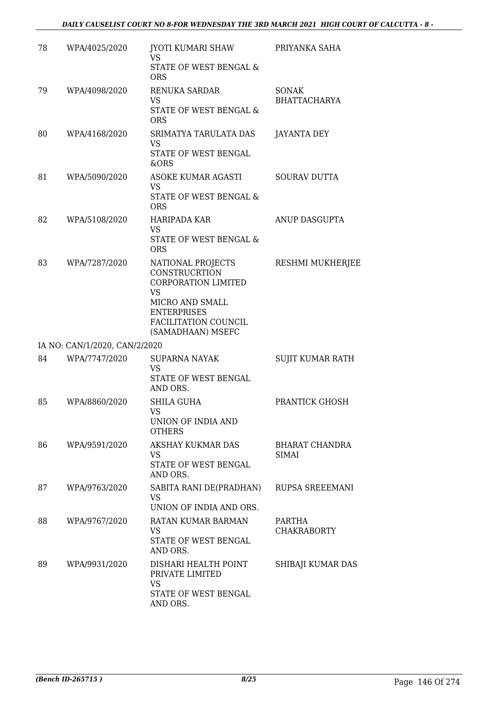| 78 | WPA/4025/2020                 | JYOTI KUMARI SHAW<br>VS.<br>STATE OF WEST BENGAL &<br><b>ORS</b>                                                                                                           | PRIYANKA SAHA                       |
|----|-------------------------------|----------------------------------------------------------------------------------------------------------------------------------------------------------------------------|-------------------------------------|
| 79 | WPA/4098/2020                 | <b>RENUKA SARDAR</b><br>VS<br>STATE OF WEST BENGAL &<br><b>ORS</b>                                                                                                         | <b>SONAK</b><br><b>BHATTACHARYA</b> |
| 80 | WPA/4168/2020                 | SRIMATYA TARULATA DAS<br>VS<br>STATE OF WEST BENGAL<br>&ORS                                                                                                                | <b>JAYANTA DEY</b>                  |
| 81 | WPA/5090/2020                 | ASOKE KUMAR AGASTI<br>VS<br>STATE OF WEST BENGAL &<br><b>ORS</b>                                                                                                           | <b>SOURAV DUTTA</b>                 |
| 82 | WPA/5108/2020                 | <b>HARIPADA KAR</b><br>VS<br>STATE OF WEST BENGAL &<br><b>ORS</b>                                                                                                          | ANUP DASGUPTA                       |
| 83 | WPA/7287/2020                 | NATIONAL PROJECTS<br><b>CONSTRUCRTION</b><br><b>CORPORATION LIMITED</b><br><b>VS</b><br>MICRO AND SMALL<br><b>ENTERPRISES</b><br>FACILITATION COUNCIL<br>(SAMADHAAN) MSEFC | RESHMI MUKHERJEE                    |
|    | IA NO: CAN/1/2020, CAN/2/2020 |                                                                                                                                                                            |                                     |
| 84 | WPA/7747/2020                 | <b>SUPARNA NAYAK</b><br><b>VS</b><br>STATE OF WEST BENGAL<br>AND ORS.                                                                                                      | SUJIT KUMAR RATH                    |
| 85 | WPA/8860/2020                 | SHILA GUHA<br><b>VS</b><br>UNION OF INDIA AND<br><b>OTHERS</b>                                                                                                             | PRANTICK GHOSH                      |
| 86 | WPA/9591/2020                 | AKSHAY KUKMAR DAS<br>VS<br>STATE OF WEST BENGAL<br>AND ORS.                                                                                                                | BHARAT CHANDRA<br><b>SIMAI</b>      |
| 87 | WPA/9763/2020                 | SABITA RANI DE(PRADHAN)<br><b>VS</b><br>UNION OF INDIA AND ORS.                                                                                                            | RUPSA SREEEMANI                     |
| 88 | WPA/9767/2020                 | RATAN KUMAR BARMAN<br>VS<br>STATE OF WEST BENGAL<br>AND ORS.                                                                                                               | PARTHA<br><b>CHAKRABORTY</b>        |
| 89 | WPA/9931/2020                 | DISHARI HEALTH POINT<br>PRIVATE LIMITED<br>VS<br>STATE OF WEST BENGAL<br>AND ORS.                                                                                          | SHIBAJI KUMAR DAS                   |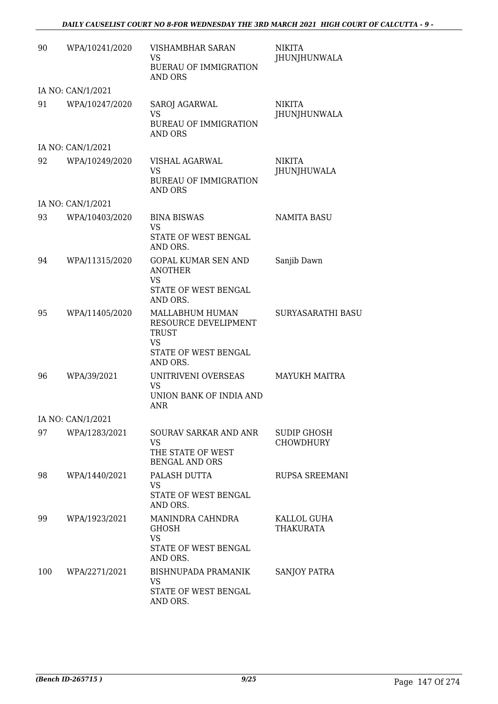| 90  | WPA/10241/2020    | VISHAMBHAR SARAN<br>VS<br><b>BUERAU OF IMMIGRATION</b><br>AND ORS                | <b>NIKITA</b><br>JHUNJHUNWALA          |
|-----|-------------------|----------------------------------------------------------------------------------|----------------------------------------|
|     | IA NO: CAN/1/2021 |                                                                                  |                                        |
| 91  | WPA/10247/2020    | SAROJ AGARWAL<br><b>VS</b><br><b>BUREAU OF IMMIGRATION</b><br><b>AND ORS</b>     | <b>NIKITA</b><br>JHUNJHUNWALA          |
|     | IA NO: CAN/1/2021 |                                                                                  |                                        |
| 92  | WPA/10249/2020    | <b>VISHAL AGARWAL</b><br>VS<br><b>BUREAU OF IMMIGRATION</b><br>AND ORS           | <b>NIKITA</b><br>JHUNJHUWALA           |
|     | IA NO: CAN/1/2021 |                                                                                  |                                        |
| 93  | WPA/10403/2020    | <b>BINA BISWAS</b><br><b>VS</b>                                                  | <b>NAMITA BASU</b>                     |
|     |                   | STATE OF WEST BENGAL<br>AND ORS.                                                 |                                        |
| 94  | WPA/11315/2020    | <b>GOPAL KUMAR SEN AND</b><br><b>ANOTHER</b><br>VS<br>STATE OF WEST BENGAL       | Sanjib Dawn                            |
|     |                   | AND ORS.                                                                         |                                        |
| 95  | WPA/11405/2020    | MALLABHUM HUMAN<br>RESOURCE DEVELIPMENT<br><b>TRUST</b><br><b>VS</b>             | SURYASARATHI BASU                      |
|     |                   | STATE OF WEST BENGAL<br>AND ORS.                                                 |                                        |
| 96  | WPA/39/2021       | UNITRIVENI OVERSEAS<br><b>VS</b><br>UNION BANK OF INDIA AND<br>ANR               | <b>MAYUKH MAITRA</b>                   |
|     | IA NO: CAN/1/2021 |                                                                                  |                                        |
| 97  | WPA/1283/2021     | SOURAV SARKAR AND ANR<br><b>VS</b><br>THE STATE OF WEST<br><b>BENGAL AND ORS</b> | <b>SUDIP GHOSH</b><br><b>CHOWDHURY</b> |
| 98  | WPA/1440/2021     | PALASH DUTTA<br>VS<br>STATE OF WEST BENGAL<br>AND ORS.                           | <b>RUPSA SREEMANI</b>                  |
| 99  | WPA/1923/2021     | MANINDRA CAHNDRA<br><b>GHOSH</b><br><b>VS</b><br>STATE OF WEST BENGAL            | KALLOL GUHA<br>THAKURATA               |
| 100 | WPA/2271/2021     | AND ORS.<br>BISHNUPADA PRAMANIK<br><b>VS</b><br>STATE OF WEST BENGAL<br>AND ORS. | SANJOY PATRA                           |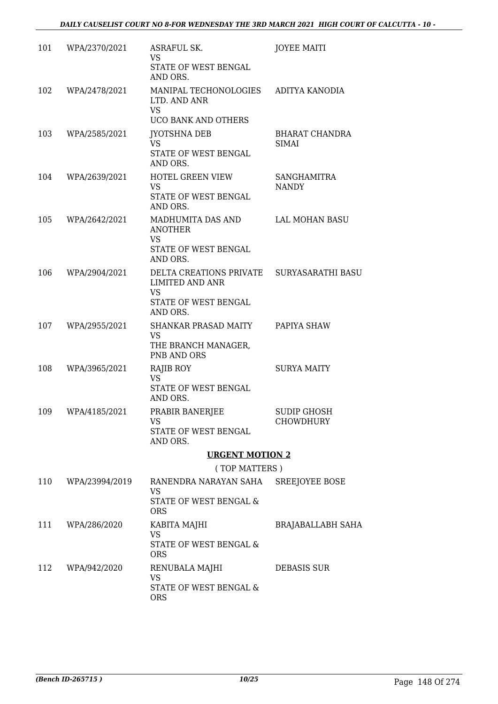| 101 | WPA/2370/2021      | ASRAFUL SK.<br><b>VS</b>                                            | <b>JOYEE MAITI</b>                 |
|-----|--------------------|---------------------------------------------------------------------|------------------------------------|
|     |                    | STATE OF WEST BENGAL<br>AND ORS.                                    |                                    |
| 102 | WPA/2478/2021      | MANIPAL TECHONOLOGIES<br>LTD. AND ANR<br><b>VS</b>                  | ADITYA KANODIA                     |
|     |                    | <b>UCO BANK AND OTHERS</b>                                          |                                    |
| 103 | WPA/2585/2021      | <b>JYOTSHNA DEB</b><br>VS.                                          | <b>BHARAT CHANDRA</b><br>SIMAI     |
|     |                    | STATE OF WEST BENGAL<br>AND ORS.                                    |                                    |
| 104 | WPA/2639/2021      | <b>HOTEL GREEN VIEW</b><br><b>VS</b><br>STATE OF WEST BENGAL        | <b>SANGHAMITRA</b><br><b>NANDY</b> |
|     |                    | AND ORS.                                                            |                                    |
| 105 | WPA/2642/2021      | MADHUMITA DAS AND<br><b>ANOTHER</b><br><b>VS</b>                    | LAL MOHAN BASU                     |
|     |                    | STATE OF WEST BENGAL<br>AND ORS.                                    |                                    |
| 106 | WPA/2904/2021      | DELTA CREATIONS PRIVATE SURYASARATHI BASU<br><b>LIMITED AND ANR</b> |                                    |
|     |                    | <b>VS</b><br>STATE OF WEST BENGAL<br>AND ORS.                       |                                    |
| 107 | WPA/2955/2021      | SHANKAR PRASAD MAITY PAPIYA SHAW                                    |                                    |
|     |                    | <b>VS</b><br>THE BRANCH MANAGER,<br>PNB AND ORS                     |                                    |
| 108 | WPA/3965/2021      | RAJIB ROY                                                           | <b>SURYA MAITY</b>                 |
|     |                    | <b>VS</b><br>STATE OF WEST BENGAL<br>AND ORS.                       |                                    |
| 109 | WPA/4185/2021      | PRABIR BANERJEE                                                     | <b>SUDIP GHOSH</b>                 |
|     |                    | VS<br>STATE OF WEST BENGAL<br>AND ORS.                              | <b>CHOWDHURY</b>                   |
|     |                    | <b>URGENT MOTION 2</b>                                              |                                    |
|     |                    | (TOP MATTERS)                                                       |                                    |
|     | 110 WPA/23994/2019 | RANENDRA NARAYAN SAHA SREEJOYEE BOSE<br><b>VS</b>                   |                                    |
|     |                    | STATE OF WEST BENGAL &<br><b>ORS</b>                                |                                    |
|     | 111 WPA/286/2020   | KABITA MAJHI<br>VS                                                  | <b>BRAJABALLABH SAHA</b>           |
|     |                    | STATE OF WEST BENGAL &<br><b>ORS</b>                                |                                    |
| 112 | WPA/942/2020       | RENUBALA MAJHI<br>VS                                                | <b>DEBASIS SUR</b>                 |
|     |                    | STATE OF WEST BENGAL &<br><b>ORS</b>                                |                                    |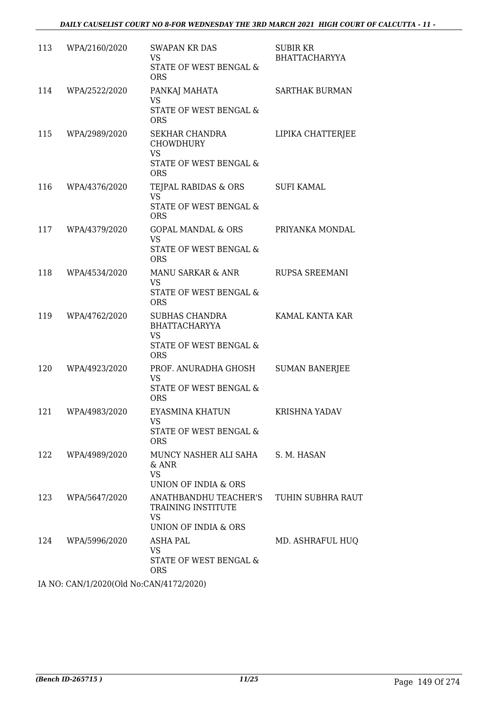| 113 | WPA/2160/2020     | <b>SWAPAN KR DAS</b><br>VS<br>STATE OF WEST BENGAL &<br><b>ORS</b>                                 | SUBIR KR<br><b>BHATTACHARYYA</b> |
|-----|-------------------|----------------------------------------------------------------------------------------------------|----------------------------------|
| 114 | WPA/2522/2020     | PANKAJ MAHATA<br><b>VS</b><br>STATE OF WEST BENGAL &<br><b>ORS</b>                                 | <b>SARTHAK BURMAN</b>            |
|     | 115 WPA/2989/2020 | SEKHAR CHANDRA<br><b>CHOWDHURY</b><br><b>VS</b><br>STATE OF WEST BENGAL &<br><b>ORS</b>            | LIPIKA CHATTERJEE                |
| 116 | WPA/4376/2020     | TEJPAL RABIDAS & ORS<br><b>VS</b><br>STATE OF WEST BENGAL &<br><b>ORS</b>                          | <b>SUFI KAMAL</b>                |
| 117 | WPA/4379/2020     | GOPAL MANDAL & ORS<br><b>VS</b><br>STATE OF WEST BENGAL &<br><b>ORS</b>                            | PRIYANKA MONDAL                  |
| 118 | WPA/4534/2020     | MANU SARKAR & ANR<br><b>VS</b><br>STATE OF WEST BENGAL &<br><b>ORS</b>                             | RUPSA SREEMANI                   |
| 119 | WPA/4762/2020     | SUBHAS CHANDRA<br><b>BHATTACHARYYA</b><br><b>VS</b><br>STATE OF WEST BENGAL &<br><b>ORS</b>        | KAMAL KANTA KAR                  |
| 120 | WPA/4923/2020     | PROF. ANURADHA GHOSH<br>VS<br>STATE OF WEST BENGAL &<br><b>ORS</b>                                 | <b>SUMAN BANERJEE</b>            |
| 121 | WPA/4983/2020     | EYASMINA KHATUN<br>VS<br>STATE OF WEST BENGAL &<br><b>ORS</b>                                      | KRISHNA YADAV                    |
| 122 | WPA/4989/2020     | MUNCY NASHER ALI SAHA S. M. HASAN<br>$&$ ANR<br><b>VS</b><br>UNION OF INDIA & ORS                  |                                  |
| 123 | WPA/5647/2020     | ANATHBANDHU TEACHER'S TUHIN SUBHRA RAUT<br>TRAINING INSTITUTE<br><b>VS</b><br>UNION OF INDIA & ORS |                                  |
| 124 | WPA/5996/2020     | ASHA PAL<br><b>VS</b><br>STATE OF WEST BENGAL &<br><b>ORS</b>                                      | MD. ASHRAFUL HUQ                 |

IA NO: CAN/1/2020(Old No:CAN/4172/2020)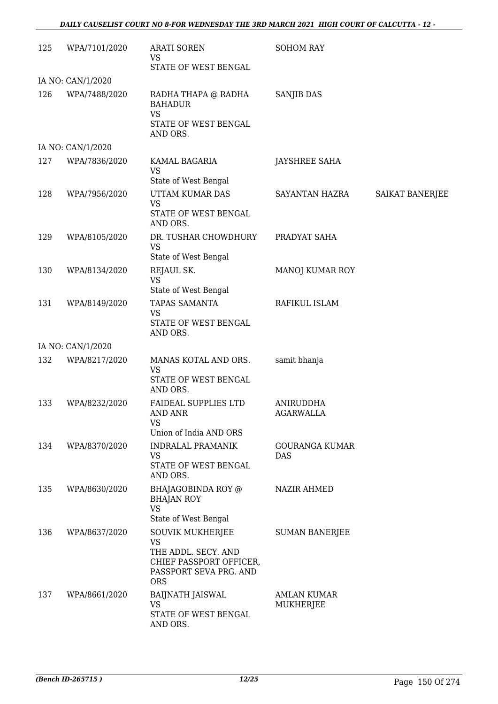| 125               | WPA/7101/2020     | <b>ARATI SOREN</b><br><b>VS</b><br>STATE OF WEST BENGAL                                                                 | <b>SOHOM RAY</b>                |                 |  |  |
|-------------------|-------------------|-------------------------------------------------------------------------------------------------------------------------|---------------------------------|-----------------|--|--|
| IA NO: CAN/1/2020 |                   |                                                                                                                         |                                 |                 |  |  |
| 126               | WPA/7488/2020     | RADHA THAPA @ RADHA<br><b>BAHADUR</b><br><b>VS</b><br>STATE OF WEST BENGAL<br>AND ORS.                                  | <b>SANJIB DAS</b>               |                 |  |  |
|                   | IA NO: CAN/1/2020 |                                                                                                                         |                                 |                 |  |  |
| 127               | WPA/7836/2020     | KAMAL BAGARIA<br><b>VS</b><br>State of West Bengal                                                                      | <b>JAYSHREE SAHA</b>            |                 |  |  |
| 128               | WPA/7956/2020     | UTTAM KUMAR DAS<br><b>VS</b><br>STATE OF WEST BENGAL<br>AND ORS.                                                        | SAYANTAN HAZRA                  | SAIKAT BANERJEE |  |  |
| 129               | WPA/8105/2020     | DR. TUSHAR CHOWDHURY<br>VS<br>State of West Bengal                                                                      | PRADYAT SAHA                    |                 |  |  |
| 130               | WPA/8134/2020     | REJAUL SK.<br><b>VS</b><br>State of West Bengal                                                                         | MANOJ KUMAR ROY                 |                 |  |  |
| 131               | WPA/8149/2020     | TAPAS SAMANTA<br><b>VS</b><br>STATE OF WEST BENGAL<br>AND ORS.                                                          | RAFIKUL ISLAM                   |                 |  |  |
|                   | IA NO: CAN/1/2020 |                                                                                                                         |                                 |                 |  |  |
| 132               | WPA/8217/2020     | MANAS KOTAL AND ORS.<br><b>VS</b><br>STATE OF WEST BENGAL<br>AND ORS.                                                   | samit bhanja                    |                 |  |  |
| 133               | WPA/8232/2020     | <b>FAIDEAL SUPPLIES LTD</b><br><b>AND ANR</b><br>VS                                                                     | ANIRUDDHA<br>AGARWALLA          |                 |  |  |
| 134               | WPA/8370/2020     | Union of India AND ORS<br><b>INDRALAL PRAMANIK</b><br>VS<br>STATE OF WEST BENGAL                                        | <b>GOURANGA KUMAR</b><br>DAS    |                 |  |  |
| 135               | WPA/8630/2020     | AND ORS.<br>BHAJAGOBINDA ROY @<br><b>BHAJAN ROY</b><br><b>VS</b><br>State of West Bengal                                | <b>NAZIR AHMED</b>              |                 |  |  |
| 136               | WPA/8637/2020     | <b>SOUVIK MUKHERJEE</b><br>VS<br>THE ADDL. SECY. AND<br>CHIEF PASSPORT OFFICER,<br>PASSPORT SEVA PRG. AND<br><b>ORS</b> | <b>SUMAN BANERJEE</b>           |                 |  |  |
| 137               | WPA/8661/2020     | <b>BAIJNATH JAISWAL</b><br><b>VS</b><br>STATE OF WEST BENGAL<br>AND ORS.                                                | <b>AMLAN KUMAR</b><br>MUKHERJEE |                 |  |  |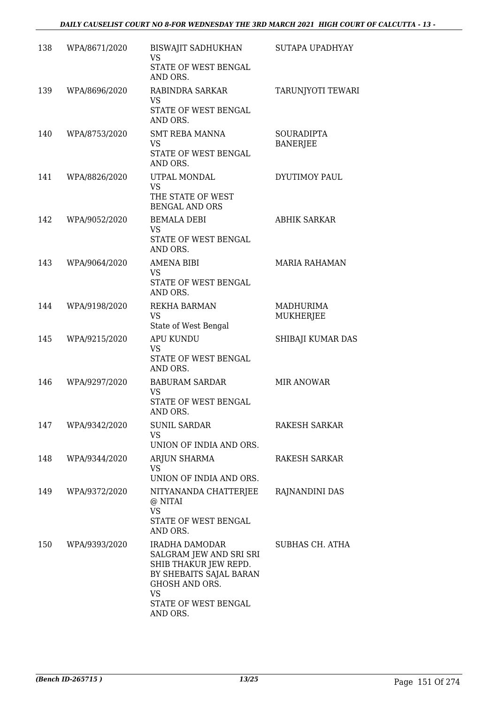| 138 | WPA/8671/2020 | BISWAJIT SADHUKHAN<br>VS<br>STATE OF WEST BENGAL<br>AND ORS.                                                                                              | SUTAPA UPADHYAY                      |
|-----|---------------|-----------------------------------------------------------------------------------------------------------------------------------------------------------|--------------------------------------|
| 139 | WPA/8696/2020 | RABINDRA SARKAR<br><b>VS</b><br>STATE OF WEST BENGAL<br>AND ORS.                                                                                          | TARUNJYOTI TEWARI                    |
| 140 | WPA/8753/2020 | <b>SMT REBA MANNA</b><br><b>VS</b><br>STATE OF WEST BENGAL<br>AND ORS.                                                                                    | <b>SOURADIPTA</b><br><b>BANERJEE</b> |
| 141 | WPA/8826/2020 | UTPAL MONDAL<br><b>VS</b><br>THE STATE OF WEST<br><b>BENGAL AND ORS</b>                                                                                   | DYUTIMOY PAUL                        |
| 142 | WPA/9052/2020 | <b>BEMALA DEBI</b><br><b>VS</b><br>STATE OF WEST BENGAL<br>AND ORS.                                                                                       | <b>ABHIK SARKAR</b>                  |
| 143 | WPA/9064/2020 | AMENA BIBI<br><b>VS</b><br>STATE OF WEST BENGAL<br>AND ORS.                                                                                               | <b>MARIA RAHAMAN</b>                 |
| 144 | WPA/9198/2020 | REKHA BARMAN<br>VS<br>State of West Bengal                                                                                                                | MADHURIMA<br>MUKHERJEE               |
| 145 | WPA/9215/2020 | <b>APU KUNDU</b><br><b>VS</b><br>STATE OF WEST BENGAL<br>AND ORS.                                                                                         | SHIBAJI KUMAR DAS                    |
| 146 | WPA/9297/2020 | <b>BABURAM SARDAR</b><br><b>VS</b><br>STATE OF WEST BENGAL<br>AND ORS.                                                                                    | MIR ANOWAR                           |
| 147 | WPA/9342/2020 | <b>SUNIL SARDAR</b><br>VS<br>UNION OF INDIA AND ORS.                                                                                                      | <b>RAKESH SARKAR</b>                 |
| 148 | WPA/9344/2020 | ARJUN SHARMA<br>VS.<br>UNION OF INDIA AND ORS.                                                                                                            | RAKESH SARKAR                        |
| 149 | WPA/9372/2020 | NITYANANDA CHATTERJEE<br>@ NITAI<br><b>VS</b><br>STATE OF WEST BENGAL<br>AND ORS.                                                                         | RAJNANDINI DAS                       |
| 150 | WPA/9393/2020 | IRADHA DAMODAR<br>SALGRAM JEW AND SRI SRI<br>SHIB THAKUR JEW REPD.<br>BY SHEBAITS SAJAL BARAN<br>GHOSH AND ORS.<br>VS<br>STATE OF WEST BENGAL<br>AND ORS. | SUBHAS CH. ATHA                      |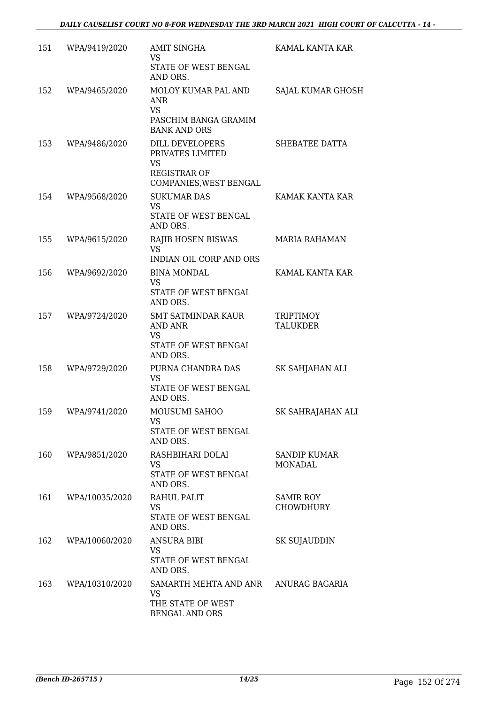| 151 | WPA/9419/2020  | <b>AMIT SINGHA</b><br><b>VS</b><br>STATE OF WEST BENGAL                                           | KAMAL KANTA KAR                      |
|-----|----------------|---------------------------------------------------------------------------------------------------|--------------------------------------|
|     |                | AND ORS.                                                                                          |                                      |
| 152 | WPA/9465/2020  | MOLOY KUMAR PAL AND<br>ANR<br><b>VS</b><br>PASCHIM BANGA GRAMIM                                   | SAJAL KUMAR GHOSH                    |
|     |                | <b>BANK AND ORS</b>                                                                               |                                      |
| 153 | WPA/9486/2020  | DILL DEVELOPERS<br>PRIVATES LIMITED<br><b>VS</b><br><b>REGISTRAR OF</b><br>COMPANIES, WEST BENGAL | SHEBATEE DATTA                       |
| 154 | WPA/9568/2020  | <b>SUKUMAR DAS</b>                                                                                | KAMAK KANTA KAR                      |
|     |                | <b>VS</b><br>STATE OF WEST BENGAL<br>AND ORS.                                                     |                                      |
| 155 | WPA/9615/2020  | RAJIB HOSEN BISWAS<br><b>VS</b><br><b>INDIAN OIL CORP AND ORS</b>                                 | <b>MARIA RAHAMAN</b>                 |
| 156 | WPA/9692/2020  | <b>BINA MONDAL</b>                                                                                | KAMAL KANTA KAR                      |
|     |                | <b>VS</b><br>STATE OF WEST BENGAL<br>AND ORS.                                                     |                                      |
| 157 | WPA/9724/2020  | <b>SMT SATMINDAR KAUR</b><br>AND ANR<br><b>VS</b><br>STATE OF WEST BENGAL<br>AND ORS.             | <b>TRIPTIMOY</b><br><b>TALUKDER</b>  |
| 158 | WPA/9729/2020  | PURNA CHANDRA DAS<br><b>VS</b><br>STATE OF WEST BENGAL<br>AND ORS.                                | SK SAHJAHAN ALI                      |
| 159 | WPA/9741/2020  | MOUSUMI SAHOO<br>VS<br>STATE OF WEST BENGAL<br>AND ORS.                                           | SK SAHRAJAHAN ALI                    |
| 160 | WPA/9851/2020  | RASHBIHARI DOLAI<br>VS<br>STATE OF WEST BENGAL<br>AND ORS.                                        | <b>SANDIP KUMAR</b><br>MONADAL       |
| 161 | WPA/10035/2020 | RAHUL PALIT<br>VS.<br>STATE OF WEST BENGAL<br>AND ORS.                                            | <b>SAMIR ROY</b><br><b>CHOWDHURY</b> |
| 162 | WPA/10060/2020 | <b>ANSURA BIBI</b><br><b>VS</b><br>STATE OF WEST BENGAL                                           | SK SUJAUDDIN                         |
| 163 | WPA/10310/2020 | AND ORS.<br>SAMARTH MEHTA AND ANR ANURAG BAGARIA<br>VS<br>THE STATE OF WEST<br>BENGAL AND ORS     |                                      |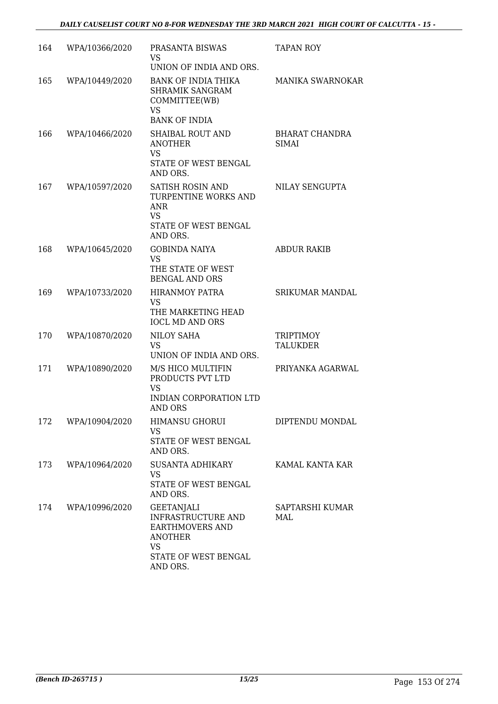| 164 | WPA/10366/2020 | PRASANTA BISWAS<br>VS.<br>UNION OF INDIA AND ORS.                                                                                    | TAPAN ROY                      |
|-----|----------------|--------------------------------------------------------------------------------------------------------------------------------------|--------------------------------|
| 165 | WPA/10449/2020 | <b>BANK OF INDIA THIKA</b><br><b>SHRAMIK SANGRAM</b><br>COMMITTEE(WB)<br><b>VS</b><br><b>BANK OF INDIA</b>                           | MANIKA SWARNOKAR               |
| 166 | WPA/10466/2020 | <b>SHAIBAL ROUT AND</b><br><b>ANOTHER</b><br><b>VS</b><br>STATE OF WEST BENGAL<br>AND ORS.                                           | BHARAT CHANDRA<br><b>SIMAI</b> |
| 167 | WPA/10597/2020 | SATISH ROSIN AND<br>TURPENTINE WORKS AND<br>ANR<br><b>VS</b><br>STATE OF WEST BENGAL<br>AND ORS.                                     | NILAY SENGUPTA                 |
| 168 | WPA/10645/2020 | <b>GOBINDA NAIYA</b><br><b>VS</b><br>THE STATE OF WEST<br><b>BENGAL AND ORS</b>                                                      | <b>ABDUR RAKIB</b>             |
| 169 | WPA/10733/2020 | <b>HIRANMOY PATRA</b><br><b>VS</b><br>THE MARKETING HEAD<br><b>IOCL MD AND ORS</b>                                                   | <b>SRIKUMAR MANDAL</b>         |
| 170 | WPA/10870/2020 | NILOY SAHA<br><b>VS</b><br>UNION OF INDIA AND ORS.                                                                                   | <b>TRIPTIMOY</b><br>TALUKDER   |
| 171 | WPA/10890/2020 | M/S HICO MULTIFIN<br>PRODUCTS PVT LTD<br><b>VS</b><br>INDIAN CORPORATION LTD<br>AND ORS                                              | PRIYANKA AGARWAL               |
| 172 | WPA/10904/2020 | HIMANSU GHORUI<br><b>VS</b><br>STATE OF WEST BENGAL<br>AND ORS.                                                                      | DIPTENDU MONDAL                |
| 173 | WPA/10964/2020 | SUSANTA ADHIKARY<br>VS<br>STATE OF WEST BENGAL<br>AND ORS.                                                                           | KAMAL KANTA KAR                |
| 174 | WPA/10996/2020 | <b>GEETANJALI</b><br><b>INFRASTRUCTURE AND</b><br><b>EARTHMOVERS AND</b><br><b>ANOTHER</b><br>VS<br>STATE OF WEST BENGAL<br>AND ORS. | SAPTARSHI KUMAR<br>MAL         |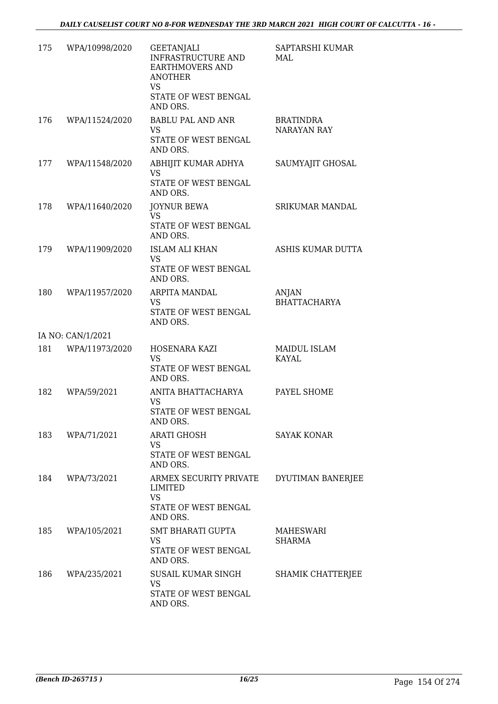| 175 | WPA/10998/2020    | <b>GEETANJALI</b><br>INFRASTRUCTURE AND<br><b>EARTHMOVERS AND</b><br><b>ANOTHER</b><br><b>VS</b><br>STATE OF WEST BENGAL | SAPTARSHI KUMAR<br>MAL                 |
|-----|-------------------|--------------------------------------------------------------------------------------------------------------------------|----------------------------------------|
|     |                   | AND ORS.                                                                                                                 |                                        |
| 176 | WPA/11524/2020    | <b>BABLU PAL AND ANR</b><br>VS.<br>STATE OF WEST BENGAL<br>AND ORS.                                                      | <b>BRATINDRA</b><br><b>NARAYAN RAY</b> |
| 177 | WPA/11548/2020    | ABHIJIT KUMAR ADHYA<br><b>VS</b><br>STATE OF WEST BENGAL<br>AND ORS.                                                     | SAUMYAJIT GHOSAL                       |
| 178 | WPA/11640/2020    | <b>JOYNUR BEWA</b><br><b>VS</b><br>STATE OF WEST BENGAL<br>AND ORS.                                                      | <b>SRIKUMAR MANDAL</b>                 |
| 179 | WPA/11909/2020    | <b>ISLAM ALI KHAN</b><br>VS<br>STATE OF WEST BENGAL<br>AND ORS.                                                          | ASHIS KUMAR DUTTA                      |
| 180 | WPA/11957/2020    | ARPITA MANDAL<br>VS<br>STATE OF WEST BENGAL<br>AND ORS.                                                                  | ANJAN<br><b>BHATTACHARYA</b>           |
|     | IA NO: CAN/1/2021 |                                                                                                                          |                                        |
| 181 | WPA/11973/2020    | HOSENARA KAZI<br><b>VS</b><br>STATE OF WEST BENGAL                                                                       | MAIDUL ISLAM<br>KAYAL                  |
|     |                   | AND ORS.                                                                                                                 |                                        |
| 182 | WPA/59/2021       | ANITA BHATTACHARYA<br>VS<br>STATE OF WEST BENGAL<br>AND ORS.                                                             | PAYEL SHOME                            |
|     | 183 WPA/71/2021   | <b>ARATI GHOSH</b><br>VS<br>STATE OF WEST BENGAL<br>AND ORS.                                                             | <b>SAYAK KONAR</b>                     |
|     | 184 WPA/73/2021   | ARMEX SECURITY PRIVATE<br>LIMITED<br><b>VS</b><br>STATE OF WEST BENGAL<br>AND ORS.                                       | DYUTIMAN BANERJEE                      |
| 185 | WPA/105/2021      | SMT BHARATI GUPTA<br><b>VS</b><br>STATE OF WEST BENGAL<br>AND ORS.                                                       | MAHESWARI<br>SHARMA                    |
| 186 | WPA/235/2021      | SUSAIL KUMAR SINGH<br><b>VS</b><br>STATE OF WEST BENGAL<br>AND ORS.                                                      | SHAMIK CHATTERJEE                      |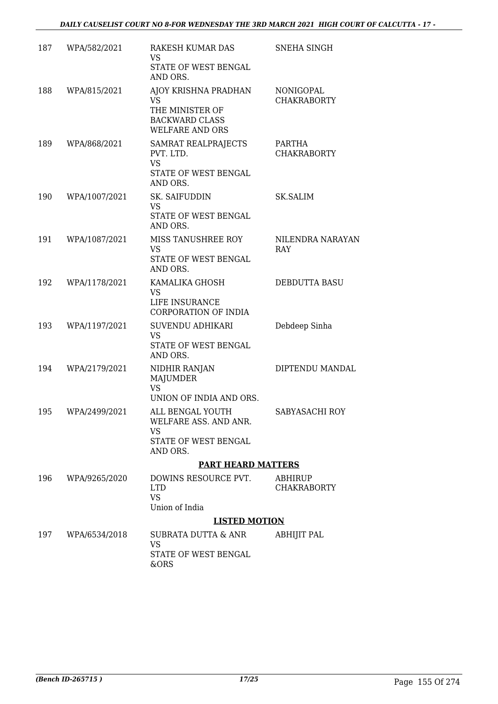| 187 | WPA/582/2021  | RAKESH KUMAR DAS<br><b>VS</b>                                                                    | <b>SNEHA SINGH</b>              |
|-----|---------------|--------------------------------------------------------------------------------------------------|---------------------------------|
|     |               | STATE OF WEST BENGAL<br>AND ORS.                                                                 |                                 |
| 188 | WPA/815/2021  | AJOY KRISHNA PRADHAN<br>VS<br>THE MINISTER OF<br><b>BACKWARD CLASS</b><br><b>WELFARE AND ORS</b> | NONIGOPAL<br><b>CHAKRABORTY</b> |
| 189 | WPA/868/2021  | SAMRAT REALPRAJECTS<br>PVT. LTD.<br><b>VS</b><br>STATE OF WEST BENGAL<br>AND ORS.                | PARTHA<br><b>CHAKRABORTY</b>    |
| 190 | WPA/1007/2021 | SK. SAIFUDDIN<br>VS<br>STATE OF WEST BENGAL<br>AND ORS.                                          | <b>SK.SALIM</b>                 |
| 191 | WPA/1087/2021 | MISS TANUSHREE ROY<br>VS<br>STATE OF WEST BENGAL<br>AND ORS.                                     | NILENDRA NARAYAN<br>RAY         |
| 192 | WPA/1178/2021 | KAMALIKA GHOSH<br><b>VS</b><br>LIFE INSURANCE<br><b>CORPORATION OF INDIA</b>                     | DEBDUTTA BASU                   |
| 193 | WPA/1197/2021 | SUVENDU ADHIKARI<br><b>VS</b><br>STATE OF WEST BENGAL<br>AND ORS.                                | Debdeep Sinha                   |
| 194 | WPA/2179/2021 | NIDHIR RANJAN<br>MAJUMDER<br><b>VS</b><br>UNION OF INDIA AND ORS.                                | DIPTENDU MANDAL                 |
| 195 | WPA/2499/2021 | ALL BENGAL YOUTH<br>WELFARE ASS. AND ANR.<br>VS.<br>STATE OF WEST BENGAL<br>AND ORS.             | SABYASACHI ROY                  |
|     |               | <b>PART HEARD MATTERS</b>                                                                        |                                 |
| 196 | WPA/9265/2020 | DOWINS RESOURCE PVT.<br><b>LTD</b><br><b>VS</b><br>Union of India                                | ABHIRUP<br><b>CHAKRABORTY</b>   |
|     |               | <b>LISTED MOTION</b>                                                                             |                                 |
| 197 | WPA/6534/2018 | SUBRATA DUTTA & ANR<br>VS<br>STATE OF WEST BENGAL<br>&ORS                                        | ABHIJIT PAL                     |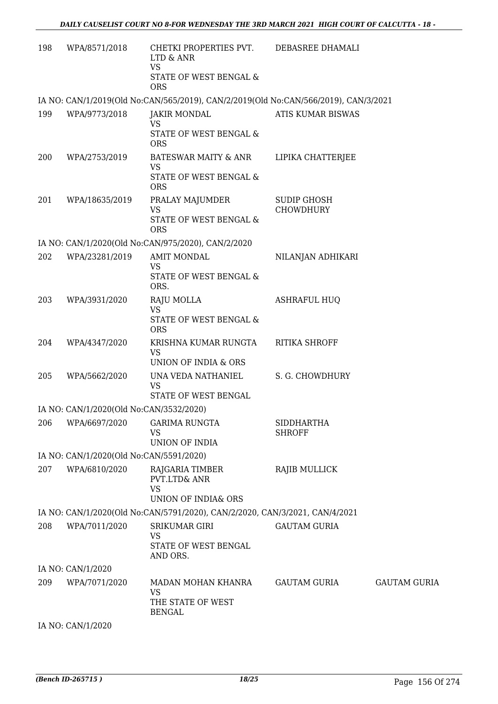| 198 | WPA/8571/2018                           | CHETKI PROPERTIES PVT.<br>LTD & ANR<br><b>VS</b>                                     | DEBASREE DHAMALI                       |                     |
|-----|-----------------------------------------|--------------------------------------------------------------------------------------|----------------------------------------|---------------------|
|     |                                         | STATE OF WEST BENGAL &<br><b>ORS</b>                                                 |                                        |                     |
|     |                                         | IA NO: CAN/1/2019(Old No:CAN/565/2019), CAN/2/2019(Old No:CAN/566/2019), CAN/3/2021  |                                        |                     |
| 199 | WPA/9773/2018                           | <b>JAKIR MONDAL</b><br>VS                                                            | ATIS KUMAR BISWAS                      |                     |
|     |                                         | STATE OF WEST BENGAL &<br><b>ORS</b>                                                 |                                        |                     |
| 200 | WPA/2753/2019                           | <b>BATESWAR MAITY &amp; ANR</b><br><b>VS</b><br>STATE OF WEST BENGAL &<br><b>ORS</b> | LIPIKA CHATTERJEE                      |                     |
| 201 | WPA/18635/2019                          | PRALAY MAJUMDER<br><b>VS</b><br>STATE OF WEST BENGAL &<br><b>ORS</b>                 | <b>SUDIP GHOSH</b><br><b>CHOWDHURY</b> |                     |
|     |                                         | IA NO: CAN/1/2020(Old No:CAN/975/2020), CAN/2/2020                                   |                                        |                     |
| 202 | WPA/23281/2019                          | <b>AMIT MONDAL</b>                                                                   | NILANJAN ADHIKARI                      |                     |
|     |                                         | <b>VS</b><br>STATE OF WEST BENGAL &<br>ORS.                                          |                                        |                     |
| 203 | WPA/3931/2020                           | RAJU MOLLA                                                                           | <b>ASHRAFUL HUQ</b>                    |                     |
|     |                                         | <b>VS</b><br>STATE OF WEST BENGAL &<br><b>ORS</b>                                    |                                        |                     |
| 204 | WPA/4347/2020                           | KRISHNA KUMAR RUNGTA<br><b>VS</b><br>UNION OF INDIA & ORS                            | <b>RITIKA SHROFF</b>                   |                     |
| 205 | WPA/5662/2020                           | UNA VEDA NATHANIEL<br><b>VS</b><br>STATE OF WEST BENGAL                              | S. G. CHOWDHURY                        |                     |
|     | IA NO: CAN/1/2020(Old No:CAN/3532/2020) |                                                                                      |                                        |                     |
| 206 | WPA/6697/2020                           | <b>GARIMA RUNGTA</b><br><b>VS</b>                                                    | <b>SIDDHARTHA</b><br><b>SHROFF</b>     |                     |
|     |                                         | UNION OF INDIA                                                                       |                                        |                     |
|     | IA NO: CAN/1/2020(Old No:CAN/5591/2020) |                                                                                      |                                        |                     |
| 207 | WPA/6810/2020                           | RAJGARIA TIMBER<br>PVT.LTD& ANR<br><b>VS</b><br>UNION OF INDIA& ORS                  | RAJIB MULLICK                          |                     |
|     |                                         | IA NO: CAN/1/2020(Old No:CAN/5791/2020), CAN/2/2020, CAN/3/2021, CAN/4/2021          |                                        |                     |
| 208 | WPA/7011/2020                           | <b>SRIKUMAR GIRI</b>                                                                 | <b>GAUTAM GURIA</b>                    |                     |
|     |                                         | VS<br>STATE OF WEST BENGAL<br>AND ORS.                                               |                                        |                     |
|     | IA NO: CAN/1/2020                       |                                                                                      |                                        |                     |
| 209 | WPA/7071/2020                           | MADAN MOHAN KHANRA<br><b>VS</b><br>THE STATE OF WEST                                 | <b>GAUTAM GURIA</b>                    | <b>GAUTAM GURIA</b> |
|     | IA NO: CAN/1/2020                       | <b>BENGAL</b>                                                                        |                                        |                     |
|     |                                         |                                                                                      |                                        |                     |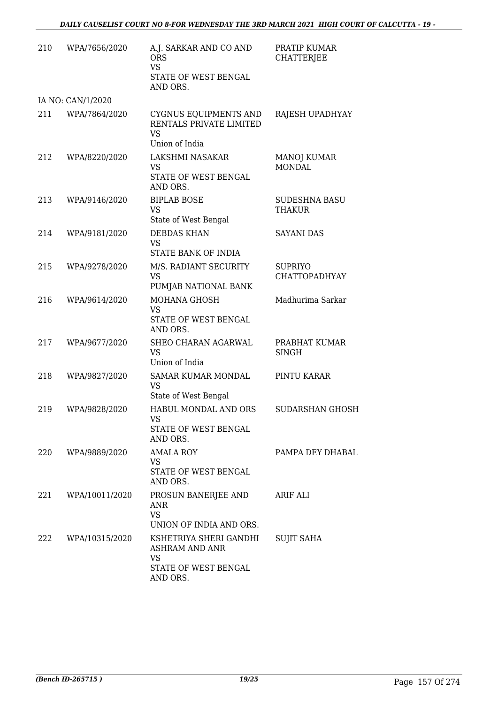| 210 | WPA/7656/2020     | A.J. SARKAR AND CO AND<br><b>ORS</b><br><b>VS</b><br>STATE OF WEST BENGAL          | PRATIP KUMAR<br><b>CHATTERJEE</b>      |
|-----|-------------------|------------------------------------------------------------------------------------|----------------------------------------|
|     |                   | AND ORS.                                                                           |                                        |
|     | IA NO: CAN/1/2020 |                                                                                    |                                        |
| 211 | WPA/7864/2020     | CYGNUS EQUIPMENTS AND<br>RENTALS PRIVATE LIMITED<br><b>VS</b><br>Union of India    | RAJESH UPADHYAY                        |
| 212 | WPA/8220/2020     | LAKSHMI NASAKAR<br>VS<br>STATE OF WEST BENGAL<br>AND ORS.                          | MANOJ KUMAR<br><b>MONDAL</b>           |
| 213 | WPA/9146/2020     | <b>BIPLAB BOSE</b><br><b>VS</b><br>State of West Bengal                            | <b>SUDESHNA BASU</b><br><b>THAKUR</b>  |
| 214 | WPA/9181/2020     | <b>DEBDAS KHAN</b><br><b>VS</b><br>STATE BANK OF INDIA                             | <b>SAYANI DAS</b>                      |
| 215 | WPA/9278/2020     | M/S. RADIANT SECURITY<br>VS<br>PUMJAB NATIONAL BANK                                | <b>SUPRIYO</b><br><b>CHATTOPADHYAY</b> |
| 216 | WPA/9614/2020     | <b>MOHANA GHOSH</b><br><b>VS</b><br>STATE OF WEST BENGAL<br>AND ORS.               | Madhurima Sarkar                       |
| 217 | WPA/9677/2020     | SHEO CHARAN AGARWAL<br><b>VS</b><br>Union of India                                 | PRABHAT KUMAR<br><b>SINGH</b>          |
| 218 | WPA/9827/2020     | <b>SAMAR KUMAR MONDAL</b><br><b>VS</b><br>State of West Bengal                     | PINTU KARAR                            |
| 219 | WPA/9828/2020     | HABUL MONDAL AND ORS<br><b>VS</b><br>STATE OF WEST BENGAL<br>AND ORS.              | <b>SUDARSHAN GHOSH</b>                 |
| 220 | WPA/9889/2020     | AMALA ROY<br>VS<br>STATE OF WEST BENGAL<br>AND ORS.                                | PAMPA DEY DHABAL                       |
| 221 | WPA/10011/2020    | PROSUN BANERJEE AND<br>ANR<br><b>VS</b><br>UNION OF INDIA AND ORS.                 | ARIF ALI                               |
| 222 | WPA/10315/2020    | KSHETRIYA SHERI GANDHI<br>ASHRAM AND ANR<br>VS<br>STATE OF WEST BENGAL<br>AND ORS. | <b>SUJIT SAHA</b>                      |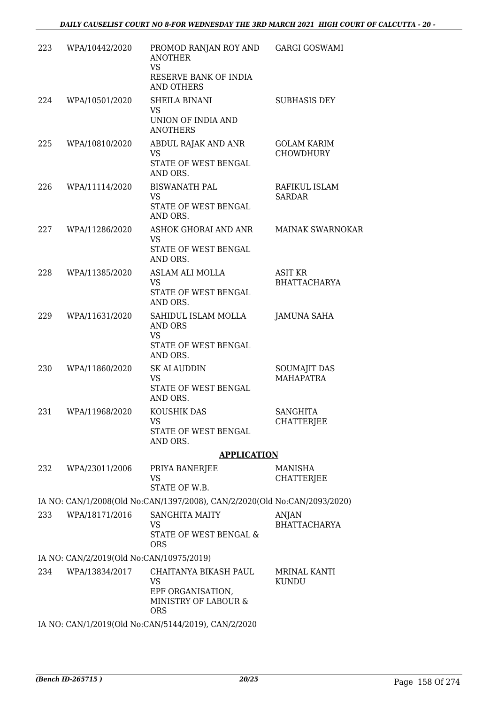| 223 | WPA/10442/2020                           | PROMOD RANJAN ROY AND GARGI GOSWAMI<br><b>ANOTHER</b><br><b>VS</b><br>RESERVE BANK OF INDIA<br><b>AND OTHERS</b> |                                         |
|-----|------------------------------------------|------------------------------------------------------------------------------------------------------------------|-----------------------------------------|
| 224 | WPA/10501/2020                           | <b>SHEILA BINANI</b><br>VS                                                                                       | <b>SUBHASIS DEY</b>                     |
|     |                                          | UNION OF INDIA AND<br><b>ANOTHERS</b>                                                                            |                                         |
| 225 | WPA/10810/2020                           | ABDUL RAJAK AND ANR<br><b>VS</b><br>STATE OF WEST BENGAL<br>AND ORS.                                             | <b>GOLAM KARIM</b><br><b>CHOWDHURY</b>  |
| 226 | WPA/11114/2020                           | <b>BISWANATH PAL</b><br><b>VS</b><br>STATE OF WEST BENGAL                                                        | RAFIKUL ISLAM<br><b>SARDAR</b>          |
| 227 | WPA/11286/2020                           | AND ORS.<br>ASHOK GHORAI AND ANR MAINAK SWARNOKAR<br>VS<br>STATE OF WEST BENGAL<br>AND ORS.                      |                                         |
| 228 | WPA/11385/2020                           | <b>ASLAM ALI MOLLA</b><br><b>VS</b><br>STATE OF WEST BENGAL<br>AND ORS.                                          | <b>ASIT KR</b><br><b>BHATTACHARYA</b>   |
| 229 | WPA/11631/2020                           | SAHIDUL ISLAM MOLLA<br>AND ORS<br><b>VS</b><br>STATE OF WEST BENGAL<br>AND ORS.                                  | <b>JAMUNA SAHA</b>                      |
| 230 | WPA/11860/2020                           | <b>SK ALAUDDIN</b><br><b>VS</b><br>STATE OF WEST BENGAL<br>AND ORS.                                              | <b>SOUMAJIT DAS</b><br><b>MAHAPATRA</b> |
| 231 | WPA/11968/2020                           | KOUSHIK DAS<br>VS.<br>STATE OF WEST BENGAL<br>AND ORS.                                                           | <b>SANGHITA</b><br><b>CHATTERJEE</b>    |
|     |                                          | <b>APPLICATION</b>                                                                                               |                                         |
| 232 | WPA/23011/2006                           | PRIYA BANERJEE<br><b>VS</b><br>STATE OF W.B.                                                                     | <b>MANISHA</b><br><b>CHATTERJEE</b>     |
|     |                                          | IA NO: CAN/1/2008(Old No:CAN/1397/2008), CAN/2/2020(Old No:CAN/2093/2020)                                        |                                         |
| 233 | WPA/18171/2016                           | <b>SANGHITA MAITY</b><br>VS<br>STATE OF WEST BENGAL &<br><b>ORS</b>                                              | ANJAN<br><b>BHATTACHARYA</b>            |
|     | IA NO: CAN/2/2019(Old No:CAN/10975/2019) |                                                                                                                  |                                         |
| 234 | WPA/13834/2017                           | CHAITANYA BIKASH PAUL<br><b>VS</b><br>EPF ORGANISATION,<br>MINISTRY OF LABOUR &<br><b>ORS</b>                    | MRINAL KANTI<br><b>KUNDU</b>            |
|     |                                          | IA NO: CAN/1/2019(Old No:CAN/5144/2019), CAN/2/2020                                                              |                                         |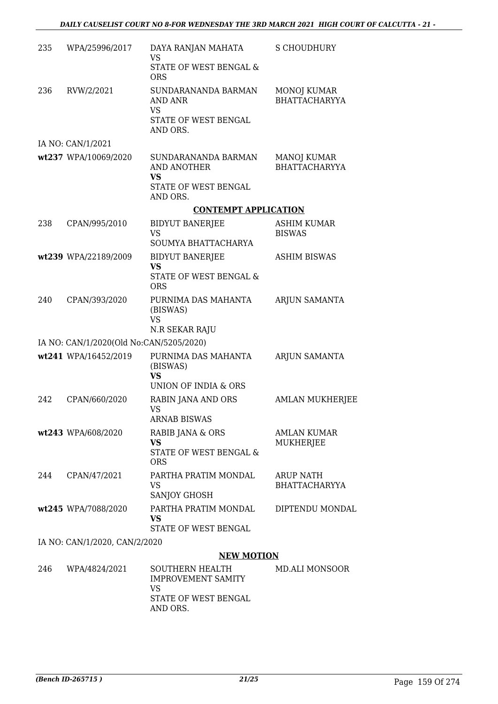| 235 | WPA/25996/2017                          | DAYA RANJAN MAHATA<br><b>VS</b><br>STATE OF WEST BENGAL &                                            | S CHOUDHURY                                |
|-----|-----------------------------------------|------------------------------------------------------------------------------------------------------|--------------------------------------------|
| 236 | RVW/2/2021                              | <b>ORS</b><br>SUNDARANANDA BARMAN<br><b>AND ANR</b><br><b>VS</b><br>STATE OF WEST BENGAL<br>AND ORS. | MONOJ KUMAR<br><b>BHATTACHARYYA</b>        |
|     | IA NO: CAN/1/2021                       |                                                                                                      |                                            |
|     | wt237 WPA/10069/2020                    | SUNDARANANDA BARMAN<br>AND ANOTHER<br>VS<br>STATE OF WEST BENGAL                                     | <b>MANOJ KUMAR</b><br><b>BHATTACHARYYA</b> |
|     |                                         | AND ORS.                                                                                             |                                            |
|     |                                         | <b>CONTEMPT APPLICATION</b>                                                                          |                                            |
| 238 | CPAN/995/2010                           | <b>BIDYUT BANERJEE</b><br><b>VS</b><br>SOUMYA BHATTACHARYA                                           | <b>ASHIM KUMAR</b><br><b>BISWAS</b>        |
|     | wt239 WPA/22189/2009                    | <b>BIDYUT BANERJEE</b><br><b>VS</b><br><b>STATE OF WEST BENGAL &amp;</b><br><b>ORS</b>               | <b>ASHIM BISWAS</b>                        |
| 240 | CPAN/393/2020                           | PURNIMA DAS MAHANTA<br>(BISWAS)<br><b>VS</b><br>N.R SEKAR RAJU                                       | <b>ARJUN SAMANTA</b>                       |
|     | IA NO: CAN/1/2020(Old No:CAN/5205/2020) |                                                                                                      |                                            |
|     | wt241 WPA/16452/2019                    | PURNIMA DAS MAHANTA<br>(BISWAS)<br><b>VS</b><br>UNION OF INDIA & ORS                                 | <b>ARJUN SAMANTA</b>                       |
| 242 | CPAN/660/2020                           | RABIN JANA AND ORS<br><b>VS</b><br><b>ARNAB BISWAS</b>                                               | <b>AMLAN MUKHERJEE</b>                     |
|     | wt243 WPA/608/2020                      | RABIB JANA & ORS<br><b>VS</b><br>STATE OF WEST BENGAL &<br><b>ORS</b>                                | AMLAN KUMAR<br>MUKHERJEE                   |
| 244 | CPAN/47/2021                            | PARTHA PRATIM MONDAL<br>VS<br>SANJOY GHOSH                                                           | <b>ARUP NATH</b><br><b>BHATTACHARYYA</b>   |
|     | wt245 WPA/7088/2020                     | PARTHA PRATIM MONDAL<br><b>VS</b><br>STATE OF WEST BENGAL                                            | DIPTENDU MONDAL                            |
|     | IA NO: CAN/1/2020, CAN/2/2020           |                                                                                                      |                                            |

### **NEW MOTION**

| 246 | WPA/4824/2021 | SOUTHERN HEALTH<br><b>IMPROVEMENT SAMITY</b><br>VS<br>STATE OF WEST BENGAL<br>AND ORS. | MD.ALI MONSOOR |
|-----|---------------|----------------------------------------------------------------------------------------|----------------|
|     |               |                                                                                        |                |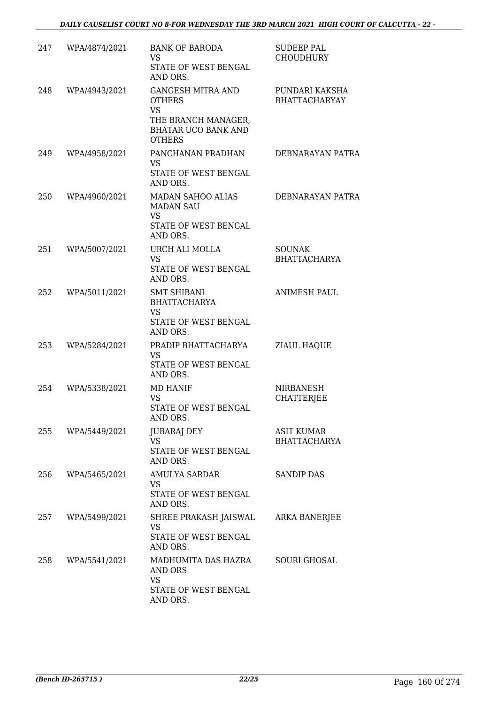| 247 | WPA/4874/2021 | <b>BANK OF BARODA</b><br><b>VS</b><br>STATE OF WEST BENGAL<br>AND ORS.                                                       | <b>SUDEEP PAL</b><br><b>CHOUDHURY</b>    |
|-----|---------------|------------------------------------------------------------------------------------------------------------------------------|------------------------------------------|
| 248 | WPA/4943/2021 | <b>GANGESH MITRA AND</b><br><b>OTHERS</b><br><b>VS</b><br>THE BRANCH MANAGER,<br><b>BHATAR UCO BANK AND</b><br><b>OTHERS</b> | PUNDARI KAKSHA<br><b>BHATTACHARYAY</b>   |
| 249 | WPA/4958/2021 | PANCHANAN PRADHAN<br><b>VS</b><br>STATE OF WEST BENGAL<br>AND ORS.                                                           | <b>DEBNARAYAN PATRA</b>                  |
| 250 | WPA/4960/2021 | <b>MADAN SAHOO ALIAS</b><br><b>MADAN SAU</b><br><b>VS</b><br>STATE OF WEST BENGAL<br>AND ORS.                                | DEBNARAYAN PATRA                         |
| 251 | WPA/5007/2021 | URCH ALI MOLLA<br><b>VS</b><br>STATE OF WEST BENGAL<br>AND ORS.                                                              | <b>SOUNAK</b><br><b>BHATTACHARYA</b>     |
| 252 | WPA/5011/2021 | <b>SMT SHIBANI</b><br><b>BHATTACHARYA</b><br><b>VS</b><br>STATE OF WEST BENGAL<br>AND ORS.                                   | <b>ANIMESH PAUL</b>                      |
| 253 | WPA/5284/2021 | PRADIP BHATTACHARYA<br><b>VS</b><br>STATE OF WEST BENGAL<br>AND ORS.                                                         | <b>ZIAUL HAQUE</b>                       |
| 254 | WPA/5338/2021 | <b>MD HANIF</b><br>VS<br>STATE OF WEST BENGAL<br>AND ORS.                                                                    | <b>NIRBANESH</b><br><b>CHATTERJEE</b>    |
| 255 | WPA/5449/2021 | <b>JUBARAJ DEY</b><br>VS<br>STATE OF WEST BENGAL<br>AND ORS.                                                                 | <b>ASIT KUMAR</b><br><b>BHATTACHARYA</b> |
| 256 | WPA/5465/2021 | AMULYA SARDAR<br>VS<br>STATE OF WEST BENGAL<br>AND ORS.                                                                      | <b>SANDIP DAS</b>                        |
| 257 | WPA/5499/2021 | SHREE PRAKASH JAISWAL<br>VS<br>STATE OF WEST BENGAL<br>AND ORS.                                                              | ARKA BANERJEE                            |
| 258 | WPA/5541/2021 | MADHUMITA DAS HAZRA<br>AND ORS<br>VS<br>STATE OF WEST BENGAL<br>AND ORS.                                                     | <b>SOURI GHOSAL</b>                      |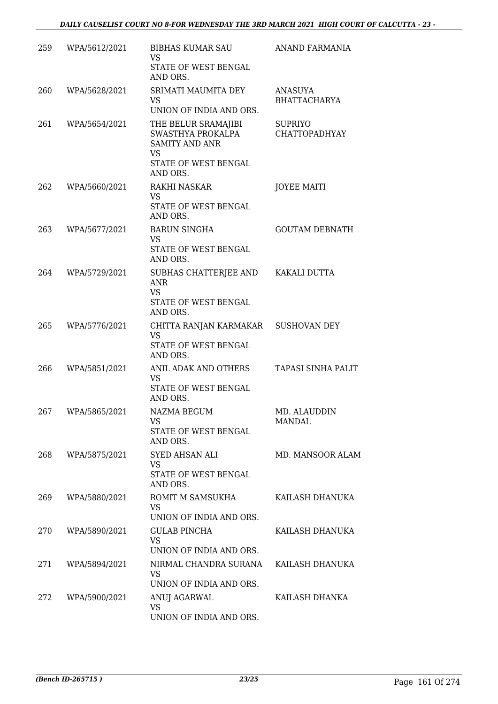| 259 | WPA/5612/2021 | BIBHAS KUMAR SAU<br>VS<br>STATE OF WEST BENGAL<br>AND ORS.                                                  | ANAND FARMANIA                        |
|-----|---------------|-------------------------------------------------------------------------------------------------------------|---------------------------------------|
| 260 | WPA/5628/2021 | SRIMATI MAUMITA DEY<br>VS<br>UNION OF INDIA AND ORS.                                                        | <b>ANASUYA</b><br><b>BHATTACHARYA</b> |
| 261 | WPA/5654/2021 | THE BELUR SRAMAJIBI<br>SWASTHYA PROKALPA<br><b>SAMITY AND ANR</b><br>VS<br>STATE OF WEST BENGAL<br>AND ORS. | <b>SUPRIYO</b><br>CHATTOPADHYAY       |
| 262 | WPA/5660/2021 | <b>RAKHI NASKAR</b><br><b>VS</b><br>STATE OF WEST BENGAL<br>AND ORS.                                        | <b>JOYEE MAITI</b>                    |
| 263 | WPA/5677/2021 | <b>BARUN SINGHA</b><br>VS<br>STATE OF WEST BENGAL<br>AND ORS.                                               | <b>GOUTAM DEBNATH</b>                 |
| 264 | WPA/5729/2021 | SUBHAS CHATTERJEE AND KAKALI DUTTA<br><b>ANR</b><br><b>VS</b><br>STATE OF WEST BENGAL<br>AND ORS.           |                                       |
| 265 | WPA/5776/2021 | CHITTA RANJAN KARMAKAR SUSHOVAN DEY<br><b>VS</b><br>STATE OF WEST BENGAL<br>AND ORS.                        |                                       |
| 266 | WPA/5851/2021 | ANIL ADAK AND OTHERS<br><b>VS</b><br>STATE OF WEST BENGAL<br>AND ORS.                                       | TAPASI SINHA PALIT                    |
| 267 | WPA/5865/2021 | NAZMA BEGUM<br>VS<br>STATE OF WEST BENGAL<br>AND ORS.                                                       | MD. ALAUDDIN<br>MANDAL                |
| 268 | WPA/5875/2021 | <b>SYED AHSAN ALI</b><br><b>VS</b><br>STATE OF WEST BENGAL<br>AND ORS.                                      | MD. MANSOOR ALAM                      |
| 269 | WPA/5880/2021 | ROMIT M SAMSUKHA<br>VS.<br>UNION OF INDIA AND ORS.                                                          | KAILASH DHANUKA                       |
| 270 | WPA/5890/2021 | <b>GULAB PINCHA</b><br>VS<br>UNION OF INDIA AND ORS.                                                        | KAILASH DHANUKA                       |
| 271 | WPA/5894/2021 | NIRMAL CHANDRA SURANA<br>VS<br>UNION OF INDIA AND ORS.                                                      | KAILASH DHANUKA                       |
| 272 | WPA/5900/2021 | ANUJ AGARWAL<br><b>VS</b><br>UNION OF INDIA AND ORS.                                                        | KAILASH DHANKA                        |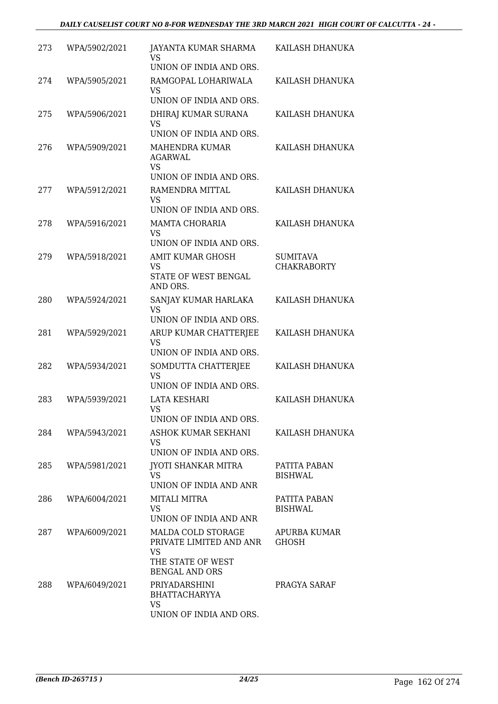| 273 | WPA/5902/2021 | JAYANTA KUMAR SHARMA<br>VS<br>UNION OF INDIA AND ORS.                                             | KAILASH DHANUKA                       |
|-----|---------------|---------------------------------------------------------------------------------------------------|---------------------------------------|
| 274 | WPA/5905/2021 | RAMGOPAL LOHARIWALA<br>VS<br>UNION OF INDIA AND ORS.                                              | KAILASH DHANUKA                       |
| 275 | WPA/5906/2021 | DHIRAJ KUMAR SURANA<br>VS<br>UNION OF INDIA AND ORS.                                              | KAILASH DHANUKA                       |
| 276 | WPA/5909/2021 | <b>MAHENDRA KUMAR</b><br><b>AGARWAL</b><br>VS                                                     | KAILASH DHANUKA                       |
|     |               | UNION OF INDIA AND ORS.                                                                           |                                       |
| 277 | WPA/5912/2021 | RAMENDRA MITTAL<br><b>VS</b><br>UNION OF INDIA AND ORS.                                           | KAILASH DHANUKA                       |
| 278 | WPA/5916/2021 | <b>MAMTA CHORARIA</b>                                                                             | KAILASH DHANUKA                       |
|     |               | VS<br>UNION OF INDIA AND ORS.                                                                     |                                       |
| 279 | WPA/5918/2021 | <b>AMIT KUMAR GHOSH</b><br>VS                                                                     | <b>SUMITAVA</b><br><b>CHAKRABORTY</b> |
|     |               | STATE OF WEST BENGAL<br>AND ORS.                                                                  |                                       |
| 280 | WPA/5924/2021 | SANJAY KUMAR HARLAKA<br><b>VS</b><br>UNION OF INDIA AND ORS.                                      | KAILASH DHANUKA                       |
| 281 | WPA/5929/2021 | ARUP KUMAR CHATTERJEE<br><b>VS</b><br>UNION OF INDIA AND ORS.                                     | KAILASH DHANUKA                       |
| 282 | WPA/5934/2021 | SOMDUTTA CHATTERJEE<br><b>VS</b><br>UNION OF INDIA AND ORS.                                       | KAILASH DHANUKA                       |
| 283 | WPA/5939/2021 | <b>LATA KESHARI</b><br>VS<br>UNION OF INDIA AND ORS.                                              | KAILASH DHANUKA                       |
| 284 | WPA/5943/2021 | ASHOK KUMAR SEKHANI<br>VS.<br>UNION OF INDIA AND ORS.                                             | KAILASH DHANUKA                       |
| 285 | WPA/5981/2021 | <b>JYOTI SHANKAR MITRA</b><br>VS.<br>UNION OF INDIA AND ANR                                       | PATITA PABAN<br><b>BISHWAL</b>        |
| 286 | WPA/6004/2021 | MITALI MITRA<br><b>VS</b><br>UNION OF INDIA AND ANR                                               | PATITA PABAN<br><b>BISHWAL</b>        |
| 287 | WPA/6009/2021 | MALDA COLD STORAGE<br>PRIVATE LIMITED AND ANR<br>VS<br>THE STATE OF WEST<br><b>BENGAL AND ORS</b> | APURBA KUMAR<br><b>GHOSH</b>          |
| 288 | WPA/6049/2021 | PRIYADARSHINI<br><b>BHATTACHARYYA</b><br>VS<br>UNION OF INDIA AND ORS.                            | PRAGYA SARAF                          |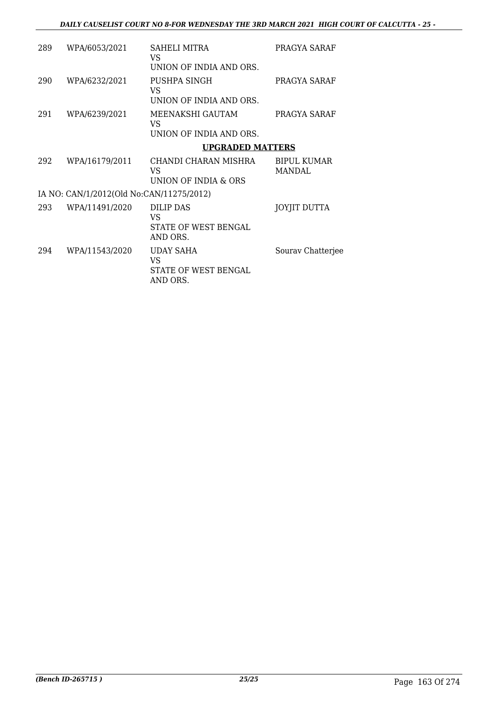| 289 | WPA/6053/2021                            | SAHELI MITRA<br>VS<br>UNION OF INDIA AND ORS.              | PRAGYA SARAF                  |
|-----|------------------------------------------|------------------------------------------------------------|-------------------------------|
| 290 | WPA/6232/2021                            | PUSHPA SINGH<br>VS<br>UNION OF INDIA AND ORS.              | PRAGYA SARAF                  |
| 291 | WPA/6239/2021                            | MEENAKSHI GAUTAM<br><b>VS</b><br>UNION OF INDIA AND ORS.   | PRAGYA SARAF                  |
|     |                                          | <b>UPGRADED MATTERS</b>                                    |                               |
| 292 | WPA/16179/2011                           | CHANDI CHARAN MISHRA<br>VS.<br>UNION OF INDIA & ORS        | <b>BIPUL KUMAR</b><br>MANDAL. |
|     | IA NO: CAN/1/2012(Old No:CAN/11275/2012) |                                                            |                               |
| 293 | WPA/11491/2020                           | <b>DILIP DAS</b><br>VS<br>STATE OF WEST BENGAL<br>AND ORS. | JOYJIT DUTTA                  |
| 294 | WPA/11543/2020                           | <b>UDAY SAHA</b><br>VS<br>STATE OF WEST BENGAL<br>AND ORS. | Sourav Chatterjee             |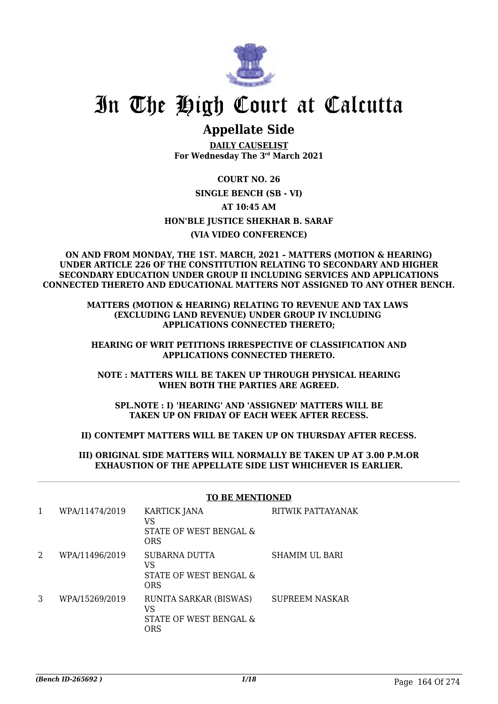

# In The High Court at Calcutta

## **Appellate Side**

**DAILY CAUSELIST For Wednesday The 3rd March 2021**

**COURT NO. 26 SINGLE BENCH (SB - VI) AT 10:45 AM HON'BLE JUSTICE SHEKHAR B. SARAF (VIA VIDEO CONFERENCE)**

#### **ON AND FROM MONDAY, THE 1ST. MARCH, 2021 – MATTERS (MOTION & HEARING) UNDER ARTICLE 226 OF THE CONSTITUTION RELATING TO SECONDARY AND HIGHER SECONDARY EDUCATION UNDER GROUP II INCLUDING SERVICES AND APPLICATIONS CONNECTED THERETO AND EDUCATIONAL MATTERS NOT ASSIGNED TO ANY OTHER BENCH.**

#### **MATTERS (MOTION & HEARING) RELATING TO REVENUE AND TAX LAWS (EXCLUDING LAND REVENUE) UNDER GROUP IV INCLUDING APPLICATIONS CONNECTED THERETO;**

#### **HEARING OF WRIT PETITIONS IRRESPECTIVE OF CLASSIFICATION AND APPLICATIONS CONNECTED THERETO.**

#### **NOTE : MATTERS WILL BE TAKEN UP THROUGH PHYSICAL HEARING WHEN BOTH THE PARTIES ARE AGREED.**

**SPL.NOTE : I) 'HEARING' AND 'ASSIGNED' MATTERS WILL BE TAKEN UP ON FRIDAY OF EACH WEEK AFTER RECESS.**

#### **II) CONTEMPT MATTERS WILL BE TAKEN UP ON THURSDAY AFTER RECESS.**

#### **III) ORIGINAL SIDE MATTERS WILL NORMALLY BE TAKEN UP AT 3.00 P.M.OR EXHAUSTION OF THE APPELLATE SIDE LIST WHICHEVER IS EARLIER.**

| 1 | WPA/11474/2019 | <b>KARTICK JANA</b><br>VS<br>STATE OF WEST BENGAL &<br><b>ORS</b> | RITWIK PATTAYANAK     |
|---|----------------|-------------------------------------------------------------------|-----------------------|
| 2 | WPA/11496/2019 | SUBARNA DUTTA<br>VS<br>STATE OF WEST BENGAL &<br>ORS              | <b>SHAMIM UL BARI</b> |
| 3 | WPA/15269/2019 | RUNITA SARKAR (BISWAS)<br>VS<br>STATE OF WEST BENGAL &<br>ORS     | <b>SUPREEM NASKAR</b> |

#### **TO BE MENTIONED**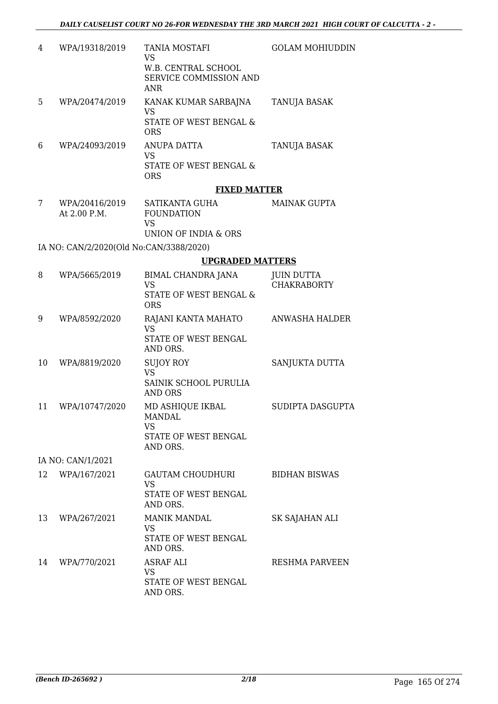| 4 | WPA/19318/2019 | <b>TANIA MOSTAFI</b><br>VS<br>W.B. CENTRAL SCHOOL<br>SERVICE COMMISSION AND<br>ANR | <b>GOLAM MOHIUDDIN</b> |
|---|----------------|------------------------------------------------------------------------------------|------------------------|
| 5 | WPA/20474/2019 | KANAK KUMAR SARBAJNA<br>VS<br>STATE OF WEST BENGAL &<br>ORS                        | TANUJA BASAK           |
| 6 | WPA/24093/2019 | ANUPA DATTA<br>VS<br>STATE OF WEST BENGAL &<br>ORS                                 | TANUJA BASAK           |

#### **FIXED MATTER**

| WPA/20416/2019 | SATIKANTA GUHA       | MAINAK GUPTA |
|----------------|----------------------|--------------|
| At 2.00 P.M.   | <b>FOUNDATION</b>    |              |
|                | VS.                  |              |
|                | UNION OF INDIA & ORS |              |

IA NO: CAN/2/2020(Old No:CAN/3388/2020)

#### **UPGRADED MATTERS**

| 8  | WPA/5665/2019     | BIMAL CHANDRA JANA<br><b>VS</b><br><b>STATE OF WEST BENGAL &amp;</b><br><b>ORS</b> | <b>JUIN DUTTA</b><br><b>CHAKRABORTY</b> |
|----|-------------------|------------------------------------------------------------------------------------|-----------------------------------------|
| 9  | WPA/8592/2020     | RAJANI KANTA MAHATO<br><b>VS</b><br><b>STATE OF WEST BENGAL</b><br>AND ORS.        | <b>ANWASHA HALDER</b>                   |
| 10 | WPA/8819/2020     | <b>SUJOY ROY</b><br><b>VS</b><br>SAINIK SCHOOL PURULIA<br><b>AND ORS</b>           | SANJUKTA DUTTA                          |
| 11 | WPA/10747/2020    | MD ASHIQUE IKBAL<br>MANDAI.<br><b>VS</b><br>STATE OF WEST BENGAL<br>AND ORS.       | SUDIPTA DASGUPTA                        |
|    | IA NO: CAN/1/2021 |                                                                                    |                                         |
| 12 | WPA/167/2021      | <b>GAUTAM CHOUDHURI</b><br><b>VS</b><br>STATE OF WEST BENGAL<br>AND ORS.           | <b>BIDHAN BISWAS</b>                    |
| 13 | WPA/267/2021      | <b>MANIK MANDAL</b><br><b>VS</b><br>STATE OF WEST BENGAL<br>AND ORS.               | SK SAJAHAN ALI                          |
| 14 | WPA/770/2021      | <b>ASRAF ALI</b><br><b>VS</b><br>STATE OF WEST BENGAL<br>AND ORS.                  | <b>RESHMA PARVEEN</b>                   |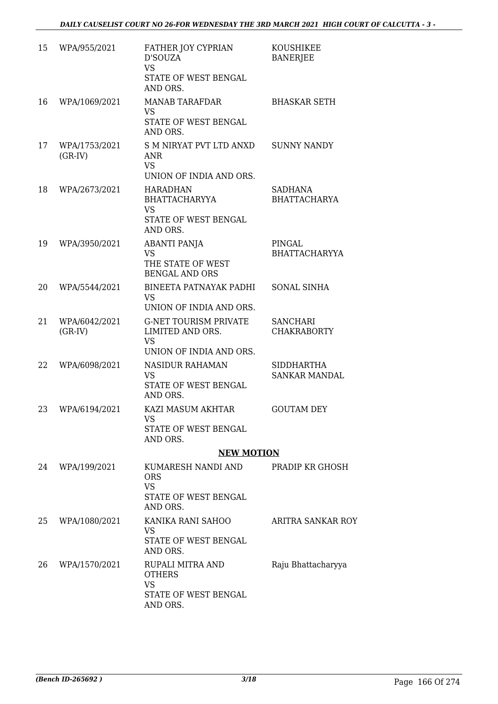| 15 | WPA/955/2021               | FATHER JOY CYPRIAN<br>D'SOUZA<br><b>VS</b><br>STATE OF WEST BENGAL<br>AND ORS.           | <b>KOUSHIKEE</b><br><b>BANERJEE</b>   |
|----|----------------------------|------------------------------------------------------------------------------------------|---------------------------------------|
| 16 | WPA/1069/2021              | <b>MANAB TARAFDAR</b><br><b>VS</b><br>STATE OF WEST BENGAL<br>AND ORS.                   | <b>BHASKAR SETH</b>                   |
| 17 | WPA/1753/2021<br>$(GR-IV)$ | <b>S M NIRYAT PVT LTD ANXD</b><br><b>ANR</b><br><b>VS</b><br>UNION OF INDIA AND ORS.     | <b>SUNNY NANDY</b>                    |
| 18 | WPA/2673/2021              | HARADHAN<br><b>BHATTACHARYYA</b><br><b>VS</b><br>STATE OF WEST BENGAL<br>AND ORS.        | SADHANA<br><b>BHATTACHARYA</b>        |
| 19 | WPA/3950/2021              | <b>ABANTI PANJA</b><br><b>VS</b><br>THE STATE OF WEST<br><b>BENGAL AND ORS</b>           | PINGAL<br><b>BHATTACHARYYA</b>        |
| 20 | WPA/5544/2021              | <b>BINEETA PATNAYAK PADHI</b><br><b>VS</b><br>UNION OF INDIA AND ORS.                    | <b>SONAL SINHA</b>                    |
| 21 | WPA/6042/2021<br>$(GR-IV)$ | <b>G-NET TOURISM PRIVATE</b><br>LIMITED AND ORS.<br><b>VS</b><br>UNION OF INDIA AND ORS. | <b>SANCHARI</b><br><b>CHAKRABORTY</b> |
| 22 | WPA/6098/2021              | <b>NASIDUR RAHAMAN</b><br><b>VS</b><br><b>STATE OF WEST BENGAL</b><br>AND ORS.           | SIDDHARTHA<br><b>SANKAR MANDAL</b>    |
| 23 | WPA/6194/2021              | KAZI MASUM AKHTAR<br>VS<br>STATE OF WEST BENGAL<br>AND ORS.                              | <b>GOUTAM DEY</b>                     |
|    |                            | <b>NEW MOTION</b>                                                                        |                                       |
| 24 | WPA/199/2021               | KUMARESH NANDI AND<br><b>ORS</b><br><b>VS</b><br>STATE OF WEST BENGAL<br>AND ORS.        | PRADIP KR GHOSH                       |
| 25 | WPA/1080/2021              | KANIKA RANI SAHOO<br><b>VS</b><br>STATE OF WEST BENGAL<br>AND ORS.                       | ARITRA SANKAR ROY                     |
| 26 | WPA/1570/2021              | RUPALI MITRA AND<br><b>OTHERS</b><br><b>VS</b><br>STATE OF WEST BENGAL<br>AND ORS.       | Raju Bhattacharyya                    |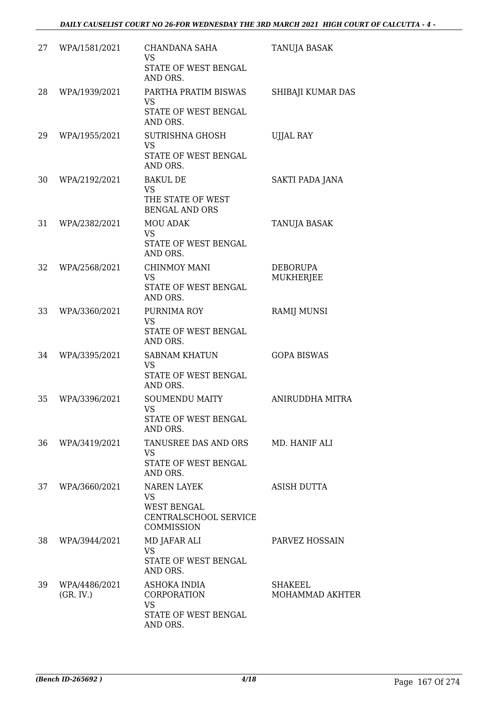| 27 | WPA/1581/2021              | <b>CHANDANA SAHA</b><br><b>VS</b><br>STATE OF WEST BENGAL<br>AND ORS.                        | <b>TANUJA BASAK</b>                 |
|----|----------------------------|----------------------------------------------------------------------------------------------|-------------------------------------|
| 28 | WPA/1939/2021              | PARTHA PRATIM BISWAS<br><b>VS</b><br>STATE OF WEST BENGAL<br>AND ORS.                        | SHIBAJI KUMAR DAS                   |
| 29 | WPA/1955/2021              | SUTRISHNA GHOSH<br><b>VS</b><br>STATE OF WEST BENGAL<br>AND ORS.                             | <b>UJJAL RAY</b>                    |
| 30 | WPA/2192/2021              | <b>BAKUL DE</b><br><b>VS</b><br>THE STATE OF WEST<br><b>BENGAL AND ORS</b>                   | SAKTI PADA JANA                     |
| 31 | WPA/2382/2021              | <b>MOU ADAK</b><br><b>VS</b><br>STATE OF WEST BENGAL<br>AND ORS.                             | TANUJA BASAK                        |
| 32 | WPA/2568/2021              | <b>CHINMOY MANI</b><br><b>VS</b><br>STATE OF WEST BENGAL<br>AND ORS.                         | <b>DEBORUPA</b><br><b>MUKHERJEE</b> |
| 33 | WPA/3360/2021              | PURNIMA ROY<br><b>VS</b><br>STATE OF WEST BENGAL<br>AND ORS.                                 | <b>RAMIJ MUNSI</b>                  |
| 34 | WPA/3395/2021              | <b>SABNAM KHATUN</b><br><b>VS</b><br>STATE OF WEST BENGAL<br>AND ORS.                        | <b>GOPA BISWAS</b>                  |
| 35 | WPA/3396/2021              | <b>SOUMENDU MAITY</b><br><b>VS</b><br>STATE OF WEST BENGAL<br>AND ORS.                       | ANIRUDDHA MITRA                     |
| 36 | WPA/3419/2021              | TANUSREE DAS AND ORS<br><b>VS</b><br>STATE OF WEST BENGAL<br>AND ORS.                        | MD. HANIF ALI                       |
| 37 | WPA/3660/2021              | <b>NAREN LAYEK</b><br><b>VS</b><br><b>WEST BENGAL</b><br>CENTRALSCHOOL SERVICE<br>COMMISSION | <b>ASISH DUTTA</b>                  |
| 38 | WPA/3944/2021              | MD JAFAR ALI<br><b>VS</b><br>STATE OF WEST BENGAL<br>AND ORS.                                | PARVEZ HOSSAIN                      |
| 39 | WPA/4486/2021<br>(GR. IV.) | ASHOKA INDIA<br>CORPORATION<br><b>VS</b><br>STATE OF WEST BENGAL<br>AND ORS.                 | SHAKEEL<br>MOHAMMAD AKHTER          |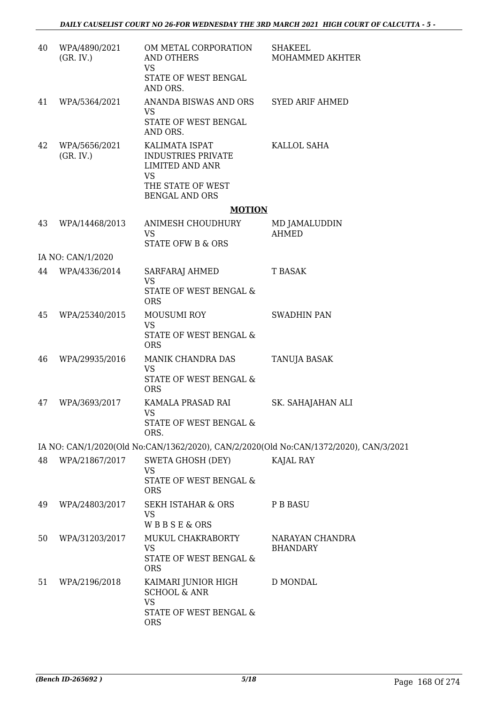| 40 | WPA/4890/2021<br>(GR, IV.) | OM METAL CORPORATION<br><b>AND OTHERS</b><br><b>VS</b><br>STATE OF WEST BENGAL<br>AND ORS. | <b>SHAKEEL</b><br>MOHAMMED AKHTER                                                     |
|----|----------------------------|--------------------------------------------------------------------------------------------|---------------------------------------------------------------------------------------|
| 41 | WPA/5364/2021              | ANANDA BISWAS AND ORS<br><b>VS</b>                                                         | <b>SYED ARIF AHMED</b>                                                                |
|    |                            | STATE OF WEST BENGAL<br>AND ORS.                                                           |                                                                                       |
| 42 | WPA/5656/2021<br>(GR. IV.) | KALIMATA ISPAT<br><b>INDUSTRIES PRIVATE</b><br><b>LIMITED AND ANR</b><br><b>VS</b>         | KALLOL SAHA                                                                           |
|    |                            | THE STATE OF WEST<br><b>BENGAL AND ORS</b>                                                 |                                                                                       |
|    |                            | <b>MOTION</b>                                                                              |                                                                                       |
| 43 | WPA/14468/2013             | ANIMESH CHOUDHURY<br><b>VS</b>                                                             | MD JAMALUDDIN<br><b>AHMED</b>                                                         |
|    |                            | <b>STATE OFW B &amp; ORS</b>                                                               |                                                                                       |
|    | IA NO: CAN/1/2020          |                                                                                            |                                                                                       |
| 44 | WPA/4336/2014              | SARFARAJ AHMED<br><b>VS</b>                                                                | <b>T BASAK</b>                                                                        |
|    |                            | STATE OF WEST BENGAL &<br><b>ORS</b>                                                       |                                                                                       |
| 45 | WPA/25340/2015             | <b>MOUSUMI ROY</b>                                                                         | <b>SWADHIN PAN</b>                                                                    |
|    |                            | <b>VS</b><br>STATE OF WEST BENGAL &<br><b>ORS</b>                                          |                                                                                       |
| 46 | WPA/29935/2016             | MANIK CHANDRA DAS<br><b>VS</b>                                                             | TANUJA BASAK                                                                          |
|    |                            | STATE OF WEST BENGAL &<br><b>ORS</b>                                                       |                                                                                       |
| 47 | WPA/3693/2017              | KAMALA PRASAD RAI<br><b>VS</b><br>STATE OF WEST BENGAL &                                   | SK. SAHAJAHAN ALI                                                                     |
|    |                            | ORS.                                                                                       |                                                                                       |
|    |                            |                                                                                            | IA NO: CAN/1/2020(Old No:CAN/1362/2020), CAN/2/2020(Old No:CAN/1372/2020), CAN/3/2021 |
| 48 | WPA/21867/2017             | <b>SWETA GHOSH (DEY)</b><br><b>VS</b><br>STATE OF WEST BENGAL &<br><b>ORS</b>              | KAJAL RAY                                                                             |
| 49 | WPA/24803/2017             | <b>SEKH ISTAHAR &amp; ORS</b><br><b>VS</b>                                                 | P B BASU                                                                              |
|    |                            | WBBSE&ORS                                                                                  |                                                                                       |
| 50 | WPA/31203/2017             | MUKUL CHAKRABORTY<br><b>VS</b><br>STATE OF WEST BENGAL &<br><b>ORS</b>                     | NARAYAN CHANDRA<br><b>BHANDARY</b>                                                    |
| 51 | WPA/2196/2018              | KAIMARI JUNIOR HIGH<br><b>SCHOOL &amp; ANR</b>                                             | D MONDAL                                                                              |
|    |                            | <b>VS</b><br>STATE OF WEST BENGAL &<br><b>ORS</b>                                          |                                                                                       |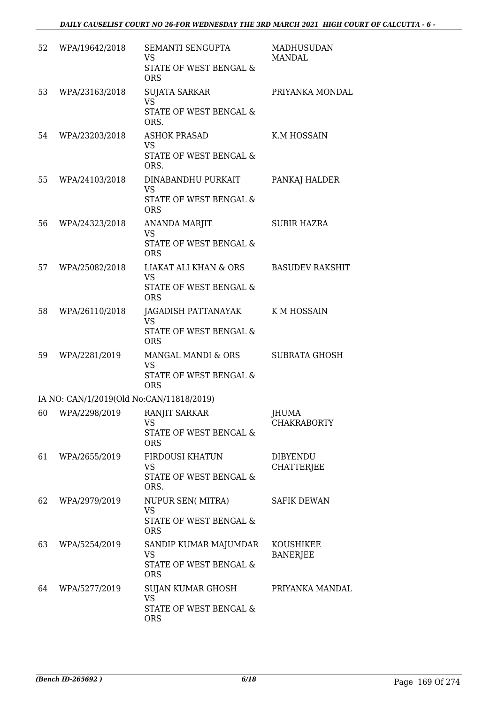| 52 | WPA/19642/2018                           | SEMANTI SENGUPTA<br><b>VS</b><br>STATE OF WEST BENGAL &<br><b>ORS</b>                            | <b>MADHUSUDAN</b><br><b>MANDAL</b>   |
|----|------------------------------------------|--------------------------------------------------------------------------------------------------|--------------------------------------|
| 53 | WPA/23163/2018                           | <b>SUJATA SARKAR</b><br><b>VS</b><br>STATE OF WEST BENGAL &<br>ORS.                              | PRIYANKA MONDAL                      |
| 54 | WPA/23203/2018                           | <b>ASHOK PRASAD</b><br><b>VS</b><br>STATE OF WEST BENGAL &<br>ORS.                               | K.M HOSSAIN                          |
| 55 | WPA/24103/2018                           | DINABANDHU PURKAIT<br><b>VS</b><br><b>STATE OF WEST BENGAL &amp;</b><br><b>ORS</b>               | PANKAJ HALDER                        |
| 56 | WPA/24323/2018                           | <b>ANANDA MARJIT</b><br><b>VS</b><br><b>STATE OF WEST BENGAL &amp;</b><br><b>ORS</b>             | <b>SUBIR HAZRA</b>                   |
| 57 | WPA/25082/2018                           | <b>LIAKAT ALI KHAN &amp; ORS</b><br><b>VS</b><br><b>STATE OF WEST BENGAL &amp;</b><br><b>ORS</b> | <b>BASUDEV RAKSHIT</b>               |
| 58 | WPA/26110/2018                           | JAGADISH PATTANAYAK<br><b>VS</b><br><b>STATE OF WEST BENGAL &amp;</b><br><b>ORS</b>              | <b>KMHOSSAIN</b>                     |
| 59 | WPA/2281/2019                            | MANGAL MANDI & ORS<br><b>VS</b><br><b>STATE OF WEST BENGAL &amp;</b><br><b>ORS</b>               | <b>SUBRATA GHOSH</b>                 |
|    | IA NO: CAN/1/2019(Old No:CAN/11818/2019) |                                                                                                  |                                      |
|    | 60 WPA/2298/2019                         | RANJIT SARKAR<br>VS<br>STATE OF WEST BENGAL &<br><b>ORS</b>                                      | JHUMA<br><b>CHAKRABORTY</b>          |
| 61 | WPA/2655/2019                            | FIRDOUSI KHATUN<br><b>VS</b><br>STATE OF WEST BENGAL &<br>ORS.                                   | <b>DIBYENDU</b><br><b>CHATTERJEE</b> |
| 62 | WPA/2979/2019                            | NUPUR SEN( MITRA)<br><b>VS</b><br>STATE OF WEST BENGAL &<br><b>ORS</b>                           | <b>SAFIK DEWAN</b>                   |
| 63 | WPA/5254/2019                            | SANDIP KUMAR MAJUMDAR<br><b>VS</b><br>STATE OF WEST BENGAL &<br><b>ORS</b>                       | <b>KOUSHIKEE</b><br><b>BANERJEE</b>  |
| 64 | WPA/5277/2019                            | SUJAN KUMAR GHOSH<br><b>VS</b><br>STATE OF WEST BENGAL &<br><b>ORS</b>                           | PRIYANKA MANDAL                      |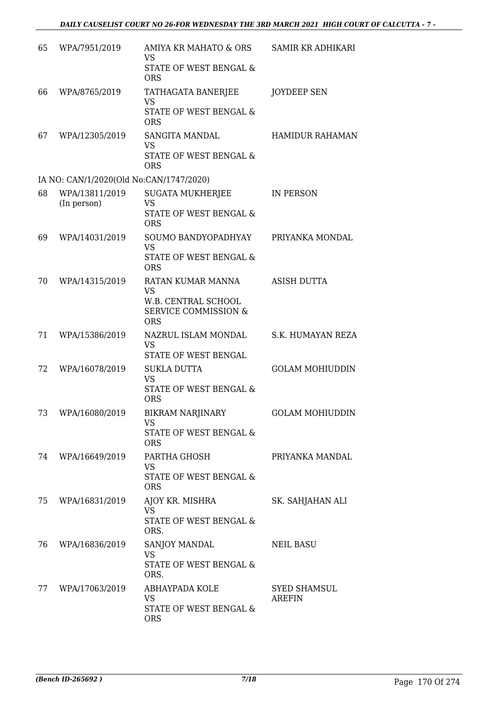| 65 | WPA/7951/2019                           | AMIYA KR MAHATO & ORS<br><b>VS</b><br><b>STATE OF WEST BENGAL &amp;</b><br><b>ORS</b>                  | SAMIR KR ADHIKARI                    |
|----|-----------------------------------------|--------------------------------------------------------------------------------------------------------|--------------------------------------|
| 66 | WPA/8765/2019                           | TATHAGATA BANERJEE<br><b>VS</b><br>STATE OF WEST BENGAL &<br><b>ORS</b>                                | <b>JOYDEEP SEN</b>                   |
| 67 | WPA/12305/2019                          | SANGITA MANDAL<br><b>VS</b><br>STATE OF WEST BENGAL &<br><b>ORS</b>                                    | <b>HAMIDUR RAHAMAN</b>               |
|    | IA NO: CAN/1/2020(Old No:CAN/1747/2020) |                                                                                                        |                                      |
| 68 | WPA/13811/2019<br>(In person)           | <b>SUGATA MUKHERJEE</b><br><b>VS</b><br>STATE OF WEST BENGAL &<br><b>ORS</b>                           | <b>IN PERSON</b>                     |
| 69 | WPA/14031/2019                          | SOUMO BANDYOPADHYAY<br><b>VS</b><br>STATE OF WEST BENGAL &<br><b>ORS</b>                               | PRIYANKA MONDAL                      |
| 70 | WPA/14315/2019                          | RATAN KUMAR MANNA<br><b>VS</b><br>W.B. CENTRAL SCHOOL<br><b>SERVICE COMMISSION &amp;</b><br><b>ORS</b> | <b>ASISH DUTTA</b>                   |
| 71 | WPA/15386/2019                          | NAZRUL ISLAM MONDAL<br><b>VS</b><br>STATE OF WEST BENGAL                                               | S.K. HUMAYAN REZA                    |
| 72 | WPA/16078/2019                          | <b>SUKLA DUTTA</b><br><b>VS</b><br>STATE OF WEST BENGAL &<br><b>ORS</b>                                | <b>GOLAM MOHIUDDIN</b>               |
| 73 | WPA/16080/2019                          | BIKRAM NARJINARY<br><b>VS</b><br>STATE OF WEST BENGAL &<br><b>ORS</b>                                  | <b>GOLAM MOHIUDDIN</b>               |
|    | 74 WPA/16649/2019                       | PARTHA GHOSH<br><b>VS</b><br><b>STATE OF WEST BENGAL &amp;</b><br><b>ORS</b>                           | PRIYANKA MANDAL                      |
| 75 | WPA/16831/2019                          | AJOY KR. MISHRA<br><b>VS</b><br>STATE OF WEST BENGAL &<br>ORS.                                         | SK. SAHJAHAN ALI                     |
| 76 | WPA/16836/2019                          | SANJOY MANDAL<br><b>VS</b><br>STATE OF WEST BENGAL &<br>ORS.                                           | NEIL BASU                            |
| 77 | WPA/17063/2019                          | ABHAYPADA KOLE<br><b>VS</b><br>STATE OF WEST BENGAL &<br><b>ORS</b>                                    | <b>SYED SHAMSUL</b><br><b>AREFIN</b> |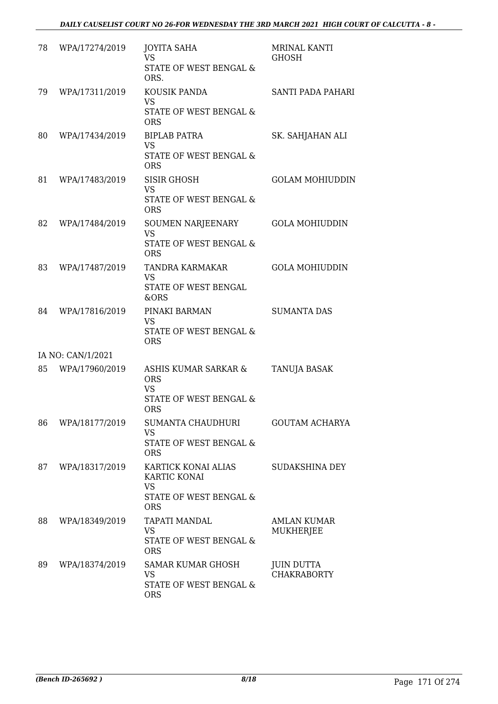| 78 | WPA/17274/2019    | <b>JOYITA SAHA</b><br>VS.<br>STATE OF WEST BENGAL &<br>ORS.                                         | <b>MRINAL KANTI</b><br>GHOSH            |
|----|-------------------|-----------------------------------------------------------------------------------------------------|-----------------------------------------|
| 79 | WPA/17311/2019    | KOUSIK PANDA<br><b>VS</b><br>STATE OF WEST BENGAL &<br><b>ORS</b>                                   | SANTI PADA PAHARI                       |
| 80 | WPA/17434/2019    | <b>BIPLAB PATRA</b><br><b>VS</b><br>STATE OF WEST BENGAL &<br><b>ORS</b>                            | SK. SAHJAHAN ALI                        |
| 81 | WPA/17483/2019    | <b>SISIR GHOSH</b><br><b>VS</b><br>STATE OF WEST BENGAL &<br><b>ORS</b>                             | <b>GOLAM MOHIUDDIN</b>                  |
| 82 | WPA/17484/2019    | <b>SOUMEN NARJEENARY</b><br><b>VS</b><br>STATE OF WEST BENGAL &<br><b>ORS</b>                       | <b>GOLA MOHIUDDIN</b>                   |
| 83 | WPA/17487/2019    | TANDRA KARMAKAR<br><b>VS</b><br>STATE OF WEST BENGAL<br>&ORS                                        | <b>GOLA MOHIUDDIN</b>                   |
| 84 | WPA/17816/2019    | PINAKI BARMAN<br><b>VS</b><br>STATE OF WEST BENGAL &<br><b>ORS</b>                                  | <b>SUMANTA DAS</b>                      |
|    | IA NO: CAN/1/2021 |                                                                                                     |                                         |
| 85 | WPA/17960/2019    | ASHIS KUMAR SARKAR &<br><b>ORS</b><br><b>VS</b><br>STATE OF WEST BENGAL &<br><b>ORS</b>             | <b>TANUJA BASAK</b>                     |
| 86 | WPA/18177/2019    | SUMANTA CHAUDHURI<br>VS<br><b>STATE OF WEST BENGAL &amp;</b><br><b>ORS</b>                          | <b>GOUTAM ACHARYA</b>                   |
| 87 | WPA/18317/2019    | KARTICK KONAI ALIAS<br>KARTIC KONAI<br><b>VS</b><br><b>STATE OF WEST BENGAL &amp;</b><br><b>ORS</b> | <b>SUDAKSHINA DEY</b>                   |
| 88 | WPA/18349/2019    | TAPATI MANDAL<br><b>VS</b><br>STATE OF WEST BENGAL &<br><b>ORS</b>                                  | AMLAN KUMAR<br><b>MUKHERJEE</b>         |
| 89 | WPA/18374/2019    | SAMAR KUMAR GHOSH<br><b>VS</b><br>STATE OF WEST BENGAL &<br><b>ORS</b>                              | <b>JUIN DUTTA</b><br><b>CHAKRABORTY</b> |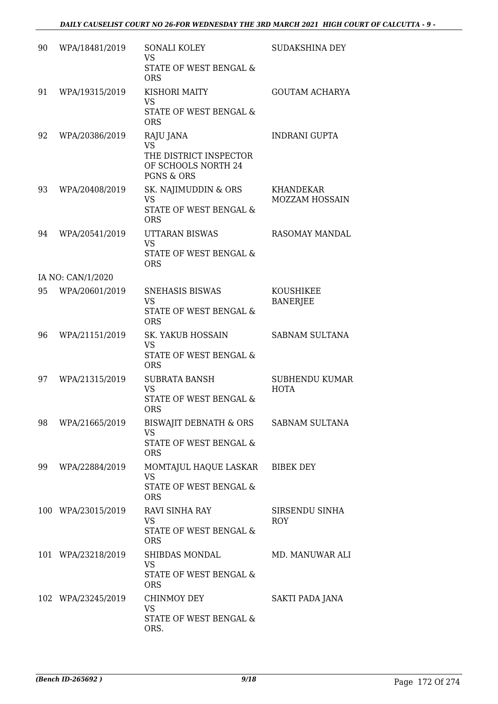| 90 | WPA/18481/2019     | SONALI KOLEY<br><b>VS</b><br>STATE OF WEST BENGAL &                    | SUDAKSHINA DEY                      |
|----|--------------------|------------------------------------------------------------------------|-------------------------------------|
|    |                    | <b>ORS</b>                                                             |                                     |
| 91 | WPA/19315/2019     | KISHORI MAITY<br><b>VS</b>                                             | <b>GOUTAM ACHARYA</b>               |
|    |                    | STATE OF WEST BENGAL &<br><b>ORS</b>                                   |                                     |
| 92 | WPA/20386/2019     | RAJU JANA<br><b>VS</b>                                                 | <b>INDRANI GUPTA</b>                |
|    |                    | THE DISTRICT INSPECTOR<br>OF SCHOOLS NORTH 24<br><b>PGNS &amp; ORS</b> |                                     |
| 93 | WPA/20408/2019     | SK. NAJIMUDDIN & ORS<br><b>VS</b>                                      | KHANDEKAR<br>MOZZAM HOSSAIN         |
|    |                    | <b>STATE OF WEST BENGAL &amp;</b><br><b>ORS</b>                        |                                     |
| 94 | WPA/20541/2019     | <b>UTTARAN BISWAS</b><br><b>VS</b>                                     | <b>RASOMAY MANDAL</b>               |
|    |                    | <b>STATE OF WEST BENGAL &amp;</b><br><b>ORS</b>                        |                                     |
|    | IA NO: CAN/1/2020  |                                                                        |                                     |
| 95 | WPA/20601/2019     | <b>SNEHASIS BISWAS</b><br><b>VS</b>                                    | <b>KOUSHIKEE</b><br><b>BANERJEE</b> |
|    |                    | STATE OF WEST BENGAL &<br><b>ORS</b>                                   |                                     |
| 96 | WPA/21151/2019     | <b>SK. YAKUB HOSSAIN</b><br><b>VS</b>                                  | <b>SABNAM SULTANA</b>               |
|    |                    | STATE OF WEST BENGAL &<br><b>ORS</b>                                   |                                     |
| 97 | WPA/21315/2019     | <b>SUBRATA BANSH</b><br><b>VS</b>                                      | SUBHENDU KUMAR<br><b>HOTA</b>       |
|    |                    | <b>STATE OF WEST BENGAL &amp;</b><br><b>ORS</b>                        |                                     |
| 98 | WPA/21665/2019     | BISWAJIT DEBNATH & ORS<br><b>VS</b>                                    | SABNAM SULTANA                      |
|    |                    | STATE OF WEST BENGAL &<br><b>ORS</b>                                   |                                     |
| 99 | WPA/22884/2019     | MOMTAJUL HAQUE LASKAR<br><b>VS</b>                                     | <b>BIBEK DEY</b>                    |
|    |                    | STATE OF WEST BENGAL &<br><b>ORS</b>                                   |                                     |
|    | 100 WPA/23015/2019 | RAVI SINHA RAY<br><b>VS</b>                                            | SIRSENDU SINHA<br><b>ROY</b>        |
|    |                    | STATE OF WEST BENGAL &<br><b>ORS</b>                                   |                                     |
|    | 101 WPA/23218/2019 | SHIBDAS MONDAL<br><b>VS</b>                                            | MD. MANUWAR ALI                     |
|    |                    | STATE OF WEST BENGAL &<br><b>ORS</b>                                   |                                     |
|    | 102 WPA/23245/2019 | CHINMOY DEY<br><b>VS</b>                                               | SAKTI PADA JANA                     |
|    |                    | STATE OF WEST BENGAL &<br>ORS.                                         |                                     |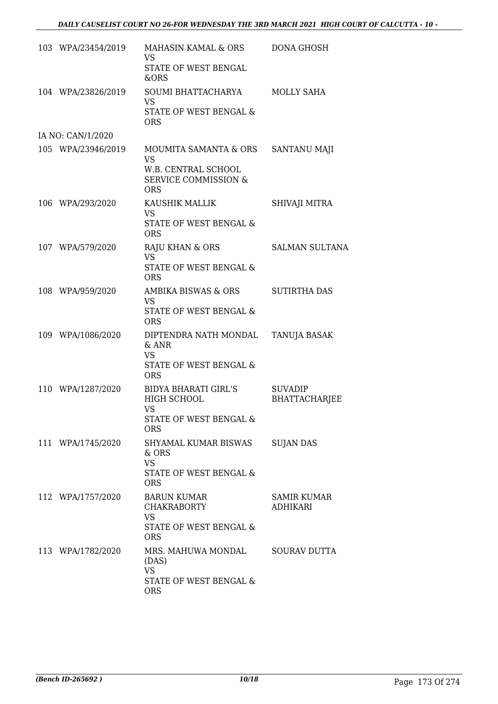| 103 WPA/23454/2019 | MAHASIN KAMAL & ORS<br><b>VS</b>                                                                           | <b>DONA GHOSH</b>                      |
|--------------------|------------------------------------------------------------------------------------------------------------|----------------------------------------|
|                    | STATE OF WEST BENGAL<br>&ORS                                                                               |                                        |
| 104 WPA/23826/2019 | SOUMI BHATTACHARYA<br><b>VS</b><br>STATE OF WEST BENGAL &<br><b>ORS</b>                                    | <b>MOLLY SAHA</b>                      |
| IA NO: CAN/1/2020  |                                                                                                            |                                        |
| 105 WPA/23946/2019 | MOUMITA SAMANTA & ORS<br><b>VS</b><br>W.B. CENTRAL SCHOOL<br><b>SERVICE COMMISSION &amp;</b><br><b>ORS</b> | SANTANU MAJI                           |
| 106 WPA/293/2020   | KAUSHIK MALLIK<br><b>VS</b><br><b>STATE OF WEST BENGAL &amp;</b><br><b>ORS</b>                             | SHIVAJI MITRA                          |
| 107 WPA/579/2020   | RAJU KHAN & ORS<br><b>VS</b><br><b>STATE OF WEST BENGAL &amp;</b><br><b>ORS</b>                            | <b>SALMAN SULTANA</b>                  |
| 108 WPA/959/2020   | AMBIKA BISWAS & ORS<br><b>VS</b><br>STATE OF WEST BENGAL &<br><b>ORS</b>                                   | <b>SUTIRTHA DAS</b>                    |
| 109 WPA/1086/2020  | DIPTENDRA NATH MONDAL<br>& ANR<br><b>VS</b><br>STATE OF WEST BENGAL &<br><b>ORS</b>                        | TANUJA BASAK                           |
| 110 WPA/1287/2020  | BIDYA BHARATI GIRL'S<br>HIGH SCHOOL<br><b>VS</b><br>STATE OF WEST BENGAL &<br>ORS.                         | <b>SUVADIP</b><br><b>BHATTACHARJEE</b> |
| 111 WPA/1745/2020  | SHYAMAL KUMAR BISWAS<br>& ORS<br><b>VS</b><br>STATE OF WEST BENGAL &<br><b>ORS</b>                         | <b>SUJAN DAS</b>                       |
| 112 WPA/1757/2020  | BARUN KUMAR<br><b>CHAKRABORTY</b><br><b>VS</b><br>STATE OF WEST BENGAL &<br><b>ORS</b>                     | SAMIR KUMAR<br><b>ADHIKARI</b>         |
| 113 WPA/1782/2020  | MRS. MAHUWA MONDAL SOURAV DUTTA<br>(DAS)<br><b>VS</b><br>STATE OF WEST BENGAL &<br><b>ORS</b>              |                                        |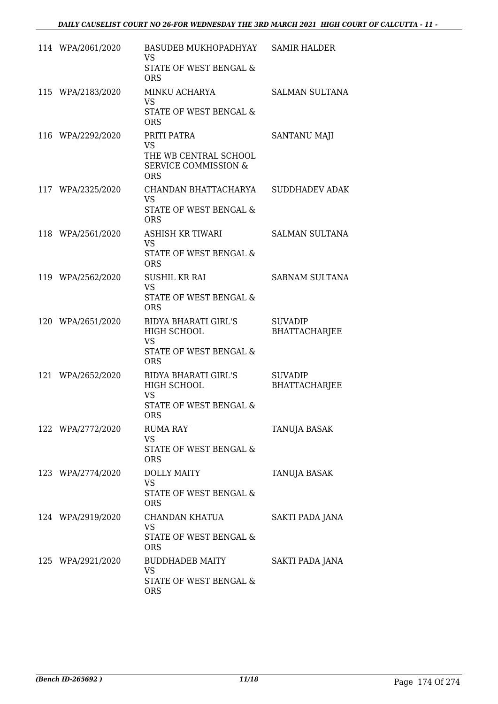| 114 WPA/2061/2020 | BASUDEB MUKHOPADHYAY<br><b>VS</b><br>STATE OF WEST BENGAL &<br><b>ORS</b>                          | <b>SAMIR HALDER</b>                    |
|-------------------|----------------------------------------------------------------------------------------------------|----------------------------------------|
| 115 WPA/2183/2020 | MINKU ACHARYA<br><b>VS</b><br>STATE OF WEST BENGAL &<br><b>ORS</b>                                 | <b>SALMAN SULTANA</b>                  |
| 116 WPA/2292/2020 | PRITI PATRA<br><b>VS</b><br>THE WB CENTRAL SCHOOL<br><b>SERVICE COMMISSION &amp;</b><br><b>ORS</b> | SANTANU MAJI                           |
| 117 WPA/2325/2020 | CHANDAN BHATTACHARYA<br><b>VS</b><br>STATE OF WEST BENGAL &<br><b>ORS</b>                          | <b>SUDDHADEV ADAK</b>                  |
| 118 WPA/2561/2020 | <b>ASHISH KR TIWARI</b><br><b>VS</b><br>STATE OF WEST BENGAL &<br><b>ORS</b>                       | <b>SALMAN SULTANA</b>                  |
| 119 WPA/2562/2020 | <b>SUSHIL KR RAI</b><br><b>VS</b><br>STATE OF WEST BENGAL &<br><b>ORS</b>                          | SABNAM SULTANA                         |
| 120 WPA/2651/2020 | <b>BIDYA BHARATI GIRL'S</b><br>HIGH SCHOOL<br><b>VS</b><br>STATE OF WEST BENGAL &<br><b>ORS</b>    | <b>SUVADIP</b><br><b>BHATTACHARJEE</b> |
| 121 WPA/2652/2020 | <b>BIDYA BHARATI GIRL'S</b><br>HIGH SCHOOL<br><b>VS</b><br>STATE OF WEST BENGAL &<br>ORS           | <b>SUVADIP</b><br><b>BHATTACHARJEE</b> |
| 122 WPA/2772/2020 | <b>RUMA RAY</b><br><b>VS</b><br><b>STATE OF WEST BENGAL &amp;</b><br><b>ORS</b>                    | <b>TANUJA BASAK</b>                    |
| 123 WPA/2774/2020 | <b>DOLLY MAITY</b><br><b>VS</b><br>STATE OF WEST BENGAL &<br><b>ORS</b>                            | TANUJA BASAK                           |
| 124 WPA/2919/2020 | CHANDAN KHATUA<br><b>VS</b><br>STATE OF WEST BENGAL &<br><b>ORS</b>                                | SAKTI PADA JANA                        |
| 125 WPA/2921/2020 | BUDDHADEB MAITY<br><b>VS</b><br>STATE OF WEST BENGAL &<br><b>ORS</b>                               | SAKTI PADA JANA                        |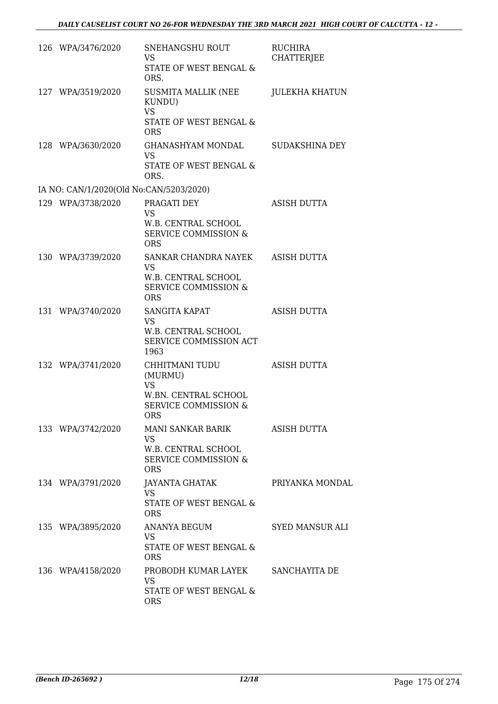| 126 WPA/3476/2020                       | SNEHANGSHU ROUT<br><b>VS</b><br>STATE OF WEST BENGAL &<br>ORS.                                                | <b>RUCHIRA</b><br><b>CHATTERJEE</b> |
|-----------------------------------------|---------------------------------------------------------------------------------------------------------------|-------------------------------------|
| 127 WPA/3519/2020                       | SUSMITA MALLIK (NEE<br>KUNDU)<br><b>VS</b><br>STATE OF WEST BENGAL &<br><b>ORS</b>                            | <b>JULEKHA KHATUN</b>               |
| 128 WPA/3630/2020                       | <b>GHANASHYAM MONDAL</b><br><b>VS</b><br>STATE OF WEST BENGAL &<br>ORS.                                       | <b>SUDAKSHINA DEY</b>               |
| IA NO: CAN/1/2020(Old No:CAN/5203/2020) |                                                                                                               |                                     |
| 129 WPA/3738/2020                       | PRAGATI DEY<br><b>VS</b><br><b>W.B. CENTRAL SCHOOL</b><br><b>SERVICE COMMISSION &amp;</b><br><b>ORS</b>       | <b>ASISH DUTTA</b>                  |
| 130 WPA/3739/2020                       | SANKAR CHANDRA NAYEK<br><b>VS</b><br>W.B. CENTRAL SCHOOL<br><b>SERVICE COMMISSION &amp;</b><br><b>ORS</b>     | ASISH DUTTA                         |
| 131 WPA/3740/2020                       | SANGITA KAPAT<br><b>VS</b><br>W.B. CENTRAL SCHOOL<br>SERVICE COMMISSION ACT<br>1963                           | <b>ASISH DUTTA</b>                  |
| 132 WPA/3741/2020                       | CHHITMANI TUDU<br>(MURMU)<br><b>VS</b><br>W.BN. CENTRAL SCHOOL<br><b>SERVICE COMMISSION &amp;</b><br>ORS      | <b>ASISH DUTTA</b>                  |
| 133 WPA/3742/2020                       | <b>MANI SANKAR BARIK</b><br><b>VS</b><br>W.B. CENTRAL SCHOOL<br><b>SERVICE COMMISSION &amp;</b><br><b>ORS</b> | ASISH DUTTA                         |
| 134 WPA/3791/2020                       | JAYANTA GHATAK<br><b>VS</b><br>STATE OF WEST BENGAL &<br><b>ORS</b>                                           | PRIYANKA MONDAL                     |
| 135 WPA/3895/2020                       | ANANYA BEGUM<br><b>VS</b><br>STATE OF WEST BENGAL &<br><b>ORS</b>                                             | <b>SYED MANSUR ALI</b>              |
| 136 WPA/4158/2020                       | PROBODH KUMAR LAYEK<br><b>VS</b><br>STATE OF WEST BENGAL &<br><b>ORS</b>                                      | SANCHAYITA DE                       |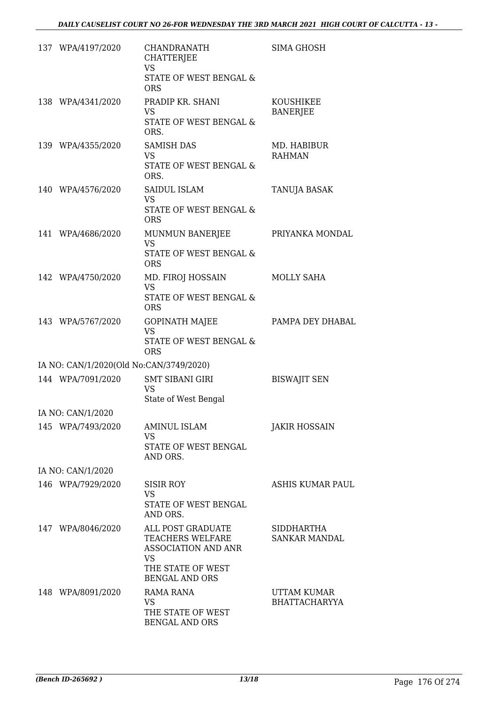| 137 WPA/4197/2020                       | <b>CHANDRANATH</b><br>CHATTERJEE<br><b>VS</b><br>STATE OF WEST BENGAL &<br><b>ORS</b>                                          | <b>SIMA GHOSH</b>                   |
|-----------------------------------------|--------------------------------------------------------------------------------------------------------------------------------|-------------------------------------|
| 138 WPA/4341/2020                       | PRADIP KR. SHANI<br><b>VS</b><br>STATE OF WEST BENGAL &<br>ORS.                                                                | KOUSHIKEE<br><b>BANERJEE</b>        |
| 139 WPA/4355/2020                       | <b>SAMISH DAS</b><br><b>VS</b><br>STATE OF WEST BENGAL &<br>ORS.                                                               | MD. HABIBUR<br><b>RAHMAN</b>        |
| 140 WPA/4576/2020                       | <b>SAIDUL ISLAM</b><br><b>VS</b><br>STATE OF WEST BENGAL &<br><b>ORS</b>                                                       | TANUJA BASAK                        |
| 141 WPA/4686/2020                       | MUNMUN BANERJEE<br><b>VS</b><br>STATE OF WEST BENGAL &<br><b>ORS</b>                                                           | PRIYANKA MONDAL                     |
| 142 WPA/4750/2020                       | MD. FIROJ HOSSAIN<br><b>VS</b><br>STATE OF WEST BENGAL &<br><b>ORS</b>                                                         | MOLLY SAHA                          |
| 143 WPA/5767/2020                       | <b>GOPINATH MAJEE</b><br><b>VS</b><br>STATE OF WEST BENGAL &<br><b>ORS</b>                                                     | PAMPA DEY DHABAL                    |
| IA NO: CAN/1/2020(Old No:CAN/3749/2020) |                                                                                                                                |                                     |
| 144 WPA/7091/2020                       | <b>SMT SIBANI GIRI</b><br><b>VS</b><br>State of West Bengal                                                                    | <b>BISWAJIT SEN</b>                 |
| IA NO: CAN/1/2020                       |                                                                                                                                |                                     |
| 145 WPA/7493/2020                       | <b>AMINUL ISLAM</b><br><b>VS</b><br>STATE OF WEST BENGAL<br>AND ORS.                                                           | <b>JAKIR HOSSAIN</b>                |
| IA NO: CAN/1/2020                       |                                                                                                                                |                                     |
| 146 WPA/7929/2020                       | <b>SISIR ROY</b><br><b>VS</b><br>STATE OF WEST BENGAL<br>AND ORS.                                                              | ASHIS KUMAR PAUL                    |
| 147 WPA/8046/2020                       | ALL POST GRADUATE<br>TEACHERS WELFARE<br><b>ASSOCIATION AND ANR</b><br><b>VS</b><br>THE STATE OF WEST<br><b>BENGAL AND ORS</b> | SIDDHARTHA<br><b>SANKAR MANDAL</b>  |
| 148 WPA/8091/2020                       | <b>RAMA RANA</b><br><b>VS</b><br>THE STATE OF WEST<br><b>BENGAL AND ORS</b>                                                    | UTTAM KUMAR<br><b>BHATTACHARYYA</b> |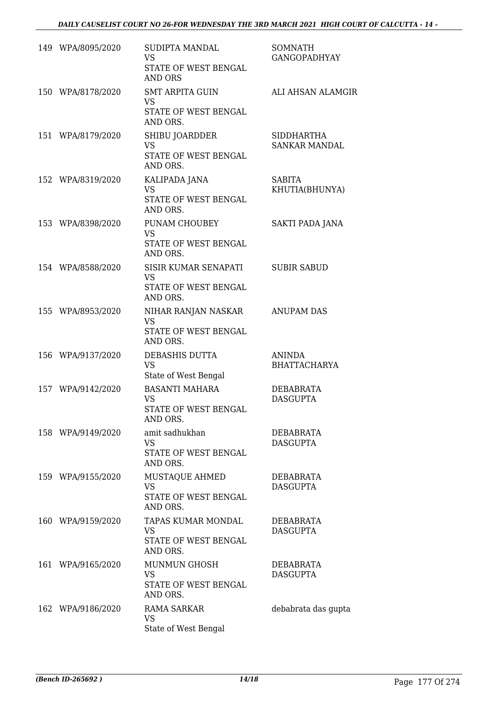| 149 WPA/8095/2020 | <b>SUDIPTA MANDAL</b><br><b>VS</b><br>STATE OF WEST BENGAL<br><b>AND ORS</b> | <b>SOMNATH</b><br><b>GANGOPADHYAY</b>     |
|-------------------|------------------------------------------------------------------------------|-------------------------------------------|
| 150 WPA/8178/2020 | <b>SMT ARPITA GUIN</b><br><b>VS</b><br>STATE OF WEST BENGAL<br>AND ORS.      | ALI AHSAN ALAMGIR                         |
| 151 WPA/8179/2020 | SHIBU JOARDDER<br><b>VS</b><br>STATE OF WEST BENGAL<br>AND ORS.              | <b>SIDDHARTHA</b><br><b>SANKAR MANDAL</b> |
| 152 WPA/8319/2020 | KALIPADA JANA<br><b>VS</b><br>STATE OF WEST BENGAL<br>AND ORS.               | <b>SABITA</b><br>KHUTIA(BHUNYA)           |
| 153 WPA/8398/2020 | PUNAM CHOUBEY<br><b>VS</b><br>STATE OF WEST BENGAL<br>AND ORS.               | SAKTI PADA JANA                           |
| 154 WPA/8588/2020 | SISIR KUMAR SENAPATI<br><b>VS</b><br>STATE OF WEST BENGAL<br>AND ORS.        | <b>SUBIR SABUD</b>                        |
| 155 WPA/8953/2020 | NIHAR RANJAN NASKAR<br><b>VS</b><br>STATE OF WEST BENGAL<br>AND ORS.         | <b>ANUPAM DAS</b>                         |
| 156 WPA/9137/2020 | DEBASHIS DUTTA<br><b>VS</b><br>State of West Bengal                          | <b>ANINDA</b><br><b>BHATTACHARYA</b>      |
| 157 WPA/9142/2020 | <b>BASANTI MAHARA</b><br><b>VS</b><br>STATE OF WEST BENGAL<br>AND ORS.       | DEBABRATA<br><b>DASGUPTA</b>              |
| 158 WPA/9149/2020 | amit sadhukhan<br><b>VS</b><br>STATE OF WEST BENGAL<br>AND ORS.              | DEBABRATA<br><b>DASGUPTA</b>              |
| 159 WPA/9155/2020 | MUSTAQUE AHMED<br><b>VS</b><br>STATE OF WEST BENGAL<br>AND ORS.              | DEBABRATA<br><b>DASGUPTA</b>              |
| 160 WPA/9159/2020 | TAPAS KUMAR MONDAL<br><b>VS</b><br>STATE OF WEST BENGAL<br>AND ORS.          | <b>DEBABRATA</b><br><b>DASGUPTA</b>       |
| 161 WPA/9165/2020 | MUNMUN GHOSH<br>VS<br>STATE OF WEST BENGAL<br>AND ORS.                       | DEBABRATA<br><b>DASGUPTA</b>              |
| 162 WPA/9186/2020 | <b>RAMA SARKAR</b><br><b>VS</b><br>State of West Bengal                      | debabrata das gupta                       |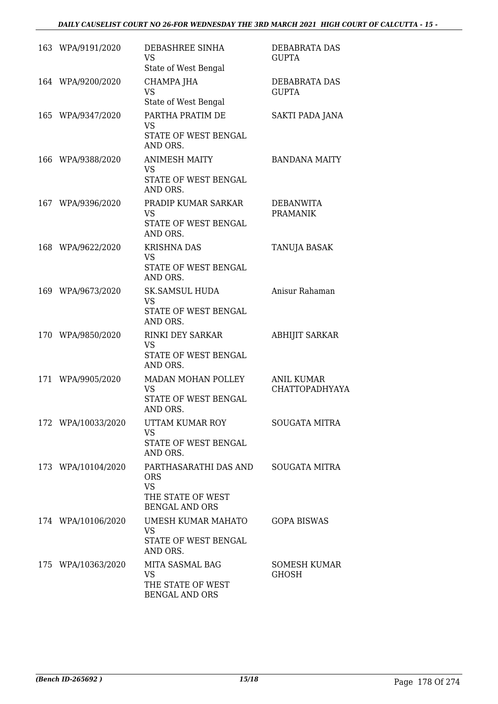#### *DAILY CAUSELIST COURT NO 26-FOR WEDNESDAY THE 3RD MARCH 2021 HIGH COURT OF CALCUTTA - 15 -*

| 163 WPA/9191/2020  | DEBASHREE SINHA<br><b>VS</b><br>State of West Bengal                                           | DEBABRATA DAS<br><b>GUPTA</b>       |
|--------------------|------------------------------------------------------------------------------------------------|-------------------------------------|
| 164 WPA/9200/2020  | CHAMPA JHA<br><b>VS</b><br>State of West Bengal                                                | DEBABRATA DAS<br><b>GUPTA</b>       |
| 165 WPA/9347/2020  | PARTHA PRATIM DE<br><b>VS</b><br>STATE OF WEST BENGAL<br>AND ORS.                              | SAKTI PADA JANA                     |
| 166 WPA/9388/2020  | <b>ANIMESH MAITY</b><br><b>VS</b><br>STATE OF WEST BENGAL<br>AND ORS.                          | <b>BANDANA MAITY</b>                |
| 167 WPA/9396/2020  | PRADIP KUMAR SARKAR<br><b>VS</b><br>STATE OF WEST BENGAL<br>AND ORS.                           | <b>DEBANWITA</b><br><b>PRAMANIK</b> |
| 168 WPA/9622/2020  | <b>KRISHNA DAS</b><br><b>VS</b><br>STATE OF WEST BENGAL<br>AND ORS.                            | TANUJA BASAK                        |
| 169 WPA/9673/2020  | <b>SK.SAMSUL HUDA</b><br><b>VS</b><br>STATE OF WEST BENGAL<br>AND ORS.                         | Anisur Rahaman                      |
| 170 WPA/9850/2020  | <b>RINKI DEY SARKAR</b><br><b>VS</b><br>STATE OF WEST BENGAL<br>AND ORS.                       | <b>ABHIJIT SARKAR</b>               |
| 171 WPA/9905/2020  | MADAN MOHAN POLLEY<br><b>VS</b><br>STATE OF WEST BENGAL<br>AND ORS.                            | <b>ANIL KUMAR</b><br>CHATTOPADHYAYA |
| 172 WPA/10033/2020 | UTTAM KUMAR ROY<br>VS.<br>STATE OF WEST BENGAL<br>AND ORS.                                     | SOUGATA MITRA                       |
| 173 WPA/10104/2020 | PARTHASARATHI DAS AND<br><b>ORS</b><br><b>VS</b><br>THE STATE OF WEST<br><b>BENGAL AND ORS</b> | SOUGATA MITRA                       |
| 174 WPA/10106/2020 | UMESH KUMAR MAHATO<br><b>VS</b><br>STATE OF WEST BENGAL<br>AND ORS.                            | <b>GOPA BISWAS</b>                  |
| 175 WPA/10363/2020 | MITA SASMAL BAG<br>VS<br>THE STATE OF WEST<br>BENGAL AND ORS                                   | <b>SOMESH KUMAR</b><br><b>GHOSH</b> |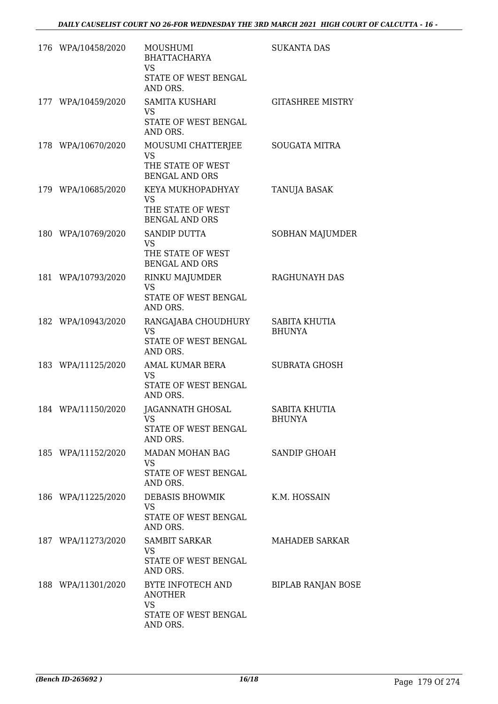| 176 WPA/10458/2020 | MOUSHUMI<br><b>BHATTACHARYA</b><br><b>VS</b><br>STATE OF WEST BENGAL<br>AND ORS.     | <b>SUKANTA DAS</b>             |
|--------------------|--------------------------------------------------------------------------------------|--------------------------------|
| 177 WPA/10459/2020 | SAMITA KUSHARI<br>VS.<br>STATE OF WEST BENGAL<br>AND ORS.                            | <b>GITASHREE MISTRY</b>        |
| 178 WPA/10670/2020 | MOUSUMI CHATTERJEE<br><b>VS</b><br>THE STATE OF WEST<br><b>BENGAL AND ORS</b>        | <b>SOUGATA MITRA</b>           |
| 179 WPA/10685/2020 | KEYA MUKHOPADHYAY<br>VS<br>THE STATE OF WEST<br><b>BENGAL AND ORS</b>                | TANUJA BASAK                   |
| 180 WPA/10769/2020 | <b>SANDIP DUTTA</b><br><b>VS</b><br>THE STATE OF WEST<br><b>BENGAL AND ORS</b>       | SOBHAN MAJUMDER                |
| 181 WPA/10793/2020 | RINKU MAJUMDER<br><b>VS</b><br>STATE OF WEST BENGAL<br>AND ORS.                      | RAGHUNAYH DAS                  |
| 182 WPA/10943/2020 | RANGAJABA CHOUDHURY<br><b>VS</b><br>STATE OF WEST BENGAL<br>AND ORS.                 | SABITA KHUTIA<br><b>BHUNYA</b> |
| 183 WPA/11125/2020 | AMAL KUMAR BERA<br><b>VS</b><br>STATE OF WEST BENGAL<br>AND ORS.                     | <b>SUBRATA GHOSH</b>           |
| 184 WPA/11150/2020 | JAGANNATH GHOSAL<br>VS<br>STATE OF WEST BENGAL<br>AND ORS.                           | SABITA KHUTIA<br><b>BHUNYA</b> |
| 185 WPA/11152/2020 | MADAN MOHAN BAG<br><b>VS</b><br>STATE OF WEST BENGAL<br>AND ORS.                     | SANDIP GHOAH                   |
| 186 WPA/11225/2020 | DEBASIS BHOWMIK<br><b>VS</b><br>STATE OF WEST BENGAL<br>AND ORS.                     | K.M. HOSSAIN                   |
| 187 WPA/11273/2020 | <b>SAMBIT SARKAR</b><br>VS<br>STATE OF WEST BENGAL<br>AND ORS.                       | MAHADEB SARKAR                 |
| 188 WPA/11301/2020 | BYTE INFOTECH AND<br><b>ANOTHER</b><br><b>VS</b><br>STATE OF WEST BENGAL<br>AND ORS. | <b>BIPLAB RANJAN BOSE</b>      |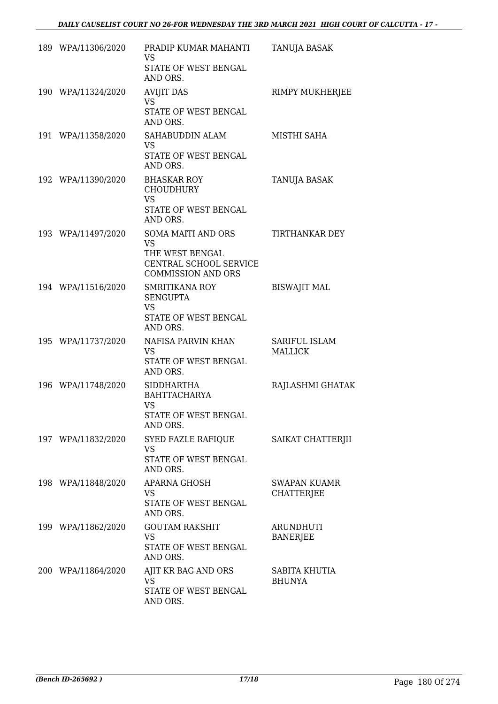| 189 WPA/11306/2020 | PRADIP KUMAR MAHANTI<br>VS.<br>STATE OF WEST BENGAL<br>AND ORS.                                           | TANUJA BASAK                             |
|--------------------|-----------------------------------------------------------------------------------------------------------|------------------------------------------|
| 190 WPA/11324/2020 | <b>AVIJIT DAS</b><br><b>VS</b><br>STATE OF WEST BENGAL<br>AND ORS.                                        | RIMPY MUKHERJEE                          |
| 191 WPA/11358/2020 | SAHABUDDIN ALAM<br><b>VS</b><br>STATE OF WEST BENGAL<br>AND ORS.                                          | MISTHI SAHA                              |
| 192 WPA/11390/2020 | <b>BHASKAR ROY</b><br><b>CHOUDHURY</b><br><b>VS</b><br>STATE OF WEST BENGAL<br>AND ORS.                   | TANUJA BASAK                             |
| 193 WPA/11497/2020 | SOMA MAITI AND ORS<br><b>VS</b><br>THE WEST BENGAL<br>CENTRAL SCHOOL SERVICE<br><b>COMMISSION AND ORS</b> | TIRTHANKAR DEY                           |
| 194 WPA/11516/2020 | <b>SMRITIKANA ROY</b><br><b>SENGUPTA</b><br><b>VS</b><br>STATE OF WEST BENGAL<br>AND ORS.                 | <b>BISWAJIT MAL</b>                      |
| 195 WPA/11737/2020 | NAFISA PARVIN KHAN<br><b>VS</b><br>STATE OF WEST BENGAL<br>AND ORS.                                       | SARIFUL ISLAM<br><b>MALLICK</b>          |
| 196 WPA/11748/2020 | <b>SIDDHARTHA</b><br><b>BAHTTACHARYA</b><br>VS<br><b>STATE OF WEST BENGAL</b><br>AND ORS.                 | RAJLASHMI GHATAK                         |
| 197 WPA/11832/2020 | SYED FAZLE RAFIQUE<br><b>VS</b><br>STATE OF WEST BENGAL<br>AND ORS.                                       | SAIKAT CHATTERJII                        |
| 198 WPA/11848/2020 | <b>APARNA GHOSH</b><br><b>VS</b><br>STATE OF WEST BENGAL<br>AND ORS.                                      | <b>SWAPAN KUAMR</b><br><b>CHATTERJEE</b> |
| 199 WPA/11862/2020 | <b>GOUTAM RAKSHIT</b><br><b>VS</b><br>STATE OF WEST BENGAL<br>AND ORS.                                    | <b>ARUNDHUTI</b><br><b>BANERJEE</b>      |
| 200 WPA/11864/2020 | AJIT KR BAG AND ORS<br>VS<br>STATE OF WEST BENGAL<br>AND ORS.                                             | SABITA KHUTIA<br><b>BHUNYA</b>           |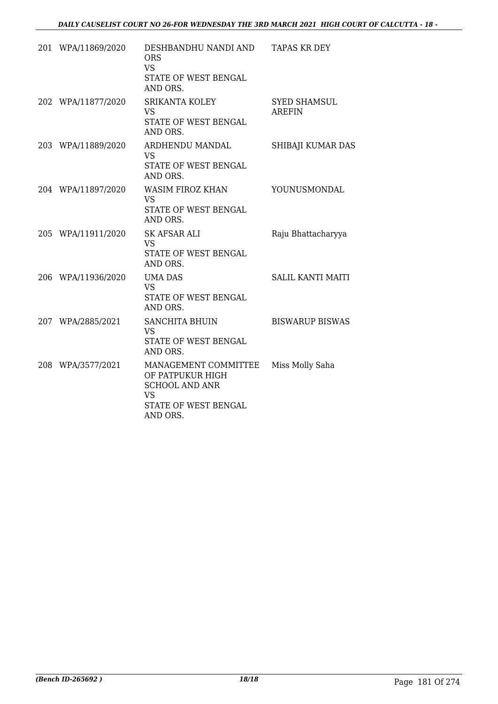| 201 WPA/11869/2020 | DESHBANDHU NANDI AND<br><b>ORS</b><br><b>VS</b><br>STATE OF WEST BENGAL<br>AND ORS.                                | TAPAS KR DEY                         |
|--------------------|--------------------------------------------------------------------------------------------------------------------|--------------------------------------|
| 202 WPA/11877/2020 | <b>SRIKANTA KOLEY</b><br><b>VS</b><br>STATE OF WEST BENGAL<br>AND ORS.                                             | <b>SYED SHAMSUL</b><br><b>AREFIN</b> |
| 203 WPA/11889/2020 | ARDHENDU MANDAL<br><b>VS</b><br>STATE OF WEST BENGAL<br>AND ORS.                                                   | SHIBAJI KUMAR DAS                    |
| 204 WPA/11897/2020 | <b>WASIM FIROZ KHAN</b><br><b>VS</b><br>STATE OF WEST BENGAL<br>AND ORS.                                           | YOUNUSMONDAL                         |
| 205 WPA/11911/2020 | <b>SK AFSAR ALI</b><br><b>VS</b><br>STATE OF WEST BENGAL<br>AND ORS.                                               | Raju Bhattacharyya                   |
| 206 WPA/11936/2020 | UMA DAS<br><b>VS</b><br><b>STATE OF WEST BENGAL</b><br>AND ORS.                                                    | <b>SALIL KANTI MAITI</b>             |
| 207 WPA/2885/2021  | <b>SANCHITA BHUIN</b><br><b>VS</b><br>STATE OF WEST BENGAL<br>AND ORS.                                             | <b>BISWARUP BISWAS</b>               |
| 208 WPA/3577/2021  | MANAGEMENT COMMITTEE<br>OF PATPUKUR HIGH<br><b>SCHOOL AND ANR</b><br><b>VS</b><br>STATE OF WEST BENGAL<br>AND ORS. | Miss Molly Saha                      |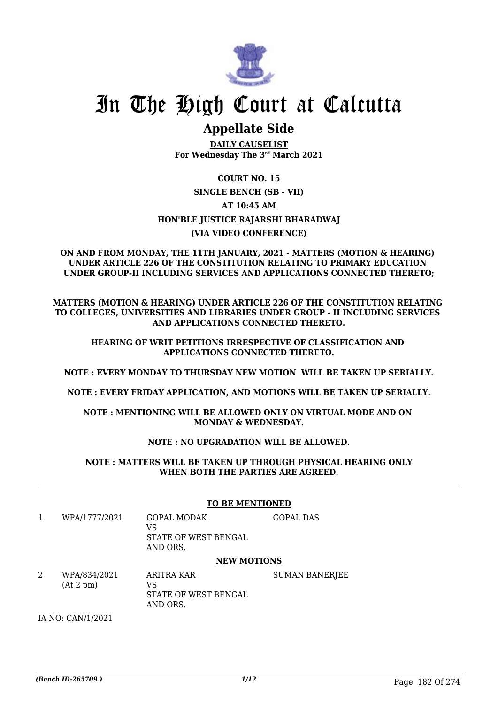

## **Appellate Side**

**DAILY CAUSELIST For Wednesday The 3rd March 2021**

### **COURT NO. 15 SINGLE BENCH (SB - VII) AT 10:45 AM HON'BLE JUSTICE RAJARSHI BHARADWAJ (VIA VIDEO CONFERENCE)**

#### **ON AND FROM MONDAY, THE 11TH JANUARY, 2021 - MATTERS (MOTION & HEARING) UNDER ARTICLE 226 OF THE CONSTITUTION RELATING TO PRIMARY EDUCATION UNDER GROUP-II INCLUDING SERVICES AND APPLICATIONS CONNECTED THERETO;**

**MATTERS (MOTION & HEARING) UNDER ARTICLE 226 OF THE CONSTITUTION RELATING TO COLLEGES, UNIVERSITIES AND LIBRARIES UNDER GROUP - II INCLUDING SERVICES AND APPLICATIONS CONNECTED THERETO.**

#### **HEARING OF WRIT PETITIONS IRRESPECTIVE OF CLASSIFICATION AND APPLICATIONS CONNECTED THERETO.**

**NOTE : EVERY MONDAY TO THURSDAY NEW MOTION WILL BE TAKEN UP SERIALLY.**

**NOTE : EVERY FRIDAY APPLICATION, AND MOTIONS WILL BE TAKEN UP SERIALLY.**

**NOTE : MENTIONING WILL BE ALLOWED ONLY ON VIRTUAL MODE AND ON MONDAY & WEDNESDAY.**

#### **NOTE : NO UPGRADATION WILL BE ALLOWED.**

**NOTE : MATTERS WILL BE TAKEN UP THROUGH PHYSICAL HEARING ONLY WHEN BOTH THE PARTIES ARE AGREED.**

|   |                           | <b>TO BE MENTIONED</b>                                       |                       |  |  |
|---|---------------------------|--------------------------------------------------------------|-----------------------|--|--|
| 1 | WPA/1777/2021             | <b>GOPAL MODAK</b><br>VS<br>STATE OF WEST BENGAL<br>AND ORS. | <b>GOPAL DAS</b>      |  |  |
|   |                           | <b>NEW MOTIONS</b>                                           |                       |  |  |
| 2 | WPA/834/2021<br>(At 2 pm) | ARITRA KAR<br>VS<br>STATE OF WEST BENGAL<br>AND ORS.         | <b>SUMAN BANERJEE</b> |  |  |
|   | IA NO: CAN/1/2021         |                                                              |                       |  |  |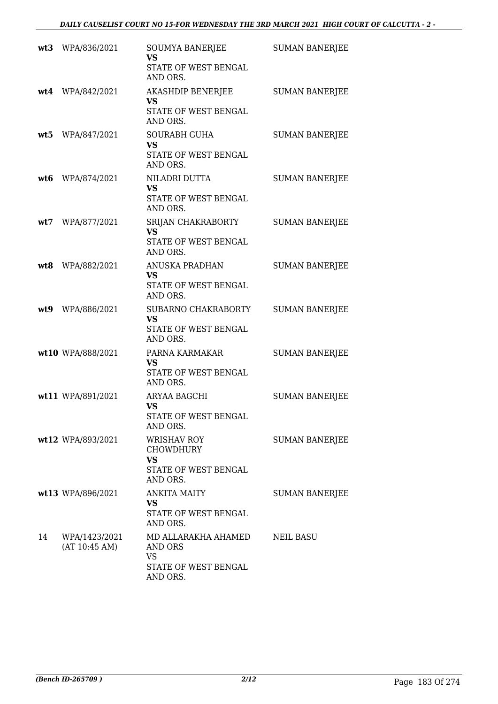|     | wt3 WPA/836/2021               | SOUMYA BANERJEE<br><b>VS</b><br>STATE OF WEST BENGAL<br>AND ORS.                 | <b>SUMAN BANERJEE</b> |
|-----|--------------------------------|----------------------------------------------------------------------------------|-----------------------|
|     | wt4 WPA/842/2021               | AKASHDIP BENERJEE<br><b>VS</b><br>STATE OF WEST BENGAL<br>AND ORS.               | <b>SUMAN BANERJEE</b> |
|     | wt5 WPA/847/2021               | <b>SOURABH GUHA</b><br><b>VS</b><br>STATE OF WEST BENGAL<br>AND ORS.             | <b>SUMAN BANERJEE</b> |
|     | wt6 WPA/874/2021               | NILADRI DUTTA<br><b>VS</b><br>STATE OF WEST BENGAL<br>AND ORS.                   | <b>SUMAN BANERJEE</b> |
| wt7 | WPA/877/2021                   | SRIJAN CHAKRABORTY<br><b>VS</b><br>STATE OF WEST BENGAL<br>AND ORS.              | <b>SUMAN BANERJEE</b> |
|     | wt8 WPA/882/2021               | ANUSKA PRADHAN<br><b>VS</b><br>STATE OF WEST BENGAL<br>AND ORS.                  | <b>SUMAN BANERJEE</b> |
|     | wt9 WPA/886/2021               | SUBARNO CHAKRABORTY<br><b>VS</b><br>STATE OF WEST BENGAL<br>AND ORS.             | <b>SUMAN BANERJEE</b> |
|     | wt10 WPA/888/2021              | PARNA KARMAKAR<br><b>VS</b><br>STATE OF WEST BENGAL<br>AND ORS.                  | <b>SUMAN BANERJEE</b> |
|     | wt11 WPA/891/2021              | ARYAA BAGCHI<br>VS<br>STATE OF WEST BENGAL<br>AND ORS.                           | <b>SUMAN BANERJEE</b> |
|     | wt12 WPA/893/2021              | WRISHAV ROY<br><b>CHOWDHURY</b><br><b>VS</b><br>STATE OF WEST BENGAL<br>AND ORS. | <b>SUMAN BANERJEE</b> |
|     | wt13 WPA/896/2021              | <b>ANKITA MAITY</b><br>VS.<br>STATE OF WEST BENGAL<br>AND ORS.                   | <b>SUMAN BANERJEE</b> |
| 14  | WPA/1423/2021<br>(AT 10:45 AM) | MD ALLARAKHA AHAMED<br>AND ORS<br><b>VS</b><br>STATE OF WEST BENGAL<br>AND ORS.  | <b>NEIL BASU</b>      |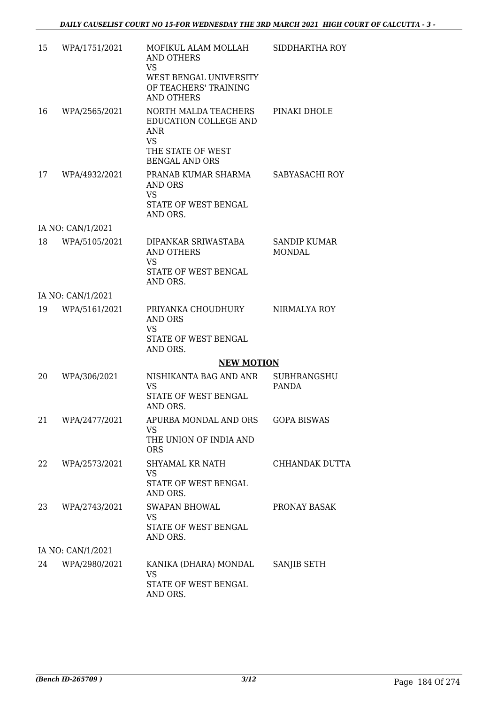| 15 | WPA/1751/2021     | MOFIKUL ALAM MOLLAH<br><b>AND OTHERS</b><br><b>VS</b><br>WEST BENGAL UNIVERSITY<br>OF TEACHERS' TRAINING<br><b>AND OTHERS</b> | SIDDHARTHA ROY                     |
|----|-------------------|-------------------------------------------------------------------------------------------------------------------------------|------------------------------------|
| 16 | WPA/2565/2021     | NORTH MALDA TEACHERS<br>EDUCATION COLLEGE AND<br><b>ANR</b><br><b>VS</b><br>THE STATE OF WEST<br><b>BENGAL AND ORS</b>        | PINAKI DHOLE                       |
| 17 | WPA/4932/2021     | PRANAB KUMAR SHARMA<br>AND ORS<br><b>VS</b><br>STATE OF WEST BENGAL<br>AND ORS.                                               | SABYASACHI ROY                     |
|    | IA NO: CAN/1/2021 |                                                                                                                               |                                    |
| 18 | WPA/5105/2021     | DIPANKAR SRIWASTABA<br>AND OTHERS<br>VS<br>STATE OF WEST BENGAL<br>AND ORS.                                                   | <b>SANDIP KUMAR</b><br>MONDAL      |
|    | IA NO: CAN/1/2021 |                                                                                                                               |                                    |
| 19 | WPA/5161/2021     | PRIYANKA CHOUDHURY<br>AND ORS<br><b>VS</b>                                                                                    | NIRMALYA ROY                       |
|    |                   | STATE OF WEST BENGAL<br>AND ORS.                                                                                              |                                    |
|    |                   | <b>NEW MOTION</b>                                                                                                             |                                    |
| 20 | WPA/306/2021      | NISHIKANTA BAG AND ANR<br><b>VS</b><br>STATE OF WEST BENGAL                                                                   | <b>SUBHRANGSHU</b><br><b>PANDA</b> |
|    |                   | AND ORS.                                                                                                                      |                                    |
| 21 | WPA/2477/2021     | APURBA MONDAL AND ORS<br>VS.<br>THE UNION OF INDIA AND                                                                        | <b>GOPA BISWAS</b>                 |
|    |                   | <b>ORS</b>                                                                                                                    |                                    |
| 22 | WPA/2573/2021     | SHYAMAL KR NATH<br><b>VS</b><br>STATE OF WEST BENGAL                                                                          | CHHANDAK DUTTA                     |
|    |                   | AND ORS.                                                                                                                      |                                    |
| 23 | WPA/2743/2021     | <b>SWAPAN BHOWAL</b><br><b>VS</b>                                                                                             | PRONAY BASAK                       |
|    |                   | STATE OF WEST BENGAL<br>AND ORS.                                                                                              |                                    |
|    | IA NO: CAN/1/2021 |                                                                                                                               |                                    |
|    | 24 WPA/2980/2021  | KANIKA (DHARA) MONDAL<br><b>VS</b>                                                                                            | SANJIB SETH                        |
|    |                   | STATE OF WEST BENGAL<br>AND ORS.                                                                                              |                                    |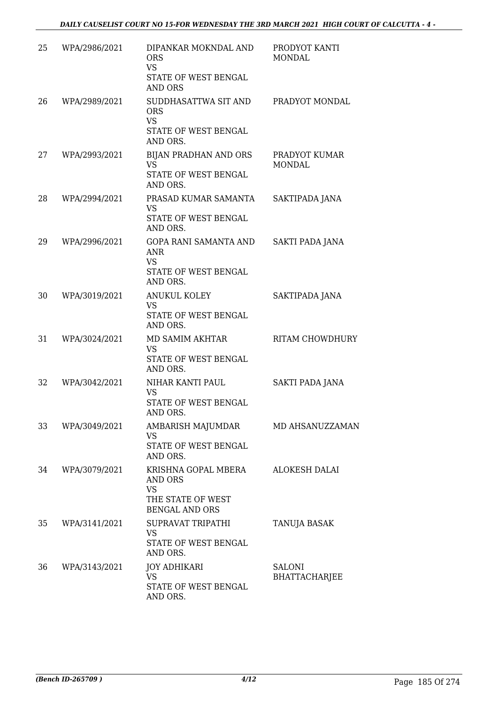| 25 | WPA/2986/2021 | DIPANKAR MOKNDAL AND<br><b>ORS</b><br><b>VS</b><br>STATE OF WEST BENGAL<br><b>AND ORS</b> | PRODYOT KANTI<br><b>MONDAL</b> |
|----|---------------|-------------------------------------------------------------------------------------------|--------------------------------|
| 26 | WPA/2989/2021 | SUDDHASATTWA SIT AND<br><b>ORS</b><br><b>VS</b><br>STATE OF WEST BENGAL<br>AND ORS.       | PRADYOT MONDAL                 |
| 27 | WPA/2993/2021 | BIJAN PRADHAN AND ORS<br><b>VS</b><br>STATE OF WEST BENGAL<br>AND ORS.                    | PRADYOT KUMAR<br><b>MONDAL</b> |
| 28 | WPA/2994/2021 | PRASAD KUMAR SAMANTA<br><b>VS</b><br>STATE OF WEST BENGAL<br>AND ORS.                     | SAKTIPADA JANA                 |
| 29 | WPA/2996/2021 | GOPA RANI SAMANTA AND<br><b>ANR</b><br><b>VS</b><br>STATE OF WEST BENGAL<br>AND ORS.      | <b>SAKTI PADA JANA</b>         |
| 30 | WPA/3019/2021 | <b>ANUKUL KOLEY</b><br>VS<br>STATE OF WEST BENGAL<br>AND ORS.                             | SAKTIPADA JANA                 |
| 31 | WPA/3024/2021 | MD SAMIM AKHTAR<br><b>VS</b><br>STATE OF WEST BENGAL<br>AND ORS.                          | RITAM CHOWDHURY                |
| 32 | WPA/3042/2021 | NIHAR KANTI PAUL<br><b>VS</b><br>STATE OF WEST BENGAL<br>AND ORS.                         | SAKTI PADA JANA                |
| 33 | WPA/3049/2021 | AMBARISH MAJUMDAR<br>VS<br>STATE OF WEST BENGAL<br>AND ORS.                               | MD AHSANUZZAMAN                |
| 34 | WPA/3079/2021 | KRISHNA GOPAL MBERA<br>AND ORS<br><b>VS</b><br>THE STATE OF WEST<br><b>BENGAL AND ORS</b> | <b>ALOKESH DALAI</b>           |
| 35 | WPA/3141/2021 | SUPRAVAT TRIPATHI<br><b>VS</b><br>STATE OF WEST BENGAL<br>AND ORS.                        | <b>TANUJA BASAK</b>            |
| 36 | WPA/3143/2021 | <b>JOY ADHIKARI</b><br>VS<br>STATE OF WEST BENGAL<br>AND ORS.                             | SALONI<br><b>BHATTACHARJEE</b> |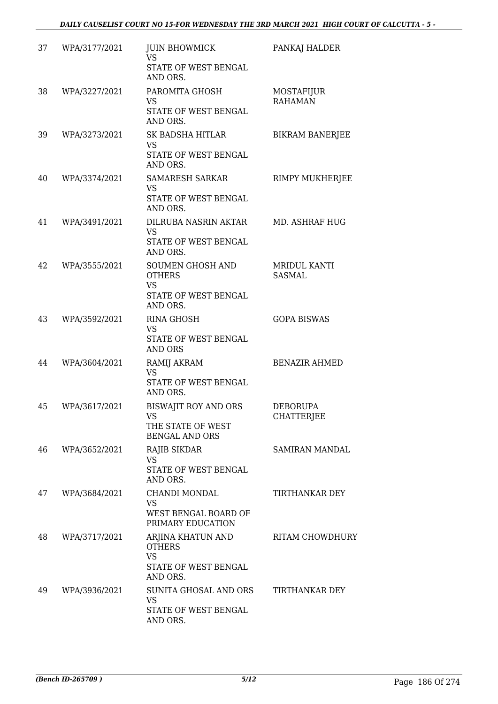| 37 | WPA/3177/2021 | <b>JUIN BHOWMICK</b><br><b>VS</b>                                                         | PANKAJ HALDER                 |
|----|---------------|-------------------------------------------------------------------------------------------|-------------------------------|
|    |               | STATE OF WEST BENGAL<br>AND ORS.                                                          |                               |
| 38 | WPA/3227/2021 | PAROMITA GHOSH<br><b>VS</b><br>STATE OF WEST BENGAL<br>AND ORS.                           | MOSTAFIJUR<br><b>RAHAMAN</b>  |
| 39 | WPA/3273/2021 | SK BADSHA HITLAR<br>VS<br>STATE OF WEST BENGAL<br>AND ORS.                                | <b>BIKRAM BANERJEE</b>        |
| 40 | WPA/3374/2021 | SAMARESH SARKAR<br>VS<br>STATE OF WEST BENGAL<br>AND ORS.                                 | RIMPY MUKHERJEE               |
| 41 | WPA/3491/2021 | DILRUBA NASRIN AKTAR<br><b>VS</b><br>STATE OF WEST BENGAL<br>AND ORS.                     | <b>MD. ASHRAF HUG</b>         |
| 42 | WPA/3555/2021 | <b>SOUMEN GHOSH AND</b><br><b>OTHERS</b><br><b>VS</b><br>STATE OF WEST BENGAL<br>AND ORS. | MRIDUL KANTI<br><b>SASMAL</b> |
| 43 | WPA/3592/2021 | <b>RINA GHOSH</b><br><b>VS</b><br>STATE OF WEST BENGAL<br><b>AND ORS</b>                  | <b>GOPA BISWAS</b>            |
| 44 | WPA/3604/2021 | RAMIJ AKRAM<br><b>VS</b><br>STATE OF WEST BENGAL<br>AND ORS.                              | <b>BENAZIR AHMED</b>          |
| 45 | WPA/3617/2021 | <b>BISWAJIT ROY AND ORS</b><br>VS<br>THE STATE OF WEST<br><b>BENGAL AND ORS</b>           | <b>DEBORUPA</b><br>CHATTERJEE |
| 46 | WPA/3652/2021 | RAJIB SIKDAR<br><b>VS</b><br>STATE OF WEST BENGAL<br>AND ORS.                             | <b>SAMIRAN MANDAL</b>         |
| 47 | WPA/3684/2021 | CHANDI MONDAL<br>VS<br>WEST BENGAL BOARD OF<br>PRIMARY EDUCATION                          | TIRTHANKAR DEY                |
| 48 | WPA/3717/2021 | ARJINA KHATUN AND<br><b>OTHERS</b><br><b>VS</b><br>STATE OF WEST BENGAL<br>AND ORS.       | <b>RITAM CHOWDHURY</b>        |
| 49 | WPA/3936/2021 | SUNITA GHOSAL AND ORS<br><b>VS</b><br>STATE OF WEST BENGAL<br>AND ORS.                    | TIRTHANKAR DEY                |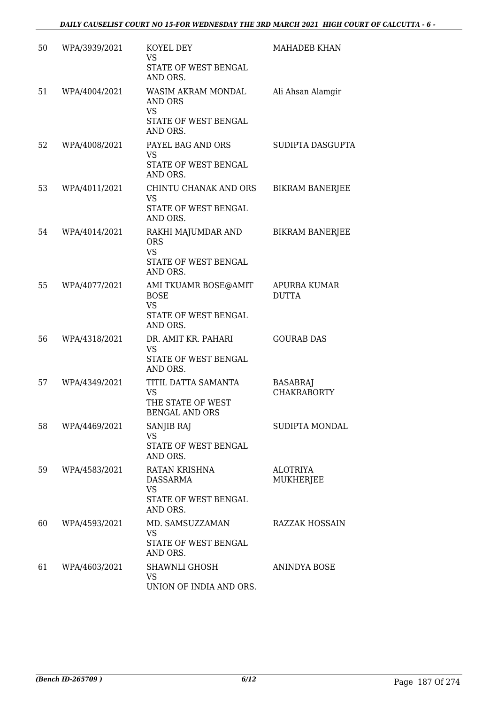| 50 | WPA/3939/2021 | KOYEL DEY<br><b>VS</b><br>STATE OF WEST BENGAL<br>AND ORS.                            | MAHADEB KHAN                          |
|----|---------------|---------------------------------------------------------------------------------------|---------------------------------------|
| 51 | WPA/4004/2021 | WASIM AKRAM MONDAL<br><b>AND ORS</b><br><b>VS</b><br>STATE OF WEST BENGAL<br>AND ORS. | Ali Ahsan Alamgir                     |
| 52 | WPA/4008/2021 | PAYEL BAG AND ORS<br><b>VS</b><br>STATE OF WEST BENGAL<br>AND ORS.                    | SUDIPTA DASGUPTA                      |
| 53 | WPA/4011/2021 | CHINTU CHANAK AND ORS<br><b>VS</b><br>STATE OF WEST BENGAL<br>AND ORS.                | <b>BIKRAM BANERJEE</b>                |
| 54 | WPA/4014/2021 | RAKHI MAJUMDAR AND<br><b>ORS</b><br><b>VS</b><br>STATE OF WEST BENGAL<br>AND ORS.     | <b>BIKRAM BANERJEE</b>                |
| 55 | WPA/4077/2021 | AMI TKUAMR BOSE@AMIT<br><b>BOSE</b><br><b>VS</b><br>STATE OF WEST BENGAL<br>AND ORS.  | APURBA KUMAR<br><b>DUTTA</b>          |
| 56 | WPA/4318/2021 | DR. AMIT KR. PAHARI<br>VS<br>STATE OF WEST BENGAL<br>AND ORS.                         | <b>GOURAB DAS</b>                     |
| 57 | WPA/4349/2021 | TITIL DATTA SAMANTA<br><b>VS</b><br>THE STATE OF WEST<br><b>BENGAL AND ORS</b>        | <b>BASABRAJ</b><br><b>CHAKRABORTY</b> |
| 58 | WPA/4469/2021 | <b>SANJIB RAJ</b><br><b>VS</b><br>STATE OF WEST BENGAL<br>AND ORS.                    | SUDIPTA MONDAL                        |
| 59 | WPA/4583/2021 | RATAN KRISHNA<br><b>DASSARMA</b><br><b>VS</b><br>STATE OF WEST BENGAL<br>AND ORS.     | <b>ALOTRIYA</b><br>MUKHERJEE          |
| 60 | WPA/4593/2021 | MD. SAMSUZZAMAN<br>VS<br>STATE OF WEST BENGAL<br>AND ORS.                             | <b>RAZZAK HOSSAIN</b>                 |
| 61 | WPA/4603/2021 | SHAWNLI GHOSH<br><b>VS</b><br>UNION OF INDIA AND ORS.                                 | ANINDYA BOSE                          |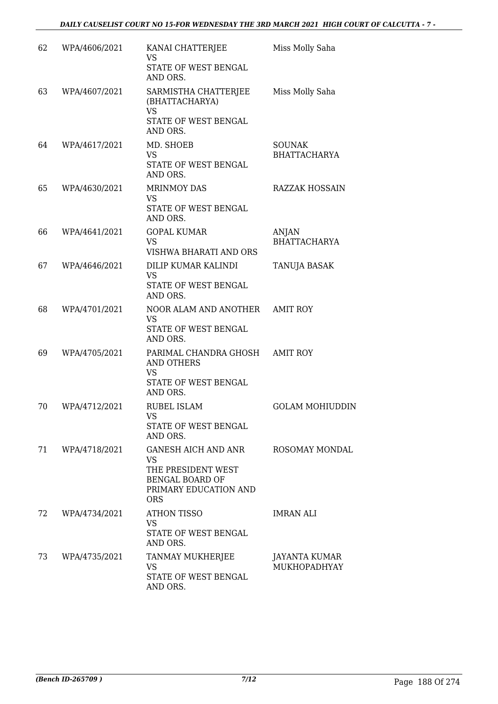| 62 | WPA/4606/2021 | KANAI CHATTERJEE<br><b>VS</b><br>STATE OF WEST BENGAL<br>AND ORS.                                                       | Miss Molly Saha                      |
|----|---------------|-------------------------------------------------------------------------------------------------------------------------|--------------------------------------|
| 63 | WPA/4607/2021 | SARMISTHA CHATTERJEE<br>(BHATTACHARYA)<br><b>VS</b><br>STATE OF WEST BENGAL<br>AND ORS.                                 | Miss Molly Saha                      |
| 64 | WPA/4617/2021 | MD. SHOEB<br>VS<br>STATE OF WEST BENGAL<br>AND ORS.                                                                     | <b>SOUNAK</b><br><b>BHATTACHARYA</b> |
| 65 | WPA/4630/2021 | <b>MRINMOY DAS</b><br><b>VS</b><br>STATE OF WEST BENGAL<br>AND ORS.                                                     | <b>RAZZAK HOSSAIN</b>                |
| 66 | WPA/4641/2021 | <b>GOPAL KUMAR</b><br><b>VS</b><br>VISHWA BHARATI AND ORS                                                               | ANJAN<br><b>BHATTACHARYA</b>         |
| 67 | WPA/4646/2021 | DILIP KUMAR KALINDI<br><b>VS</b><br>STATE OF WEST BENGAL<br>AND ORS.                                                    | TANUJA BASAK                         |
| 68 | WPA/4701/2021 | NOOR ALAM AND ANOTHER<br>VS<br>STATE OF WEST BENGAL<br>AND ORS.                                                         | <b>AMIT ROY</b>                      |
| 69 | WPA/4705/2021 | PARIMAL CHANDRA GHOSH AMIT ROY<br><b>AND OTHERS</b><br><b>VS</b><br>STATE OF WEST BENGAL<br>AND ORS.                    |                                      |
| 70 | WPA/4712/2021 | <b>RUBEL ISLAM</b><br>VS<br>STATE OF WEST BENGAL<br>AND ORS.                                                            | <b>GOLAM MOHIUDDIN</b>               |
| 71 | WPA/4718/2021 | GANESH AICH AND ANR<br><b>VS</b><br>THE PRESIDENT WEST<br><b>BENGAL BOARD OF</b><br>PRIMARY EDUCATION AND<br><b>ORS</b> | ROSOMAY MONDAL                       |
| 72 | WPA/4734/2021 | <b>ATHON TISSO</b><br><b>VS</b><br>STATE OF WEST BENGAL<br>AND ORS.                                                     | IMRAN ALI                            |
| 73 | WPA/4735/2021 | TANMAY MUKHERJEE<br>VS<br>STATE OF WEST BENGAL<br>AND ORS.                                                              | JAYANTA KUMAR<br>MUKHOPADHYAY        |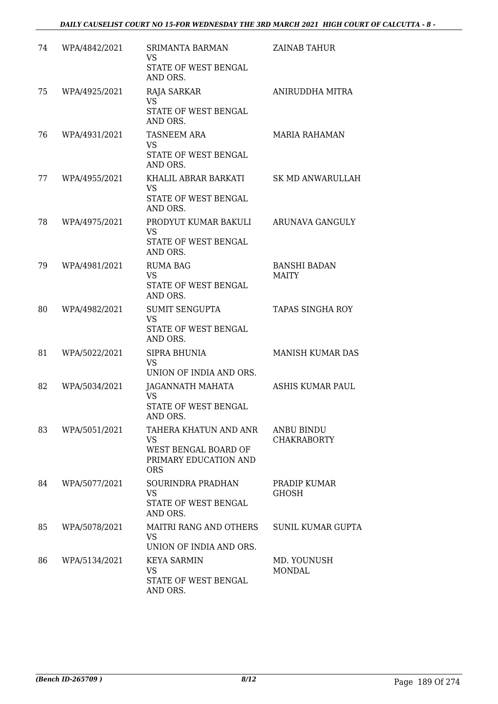| 74 | WPA/4842/2021 | SRIMANTA BARMAN<br><b>VS</b><br>STATE OF WEST BENGAL<br>AND ORS.                                  | <b>ZAINAB TAHUR</b>                     |
|----|---------------|---------------------------------------------------------------------------------------------------|-----------------------------------------|
| 75 | WPA/4925/2021 | RAJA SARKAR<br><b>VS</b><br>STATE OF WEST BENGAL<br>AND ORS.                                      | <b>ANIRUDDHA MITRA</b>                  |
| 76 | WPA/4931/2021 | <b>TASNEEM ARA</b><br><b>VS</b><br>STATE OF WEST BENGAL<br>AND ORS.                               | <b>MARIA RAHAMAN</b>                    |
| 77 | WPA/4955/2021 | KHALIL ABRAR BARKATI<br><b>VS</b><br>STATE OF WEST BENGAL<br>AND ORS.                             | <b>SK MD ANWARULLAH</b>                 |
| 78 | WPA/4975/2021 | PRODYUT KUMAR BAKULI<br><b>VS</b><br>STATE OF WEST BENGAL<br>AND ORS.                             | ARUNAVA GANGULY                         |
| 79 | WPA/4981/2021 | <b>RUMA BAG</b><br><b>VS</b><br>STATE OF WEST BENGAL<br>AND ORS.                                  | <b>BANSHI BADAN</b><br><b>MAITY</b>     |
| 80 | WPA/4982/2021 | <b>SUMIT SENGUPTA</b><br><b>VS</b><br>STATE OF WEST BENGAL<br>AND ORS.                            | <b>TAPAS SINGHA ROY</b>                 |
| 81 | WPA/5022/2021 | SIPRA BHUNIA<br><b>VS</b><br>UNION OF INDIA AND ORS.                                              | <b>MANISH KUMAR DAS</b>                 |
| 82 | WPA/5034/2021 | JAGANNATH MAHATA<br><b>VS</b><br>STATE OF WEST BENGAL<br>AND ORS.                                 | ASHIS KUMAR PAUL                        |
| 83 | WPA/5051/2021 | TAHERA KHATUN AND ANR<br><b>VS</b><br>WEST BENGAL BOARD OF<br>PRIMARY EDUCATION AND<br><b>ORS</b> | <b>ANBU BINDU</b><br><b>CHAKRABORTY</b> |
| 84 | WPA/5077/2021 | SOURINDRA PRADHAN<br><b>VS</b><br>STATE OF WEST BENGAL<br>AND ORS.                                | PRADIP KUMAR<br>GHOSH                   |
| 85 | WPA/5078/2021 | <b>MAITRI RANG AND OTHERS</b><br><b>VS</b><br>UNION OF INDIA AND ORS.                             | <b>SUNIL KUMAR GUPTA</b>                |
| 86 | WPA/5134/2021 | <b>KEYA SARMIN</b><br><b>VS</b><br>STATE OF WEST BENGAL<br>AND ORS.                               | MD. YOUNUSH<br><b>MONDAL</b>            |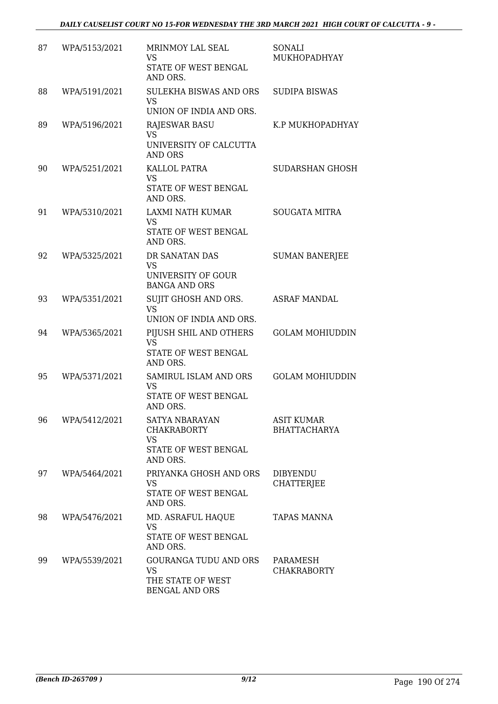| 87 | WPA/5153/2021 | <b>MRINMOY LAL SEAL</b><br><b>VS</b><br>STATE OF WEST BENGAL<br>AND ORS.                | SONALI<br>MUKHOPADHYAY                   |
|----|---------------|-----------------------------------------------------------------------------------------|------------------------------------------|
| 88 | WPA/5191/2021 | SULEKHA BISWAS AND ORS<br><b>VS</b><br>UNION OF INDIA AND ORS.                          | <b>SUDIPA BISWAS</b>                     |
| 89 | WPA/5196/2021 | <b>RAJESWAR BASU</b><br><b>VS</b><br>UNIVERSITY OF CALCUTTA<br><b>AND ORS</b>           | K.P MUKHOPADHYAY                         |
| 90 | WPA/5251/2021 | KALLOL PATRA<br><b>VS</b><br>STATE OF WEST BENGAL<br>AND ORS.                           | <b>SUDARSHAN GHOSH</b>                   |
| 91 | WPA/5310/2021 | LAXMI NATH KUMAR<br><b>VS</b><br><b>STATE OF WEST BENGAL</b><br>AND ORS.                | <b>SOUGATA MITRA</b>                     |
| 92 | WPA/5325/2021 | DR SANATAN DAS<br><b>VS</b><br>UNIVERSITY OF GOUR<br><b>BANGA AND ORS</b>               | <b>SUMAN BANERJEE</b>                    |
| 93 | WPA/5351/2021 | SUJIT GHOSH AND ORS.<br><b>VS</b><br>UNION OF INDIA AND ORS.                            | <b>ASRAF MANDAL</b>                      |
| 94 | WPA/5365/2021 | PIJUSH SHIL AND OTHERS<br><b>VS</b><br>STATE OF WEST BENGAL<br>AND ORS.                 | <b>GOLAM MOHIUDDIN</b>                   |
| 95 | WPA/5371/2021 | SAMIRUL ISLAM AND ORS<br><b>VS</b><br>STATE OF WEST BENGAL<br>AND ORS.                  | <b>GOLAM MOHIUDDIN</b>                   |
| 96 | WPA/5412/2021 | SATYA NBARAYAN<br><b>CHAKRABORTY</b><br><b>VS</b><br>STATE OF WEST BENGAL<br>AND ORS.   | <b>ASIT KUMAR</b><br><b>BHATTACHARYA</b> |
| 97 | WPA/5464/2021 | PRIYANKA GHOSH AND ORS<br><b>VS</b><br>STATE OF WEST BENGAL<br>AND ORS.                 | <b>DIBYENDU</b><br><b>CHATTERJEE</b>     |
| 98 | WPA/5476/2021 | MD. ASRAFUL HAQUE<br><b>VS</b><br>STATE OF WEST BENGAL<br>AND ORS.                      | <b>TAPAS MANNA</b>                       |
| 99 | WPA/5539/2021 | <b>GOURANGA TUDU AND ORS</b><br><b>VS</b><br>THE STATE OF WEST<br><b>BENGAL AND ORS</b> | PARAMESH<br><b>CHAKRABORTY</b>           |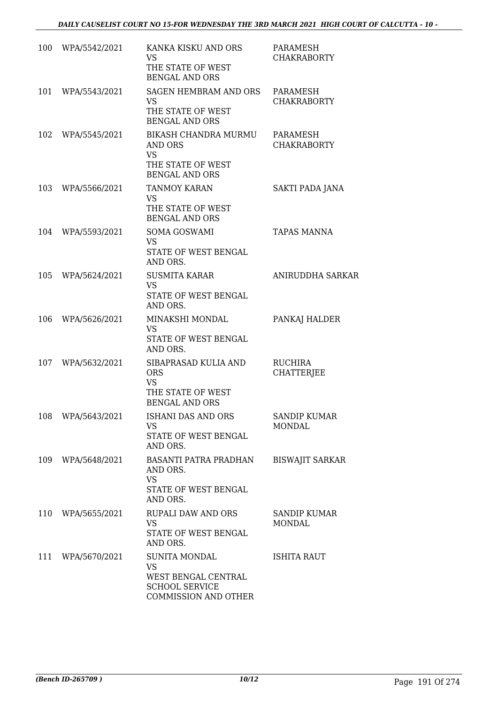| 100 | WPA/5542/2021     | KANKA KISKU AND ORS<br><b>VS</b><br>THE STATE OF WEST<br><b>BENGAL AND ORS</b>                                   | PARAMESH<br><b>CHAKRABORTY</b>      |
|-----|-------------------|------------------------------------------------------------------------------------------------------------------|-------------------------------------|
| 101 | WPA/5543/2021     | <b>SAGEN HEMBRAM AND ORS</b><br><b>VS</b><br>THE STATE OF WEST<br><b>BENGAL AND ORS</b>                          | PARAMESH<br><b>CHAKRABORTY</b>      |
| 102 | WPA/5545/2021     | BIKASH CHANDRA MURMU<br>AND ORS<br><b>VS</b><br>THE STATE OF WEST<br><b>BENGAL AND ORS</b>                       | PARAMESH<br><b>CHAKRABORTY</b>      |
| 103 | WPA/5566/2021     | <b>TANMOY KARAN</b><br><b>VS</b><br>THE STATE OF WEST<br><b>BENGAL AND ORS</b>                                   | SAKTI PADA JANA                     |
| 104 | WPA/5593/2021     | SOMA GOSWAMI<br><b>VS</b><br>STATE OF WEST BENGAL<br>AND ORS.                                                    | <b>TAPAS MANNA</b>                  |
| 105 | WPA/5624/2021     | <b>SUSMITA KARAR</b><br><b>VS</b><br>STATE OF WEST BENGAL<br>AND ORS.                                            | ANIRUDDHA SARKAR                    |
| 106 | WPA/5626/2021     | MINAKSHI MONDAL<br><b>VS</b><br>STATE OF WEST BENGAL<br>AND ORS.                                                 | PANKAJ HALDER                       |
| 107 | WPA/5632/2021     | SIBAPRASAD KULIA AND<br><b>ORS</b><br><b>VS</b><br>THE STATE OF WEST<br><b>BENGAL AND ORS</b>                    | <b>RUCHIRA</b><br><b>CHATTERJEE</b> |
| 108 | WPA/5643/2021     | ISHANI DAS AND ORS<br>VS<br>STATE OF WEST BENGAL<br>AND ORS.                                                     | SANDIP KUMAR<br><b>MONDAL</b>       |
|     | 109 WPA/5648/2021 | <b>BASANTI PATRA PRADHAN</b><br>AND ORS.<br><b>VS</b><br>STATE OF WEST BENGAL<br>AND ORS.                        | <b>BISWAJIT SARKAR</b>              |
|     | 110 WPA/5655/2021 | <b>RUPALI DAW AND ORS</b><br><b>VS</b><br>STATE OF WEST BENGAL<br>AND ORS.                                       | <b>SANDIP KUMAR</b><br>MONDAL       |
| 111 | WPA/5670/2021     | <b>SUNITA MONDAL</b><br><b>VS</b><br>WEST BENGAL CENTRAL<br><b>SCHOOL SERVICE</b><br><b>COMMISSION AND OTHER</b> | ISHITA RAUT                         |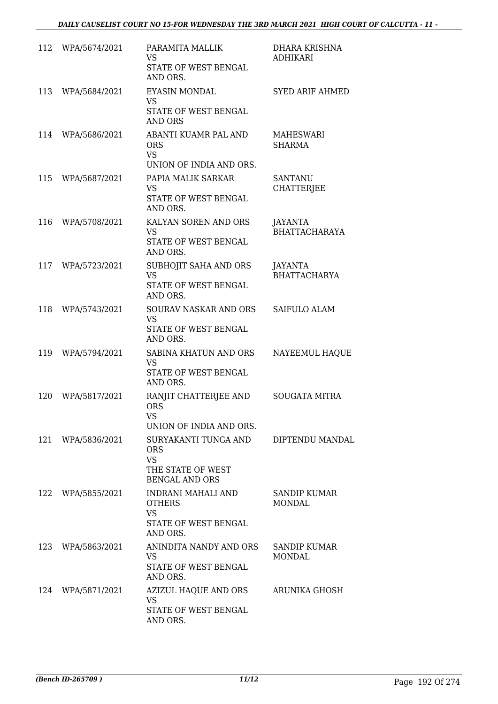| 112 | WPA/5674/2021 | PARAMITA MALLIK<br><b>VS</b><br>STATE OF WEST BENGAL<br>AND ORS.                              | DHARA KRISHNA<br><b>ADHIKARI</b>       |
|-----|---------------|-----------------------------------------------------------------------------------------------|----------------------------------------|
| 113 | WPA/5684/2021 | <b>EYASIN MONDAL</b><br><b>VS</b><br>STATE OF WEST BENGAL<br><b>AND ORS</b>                   | <b>SYED ARIF AHMED</b>                 |
| 114 | WPA/5686/2021 | ABANTI KUAMR PAL AND<br><b>ORS</b><br><b>VS</b><br>UNION OF INDIA AND ORS.                    | MAHESWARI<br><b>SHARMA</b>             |
| 115 | WPA/5687/2021 | PAPIA MALIK SARKAR<br>VS<br>STATE OF WEST BENGAL<br>AND ORS.                                  | <b>SANTANU</b><br><b>CHATTERJEE</b>    |
| 116 | WPA/5708/2021 | KALYAN SOREN AND ORS<br><b>VS</b><br>STATE OF WEST BENGAL<br>AND ORS.                         | <b>JAYANTA</b><br><b>BHATTACHARAYA</b> |
| 117 | WPA/5723/2021 | SUBHOJIT SAHA AND ORS<br><b>VS</b><br>STATE OF WEST BENGAL<br>AND ORS.                        | JAYANTA<br><b>BHATTACHARYA</b>         |
| 118 | WPA/5743/2021 | SOURAV NASKAR AND ORS<br><b>VS</b><br>STATE OF WEST BENGAL<br>AND ORS.                        | SAIFULO ALAM                           |
| 119 | WPA/5794/2021 | SABINA KHATUN AND ORS<br><b>VS</b><br>STATE OF WEST BENGAL<br>AND ORS.                        | NAYEEMUL HAQUE                         |
| 120 | WPA/5817/2021 | RANJIT CHATTERJEE AND<br><b>ORS</b><br><b>VS</b><br>UNION OF INDIA AND ORS.                   | <b>SOUGATA MITRA</b>                   |
| 121 | WPA/5836/2021 | SURYAKANTI TUNGA AND<br><b>ORS</b><br><b>VS</b><br>THE STATE OF WEST<br><b>BENGAL AND ORS</b> | DIPTENDU MANDAL                        |
| 122 | WPA/5855/2021 | INDRANI MAHALI AND<br><b>OTHERS</b><br><b>VS</b><br>STATE OF WEST BENGAL<br>AND ORS.          | <b>SANDIP KUMAR</b><br>MONDAL          |
| 123 | WPA/5863/2021 | ANINDITA NANDY AND ORS<br><b>VS</b><br>STATE OF WEST BENGAL<br>AND ORS.                       | SANDIP KUMAR<br><b>MONDAL</b>          |
| 124 | WPA/5871/2021 | AZIZUL HAQUE AND ORS<br><b>VS</b><br>STATE OF WEST BENGAL<br>AND ORS.                         | ARUNIKA GHOSH                          |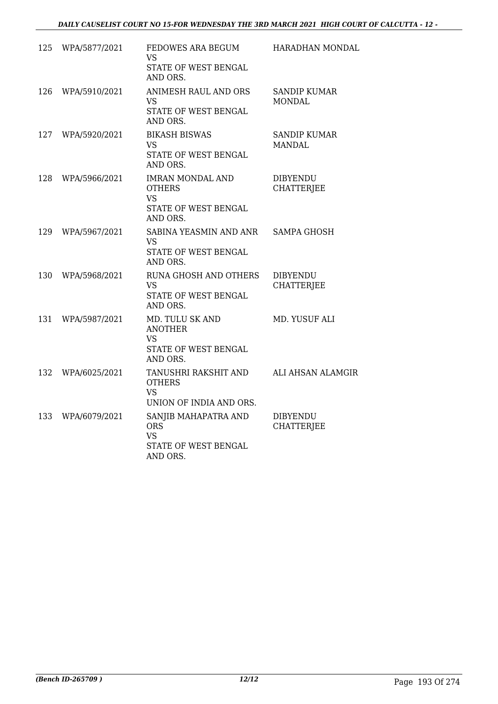| 125 | WPA/5877/2021 | FEDOWES ARA BEGUM<br>VS.<br>STATE OF WEST BENGAL<br>AND ORS.                              | HARADHAN MONDAL                      |
|-----|---------------|-------------------------------------------------------------------------------------------|--------------------------------------|
| 126 | WPA/5910/2021 | ANIMESH RAUL AND ORS<br><b>VS</b><br>STATE OF WEST BENGAL<br>AND ORS.                     | SANDIP KUMAR<br><b>MONDAL</b>        |
| 127 | WPA/5920/2021 | <b>BIKASH BISWAS</b><br><b>VS</b><br>STATE OF WEST BENGAL<br>AND ORS.                     | <b>SANDIP KUMAR</b><br><b>MANDAL</b> |
| 128 | WPA/5966/2021 | <b>IMRAN MONDAL AND</b><br><b>OTHERS</b><br><b>VS</b><br>STATE OF WEST BENGAL<br>AND ORS. | <b>DIBYENDU</b><br><b>CHATTERJEE</b> |
| 129 | WPA/5967/2021 | SABINA YEASMIN AND ANR<br>VS<br>STATE OF WEST BENGAL<br>AND ORS.                          | <b>SAMPA GHOSH</b>                   |
| 130 | WPA/5968/2021 | <b>RUNA GHOSH AND OTHERS</b><br><b>VS</b><br>STATE OF WEST BENGAL<br>AND ORS.             | <b>DIBYENDU</b><br><b>CHATTERJEE</b> |
| 131 | WPA/5987/2021 | MD. TULU SK AND<br><b>ANOTHER</b><br>VS.<br>STATE OF WEST BENGAL<br>AND ORS.              | MD. YUSUF ALI                        |
| 132 | WPA/6025/2021 | TANUSHRI RAKSHIT AND<br><b>OTHERS</b><br>VS.<br>UNION OF INDIA AND ORS.                   | ALI AHSAN ALAMGIR                    |
| 133 | WPA/6079/2021 | SANJIB MAHAPATRA AND<br><b>ORS</b><br><b>VS</b><br>STATE OF WEST BENGAL<br>AND ORS.       | <b>DIBYENDU</b><br><b>CHATTERJEE</b> |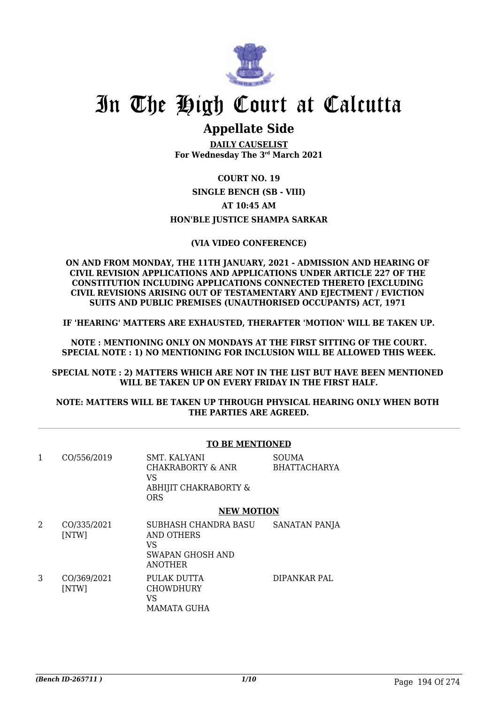

### **Appellate Side**

**DAILY CAUSELIST For Wednesday The 3rd March 2021**

### **COURT NO. 19 SINGLE BENCH (SB - VIII) AT 10:45 AM HON'BLE JUSTICE SHAMPA SARKAR**

#### **(VIA VIDEO CONFERENCE)**

**ON AND FROM MONDAY, THE 11TH JANUARY, 2021 - ADMISSION AND HEARING OF CIVIL REVISION APPLICATIONS AND APPLICATIONS UNDER ARTICLE 227 OF THE CONSTITUTION INCLUDING APPLICATIONS CONNECTED THERETO [EXCLUDING CIVIL REVISIONS ARISING OUT OF TESTAMENTARY AND EJECTMENT / EVICTION SUITS AND PUBLIC PREMISES (UNAUTHORISED OCCUPANTS) ACT, 1971** 

**IF 'HEARING' MATTERS ARE EXHAUSTED, THERAFTER 'MOTION' WILL BE TAKEN UP.**

**NOTE : MENTIONING ONLY ON MONDAYS AT THE FIRST SITTING OF THE COURT. SPECIAL NOTE : 1) NO MENTIONING FOR INCLUSION WILL BE ALLOWED THIS WEEK.**

**SPECIAL NOTE : 2) MATTERS WHICH ARE NOT IN THE LIST BUT HAVE BEEN MENTIONED WILL BE TAKEN UP ON EVERY FRIDAY IN THE FIRST HALF.**

#### **NOTE: MATTERS WILL BE TAKEN UP THROUGH PHYSICAL HEARING ONLY WHEN BOTH THE PARTIES ARE AGREED.**

|   |                      | <b>TO BE MENTIONED</b>                                                                |                                     |  |
|---|----------------------|---------------------------------------------------------------------------------------|-------------------------------------|--|
| 1 | CO/556/2019          | SMT. KALYANI<br>CHAKRABORTY & ANR<br>VS.<br>ABHIJIT CHAKRABORTY &<br><b>ORS</b>       | <b>SOUMA</b><br><b>BHATTACHARYA</b> |  |
|   |                      | <b>NEW MOTION</b>                                                                     |                                     |  |
| 2 | CO/335/2021<br>[NTW] | SUBHASH CHANDRA BASU<br><b>AND OTHERS</b><br>VS<br>SWAPAN GHOSH AND<br><b>ANOTHER</b> | SANATAN PANJA                       |  |
| 3 | CO/369/2021<br>[NTW] | PULAK DUTTA<br>CHOWDHURY<br>VS<br>MAMATA GUHA                                         | DIPANKAR PAL                        |  |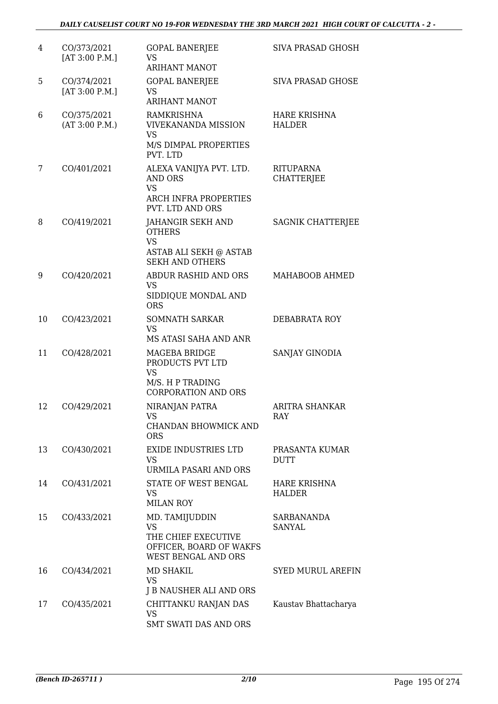| 4  | CO/373/2021<br>[AT 3:00 P.M.] | <b>GOPAL BANERJEE</b><br><b>VS</b><br><b>ARIHANT MANOT</b>                                                 | <b>SIVA PRASAD GHOSH</b>              |
|----|-------------------------------|------------------------------------------------------------------------------------------------------------|---------------------------------------|
| 5  | CO/374/2021<br>[AT 3:00 P.M.] | <b>GOPAL BANERJEE</b><br>VS<br><b>ARIHANT MANOT</b>                                                        | <b>SIVA PRASAD GHOSE</b>              |
| 6  | CO/375/2021<br>(AT 3:00 P.M.) | RAMKRISHNA<br><b>VIVEKANANDA MISSION</b><br><b>VS</b><br>M/S DIMPAL PROPERTIES<br>PVT. LTD                 | <b>HARE KRISHNA</b><br><b>HALDER</b>  |
| 7  | CO/401/2021                   | ALEXA VANIJYA PVT. LTD.<br><b>AND ORS</b><br><b>VS</b><br><b>ARCH INFRA PROPERTIES</b><br>PVT. LTD AND ORS | <b>RITUPARNA</b><br><b>CHATTERJEE</b> |
| 8  | CO/419/2021                   | JAHANGIR SEKH AND<br><b>OTHERS</b><br><b>VS</b><br><b>ASTAB ALI SEKH @ ASTAB</b><br><b>SEKH AND OTHERS</b> | SAGNIK CHATTERJEE                     |
| 9  | CO/420/2021                   | ABDUR RASHID AND ORS<br><b>VS</b><br>SIDDIQUE MONDAL AND<br><b>ORS</b>                                     | MAHABOOB AHMED                        |
| 10 | CO/423/2021                   | SOMNATH SARKAR<br><b>VS</b><br>MS ATASI SAHA AND ANR                                                       | DEBABRATA ROY                         |
| 11 | CO/428/2021                   | MAGEBA BRIDGE<br>PRODUCTS PVT LTD<br><b>VS</b><br>M/S. H P TRADING<br><b>CORPORATION AND ORS</b>           | SANJAY GINODIA                        |
| 12 | CO/429/2021                   | NIRANJAN PATRA<br>VS<br>CHANDAN BHOWMICK AND<br><b>ORS</b>                                                 | <b>ARITRA SHANKAR</b><br>RAY          |
| 13 | CO/430/2021                   | <b>EXIDE INDUSTRIES LTD</b><br><b>VS</b><br>URMILA PASARI AND ORS                                          | PRASANTA KUMAR<br><b>DUTT</b>         |
| 14 | CO/431/2021                   | STATE OF WEST BENGAL<br><b>VS</b><br><b>MILAN ROY</b>                                                      | <b>HARE KRISHNA</b><br><b>HALDER</b>  |
| 15 | CO/433/2021                   | MD. TAMIJUDDIN<br><b>VS</b><br>THE CHIEF EXECUTIVE<br>OFFICER, BOARD OF WAKFS<br>WEST BENGAL AND ORS       | SARBANANDA<br><b>SANYAL</b>           |
| 16 | CO/434/2021                   | <b>MD SHAKIL</b><br><b>VS</b><br>J B NAUSHER ALI AND ORS                                                   | SYED MURUL AREFIN                     |
| 17 | CO/435/2021                   | CHITTANKU RANJAN DAS<br>VS<br>SMT SWATI DAS AND ORS                                                        | Kaustav Bhattacharya                  |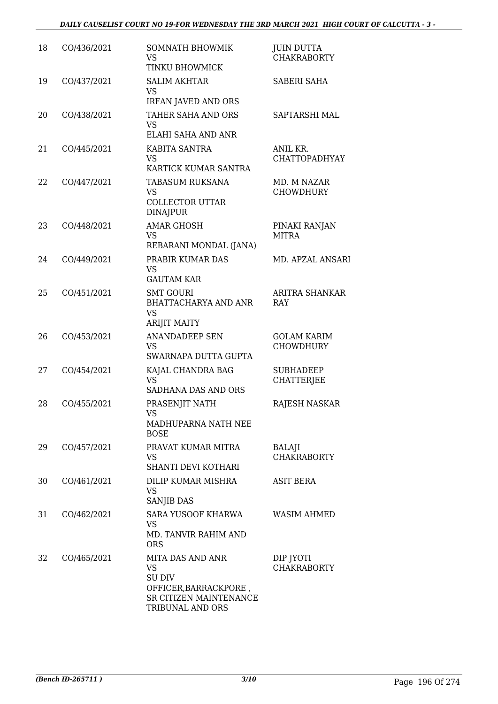| 18 | CO/436/2021 | SOMNATH BHOWMIK<br><b>VS</b><br>TINKU BHOWMICK                                                                        | <b>JUIN DUTTA</b><br><b>CHAKRABORTY</b> |
|----|-------------|-----------------------------------------------------------------------------------------------------------------------|-----------------------------------------|
| 19 | CO/437/2021 | <b>SALIM AKHTAR</b><br><b>VS</b><br><b>IRFAN JAVED AND ORS</b>                                                        | <b>SABERI SAHA</b>                      |
| 20 | CO/438/2021 | TAHER SAHA AND ORS<br>VS<br>ELAHI SAHA AND ANR                                                                        | SAPTARSHI MAL                           |
| 21 | CO/445/2021 | KABITA SANTRA<br><b>VS</b><br>KARTICK KUMAR SANTRA                                                                    | ANIL KR.<br>CHATTOPADHYAY               |
| 22 | CO/447/2021 | <b>TABASUM RUKSANA</b><br><b>VS</b><br><b>COLLECTOR UTTAR</b><br><b>DINAJPUR</b>                                      | MD. M NAZAR<br><b>CHOWDHURY</b>         |
| 23 | CO/448/2021 | <b>AMAR GHOSH</b><br><b>VS</b><br>REBARANI MONDAL (JANA)                                                              | PINAKI RANJAN<br><b>MITRA</b>           |
| 24 | CO/449/2021 | PRABIR KUMAR DAS<br><b>VS</b><br><b>GAUTAM KAR</b>                                                                    | <b>MD. APZAL ANSARI</b>                 |
| 25 | CO/451/2021 | <b>SMT GOURI</b><br><b>BHATTACHARYA AND ANR</b><br><b>VS</b><br><b>ARIJIT MAITY</b>                                   | <b>ARITRA SHANKAR</b><br>RAY            |
| 26 | CO/453/2021 | <b>ANANDADEEP SEN</b><br><b>VS</b><br>SWARNAPA DUTTA GUPTA                                                            | <b>GOLAM KARIM</b><br><b>CHOWDHURY</b>  |
| 27 | CO/454/2021 | KAJAL CHANDRA BAG<br><b>VS</b><br>SADHANA DAS AND ORS                                                                 | <b>SUBHADEEP</b><br><b>CHATTERJEE</b>   |
| 28 | CO/455/2021 | PRASENJIT NATH<br><b>VS</b><br>MADHUPARNA NATH NEE<br><b>BOSE</b>                                                     | RAJESH NASKAR                           |
| 29 | CO/457/2021 | PRAVAT KUMAR MITRA<br>VS<br>SHANTI DEVI KOTHARI                                                                       | BALAJI<br><b>CHAKRABORTY</b>            |
| 30 | CO/461/2021 | DILIP KUMAR MISHRA<br><b>VS</b><br>SANJIB DAS                                                                         | <b>ASIT BERA</b>                        |
| 31 | CO/462/2021 | SARA YUSOOF KHARWA<br><b>VS</b><br>MD. TANVIR RAHIM AND<br><b>ORS</b>                                                 | <b>WASIM AHMED</b>                      |
| 32 | CO/465/2021 | MITA DAS AND ANR<br><b>VS</b><br><b>SU DIV</b><br>OFFICER, BARRACKPORE,<br>SR CITIZEN MAINTENANCE<br>TRIBUNAL AND ORS | DIP JYOTI<br><b>CHAKRABORTY</b>         |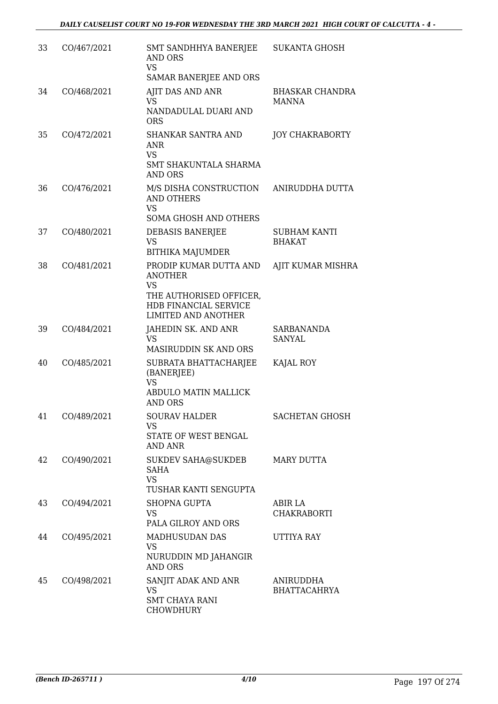| 33 | CO/467/2021 | SMT SANDHHYA BANERJEE<br>AND ORS<br><b>VS</b><br>SAMAR BANERJEE AND ORS                                                                 | <b>SUKANTA GHOSH</b>                   |
|----|-------------|-----------------------------------------------------------------------------------------------------------------------------------------|----------------------------------------|
| 34 | CO/468/2021 | <b>AJIT DAS AND ANR</b><br>VS<br>NANDADULAL DUARI AND<br><b>ORS</b>                                                                     | <b>BHASKAR CHANDRA</b><br><b>MANNA</b> |
| 35 | CO/472/2021 | SHANKAR SANTRA AND<br><b>ANR</b><br><b>VS</b><br>SMT SHAKUNTALA SHARMA<br><b>AND ORS</b>                                                | <b>JOY CHAKRABORTY</b>                 |
| 36 | CO/476/2021 | M/S DISHA CONSTRUCTION<br><b>AND OTHERS</b><br><b>VS</b><br><b>SOMA GHOSH AND OTHERS</b>                                                | ANIRUDDHA DUTTA                        |
| 37 | CO/480/2021 | DEBASIS BANERJEE<br><b>VS</b><br><b>BITHIKA MAJUMDER</b>                                                                                | <b>SUBHAM KANTI</b><br><b>BHAKAT</b>   |
| 38 | CO/481/2021 | PRODIP KUMAR DUTTA AND<br><b>ANOTHER</b><br><b>VS</b><br>THE AUTHORISED OFFICER,<br>HDB FINANCIAL SERVICE<br><b>LIMITED AND ANOTHER</b> | AJIT KUMAR MISHRA                      |
| 39 | CO/484/2021 | JAHEDIN SK. AND ANR<br><b>VS</b><br>MASIRUDDIN SK AND ORS                                                                               | SARBANANDA<br>SANYAL                   |
| 40 | CO/485/2021 | SUBRATA BHATTACHARJEE<br>(BANERJEE)<br><b>VS</b><br>ABDULO MATIN MALLICK<br><b>AND ORS</b>                                              | KAJAL ROY                              |
| 41 | CO/489/2021 | <b>SOURAV HALDER</b><br>VS.<br>STATE OF WEST BENGAL<br>AND ANR                                                                          | <b>SACHETAN GHOSH</b>                  |
| 42 | CO/490/2021 | SUKDEV SAHA@SUKDEB<br><b>SAHA</b><br><b>VS</b><br>TUSHAR KANTI SENGUPTA                                                                 | MARY DUTTA                             |
| 43 | CO/494/2021 | <b>SHOPNA GUPTA</b><br>VS.<br>PALA GILROY AND ORS                                                                                       | ABIR LA<br><b>CHAKRABORTI</b>          |
| 44 | CO/495/2021 | MADHUSUDAN DAS<br>VS<br>NURUDDIN MD JAHANGIR<br><b>AND ORS</b>                                                                          | UTTIYA RAY                             |
| 45 | CO/498/2021 | SANJIT ADAK AND ANR<br><b>VS</b><br><b>SMT CHAYA RANI</b><br><b>CHOWDHURY</b>                                                           | ANIRUDDHA<br><b>BHATTACAHRYA</b>       |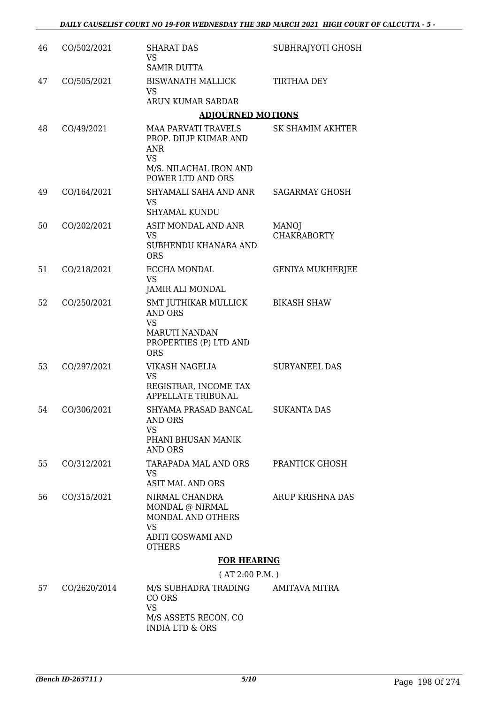| 46 | CO/502/2021  | <b>SHARAT DAS</b><br><b>VS</b>                                                                                                | SUBHRAJYOTI GHOSH                  |
|----|--------------|-------------------------------------------------------------------------------------------------------------------------------|------------------------------------|
| 47 | CO/505/2021  | <b>SAMIR DUTTA</b><br><b>BISWANATH MALLICK</b><br><b>VS</b>                                                                   | <b>TIRTHAA DEY</b>                 |
|    |              | ARUN KUMAR SARDAR                                                                                                             |                                    |
|    |              | <b>ADJOURNED MOTIONS</b>                                                                                                      |                                    |
| 48 | CO/49/2021   | <b>MAA PARVATI TRAVELS</b><br>PROP. DILIP KUMAR AND<br><b>ANR</b><br><b>VS</b><br>M/S. NILACHAL IRON AND<br>POWER LTD AND ORS | <b>SK SHAMIM AKHTER</b>            |
| 49 | CO/164/2021  | SHYAMALI SAHA AND ANR<br><b>VS</b><br><b>SHYAMAL KUNDU</b>                                                                    | <b>SAGARMAY GHOSH</b>              |
| 50 | CO/202/2021  | ASIT MONDAL AND ANR<br>VS<br>SUBHENDU KHANARA AND<br><b>ORS</b>                                                               | <b>MANOJ</b><br><b>CHAKRABORTY</b> |
| 51 | CO/218/2021  | ECCHA MONDAL<br><b>VS</b><br>JAMIR ALI MONDAL                                                                                 | <b>GENIYA MUKHERJEE</b>            |
| 52 | CO/250/2021  | SMT JUTHIKAR MULLICK<br><b>AND ORS</b><br><b>VS</b><br><b>MARUTI NANDAN</b><br>PROPERTIES (P) LTD AND<br><b>ORS</b>           | <b>BIKASH SHAW</b>                 |
| 53 | CO/297/2021  | VIKASH NAGELIA<br>VS<br>REGISTRAR, INCOME TAX<br>APPELLATE TRIBUNAL                                                           | <b>SURYANEEL DAS</b>               |
| 54 | CO/306/2021  | SHYAMA PRASAD BANGAL<br><b>AND ORS</b><br><b>VS</b><br>PHANI BHUSAN MANIK<br><b>AND ORS</b>                                   | <b>SUKANTA DAS</b>                 |
| 55 | CO/312/2021  | TARAPADA MAL AND ORS<br>VS<br><b>ASIT MAL AND ORS</b>                                                                         | <b>PRANTICK GHOSH</b>              |
| 56 | CO/315/2021  | NIRMAL CHANDRA<br>MONDAL @ NIRMAL<br>MONDAL AND OTHERS<br><b>VS</b><br>ADITI GOSWAMI AND<br><b>OTHERS</b>                     | <b>ARUP KRISHNA DAS</b>            |
|    |              | <b>FOR HEARING</b>                                                                                                            |                                    |
|    |              | (AT 2:00 P.M.)                                                                                                                |                                    |
| 57 | CO/2620/2014 | M/S SUBHADRA TRADING<br>CO ORS<br><b>VS</b><br>M/S ASSETS RECON. CO                                                           | AMITAVA MITRA                      |
|    |              |                                                                                                                               |                                    |

INDIA LTD & ORS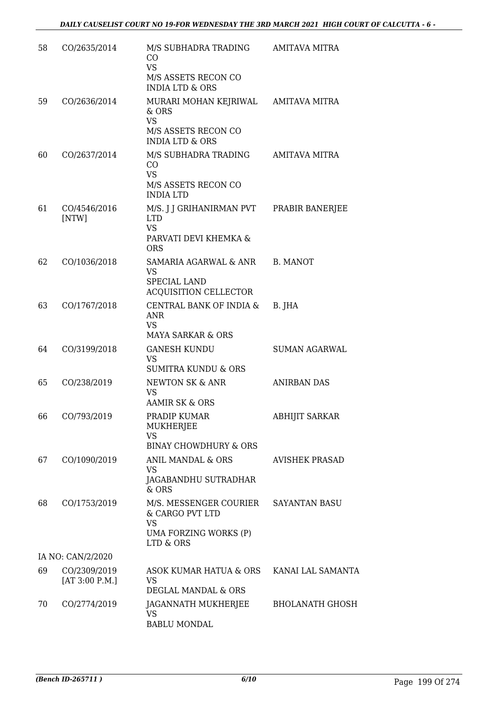| 58 | CO/2635/2014                   | M/S SUBHADRA TRADING<br>CO<br><b>VS</b><br>M/S ASSETS RECON CO<br><b>INDIA LTD &amp; ORS</b>                     | <b>AMITAVA MITRA</b>   |
|----|--------------------------------|------------------------------------------------------------------------------------------------------------------|------------------------|
| 59 | CO/2636/2014                   | MURARI MOHAN KEJRIWAL AMITAVA MITRA<br>$&$ ORS<br><b>VS</b><br>M/S ASSETS RECON CO<br><b>INDIA LTD &amp; ORS</b> |                        |
| 60 | CO/2637/2014                   | M/S SUBHADRA TRADING<br>CO<br><b>VS</b><br>M/S ASSETS RECON CO<br><b>INDIA LTD</b>                               | AMITAVA MITRA          |
| 61 | CO/4546/2016<br>[NTW]          | M/S. J J GRIHANIRMAN PVT<br><b>LTD</b><br><b>VS</b><br>PARVATI DEVI KHEMKA &<br><b>ORS</b>                       | PRABIR BANERJEE        |
| 62 | CO/1036/2018                   | SAMARIA AGARWAL & ANR<br><b>VS</b><br>SPECIAL LAND<br>ACQUISITION CELLECTOR                                      | B. MANOT               |
| 63 | CO/1767/2018                   | CENTRAL BANK OF INDIA &<br><b>ANR</b><br><b>VS</b><br><b>MAYA SARKAR &amp; ORS</b>                               | B. JHA                 |
| 64 | CO/3199/2018                   | <b>GANESH KUNDU</b><br><b>VS</b><br><b>SUMITRA KUNDU &amp; ORS</b>                                               | <b>SUMAN AGARWAL</b>   |
| 65 | CO/238/2019                    | NEWTON SK & ANR<br><b>VS</b><br><b>AAMIR SK &amp; ORS</b>                                                        | <b>ANIRBAN DAS</b>     |
| 66 | CO/793/2019                    | PRADIP KUMAR<br><b>MUKHERJEE</b><br><b>VS</b><br><b>BINAY CHOWDHURY &amp; ORS</b>                                | <b>ABHIJIT SARKAR</b>  |
| 67 | CO/1090/2019                   | ANIL MANDAL & ORS<br><b>VS</b><br>JAGABANDHU SUTRADHAR<br>$&$ ORS                                                | <b>AVISHEK PRASAD</b>  |
| 68 | CO/1753/2019                   | M/S. MESSENGER COURIER<br>& CARGO PVT LTD<br><b>VS</b><br>UMA FORZING WORKS (P)<br>LTD & ORS                     | <b>SAYANTAN BASU</b>   |
|    | IA NO: CAN/2/2020              |                                                                                                                  |                        |
| 69 | CO/2309/2019<br>[AT 3:00 P.M.] | ASOK KUMAR HATUA & ORS<br><b>VS</b><br><b>DEGLAL MANDAL &amp; ORS</b>                                            | KANAI LAL SAMANTA      |
| 70 | CO/2774/2019                   | JAGANNATH MUKHERJEE<br><b>VS</b><br><b>BABLU MONDAL</b>                                                          | <b>BHOLANATH GHOSH</b> |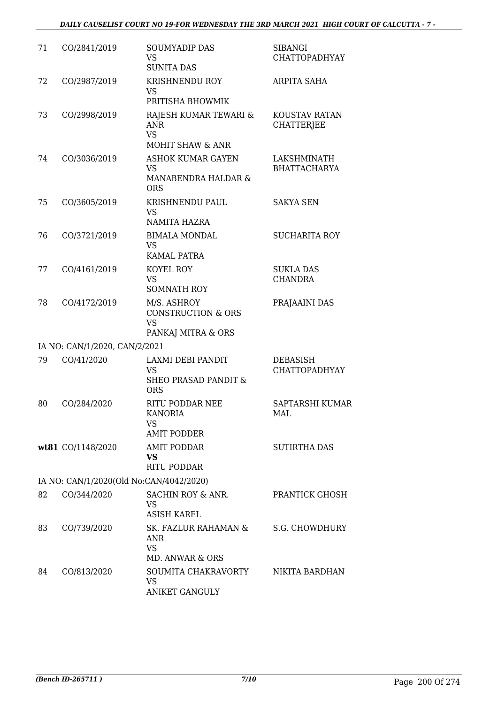| 71 | CO/2841/2019                            | <b>SOUMYADIP DAS</b><br><b>VS</b><br><b>SUNITA DAS</b>                          | <b>SIBANGI</b><br><b>CHATTOPADHYAY</b>  |
|----|-----------------------------------------|---------------------------------------------------------------------------------|-----------------------------------------|
| 72 | CO/2987/2019                            | <b>KRISHNENDU ROY</b><br><b>VS</b><br>PRITISHA BHOWMIK                          | ARPITA SAHA                             |
| 73 | CO/2998/2019                            | RAJESH KUMAR TEWARI &<br><b>ANR</b><br><b>VS</b><br><b>MOHIT SHAW &amp; ANR</b> | KOUSTAV RATAN<br><b>CHATTERJEE</b>      |
| 74 | CO/3036/2019                            | <b>ASHOK KUMAR GAYEN</b><br><b>VS</b><br>MANABENDRA HALDAR &<br><b>ORS</b>      | LAKSHMINATH<br><b>BHATTACHARYA</b>      |
| 75 | CO/3605/2019                            | KRISHNENDU PAUL<br><b>VS</b><br><b>NAMITA HAZRA</b>                             | <b>SAKYA SEN</b>                        |
| 76 | CO/3721/2019                            | <b>BIMALA MONDAL</b><br><b>VS</b><br><b>KAMAL PATRA</b>                         | <b>SUCHARITA ROY</b>                    |
| 77 | CO/4161/2019                            | KOYEL ROY<br><b>VS</b><br><b>SOMNATH ROY</b>                                    | <b>SUKLA DAS</b><br><b>CHANDRA</b>      |
| 78 | CO/4172/2019                            | M/S. ASHROY<br><b>CONSTRUCTION &amp; ORS</b><br><b>VS</b><br>PANKAJ MITRA & ORS | PRAJAAINI DAS                           |
|    | IA NO: CAN/1/2020, CAN/2/2021           |                                                                                 |                                         |
| 79 | CO/41/2020                              | LAXMI DEBI PANDIT<br><b>VS</b><br><b>SHEO PRASAD PANDIT &amp;</b><br><b>ORS</b> | <b>DEBASISH</b><br><b>CHATTOPADHYAY</b> |
| 80 | CO/284/2020                             | RITU PODDAR NEE<br><b>KANORIA</b><br>VS<br><b>AMIT PODDER</b>                   | SAPTARSHI KUMAR<br>MAL                  |
|    | wt81 CO/1148/2020                       | <b>AMIT PODDAR</b><br><b>VS</b><br><b>RITU PODDAR</b>                           | <b>SUTIRTHA DAS</b>                     |
|    | IA NO: CAN/1/2020(Old No:CAN/4042/2020) |                                                                                 |                                         |
| 82 | CO/344/2020                             | SACHIN ROY & ANR.<br><b>VS</b><br><b>ASISH KAREL</b>                            | PRANTICK GHOSH                          |
| 83 | CO/739/2020                             | SK. FAZLUR RAHAMAN &<br><b>ANR</b><br><b>VS</b><br>MD. ANWAR & ORS              | S.G. CHOWDHURY                          |
| 84 | CO/813/2020                             | SOUMITA CHAKRAVORTY<br>VS<br><b>ANIKET GANGULY</b>                              | NIKITA BARDHAN                          |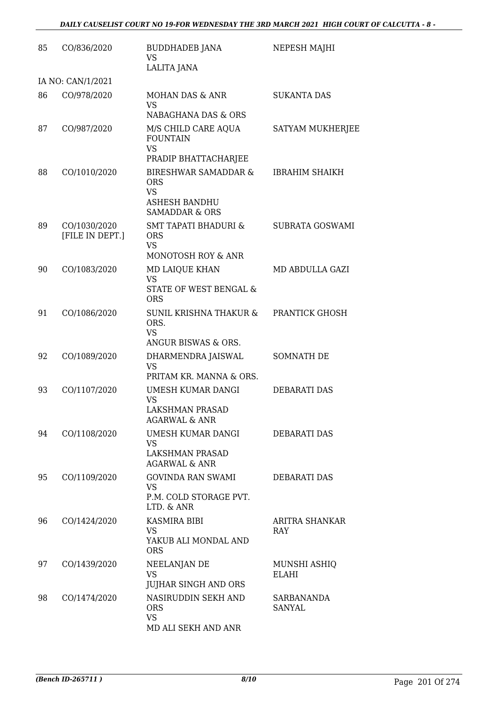| 85 | CO/836/2020                     | <b>BUDDHADEB JANA</b><br><b>VS</b><br>LALITA JANA                                                               | NEPESH MAJHI                 |
|----|---------------------------------|-----------------------------------------------------------------------------------------------------------------|------------------------------|
|    | IA NO: CAN/1/2021               |                                                                                                                 |                              |
| 86 | CO/978/2020                     | MOHAN DAS & ANR<br><b>VS</b><br>NABAGHANA DAS & ORS                                                             | <b>SUKANTA DAS</b>           |
| 87 | CO/987/2020                     | M/S CHILD CARE AQUA<br><b>FOUNTAIN</b><br><b>VS</b><br>PRADIP BHATTACHARJEE                                     | <b>SATYAM MUKHERJEE</b>      |
| 88 | CO/1010/2020                    | <b>BIRESHWAR SAMADDAR &amp;</b><br><b>ORS</b><br><b>VS</b><br><b>ASHESH BANDHU</b><br><b>SAMADDAR &amp; ORS</b> | <b>IBRAHIM SHAIKH</b>        |
| 89 | CO/1030/2020<br>[FILE IN DEPT.] | <b>SMT TAPATI BHADURI &amp;</b><br><b>ORS</b><br><b>VS</b><br>MONOTOSH ROY & ANR                                | SUBRATA GOSWAMI              |
| 90 | CO/1083/2020                    | MD LAIQUE KHAN<br><b>VS</b><br>STATE OF WEST BENGAL &<br><b>ORS</b>                                             | MD ABDULLA GAZI              |
| 91 | CO/1086/2020                    | <b>SUNIL KRISHNA THAKUR &amp;</b><br>ORS.<br><b>VS</b><br>ANGUR BISWAS & ORS.                                   | PRANTICK GHOSH               |
| 92 | CO/1089/2020                    | DHARMENDRA JAISWAL<br><b>VS</b><br>PRITAM KR. MANNA & ORS.                                                      | SOMNATH DE                   |
| 93 | CO/1107/2020                    | UMESH KUMAR DANGI<br><b>VS</b><br>LAKSHMAN PRASAD<br><b>AGARWAL &amp; ANR</b>                                   | <b>DEBARATI DAS</b>          |
| 94 | CO/1108/2020                    | UMESH KUMAR DANGI<br><b>VS</b><br>LAKSHMAN PRASAD<br><b>AGARWAL &amp; ANR</b>                                   | DEBARATI DAS                 |
| 95 | CO/1109/2020                    | <b>GOVINDA RAN SWAMI</b><br>VS<br>P.M. COLD STORAGE PVT.<br>LTD. & ANR                                          | <b>DEBARATI DAS</b>          |
| 96 | CO/1424/2020                    | <b>KASMIRA BIBI</b><br><b>VS</b><br>YAKUB ALI MONDAL AND<br><b>ORS</b>                                          | <b>ARITRA SHANKAR</b><br>RAY |
| 97 | CO/1439/2020                    | NEELANJAN DE<br><b>VS</b><br><b>JUJHAR SINGH AND ORS</b>                                                        | MUNSHI ASHIQ<br>ELAHI        |
| 98 | CO/1474/2020                    | NASIRUDDIN SEKH AND<br><b>ORS</b><br><b>VS</b><br>MD ALI SEKH AND ANR                                           | SARBANANDA<br><b>SANYAL</b>  |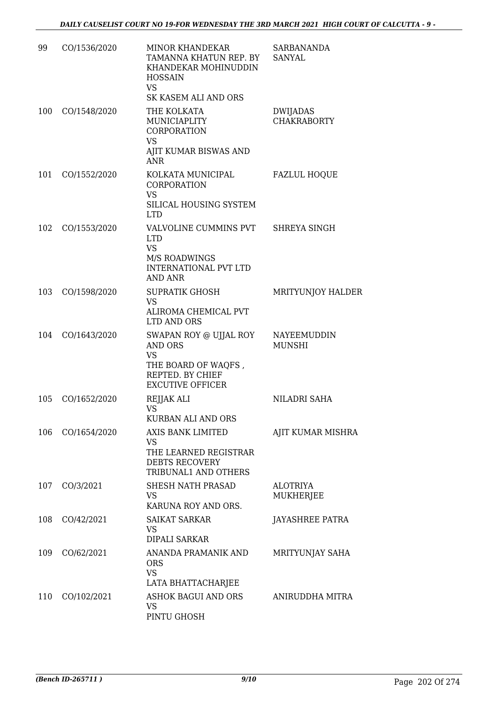| 99  | CO/1536/2020 | <b>MINOR KHANDEKAR</b><br>TAMANNA KHATUN REP. BY<br>KHANDEKAR MOHINUDDIN<br><b>HOSSAIN</b><br><b>VS</b>                     | <b>SARBANANDA</b><br>SANYAL    |
|-----|--------------|-----------------------------------------------------------------------------------------------------------------------------|--------------------------------|
| 100 | CO/1548/2020 | SK KASEM ALI AND ORS<br>THE KOLKATA<br>MUNICIAPLITY<br><b>CORPORATION</b><br><b>VS</b><br>AJIT KUMAR BISWAS AND             | DWIJADAS<br><b>CHAKRABORTY</b> |
| 101 | CO/1552/2020 | <b>ANR</b><br>KOLKATA MUNICIPAL<br>CORPORATION<br><b>VS</b><br>SILICAL HOUSING SYSTEM<br><b>LTD</b>                         | <b>FAZLUL HOQUE</b>            |
| 102 | CO/1553/2020 | VALVOLINE CUMMINS PVT<br><b>LTD</b><br><b>VS</b><br>M/S ROADWINGS<br><b>INTERNATIONAL PVT LTD</b><br><b>AND ANR</b>         | <b>SHREYA SINGH</b>            |
| 103 | CO/1598/2020 | <b>SUPRATIK GHOSH</b><br><b>VS</b><br>ALIROMA CHEMICAL PVT<br>LTD AND ORS                                                   | MRITYUNJOY HALDER              |
| 104 | CO/1643/2020 | SWAPAN ROY @ UJJAL ROY<br><b>AND ORS</b><br><b>VS</b><br>THE BOARD OF WAQFS,<br>REPTED. BY CHIEF<br><b>EXCUTIVE OFFICER</b> | NAYEEMUDDIN<br><b>MUNSHI</b>   |
| 105 | CO/1652/2020 | REJJAK ALI<br><b>VS</b><br><b>KURBAN ALI AND ORS</b>                                                                        | NILADRI SAHA                   |
| 106 | CO/1654/2020 | <b>AXIS BANK LIMITED</b><br><b>VS</b><br>THE LEARNED REGISTRAR<br><b>DEBTS RECOVERY</b><br>TRIBUNAL1 AND OTHERS             | AJIT KUMAR MISHRA              |
| 107 | CO/3/2021    | SHESH NATH PRASAD<br><b>VS</b><br>KARUNA ROY AND ORS.                                                                       | <b>ALOTRIYA</b><br>MUKHERJEE   |
| 108 | CO/42/2021   | <b>SAIKAT SARKAR</b><br>VS<br><b>DIPALI SARKAR</b>                                                                          | JAYASHREE PATRA                |
| 109 | CO/62/2021   | ANANDA PRAMANIK AND<br><b>ORS</b><br><b>VS</b><br>LATA BHATTACHARJEE                                                        | MRITYUNJAY SAHA                |
| 110 | CO/102/2021  | <b>ASHOK BAGUI AND ORS</b><br><b>VS</b><br>PINTU GHOSH                                                                      | ANIRUDDHA MITRA                |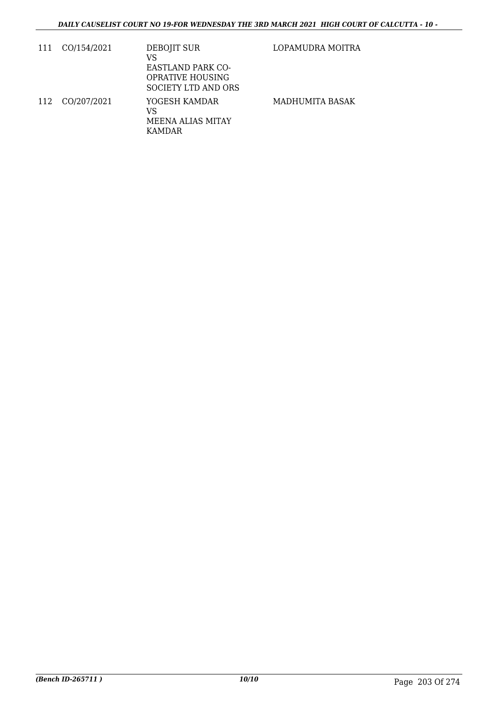| 111 | CO/154/2021 | DEBOJIT SUR<br>VS<br><b>EASTLAND PARK CO-</b><br><b>OPRATIVE HOUSING</b><br><b>SOCIETY LTD AND ORS</b> | LOPAMUDRA MOITRA |
|-----|-------------|--------------------------------------------------------------------------------------------------------|------------------|
| 112 | CO/207/2021 | YOGESH KAMDAR<br>VS<br><b>MEENA ALIAS MITAY</b><br>KAMDAR                                              | MADHUMITA BASAK  |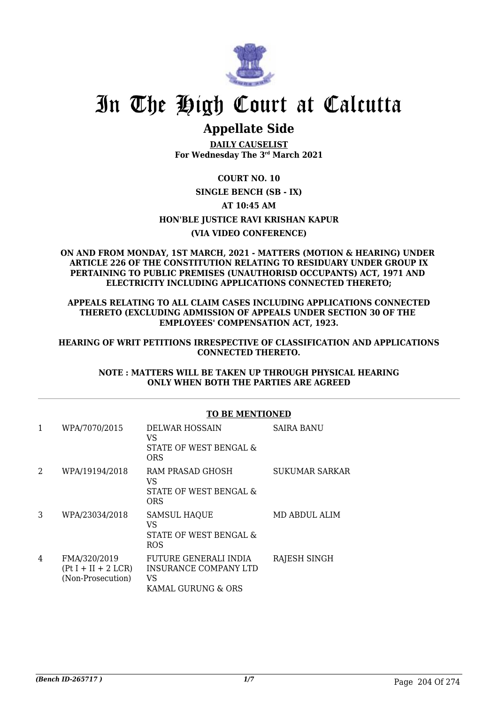

## **Appellate Side**

**DAILY CAUSELIST For Wednesday The 3rd March 2021**

#### **COURT NO. 10**

#### **SINGLE BENCH (SB - IX)**

#### **AT 10:45 AM**

#### **HON'BLE JUSTICE RAVI KRISHAN KAPUR**

#### **(VIA VIDEO CONFERENCE)**

#### **ON AND FROM MONDAY, 1ST MARCH, 2021 - MATTERS (MOTION & HEARING) UNDER ARTICLE 226 OF THE CONSTITUTION RELATING TO RESIDUARY UNDER GROUP IX PERTAINING TO PUBLIC PREMISES (UNAUTHORISD OCCUPANTS) ACT, 1971 AND ELECTRICITY INCLUDING APPLICATIONS CONNECTED THERETO;**

#### **APPEALS RELATING TO ALL CLAIM CASES INCLUDING APPLICATIONS CONNECTED THERETO (EXCLUDING ADMISSION OF APPEALS UNDER SECTION 30 OF THE EMPLOYEES' COMPENSATION ACT, 1923.**

#### **HEARING OF WRIT PETITIONS IRRESPECTIVE OF CLASSIFICATION AND APPLICATIONS CONNECTED THERETO.**

#### **NOTE : MATTERS WILL BE TAKEN UP THROUGH PHYSICAL HEARING ONLY WHEN BOTH THE PARTIES ARE AGREED**

|   |                                                            | <b>TO BE MENTIONED</b>                                                     |                   |
|---|------------------------------------------------------------|----------------------------------------------------------------------------|-------------------|
| 1 | WPA/7070/2015                                              | <b>DELWAR HOSSAIN</b><br>VS<br>STATE OF WEST BENGAL &<br>ORS               | <b>SAIRA BANU</b> |
| 2 | WPA/19194/2018                                             | RAM PRASAD GHOSH<br>VS<br>STATE OF WEST BENGAL &<br>ORS                    | SUKUMAR SARKAR    |
| 3 | WPA/23034/2018                                             | <b>SAMSUL HAQUE</b><br>VS<br>STATE OF WEST BENGAL &<br>ROS                 | MD ABDUL ALIM     |
| 4 | FMA/320/2019<br>$(Pt I + II + 2 LCR)$<br>(Non-Prosecution) | FUTURE GENERALI INDIA<br>INSURANCE COMPANY LTD<br>VS<br>KAMAL GURUNG & ORS | RAJESH SINGH      |

#### **TO BE MENTIONED**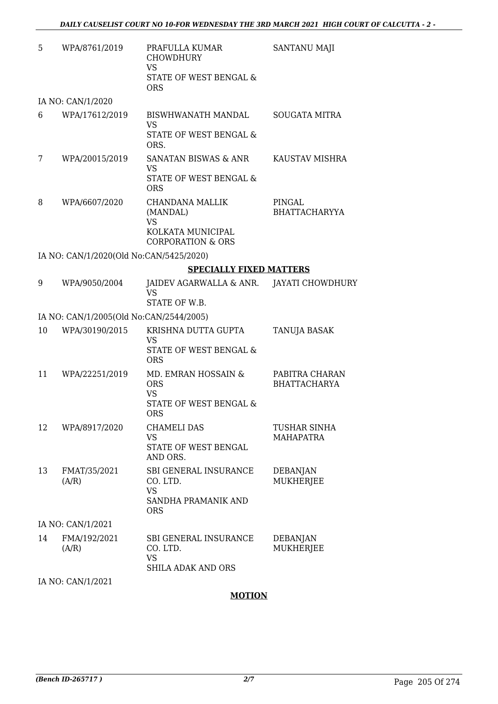| 5  | WPA/8761/2019                           | PRAFULLA KUMAR<br><b>CHOWDHURY</b><br><b>VS</b><br>STATE OF WEST BENGAL &<br><b>ORS</b>       | SANTANU MAJI                            |
|----|-----------------------------------------|-----------------------------------------------------------------------------------------------|-----------------------------------------|
|    | IA NO: CAN/1/2020                       |                                                                                               |                                         |
| 6  | WPA/17612/2019                          | BISWHWANATH MANDAL<br><b>VS</b><br>STATE OF WEST BENGAL &<br>ORS.                             | <b>SOUGATA MITRA</b>                    |
| 7  | WPA/20015/2019                          | <b>SANATAN BISWAS &amp; ANR</b><br><b>VS</b><br>STATE OF WEST BENGAL &<br><b>ORS</b>          | KAUSTAV MISHRA                          |
| 8  | WPA/6607/2020                           | CHANDANA MALLIK<br>(MANDAL)<br><b>VS</b><br>KOLKATA MUNICIPAL<br><b>CORPORATION &amp; ORS</b> | PINGAL<br><b>BHATTACHARYYA</b>          |
|    | IA NO: CAN/1/2020(Old No:CAN/5425/2020) |                                                                                               |                                         |
|    |                                         | <b>SPECIALLY FIXED MATTERS</b>                                                                |                                         |
| 9  | WPA/9050/2004                           | JAIDEV AGARWALLA & ANR.<br><b>VS</b><br>STATE OF W.B.                                         | JAYATI CHOWDHURY                        |
|    | IA NO: CAN/1/2005(Old No:CAN/2544/2005) |                                                                                               |                                         |
| 10 | WPA/30190/2015                          | KRISHNA DUTTA GUPTA<br><b>VS</b><br>STATE OF WEST BENGAL &<br><b>ORS</b>                      | TANUJA BASAK                            |
| 11 | WPA/22251/2019                          | MD. EMRAN HOSSAIN &<br><b>ORS</b><br><b>VS</b><br>STATE OF WEST BENGAL &<br><b>ORS</b>        | PABITRA CHARAN<br><b>BHATTACHARYA</b>   |
| 12 | WPA/8917/2020                           | <b>CHAMELI DAS</b><br><b>VS</b><br>STATE OF WEST BENGAL<br>AND ORS.                           | <b>TUSHAR SINHA</b><br><b>MAHAPATRA</b> |
| 13 | FMAT/35/2021<br>(A/R)                   | SBI GENERAL INSURANCE<br>CO. LTD.<br><b>VS</b><br>SANDHA PRAMANIK AND<br><b>ORS</b>           | DEBANJAN<br>MUKHERJEE                   |
|    | IA NO: CAN/1/2021                       |                                                                                               |                                         |
| 14 | FMA/192/2021<br>(A/R)                   | SBI GENERAL INSURANCE<br>CO. LTD.<br><b>VS</b><br><b>SHILA ADAK AND ORS</b>                   | DEBANJAN<br>MUKHERJEE                   |
|    |                                         |                                                                                               |                                         |

IA NO: CAN/1/2021

#### **MOTION**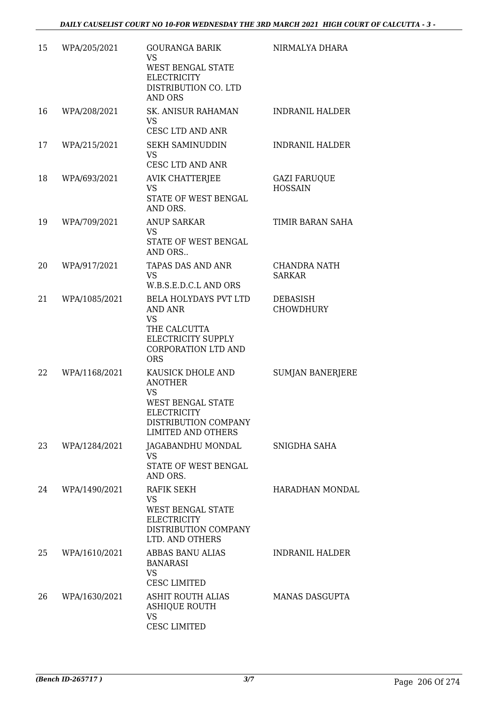| 15 | WPA/205/2021  | <b>GOURANGA BARIK</b><br><b>VS</b><br><b>WEST BENGAL STATE</b><br><b>ELECTRICITY</b><br>DISTRIBUTION CO. LTD<br><b>AND ORS</b>                   | NIRMALYA DHARA                        |
|----|---------------|--------------------------------------------------------------------------------------------------------------------------------------------------|---------------------------------------|
| 16 | WPA/208/2021  | SK. ANISUR RAHAMAN<br><b>VS</b><br><b>CESC LTD AND ANR</b>                                                                                       | <b>INDRANIL HALDER</b>                |
| 17 | WPA/215/2021  | <b>SEKH SAMINUDDIN</b><br><b>VS</b><br>CESC LTD AND ANR                                                                                          | <b>INDRANIL HALDER</b>                |
| 18 | WPA/693/2021  | AVIK CHATTERJEE<br><b>VS</b><br>STATE OF WEST BENGAL<br>AND ORS.                                                                                 | <b>GAZI FARUQUE</b><br><b>HOSSAIN</b> |
| 19 | WPA/709/2021  | <b>ANUP SARKAR</b><br><b>VS</b><br>STATE OF WEST BENGAL<br>AND ORS                                                                               | TIMIR BARAN SAHA                      |
| 20 | WPA/917/2021  | TAPAS DAS AND ANR<br><b>VS</b><br>W.B.S.E.D.C.L AND ORS                                                                                          | <b>CHANDRA NATH</b><br><b>SARKAR</b>  |
| 21 | WPA/1085/2021 | BELA HOLYDAYS PVT LTD<br><b>AND ANR</b><br><b>VS</b><br>THE CALCUTTA<br>ELECTRICITY SUPPLY<br><b>CORPORATION LTD AND</b><br><b>ORS</b>           | <b>DEBASISH</b><br><b>CHOWDHURY</b>   |
| 22 | WPA/1168/2021 | KAUSICK DHOLE AND<br><b>ANOTHER</b><br><b>VS</b><br><b>WEST BENGAL STATE</b><br>ELECTRICITY<br>DISTRIBUTION COMPANY<br><b>LIMITED AND OTHERS</b> | <b>SUMJAN BANERJERE</b>               |
| 23 | WPA/1284/2021 | JAGABANDHU MONDAL<br>VS<br>STATE OF WEST BENGAL<br>AND ORS.                                                                                      | SNIGDHA SAHA                          |
| 24 | WPA/1490/2021 | RAFIK SEKH<br><b>VS</b><br><b>WEST BENGAL STATE</b><br><b>ELECTRICITY</b><br>DISTRIBUTION COMPANY<br>LTD. AND OTHERS                             | HARADHAN MONDAL                       |
| 25 | WPA/1610/2021 | ABBAS BANU ALIAS<br><b>BANARASI</b><br><b>VS</b><br><b>CESC LIMITED</b>                                                                          | <b>INDRANIL HALDER</b>                |
| 26 | WPA/1630/2021 | ASHIT ROUTH ALIAS<br><b>ASHIQUE ROUTH</b><br><b>VS</b><br><b>CESC LIMITED</b>                                                                    | <b>MANAS DASGUPTA</b>                 |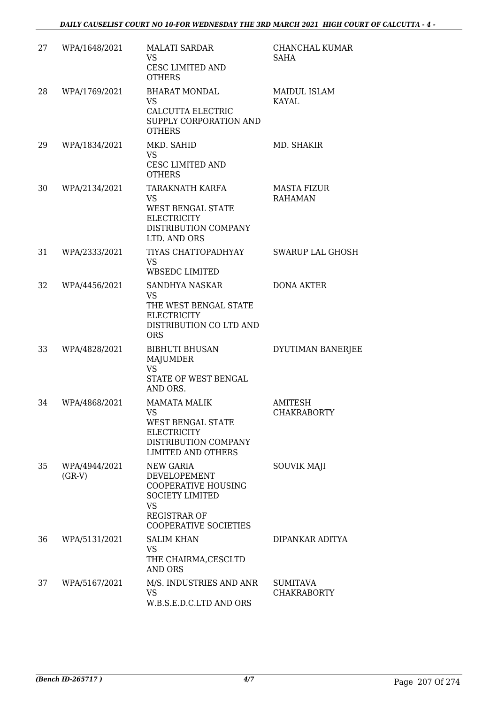| 27 | WPA/1648/2021             | <b>MALATI SARDAR</b><br><b>VS</b><br>CESC LIMITED AND<br><b>OTHERS</b>                                                                                       | CHANCHAL KUMAR<br>SAHA                |
|----|---------------------------|--------------------------------------------------------------------------------------------------------------------------------------------------------------|---------------------------------------|
| 28 | WPA/1769/2021             | <b>BHARAT MONDAL</b><br><b>VS</b><br>CALCUTTA ELECTRIC<br>SUPPLY CORPORATION AND<br><b>OTHERS</b>                                                            | MAIDUL ISLAM<br><b>KAYAL</b>          |
| 29 | WPA/1834/2021             | MKD. SAHID<br><b>VS</b><br><b>CESC LIMITED AND</b><br><b>OTHERS</b>                                                                                          | MD. SHAKIR                            |
| 30 | WPA/2134/2021             | TARAKNATH KARFA<br><b>VS</b><br><b>WEST BENGAL STATE</b><br><b>ELECTRICITY</b><br>DISTRIBUTION COMPANY<br>LTD. AND ORS                                       | MASTA FIZUR<br><b>RAHAMAN</b>         |
| 31 | WPA/2333/2021             | TIYAS CHATTOPADHYAY<br><b>VS</b><br><b>WBSEDC LIMITED</b>                                                                                                    | <b>SWARUP LAL GHOSH</b>               |
| 32 | WPA/4456/2021             | SANDHYA NASKAR<br><b>VS</b><br>THE WEST BENGAL STATE<br><b>ELECTRICITY</b><br>DISTRIBUTION CO LTD AND<br><b>ORS</b>                                          | <b>DONA AKTER</b>                     |
| 33 | WPA/4828/2021             | <b>BIBHUTI BHUSAN</b><br><b>MAJUMDER</b><br><b>VS</b><br>STATE OF WEST BENGAL<br>AND ORS.                                                                    | DYUTIMAN BANERJEE                     |
| 34 | WPA/4868/2021             | <b>MAMATA MALIK</b><br>VS FOR THE VS<br>WEST BENGAL STATE<br><b>ELECTRICITY</b><br>DISTRIBUTION COMPANY<br><b>LIMITED AND OTHERS</b>                         | <b>AMITESH</b><br><b>CHAKRABORTY</b>  |
| 35 | WPA/4944/2021<br>$(GR-V)$ | <b>NEW GARIA</b><br>DEVELOPEMENT<br><b>COOPERATIVE HOUSING</b><br><b>SOCIETY LIMITED</b><br><b>VS</b><br><b>REGISTRAR OF</b><br><b>COOPERATIVE SOCIETIES</b> | <b>SOUVIK MAJI</b>                    |
| 36 | WPA/5131/2021             | <b>SALIM KHAN</b><br><b>VS</b><br>THE CHAIRMA, CESCLTD<br><b>AND ORS</b>                                                                                     | DIPANKAR ADITYA                       |
| 37 | WPA/5167/2021             | M/S. INDUSTRIES AND ANR<br><b>VS</b><br>W.B.S.E.D.C.LTD AND ORS                                                                                              | <b>SUMITAVA</b><br><b>CHAKRABORTY</b> |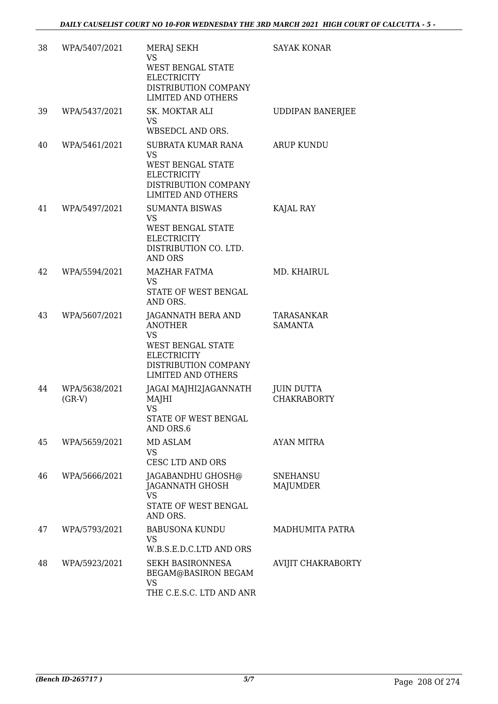| 38 | WPA/5407/2021             | <b>MERAJ SEKH</b><br><b>VS</b><br>WEST BENGAL STATE<br><b>ELECTRICITY</b><br>DISTRIBUTION COMPANY<br><b>LIMITED AND OTHERS</b>                           | <b>SAYAK KONAR</b>                      |
|----|---------------------------|----------------------------------------------------------------------------------------------------------------------------------------------------------|-----------------------------------------|
| 39 | WPA/5437/2021             | <b>SK. MOKTAR ALI</b><br><b>VS</b><br>WBSEDCL AND ORS.                                                                                                   | <b>UDDIPAN BANERJEE</b>                 |
| 40 | WPA/5461/2021             | SUBRATA KUMAR RANA<br><b>VS</b><br><b>WEST BENGAL STATE</b><br><b>ELECTRICITY</b><br>DISTRIBUTION COMPANY<br><b>LIMITED AND OTHERS</b>                   | <b>ARUP KUNDU</b>                       |
| 41 | WPA/5497/2021             | <b>SUMANTA BISWAS</b><br><b>VS</b><br>WEST BENGAL STATE<br><b>ELECTRICITY</b><br>DISTRIBUTION CO. LTD.<br><b>AND ORS</b>                                 | KAJAL RAY                               |
| 42 | WPA/5594/2021             | <b>MAZHAR FATMA</b><br><b>VS</b><br>STATE OF WEST BENGAL<br>AND ORS.                                                                                     | MD. KHAIRUL                             |
| 43 | WPA/5607/2021             | JAGANNATH BERA AND<br><b>ANOTHER</b><br><b>VS</b><br><b>WEST BENGAL STATE</b><br><b>ELECTRICITY</b><br>DISTRIBUTION COMPANY<br><b>LIMITED AND OTHERS</b> | TARASANKAR<br><b>SAMANTA</b>            |
| 44 | WPA/5638/2021<br>$(GR-V)$ | JAGAI MAJHI2JAGANNATH<br>MAJHI<br><b>VS</b><br>STATE OF WEST BENGAL<br>AND ORS.6                                                                         | <b>JUIN DUTTA</b><br><b>CHAKRABORTY</b> |
| 45 | WPA/5659/2021             | MD ASLAM<br><b>VS</b><br><b>CESC LTD AND ORS</b>                                                                                                         | AYAN MITRA                              |
| 46 | WPA/5666/2021             | JAGABANDHU GHOSH@<br>JAGANNATH GHOSH<br><b>VS</b><br>STATE OF WEST BENGAL<br>AND ORS.                                                                    | <b>SNEHANSU</b><br>MAJUMDER             |
| 47 | WPA/5793/2021             | <b>BABUSONA KUNDU</b><br><b>VS</b><br>W.B.S.E.D.C.LTD AND ORS                                                                                            | MADHUMITA PATRA                         |
| 48 | WPA/5923/2021             | <b>SEKH BASIRONNESA</b><br>BEGAM@BASIRON BEGAM<br>VS<br>THE C.E.S.C. LTD AND ANR                                                                         | AVIJIT CHAKRABORTY                      |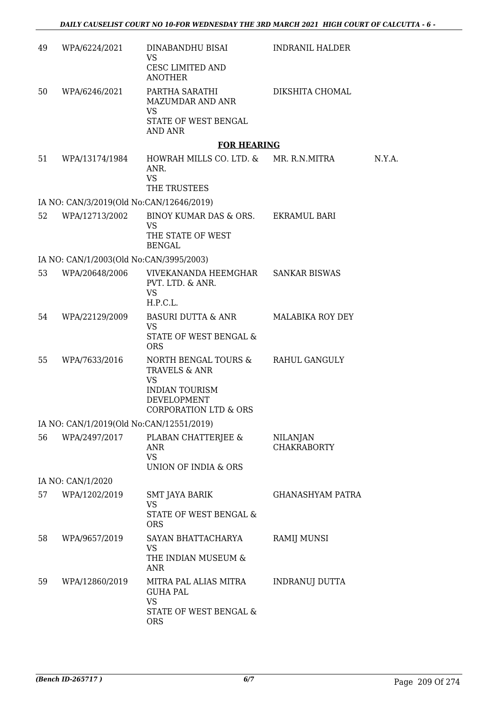| 49 | WPA/6224/2021                            | DINABANDHU BISAI<br><b>VS</b><br>CESC LIMITED AND<br><b>ANOTHER</b>                           | <b>INDRANIL HALDER</b>         |        |
|----|------------------------------------------|-----------------------------------------------------------------------------------------------|--------------------------------|--------|
| 50 | WPA/6246/2021                            | PARTHA SARATHI<br><b>MAZUMDAR AND ANR</b>                                                     | DIKSHITA CHOMAL                |        |
|    |                                          | VS.<br>STATE OF WEST BENGAL<br><b>AND ANR</b>                                                 |                                |        |
|    |                                          | <b>FOR HEARING</b>                                                                            |                                |        |
| 51 | WPA/13174/1984                           | HOWRAH MILLS CO. LTD. &<br>ANR.<br><b>VS</b><br>THE TRUSTEES                                  | MR. R.N.MITRA                  | N.Y.A. |
|    | IA NO: CAN/3/2019(Old No:CAN/12646/2019) |                                                                                               |                                |        |
| 52 | WPA/12713/2002                           | BINOY KUMAR DAS & ORS.<br>VS<br>THE STATE OF WEST                                             | EKRAMUL BARI                   |        |
|    |                                          | <b>BENGAL</b>                                                                                 |                                |        |
|    | IA NO: CAN/1/2003(Old No:CAN/3995/2003)  |                                                                                               |                                |        |
| 53 | WPA/20648/2006                           | VIVEKANANDA HEEMGHAR SANKAR BISWAS<br>PVT. LTD. & ANR.<br><b>VS</b><br>H.P.C.L.               |                                |        |
| 54 | WPA/22129/2009                           | BASURI DUTTA & ANR<br><b>VS</b><br>STATE OF WEST BENGAL &<br><b>ORS</b>                       | <b>MALABIKA ROY DEY</b>        |        |
| 55 | WPA/7633/2016                            | NORTH BENGAL TOURS &<br>TRAVELS & ANR<br>VS<br><b>INDIAN TOURISM</b><br><b>DEVELOPMENT</b>    | RAHUL GANGULY                  |        |
|    |                                          | <b>CORPORATION LTD &amp; ORS</b>                                                              |                                |        |
|    | IA NO: CAN/1/2019(Old No:CAN/12551/2019) |                                                                                               |                                |        |
| 56 | WPA/2497/2017                            | PLABAN CHATTERJEE &<br>ANR<br><b>VS</b><br>UNION OF INDIA & ORS                               | NILANJAN<br><b>CHAKRABORTY</b> |        |
|    | IA NO: CAN/1/2020                        |                                                                                               |                                |        |
| 57 | WPA/1202/2019                            | SMT JAYA BARIK<br><b>VS</b><br>STATE OF WEST BENGAL &<br><b>ORS</b>                           | <b>GHANASHYAM PATRA</b>        |        |
| 58 | WPA/9657/2019                            | SAYAN BHATTACHARYA<br>VS<br>THE INDIAN MUSEUM &<br>ANR                                        | RAMIJ MUNSI                    |        |
| 59 | WPA/12860/2019                           | MITRA PAL ALIAS MITRA<br><b>GUHA PAL</b><br><b>VS</b><br>STATE OF WEST BENGAL &<br><b>ORS</b> | INDRANUJ DUTTA                 |        |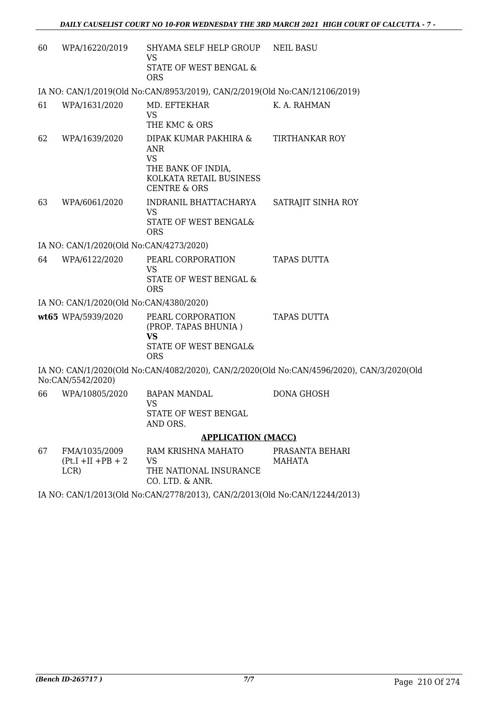| 60 | WPA/16220/2019                                 | SHYAMA SELF HELP GROUP<br>VS<br>STATE OF WEST BENGAL &<br><b>ORS</b>                                                         | <b>NEIL BASU</b>                                                                          |
|----|------------------------------------------------|------------------------------------------------------------------------------------------------------------------------------|-------------------------------------------------------------------------------------------|
|    |                                                | IA NO: CAN/1/2019(Old No:CAN/8953/2019), CAN/2/2019(Old No:CAN/12106/2019)                                                   |                                                                                           |
| 61 | WPA/1631/2020                                  | MD. EFTEKHAR<br><b>VS</b><br>THE KMC & ORS                                                                                   | K. A. RAHMAN                                                                              |
| 62 | WPA/1639/2020                                  | DIPAK KUMAR PAKHIRA &<br><b>ANR</b><br><b>VS</b><br>THE BANK OF INDIA,<br>KOLKATA RETAIL BUSINESS<br><b>CENTRE &amp; ORS</b> | <b>TIRTHANKAR ROY</b>                                                                     |
| 63 | WPA/6061/2020                                  | INDRANIL BHATTACHARYA<br><b>VS</b><br>STATE OF WEST BENGAL&<br><b>ORS</b>                                                    | SATRAJIT SINHA ROY                                                                        |
|    | IA NO: CAN/1/2020(Old No:CAN/4273/2020)        |                                                                                                                              |                                                                                           |
| 64 | WPA/6122/2020                                  | PEARL CORPORATION<br><b>VS</b><br>STATE OF WEST BENGAL &<br><b>ORS</b>                                                       | <b>TAPAS DUTTA</b>                                                                        |
|    | IA NO: CAN/1/2020(Old No:CAN/4380/2020)        |                                                                                                                              |                                                                                           |
|    | wt65 WPA/5939/2020                             | PEARL CORPORATION<br>(PROP. TAPAS BHUNIA)<br><b>VS</b><br>STATE OF WEST BENGAL&<br><b>ORS</b>                                | <b>TAPAS DUTTA</b>                                                                        |
|    | No:CAN/5542/2020)                              |                                                                                                                              | IA NO: CAN/1/2020(Old No:CAN/4082/2020), CAN/2/2020(Old No:CAN/4596/2020), CAN/3/2020(Old |
| 66 | WPA/10805/2020                                 | <b>BAPAN MANDAL</b><br><b>VS</b><br>STATE OF WEST BENGAL<br>AND ORS.                                                         | <b>DONA GHOSH</b>                                                                         |
|    |                                                | <b>APPLICATION (MACC)</b>                                                                                                    |                                                                                           |
| 67 | FMA/1035/2009<br>$(Pt.I + II + PB + 2)$<br>LCR | RAM KRISHNA MAHATO<br><b>VS</b><br>THE NATIONAL INSURANCE<br>CO. LTD. & ANR.                                                 | PRASANTA BEHARI<br><b>MAHATA</b>                                                          |

IA NO: CAN/1/2013(Old No:CAN/2778/2013), CAN/2/2013(Old No:CAN/12244/2013)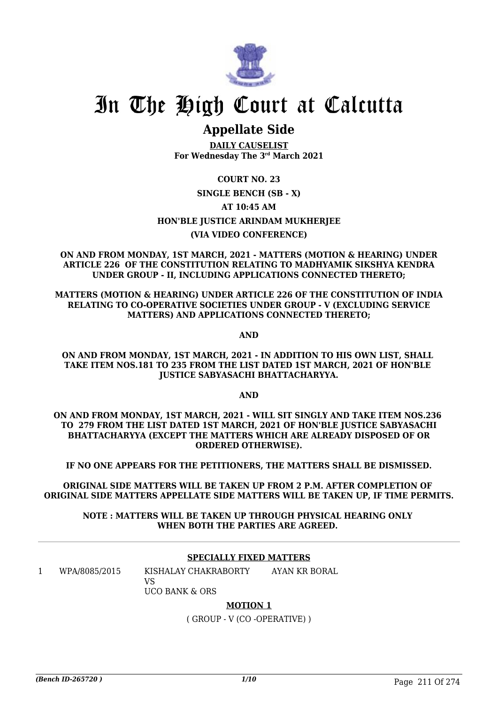

## **Appellate Side**

**DAILY CAUSELIST For Wednesday The 3rd March 2021**

### **COURT NO. 23 SINGLE BENCH (SB - X) AT 10:45 AM HON'BLE JUSTICE ARINDAM MUKHERJEE (VIA VIDEO CONFERENCE)**

**ON AND FROM MONDAY, 1ST MARCH, 2021 - MATTERS (MOTION & HEARING) UNDER ARTICLE 226 OF THE CONSTITUTION RELATING TO MADHYAMIK SIKSHYA KENDRA UNDER GROUP - II, INCLUDING APPLICATIONS CONNECTED THERETO;**

**MATTERS (MOTION & HEARING) UNDER ARTICLE 226 OF THE CONSTITUTION OF INDIA RELATING TO CO-OPERATIVE SOCIETIES UNDER GROUP - V (EXCLUDING SERVICE MATTERS) AND APPLICATIONS CONNECTED THERETO;**

**AND**

#### **ON AND FROM MONDAY, 1ST MARCH, 2021 - IN ADDITION TO HIS OWN LIST, SHALL TAKE ITEM NOS.181 TO 235 FROM THE LIST DATED 1ST MARCH, 2021 OF HON'BLE JUSTICE SABYASACHI BHATTACHARYYA.**

**AND**

**ON AND FROM MONDAY, 1ST MARCH, 2021 - WILL SIT SINGLY AND TAKE ITEM NOS.236 TO 279 FROM THE LIST DATED 1ST MARCH, 2021 OF HON'BLE JUSTICE SABYASACHI BHATTACHARYYA (EXCEPT THE MATTERS WHICH ARE ALREADY DISPOSED OF OR ORDERED OTHERWISE).**

**IF NO ONE APPEARS FOR THE PETITIONERS, THE MATTERS SHALL BE DISMISSED.**

**ORIGINAL SIDE MATTERS WILL BE TAKEN UP FROM 2 P.M. AFTER COMPLETION OF ORIGINAL SIDE MATTERS APPELLATE SIDE MATTERS WILL BE TAKEN UP, IF TIME PERMITS.**

**NOTE : MATTERS WILL BE TAKEN UP THROUGH PHYSICAL HEARING ONLY WHEN BOTH THE PARTIES ARE AGREED.** 

#### **SPECIALLY FIXED MATTERS**

1 WPA/8085/2015 KISHALAY CHAKRABORTY  $V<sub>C</sub>$ UCO BANK & ORS AYAN KR BORAL

#### **MOTION 1**

( GROUP - V (CO -OPERATIVE) )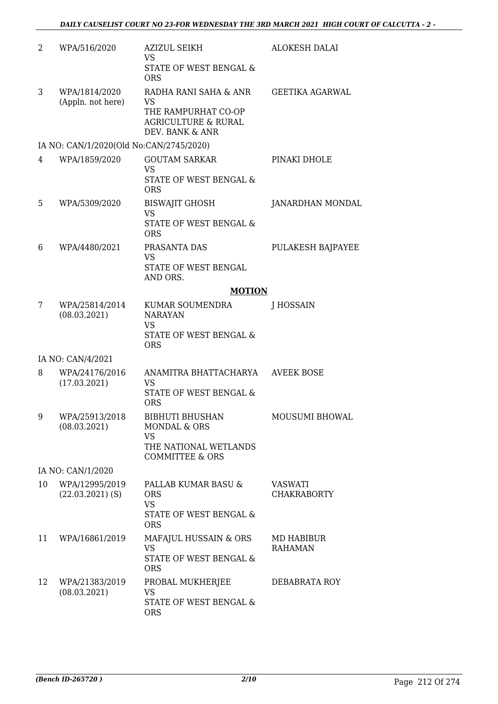| 2  | WPA/516/2020                            | <b>AZIZUL SEIKH</b><br>VS<br>STATE OF WEST BENGAL &<br><b>ORS</b>                                                     | <b>ALOKESH DALAI</b>          |
|----|-----------------------------------------|-----------------------------------------------------------------------------------------------------------------------|-------------------------------|
| 3  | WPA/1814/2020<br>(Appln. not here)      | RADHA RANI SAHA & ANR<br><b>VS</b><br>THE RAMPURHAT CO-OP<br><b>AGRICULTURE &amp; RURAL</b><br>DEV. BANK & ANR        | <b>GEETIKA AGARWAL</b>        |
|    | IA NO: CAN/1/2020(Old No:CAN/2745/2020) |                                                                                                                       |                               |
| 4  | WPA/1859/2020                           | <b>GOUTAM SARKAR</b><br><b>VS</b><br>STATE OF WEST BENGAL &<br><b>ORS</b>                                             | PINAKI DHOLE                  |
| 5  | WPA/5309/2020                           | <b>BISWAJIT GHOSH</b><br><b>VS</b><br>STATE OF WEST BENGAL &<br><b>ORS</b>                                            | JANARDHAN MONDAL              |
| 6  | WPA/4480/2021                           | PRASANTA DAS<br><b>VS</b><br>STATE OF WEST BENGAL<br>AND ORS.                                                         | PULAKESH BAJPAYEE             |
|    |                                         | <b>MOTION</b>                                                                                                         |                               |
| 7  | WPA/25814/2014<br>(08.03.2021)          | KUMAR SOUMENDRA<br><b>NARAYAN</b><br><b>VS</b><br>STATE OF WEST BENGAL &<br><b>ORS</b>                                | J HOSSAIN                     |
|    | IA NO: CAN/4/2021                       |                                                                                                                       |                               |
| 8  | WPA/24176/2016<br>(17.03.2021)          | ANAMITRA BHATTACHARYA<br><b>VS</b><br><b>STATE OF WEST BENGAL &amp;</b><br><b>ORS</b>                                 | <b>AVEEK BOSE</b>             |
| 9  | WPA/25913/2018<br>(08.03.2021)          | <b>BIBHUTI BHUSHAN</b><br><b>MONDAL &amp; ORS</b><br><b>VS</b><br>THE NATIONAL WETLANDS<br><b>COMMITTEE &amp; ORS</b> | MOUSUMI BHOWAL                |
|    | IA NO: CAN/1/2020                       |                                                                                                                       |                               |
| 10 | WPA/12995/2019<br>$(22.03.2021)$ (S)    | PALLAB KUMAR BASU &<br><b>ORS</b><br><b>VS</b><br>STATE OF WEST BENGAL &<br><b>ORS</b>                                | VASWATI<br><b>CHAKRABORTY</b> |
| 11 | WPA/16861/2019                          | MAFAJUL HUSSAIN & ORS<br><b>VS</b><br>STATE OF WEST BENGAL &<br><b>ORS</b>                                            | MD HABIBUR<br><b>RAHAMAN</b>  |
| 12 | WPA/21383/2019<br>(08.03.2021)          | PROBAL MUKHERJEE<br>VS<br>STATE OF WEST BENGAL &<br><b>ORS</b>                                                        | DEBABRATA ROY                 |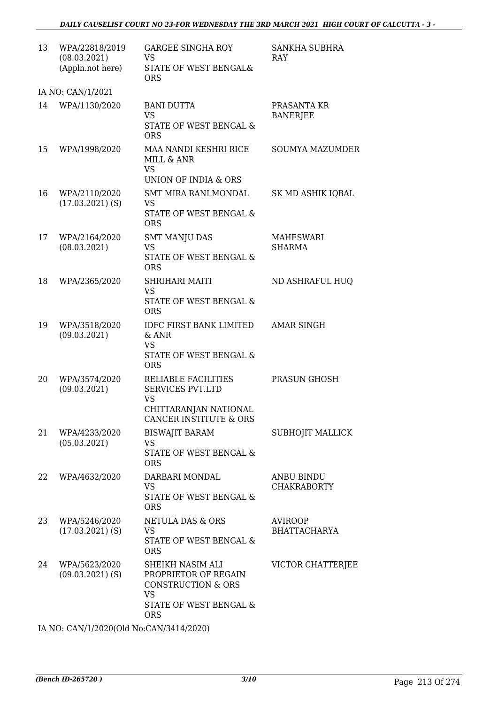| 13 | WPA/22818/2019<br>(08.03.2021)<br>(Appln.not here) | <b>GARGEE SINGHA ROY</b><br><b>VS</b><br>STATE OF WEST BENGAL&<br><b>ORS</b>                                                   | <b>SANKHA SUBHRA</b><br>RAY             |
|----|----------------------------------------------------|--------------------------------------------------------------------------------------------------------------------------------|-----------------------------------------|
|    | IA NO: CAN/1/2021                                  |                                                                                                                                |                                         |
| 14 | WPA/1130/2020                                      | <b>BANI DUTTA</b><br><b>VS</b><br>STATE OF WEST BENGAL &<br><b>ORS</b>                                                         | PRASANTA KR<br><b>BANERJEE</b>          |
| 15 | WPA/1998/2020                                      | MAA NANDI KESHRI RICE<br>MILL & ANR<br><b>VS</b><br>UNION OF INDIA & ORS                                                       | <b>SOUMYA MAZUMDER</b>                  |
| 16 | WPA/2110/2020<br>$(17.03.2021)$ (S)                | SMT MIRA RANI MONDAL<br>VS<br>STATE OF WEST BENGAL &<br><b>ORS</b>                                                             | SK MD ASHIK IQBAL                       |
| 17 | WPA/2164/2020<br>(08.03.2021)                      | <b>SMT MANJU DAS</b><br><b>VS</b><br>STATE OF WEST BENGAL &<br><b>ORS</b>                                                      | <b>MAHESWARI</b><br><b>SHARMA</b>       |
| 18 | WPA/2365/2020                                      | SHRIHARI MAITI<br><b>VS</b><br>STATE OF WEST BENGAL &<br><b>ORS</b>                                                            | ND ASHRAFUL HUQ                         |
| 19 | WPA/3518/2020<br>(09.03.2021)                      | <b>IDFC FIRST BANK LIMITED</b><br>& ANR<br><b>VS</b><br>STATE OF WEST BENGAL &<br><b>ORS</b>                                   | <b>AMAR SINGH</b>                       |
| 20 | WPA/3574/2020<br>(09.03.2021)                      | RELIABLE FACILITIES<br><b>SERVICES PVT.LTD</b><br><b>VS</b><br>CHITTARANJAN NATIONAL<br>CANCER INSTITUTE & ORS                 | PRASUN GHOSH                            |
| 21 | WPA/4233/2020<br>(05.03.2021)                      | <b>BISWAJIT BARAM</b><br><b>VS</b><br>STATE OF WEST BENGAL &<br><b>ORS</b>                                                     | <b>SUBHOJIT MALLICK</b>                 |
| 22 | WPA/4632/2020                                      | DARBARI MONDAL<br><b>VS</b><br>STATE OF WEST BENGAL &<br><b>ORS</b>                                                            | <b>ANBU BINDU</b><br><b>CHAKRABORTY</b> |
| 23 | WPA/5246/2020<br>$(17.03.2021)$ (S)                | <b>NETULA DAS &amp; ORS</b><br><b>VS</b><br>STATE OF WEST BENGAL &<br><b>ORS</b>                                               | <b>AVIROOP</b><br><b>BHATTACHARYA</b>   |
| 24 | WPA/5623/2020<br>$(09.03.2021)$ (S)                | SHEIKH NASIM ALI<br>PROPRIETOR OF REGAIN<br><b>CONSTRUCTION &amp; ORS</b><br><b>VS</b><br>STATE OF WEST BENGAL &<br><b>ORS</b> | VICTOR CHATTERJEE                       |

IA NO: CAN/1/2020(Old No:CAN/3414/2020)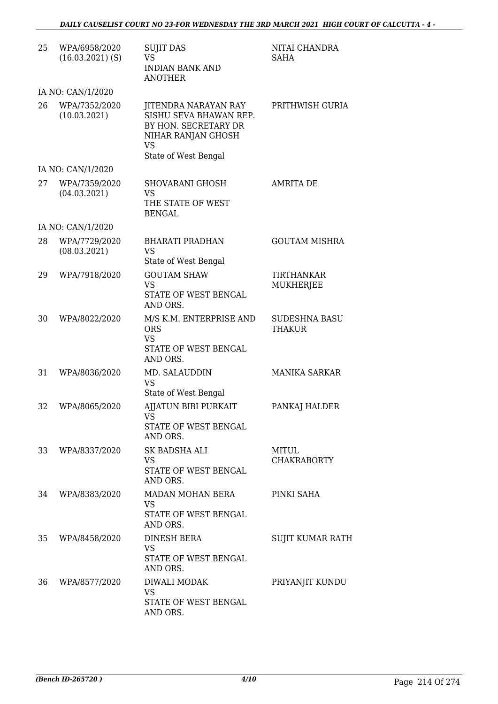| 25 | WPA/6958/2020<br>$(16.03.2021)$ (S) | <b>SUJIT DAS</b><br><b>VS</b><br><b>INDIAN BANK AND</b><br><b>ANOTHER</b>                                                         | NITAI CHANDRA<br><b>SAHA</b>          |
|----|-------------------------------------|-----------------------------------------------------------------------------------------------------------------------------------|---------------------------------------|
|    | IA NO: CAN/1/2020                   |                                                                                                                                   |                                       |
| 26 | WPA/7352/2020<br>(10.03.2021)       | JITENDRA NARAYAN RAY<br>SISHU SEVA BHAWAN REP.<br>BY HON. SECRETARY DR<br>NIHAR RANJAN GHOSH<br><b>VS</b><br>State of West Bengal | PRITHWISH GURIA                       |
|    | IA NO: CAN/1/2020                   |                                                                                                                                   |                                       |
| 27 | WPA/7359/2020<br>(04.03.2021)       | <b>SHOVARANI GHOSH</b><br>VS<br>THE STATE OF WEST<br><b>BENGAL</b>                                                                | <b>AMRITA DE</b>                      |
|    | IA NO: CAN/1/2020                   |                                                                                                                                   |                                       |
| 28 | WPA/7729/2020<br>(08.03.2021)       | <b>BHARATI PRADHAN</b><br><b>VS</b><br>State of West Bengal                                                                       | <b>GOUTAM MISHRA</b>                  |
| 29 | WPA/7918/2020                       | <b>GOUTAM SHAW</b><br><b>VS</b><br>STATE OF WEST BENGAL<br>AND ORS.                                                               | TIRTHANKAR<br><b>MUKHERJEE</b>        |
| 30 | WPA/8022/2020                       | M/S K.M. ENTERPRISE AND<br><b>ORS</b><br><b>VS</b><br>STATE OF WEST BENGAL<br>AND ORS.                                            | <b>SUDESHNA BASU</b><br><b>THAKUR</b> |
| 31 | WPA/8036/2020                       | MD. SALAUDDIN<br><b>VS</b><br>State of West Bengal                                                                                | <b>MANIKA SARKAR</b>                  |
| 32 | WPA/8065/2020                       | <b>AJJATUN BIBI PURKAIT</b><br>VS —<br>STATE OF WEST BENGAL<br>AND ORS.                                                           | PANKAJ HALDER                         |
| 33 | WPA/8337/2020                       | SK BADSHA ALI<br><b>VS</b><br>STATE OF WEST BENGAL<br>AND ORS.                                                                    | <b>MITUL</b><br><b>CHAKRABORTY</b>    |
| 34 | WPA/8383/2020                       | MADAN MOHAN BERA<br><b>VS</b><br>STATE OF WEST BENGAL<br>AND ORS.                                                                 | PINKI SAHA                            |
| 35 | WPA/8458/2020                       | <b>DINESH BERA</b><br><b>VS</b><br>STATE OF WEST BENGAL<br>AND ORS.                                                               | SUJIT KUMAR RATH                      |
| 36 | WPA/8577/2020                       | DIWALI MODAK<br><b>VS</b><br>STATE OF WEST BENGAL<br>AND ORS.                                                                     | PRIYANJIT KUNDU                       |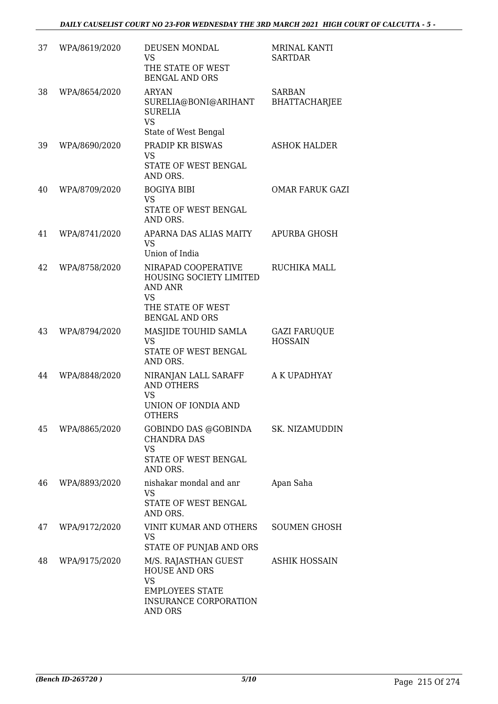| 37 | WPA/8619/2020 | DEUSEN MONDAL<br><b>VS</b><br>THE STATE OF WEST<br><b>BENGAL AND ORS</b>                                                              | <b>MRINAL KANTI</b><br><b>SARTDAR</b> |
|----|---------------|---------------------------------------------------------------------------------------------------------------------------------------|---------------------------------------|
| 38 | WPA/8654/2020 | <b>ARYAN</b><br>SURELIA@BONI@ARIHANT<br><b>SURELIA</b><br><b>VS</b>                                                                   | <b>SARBAN</b><br><b>BHATTACHARJEE</b> |
| 39 | WPA/8690/2020 | State of West Bengal<br>PRADIP KR BISWAS<br><b>VS</b><br>STATE OF WEST BENGAL                                                         | <b>ASHOK HALDER</b>                   |
| 40 | WPA/8709/2020 | AND ORS.<br><b>BOGIYA BIBI</b><br><b>VS</b><br>STATE OF WEST BENGAL<br>AND ORS.                                                       | <b>OMAR FARUK GAZI</b>                |
| 41 | WPA/8741/2020 | APARNA DAS ALIAS MAITY<br><b>VS</b><br>Union of India                                                                                 | <b>APURBA GHOSH</b>                   |
| 42 | WPA/8758/2020 | NIRAPAD COOPERATIVE<br><b>HOUSING SOCIETY LIMITED</b><br><b>AND ANR</b><br><b>VS</b><br>THE STATE OF WEST<br><b>BENGAL AND ORS</b>    | RUCHIKA MALL                          |
| 43 | WPA/8794/2020 | MASJIDE TOUHID SAMLA<br><b>VS</b><br>STATE OF WEST BENGAL<br>AND ORS.                                                                 | <b>GAZI FARUQUE</b><br><b>HOSSAIN</b> |
| 44 | WPA/8848/2020 | NIRANJAN LALL SARAFF<br><b>AND OTHERS</b><br><b>VS</b><br>UNION OF IONDIA AND<br><b>OTHERS</b>                                        | A K UPADHYAY                          |
| 45 | WPA/8865/2020 | GOBINDO DAS @GOBINDA<br><b>CHANDRA DAS</b><br><b>VS</b><br>STATE OF WEST BENGAL<br>AND ORS.                                           | SK. NIZAMUDDIN                        |
| 46 | WPA/8893/2020 | nishakar mondal and anr<br><b>VS</b><br>STATE OF WEST BENGAL<br>AND ORS.                                                              | Apan Saha                             |
| 47 | WPA/9172/2020 | VINIT KUMAR AND OTHERS<br><b>VS</b><br>STATE OF PUNJAB AND ORS                                                                        | <b>SOUMEN GHOSH</b>                   |
| 48 | WPA/9175/2020 | M/S. RAJASTHAN GUEST<br><b>HOUSE AND ORS</b><br><b>VS</b><br><b>EMPLOYEES STATE</b><br><b>INSURANCE CORPORATION</b><br><b>AND ORS</b> | <b>ASHIK HOSSAIN</b>                  |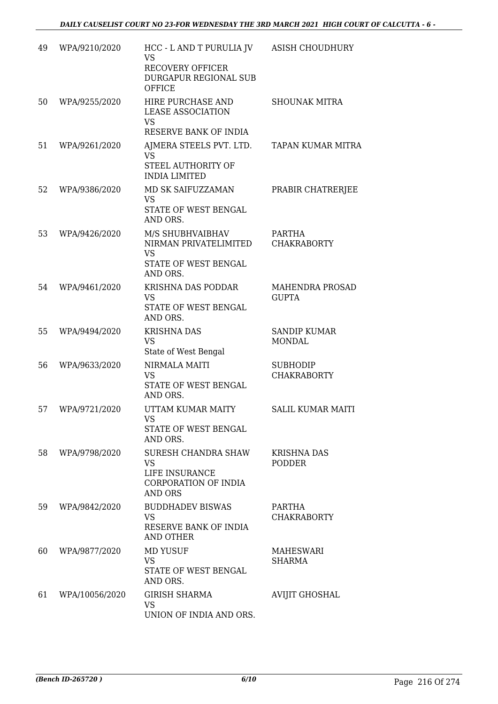| 49 | WPA/9210/2020  | HCC - L AND T PURULIA JV<br><b>VS</b><br><b>RECOVERY OFFICER</b><br>DURGAPUR REGIONAL SUB<br><b>OFFICE</b> | ASISH CHOUDHURY                       |
|----|----------------|------------------------------------------------------------------------------------------------------------|---------------------------------------|
| 50 | WPA/9255/2020  | HIRE PURCHASE AND<br><b>LEASE ASSOCIATION</b><br><b>VS</b><br>RESERVE BANK OF INDIA                        | <b>SHOUNAK MITRA</b>                  |
| 51 | WPA/9261/2020  | AJMERA STEELS PVT. LTD.<br><b>VS</b><br>STEEL AUTHORITY OF<br><b>INDIA LIMITED</b>                         | TAPAN KUMAR MITRA                     |
| 52 | WPA/9386/2020  | MD SK SAIFUZZAMAN<br>VS<br>STATE OF WEST BENGAL<br>AND ORS.                                                | PRABIR CHATRERJEE                     |
| 53 | WPA/9426/2020  | M/S SHUBHVAIBHAV<br>NIRMAN PRIVATELIMITED<br><b>VS</b><br>STATE OF WEST BENGAL<br>AND ORS.                 | PARTHA<br><b>CHAKRABORTY</b>          |
| 54 | WPA/9461/2020  | KRISHNA DAS PODDAR<br><b>VS</b><br>STATE OF WEST BENGAL<br>AND ORS.                                        | MAHENDRA PROSAD<br><b>GUPTA</b>       |
| 55 | WPA/9494/2020  | <b>KRISHNA DAS</b><br><b>VS</b><br>State of West Bengal                                                    | <b>SANDIP KUMAR</b><br><b>MONDAL</b>  |
| 56 | WPA/9633/2020  | <b>NIRMALA MAITI</b><br>VS<br>STATE OF WEST BENGAL<br>AND ORS.                                             | <b>SUBHODIP</b><br><b>CHAKRABORTY</b> |
| 57 | WPA/9721/2020  | UTTAM KUMAR MAITY<br>VS<br>STATE OF WEST BENGAL<br>AND ORS.                                                | <b>SALIL KUMAR MAITI</b>              |
| 58 | WPA/9798/2020  | SURESH CHANDRA SHAW<br><b>VS</b><br>LIFE INSURANCE<br><b>CORPORATION OF INDIA</b><br><b>AND ORS</b>        | <b>KRISHNA DAS</b><br><b>PODDER</b>   |
| 59 | WPA/9842/2020  | <b>BUDDHADEV BISWAS</b><br>VS<br>RESERVE BANK OF INDIA<br><b>AND OTHER</b>                                 | <b>PARTHA</b><br><b>CHAKRABORTY</b>   |
| 60 | WPA/9877/2020  | <b>MD YUSUF</b><br><b>VS</b><br>STATE OF WEST BENGAL<br>AND ORS.                                           | MAHESWARI<br>SHARMA                   |
| 61 | WPA/10056/2020 | <b>GIRISH SHARMA</b><br><b>VS</b><br>UNION OF INDIA AND ORS.                                               | <b>AVIJIT GHOSHAL</b>                 |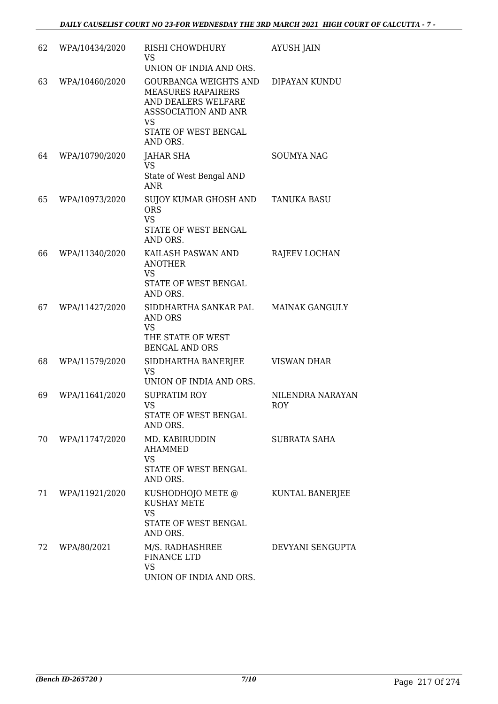| 62 | WPA/10434/2020 | RISHI CHOWDHURY<br><b>VS</b><br>UNION OF INDIA AND ORS.                                                                                                   | <b>AYUSH JAIN</b>       |
|----|----------------|-----------------------------------------------------------------------------------------------------------------------------------------------------------|-------------------------|
| 63 | WPA/10460/2020 | <b>GOURBANGA WEIGHTS AND</b><br><b>MEASURES RAPAIRERS</b><br>AND DEALERS WELFARE<br>ASSSOCIATION AND ANR<br><b>VS</b><br>STATE OF WEST BENGAL<br>AND ORS. | DIPAYAN KUNDU           |
| 64 | WPA/10790/2020 | <b>JAHAR SHA</b><br><b>VS</b><br>State of West Bengal AND<br><b>ANR</b>                                                                                   | <b>SOUMYA NAG</b>       |
| 65 | WPA/10973/2020 | SUJOY KUMAR GHOSH AND<br><b>ORS</b><br><b>VS</b><br>STATE OF WEST BENGAL<br>AND ORS.                                                                      | <b>TANUKA BASU</b>      |
| 66 | WPA/11340/2020 | KAILASH PASWAN AND<br><b>ANOTHER</b><br><b>VS</b><br>STATE OF WEST BENGAL<br>AND ORS.                                                                     | RAJEEV LOCHAN           |
| 67 | WPA/11427/2020 | SIDDHARTHA SANKAR PAL<br>AND ORS<br><b>VS</b><br>THE STATE OF WEST<br><b>BENGAL AND ORS</b>                                                               | <b>MAINAK GANGULY</b>   |
| 68 | WPA/11579/2020 | SIDDHARTHA BANERJEE<br><b>VS</b><br>UNION OF INDIA AND ORS.                                                                                               | <b>VISWAN DHAR</b>      |
| 69 | WPA/11641/2020 | <b>SUPRATIM ROY</b><br>VS<br>STATE OF WEST BENGAL<br>AND ORS.                                                                                             | NILENDRA NARAYAN<br>ROY |
| 70 | WPA/11747/2020 | MD. KABIRUDDIN<br><b>AHAMMED</b><br><b>VS</b><br>STATE OF WEST BENGAL<br>AND ORS.                                                                         | SUBRATA SAHA            |
| 71 | WPA/11921/2020 | KUSHODHOJO METE @<br><b>KUSHAY METE</b><br><b>VS</b><br>STATE OF WEST BENGAL<br>AND ORS.                                                                  | KUNTAL BANERJEE         |
| 72 | WPA/80/2021    | M/S. RADHASHREE<br>FINANCE LTD<br><b>VS</b><br>UNION OF INDIA AND ORS.                                                                                    | DEVYANI SENGUPTA        |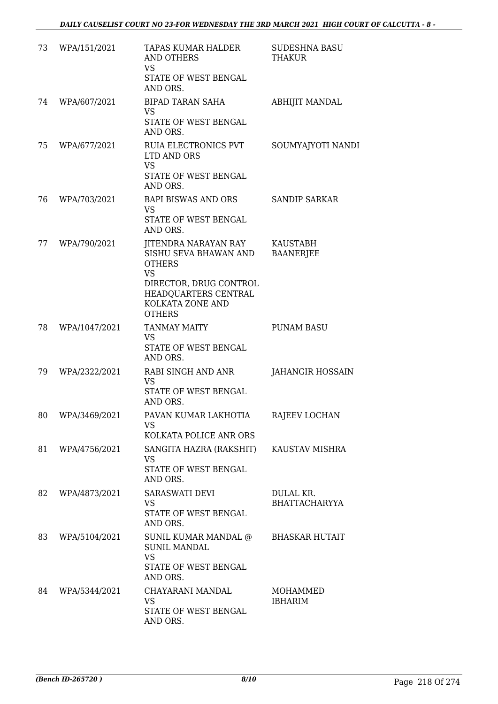| 73 | WPA/151/2021  | TAPAS KUMAR HALDER<br><b>AND OTHERS</b><br><b>VS</b><br>STATE OF WEST BENGAL<br>AND ORS.                                                                           | <b>SUDESHNA BASU</b><br>THAKUR    |
|----|---------------|--------------------------------------------------------------------------------------------------------------------------------------------------------------------|-----------------------------------|
| 74 | WPA/607/2021  | <b>BIPAD TARAN SAHA</b><br>VS<br>STATE OF WEST BENGAL<br>AND ORS.                                                                                                  | <b>ABHIJIT MANDAL</b>             |
| 75 | WPA/677/2021  | RUIA ELECTRONICS PVT<br>LTD AND ORS<br><b>VS</b><br>STATE OF WEST BENGAL<br>AND ORS.                                                                               | SOUMYAJYOTI NANDI                 |
| 76 | WPA/703/2021  | BAPI BISWAS AND ORS<br><b>VS</b><br>STATE OF WEST BENGAL<br>AND ORS.                                                                                               | <b>SANDIP SARKAR</b>              |
| 77 | WPA/790/2021  | JITENDRA NARAYAN RAY<br>SISHU SEVA BHAWAN AND<br><b>OTHERS</b><br><b>VS</b><br>DIRECTOR, DRUG CONTROL<br>HEADQUARTERS CENTRAL<br>KOLKATA ZONE AND<br><b>OTHERS</b> | KAUSTABH<br><b>BAANERJEE</b>      |
| 78 | WPA/1047/2021 | <b>TANMAY MAITY</b><br>VS<br>STATE OF WEST BENGAL<br>AND ORS.                                                                                                      | <b>PUNAM BASU</b>                 |
| 79 | WPA/2322/2021 | RABI SINGH AND ANR<br>VS<br>STATE OF WEST BENGAL<br>AND ORS.                                                                                                       | <b>JAHANGIR HOSSAIN</b>           |
| 80 | WPA/3469/2021 | PAVAN KUMAR LAKHOTIA<br>VS.<br>KOLKATA POLICE ANR ORS                                                                                                              | RAJEEV LOCHAN                     |
| 81 | WPA/4756/2021 | SANGITA HAZRA (RAKSHIT)<br>VS<br>STATE OF WEST BENGAL<br>AND ORS.                                                                                                  | KAUSTAV MISHRA                    |
| 82 | WPA/4873/2021 | SARASWATI DEVI<br>VS.<br>STATE OF WEST BENGAL<br>AND ORS.                                                                                                          | DULAL KR.<br><b>BHATTACHARYYA</b> |
| 83 | WPA/5104/2021 | SUNIL KUMAR MANDAL @<br><b>SUNIL MANDAL</b><br><b>VS</b><br>STATE OF WEST BENGAL<br>AND ORS.                                                                       | <b>BHASKAR HUTAIT</b>             |
| 84 | WPA/5344/2021 | CHAYARANI MANDAL<br><b>VS</b><br>STATE OF WEST BENGAL<br>AND ORS.                                                                                                  | MOHAMMED<br><b>IBHARIM</b>        |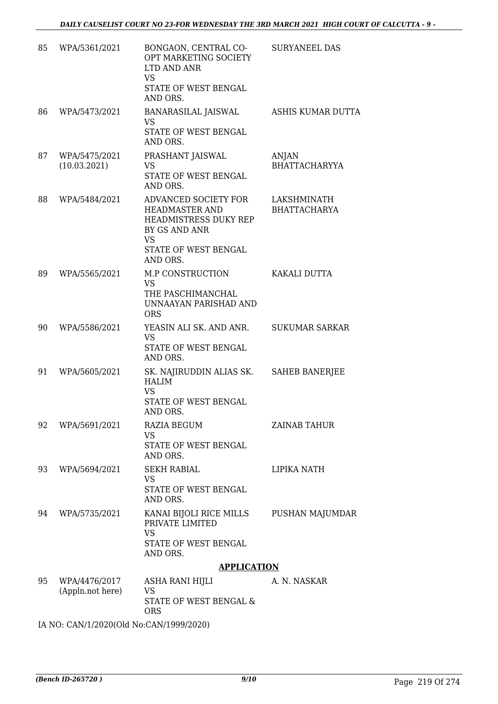| 85 | WPA/5361/2021                     | BONGAON, CENTRAL CO-<br>OPT MARKETING SOCIETY<br>LTD AND ANR<br><b>VS</b><br>STATE OF WEST BENGAL<br>AND ORS.                            | <b>SURYANEEL DAS</b>                 |
|----|-----------------------------------|------------------------------------------------------------------------------------------------------------------------------------------|--------------------------------------|
| 86 | WPA/5473/2021                     | BANARASILAL JAISWAL<br><b>VS</b><br><b>STATE OF WEST BENGAL</b><br>AND ORS.                                                              | ASHIS KUMAR DUTTA                    |
| 87 | WPA/5475/2021<br>(10.03.2021)     | PRASHANT JAISWAL<br>VS<br>STATE OF WEST BENGAL<br>AND ORS.                                                                               | <b>ANJAN</b><br><b>BHATTACHARYYA</b> |
| 88 | WPA/5484/2021                     | ADVANCED SOCIETY FOR<br><b>HEADMASTER AND</b><br>HEADMISTRESS DUKY REP<br>BY GS AND ANR<br><b>VS</b><br>STATE OF WEST BENGAL<br>AND ORS. | LAKSHMINATH<br><b>BHATTACHARYA</b>   |
| 89 | WPA/5565/2021                     | M.P CONSTRUCTION<br><b>VS</b><br>THE PASCHIMANCHAL<br>UNNAAYAN PARISHAD AND<br><b>ORS</b>                                                | KAKALI DUTTA                         |
| 90 | WPA/5586/2021                     | YEASIN ALI SK. AND ANR.<br><b>VS</b><br>STATE OF WEST BENGAL<br>AND ORS.                                                                 | <b>SUKUMAR SARKAR</b>                |
| 91 | WPA/5605/2021                     | SK. NAJIRUDDIN ALIAS SK.<br><b>HALIM</b><br><b>VS</b><br>STATE OF WEST BENGAL<br>AND ORS.                                                | <b>SAHEB BANERJEE</b>                |
| 92 | WPA/5691/2021                     | <b>RAZIA BEGUM</b><br><b>VS</b><br>STATE OF WEST BENGAL<br>AND ORS.                                                                      | ZAINAB TAHUR                         |
| 93 | WPA/5694/2021                     | <b>SEKH RABIAL</b><br><b>VS</b><br>STATE OF WEST BENGAL<br>AND ORS.                                                                      | LIPIKA NATH                          |
| 94 | WPA/5735/2021                     | KANAI BIJOLI RICE MILLS<br>PRIVATE LIMITED<br><b>VS</b><br>STATE OF WEST BENGAL<br>AND ORS.                                              | PUSHAN MAJUMDAR                      |
|    |                                   | <b>APPLICATION</b>                                                                                                                       |                                      |
| 95 | WPA/4476/2017<br>(Appln.not here) | ASHA RANI HIJLI<br><b>VS</b><br>STATE OF WEST BENGAL &<br><b>ORS</b>                                                                     | A. N. NASKAR                         |

IA NO: CAN/1/2020(Old No:CAN/1999/2020)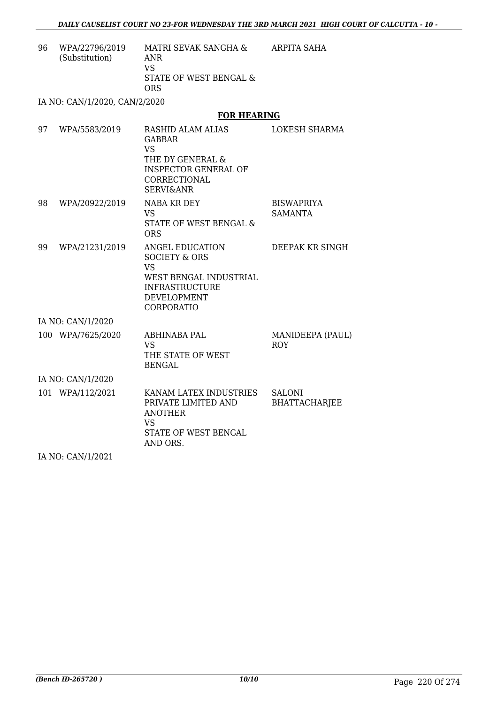ARPITA SAHA

96 WPA/22796/2019 (Substitution) MATRI SEVAK SANGHA & ANR VS STATE OF WEST BENGAL & ORS

IA NO: CAN/1/2020, CAN/2/2020

#### **FOR HEARING**

| 97 | WPA/5583/2019     | <b>RASHID ALAM ALIAS</b><br><b>GABBAR</b><br><b>VS</b><br>THE DY GENERAL &<br><b>INSPECTOR GENERAL OF</b><br>CORRECTIONAL<br><b>SERVI&amp;ANR</b> | <b>LOKESH SHARMA</b>                  |
|----|-------------------|---------------------------------------------------------------------------------------------------------------------------------------------------|---------------------------------------|
| 98 | WPA/20922/2019    | NABA KR DEY<br><b>VS</b><br>STATE OF WEST BENGAL &<br><b>ORS</b>                                                                                  | <b>BISWAPRIYA</b><br><b>SAMANTA</b>   |
| 99 | WPA/21231/2019    | ANGEL EDUCATION<br><b>SOCIETY &amp; ORS</b><br><b>VS</b><br>WEST BENGAL INDUSTRIAL<br><b>INFRASTRUCTURE</b><br>DEVELOPMENT<br><b>CORPORATIO</b>   | DEEPAK KR SINGH                       |
|    | IA NO: CAN/1/2020 |                                                                                                                                                   |                                       |
|    | 100 WPA/7625/2020 | <b>ABHINABA PAL</b><br>VS <sub>1</sub><br>THE STATE OF WEST<br><b>BENGAL</b>                                                                      | MANIDEEPA (PAUL)<br><b>ROY</b>        |
|    | IA NO: CAN/1/2020 |                                                                                                                                                   |                                       |
|    | 101 WPA/112/2021  | KANAM LATEX INDUSTRIES<br>PRIVATE LIMITED AND<br><b>ANOTHER</b><br><b>VS</b><br>STATE OF WEST BENGAL<br>AND ORS.                                  | <b>SALONI</b><br><b>BHATTACHARJEE</b> |

IA NO: CAN/1/2021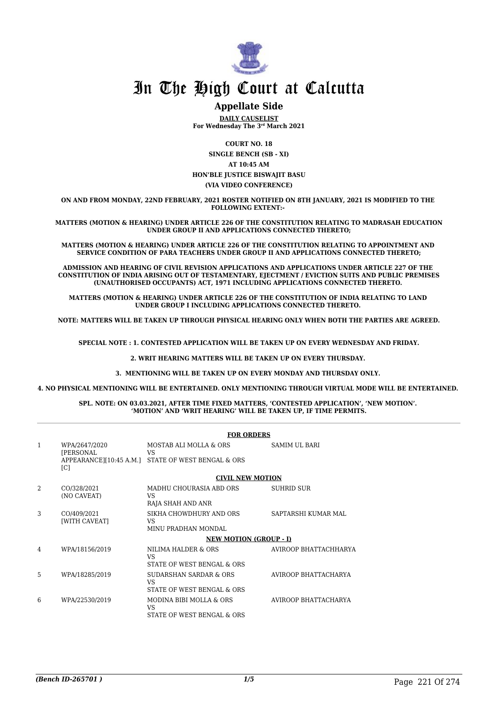

### **Appellate Side**

**DAILY CAUSELIST For Wednesday The 3rd March 2021**

**COURT NO. 18**

**SINGLE BENCH (SB - XI) AT 10:45 AM HON'BLE JUSTICE BISWAJIT BASU (VIA VIDEO CONFERENCE)**

**ON AND FROM MONDAY, 22ND FEBRUARY, 2021 ROSTER NOTIFIED ON 8TH JANUARY, 2021 IS MODIFIED TO THE FOLLOWING EXTENT:-** 

**MATTERS (MOTION & HEARING) UNDER ARTICLE 226 OF THE CONSTITUTION RELATING TO MADRASAH EDUCATION UNDER GROUP II AND APPLICATIONS CONNECTED THERETO;**

**MATTERS (MOTION & HEARING) UNDER ARTICLE 226 OF THE CONSTITUTION RELATING TO APPOINTMENT AND SERVICE CONDITION OF PARA TEACHERS UNDER GROUP II AND APPLICATIONS CONNECTED THERETO;**

**ADMISSION AND HEARING OF CIVIL REVISION APPLICATIONS AND APPLICATIONS UNDER ARTICLE 227 OF THE CONSTITUTION OF INDIA ARISING OUT OF TESTAMENTARY, EJECTMENT / EVICTION SUITS AND PUBLIC PREMISES (UNAUTHORISED OCCUPANTS) ACT, 1971 INCLUDING APPLICATIONS CONNECTED THERETO.** 

**MATTERS (MOTION & HEARING) UNDER ARTICLE 226 OF THE CONSTITUTION OF INDIA RELATING TO LAND UNDER GROUP I INCLUDING APPLICATIONS CONNECTED THERETO.** 

**NOTE: MATTERS WILL BE TAKEN UP THROUGH PHYSICAL HEARING ONLY WHEN BOTH THE PARTIES ARE AGREED.**

**SPECIAL NOTE : 1. CONTESTED APPLICATION WILL BE TAKEN UP ON EVERY WEDNESDAY AND FRIDAY.**

**2. WRIT HEARING MATTERS WILL BE TAKEN UP ON EVERY THURSDAY.** 

**3. MENTIONING WILL BE TAKEN UP ON EVERY MONDAY AND THURSDAY ONLY.** 

**4. NO PHYSICAL MENTIONING WILL BE ENTERTAINED. ONLY MENTIONING THROUGH VIRTUAL MODE WILL BE ENTERTAINED.** 

#### **SPL. NOTE: ON 03.03.2021, AFTER TIME FIXED MATTERS, 'CONTESTED APPLICATION', 'NEW MOTION'. 'MOTION' AND 'WRIT HEARING' WILL BE TAKEN UP, IF TIME PERMITS.**

|               |                                         | <b>FOR ORDERS</b>                                                                  |                       |  |
|---------------|-----------------------------------------|------------------------------------------------------------------------------------|-----------------------|--|
| 1             | WPA/2647/2020<br><b>IPERSONAL</b><br> C | MOSTAB ALI MOLLA & ORS<br>VS<br>APPEARANCE][10:45 A.M.] STATE OF WEST BENGAL & ORS | SAMIM UL BARI         |  |
|               |                                         | <b>CIVIL NEW MOTION</b>                                                            |                       |  |
| $\mathcal{D}$ | CO/328/2021<br>(NO CAVEAT)              | MADHU CHOURASIA ABD ORS<br><b>VS</b><br>RAJA SHAH AND ANR                          | <b>SUHRID SUR</b>     |  |
| 3             | CO/409/2021<br>[WITH CAVEAT]            | SIKHA CHOWDHURY AND ORS<br><b>VS</b><br>MINU PRADHAN MONDAL                        | SAPTARSHI KUMAR MAL   |  |
|               |                                         | <b>NEW MOTION (GROUP - I)</b>                                                      |                       |  |
| 4             | WPA/18156/2019                          | NILIMA HALDER & ORS<br>VS.<br>STATE OF WEST BENGAL & ORS                           | AVIROOP BHATTACHHARYA |  |
| 5             | WPA/18285/2019                          | SUDARSHAN SARDAR & ORS<br><b>VS</b><br>STATE OF WEST BENGAL & ORS                  | AVIROOP BHATTACHARYA  |  |
| 6             | WPA/22530/2019                          | MODINA BIBI MOLLA & ORS<br><b>VS</b><br>STATE OF WEST BENGAL & ORS                 | AVIROOP BHATTACHARYA  |  |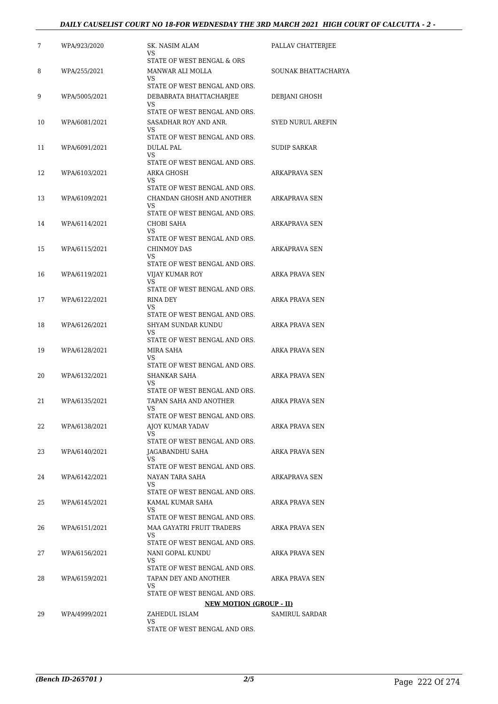#### *DAILY CAUSELIST COURT NO 18-FOR WEDNESDAY THE 3RD MARCH 2021 HIGH COURT OF CALCUTTA - 2 -*

| 7  | WPA/923/2020  | SK. NASIM ALAM<br>VS.                                         | PALLAV CHATTERJEE   |
|----|---------------|---------------------------------------------------------------|---------------------|
|    |               | STATE OF WEST BENGAL & ORS                                    |                     |
| 8  | WPA/255/2021  | MANWAR ALI MOLLA<br>VS.                                       | SOUNAK BHATTACHARYA |
|    |               | STATE OF WEST BENGAL AND ORS.                                 |                     |
| 9  | WPA/5005/2021 | DEBABRATA BHATTACHARJEE<br>VS.                                | DEBJANI GHOSH       |
|    |               | STATE OF WEST BENGAL AND ORS.                                 |                     |
| 10 | WPA/6081/2021 | SASADHAR ROY AND ANR.<br>VS.<br>STATE OF WEST BENGAL AND ORS. | SYED NURUL AREFIN   |
| 11 | WPA/6091/2021 | DULAL PAL                                                     | <b>SUDIP SARKAR</b> |
|    |               | VS.<br>STATE OF WEST BENGAL AND ORS.                          |                     |
| 12 | WPA/6103/2021 | ARKA GHOSH                                                    | ARKAPRAVA SEN       |
|    |               | VS<br>STATE OF WEST BENGAL AND ORS.                           |                     |
| 13 | WPA/6109/2021 | CHANDAN GHOSH AND ANOTHER                                     | ARKAPRAVA SEN       |
|    |               | VS.<br>STATE OF WEST BENGAL AND ORS.                          |                     |
| 14 | WPA/6114/2021 | <b>CHOBI SAHA</b>                                             | ARKAPRAVA SEN       |
|    |               | VS.                                                           |                     |
| 15 | WPA/6115/2021 | STATE OF WEST BENGAL AND ORS.<br>CHINMOY DAS                  | ARKAPRAVA SEN       |
|    |               | VS                                                            |                     |
|    |               | STATE OF WEST BENGAL AND ORS.                                 |                     |
| 16 | WPA/6119/2021 | VIJAY KUMAR ROY<br>VS.                                        | ARKA PRAVA SEN      |
|    |               | STATE OF WEST BENGAL AND ORS.                                 |                     |
| 17 | WPA/6122/2021 | RINA DEY<br>VS                                                | ARKA PRAVA SEN      |
|    |               | STATE OF WEST BENGAL AND ORS.                                 |                     |
| 18 | WPA/6126/2021 | SHYAM SUNDAR KUNDU<br><b>VS</b>                               | ARKA PRAVA SEN      |
|    |               | STATE OF WEST BENGAL AND ORS.                                 |                     |
| 19 | WPA/6128/2021 | MIRA SAHA<br>VS.                                              | ARKA PRAVA SEN      |
|    |               | STATE OF WEST BENGAL AND ORS.                                 |                     |
| 20 | WPA/6132/2021 | SHANKAR SAHA                                                  | ARKA PRAVA SEN      |
|    |               | VS.<br>STATE OF WEST BENGAL AND ORS.                          |                     |
| 21 | WPA/6135/2021 | TAPAN SAHA AND ANOTHER                                        | ARKA PRAVA SEN      |
|    |               | VS<br>STATE OF WEST BENGAL AND ORS.                           |                     |
| 22 | WPA/6138/2021 | AIOY KUMAR YADAV                                              | ARKA PRAVA SEN      |
|    |               | VS.<br>STATE OF WEST BENGAL AND ORS.                          |                     |
| 23 | WPA/6140/2021 | JAGABANDHU SAHA                                               | ARKA PRAVA SEN      |
|    |               | VS                                                            |                     |
| 24 | WPA/6142/2021 | STATE OF WEST BENGAL AND ORS.<br>NAYAN TARA SAHA              | ARKAPRAVA SEN       |
|    |               | VS                                                            |                     |
|    |               | STATE OF WEST BENGAL AND ORS.                                 |                     |
| 25 | WPA/6145/2021 | KAMAL KUMAR SAHA<br>VS                                        | ARKA PRAVA SEN      |
|    |               | STATE OF WEST BENGAL AND ORS.                                 |                     |
| 26 | WPA/6151/2021 | MAA GAYATRI FRUIT TRADERS<br>VS                               | ARKA PRAVA SEN      |
|    |               | STATE OF WEST BENGAL AND ORS.                                 |                     |
| 27 | WPA/6156/2021 | NANI GOPAL KUNDU<br>VS.                                       | ARKA PRAVA SEN      |
|    |               | STATE OF WEST BENGAL AND ORS.                                 |                     |
| 28 | WPA/6159/2021 | TAPAN DEY AND ANOTHER                                         | ARKA PRAVA SEN      |
|    |               | VS.<br>STATE OF WEST BENGAL AND ORS.                          |                     |
|    |               | <b>NEW MOTION (GROUP - II)</b>                                |                     |
| 29 | WPA/4999/2021 | ZAHEDUL ISLAM                                                 | SAMIRUL SARDAR      |
|    |               | VS<br>STATE OF WEST BENGAL AND ORS.                           |                     |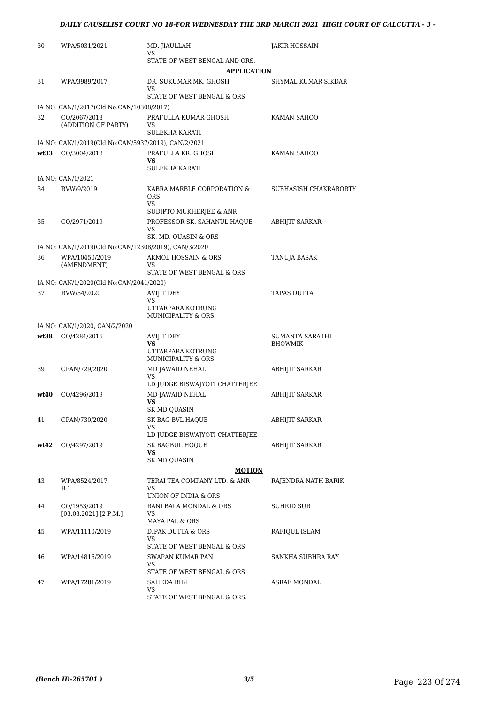| 30   | WPA/5031/2021                                                          | MD. JIAULLAH                                                    | JAKIR HOSSAIN         |
|------|------------------------------------------------------------------------|-----------------------------------------------------------------|-----------------------|
|      |                                                                        | VS<br>STATE OF WEST BENGAL AND ORS.                             |                       |
|      |                                                                        | <b>APPLICATION</b>                                              |                       |
| 31   | WPA/3989/2017                                                          | DR. SUKUMAR MK. GHOSH<br>VS                                     | SHYMAL KUMAR SIKDAR   |
|      |                                                                        | STATE OF WEST BENGAL & ORS                                      |                       |
|      | IA NO: CAN/1/2017(Old No:CAN/10308/2017)                               |                                                                 |                       |
| 32   | CO/2067/2018<br>(ADDITION OF PARTY)                                    | PRAFULLA KUMAR GHOSH<br>VS<br>SULEKHA KARATI                    | KAMAN SAHOO           |
|      | IA NO: CAN/1/2019(Old No:CAN/5937/2019), CAN/2/2021                    |                                                                 |                       |
| wt33 | CO/3004/2018                                                           | PRAFULLA KR. GHOSH<br>VS.<br><b>SULEKHA KARATI</b>              | KAMAN SAHOO           |
|      | IA NO: CAN/1/2021                                                      |                                                                 |                       |
| 34   | RVW/9/2019                                                             | KABRA MARBLE CORPORATION &<br><b>ORS</b><br>VS                  | SUBHASISH CHAKRABORTY |
|      |                                                                        | SUDIPTO MUKHERJEE & ANR                                         |                       |
| 35   | CO/2971/2019                                                           | PROFESSOR SK. SAHANUL HAQUE<br>VS                               | ABHIJIT SARKAR        |
|      |                                                                        | SK. MD. QUASIN & ORS                                            |                       |
| 36   | IA NO: CAN/1/2019(Old No:CAN/12308/2019), CAN/3/2020<br>WPA/10450/2019 | AKMOL HOSSAIN & ORS                                             | TANUJA BASAK          |
|      | (AMENDMENT)                                                            | VS.<br>STATE OF WEST BENGAL & ORS                               |                       |
|      | IA NO: CAN/1/2020(Old No:CAN/2041/2020)                                |                                                                 |                       |
| 37   | RVW/54/2020                                                            | AVIJIT DEY<br>VS<br>UTTARPARA KOTRUNG<br>MUNICIPALITY & ORS.    | TAPAS DUTTA           |
|      | IA NO: CAN/1/2020, CAN/2/2020                                          |                                                                 |                       |
|      | wt38 CO/4284/2016                                                      | <b>AVIJIT DEY</b>                                               | SUMANTA SARATHI       |
|      |                                                                        | <b>VS</b><br>UTTARPARA KOTRUNG<br><b>MUNICIPALITY &amp; ORS</b> | <b>BHOWMIK</b>        |
| 39   | CPAN/729/2020                                                          | MD JAWAID NEHAL                                                 | <b>ABHIJIT SARKAR</b> |
|      |                                                                        | VS                                                              |                       |
|      |                                                                        | LD JUDGE BISWAJYOTI CHATTERJEE                                  |                       |
| wt40 | CO/4296/2019                                                           | MD JAWAID NEHAL<br>VS                                           | <b>ABHIJIT SARKAR</b> |
|      |                                                                        | SK MD QUASIN                                                    |                       |
| 41   | CPAN/730/2020                                                          | SK BAG BVL HAQUE<br>VS.                                         | <b>ABHIJIT SARKAR</b> |
|      |                                                                        | LD JUDGE BISWAJYOTI CHATTERJEE                                  |                       |
| wt42 | CO/4297/2019                                                           | SK BAGBUL HOOUE<br><b>VS</b><br><b>SK MD QUASIN</b>             | <b>ABHIJIT SARKAR</b> |
|      |                                                                        | <u>MOTION</u>                                                   |                       |
| 43   | WPA/8524/2017<br>$B-1$                                                 | TERAI TEA COMPANY LTD. & ANR<br>VS                              | RAJENDRA NATH BARIK   |
|      |                                                                        | UNION OF INDIA & ORS                                            |                       |
| 44   | CO/1953/2019<br>$[03.03.2021]$ [2 P.M.]                                | RANI BALA MONDAL & ORS<br>VS<br>MAYA PAL & ORS                  | SUHRID SUR            |
| 45   | WPA/11110/2019                                                         | DIPAK DUTTA & ORS<br>VS.                                        | RAFIQUL ISLAM         |
|      |                                                                        | STATE OF WEST BENGAL & ORS                                      |                       |
| 46   | WPA/14816/2019                                                         | SWAPAN KUMAR PAN<br>VS<br>STATE OF WEST BENGAL & ORS            | SANKHA SUBHRA RAY     |
| 47   | WPA/17281/2019                                                         | SAHEDA BIBI<br>VS.                                              | ASRAF MONDAL          |
|      |                                                                        | STATE OF WEST BENGAL & ORS.                                     |                       |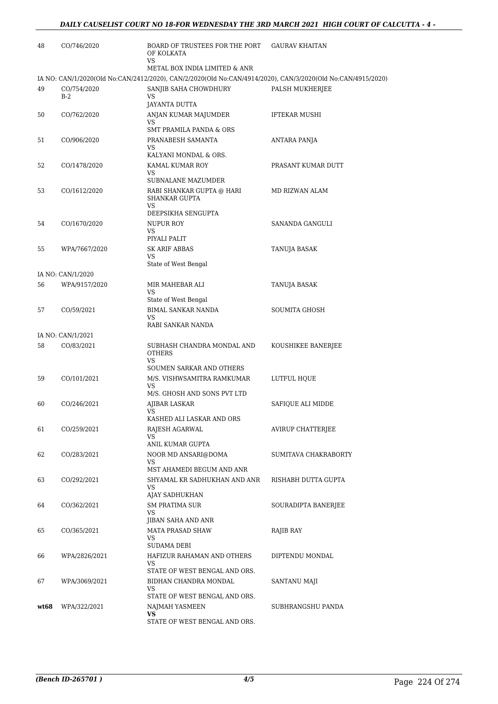| 48   | CO/746/2020          | <b>BOARD OF TRUSTEES FOR THE PORT</b><br>OF KOLKATA<br><b>VS</b>                                            | <b>GAURAV KHAITAN</b>    |
|------|----------------------|-------------------------------------------------------------------------------------------------------------|--------------------------|
|      |                      | METAL BOX INDIA LIMITED & ANR                                                                               |                          |
|      |                      | IA NO: CAN/1/2020(Old No:CAN/2412/2020), CAN/2/2020(Old No:CAN/4914/2020), CAN/3/2020(Old No:CAN/4915/2020) |                          |
| 49   | CO/754/2020<br>$B-2$ | SANJIB SAHA CHOWDHURY<br><b>VS</b><br>JAYANTA DUTTA                                                         | PALSH MUKHERJEE          |
| 50   | CO/762/2020          | ANJAN KUMAR MAJUMDER<br>VS                                                                                  | <b>IFTEKAR MUSHI</b>     |
|      |                      | <b>SMT PRAMILA PANDA &amp; ORS</b>                                                                          |                          |
| 51   | CO/906/2020          | PRANABESH SAMANTA<br>VS<br>KALYANI MONDAL & ORS.                                                            | ANTARA PANJA             |
| 52   | CO/1478/2020         | KAMAL KUMAR ROY                                                                                             | PRASANT KUMAR DUTT       |
|      |                      | VS<br>SUBNALANE MAZUMDER                                                                                    |                          |
| 53   | CO/1612/2020         | RABI SHANKAR GUPTA @ HARI<br><b>SHANKAR GUPTA</b><br><b>VS</b>                                              | MD RIZWAN ALAM           |
|      |                      | DEEPSIKHA SENGUPTA                                                                                          |                          |
| 54   | CO/1670/2020         | <b>NUPUR ROY</b><br>VS                                                                                      | <b>SANANDA GANGULI</b>   |
|      |                      | PIYALI PALIT                                                                                                |                          |
| 55   | WPA/7667/2020        | <b>SK ARIF ABBAS</b><br>VS<br>State of West Bengal                                                          | TANUJA BASAK             |
|      | IA NO: CAN/1/2020    |                                                                                                             |                          |
| 56   | WPA/9157/2020        | MIR MAHEBAR ALI<br><b>VS</b>                                                                                | TANUJA BASAK             |
|      |                      | State of West Bengal                                                                                        |                          |
| 57   | CO/59/2021           | <b>BIMAL SANKAR NANDA</b><br><b>VS</b>                                                                      | SOUMITA GHOSH            |
|      |                      | RABI SANKAR NANDA                                                                                           |                          |
|      | IA NO: CAN/1/2021    |                                                                                                             |                          |
| 58   | CO/83/2021           | SUBHASH CHANDRA MONDAL AND<br><b>OTHERS</b><br><b>VS</b>                                                    | KOUSHIKEE BANERJEE       |
|      |                      | SOUMEN SARKAR AND OTHERS                                                                                    |                          |
| 59   | CO/101/2021          | M/S. VISHWSAMITRA RAMKUMAR<br><b>VS</b>                                                                     | LUTFUL HQUE              |
|      |                      | M/S. GHOSH AND SONS PVT LTD                                                                                 |                          |
| 60   | CO/246/2021          | <b>AJIBAR LASKAR</b><br>VS<br>KASHED ALI LASKAR AND ORS                                                     | SAFIQUE ALI MIDDE        |
| 61   | CO/259/2021          | RAJESH AGARWAL                                                                                              | <b>AVIRUP CHATTERJEE</b> |
|      |                      | VS<br>ANIL KUMAR GUPTA                                                                                      |                          |
| 62   | CO/283/2021          | NOOR MD ANSARI@DOMA<br>VS                                                                                   | SUMITAVA CHAKRABORTY     |
|      |                      | MST AHAMEDI BEGUM AND ANR                                                                                   |                          |
| 63   | CO/292/2021          | SHYAMAL KR SADHUKHAN AND ANR<br>VS<br>AJAY SADHUKHAN                                                        | RISHABH DUTTA GUPTA      |
| 64   | CO/362/2021          | <b>SM PRATIMA SUR</b><br>VS                                                                                 | SOURADIPTA BANERJEE      |
|      |                      | JIBAN SAHA AND ANR                                                                                          |                          |
| 65   | CO/365/2021          | <b>MATA PRASAD SHAW</b><br>VS                                                                               | RAJIB RAY                |
|      |                      | SUDAMA DEBI                                                                                                 |                          |
| 66   | WPA/2826/2021        | HAFIZUR RAHAMAN AND OTHERS<br>VS<br>STATE OF WEST BENGAL AND ORS.                                           | DIPTENDU MONDAL          |
| 67   | WPA/3069/2021        | BIDHAN CHANDRA MONDAL                                                                                       | SANTANU MAJI             |
|      |                      | VS<br>STATE OF WEST BENGAL AND ORS.                                                                         |                          |
| wt68 | WPA/322/2021         | NAJMAH YASMEEN                                                                                              | SUBHRANGSHU PANDA        |
|      |                      | VS.<br>STATE OF WEST BENGAL AND ORS.                                                                        |                          |
|      |                      |                                                                                                             |                          |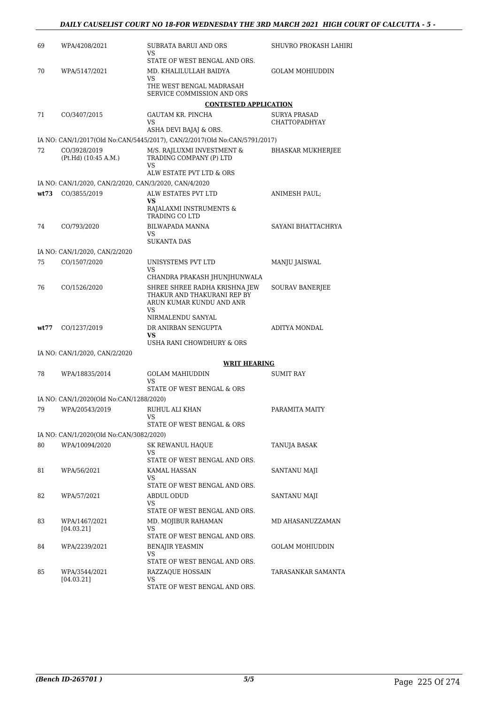| 69   | WPA/4208/2021                                         | SUBRATA BARUI AND ORS<br>VS<br>STATE OF WEST BENGAL AND ORS.                                   | SHUVRO PROKASH LAHIRI                |
|------|-------------------------------------------------------|------------------------------------------------------------------------------------------------|--------------------------------------|
| 70   | WPA/5147/2021                                         | MD. KHALILULLAH BAIDYA                                                                         | <b>GOLAM MOHIUDDIN</b>               |
|      |                                                       | VS<br>THE WEST BENGAL MADRASAH<br>SERVICE COMMISSION AND ORS                                   |                                      |
|      |                                                       | <b>CONTESTED APPLICATION</b>                                                                   |                                      |
| 71   | CO/3407/2015                                          | <b>GAUTAM KR. PINCHA</b><br>VS                                                                 | <b>SURYA PRASAD</b><br>CHATTOPADHYAY |
|      |                                                       | ASHA DEVI BAJAJ & ORS.                                                                         |                                      |
|      |                                                       | IA NO: CAN/1/2017(Old No:CAN/5445/2017), CAN/2/2017(Old No:CAN/5791/2017)                      |                                      |
| 72   | CO/3928/2019<br>(Pt.Hd) (10:45 A.M.)                  | M/S. RAJLUXMI INVESTMENT &<br>TRADING COMPANY (P) LTD<br>VS                                    | <b>BHASKAR MUKHERJEE</b>             |
|      |                                                       | ALW ESTATE PVT LTD & ORS                                                                       |                                      |
|      | IA NO: CAN/1/2020, CAN/2/2020, CAN/3/2020, CAN/4/2020 |                                                                                                |                                      |
| wt73 | CO/3855/2019                                          | ALW ESTATES PVT LTD<br>VS.                                                                     | ANIMESH PAUL;                        |
|      |                                                       | RAJALAXMI INSTRUMENTS &<br><b>TRADING CO LTD</b>                                               |                                      |
| 74   | CO/793/2020                                           | <b>BILWAPADA MANNA</b>                                                                         | SAYANI BHATTACHRYA                   |
|      |                                                       | VS.<br><b>SUKANTA DAS</b>                                                                      |                                      |
|      | IA NO: CAN/1/2020, CAN/2/2020                         |                                                                                                |                                      |
| 75   | CO/1507/2020                                          | UNISYSTEMS PVT LTD<br>VS                                                                       | MANJU JAISWAL                        |
|      |                                                       | CHANDRA PRAKASH JHUNJHUNWALA                                                                   |                                      |
| 76   | CO/1526/2020                                          | SHREE SHREE RADHA KRISHNA JEW<br>THAKUR AND THAKURANI REP BY<br>ARUN KUMAR KUNDU AND ANR<br>VS | <b>SOURAV BANERJEE</b>               |
|      |                                                       | NIRMALENDU SANYAL                                                                              |                                      |
| wt77 | CO/1237/2019                                          | DR ANIRBAN SENGUPTA<br><b>VS</b><br>USHA RANI CHOWDHURY & ORS                                  | <b>ADITYA MONDAL</b>                 |
|      | IA NO: CAN/1/2020, CAN/2/2020                         |                                                                                                |                                      |
|      |                                                       | <b>WRIT HEARING</b>                                                                            |                                      |
| 78   | WPA/18835/2014                                        | <b>GOLAM MAHIUDDIN</b>                                                                         | SUMIT RAY                            |
|      |                                                       | VS<br>STATE OF WEST BENGAL & ORS                                                               |                                      |
|      | IA NO: CAN/1/2020(Old No:CAN/1288/2020)               |                                                                                                |                                      |
| 79   | WPA/20543/2019                                        | RUHUL ALI KHAN                                                                                 | PARAMITA MAITY                       |
|      |                                                       | STATE OF WEST BENGAL & ORS                                                                     |                                      |
|      | IA NO: CAN/1/2020(Old No:CAN/3082/2020)               |                                                                                                |                                      |
| 80   | WPA/10094/2020                                        | SK REWANUL HAQUE<br>VS                                                                         | TANUJA BASAK                         |
|      |                                                       | STATE OF WEST BENGAL AND ORS.                                                                  |                                      |
| 81   | WPA/56/2021                                           | KAMAL HASSAN<br>VS<br>STATE OF WEST BENGAL AND ORS.                                            | SANTANU MAJI                         |
| 82   | WPA/57/2021                                           | ABDUL ODUD                                                                                     | SANTANU MAJI                         |
|      |                                                       | VS<br>STATE OF WEST BENGAL AND ORS.                                                            |                                      |
| 83   | WPA/1467/2021<br>[04.03.21]                           | MD. MOJIBUR RAHAMAN<br>VS                                                                      | MD AHASANUZZAMAN                     |
|      |                                                       | STATE OF WEST BENGAL AND ORS.                                                                  |                                      |
| 84   | WPA/2239/2021                                         | <b>BENAJIR YEASMIN</b><br>VS.                                                                  | <b>GOLAM MOHIUDDIN</b>               |
| 85   |                                                       | STATE OF WEST BENGAL AND ORS.                                                                  | TARASANKAR SAMANTA                   |
|      | WPA/3544/2021<br>[04.03.21]                           | RAZZAQUE HOSSAIN<br>VS<br>STATE OF WEST BENGAL AND ORS.                                        |                                      |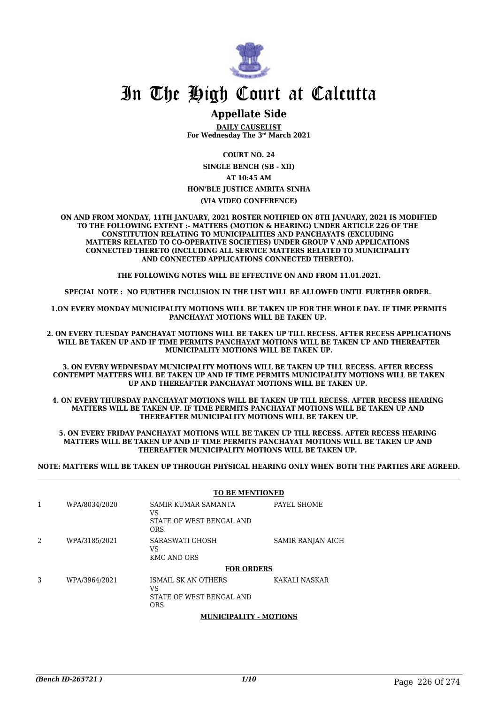

### **Appellate Side**

**DAILY CAUSELIST For Wednesday The 3rd March 2021**

**COURT NO. 24**

**SINGLE BENCH (SB - XII) AT 10:45 AM**

**HON'BLE JUSTICE AMRITA SINHA**

#### **(VIA VIDEO CONFERENCE)**

**ON AND FROM MONDAY, 11TH JANUARY, 2021 ROSTER NOTIFIED ON 8TH JANUARY, 2021 IS MODIFIED TO THE FOLLOWING EXTENT :- MATTERS (MOTION & HEARING) UNDER ARTICLE 226 OF THE CONSTITUTION RELATING TO MUNICIPALITIES AND PANCHAYATS (EXCLUDING MATTERS RELATED TO CO-OPERATIVE SOCIETIES) UNDER GROUP V AND APPLICATIONS CONNECTED THERETO (INCLUDING ALL SERVICE MATTERS RELATED TO MUNICIPALITY AND CONNECTED APPLICATIONS CONNECTED THERETO).** 

**THE FOLLOWING NOTES WILL BE EFFECTIVE ON AND FROM 11.01.2021.**

**SPECIAL NOTE : NO FURTHER INCLUSION IN THE LIST WILL BE ALLOWED UNTIL FURTHER ORDER.** 

**1.ON EVERY MONDAY MUNICIPALITY MOTIONS WILL BE TAKEN UP FOR THE WHOLE DAY. IF TIME PERMITS PANCHAYAT MOTIONS WILL BE TAKEN UP.** 

**2. ON EVERY TUESDAY PANCHAYAT MOTIONS WILL BE TAKEN UP TILL RECESS. AFTER RECESS APPLICATIONS WILL BE TAKEN UP AND IF TIME PERMITS PANCHAYAT MOTIONS WILL BE TAKEN UP AND THEREAFTER MUNICIPALITY MOTIONS WILL BE TAKEN UP.**

**3. ON EVERY WEDNESDAY MUNICIPALITY MOTIONS WILL BE TAKEN UP TILL RECESS. AFTER RECESS CONTEMPT MATTERS WILL BE TAKEN UP AND IF TIME PERMITS MUNICIPALITY MOTIONS WILL BE TAKEN UP AND THEREAFTER PANCHAYAT MOTIONS WILL BE TAKEN UP.** 

**4. ON EVERY THURSDAY PANCHAYAT MOTIONS WILL BE TAKEN UP TILL RECESS. AFTER RECESS HEARING MATTERS WILL BE TAKEN UP. IF TIME PERMITS PANCHAYAT MOTIONS WILL BE TAKEN UP AND THEREAFTER MUNICIPALITY MOTIONS WILL BE TAKEN UP.**

**5. ON EVERY FRIDAY PANCHAYAT MOTIONS WILL BE TAKEN UP TILL RECESS. AFTER RECESS HEARING MATTERS WILL BE TAKEN UP AND IF TIME PERMITS PANCHAYAT MOTIONS WILL BE TAKEN UP AND THEREAFTER MUNICIPALITY MOTIONS WILL BE TAKEN UP.** 

**NOTE: MATTERS WILL BE TAKEN UP THROUGH PHYSICAL HEARING ONLY WHEN BOTH THE PARTIES ARE AGREED.**

|   |               | <b>TO BE MENTIONED</b>                                        |                   |
|---|---------------|---------------------------------------------------------------|-------------------|
| 1 | WPA/8034/2020 | SAMIR KUMAR SAMANTA<br>VS<br>STATE OF WEST BENGAL AND<br>ORS. | PAYEL SHOME       |
| 2 | WPA/3185/2021 | SARASWATI GHOSH<br>VS<br><b>KMC AND ORS</b>                   | SAMIR RANJAN AICH |
|   |               | <b>FOR ORDERS</b>                                             |                   |
| 3 | WPA/3964/2021 | ISMAIL SK AN OTHERS<br>VS<br>STATE OF WEST BENGAL AND<br>ORS. | KAKALI NASKAR     |

#### **MUNICIPALITY - MOTIONS**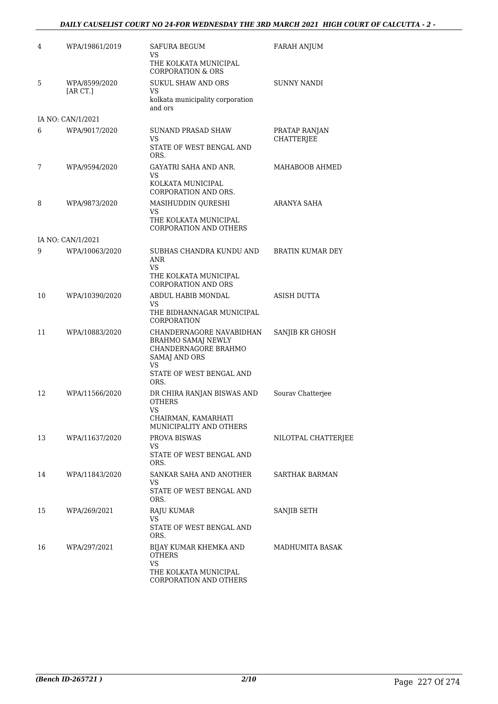#### *DAILY CAUSELIST COURT NO 24-FOR WEDNESDAY THE 3RD MARCH 2021 HIGH COURT OF CALCUTTA - 2 -*

| 4  | WPA/19861/2019            | SAFURA BEGUM<br>VS                                                                                                               | FARAH ANJUM                        |
|----|---------------------------|----------------------------------------------------------------------------------------------------------------------------------|------------------------------------|
|    |                           | THE KOLKATA MUNICIPAL<br><b>CORPORATION &amp; ORS</b>                                                                            |                                    |
| 5  | WPA/8599/2020<br>[AR CT.] | <b>SUKUL SHAW AND ORS</b><br>VS<br>kolkata municipality corporation                                                              | <b>SUNNY NANDI</b>                 |
|    |                           | and ors                                                                                                                          |                                    |
|    | IA NO: CAN/1/2021         |                                                                                                                                  |                                    |
| 6  | WPA/9017/2020             | <b>SUNAND PRASAD SHAW</b><br>VS.<br>STATE OF WEST BENGAL AND                                                                     | PRATAP RANJAN<br><b>CHATTERJEE</b> |
|    |                           | ORS.                                                                                                                             |                                    |
| 7  | WPA/9594/2020             | GAYATRI SAHA AND ANR.<br>VS                                                                                                      | MAHABOOB AHMED                     |
|    |                           | KOLKATA MUNICIPAL<br>CORPORATION AND ORS.                                                                                        |                                    |
| 8  | WPA/9873/2020             | MASIHUDDIN QURESHI<br><b>VS</b>                                                                                                  | ARANYA SAHA                        |
|    |                           | THE KOLKATA MUNICIPAL<br>CORPORATION AND OTHERS                                                                                  |                                    |
|    | IA NO: CAN/1/2021         |                                                                                                                                  |                                    |
| 9  | WPA/10063/2020            | SUBHAS CHANDRA KUNDU AND<br>ANR                                                                                                  | <b>BRATIN KUMAR DEY</b>            |
|    |                           | VS.<br>THE KOLKATA MUNICIPAL<br><b>CORPORATION AND ORS</b>                                                                       |                                    |
| 10 | WPA/10390/2020            | ABDUL HABIB MONDAL                                                                                                               | ASISH DUTTA                        |
|    |                           | VS.<br>THE BIDHANNAGAR MUNICIPAL<br><b>CORPORATION</b>                                                                           |                                    |
| 11 | WPA/10883/2020            | CHANDERNAGORE NAVABIDHAN<br><b>BRAHMO SAMAJ NEWLY</b><br>CHANDERNAGORE BRAHMO<br>SAMAJ AND ORS<br>VS<br>STATE OF WEST BENGAL AND | SANJIB KR GHOSH                    |
| 12 | WPA/11566/2020            | ORS.<br>DR CHIRA RANJAN BISWAS AND<br><b>OTHERS</b>                                                                              | Sourav Chatterjee                  |
|    |                           | <b>VS</b><br>CHAIRMAN, KAMARHATI<br>MUNICIPALITY AND OTHERS                                                                      |                                    |
| 13 | WPA/11637/2020            | <b>PROVA BISWAS</b>                                                                                                              | NILOTPAL CHATTERJEE                |
|    |                           | VS<br>STATE OF WEST BENGAL AND<br>ORS.                                                                                           |                                    |
| 14 | WPA/11843/2020            | SANKAR SAHA AND ANOTHER                                                                                                          | SARTHAK BARMAN                     |
|    |                           | VS.<br>STATE OF WEST BENGAL AND<br>ORS.                                                                                          |                                    |
| 15 | WPA/269/2021              | <b>RAJU KUMAR</b>                                                                                                                | SANJIB SETH                        |
|    |                           | VS.<br>STATE OF WEST BENGAL AND<br>ORS.                                                                                          |                                    |
| 16 | WPA/297/2021              | BIJAY KUMAR KHEMKA AND<br><b>OTHERS</b>                                                                                          | MADHUMITA BASAK                    |
|    |                           | <b>VS</b><br>THE KOLKATA MUNICIPAL<br>CORPORATION AND OTHERS                                                                     |                                    |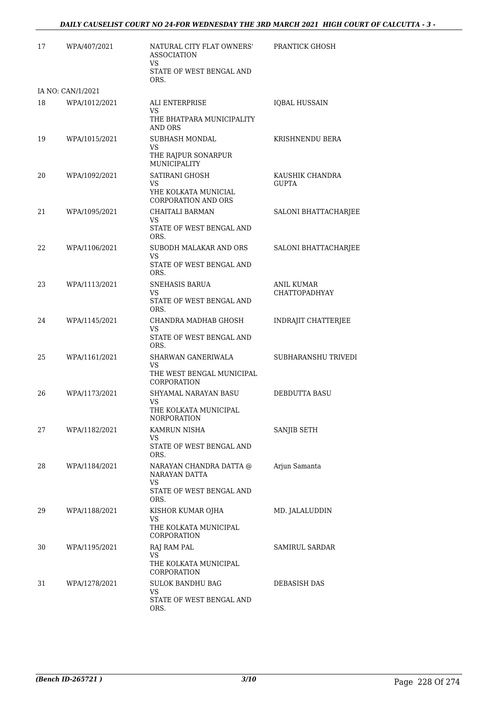| 17 | WPA/407/2021      | NATURAL CITY FLAT OWNERS'<br><b>ASSOCIATION</b><br>VS     | PRANTICK GHOSH       |
|----|-------------------|-----------------------------------------------------------|----------------------|
|    |                   | STATE OF WEST BENGAL AND<br>ORS.                          |                      |
|    | IA NO: CAN/1/2021 |                                                           |                      |
| 18 | WPA/1012/2021     | ALI ENTERPRISE<br>VS.                                     | <b>IQBAL HUSSAIN</b> |
|    |                   | THE BHATPARA MUNICIPALITY<br><b>AND ORS</b>               |                      |
| 19 | WPA/1015/2021     | SUBHASH MONDAL<br>VS                                      | KRISHNENDU BERA      |
|    |                   | THE RAJPUR SONARPUR<br>MUNICIPALITY                       |                      |
| 20 | WPA/1092/2021     | SATIRANI GHOSH                                            | KAUSHIK CHANDRA      |
|    |                   | VS.<br>YHE KOLKATA MUNICIAL<br><b>CORPORATION AND ORS</b> | <b>GUPTA</b>         |
| 21 | WPA/1095/2021     | <b>CHAITALI BARMAN</b>                                    | SALONI BHATTACHARJEE |
|    |                   | VS.<br>STATE OF WEST BENGAL AND<br>ORS.                   |                      |
| 22 | WPA/1106/2021     | SUBODH MALAKAR AND ORS                                    | SALONI BHATTACHARJEE |
|    |                   | VS<br>STATE OF WEST BENGAL AND<br>ORS.                    |                      |
| 23 | WPA/1113/2021     | SNEHASIS BARUA                                            | <b>ANIL KUMAR</b>    |
|    |                   | VS<br>STATE OF WEST BENGAL AND<br>ORS.                    | <b>CHATTOPADHYAY</b> |
| 24 | WPA/1145/2021     | CHANDRA MADHAB GHOSH                                      | INDRAJIT CHATTERJEE  |
|    |                   | VS<br>STATE OF WEST BENGAL AND<br>ORS.                    |                      |
| 25 | WPA/1161/2021     | SHARWAN GANERIWALA                                        | SUBHARANSHU TRIVEDI  |
|    |                   | VS<br>THE WEST BENGAL MUNICIPAL<br>CORPORATION            |                      |
| 26 | WPA/1173/2021     | SHYAMAL NARAYAN BASU                                      | DEBDUTTA BASU        |
|    |                   | VS<br>THE KOLKATA MUNICIPAL<br>NORPORATION                |                      |
| 27 | WPA/1182/2021     | KAMRUN NISHA<br><b>VS</b>                                 | SANJIB SETH          |
|    |                   | STATE OF WEST BENGAL AND<br>ORS.                          |                      |
| 28 | WPA/1184/2021     | NARAYAN CHANDRA DATTA @<br>NARAYAN DATTA<br>VS.           | Arjun Samanta        |
|    |                   | STATE OF WEST BENGAL AND<br>ORS.                          |                      |
| 29 | WPA/1188/2021     | KISHOR KUMAR OJHA<br>VS                                   | MD. JALALUDDIN       |
|    |                   | THE KOLKATA MUNICIPAL<br>CORPORATION                      |                      |
| 30 | WPA/1195/2021     | RAJ RAM PAL<br>VS                                         | SAMIRUL SARDAR       |
|    |                   | THE KOLKATA MUNICIPAL<br>CORPORATION                      |                      |
| 31 | WPA/1278/2021     | SULOK BANDHU BAG                                          | DEBASISH DAS         |
|    |                   | VS<br>STATE OF WEST BENGAL AND<br>ORS.                    |                      |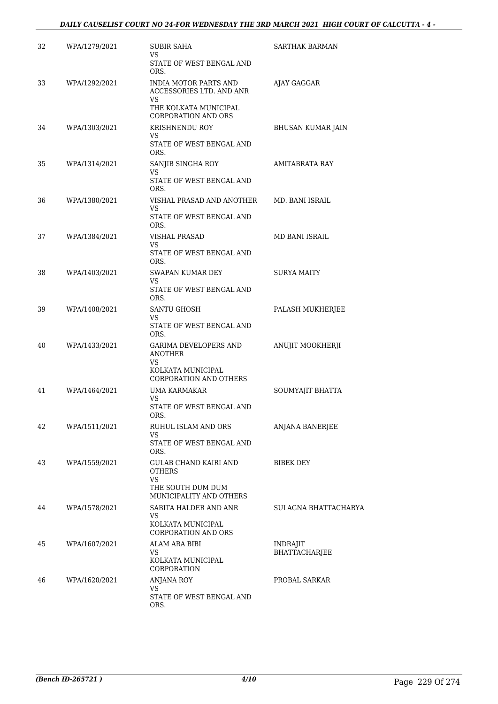| 32 | WPA/1279/2021 | <b>SUBIR SAHA</b><br>VS.                                            | SARTHAK BARMAN                          |
|----|---------------|---------------------------------------------------------------------|-----------------------------------------|
|    |               | STATE OF WEST BENGAL AND<br>ORS.                                    |                                         |
| 33 | WPA/1292/2021 | INDIA MOTOR PARTS AND<br>ACCESSORIES LTD. AND ANR<br>VS.            | AJAY GAGGAR                             |
|    |               | THE KOLKATA MUNICIPAL<br><b>CORPORATION AND ORS</b>                 |                                         |
| 34 | WPA/1303/2021 | KRISHNENDU ROY<br>VS<br>STATE OF WEST BENGAL AND                    | BHUSAN KUMAR JAIN                       |
| 35 | WPA/1314/2021 | ORS.<br>SANJIB SINGHA ROY                                           | AMITABRATA RAY                          |
|    |               | VS.<br>STATE OF WEST BENGAL AND<br>ORS.                             |                                         |
| 36 | WPA/1380/2021 | VISHAL PRASAD AND ANOTHER<br>VS<br>STATE OF WEST BENGAL AND<br>ORS. | MD. BANI ISRAIL                         |
| 37 | WPA/1384/2021 | <b>VISHAL PRASAD</b>                                                | <b>MD BANI ISRAIL</b>                   |
|    |               | VS.<br>STATE OF WEST BENGAL AND<br>ORS.                             |                                         |
| 38 | WPA/1403/2021 | SWAPAN KUMAR DEY<br>VS                                              | <b>SURYA MAITY</b>                      |
|    |               | STATE OF WEST BENGAL AND<br>ORS.                                    |                                         |
| 39 | WPA/1408/2021 | SANTU GHOSH<br>VS.                                                  | PALASH MUKHERJEE                        |
|    |               | STATE OF WEST BENGAL AND<br>ORS.                                    |                                         |
| 40 | WPA/1433/2021 | GARIMA DEVELOPERS AND<br>ANOTHER<br>VS.                             | ANUJIT MOOKHERJI                        |
|    |               | KOLKATA MUNICIPAL<br><b>CORPORATION AND OTHERS</b>                  |                                         |
| 41 | WPA/1464/2021 | <b>UMA KARMAKAR</b><br>VS.                                          | SOUMYAJIT BHATTA                        |
|    |               | STATE OF WEST BENGAL AND<br>ORS.                                    |                                         |
| 42 | WPA/1511/2021 | RUHUL ISLAM AND ORS<br>VS.                                          | ANJANA BANERJEE                         |
|    |               | STATE OF WEST BENGAL AND<br>ORS.                                    |                                         |
| 43 | WPA/1559/2021 | GULAB CHAND KAIRI AND<br><b>OTHERS</b><br>VS                        | <b>BIBEK DEY</b>                        |
|    |               | THE SOUTH DUM DUM<br>MUNICIPALITY AND OTHERS                        |                                         |
| 44 | WPA/1578/2021 | SABITA HALDER AND ANR<br>VS.                                        | SULAGNA BHATTACHARYA                    |
|    |               | KOLKATA MUNICIPAL<br><b>CORPORATION AND ORS</b>                     |                                         |
| 45 | WPA/1607/2021 | ALAM ARA BIBI<br>VS.                                                | <b>INDRAJIT</b><br><b>BHATTACHARJEE</b> |
|    |               | KOLKATA MUNICIPAL<br>CORPORATION                                    |                                         |
| 46 | WPA/1620/2021 | ANJANA ROY<br>VS.                                                   | PROBAL SARKAR                           |
|    |               | STATE OF WEST BENGAL AND<br>ORS.                                    |                                         |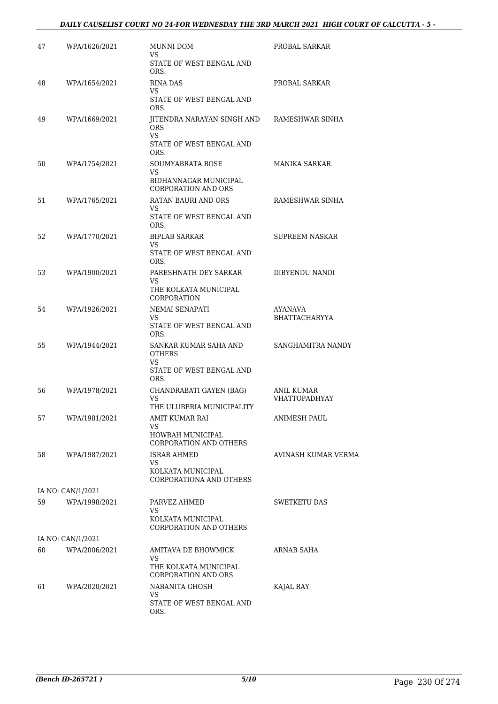| 47 | WPA/1626/2021     | MUNNI DOM<br>VS                                                                              | PROBAL SARKAR                             |
|----|-------------------|----------------------------------------------------------------------------------------------|-------------------------------------------|
|    |                   | STATE OF WEST BENGAL AND<br>ORS.                                                             |                                           |
| 48 | WPA/1654/2021     | <b>RINA DAS</b><br>VS<br>STATE OF WEST BENGAL AND                                            | PROBAL SARKAR                             |
| 49 | WPA/1669/2021     | ORS.<br>JITENDRA NARAYAN SINGH AND<br><b>ORS</b><br>VS.<br>STATE OF WEST BENGAL AND          | RAMESHWAR SINHA                           |
|    |                   | ORS.                                                                                         |                                           |
| 50 | WPA/1754/2021     | SOUMYABRATA BOSE<br>VS.<br>BIDHANNAGAR MUNICIPAL<br><b>CORPORATION AND ORS</b>               | MANIKA SARKAR                             |
| 51 | WPA/1765/2021     | RATAN BAURI AND ORS<br>VS.<br>STATE OF WEST BENGAL AND                                       | RAMESHWAR SINHA                           |
| 52 | WPA/1770/2021     | ORS.<br><b>BIPLAB SARKAR</b><br>VS<br>STATE OF WEST BENGAL AND<br>ORS.                       | <b>SUPREEM NASKAR</b>                     |
| 53 | WPA/1900/2021     | PARESHNATH DEY SARKAR<br>VS.<br>THE KOLKATA MUNICIPAL<br>CORPORATION                         | DIBYENDU NANDI                            |
| 54 | WPA/1926/2021     | NEMAI SENAPATI<br>VS.<br>STATE OF WEST BENGAL AND<br>ORS.                                    | AYANAVA<br><b>BHATTACHARYYA</b>           |
| 55 | WPA/1944/2021     | SANKAR KUMAR SAHA AND<br><b>OTHERS</b><br>VS<br>STATE OF WEST BENGAL AND                     | SANGHAMITRA NANDY                         |
| 56 | WPA/1978/2021     | ORS.<br>CHANDRABATI GAYEN (BAG)<br>VS<br>THE ULUBERIA MUNICIPALITY                           | <b>ANIL KUMAR</b><br><b>VHATTOPADHYAY</b> |
| 57 | WPA/1981/2021     | AMIT KUMAR RAI<br>VS.<br>HOWRAH MUNICIPAL                                                    | ANIMESH PAUL                              |
| 58 | WPA/1987/2021     | CORPORATION AND OTHERS<br>ISRAR AHMED<br>VS.<br>KOLKATA MUNICIPAL<br>CORPORATIONA AND OTHERS | AVINASH KUMAR VERMA                       |
|    | IA NO: CAN/1/2021 |                                                                                              |                                           |
| 59 | WPA/1998/2021     | PARVEZ AHMED<br>VS.<br>KOLKATA MUNICIPAL<br>CORPORATION AND OTHERS                           | <b>SWETKETU DAS</b>                       |
|    | IA NO: CAN/1/2021 |                                                                                              |                                           |
| 60 | WPA/2006/2021     | AMITAVA DE BHOWMICK<br>VS.<br>THE KOLKATA MUNICIPAL<br><b>CORPORATION AND ORS</b>            | ARNAB SAHA                                |
| 61 | WPA/2020/2021     | NABANITA GHOSH<br>VS<br>STATE OF WEST BENGAL AND<br>ORS.                                     | KAJAL RAY                                 |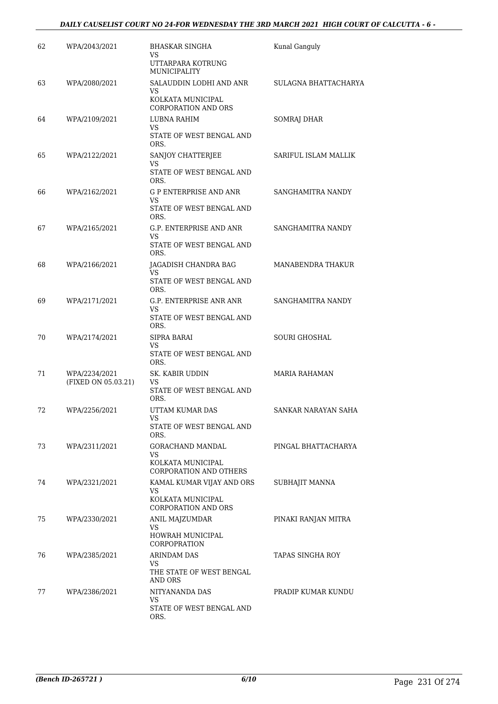| 62 | WPA/2043/2021                        | BHASKAR SINGHA<br>VS.                                            | Kunal Ganguly        |
|----|--------------------------------------|------------------------------------------------------------------|----------------------|
|    |                                      | UTTARPARA KOTRUNG<br>MUNICIPALITY                                |                      |
| 63 | WPA/2080/2021                        | SALAUDDIN LODHI AND ANR<br>VS<br>KOLKATA MUNICIPAL               | SULAGNA BHATTACHARYA |
|    |                                      | <b>CORPORATION AND ORS</b>                                       |                      |
| 64 | WPA/2109/2021                        | LUBNA RAHIM<br>VS.<br>STATE OF WEST BENGAL AND<br>ORS.           | SOMRAJ DHAR          |
| 65 | WPA/2122/2021                        | SANJOY CHATTERJEE<br>VS<br>STATE OF WEST BENGAL AND              | SARIFUL ISLAM MALLIK |
|    |                                      | ORS.                                                             |                      |
| 66 | WPA/2162/2021                        | <b>G P ENTERPRISE AND ANR</b><br>VS.<br>STATE OF WEST BENGAL AND | SANGHAMITRA NANDY    |
|    |                                      | ORS.                                                             |                      |
| 67 | WPA/2165/2021                        | G.P. ENTERPRISE AND ANR<br>VS<br>STATE OF WEST BENGAL AND        | SANGHAMITRA NANDY    |
|    |                                      | ORS.                                                             |                      |
| 68 | WPA/2166/2021                        | JAGADISH CHANDRA BAG<br>VS.                                      | MANABENDRA THAKUR    |
|    |                                      | STATE OF WEST BENGAL AND<br>ORS.                                 |                      |
| 69 | WPA/2171/2021                        | G.P. ENTERPRISE ANR ANR<br>VS                                    | SANGHAMITRA NANDY    |
|    |                                      | STATE OF WEST BENGAL AND<br>ORS.                                 |                      |
| 70 | WPA/2174/2021                        | SIPRA BARAI<br>VS                                                | <b>SOURI GHOSHAL</b> |
|    |                                      | STATE OF WEST BENGAL AND<br>ORS.                                 |                      |
| 71 | WPA/2234/2021<br>(FIXED ON 05.03.21) | SK. KABIR UDDIN<br>VS                                            | MARIA RAHAMAN        |
|    |                                      | STATE OF WEST BENGAL AND<br>ORS.                                 |                      |
| 72 | WPA/2256/2021                        | UTTAM KUMAR DAS<br>VS                                            | SANKAR NARAYAN SAHA  |
|    |                                      | STATE OF WEST BENGAL AND<br>ORS.                                 |                      |
| 73 | WPA/2311/2021                        | GORACHAND MANDAL<br>VS.                                          | PINGAL BHATTACHARYA  |
|    |                                      | KOLKATA MUNICIPAL<br>CORPORATION AND OTHERS                      |                      |
| 74 | WPA/2321/2021                        | KAMAL KUMAR VIJAY AND ORS<br>VS.                                 | SUBHAJIT MANNA       |
|    |                                      | KOLKATA MUNICIPAL<br><b>CORPORATION AND ORS</b>                  |                      |
| 75 | WPA/2330/2021                        | ANIL MAJZUMDAR<br>VS.                                            | PINAKI RANJAN MITRA  |
|    |                                      | HOWRAH MUNICIPAL<br><b>CORPOPRATION</b>                          |                      |
| 76 | WPA/2385/2021                        | ARINDAM DAS<br>VS.                                               | TAPAS SINGHA ROY     |
|    |                                      | THE STATE OF WEST BENGAL<br>AND ORS                              |                      |
| 77 | WPA/2386/2021                        | NITYANANDA DAS<br>VS.                                            | PRADIP KUMAR KUNDU   |
|    |                                      | STATE OF WEST BENGAL AND<br>ORS.                                 |                      |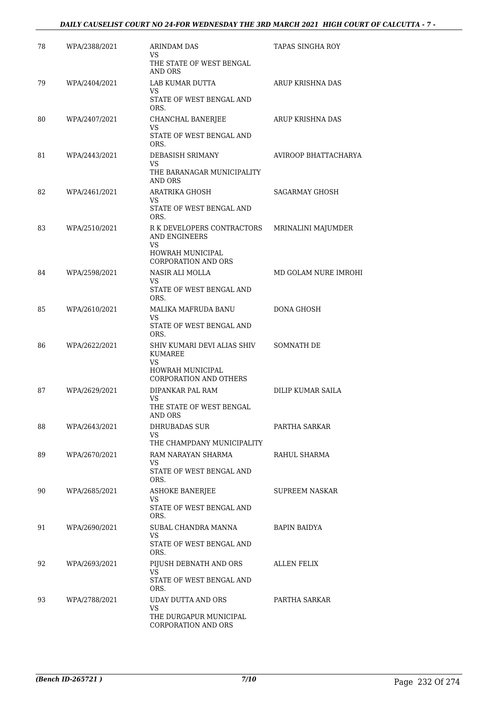#### *DAILY CAUSELIST COURT NO 24-FOR WEDNESDAY THE 3RD MARCH 2021 HIGH COURT OF CALCUTTA - 7 -*

| 78 | WPA/2388/2021 | <b>ARINDAM DAS</b><br>VS.                                                  | TAPAS SINGHA ROY      |
|----|---------------|----------------------------------------------------------------------------|-----------------------|
|    |               | THE STATE OF WEST BENGAL<br>AND ORS                                        |                       |
| 79 | WPA/2404/2021 | LAB KUMAR DUTTA<br>VS.                                                     | ARUP KRISHNA DAS      |
|    |               | STATE OF WEST BENGAL AND<br>ORS.                                           |                       |
| 80 | WPA/2407/2021 | CHANCHAL BANERJEE<br>VS                                                    | ARUP KRISHNA DAS      |
|    |               | STATE OF WEST BENGAL AND<br>ORS.                                           |                       |
| 81 | WPA/2443/2021 | DEBASISH SRIMANY<br>VS                                                     | AVIROOP BHATTACHARYA  |
|    |               | THE BARANAGAR MUNICIPALITY<br>AND ORS                                      |                       |
| 82 | WPA/2461/2021 | ARATRIKA GHOSH<br>VS.                                                      | <b>SAGARMAY GHOSH</b> |
|    |               | STATE OF WEST BENGAL AND<br>ORS.                                           |                       |
| 83 | WPA/2510/2021 | R K DEVELOPERS CONTRACTORS<br>AND ENGINEERS<br>VS.                         | MRINALINI MAJUMDER    |
|    |               | HOWRAH MUNICIPAL<br><b>CORPORATION AND ORS</b>                             |                       |
| 84 | WPA/2598/2021 | NASIR ALI MOLLA<br>VS.                                                     | MD GOLAM NURE IMROHI  |
|    |               | STATE OF WEST BENGAL AND<br>ORS.                                           |                       |
| 85 | WPA/2610/2021 | MALIKA MAFRUDA BANU<br>VS.                                                 | <b>DONA GHOSH</b>     |
|    |               | STATE OF WEST BENGAL AND<br>ORS.                                           |                       |
| 86 | WPA/2622/2021 | SHIV KUMARI DEVI ALIAS SHIV<br><b>KUMAREE</b><br>VS.<br>HOWRAH MUNICIPAL   | SOMNATH DE            |
| 87 | WPA/2629/2021 | <b>CORPORATION AND OTHERS</b><br>DIPANKAR PAL RAM                          | DILIP KUMAR SAILA     |
|    |               | VS<br>THE STATE OF WEST BENGAL<br>AND ORS                                  |                       |
| 88 | WPA/2643/2021 | DHRUBADAS SUR<br>VS.                                                       | PARTHA SARKAR         |
| 89 | WPA/2670/2021 | THE CHAMPDANY MUNICIPALITY<br>RAM NARAYAN SHARMA                           | RAHUL SHARMA          |
|    |               | VS.<br>STATE OF WEST BENGAL AND<br>ORS.                                    |                       |
| 90 | WPA/2685/2021 | <b>ASHOKE BANERJEE</b><br>VS                                               | SUPREEM NASKAR        |
|    |               | STATE OF WEST BENGAL AND<br>ORS.                                           |                       |
| 91 | WPA/2690/2021 | SUBAL CHANDRA MANNA<br>VS.<br>STATE OF WEST BENGAL AND                     | BAPIN BAIDYA          |
|    |               | ORS.                                                                       |                       |
| 92 | WPA/2693/2021 | PIJUSH DEBNATH AND ORS<br>VS.                                              | ALLEN FELIX           |
|    |               | STATE OF WEST BENGAL AND<br>ORS.                                           |                       |
| 93 | WPA/2788/2021 | UDAY DUTTA AND ORS<br>VS.<br>THE DURGAPUR MUNICIPAL<br>CORPORATION AND ORS | PARTHA SARKAR         |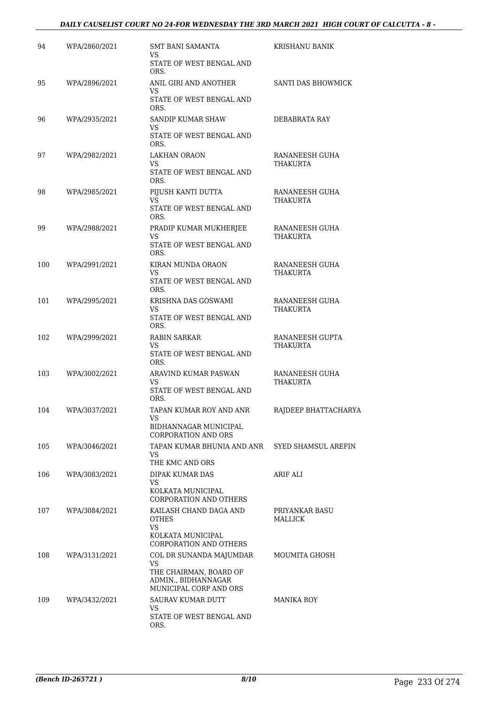#### *DAILY CAUSELIST COURT NO 24-FOR WEDNESDAY THE 3RD MARCH 2021 HIGH COURT OF CALCUTTA - 8 -*

| 94  | WPA/2860/2021 | SMT BANI SAMANTA<br>VS                                                  | KRISHANU BANIK                   |
|-----|---------------|-------------------------------------------------------------------------|----------------------------------|
|     |               | STATE OF WEST BENGAL AND<br>ORS.                                        |                                  |
| 95  | WPA/2896/2021 | ANIL GIRI AND ANOTHER<br>VS.                                            | SANTI DAS BHOWMICK               |
|     |               | STATE OF WEST BENGAL AND<br>ORS.                                        |                                  |
| 96  | WPA/2935/2021 | SANDIP KUMAR SHAW<br>VS.                                                | DEBABRATA RAY                    |
|     |               | STATE OF WEST BENGAL AND<br>ORS.                                        |                                  |
| 97  | WPA/2982/2021 | <b>LAKHAN ORAON</b><br>VS.                                              | RANANEESH GUHA<br>THAKURTA       |
|     |               | STATE OF WEST BENGAL AND<br>ORS.                                        |                                  |
| 98  | WPA/2985/2021 | PIJUSH KANTI DUTTA<br>VS.                                               | RANANEESH GUHA<br>THAKURTA       |
|     |               | STATE OF WEST BENGAL AND<br>ORS.                                        |                                  |
| 99  | WPA/2988/2021 | PRADIP KUMAR MUKHERJEE<br>VS                                            | RANANEESH GUHA<br>THAKURTA       |
|     |               | STATE OF WEST BENGAL AND<br>ORS.                                        |                                  |
| 100 | WPA/2991/2021 | KIRAN MUNDA ORAON<br>VS.                                                | RANANEESH GUHA<br>THAKURTA       |
|     |               | STATE OF WEST BENGAL AND<br>ORS.                                        |                                  |
| 101 | WPA/2995/2021 | KRISHNA DAS GOSWAMI<br>VS                                               | RANANEESH GUHA<br>THAKURTA       |
|     |               | STATE OF WEST BENGAL AND<br>ORS.                                        |                                  |
| 102 | WPA/2999/2021 | RABIN SARKAR<br>VS                                                      | RANANEESH GUPTA<br>THAKURTA      |
|     |               | STATE OF WEST BENGAL AND<br>ORS.                                        |                                  |
| 103 | WPA/3002/2021 | ARAVIND KUMAR PASWAN<br>VS                                              | RANANEESH GUHA<br>THAKURTA       |
|     |               | STATE OF WEST BENGAL AND<br>ORS.                                        |                                  |
| 104 | WPA/3037/2021 | TAPAN KUMAR ROY AND ANR<br>VS                                           | RAJDEEP BHATTACHARYA             |
|     |               | BIDHANNAGAR MUNICIPAL<br><b>CORPORATION AND ORS</b>                     |                                  |
| 105 | WPA/3046/2021 | TAPAN KUMAR BHUNIA AND ANR<br>VS.                                       | <b>SYED SHAMSUL AREFIN</b>       |
|     |               | THE KMC AND ORS                                                         |                                  |
| 106 | WPA/3083/2021 | DIPAK KUMAR DAS<br>VS                                                   | ARIF ALI                         |
|     |               | KOLKATA MUNICIPAL<br>CORPORATION AND OTHERS                             |                                  |
| 107 | WPA/3084/2021 | KAILASH CHAND DAGA AND<br><b>OTHES</b><br>VS                            | PRIYANKAR BASU<br><b>MALLICK</b> |
|     |               | KOLKATA MUNICIPAL<br><b>CORPORATION AND OTHERS</b>                      |                                  |
| 108 | WPA/3131/2021 | COL DR SUNANDA MAJUMDAR<br>VS.                                          | MOUMITA GHOSH                    |
|     |               | THE CHAIRMAN, BOARD OF<br>ADMIN., BIDHANNAGAR<br>MUNICIPAL CORP AND ORS |                                  |
| 109 | WPA/3432/2021 | SAURAV KUMAR DUTT                                                       | MANIKA ROY                       |
|     |               | VS<br>STATE OF WEST BENGAL AND<br>ORS.                                  |                                  |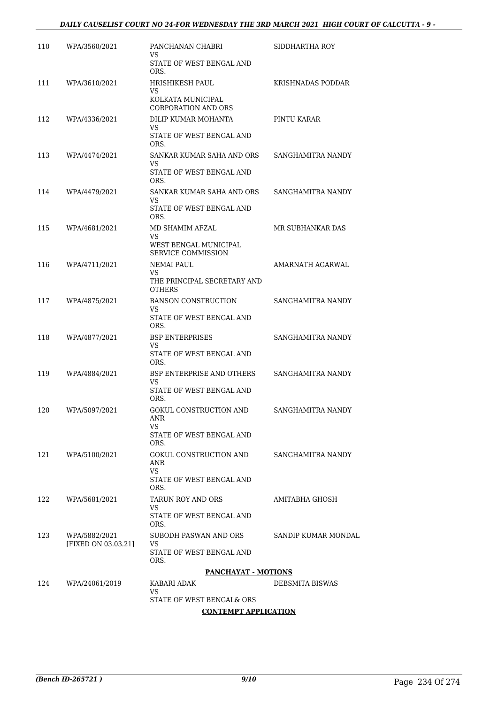| 110 | WPA/3560/2021                        | PANCHANAN CHABRI<br>VS                                             | SIDDHARTHA ROY      |
|-----|--------------------------------------|--------------------------------------------------------------------|---------------------|
|     |                                      | STATE OF WEST BENGAL AND<br>ORS.                                   |                     |
| 111 | WPA/3610/2021                        | HRISHIKESH PAUL<br>VS                                              | KRISHNADAS PODDAR   |
|     |                                      | KOLKATA MUNICIPAL<br><b>CORPORATION AND ORS</b>                    |                     |
| 112 | WPA/4336/2021                        | DILIP KUMAR MOHANTA<br>VS.                                         | PINTU KARAR         |
|     |                                      | STATE OF WEST BENGAL AND<br>ORS.                                   |                     |
| 113 | WPA/4474/2021                        | SANKAR KUMAR SAHA AND ORS<br>VS                                    | SANGHAMITRA NANDY   |
|     |                                      | STATE OF WEST BENGAL AND<br>ORS.                                   |                     |
| 114 | WPA/4479/2021                        | SANKAR KUMAR SAHA AND ORS<br>VS                                    | SANGHAMITRA NANDY   |
|     |                                      | STATE OF WEST BENGAL AND<br>ORS.                                   |                     |
| 115 | WPA/4681/2021                        | MD SHAMIM AFZAL<br>VS.<br>WEST BENGAL MUNICIPAL                    | MR SUBHANKAR DAS    |
|     |                                      | <b>SERVICE COMMISSION</b>                                          |                     |
| 116 | WPA/4711/2021                        | <b>NEMAI PAUL</b><br>VS.<br>THE PRINCIPAL SECRETARY AND            | AMARNATH AGARWAL    |
|     |                                      | <b>OTHERS</b>                                                      |                     |
| 117 | WPA/4875/2021                        | <b>BANSON CONSTRUCTION</b><br>VS<br>STATE OF WEST BENGAL AND       | SANGHAMITRA NANDY   |
|     |                                      | ORS.                                                               |                     |
| 118 | WPA/4877/2021                        | <b>BSP ENTERPRISES</b><br>VS<br>STATE OF WEST BENGAL AND           | SANGHAMITRA NANDY   |
|     |                                      | ORS.                                                               |                     |
| 119 | WPA/4884/2021                        | <b>BSP ENTERPRISE AND OTHERS</b><br>VS<br>STATE OF WEST BENGAL AND | SANGHAMITRA NANDY   |
|     |                                      | ORS.                                                               |                     |
| 120 | WPA/5097/2021                        | GOKUL CONSTRUCTION AND<br>ANR<br>VS                                | SANGHAMITRA NANDY   |
|     |                                      | STATE OF WEST BENGAL AND<br>ORS.                                   |                     |
| 121 | WPA/5100/2021                        | GOKUL CONSTRUCTION AND<br>ANR                                      | SANGHAMITRA NANDY   |
|     |                                      | VS.<br>STATE OF WEST BENGAL AND<br>ORS.                            |                     |
| 122 | WPA/5681/2021                        | TARUN ROY AND ORS<br>VS.                                           | AMITABHA GHOSH      |
|     |                                      | STATE OF WEST BENGAL AND<br>ORS.                                   |                     |
| 123 | WPA/5882/2021<br>[FIXED ON 03.03.21] | SUBODH PASWAN AND ORS<br>VS.                                       | SANDIP KUMAR MONDAL |
|     |                                      | STATE OF WEST BENGAL AND<br>ORS.                                   |                     |
|     |                                      | <b>PANCHAYAT - MOTIONS</b>                                         |                     |
| 124 | WPA/24061/2019                       | KABARI ADAK<br>VS.                                                 | DEBSMITA BISWAS     |
|     |                                      | STATE OF WEST BENGAL& ORS                                          |                     |
|     |                                      | <b>CONTEMPT APPLICATION</b>                                        |                     |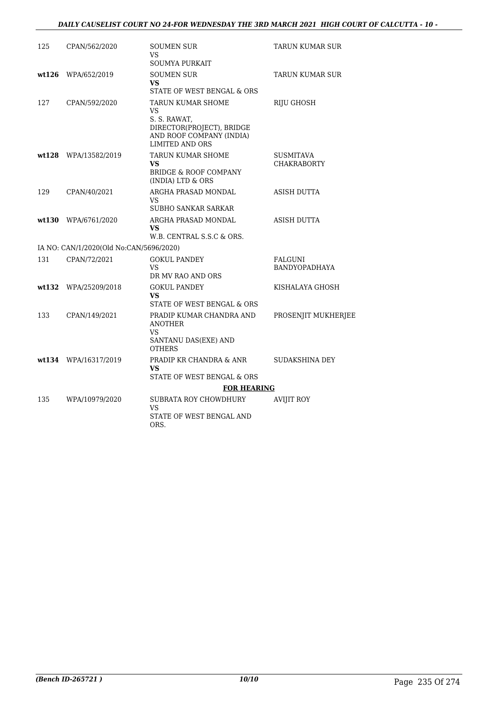#### *DAILY CAUSELIST COURT NO 24-FOR WEDNESDAY THE 3RD MARCH 2021 HIGH COURT OF CALCUTTA - 10 -*

| 125   | CPAN/562/2020                           | <b>SOUMEN SUR</b><br>VS<br>SOUMYA PURKAIT                                                                                  | TARUN KUMAR SUR                        |
|-------|-----------------------------------------|----------------------------------------------------------------------------------------------------------------------------|----------------------------------------|
| wt126 | WPA/652/2019                            | <b>SOUMEN SUR</b><br><b>VS</b><br>STATE OF WEST BENGAL & ORS                                                               | <b>TARUN KUMAR SUR</b>                 |
| 127   | CPAN/592/2020                           | TARUN KUMAR SHOME<br>VS<br>S. S. RAWAT,<br>DIRECTOR(PROJECT), BRIDGE<br>AND ROOF COMPANY (INDIA)<br><b>LIMITED AND ORS</b> | <b>RIJU GHOSH</b>                      |
| wt128 | WPA/13582/2019                          | <b>TARUN KUMAR SHOME</b><br>VS.<br><b>BRIDGE &amp; ROOF COMPANY</b><br>(INDIA) LTD & ORS                                   | <b>SUSMITAVA</b><br><b>CHAKRABORTY</b> |
| 129   | CPAN/40/2021                            | ARGHA PRASAD MONDAL<br>VS<br><b>SUBHO SANKAR SARKAR</b>                                                                    | ASISH DUTTA                            |
| wt130 | WPA/6761/2020                           | ARGHA PRASAD MONDAL<br>VS<br>W.B. CENTRAL S.S.C & ORS.                                                                     | ASISH DUTTA                            |
|       | IA NO: CAN/1/2020(Old No:CAN/5696/2020) |                                                                                                                            |                                        |
| 131   | CPAN/72/2021                            | <b>GOKUL PANDEY</b><br><b>VS</b><br>DR MV RAO AND ORS                                                                      | FALGUNI<br>BANDYOPADHAYA               |
| wt132 | WPA/25209/2018                          | <b>GOKUL PANDEY</b><br>VS.<br>STATE OF WEST BENGAL & ORS                                                                   | KISHALAYA GHOSH                        |
| 133   | CPAN/149/2021                           | PRADIP KUMAR CHANDRA AND<br><b>ANOTHER</b><br>VS<br>SANTANU DAS(EXE) AND<br><b>OTHERS</b>                                  | PROSENJIT MUKHERJEE                    |
|       | wt134 WPA/16317/2019                    | PRADIP KR CHANDRA & ANR<br>VS<br>STATE OF WEST BENGAL & ORS                                                                | SUDAKSHINA DEY                         |
|       |                                         | <b>FOR HEARING</b>                                                                                                         |                                        |
| 135   | WPA/10979/2020                          | SUBRATA ROY CHOWDHURY<br>VS<br>STATE OF WEST BENGAL AND<br>ORS.                                                            | <b>AVIJIT ROY</b>                      |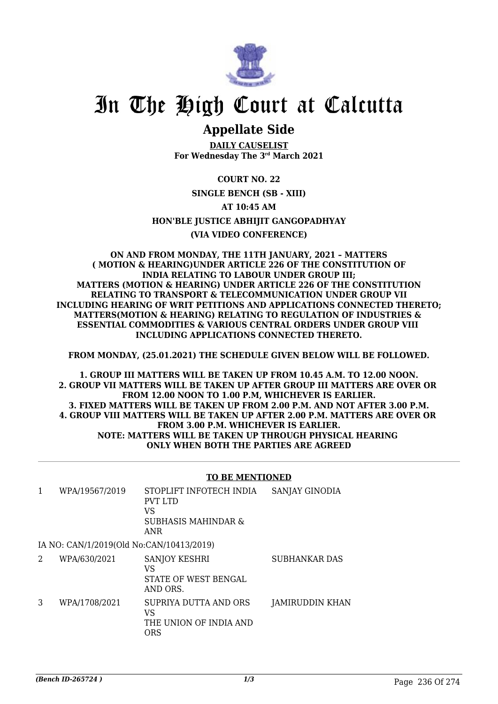

## **Appellate Side**

**DAILY CAUSELIST For Wednesday The 3rd March 2021**

**COURT NO. 22 SINGLE BENCH (SB - XIII) AT 10:45 AM HON'BLE JUSTICE ABHIJIT GANGOPADHYAY (VIA VIDEO CONFERENCE)**

**ON AND FROM MONDAY, THE 11TH JANUARY, 2021 – MATTERS ( MOTION & HEARING)UNDER ARTICLE 226 OF THE CONSTITUTION OF INDIA RELATING TO LABOUR UNDER GROUP III; MATTERS (MOTION & HEARING) UNDER ARTICLE 226 OF THE CONSTITUTION RELATING TO TRANSPORT & TELECOMMUNICATION UNDER GROUP VII INCLUDING HEARING OF WRIT PETITIONS AND APPLICATIONS CONNECTED THERETO; MATTERS(MOTION & HEARING) RELATING TO REGULATION OF INDUSTRIES & ESSENTIAL COMMODITIES & VARIOUS CENTRAL ORDERS UNDER GROUP VIII INCLUDING APPLICATIONS CONNECTED THERETO.**

**FROM MONDAY, (25.01.2021) THE SCHEDULE GIVEN BELOW WILL BE FOLLOWED.**

**1. GROUP III MATTERS WILL BE TAKEN UP FROM 10.45 A.M. TO 12.00 NOON. 2. GROUP VII MATTERS WILL BE TAKEN UP AFTER GROUP III MATTERS ARE OVER OR FROM 12.00 NOON TO 1.00 P.M, WHICHEVER IS EARLIER. 3. FIXED MATTERS WILL BE TAKEN UP FROM 2.00 P.M. AND NOT AFTER 3.00 P.M. 4. GROUP VIII MATTERS WILL BE TAKEN UP AFTER 2.00 P.M. MATTERS ARE OVER OR FROM 3.00 P.M. WHICHEVER IS EARLIER. NOTE: MATTERS WILL BE TAKEN UP THROUGH PHYSICAL HEARING ONLY WHEN BOTH THE PARTIES ARE AGREED**

#### **TO BE MENTIONED**

|   | WPA/19567/2019                           | STOPLIFT INFOTECH INDIA<br><b>PVT LTD</b><br>VS<br>SUBHASIS MAHINDAR &<br>ANR | SANJAY GINODIA       |
|---|------------------------------------------|-------------------------------------------------------------------------------|----------------------|
|   | IA NO: CAN/1/2019(Old No:CAN/10413/2019) |                                                                               |                      |
| 2 | WPA/630/2021                             | <b>SANJOY KESHRI</b><br>VS<br>STATE OF WEST BENGAL                            | <b>SUBHANKAR DAS</b> |

AND ORS. 3 WPA/1708/2021 SUPRIYA DUTTA AND ORS VS THE UNION OF INDIA AND ORS JAMIRUDDIN KHAN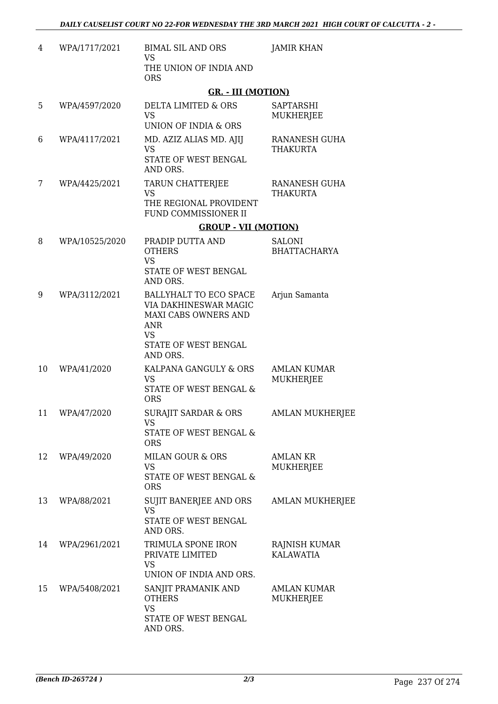| 4  | WPA/1717/2021  | <b>BIMAL SIL AND ORS</b><br><b>VS</b>                                                                                                  | <b>JAMIR KHAN</b>                    |
|----|----------------|----------------------------------------------------------------------------------------------------------------------------------------|--------------------------------------|
|    |                | THE UNION OF INDIA AND<br><b>ORS</b>                                                                                                   |                                      |
|    |                | <b>GR. - III (MOTION)</b>                                                                                                              |                                      |
| 5  | WPA/4597/2020  | DELTA LIMITED & ORS<br><b>VS</b><br>UNION OF INDIA & ORS                                                                               | SAPTARSHI<br>MUKHERJEE               |
| 6  | WPA/4117/2021  | MD. AZIZ ALIAS MD. AJIJ<br><b>VS</b><br>STATE OF WEST BENGAL                                                                           | RANANESH GUHA<br>THAKURTA            |
|    |                | AND ORS.                                                                                                                               |                                      |
| 7  | WPA/4425/2021  | TARUN CHATTERJEE<br><b>VS</b><br>THE REGIONAL PROVIDENT<br>FUND COMMISSIONER II                                                        | RANANESH GUHA<br><b>THAKURTA</b>     |
|    |                | <b>GROUP - VII (MOTION)</b>                                                                                                            |                                      |
| 8  | WPA/10525/2020 | PRADIP DUTTA AND<br><b>OTHERS</b><br><b>VS</b>                                                                                         | <b>SALONI</b><br><b>BHATTACHARYA</b> |
|    |                | STATE OF WEST BENGAL<br>AND ORS.                                                                                                       |                                      |
| 9  | WPA/3112/2021  | BALLYHALT TO ECO SPACE<br>VIA DAKHINESWAR MAGIC<br>MAXI CABS OWNERS AND<br><b>ANR</b><br><b>VS</b><br>STATE OF WEST BENGAL<br>AND ORS. | Arjun Samanta                        |
| 10 | WPA/41/2020    | KALPANA GANGULY & ORS<br><b>VS</b><br>STATE OF WEST BENGAL &<br><b>ORS</b>                                                             | AMLAN KUMAR<br><b>MUKHERJEE</b>      |
| 11 | WPA/47/2020    | SURAJIT SARDAR & ORS<br>VS.<br>STATE OF WEST BENGAL &                                                                                  | AMLAN MUKHERJEE                      |
| 12 | WPA/49/2020    | <b>ORS</b><br><b>MILAN GOUR &amp; ORS</b><br><b>VS</b><br>STATE OF WEST BENGAL &<br><b>ORS</b>                                         | <b>AMLAN KR</b><br><b>MUKHERJEE</b>  |
| 13 | WPA/88/2021    | SUJIT BANERJEE AND ORS<br><b>VS</b><br>STATE OF WEST BENGAL<br>AND ORS.                                                                | <b>AMLAN MUKHERJEE</b>               |
| 14 | WPA/2961/2021  | TRIMULA SPONE IRON<br>PRIVATE LIMITED<br><b>VS</b><br>UNION OF INDIA AND ORS.                                                          | RAJNISH KUMAR<br><b>KALAWATIA</b>    |
| 15 | WPA/5408/2021  | SANJIT PRAMANIK AND<br><b>OTHERS</b><br><b>VS</b><br>STATE OF WEST BENGAL<br>AND ORS.                                                  | <b>AMLAN KUMAR</b><br>MUKHERJEE      |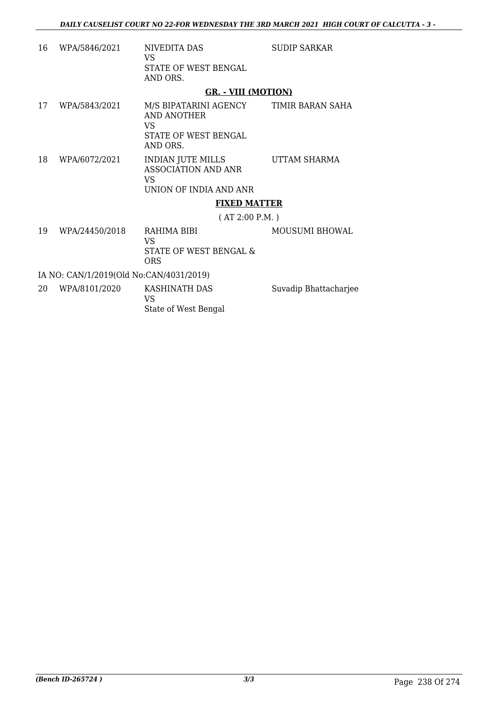- 16 WPA/5846/2021 NIVEDITA DAS VS STATE OF WEST BENGAL AND ORS. SUDIP SARKAR **GR. - VIII (MOTION)**
- 17 WPA/5843/2021 M/S BIPATARINI AGENCY AND ANOTHER VS STATE OF WEST BENGAL AND ORS. TIMIR BARAN SAHA 18 WPA/6072/2021 INDIAN JUTE MILLS UTTAM SHARMA
	- ASSOCIATION AND ANR VS UNION OF INDIA AND ANR

### **FIXED MATTER**

( AT 2:00 P.M. )

19 WPA/24450/2018 RAHIMA BIBI VS STATE OF WEST BENGAL & ORS MOUSUMI BHOWAL

IA NO: CAN/1/2019(Old No:CAN/4031/2019)

20 WPA/8101/2020 KASHINATH DAS VS State of West Bengal Suvadip Bhattacharjee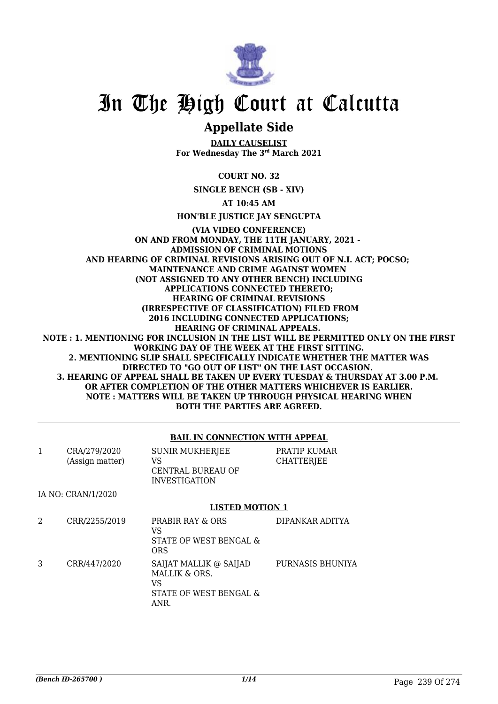

### **Appellate Side**

**DAILY CAUSELIST For Wednesday The 3rd March 2021**

**COURT NO. 32**

**SINGLE BENCH (SB - XIV)**

**AT 10:45 AM**

**HON'BLE JUSTICE JAY SENGUPTA**

#### **(VIA VIDEO CONFERENCE) ON AND FROM MONDAY, THE 11TH JANUARY, 2021 - ADMISSION OF CRIMINAL MOTIONS AND HEARING OF CRIMINAL REVISIONS ARISING OUT OF N.I. ACT; POCSO; MAINTENANCE AND CRIME AGAINST WOMEN (NOT ASSIGNED TO ANY OTHER BENCH) INCLUDING APPLICATIONS CONNECTED THERETO; HEARING OF CRIMINAL REVISIONS (IRRESPECTIVE OF CLASSIFICATION) FILED FROM 2016 INCLUDING CONNECTED APPLICATIONS; HEARING OF CRIMINAL APPEALS. NOTE : 1. MENTIONING FOR INCLUSION IN THE LIST WILL BE PERMITTED ONLY ON THE FIRST WORKING DAY OF THE WEEK AT THE FIRST SITTING. 2. MENTIONING SLIP SHALL SPECIFICALLY INDICATE WHETHER THE MATTER WAS DIRECTED TO "GO OUT OF LIST" ON THE LAST OCCASION. 3. HEARING OF APPEAL SHALL BE TAKEN UP EVERY TUESDAY & THURSDAY AT 3.00 P.M. OR AFTER COMPLETION OF THE OTHER MATTERS WHICHEVER IS EARLIER. NOTE : MATTERS WILL BE TAKEN UP THROUGH PHYSICAL HEARING WHEN BOTH THE PARTIES ARE AGREED.**

#### **BAIL IN CONNECTION WITH APPEAL**

| $\mathbf{1}$ | CRA/279/2020<br>(Assign matter) | <b>SUNIR MUKHERJEE</b><br>VS<br><b>CENTRAL BUREAU OF</b><br><b>INVESTIGATION</b> | PRATIP KUMAR<br><b>CHATTERJEE</b> |
|--------------|---------------------------------|----------------------------------------------------------------------------------|-----------------------------------|
|              | IA NO: CRAN/1/2020              |                                                                                  |                                   |
|              |                                 | <b>LISTED MOTION 1</b>                                                           |                                   |
| 2            | CRR/2255/2019                   | <b>PRABIR RAY &amp; ORS</b><br>VS<br>STATE OF WEST BENGAL &<br><b>ORS</b>        | DIPANKAR ADITYA                   |
| 3            | CRR/447/2020                    | SAIJAT MALLIK @ SAIJAD<br>MALLIK & ORS.<br>VS<br>STATE OF WEST BENGAL &<br>ANR   | PURNASIS BHUNIYA                  |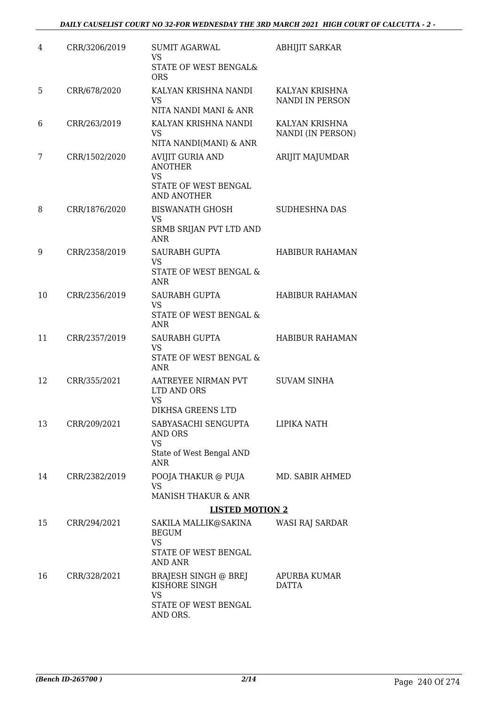| 4  | CRR/3206/2019 | <b>SUMIT AGARWAL</b><br><b>VS</b>                                                                    | <b>ABHIJIT SARKAR</b>               |
|----|---------------|------------------------------------------------------------------------------------------------------|-------------------------------------|
|    |               | STATE OF WEST BENGAL&<br><b>ORS</b>                                                                  |                                     |
| 5  | CRR/678/2020  | KALYAN KRISHNA NANDI<br><b>VS</b><br>NITA NANDI MANI & ANR                                           | KALYAN KRISHNA<br>NANDI IN PERSON   |
| 6  | CRR/263/2019  | KALYAN KRISHNA NANDI<br>VS                                                                           | KALYAN KRISHNA<br>NANDI (IN PERSON) |
|    |               | NITA NANDI(MANI) & ANR                                                                               |                                     |
| 7  | CRR/1502/2020 | <b>AVIJIT GURIA AND</b><br><b>ANOTHER</b><br><b>VS</b><br>STATE OF WEST BENGAL<br><b>AND ANOTHER</b> | ARIJIT MAJUMDAR                     |
| 8  | CRR/1876/2020 | <b>BISWANATH GHOSH</b><br><b>VS</b>                                                                  | SUDHESHNA DAS                       |
|    |               | SRMB SRIJAN PVT LTD AND<br><b>ANR</b>                                                                |                                     |
| 9  | CRR/2358/2019 | SAURABH GUPTA<br><b>VS</b>                                                                           | <b>HABIBUR RAHAMAN</b>              |
|    |               | STATE OF WEST BENGAL &<br><b>ANR</b>                                                                 |                                     |
| 10 | CRR/2356/2019 | <b>SAURABH GUPTA</b><br><b>VS</b>                                                                    | <b>HABIBUR RAHAMAN</b>              |
|    |               | STATE OF WEST BENGAL &<br><b>ANR</b>                                                                 |                                     |
| 11 | CRR/2357/2019 | <b>SAURABH GUPTA</b><br><b>VS</b>                                                                    | <b>HABIBUR RAHAMAN</b>              |
|    |               | STATE OF WEST BENGAL &<br>ANR                                                                        |                                     |
| 12 | CRR/355/2021  | AATREYEE NIRMAN PVT<br>LTD AND ORS<br><b>VS</b>                                                      | <b>SUVAM SINHA</b>                  |
|    |               | DIKHSA GREENS LTD                                                                                    |                                     |
| 13 | CRR/209/2021  | SABYASACHI SENGUPTA<br>AND ORS<br><b>VS</b>                                                          | LIPIKA NATH                         |
|    |               | State of West Bengal AND<br>ANR                                                                      |                                     |
| 14 | CRR/2382/2019 | POOJA THAKUR @ PUJA<br>VS.                                                                           | MD. SABIR AHMED                     |
|    |               | <b>MANISH THAKUR &amp; ANR</b>                                                                       |                                     |
|    |               | <b>LISTED MOTION 2</b>                                                                               |                                     |
| 15 | CRR/294/2021  | SAKILA MALLIK@SAKINA<br><b>BEGUM</b><br><b>VS</b><br>STATE OF WEST BENGAL<br><b>AND ANR</b>          | WASI RAJ SARDAR                     |
| 16 | CRR/328/2021  | BRAJESH SINGH @ BREJ<br>KISHORE SINGH<br>VS                                                          | APURBA KUMAR<br>DATTA               |
|    |               | STATE OF WEST BENGAL<br>AND ORS.                                                                     |                                     |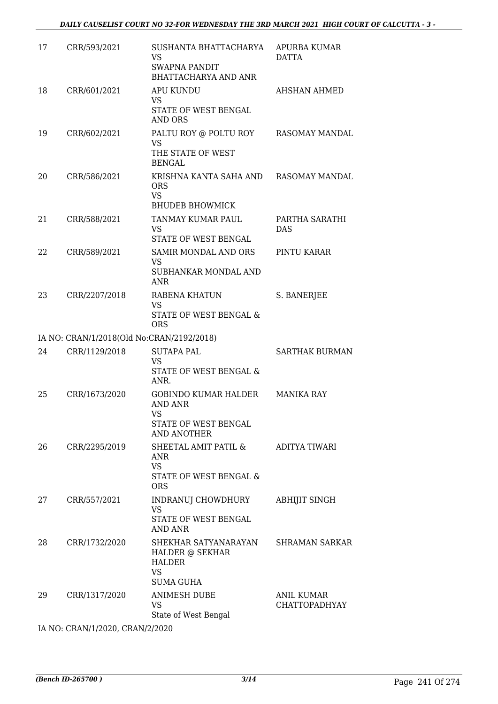| 17                              | CRR/593/2021                              | SUSHANTA BHATTACHARYA<br><b>VS</b><br><b>SWAPNA PANDIT</b><br><b>BHATTACHARYA AND ANR</b> | APURBA KUMAR<br>DATTA                     |  |
|---------------------------------|-------------------------------------------|-------------------------------------------------------------------------------------------|-------------------------------------------|--|
| 18                              | CRR/601/2021                              | <b>APU KUNDU</b><br>VS<br>STATE OF WEST BENGAL<br>AND ORS                                 | <b>AHSHAN AHMED</b>                       |  |
| 19                              | CRR/602/2021                              | PALTU ROY @ POLTU ROY<br><b>VS</b><br>THE STATE OF WEST<br><b>BENGAL</b>                  | RASOMAY MANDAL                            |  |
| 20                              | CRR/586/2021                              | KRISHNA KANTA SAHA AND<br><b>ORS</b><br><b>VS</b><br><b>BHUDEB BHOWMICK</b>               | RASOMAY MANDAL                            |  |
| 21                              | CRR/588/2021                              | TANMAY KUMAR PAUL<br>VS<br>STATE OF WEST BENGAL                                           | PARTHA SARATHI<br><b>DAS</b>              |  |
| 22                              | CRR/589/2021                              | SAMIR MONDAL AND ORS<br><b>VS</b><br>SUBHANKAR MONDAL AND<br>ANR                          | PINTU KARAR                               |  |
| 23                              | CRR/2207/2018                             | RABENA KHATUN<br><b>VS</b><br>STATE OF WEST BENGAL &<br><b>ORS</b>                        | S. BANERJEE                               |  |
|                                 | IA NO: CRAN/1/2018(Old No:CRAN/2192/2018) |                                                                                           |                                           |  |
| 24                              | CRR/1129/2018                             | <b>SUTAPA PAL</b>                                                                         | <b>SARTHAK BURMAN</b>                     |  |
|                                 |                                           | <b>VS</b><br>STATE OF WEST BENGAL &<br>ANR.                                               |                                           |  |
| 25                              | CRR/1673/2020                             | <b>GOBINDO KUMAR HALDER</b><br>AND ANR<br>VS<br>STATE OF WEST BENGAL<br>AND ANOTHER       | MANIKA RAY                                |  |
| 26                              | CRR/2295/2019                             | SHEETAL AMIT PATIL &<br>ANR<br><b>VS</b><br>STATE OF WEST BENGAL &<br><b>ORS</b>          | <b>ADITYA TIWARI</b>                      |  |
| 27                              | CRR/557/2021                              | INDRANUJ CHOWDHURY<br><b>VS</b><br><b>STATE OF WEST BENGAL</b>                            | <b>ABHIJIT SINGH</b>                      |  |
|                                 |                                           | AND ANR                                                                                   |                                           |  |
| 28                              | CRR/1732/2020                             | SHEKHAR SATYANARAYAN<br>HALDER @ SEKHAR<br>HALDER<br><b>VS</b>                            | SHRAMAN SARKAR                            |  |
|                                 |                                           | <b>SUMA GUHA</b>                                                                          |                                           |  |
| 29                              | CRR/1317/2020                             | <b>ANIMESH DUBE</b><br>VS<br>State of West Bengal                                         | <b>ANIL KUMAR</b><br><b>CHATTOPADHYAY</b> |  |
| IA NO: CRAN/1/2020, CRAN/2/2020 |                                           |                                                                                           |                                           |  |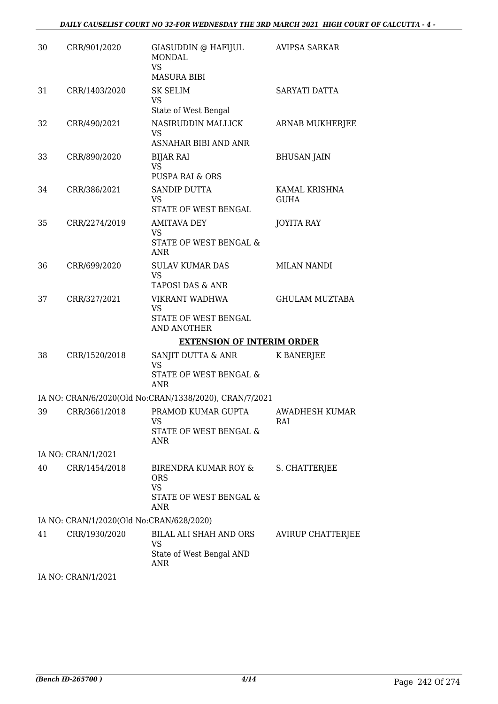| 30 | CRR/901/2020                             | GIASUDDIN @ HAFIJUL<br><b>MONDAL</b><br>VS<br><b>MASURA BIBI</b>                 | <b>AVIPSA SARKAR</b>         |
|----|------------------------------------------|----------------------------------------------------------------------------------|------------------------------|
| 31 | CRR/1403/2020                            | <b>SK SELIM</b><br><b>VS</b>                                                     | SARYATI DATTA                |
| 32 | CRR/490/2021                             | State of West Bengal<br>NASIRUDDIN MALLICK<br><b>VS</b>                          | ARNAB MUKHERJEE              |
| 33 | CRR/890/2020                             | <b>ASNAHAR BIBI AND ANR</b><br><b>BIJAR RAI</b><br><b>VS</b><br>PUSPA RAI & ORS  | <b>BHUSAN JAIN</b>           |
| 34 | CRR/386/2021                             | SANDIP DUTTA<br><b>VS</b><br>STATE OF WEST BENGAL                                | KAMAL KRISHNA<br><b>GUHA</b> |
| 35 | CRR/2274/2019                            | <b>AMITAVA DEY</b><br>VS<br><b>STATE OF WEST BENGAL &amp;</b><br><b>ANR</b>      | <b>JOYITA RAY</b>            |
| 36 | CRR/699/2020                             | <b>SULAV KUMAR DAS</b><br><b>VS</b><br>TAPOSI DAS & ANR                          | <b>MILAN NANDI</b>           |
| 37 | CRR/327/2021                             | VIKRANT WADHWA<br><b>VS</b><br>STATE OF WEST BENGAL<br><b>AND ANOTHER</b>        | <b>GHULAM MUZTABA</b>        |
|    |                                          | <b>EXTENSION OF INTERIM ORDER</b>                                                |                              |
| 38 | CRR/1520/2018                            | SANJIT DUTTA & ANR<br><b>VS</b><br>STATE OF WEST BENGAL &<br>ANR                 | K BANERJEE                   |
|    |                                          | IA NO: CRAN/6/2020(Old No:CRAN/1338/2020), CRAN/7/2021                           |                              |
| 39 | CRR/3661/2018                            | PRAMOD KUMAR GUPTA<br>VS<br>STATE OF WEST BENGAL &<br>ANR                        | AWADHESH KUMAR<br>RAI        |
|    | IA NO: CRAN/1/2021                       |                                                                                  |                              |
| 40 | CRR/1454/2018                            | BIRENDRA KUMAR ROY &<br><b>ORS</b><br><b>VS</b><br>STATE OF WEST BENGAL &<br>ANR | S. CHATTERJEE                |
|    | IA NO: CRAN/1/2020(Old No:CRAN/628/2020) |                                                                                  |                              |
| 41 | CRR/1930/2020                            | BILAL ALI SHAH AND ORS<br>VS<br>State of West Bengal AND<br>ANR                  | <b>AVIRUP CHATTERJEE</b>     |
|    | IA NO: CRAN/1/2021                       |                                                                                  |                              |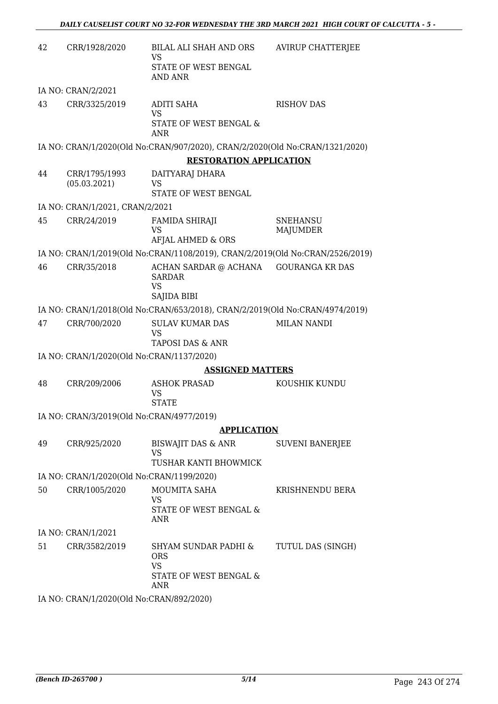| 42 | CRR/1928/2020                             | BILAL ALI SHAH AND ORS<br>VS<br>STATE OF WEST BENGAL<br>AND ANR                  | <b>AVIRUP CHATTERJEE</b>           |
|----|-------------------------------------------|----------------------------------------------------------------------------------|------------------------------------|
|    | IA NO: CRAN/2/2021                        |                                                                                  |                                    |
| 43 | CRR/3325/2019                             | <b>ADITI SAHA</b><br><b>VS</b><br><b>STATE OF WEST BENGAL &amp;</b><br>ANR       | <b>RISHOV DAS</b>                  |
|    |                                           | IA NO: CRAN/1/2020(Old No:CRAN/907/2020), CRAN/2/2020(Old No:CRAN/1321/2020)     |                                    |
|    |                                           | <b>RESTORATION APPLICATION</b>                                                   |                                    |
| 44 | CRR/1795/1993<br>(05.03.2021)             | DAITYARAJ DHARA<br><b>VS</b><br>STATE OF WEST BENGAL                             |                                    |
|    | IA NO: CRAN/1/2021, CRAN/2/2021           |                                                                                  |                                    |
| 45 | CRR/24/2019                               | <b>FAMIDA SHIRAJI</b><br>VS<br>AFJAL AHMED & ORS                                 | <b>SNEHANSU</b><br><b>MAJUMDER</b> |
|    |                                           | IA NO: CRAN/1/2019(Old No:CRAN/1108/2019), CRAN/2/2019(Old No:CRAN/2526/2019)    |                                    |
| 46 | CRR/35/2018                               | ACHAN SARDAR @ ACHANA<br><b>SARDAR</b><br><b>VS</b>                              | <b>GOURANGA KR DAS</b>             |
|    |                                           | SAJIDA BIBI                                                                      |                                    |
|    |                                           | IA NO: CRAN/1/2018(Old No:CRAN/653/2018), CRAN/2/2019(Old No:CRAN/4974/2019)     |                                    |
| 47 | CRR/700/2020                              | <b>SULAV KUMAR DAS</b><br><b>VS</b><br>TAPOSI DAS & ANR                          | <b>MILAN NANDI</b>                 |
|    | IA NO: CRAN/1/2020(Old No:CRAN/1137/2020) |                                                                                  |                                    |
|    |                                           | <b>ASSIGNED MATTERS</b>                                                          |                                    |
| 48 | CRR/209/2006                              | <b>ASHOK PRASAD</b><br><b>VS</b><br><b>STATE</b>                                 | KOUSHIK KUNDU                      |
|    | IA NO: CRAN/3/2019(Old No:CRAN/4977/2019) |                                                                                  |                                    |
|    |                                           | <b>APPLICATION</b>                                                               |                                    |
| 49 | CRR/925/2020                              | BISWAJIT DAS & ANR<br>VS<br>TUSHAR KANTI BHOWMICK                                | <b>SUVENI BANERJEE</b>             |
|    | IA NO: CRAN/1/2020(Old No:CRAN/1199/2020) |                                                                                  |                                    |
| 50 | CRR/1005/2020                             | MOUMITA SAHA<br><b>VS</b><br>STATE OF WEST BENGAL &<br>ANR                       | KRISHNENDU BERA                    |
|    | IA NO: CRAN/1/2021                        |                                                                                  |                                    |
| 51 | CRR/3582/2019                             | SHYAM SUNDAR PADHI &<br><b>ORS</b><br><b>VS</b><br>STATE OF WEST BENGAL &<br>ANR | TUTUL DAS (SINGH)                  |
|    | IA NO: CRAN/1/2020(Old No:CRAN/892/2020)  |                                                                                  |                                    |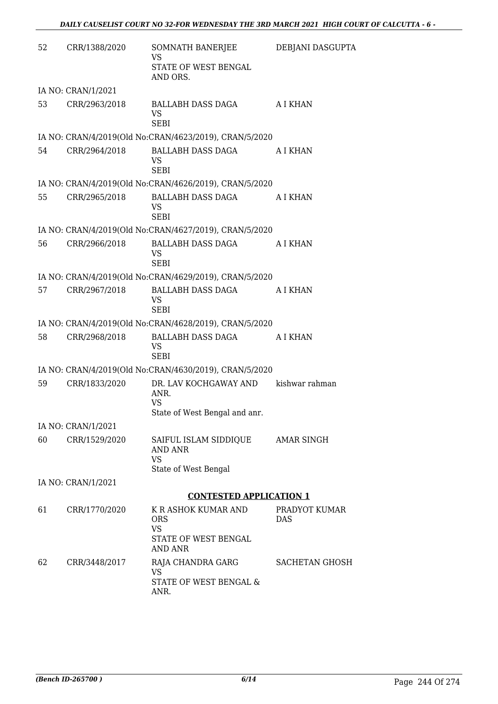| 52 | CRR/1388/2020      | SOMNATH BANERJEE<br>VS<br>STATE OF WEST BENGAL<br>AND ORS.                        | DEBJANI DASGUPTA            |
|----|--------------------|-----------------------------------------------------------------------------------|-----------------------------|
|    | IA NO: CRAN/1/2021 |                                                                                   |                             |
| 53 | CRR/2963/2018      | BALLABH DASS DAGA<br><b>VS</b><br><b>SEBI</b>                                     | A I KHAN                    |
|    |                    | IA NO: CRAN/4/2019(Old No:CRAN/4623/2019), CRAN/5/2020                            |                             |
| 54 | CRR/2964/2018      | BALLABH DASS DAGA<br>VS<br><b>SEBI</b>                                            | A I KHAN                    |
|    |                    | IA NO: CRAN/4/2019(Old No:CRAN/4626/2019), CRAN/5/2020                            |                             |
| 55 | CRR/2965/2018      | BALLABH DASS DAGA<br>VS<br><b>SEBI</b>                                            | A I KHAN                    |
|    |                    | IA NO: CRAN/4/2019(Old No:CRAN/4627/2019), CRAN/5/2020                            |                             |
| 56 | CRR/2966/2018      | BALLABH DASS DAGA<br>VS.<br><b>SEBI</b>                                           | A I KHAN                    |
|    |                    | IA NO: CRAN/4/2019(Old No:CRAN/4629/2019), CRAN/5/2020                            |                             |
| 57 | CRR/2967/2018      | BALLABH DASS DAGA<br>VS<br><b>SEBI</b>                                            | A I KHAN                    |
|    |                    | IA NO: CRAN/4/2019(Old No:CRAN/4628/2019), CRAN/5/2020                            |                             |
| 58 | CRR/2968/2018      | BALLABH DASS DAGA<br>VS<br><b>SEBI</b>                                            | A I KHAN                    |
|    |                    | IA NO: CRAN/4/2019(Old No:CRAN/4630/2019), CRAN/5/2020                            |                             |
| 59 | CRR/1833/2020      | DR. LAV KOCHGAWAY AND<br>ANR.<br><b>VS</b><br>State of West Bengal and anr.       | kishwar rahman              |
|    | IA NO: CRAN/1/2021 |                                                                                   |                             |
| 60 | CRR/1529/2020      | SAIFUL ISLAM SIDDIQUE<br>AND ANR<br><b>VS</b><br>State of West Bengal             | <b>AMAR SINGH</b>           |
|    | IA NO: CRAN/1/2021 |                                                                                   |                             |
|    |                    | <b>CONTESTED APPLICATION 1</b>                                                    |                             |
| 61 | CRR/1770/2020      | K R ASHOK KUMAR AND<br><b>ORS</b><br><b>VS</b><br>STATE OF WEST BENGAL<br>AND ANR | PRADYOT KUMAR<br><b>DAS</b> |
| 62 | CRR/3448/2017      | RAJA CHANDRA GARG<br><b>VS</b><br>STATE OF WEST BENGAL &<br>ANR.                  | SACHETAN GHOSH              |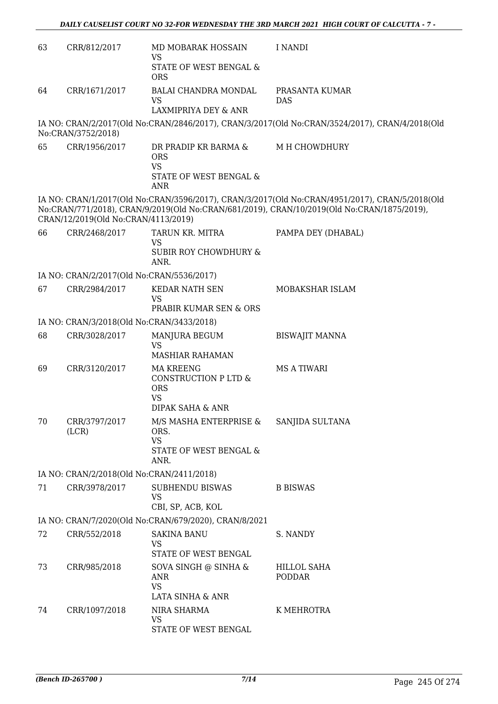| 63 | CRR/812/2017                              | MD MOBARAK HOSSAIN                                                                      | I NANDI                                                                                                                                                                                      |
|----|-------------------------------------------|-----------------------------------------------------------------------------------------|----------------------------------------------------------------------------------------------------------------------------------------------------------------------------------------------|
|    |                                           | VS<br>STATE OF WEST BENGAL &<br><b>ORS</b>                                              |                                                                                                                                                                                              |
| 64 | CRR/1671/2017                             | BALAI CHANDRA MONDAL<br><b>VS</b>                                                       | PRASANTA KUMAR<br><b>DAS</b>                                                                                                                                                                 |
|    |                                           | LAXMIPRIYA DEY & ANR                                                                    |                                                                                                                                                                                              |
|    | No:CRAN/3752/2018)                        |                                                                                         | IA NO: CRAN/2/2017(Old No:CRAN/2846/2017), CRAN/3/2017(Old No:CRAN/3524/2017), CRAN/4/2018(Old                                                                                               |
| 65 | CRR/1956/2017                             | DR PRADIP KR BARMA &<br><b>ORS</b><br><b>VS</b><br>STATE OF WEST BENGAL &<br>ANR        | M H CHOWDHURY                                                                                                                                                                                |
|    | CRAN/12/2019(Old No:CRAN/4113/2019)       |                                                                                         | IA NO: CRAN/1/2017(Old No:CRAN/3596/2017), CRAN/3/2017(Old No:CRAN/4951/2017), CRAN/5/2018(Old<br>No:CRAN/771/2018), CRAN/9/2019(Old No:CRAN/681/2019), CRAN/10/2019(Old No:CRAN/1875/2019), |
| 66 | CRR/2468/2017                             | TARUN KR. MITRA<br><b>VS</b><br><b>SUBIR ROY CHOWDHURY &amp;</b><br>ANR.                | PAMPA DEY (DHABAL)                                                                                                                                                                           |
|    | IA NO: CRAN/2/2017(Old No:CRAN/5536/2017) |                                                                                         |                                                                                                                                                                                              |
| 67 | CRR/2984/2017                             | <b>KEDAR NATH SEN</b><br><b>VS</b><br>PRABIR KUMAR SEN & ORS                            | MOBAKSHAR ISLAM                                                                                                                                                                              |
|    | IA NO: CRAN/3/2018(Old No:CRAN/3433/2018) |                                                                                         |                                                                                                                                                                                              |
| 68 | CRR/3028/2017                             | MANJURA BEGUM<br><b>VS</b>                                                              | <b>BISWAJIT MANNA</b>                                                                                                                                                                        |
|    |                                           | <b>MASHIAR RAHAMAN</b>                                                                  |                                                                                                                                                                                              |
| 69 | CRR/3120/2017                             | <b>MA KREENG</b><br>CONSTRUCTION P LTD &<br><b>ORS</b><br><b>VS</b><br>DIPAK SAHA & ANR | <b>MS A TIWARI</b>                                                                                                                                                                           |
| 70 | CRR/3797/2017<br>(LCR)                    | M/S MASHA ENTERPRISE &<br>ORS.<br><b>VS</b><br>STATE OF WEST BENGAL &<br>ANR.           | SANJIDA SULTANA                                                                                                                                                                              |
|    | IA NO: CRAN/2/2018(Old No:CRAN/2411/2018) |                                                                                         |                                                                                                                                                                                              |
| 71 | CRR/3978/2017                             | SUBHENDU BISWAS<br><b>VS</b><br>CBI, SP, ACB, KOL                                       | <b>B BISWAS</b>                                                                                                                                                                              |
|    |                                           | IA NO: CRAN/7/2020(Old No:CRAN/679/2020), CRAN/8/2021                                   |                                                                                                                                                                                              |
| 72 | CRR/552/2018                              | <b>SAKINA BANU</b>                                                                      | S. NANDY                                                                                                                                                                                     |
|    |                                           | <b>VS</b><br>STATE OF WEST BENGAL                                                       |                                                                                                                                                                                              |
| 73 | CRR/985/2018                              | SOVA SINGH @ SINHA &<br>ANR<br><b>VS</b><br>LATA SINHA & ANR                            | <b>HILLOL SAHA</b><br><b>PODDAR</b>                                                                                                                                                          |
| 74 | CRR/1097/2018                             | NIRA SHARMA<br>VS<br>STATE OF WEST BENGAL                                               | K MEHROTRA                                                                                                                                                                                   |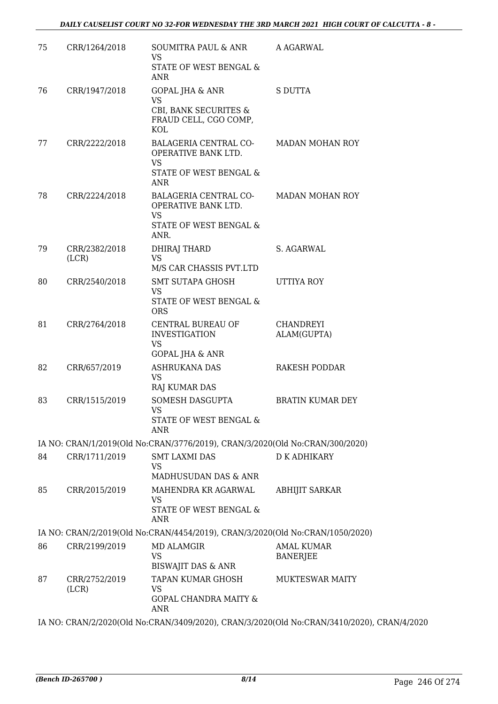| 75 | CRR/1264/2018          | SOUMITRA PAUL & ANR<br>VS.<br>STATE OF WEST BENGAL &<br>ANR                                 | A AGARWAL                                                                                  |
|----|------------------------|---------------------------------------------------------------------------------------------|--------------------------------------------------------------------------------------------|
| 76 | CRR/1947/2018          | <b>GOPAL JHA &amp; ANR</b><br><b>VS</b><br>CBI, BANK SECURITES &<br>FRAUD CELL, CGO COMP,   | <b>S DUTTA</b>                                                                             |
| 77 | CRR/2222/2018          | KOL<br>BALAGERIA CENTRAL CO-<br>OPERATIVE BANK LTD.<br><b>VS</b>                            | <b>MADAN MOHAN ROY</b>                                                                     |
|    |                        | STATE OF WEST BENGAL &<br>ANR                                                               |                                                                                            |
| 78 | CRR/2224/2018          | BALAGERIA CENTRAL CO-<br>OPERATIVE BANK LTD.<br><b>VS</b><br>STATE OF WEST BENGAL &<br>ANR. | <b>MADAN MOHAN ROY</b>                                                                     |
| 79 | CRR/2382/2018<br>(LCR) | DHIRAJ THARD<br><b>VS</b>                                                                   | S. AGARWAL                                                                                 |
|    |                        | M/S CAR CHASSIS PVT.LTD                                                                     |                                                                                            |
| 80 | CRR/2540/2018          | <b>SMT SUTAPA GHOSH</b><br><b>VS</b><br>STATE OF WEST BENGAL &<br><b>ORS</b>                | <b>UTTIYA ROY</b>                                                                          |
| 81 | CRR/2764/2018          | CENTRAL BUREAU OF<br><b>INVESTIGATION</b><br><b>VS</b><br><b>GOPAL JHA &amp; ANR</b>        | <b>CHANDREYI</b><br>ALAM(GUPTA)                                                            |
| 82 | CRR/657/2019           | <b>ASHRUKANA DAS</b><br><b>VS</b><br>RAJ KUMAR DAS                                          | <b>RAKESH PODDAR</b>                                                                       |
| 83 | CRR/1515/2019          | SOMESH DASGUPTA<br><b>VS</b><br>STATE OF WEST BENGAL &<br>ANR                               | <b>BRATIN KUMAR DEY</b>                                                                    |
|    |                        | IA NO: CRAN/1/2019(Old No:CRAN/3776/2019), CRAN/3/2020(Old No:CRAN/300/2020)                |                                                                                            |
| 84 | CRR/1711/2019          | <b>SMT LAXMI DAS</b>                                                                        | <b>D K ADHIKARY</b>                                                                        |
|    |                        | VS<br>MADHUSUDAN DAS & ANR                                                                  |                                                                                            |
| 85 | CRR/2015/2019          | MAHENDRA KR AGARWAL<br><b>VS</b><br><b>STATE OF WEST BENGAL &amp;</b><br><b>ANR</b>         | <b>ABHIJIT SARKAR</b>                                                                      |
|    |                        | IA NO: CRAN/2/2019(Old No:CRAN/4454/2019), CRAN/3/2020(Old No:CRAN/1050/2020)               |                                                                                            |
| 86 | CRR/2199/2019          | <b>MD ALAMGIR</b><br>VS<br><b>BISWAJIT DAS &amp; ANR</b>                                    | <b>AMAL KUMAR</b><br><b>BANERJEE</b>                                                       |
| 87 | CRR/2752/2019<br>(LCR) | TAPAN KUMAR GHOSH<br>VS<br><b>GOPAL CHANDRA MAITY &amp;</b><br><b>ANR</b>                   | <b>MUKTESWAR MAITY</b>                                                                     |
|    |                        |                                                                                             | IA NO: CRAN/2/2020(Old No:CRAN/3409/2020), CRAN/3/2020(Old No:CRAN/3410/2020), CRAN/4/2020 |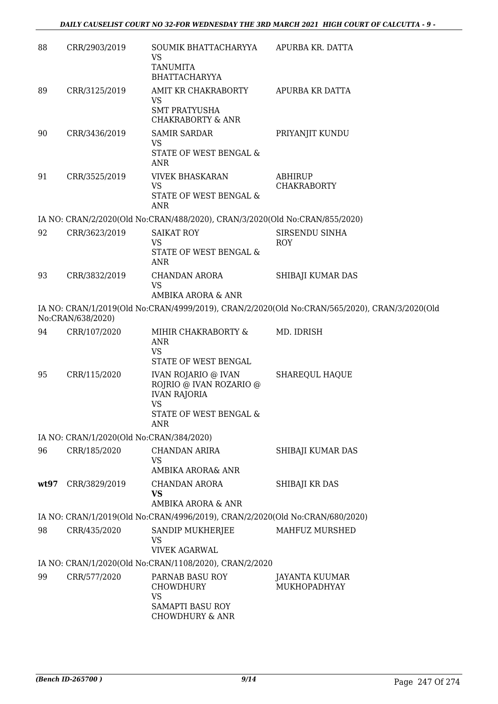| 88   | CRR/2903/2019                            | SOUMIK BHATTACHARYYA<br><b>VS</b><br><b>TANUMITA</b><br><b>BHATTACHARYYA</b>                                                                       | APURBA KR. DATTA                                                                              |
|------|------------------------------------------|----------------------------------------------------------------------------------------------------------------------------------------------------|-----------------------------------------------------------------------------------------------|
| 89   | CRR/3125/2019                            | AMIT KR CHAKRABORTY<br><b>VS</b><br><b>SMT PRATYUSHA</b><br><b>CHAKRABORTY &amp; ANR</b>                                                           | APURBA KR DATTA                                                                               |
| 90   | CRR/3436/2019                            | <b>SAMIR SARDAR</b><br><b>VS</b><br>STATE OF WEST BENGAL &<br><b>ANR</b>                                                                           | PRIYANJIT KUNDU                                                                               |
| 91   | CRR/3525/2019                            | <b>VIVEK BHASKARAN</b><br><b>VS</b><br>STATE OF WEST BENGAL &<br><b>ANR</b>                                                                        | <b>ABHIRUP</b><br><b>CHAKRABORTY</b>                                                          |
|      |                                          | IA NO: CRAN/2/2020(Old No:CRAN/488/2020), CRAN/3/2020(Old No:CRAN/855/2020)                                                                        |                                                                                               |
| 92   | CRR/3623/2019                            | <b>SAIKAT ROY</b><br><b>VS</b><br><b>STATE OF WEST BENGAL &amp;</b><br>ANR                                                                         | SIRSENDU SINHA<br>ROY                                                                         |
| 93   | CRR/3832/2019                            | <b>CHANDAN ARORA</b><br><b>VS</b><br>AMBIKA ARORA & ANR                                                                                            | SHIBAJI KUMAR DAS                                                                             |
|      | No:CRAN/638/2020)                        |                                                                                                                                                    | IA NO: CRAN/1/2019(Old No:CRAN/4999/2019), CRAN/2/2020(Old No:CRAN/565/2020), CRAN/3/2020(Old |
| 94   | CRR/107/2020                             | MIHIR CHAKRABORTY &<br>ANR<br><b>VS</b>                                                                                                            | MD. IDRISH                                                                                    |
| 95   | CRR/115/2020                             | STATE OF WEST BENGAL<br><b>IVAN ROJARIO @ IVAN</b><br>ROJRIO @ IVAN ROZARIO @<br><b>IVAN RAJORIA</b><br><b>VS</b><br>STATE OF WEST BENGAL &<br>ANR | <b>SHAREQUL HAQUE</b>                                                                         |
|      | IA NO: CRAN/1/2020(Old No:CRAN/384/2020) |                                                                                                                                                    |                                                                                               |
| 96   | CRR/185/2020                             | CHANDAN ARIRA<br><b>VS</b><br>AMBIKA ARORA& ANR                                                                                                    | SHIBAJI KUMAR DAS                                                                             |
| wt97 | CRR/3829/2019                            | <b>CHANDAN ARORA</b><br>VS<br>AMBIKA ARORA & ANR                                                                                                   | SHIBAJI KR DAS                                                                                |
|      |                                          | IA NO: CRAN/1/2019(Old No:CRAN/4996/2019), CRAN/2/2020(Old No:CRAN/680/2020)                                                                       |                                                                                               |
| 98   | CRR/435/2020                             | SANDIP MUKHERJEE<br><b>VS</b><br><b>VIVEK AGARWAL</b>                                                                                              | MAHFUZ MURSHED                                                                                |
|      |                                          | IA NO: CRAN/1/2020(Old No:CRAN/1108/2020), CRAN/2/2020                                                                                             |                                                                                               |
| 99   | CRR/577/2020                             | PARNAB BASU ROY<br>CHOWDHURY<br><b>VS</b>                                                                                                          | JAYANTA KUUMAR<br>MUKHOPADHYAY                                                                |
|      |                                          | <b>SAMAPTI BASU ROY</b><br><b>CHOWDHURY &amp; ANR</b>                                                                                              |                                                                                               |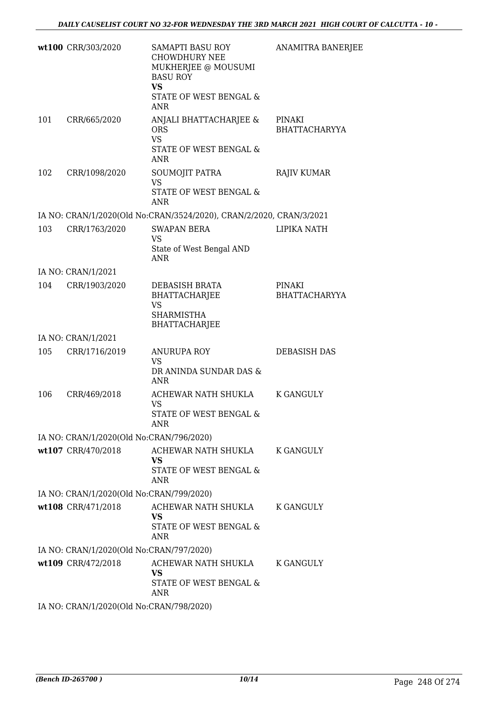|     | wt100 CRR/303/2020                       | SAMAPTI BASU ROY<br><b>CHOWDHURY NEE</b><br>MUKHERJEE @ MOUSUMI<br><b>BASU ROY</b><br>VS<br>STATE OF WEST BENGAL &<br>ANR | ANAMITRA BANERJEE              |
|-----|------------------------------------------|---------------------------------------------------------------------------------------------------------------------------|--------------------------------|
| 101 | CRR/665/2020                             | ANJALI BHATTACHARJEE &<br><b>ORS</b><br><b>VS</b><br>STATE OF WEST BENGAL &<br>ANR                                        | PINAKI<br>BHATTACHARYYA        |
| 102 | CRR/1098/2020                            | SOUMOJIT PATRA<br><b>VS</b><br>STATE OF WEST BENGAL &<br>ANR                                                              | <b>RAJIV KUMAR</b>             |
|     |                                          | IA NO: CRAN/1/2020(Old No:CRAN/3524/2020), CRAN/2/2020, CRAN/3/2021                                                       |                                |
| 103 | CRR/1763/2020                            | <b>SWAPAN BERA</b><br>VS<br>State of West Bengal AND<br><b>ANR</b>                                                        | LIPIKA NATH                    |
|     | IA NO: CRAN/1/2021                       |                                                                                                                           |                                |
| 104 | CRR/1903/2020                            | DEBASISH BRATA<br>BHATTACHARJEE<br>VS<br><b>SHARMISTHA</b><br><b>BHATTACHARJEE</b>                                        | PINAKI<br><b>BHATTACHARYYA</b> |
|     | IA NO: CRAN/1/2021                       |                                                                                                                           |                                |
| 105 | CRR/1716/2019                            | <b>ANURUPA ROY</b><br><b>VS</b><br>DR ANINDA SUNDAR DAS &<br>ANR                                                          | DEBASISH DAS                   |
| 106 | CRR/469/2018                             | ACHEWAR NATH SHUKLA<br>VS<br>STATE OF WEST BENGAL &<br>ANR                                                                | K GANGULY                      |
|     | IA NO: CRAN/1/2020(Old No:CRAN/796/2020) |                                                                                                                           |                                |
|     | wt107 CRR/470/2018                       | ACHEWAR NATH SHUKLA<br>VS<br>STATE OF WEST BENGAL &<br>ANR                                                                | K GANGULY                      |
|     | IA NO: CRAN/1/2020(Old No:CRAN/799/2020) |                                                                                                                           |                                |
|     | wt108 CRR/471/2018                       | ACHEWAR NATH SHUKLA<br>VS<br>STATE OF WEST BENGAL &<br>ANR                                                                | K GANGULY                      |
|     | IA NO: CRAN/1/2020(Old No:CRAN/797/2020) |                                                                                                                           |                                |
|     | wt109 CRR/472/2018                       | ACHEWAR NATH SHUKLA<br>VS<br>STATE OF WEST BENGAL &<br>ANR                                                                | K GANGULY                      |
|     | IA NO: CRAN/1/2020(Old No:CRAN/798/2020) |                                                                                                                           |                                |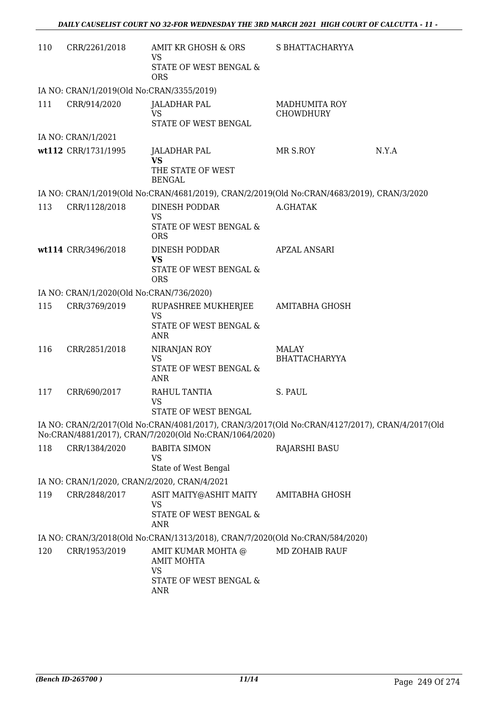| 110 | CRR/2261/2018                                | AMIT KR GHOSH & ORS<br><b>VS</b><br>STATE OF WEST BENGAL &<br><b>ORS</b>                                                                                 | S BHATTACHARYYA                   |       |
|-----|----------------------------------------------|----------------------------------------------------------------------------------------------------------------------------------------------------------|-----------------------------------|-------|
|     | IA NO: CRAN/1/2019(Old No:CRAN/3355/2019)    |                                                                                                                                                          |                                   |       |
| 111 | CRR/914/2020                                 | JALADHAR PAL<br><b>VS</b><br>STATE OF WEST BENGAL                                                                                                        | <b>MADHUMITA ROY</b><br>CHOWDHURY |       |
|     | IA NO: CRAN/1/2021                           |                                                                                                                                                          |                                   |       |
|     | wt112 CRR/1731/1995                          | <b>JALADHAR PAL</b><br><b>VS</b><br>THE STATE OF WEST<br><b>BENGAL</b>                                                                                   | MR S.ROY                          | N.Y.A |
|     |                                              | IA NO: CRAN/1/2019(Old No:CRAN/4681/2019), CRAN/2/2019(Old No:CRAN/4683/2019), CRAN/3/2020                                                               |                                   |       |
| 113 | CRR/1128/2018                                | DINESH PODDAR<br><b>VS</b><br>STATE OF WEST BENGAL &<br><b>ORS</b>                                                                                       | A.GHATAK                          |       |
|     | wt114 CRR/3496/2018                          | DINESH PODDAR<br><b>VS</b><br>STATE OF WEST BENGAL &<br><b>ORS</b>                                                                                       | <b>APZAL ANSARI</b>               |       |
|     | IA NO: CRAN/1/2020(Old No:CRAN/736/2020)     |                                                                                                                                                          |                                   |       |
| 115 | CRR/3769/2019                                | RUPASHREE MUKHERJEE<br><b>VS</b><br>STATE OF WEST BENGAL &<br>ANR                                                                                        | <b>AMITABHA GHOSH</b>             |       |
| 116 | CRR/2851/2018                                | NIRANJAN ROY<br><b>VS</b><br>STATE OF WEST BENGAL &<br>ANR                                                                                               | MALAY<br><b>BHATTACHARYYA</b>     |       |
| 117 | CRR/690/2017                                 | RAHUL TANTIA<br><b>VS</b><br>STATE OF WEST BENGAL                                                                                                        | S. PAUL                           |       |
|     |                                              | IA NO: CRAN/2/2017(Old No:CRAN/4081/2017), CRAN/3/2017(Old No:CRAN/4127/2017), CRAN/4/2017(Old<br>No:CRAN/4881/2017), CRAN/7/2020(Old No:CRAN/1064/2020) |                                   |       |
| 118 | CRR/1384/2020                                | <b>BABITA SIMON</b><br><b>VS</b><br>State of West Bengal                                                                                                 | <b>RAJARSHI BASU</b>              |       |
|     | IA NO: CRAN/1/2020, CRAN/2/2020, CRAN/4/2021 |                                                                                                                                                          |                                   |       |
| 119 | CRR/2848/2017                                | ASIT MAITY@ASHIT MAITY<br><b>VS</b><br><b>STATE OF WEST BENGAL &amp;</b><br>ANR                                                                          | AMITABHA GHOSH                    |       |
|     |                                              | IA NO: CRAN/3/2018(Old No:CRAN/1313/2018), CRAN/7/2020(Old No:CRAN/584/2020)                                                                             |                                   |       |
| 120 | CRR/1953/2019                                | AMIT KUMAR MOHTA @<br><b>AMIT MOHTA</b><br><b>VS</b><br>STATE OF WEST BENGAL &<br>ANR                                                                    | <b>MD ZOHAIB RAUF</b>             |       |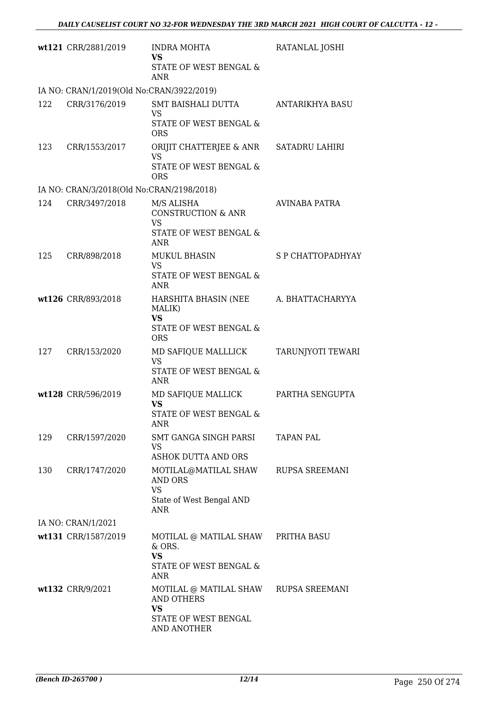|     | wt121 CRR/2881/2019                       | <b>INDRA MOHTA</b><br><b>VS</b>                          | RATANLAL JOSHI        |
|-----|-------------------------------------------|----------------------------------------------------------|-----------------------|
|     |                                           | STATE OF WEST BENGAL &<br><b>ANR</b>                     |                       |
|     | IA NO: CRAN/1/2019(Old No:CRAN/3922/2019) |                                                          |                       |
| 122 | CRR/3176/2019                             | SMT BAISHALI DUTTA<br><b>VS</b>                          | ANTARIKHYA BASU       |
|     |                                           | <b>STATE OF WEST BENGAL &amp;</b><br><b>ORS</b>          |                       |
| 123 | CRR/1553/2017                             | ORIJIT CHATTERJEE & ANR<br><b>VS</b>                     | SATADRU LAHIRI        |
|     |                                           | STATE OF WEST BENGAL &<br><b>ORS</b>                     |                       |
|     | IA NO: CRAN/3/2018(Old No:CRAN/2198/2018) |                                                          |                       |
| 124 | CRR/3497/2018                             | M/S ALISHA<br><b>CONSTRUCTION &amp; ANR</b><br><b>VS</b> | AVINABA PATRA         |
|     |                                           | <b>STATE OF WEST BENGAL &amp;</b><br>ANR                 |                       |
| 125 | CRR/898/2018                              | <b>MUKUL BHASIN</b>                                      | S P CHATTOPADHYAY     |
|     |                                           | <b>VS</b><br>STATE OF WEST BENGAL &<br><b>ANR</b>        |                       |
|     | wt126 CRR/893/2018                        | HARSHITA BHASIN (NEE<br>MALIK)<br><b>VS</b>              | A. BHATTACHARYYA      |
|     |                                           | STATE OF WEST BENGAL &<br><b>ORS</b>                     |                       |
| 127 | CRR/153/2020                              | MD SAFIQUE MALLLICK<br><b>VS</b>                         | TARUNJYOTI TEWARI     |
|     |                                           | STATE OF WEST BENGAL &<br><b>ANR</b>                     |                       |
|     | wt128 CRR/596/2019                        | MD SAFIQUE MALLICK<br><b>VS</b>                          | PARTHA SENGUPTA       |
|     |                                           | STATE OF WEST BENGAL &<br>ANR                            |                       |
| 129 | CRR/1597/2020                             | SMT GANGA SINGH PARSI<br>VS                              | <b>TAPAN PAL</b>      |
|     |                                           | <b>ASHOK DUTTA AND ORS</b>                               |                       |
| 130 | CRR/1747/2020                             | MOTILAL@MATILAL SHAW<br><b>AND ORS</b><br><b>VS</b>      | RUPSA SREEMANI        |
|     |                                           | State of West Bengal AND<br>ANR                          |                       |
|     | IA NO: CRAN/1/2021                        |                                                          |                       |
|     | wt131 CRR/1587/2019                       | MOTILAL @ MATILAL SHAW PRITHA BASU                       |                       |
|     |                                           | $&$ ORS.<br><b>VS</b>                                    |                       |
|     |                                           | STATE OF WEST BENGAL &<br>ANR                            |                       |
|     | wt132 CRR/9/2021                          | MOTILAL @ MATILAL SHAW<br>AND OTHERS<br><b>VS</b>        | <b>RUPSA SREEMANI</b> |
|     |                                           | STATE OF WEST BENGAL<br>AND ANOTHER                      |                       |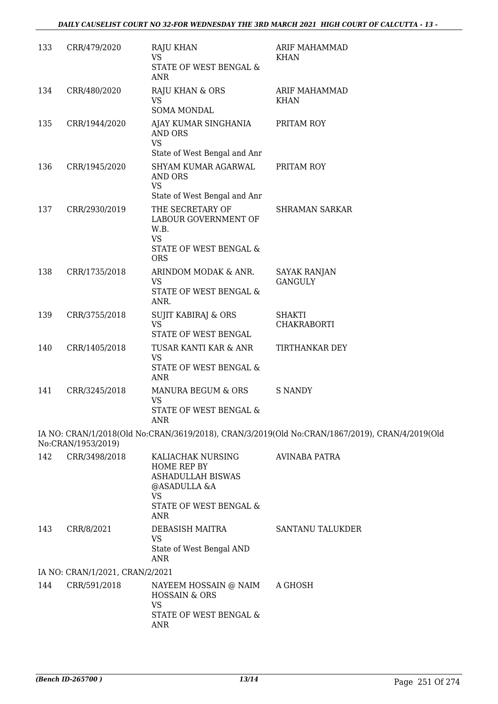| 133 | CRR/479/2020                    | RAJU KHAN<br><b>VS</b><br>STATE OF WEST BENGAL &<br>ANR                                          | ARIF MAHAMMAD<br><b>KHAN</b>                                                                   |
|-----|---------------------------------|--------------------------------------------------------------------------------------------------|------------------------------------------------------------------------------------------------|
| 134 | CRR/480/2020                    | RAJU KHAN & ORS<br><b>VS</b><br>SOMA MONDAL                                                      | ARIF MAHAMMAD<br><b>KHAN</b>                                                                   |
| 135 | CRR/1944/2020                   | AJAY KUMAR SINGHANIA<br><b>AND ORS</b><br><b>VS</b><br>State of West Bengal and Anr              | PRITAM ROY                                                                                     |
| 136 | CRR/1945/2020                   | SHYAM KUMAR AGARWAL<br><b>AND ORS</b><br><b>VS</b>                                               | PRITAM ROY                                                                                     |
|     |                                 | State of West Bengal and Anr                                                                     |                                                                                                |
| 137 | CRR/2930/2019                   | THE SECRETARY OF<br>LABOUR GOVERNMENT OF<br>W.B.<br><b>VS</b><br>STATE OF WEST BENGAL &          | <b>SHRAMAN SARKAR</b>                                                                          |
|     |                                 | <b>ORS</b>                                                                                       |                                                                                                |
| 138 | CRR/1735/2018                   | ARINDOM MODAK & ANR.<br><b>VS</b><br>STATE OF WEST BENGAL &<br>ANR.                              | <b>SAYAK RANJAN</b><br><b>GANGULY</b>                                                          |
|     |                                 |                                                                                                  |                                                                                                |
| 139 | CRR/3755/2018                   | <b>SUJIT KABIRAJ &amp; ORS</b><br><b>VS</b><br>STATE OF WEST BENGAL                              | <b>SHAKTI</b><br>CHAKRABORTI                                                                   |
| 140 | CRR/1405/2018                   | TUSAR KANTI KAR & ANR<br><b>VS</b>                                                               | TIRTHANKAR DEY                                                                                 |
|     |                                 | STATE OF WEST BENGAL &<br>ANR                                                                    |                                                                                                |
| 141 | CRR/3245/2018                   | MANURA BEGUM & ORS<br><b>VS</b><br>STATE OF WEST BENGAL &<br>ANR                                 | <b>S NANDY</b>                                                                                 |
|     | No:CRAN/1953/2019)              |                                                                                                  | IA NO: CRAN/1/2018(Old No:CRAN/3619/2018), CRAN/3/2019(Old No:CRAN/1867/2019), CRAN/4/2019(Old |
| 142 | CRR/3498/2018                   | KALIACHAK NURSING<br><b>HOME REP BY</b><br><b>ASHADULLAH BISWAS</b><br>@ASADULLA &A<br><b>VS</b> | <b>AVINABA PATRA</b>                                                                           |
|     |                                 | STATE OF WEST BENGAL &<br>ANR                                                                    |                                                                                                |
| 143 | CRR/8/2021                      | DEBASISH MAITRA<br>VS<br>State of West Bengal AND<br>ANR                                         | <b>SANTANU TALUKDER</b>                                                                        |
|     | IA NO: CRAN/1/2021, CRAN/2/2021 |                                                                                                  |                                                                                                |
| 144 | CRR/591/2018                    | NAYEEM HOSSAIN @ NAIM<br><b>HOSSAIN &amp; ORS</b><br><b>VS</b>                                   | A GHOSH                                                                                        |
|     |                                 | STATE OF WEST BENGAL &<br>ANR                                                                    |                                                                                                |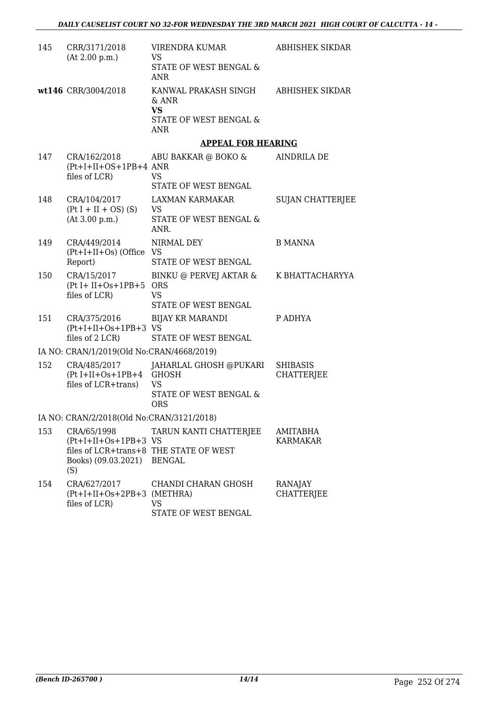| 145 | CRR/3171/2018<br>(At 2.00 p.m.)                                            | VIRENDRA KUMAR<br>VS.<br>STATE OF WEST BENGAL &                                       | ABHISHEK SIKDAR                      |
|-----|----------------------------------------------------------------------------|---------------------------------------------------------------------------------------|--------------------------------------|
|     | wt146 CRR/3004/2018                                                        | ANR<br>KANWAL PRAKASH SINGH<br>$\&$ ANR<br><b>VS</b><br>STATE OF WEST BENGAL &<br>ANR | <b>ABHISHEK SIKDAR</b>               |
|     |                                                                            | <b>APPEAL FOR HEARING</b>                                                             |                                      |
| 147 | CRA/162/2018<br>$(Pt+I+II+OS+1PB+4 ANR)$<br>files of LCR)                  | ABU BAKKAR @ BOKO &<br><b>VS</b>                                                      | AINDRILA DE                          |
|     |                                                                            | STATE OF WEST BENGAL                                                                  |                                      |
| 148 | CRA/104/2017<br>$(Pt I + II + OS) (S)$<br>(At 3.00 p.m.)                   | LAXMAN KARMAKAR<br>VS<br>STATE OF WEST BENGAL &<br>ANR.                               | <b>SUJAN CHATTERJEE</b>              |
| 149 | CRA/449/2014<br>$(Pt+I+II+Os)$ (Office VS<br>Report)                       | NIRMAL DEY<br>STATE OF WEST BENGAL                                                    | <b>B MANNA</b>                       |
| 150 | CRA/15/2017<br>$(Pt I + II + Os + 1PB + 5$ ORS<br>files of LCR)            | BINKU @ PERVEJ AKTAR &<br><b>VS</b><br>STATE OF WEST BENGAL                           | K BHATTACHARYYA                      |
| 151 | CRA/375/2016<br>$(Pt+I+II+Os+1PB+3$ VS<br>files of 2 LCR)                  | <b>BIJAY KR MARANDI</b><br>STATE OF WEST BENGAL                                       | P ADHYA                              |
|     | IA NO: CRAN/1/2019(Old No:CRAN/4668/2019)                                  |                                                                                       |                                      |
| 152 | CRA/485/2017<br>(Pt I+II+Os+1PB+4 GHOSH<br>files of LCR+trans)             | JAHARLAL GHOSH @PUKARI<br><b>VS</b><br>STATE OF WEST BENGAL &<br><b>ORS</b>           | <b>SHIBASIS</b><br><b>CHATTERJEE</b> |
|     | IA NO: CRAN/2/2018(Old No:CRAN/3121/2018)                                  |                                                                                       |                                      |
| 153 | CRA/65/1998<br>$(Pt+I+II+Os+1PB+3$ VS<br>Books) (09.03.2021) BENGAL<br>(S) | TARUN KANTI CHATTERJEE<br>files of LCR+trans+8 THE STATE OF WEST                      | AMITABHA<br><b>KARMAKAR</b>          |
| 154 | CRA/627/2017<br>$(Pt+I+II+Os+2PB+3$ (METHRA)<br>files of LCR)              | CHANDI CHARAN GHOSH<br><b>VS</b><br>STATE OF WEST BENGAL                              | RANAJAY<br><b>CHATTERJEE</b>         |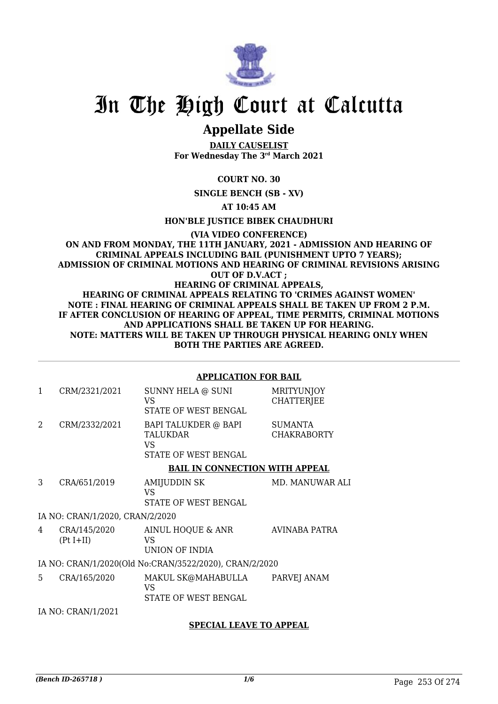

# **Appellate Side**

**DAILY CAUSELIST For Wednesday The 3rd March 2021**

**COURT NO. 30**

**SINGLE BENCH (SB - XV)**

**AT 10:45 AM**

**HON'BLE JUSTICE BIBEK CHAUDHURI**

**(VIA VIDEO CONFERENCE) ON AND FROM MONDAY, THE 11TH JANUARY, 2021 - ADMISSION AND HEARING OF CRIMINAL APPEALS INCLUDING BAIL (PUNISHMENT UPTO 7 YEARS); ADMISSION OF CRIMINAL MOTIONS AND HEARING OF CRIMINAL REVISIONS ARISING OUT OF D.V.ACT ; HEARING OF CRIMINAL APPEALS, HEARING OF CRIMINAL APPEALS RELATING TO 'CRIMES AGAINST WOMEN' NOTE : FINAL HEARING OF CRIMINAL APPEALS SHALL BE TAKEN UP FROM 2 P.M. IF AFTER CONCLUSION OF HEARING OF APPEAL, TIME PERMITS, CRIMINAL MOTIONS AND APPLICATIONS SHALL BE TAKEN UP FOR HEARING. NOTE: MATTERS WILL BE TAKEN UP THROUGH PHYSICAL HEARING ONLY WHEN BOTH THE PARTIES ARE AGREED.**

### **APPLICATION FOR BAIL**

| 1              | CRM/2321/2021                   | SUNNY HELA @ SUNI<br>VS.<br>STATE OF WEST BENGAL                       | <b>MRITYUNJOY</b><br><b>CHATTERJEE</b> |
|----------------|---------------------------------|------------------------------------------------------------------------|----------------------------------------|
| $\mathfrak{D}$ | CRM/2332/2021                   | BAPI TALUKDER @ BAPI<br><b>TALUKDAR</b><br>VS.<br>STATE OF WEST BENGAL | SUMANTA<br><b>CHAKRABORTY</b>          |
|                |                                 | <b>BAIL IN CONNECTION WITH APPEAL</b>                                  |                                        |
| 3              | CRA/651/2019                    | <b>AMIJUDDIN SK</b><br><b>VS</b><br><b>STATE OF WEST BENGAL</b>        | MD. MANUWAR ALI                        |
|                | IA NO: CRAN/1/2020, CRAN/2/2020 |                                                                        |                                        |
| 4              | CRA/145/2020<br>$(Pt I+II)$     | AINUL HOQUE & ANR<br>VS.<br>UNION OF INDIA                             | <b>AVINABA PATRA</b>                   |
|                |                                 | IA NO: CRAN/1/2020(Old No:CRAN/3522/2020), CRAN/2/2020                 |                                        |
| 5.             | CRA/165/2020                    | MAKUL SK@MAHABULLA<br>VS<br>STATE OF WEST BENGAL                       | PARVEJ ANAM                            |
|                | IA NO: CRAN/1/2021              |                                                                        |                                        |
|                |                                 | <b>SPECIAL LEAVE TO APPEAL</b>                                         |                                        |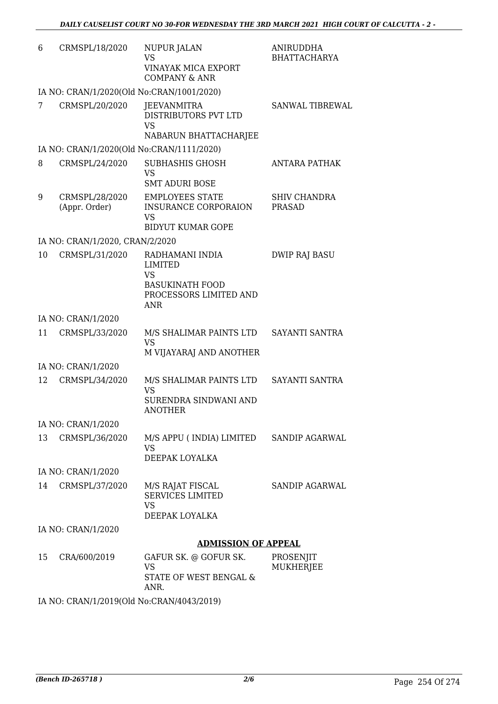| 6  | CRMSPL/18/2020                            | NUPUR JALAN<br><b>VS</b>                                                   | <b>ANIRUDDHA</b><br><b>BHATTACHARYA</b> |
|----|-------------------------------------------|----------------------------------------------------------------------------|-----------------------------------------|
|    |                                           | <b>VINAYAK MICA EXPORT</b><br><b>COMPANY &amp; ANR</b>                     |                                         |
|    | IA NO: CRAN/1/2020(Old No:CRAN/1001/2020) |                                                                            |                                         |
| 7  | CRMSPL/20/2020                            | JEEVANMITRA<br>DISTRIBUTORS PVT LTD<br>VS                                  | SANWAL TIBREWAL                         |
|    |                                           | NABARUN BHATTACHARJEE                                                      |                                         |
|    | IA NO: CRAN/1/2020(Old No:CRAN/1111/2020) |                                                                            |                                         |
| 8  | CRMSPL/24/2020                            | <b>SUBHASHIS GHOSH</b><br><b>VS</b>                                        | <b>ANTARA PATHAK</b>                    |
|    |                                           | <b>SMT ADURI BOSE</b>                                                      |                                         |
| 9  | CRMSPL/28/2020<br>(Appr. Order)           | <b>EMPLOYEES STATE</b><br><b>INSURANCE CORPORAION</b><br><b>VS</b>         | <b>SHIV CHANDRA</b><br><b>PRASAD</b>    |
|    |                                           | <b>BIDYUT KUMAR GOPE</b>                                                   |                                         |
|    | IA NO: CRAN/1/2020, CRAN/2/2020           |                                                                            |                                         |
| 10 | CRMSPL/31/2020                            | RADHAMANI INDIA<br><b>LIMITED</b><br><b>VS</b>                             | <b>DWIP RAJ BASU</b>                    |
|    |                                           | <b>BASUKINATH FOOD</b><br>PROCESSORS LIMITED AND<br><b>ANR</b>             |                                         |
|    | IA NO: CRAN/1/2020                        |                                                                            |                                         |
| 11 | CRMSPL/33/2020                            | M/S SHALIMAR PAINTS LTD<br><b>VS</b>                                       | SAYANTI SANTRA                          |
|    |                                           | M VIJAYARAJ AND ANOTHER                                                    |                                         |
|    | IA NO: CRAN/1/2020                        |                                                                            |                                         |
| 12 | CRMSPL/34/2020                            | M/S SHALIMAR PAINTS LTD<br><b>VS</b>                                       | SAYANTI SANTRA                          |
|    |                                           | SURENDRA SINDWANI AND<br>ANOTHER                                           |                                         |
|    | IA NO: CRAN/1/2020                        |                                                                            |                                         |
| 13 | CRMSPL/36/2020                            | M/S APPU ( INDIA) LIMITED<br><b>VS</b>                                     | SANDIP AGARWAL                          |
|    |                                           | DEEPAK LOYALKA                                                             |                                         |
|    | IA NO: CRAN/1/2020                        |                                                                            |                                         |
| 14 | CRMSPL/37/2020                            | M/S RAJAT FISCAL<br><b>SERVICES LIMITED</b><br><b>VS</b><br>DEEPAK LOYALKA | SANDIP AGARWAL                          |
|    | IA NO: CRAN/1/2020                        |                                                                            |                                         |
|    |                                           | <b>ADMISSION OF APPEAL</b>                                                 |                                         |
| 15 | CRA/600/2019                              | GAFUR SK. @ GOFUR SK.<br><b>VS</b>                                         | PROSENJIT<br><b>MUKHERJEE</b>           |
|    |                                           | STATE OF WEST BENGAL &<br>ANR.                                             |                                         |

IA NO: CRAN/1/2019(Old No:CRAN/4043/2019)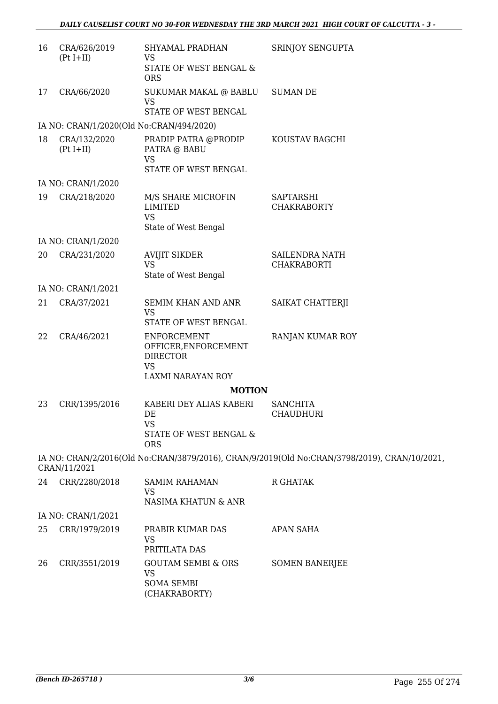| 16 | CRA/626/2019<br>$(Pt I+II)$ | SHYAMAL PRADHAN<br><b>VS</b><br>STATE OF WEST BENGAL &                     | SRINJOY SENGUPTA                                                                             |
|----|-----------------------------|----------------------------------------------------------------------------|----------------------------------------------------------------------------------------------|
|    |                             | <b>ORS</b>                                                                 |                                                                                              |
| 17 | CRA/66/2020                 | SUKUMAR MAKAL @ BABLU<br><b>VS</b>                                         | <b>SUMAN DE</b>                                                                              |
|    |                             | STATE OF WEST BENGAL                                                       |                                                                                              |
|    |                             | IA NO: CRAN/1/2020(Old No:CRAN/494/2020)                                   |                                                                                              |
| 18 | CRA/132/2020<br>$(Pt I+II)$ | PRADIP PATRA @PRODIP<br>PATRA @ BABU<br><b>VS</b><br>STATE OF WEST BENGAL  | KOUSTAV BAGCHI                                                                               |
|    | IA NO: CRAN/1/2020          |                                                                            |                                                                                              |
| 19 | CRA/218/2020                | M/S SHARE MICROFIN                                                         | <b>SAPTARSHI</b>                                                                             |
|    |                             | <b>LIMITED</b><br><b>VS</b><br>State of West Bengal                        | <b>CHAKRABORTY</b>                                                                           |
|    | IA NO: CRAN/1/2020          |                                                                            |                                                                                              |
| 20 | CRA/231/2020                | <b>AVIJIT SIKDER</b>                                                       | SAILENDRA NATH                                                                               |
|    |                             | <b>VS</b><br>State of West Bengal                                          | <b>CHAKRABORTI</b>                                                                           |
|    | IA NO: CRAN/1/2021          |                                                                            |                                                                                              |
| 21 | CRA/37/2021                 | <b>SEMIM KHAN AND ANR</b><br><b>VS</b><br>STATE OF WEST BENGAL             | SAIKAT CHATTERJI                                                                             |
| 22 | CRA/46/2021                 | <b>ENFORCEMENT</b><br>OFFICER, ENFORCEMENT<br><b>DIRECTOR</b><br><b>VS</b> | RANJAN KUMAR ROY                                                                             |
|    |                             | LAXMI NARAYAN ROY                                                          |                                                                                              |
|    |                             | <b>MOTION</b>                                                              |                                                                                              |
| 23 | CRR/1395/2016               | KABERI DEY ALIAS KABERI<br>DE                                              | <b>SANCHITA</b><br>CHAUDHURI                                                                 |
|    |                             | <b>VS</b><br>STATE OF WEST BENGAL &<br><b>ORS</b>                          |                                                                                              |
|    | CRAN/11/2021                |                                                                            | IA NO: CRAN/2/2016(Old No:CRAN/3879/2016), CRAN/9/2019(Old No:CRAN/3798/2019), CRAN/10/2021, |
| 24 | CRR/2280/2018               | <b>SAMIM RAHAMAN</b><br>VS                                                 | R GHATAK                                                                                     |
|    |                             | NASIMA KHATUN & ANR                                                        |                                                                                              |
|    | IA NO: CRAN/1/2021          |                                                                            |                                                                                              |
| 25 | CRR/1979/2019               | PRABIR KUMAR DAS<br><b>VS</b><br>PRITILATA DAS                             | <b>APAN SAHA</b>                                                                             |
| 26 | CRR/3551/2019               | <b>GOUTAM SEMBI &amp; ORS</b>                                              | <b>SOMEN BANERJEE</b>                                                                        |
|    |                             | VS<br><b>SOMA SEMBI</b><br>(CHAKRABORTY)                                   |                                                                                              |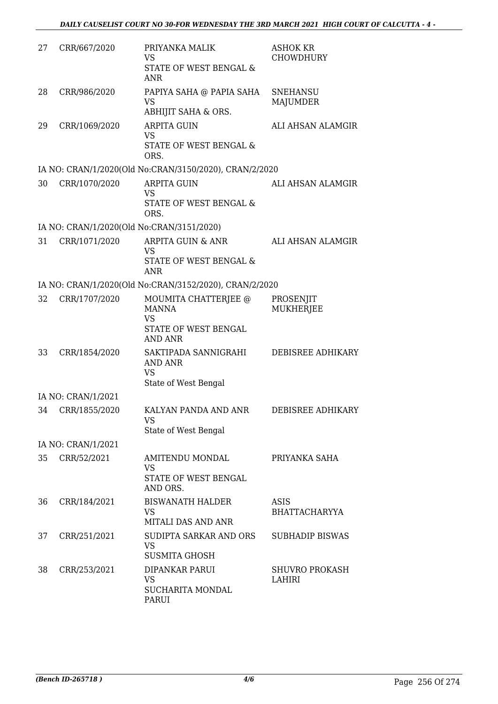| 27 | CRR/667/2020                              | PRIYANKA MALIK<br><b>VS</b><br>STATE OF WEST BENGAL &<br>ANR                                | <b>ASHOK KR</b><br><b>CHOWDHURY</b> |
|----|-------------------------------------------|---------------------------------------------------------------------------------------------|-------------------------------------|
| 28 | CRR/986/2020                              | PAPIYA SAHA @ PAPIA SAHA<br><b>VS</b><br>ABHIJIT SAHA & ORS.                                | <b>SNEHANSU</b><br>MAJUMDER         |
| 29 | CRR/1069/2020                             | <b>ARPITA GUIN</b><br>VS<br>STATE OF WEST BENGAL &<br>ORS.                                  | ALI AHSAN ALAMGIR                   |
|    |                                           | IA NO: CRAN/1/2020(Old No:CRAN/3150/2020), CRAN/2/2020                                      |                                     |
| 30 | CRR/1070/2020                             | <b>ARPITA GUIN</b><br><b>VS</b><br>STATE OF WEST BENGAL &<br>ORS.                           | ALI AHSAN ALAMGIR                   |
|    | IA NO: CRAN/1/2020(Old No:CRAN/3151/2020) |                                                                                             |                                     |
| 31 | CRR/1071/2020                             | ARPITA GUIN & ANR<br><b>VS</b>                                                              | ALI AHSAN ALAMGIR                   |
|    |                                           | STATE OF WEST BENGAL &<br>ANR                                                               |                                     |
|    |                                           | IA NO: CRAN/1/2020(Old No:CRAN/3152/2020), CRAN/2/2020                                      |                                     |
| 32 | CRR/1707/2020                             | MOUMITA CHATTERJEE @<br><b>MANNA</b><br><b>VS</b><br>STATE OF WEST BENGAL<br><b>AND ANR</b> | PROSENJIT<br><b>MUKHERJEE</b>       |
| 33 | CRR/1854/2020                             | SAKTIPADA SANNIGRAHI<br><b>AND ANR</b><br><b>VS</b><br>State of West Bengal                 | DEBISREE ADHIKARY                   |
|    | IA NO: CRAN/1/2021                        |                                                                                             |                                     |
| 34 | CRR/1855/2020                             | KALYAN PANDA AND ANR<br><b>VS</b><br>State of West Bengal                                   | DEBISREE ADHIKARY                   |
|    | IA NO: CRAN/1/2021                        |                                                                                             |                                     |
| 35 | CRR/52/2021                               | AMITENDU MONDAL<br><b>VS</b><br>STATE OF WEST BENGAL<br>AND ORS.                            | PRIYANKA SAHA                       |
| 36 | CRR/184/2021                              | <b>BISWANATH HALDER</b><br>VS<br>MITALI DAS AND ANR                                         | ASIS<br><b>BHATTACHARYYA</b>        |
| 37 | CRR/251/2021                              | SUDIPTA SARKAR AND ORS<br><b>VS</b><br><b>SUSMITA GHOSH</b>                                 | <b>SUBHADIP BISWAS</b>              |
| 38 | CRR/253/2021                              | DIPANKAR PARUI<br><b>VS</b><br><b>SUCHARITA MONDAL</b><br>PARUI                             | <b>SHUVRO PROKASH</b><br>LAHIRI     |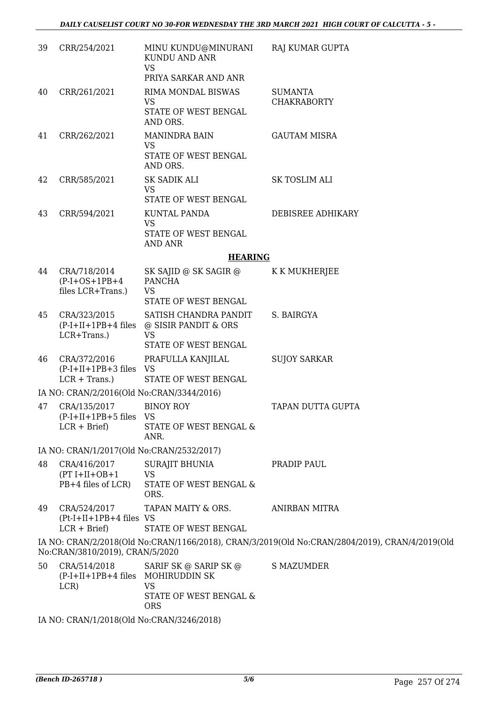| 39 | CRR/254/2021                                                 | MINU KUNDU@MINURANI<br>KUNDU AND ANR<br><b>VS</b><br>PRIYA SARKAR AND ANR          | RAJ KUMAR GUPTA                                                                                |
|----|--------------------------------------------------------------|------------------------------------------------------------------------------------|------------------------------------------------------------------------------------------------|
| 40 | CRR/261/2021                                                 | RIMA MONDAL BISWAS<br><b>VS</b><br>STATE OF WEST BENGAL<br>AND ORS.                | <b>SUMANTA</b><br><b>CHAKRABORTY</b>                                                           |
| 41 | CRR/262/2021                                                 | <b>MANINDRA BAIN</b><br><b>VS</b><br>STATE OF WEST BENGAL<br>AND ORS.              | <b>GAUTAM MISRA</b>                                                                            |
| 42 | CRR/585/2021                                                 | SK SADIK ALI<br><b>VS</b><br>STATE OF WEST BENGAL                                  | <b>SK TOSLIM ALI</b>                                                                           |
| 43 | CRR/594/2021                                                 | KUNTAL PANDA<br><b>VS</b><br>STATE OF WEST BENGAL<br><b>AND ANR</b>                | DEBISREE ADHIKARY                                                                              |
|    |                                                              | <b>HEARING</b>                                                                     |                                                                                                |
| 44 | CRA/718/2014<br>$(P-I+OS+1PB+4)$<br>files LCR+Trans.)        | SK SAJID @ SK SAGIR @<br><b>PANCHA</b><br><b>VS</b><br>STATE OF WEST BENGAL        | K K MUKHERJEE                                                                                  |
| 45 | CRA/323/2015<br>$(P-I+II+1PB+4$ files<br>LCR+Trans.)         | SATISH CHANDRA PANDIT<br>@ SISIR PANDIT & ORS<br><b>VS</b><br>STATE OF WEST BENGAL | S. BAIRGYA                                                                                     |
| 46 | CRA/372/2016<br>$(P-I+II+1PB+3$ files VS<br>$LCR + Trans.$ ) | PRAFULLA KANJILAL<br>STATE OF WEST BENGAL                                          | <b>SUJOY SARKAR</b>                                                                            |
|    | IA NO: CRAN/2/2016(Old No:CRAN/3344/2016)                    |                                                                                    |                                                                                                |
| 47 | CRA/135/2017<br>$(P-I+II+1PB+5$ files VS<br>$LCR + Brief$    | <b>BINOY ROY</b><br>STATE OF WEST BENGAL &<br>ANR.                                 | TAPAN DUTTA GUPTA                                                                              |
|    | IA NO: CRAN/1/2017(Old No:CRAN/2532/2017)                    |                                                                                    |                                                                                                |
| 48 | CRA/416/2017<br>$(PT I+II+OB+1)$<br>PB+4 files of LCR)       | <b>SURAJIT BHUNIA</b><br><b>VS</b><br>STATE OF WEST BENGAL &<br>ORS.               | PRADIP PAUL                                                                                    |
| 49 | CRA/524/2017<br>$(Pt-I+II+1PB+4$ files VS<br>$LCR + Brief$   | TAPAN MAITY & ORS.<br>STATE OF WEST BENGAL                                         | ANIRBAN MITRA                                                                                  |
|    | No:CRAN/3810/2019), CRAN/5/2020                              |                                                                                    | IA NO: CRAN/2/2018(Old No:CRAN/1166/2018), CRAN/3/2019(Old No:CRAN/2804/2019), CRAN/4/2019(Old |
| 50 | CRA/514/2018<br>(P-I+II+1PB+4 files MOHIRUDDIN SK<br>LCR     | SARIF SK @ SARIP SK @<br>VS<br>STATE OF WEST BENGAL &<br><b>ORS</b>                | <b>S MAZUMDER</b>                                                                              |

IA NO: CRAN/1/2018(Old No:CRAN/3246/2018)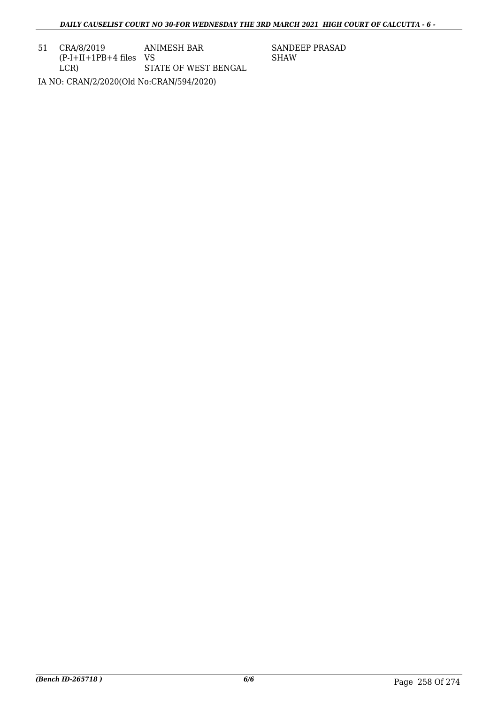51 CRA/8/2019 (P-I+II+1PB+4 files VS LCR) ANIMESH BAR STATE OF WEST BENGAL IA NO: CRAN/2/2020(Old No:CRAN/594/2020)

SANDEEP PRASAD SHAW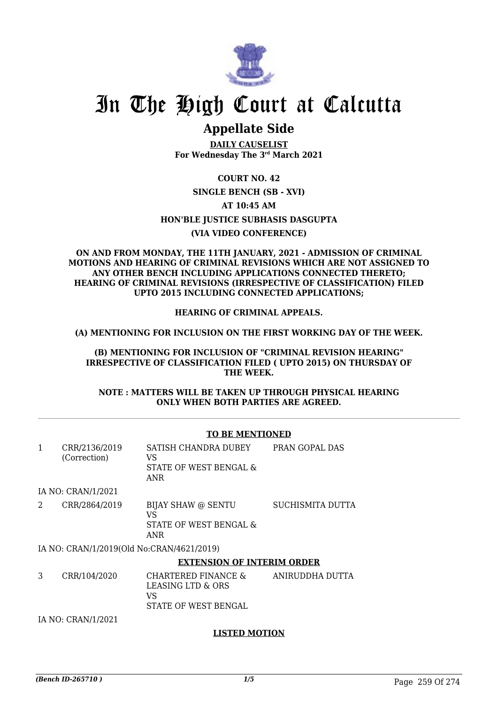

## **Appellate Side**

**DAILY CAUSELIST For Wednesday The 3rd March 2021**

**COURT NO. 42**

## **SINGLE BENCH (SB - XVI)**

**AT 10:45 AM**

**HON'BLE JUSTICE SUBHASIS DASGUPTA**

## **(VIA VIDEO CONFERENCE)**

#### **ON AND FROM MONDAY, THE 11TH JANUARY, 2021 - ADMISSION OF CRIMINAL MOTIONS AND HEARING OF CRIMINAL REVISIONS WHICH ARE NOT ASSIGNED TO ANY OTHER BENCH INCLUDING APPLICATIONS CONNECTED THERETO; HEARING OF CRIMINAL REVISIONS (IRRESPECTIVE OF CLASSIFICATION) FILED UPTO 2015 INCLUDING CONNECTED APPLICATIONS;**

## **HEARING OF CRIMINAL APPEALS.**

**(A) MENTIONING FOR INCLUSION ON THE FIRST WORKING DAY OF THE WEEK.**

**(B) MENTIONING FOR INCLUSION OF "CRIMINAL REVISION HEARING" IRRESPECTIVE OF CLASSIFICATION FILED ( UPTO 2015) ON THURSDAY OF THE WEEK.**

**NOTE : MATTERS WILL BE TAKEN UP THROUGH PHYSICAL HEARING ONLY WHEN BOTH PARTIES ARE AGREED.**

## **TO BE MENTIONED**

| 1 | CRR/2136/2019<br>(Correction) | SATISH CHANDRA DUBEY<br>VS<br>STATE OF WEST BENGAL &<br>ANR            | PRAN GOPAL DAS          |
|---|-------------------------------|------------------------------------------------------------------------|-------------------------|
|   | IA NO: CRAN/1/2021            |                                                                        |                         |
| 2 | CRR/2864/2019                 | BIJAY SHAW @ SENTU<br>VS<br>STATE OF WEST BENGAL &<br>ANR              | <b>SUCHISMITA DUTTA</b> |
|   |                               | IA NO: CRAN/1/2019(Old No:CRAN/4621/2019)                              |                         |
|   |                               | <b>EXTENSION OF INTERIM ORDER</b>                                      |                         |
| 3 | CRR/104/2020                  | CHARTERED FINANCE &<br>LEASING LTD & ORS<br>VS<br>STATE OF WEST BENGAL | ANIRUDDHA DUTTA         |

IA NO: CRAN/1/2021

## **LISTED MOTION**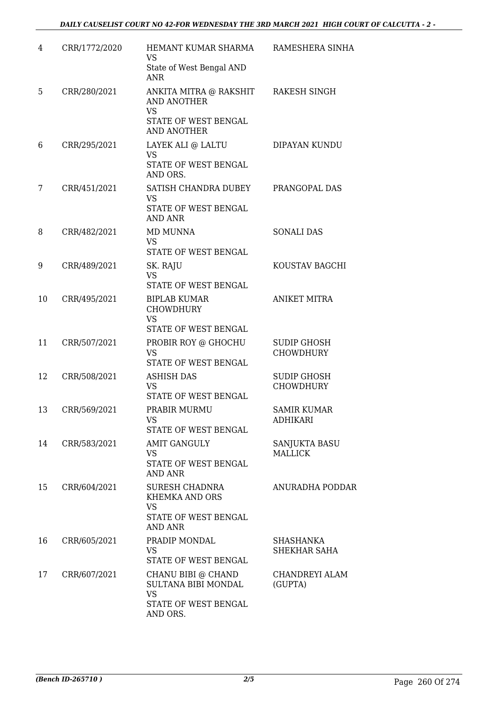| 4  | CRR/1772/2020 | HEMANT KUMAR SHARMA<br><b>VS</b><br>State of West Bengal AND<br><b>ANR</b>                              | RAMESHERA SINHA                        |
|----|---------------|---------------------------------------------------------------------------------------------------------|----------------------------------------|
| 5  | CRR/280/2021  | ANKITA MITRA @ RAKSHIT<br><b>AND ANOTHER</b><br><b>VS</b><br>STATE OF WEST BENGAL<br><b>AND ANOTHER</b> | RAKESH SINGH                           |
| 6  | CRR/295/2021  | LAYEK ALI @ LALTU<br><b>VS</b><br>STATE OF WEST BENGAL<br>AND ORS.                                      | DIPAYAN KUNDU                          |
| 7  | CRR/451/2021  | SATISH CHANDRA DUBEY<br>VS<br>STATE OF WEST BENGAL<br><b>AND ANR</b>                                    | PRANGOPAL DAS                          |
| 8  | CRR/482/2021  | MD MUNNA<br><b>VS</b><br>STATE OF WEST BENGAL                                                           | <b>SONALI DAS</b>                      |
| 9  | CRR/489/2021  | SK. RAJU<br><b>VS</b><br>STATE OF WEST BENGAL                                                           | KOUSTAV BAGCHI                         |
| 10 | CRR/495/2021  | <b>BIPLAB KUMAR</b><br><b>CHOWDHURY</b><br><b>VS</b><br>STATE OF WEST BENGAL                            | <b>ANIKET MITRA</b>                    |
| 11 | CRR/507/2021  | PROBIR ROY @ GHOCHU<br><b>VS</b><br>STATE OF WEST BENGAL                                                | <b>SUDIP GHOSH</b><br><b>CHOWDHURY</b> |
| 12 | CRR/508/2021  | <b>ASHISH DAS</b><br><b>VS</b><br><b>STATE OF WEST BENGAL</b>                                           | <b>SUDIP GHOSH</b><br><b>CHOWDHURY</b> |
| 13 | CRR/569/2021  | PRABIR MURMU<br><b>VS</b><br>STATE OF WEST BENGAL                                                       | <b>SAMIR KUMAR</b><br><b>ADHIKARI</b>  |
| 14 | CRR/583/2021  | <b>AMIT GANGULY</b><br><b>VS</b><br>STATE OF WEST BENGAL<br><b>AND ANR</b>                              | SANJUKTA BASU<br><b>MALLICK</b>        |
| 15 | CRR/604/2021  | SURESH CHADNRA<br>KHEMKA AND ORS<br><b>VS</b><br>STATE OF WEST BENGAL<br><b>AND ANR</b>                 | <b>ANURADHA PODDAR</b>                 |
| 16 | CRR/605/2021  | PRADIP MONDAL<br><b>VS</b><br>STATE OF WEST BENGAL                                                      | SHASHANKA<br>SHEKHAR SAHA              |
| 17 | CRR/607/2021  | CHANU BIBI @ CHAND<br>SULTANA BIBI MONDAL<br><b>VS</b><br>STATE OF WEST BENGAL<br>AND ORS.              | CHANDREYI ALAM<br>(GUPTA)              |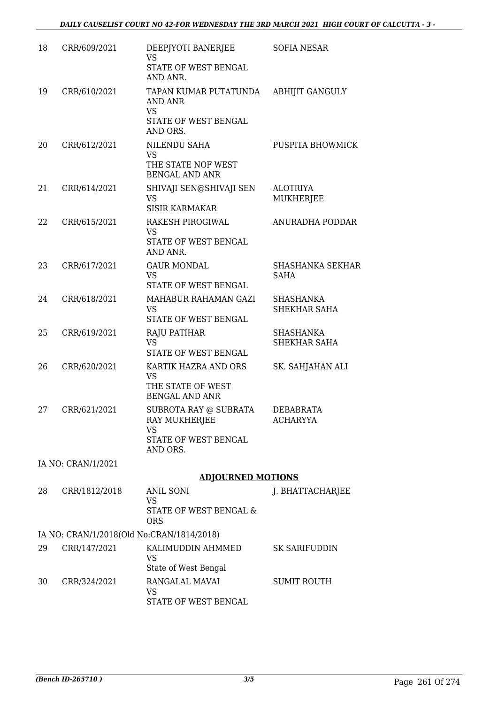| 18 | CRR/609/2021       | DEEPJYOTI BANERJEE<br><b>VS</b><br>STATE OF WEST BENGAL<br>AND ANR.                     | SOFIA NESAR                         |
|----|--------------------|-----------------------------------------------------------------------------------------|-------------------------------------|
| 19 | CRR/610/2021       | TAPAN KUMAR PUTATUNDA<br>AND ANR<br><b>VS</b><br>STATE OF WEST BENGAL<br>AND ORS.       | <b>ABHIJIT GANGULY</b>              |
| 20 | CRR/612/2021       | NILENDU SAHA<br><b>VS</b><br>THE STATE NOF WEST<br><b>BENGAL AND ANR</b>                | PUSPITA BHOWMICK                    |
| 21 | CRR/614/2021       | SHIVAJI SEN@SHIVAJI SEN<br><b>VS</b><br><b>SISIR KARMAKAR</b>                           | <b>ALOTRIYA</b><br><b>MUKHERJEE</b> |
| 22 | CRR/615/2021       | RAKESH PIROGIWAL<br><b>VS</b><br>STATE OF WEST BENGAL<br>AND ANR.                       | ANURADHA PODDAR                     |
| 23 | CRR/617/2021       | <b>GAUR MONDAL</b><br><b>VS</b><br>STATE OF WEST BENGAL                                 | SHASHANKA SEKHAR<br>SAHA            |
| 24 | CRR/618/2021       | MAHABUR RAHAMAN GAZI<br><b>VS</b><br>STATE OF WEST BENGAL                               | SHASHANKA<br><b>SHEKHAR SAHA</b>    |
| 25 | CRR/619/2021       | <b>RAJU PATIHAR</b><br><b>VS</b><br>STATE OF WEST BENGAL                                | <b>SHASHANKA</b><br>SHEKHAR SAHA    |
| 26 | CRR/620/2021       | KARTIK HAZRA AND ORS<br><b>VS</b><br>THE STATE OF WEST<br><b>BENGAL AND ANR</b>         | SK. SAHJAHAN ALI                    |
| 27 | CRR/621/2021       | SUBROTA RAY @ SUBRATA<br>RAY MUKHERJEE<br><b>VS</b><br>STATE OF WEST BENGAL<br>AND ORS. | DEBABRATA<br><b>ACHARYYA</b>        |
|    | IA NO: CRAN/1/2021 |                                                                                         |                                     |
|    |                    | <b>ADJOURNED MOTIONS</b>                                                                |                                     |
| 28 | CRR/1812/2018      | <b>ANIL SONI</b><br><b>VS</b><br>STATE OF WEST BENGAL &<br><b>ORS</b>                   | J. BHATTACHARJEE                    |
|    |                    | IA NO: CRAN/1/2018(Old No:CRAN/1814/2018)                                               |                                     |
| 29 | CRR/147/2021       | KALIMUDDIN AHMMED<br><b>VS</b><br>State of West Bengal                                  | <b>SK SARIFUDDIN</b>                |
| 30 | CRR/324/2021       | RANGALAL MAVAI<br>VS<br>STATE OF WEST BENGAL                                            | <b>SUMIT ROUTH</b>                  |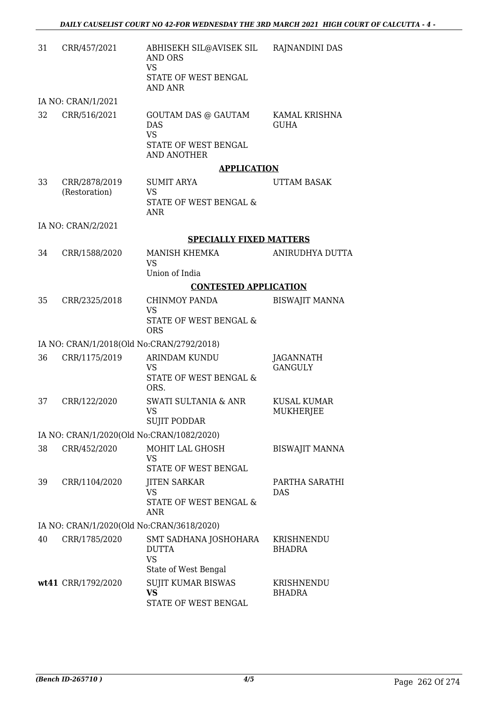| 31 | CRR/457/2021                              | ABHISEKH SIL@AVISEK SIL<br><b>AND ORS</b><br><b>VS</b><br>STATE OF WEST BENGAL<br>AND ANR           | RAJNANDINI DAS                     |
|----|-------------------------------------------|-----------------------------------------------------------------------------------------------------|------------------------------------|
|    | IA NO: CRAN/1/2021                        |                                                                                                     |                                    |
| 32 | CRR/516/2021                              | <b>GOUTAM DAS @ GAUTAM</b><br><b>DAS</b><br><b>VS</b><br>STATE OF WEST BENGAL<br><b>AND ANOTHER</b> | KAMAL KRISHNA<br><b>GUHA</b>       |
|    |                                           | <b>APPLICATION</b>                                                                                  |                                    |
| 33 | CRR/2878/2019<br>(Restoration)            | <b>SUMIT ARYA</b><br><b>VS</b><br>STATE OF WEST BENGAL &<br><b>ANR</b>                              | UTTAM BASAK                        |
|    | IA NO: CRAN/2/2021                        |                                                                                                     |                                    |
|    |                                           | <b>SPECIALLY FIXED MATTERS</b>                                                                      |                                    |
| 34 | CRR/1588/2020                             | MANISH KHEMKA<br><b>VS</b><br>Union of India                                                        | ANIRUDHYA DUTTA                    |
|    |                                           | <b>CONTESTED APPLICATION</b>                                                                        |                                    |
| 35 | CRR/2325/2018                             | CHINMOY PANDA<br><b>VS</b><br>STATE OF WEST BENGAL &                                                | <b>BISWAJIT MANNA</b>              |
|    |                                           | <b>ORS</b>                                                                                          |                                    |
|    | IA NO: CRAN/1/2018(Old No:CRAN/2792/2018) |                                                                                                     |                                    |
| 36 | CRR/1175/2019                             | ARINDAM KUNDU<br><b>VS</b><br>STATE OF WEST BENGAL &<br>ORS.                                        | <b>JAGANNATH</b><br><b>GANGULY</b> |
| 37 | CRR/122/2020                              | <b>SWATI SULTANIA &amp; ANR</b><br><b>VS</b><br><b>SUJIT PODDAR</b>                                 | <b>KUSAL KUMAR</b><br>MUKHERJEE    |
|    | IA NO: CRAN/1/2020(Old No:CRAN/1082/2020) |                                                                                                     |                                    |
| 38 | CRR/452/2020                              | MOHIT LAL GHOSH<br><b>VS</b><br>STATE OF WEST BENGAL                                                | <b>BISWAJIT MANNA</b>              |
| 39 | CRR/1104/2020                             | <b>JITEN SARKAR</b><br><b>VS</b><br>STATE OF WEST BENGAL &<br><b>ANR</b>                            | PARTHA SARATHI<br><b>DAS</b>       |
|    | IA NO: CRAN/1/2020(Old No:CRAN/3618/2020) |                                                                                                     |                                    |
| 40 | CRR/1785/2020                             | SMT SADHANA JOSHOHARA<br><b>DUTTA</b><br><b>VS</b><br>State of West Bengal                          | KRISHNENDU<br><b>BHADRA</b>        |
|    | wt41 CRR/1792/2020                        | SUJIT KUMAR BISWAS<br><b>VS</b><br>STATE OF WEST BENGAL                                             | KRISHNENDU<br>BHADRA               |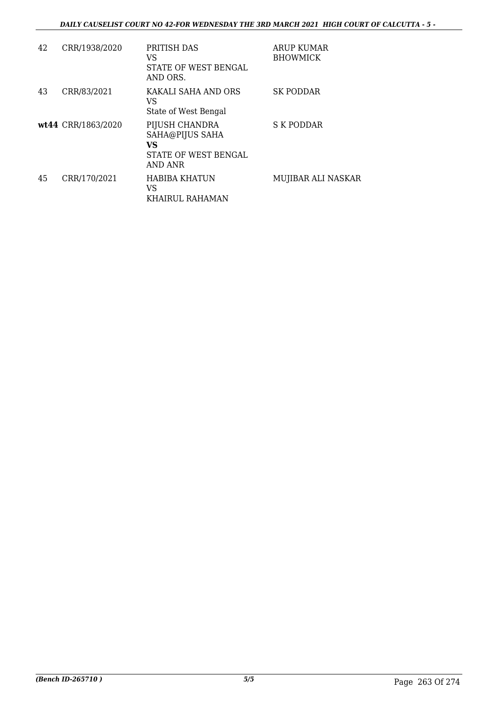| 42 | CRR/1938/2020      | PRITISH DAS<br>VS<br>STATE OF WEST BENGAL<br>AND ORS.                       | ARUP KUMAR<br><b>BHOWMICK</b> |
|----|--------------------|-----------------------------------------------------------------------------|-------------------------------|
| 43 | CRR/83/2021        | KAKALI SAHA AND ORS<br>VS<br>State of West Bengal                           | <b>SK PODDAR</b>              |
|    | wt44 CRR/1863/2020 | PIJUSH CHANDRA<br>SAHA@PIJUS SAHA<br>VS.<br>STATE OF WEST BENGAL<br>AND ANR | S K PODDAR                    |
| 45 | CRR/170/2021       | <b>HABIBA KHATUN</b><br>VS<br>KHAIRUL RAHAMAN                               | MUJIBAR ALI NASKAR            |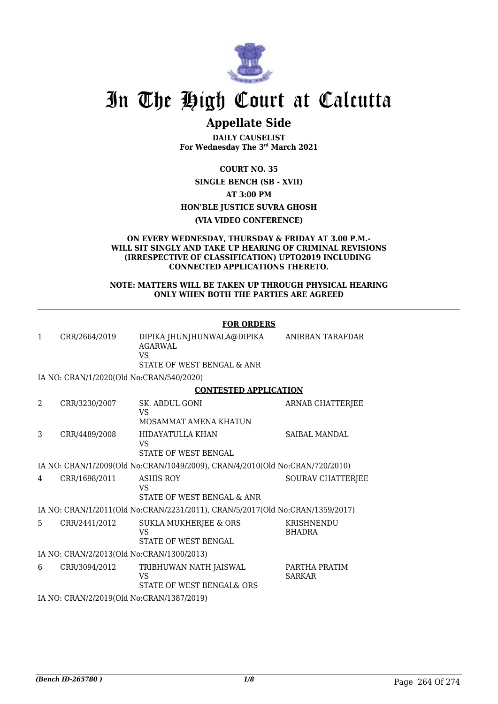

## **Appellate Side**

**DAILY CAUSELIST For Wednesday The 3rd March 2021**

**COURT NO. 35**

**SINGLE BENCH (SB - XVII) AT 3:00 PM HON'BLE JUSTICE SUVRA GHOSH**

### **(VIA VIDEO CONFERENCE)**

#### **ON EVERY WEDNESDAY, THURSDAY & FRIDAY AT 3.00 P.M.- WILL SIT SINGLY AND TAKE UP HEARING OF CRIMINAL REVISIONS (IRRESPECTIVE OF CLASSIFICATION) UPTO2019 INCLUDING CONNECTED APPLICATIONS THERETO.**

#### **NOTE: MATTERS WILL BE TAKEN UP THROUGH PHYSICAL HEARING ONLY WHEN BOTH THE PARTIES ARE AGREED**

|                                           |                                           | <b>FOR ORDERS</b>                                                             |                                |
|-------------------------------------------|-------------------------------------------|-------------------------------------------------------------------------------|--------------------------------|
| $\mathbf{1}$                              | CRR/2664/2019                             | DIPIKA JHUNJHUNWALA@DIPIKA<br>AGARWAL<br>VS<br>STATE OF WEST BENGAL & ANR     | <b>ANIRBAN TARAFDAR</b>        |
|                                           | IA NO: CRAN/1/2020(Old No:CRAN/540/2020)  |                                                                               |                                |
|                                           |                                           | <b>CONTESTED APPLICATION</b>                                                  |                                |
| 2                                         | CRR/3230/2007                             | SK. ABDUL GONI<br><b>VS</b><br>MOSAMMAT AMENA KHATUN                          | ARNAB CHATTERJEE               |
| 3                                         | CRR/4489/2008                             | HIDAYATULLA KHAN<br>VS<br><b>STATE OF WEST BENGAL</b>                         | SAIBAL MANDAL                  |
|                                           |                                           | IA NO: CRAN/1/2009(Old No:CRAN/1049/2009), CRAN/4/2010(Old No:CRAN/720/2010)  |                                |
| 4                                         | CRR/1698/2011                             | <b>ASHIS ROY</b><br>VS<br>STATE OF WEST BENGAL & ANR                          | <b>SOURAV CHATTERJEE</b>       |
|                                           |                                           | IA NO: CRAN/1/2011(Old No:CRAN/2231/2011), CRAN/5/2017(Old No:CRAN/1359/2017) |                                |
| 5.                                        | CRR/2441/2012                             | SUKLA MUKHERJEE & ORS<br><b>VS</b><br>STATE OF WEST BENGAL                    | KRISHNENDU<br><b>BHADRA</b>    |
| IA NO: CRAN/2/2013(Old No:CRAN/1300/2013) |                                           |                                                                               |                                |
| 6                                         | CRR/3094/2012                             | TRIBHUWAN NATH JAISWAL<br>VS<br>STATE OF WEST BENGAL& ORS                     | PARTHA PRATIM<br><b>SARKAR</b> |
|                                           | IA NO: CRAN/2/2019(Old No:CRAN/1387/2019) |                                                                               |                                |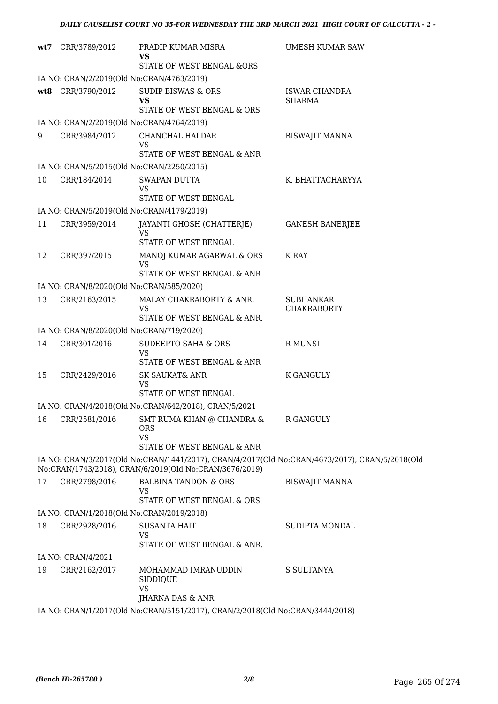|     | wt7 CRR/3789/2012                        | PRADIP KUMAR MISRA<br>VS<br>STATE OF WEST BENGAL &ORS                              | <b>UMESH KUMAR SAW</b>                                                                         |
|-----|------------------------------------------|------------------------------------------------------------------------------------|------------------------------------------------------------------------------------------------|
|     |                                          | IA NO: CRAN/2/2019(Old No:CRAN/4763/2019)                                          |                                                                                                |
| wt8 | CRR/3790/2012                            | <b>SUDIP BISWAS &amp; ORS</b><br><b>VS</b><br>STATE OF WEST BENGAL & ORS           | <b>ISWAR CHANDRA</b><br><b>SHARMA</b>                                                          |
|     |                                          | IA NO: CRAN/2/2019(Old No:CRAN/4764/2019)                                          |                                                                                                |
| 9   | CRR/3984/2012                            | CHANCHAL HALDAR<br>VS                                                              | <b>BISWAJIT MANNA</b>                                                                          |
|     |                                          | STATE OF WEST BENGAL & ANR                                                         |                                                                                                |
|     |                                          | IA NO: CRAN/5/2015(Old No:CRAN/2250/2015)                                          |                                                                                                |
| 10  | CRR/184/2014                             | SWAPAN DUTTA<br><b>VS</b><br>STATE OF WEST BENGAL                                  | K. BHATTACHARYYA                                                                               |
|     |                                          | IA NO: CRAN/5/2019(Old No:CRAN/4179/2019)                                          |                                                                                                |
| 11  | CRR/3959/2014                            | JAYANTI GHOSH (CHATTERJE)<br><b>VS</b>                                             | <b>GANESH BANERJEE</b>                                                                         |
|     |                                          | STATE OF WEST BENGAL                                                               |                                                                                                |
| 12  | CRR/397/2015                             | MANOJ KUMAR AGARWAL & ORS<br>VS                                                    | K RAY                                                                                          |
|     |                                          | STATE OF WEST BENGAL & ANR                                                         |                                                                                                |
|     | IA NO: CRAN/8/2020(Old No:CRAN/585/2020) |                                                                                    |                                                                                                |
| 13  | CRR/2163/2015                            | MALAY CHAKRABORTY & ANR.<br><b>VS</b><br>STATE OF WEST BENGAL & ANR.               | <b>SUBHANKAR</b><br><b>CHAKRABORTY</b>                                                         |
|     | IA NO: CRAN/8/2020(Old No:CRAN/719/2020) |                                                                                    |                                                                                                |
| 14  | CRR/301/2016                             | SUDEEPTO SAHA & ORS<br><b>VS</b>                                                   | R MUNSI                                                                                        |
|     |                                          | STATE OF WEST BENGAL & ANR                                                         |                                                                                                |
| 15  | CRR/2429/2016                            | <b>SK SAUKAT&amp; ANR</b><br><b>VS</b><br>STATE OF WEST BENGAL                     | K GANGULY                                                                                      |
|     |                                          | IA NO: CRAN/4/2018(Old No:CRAN/642/2018), CRAN/5/2021                              |                                                                                                |
| 16  | CRR/2581/2016                            | SMT RUMA KHAN @ CHANDRA &<br><b>ORS</b><br><b>VS</b><br>STATE OF WEST BENGAL & ANR | <b>R GANGULY</b>                                                                               |
|     |                                          |                                                                                    | IA NO: CRAN/3/2017(Old No:CRAN/1441/2017), CRAN/4/2017(Old No:CRAN/4673/2017), CRAN/5/2018(Old |
|     |                                          | No:CRAN/1743/2018), CRAN/6/2019(Old No:CRAN/3676/2019)                             |                                                                                                |
| 17  | CRR/2798/2016                            | <b>BALBINA TANDON &amp; ORS</b><br>VS                                              | <b>BISWAJIT MANNA</b>                                                                          |
|     |                                          | STATE OF WEST BENGAL & ORS                                                         |                                                                                                |
| 18  | CRR/2928/2016                            | IA NO: CRAN/1/2018(Old No:CRAN/2019/2018)<br><b>SUSANTA HAIT</b>                   | SUDIPTA MONDAL                                                                                 |
|     |                                          | VS<br>STATE OF WEST BENGAL & ANR.                                                  |                                                                                                |
|     | IA NO: CRAN/4/2021                       |                                                                                    |                                                                                                |
| 19  | CRR/2162/2017                            | MOHAMMAD IMRANUDDIN<br>SIDDIQUE<br><b>VS</b>                                       | S SULTANYA                                                                                     |
|     |                                          | JHARNA DAS & ANR                                                                   |                                                                                                |
|     |                                          | IA NO: CRAN/1/2017(Old No:CRAN/5151/2017), CRAN/2/2018(Old No:CRAN/3444/2018)      |                                                                                                |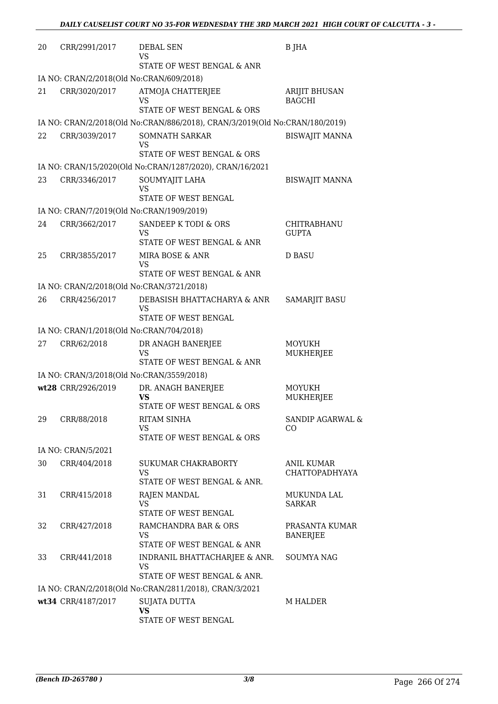| 20 | CRR/2991/2017                                              | <b>DEBAL SEN</b>                                                            | <b>B</b> JHA                          |
|----|------------------------------------------------------------|-----------------------------------------------------------------------------|---------------------------------------|
|    |                                                            | VS<br>STATE OF WEST BENGAL & ANR                                            |                                       |
|    | IA NO: CRAN/2/2018(Old No:CRAN/609/2018)                   |                                                                             |                                       |
| 21 | CRR/3020/2017                                              | ATMOJA CHATTERJEE<br>VS                                                     | <b>ARIJIT BHUSAN</b><br><b>BAGCHI</b> |
|    |                                                            | STATE OF WEST BENGAL & ORS                                                  |                                       |
|    |                                                            | IA NO: CRAN/2/2018(Old No:CRAN/886/2018), CRAN/3/2019(Old No:CRAN/180/2019) |                                       |
| 22 | CRR/3039/2017                                              | <b>SOMNATH SARKAR</b><br>VS<br>STATE OF WEST BENGAL & ORS                   | <b>BISWAJIT MANNA</b>                 |
|    |                                                            | IA NO: CRAN/15/2020(Old No:CRAN/1287/2020), CRAN/16/2021                    |                                       |
| 23 | CRR/3346/2017                                              | SOUMYAJIT LAHA                                                              | <b>BISWAJIT MANNA</b>                 |
|    |                                                            | <b>VS</b><br>STATE OF WEST BENGAL                                           |                                       |
|    | IA NO: CRAN/7/2019(Old No:CRAN/1909/2019)                  |                                                                             |                                       |
| 24 | CRR/3662/2017                                              | SANDEEP K TODI & ORS<br><b>VS</b>                                           | CHITRABHANU<br><b>GUPTA</b>           |
|    |                                                            | STATE OF WEST BENGAL & ANR                                                  |                                       |
| 25 | CRR/3855/2017                                              | MIRA BOSE & ANR<br><b>VS</b>                                                | <b>D BASU</b>                         |
|    |                                                            | STATE OF WEST BENGAL & ANR                                                  |                                       |
| 26 | IA NO: CRAN/2/2018(Old No:CRAN/3721/2018)<br>CRR/4256/2017 | DEBASISH BHATTACHARYA & ANR                                                 | <b>SAMARJIT BASU</b>                  |
|    |                                                            | VS<br>STATE OF WEST BENGAL                                                  |                                       |
|    | IA NO: CRAN/1/2018(Old No:CRAN/704/2018)                   |                                                                             |                                       |
| 27 | CRR/62/2018                                                | DR ANAGH BANERJEE<br>VS<br>STATE OF WEST BENGAL & ANR                       | <b>MOYUKH</b><br>MUKHERJEE            |
|    | IA NO: CRAN/3/2018(Old No:CRAN/3559/2018)                  |                                                                             |                                       |
|    | wt28 CRR/2926/2019                                         | DR. ANAGH BANERJEE                                                          | MOYUKH                                |
|    |                                                            | VS<br>STATE OF WEST BENGAL & ORS                                            | MUKHERJEE                             |
| 29 | CRR/88/2018                                                | <b>RITAM SINHA</b><br>VS                                                    | SANDIP AGARWAL &<br>CO                |
|    |                                                            | STATE OF WEST BENGAL & ORS                                                  |                                       |
|    | IA NO: CRAN/5/2021                                         |                                                                             |                                       |
| 30 | CRR/404/2018                                               | SUKUMAR CHAKRABORTY<br><b>VS</b><br>STATE OF WEST BENGAL & ANR.             | ANIL KUMAR<br><b>CHATTOPADHYAYA</b>   |
| 31 | CRR/415/2018                                               | RAJEN MANDAL<br><b>VS</b>                                                   | MUKUNDA LAL<br><b>SARKAR</b>          |
|    |                                                            | STATE OF WEST BENGAL                                                        |                                       |
| 32 | CRR/427/2018                                               | RAMCHANDRA BAR & ORS<br><b>VS</b><br>STATE OF WEST BENGAL & ANR             | PRASANTA KUMAR<br><b>BANERJEE</b>     |
| 33 | CRR/441/2018                                               | INDRANIL BHATTACHARJEE & ANR.                                               | <b>SOUMYA NAG</b>                     |
|    |                                                            | <b>VS</b><br>STATE OF WEST BENGAL & ANR.                                    |                                       |
|    |                                                            | IA NO: CRAN/2/2018(Old No:CRAN/2811/2018), CRAN/3/2021                      |                                       |
|    | wt34 CRR/4187/2017                                         | <b>SUJATA DUTTA</b><br><b>VS</b>                                            | M HALDER                              |
|    |                                                            | STATE OF WEST BENGAL                                                        |                                       |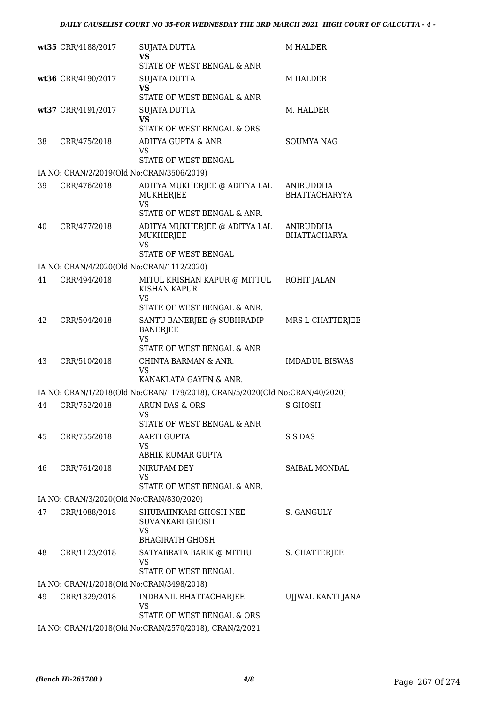|    | wt35 CRR/4188/2017                        | <b>SUJATA DUTTA</b><br>VS<br>STATE OF WEST BENGAL & ANR                              | <b>M HALDER</b>                         |
|----|-------------------------------------------|--------------------------------------------------------------------------------------|-----------------------------------------|
|    | wt36 CRR/4190/2017                        | <b>SUJATA DUTTA</b><br><b>VS</b>                                                     | <b>M HALDER</b>                         |
|    |                                           | STATE OF WEST BENGAL & ANR                                                           |                                         |
|    | wt37 CRR/4191/2017                        | <b>SUJATA DUTTA</b><br><b>VS</b><br>STATE OF WEST BENGAL & ORS                       | M. HALDER                               |
| 38 | CRR/475/2018                              | ADITYA GUPTA & ANR                                                                   | <b>SOUMYA NAG</b>                       |
|    |                                           | <b>VS</b><br>STATE OF WEST BENGAL                                                    |                                         |
|    | IA NO: CRAN/2/2019(Old No:CRAN/3506/2019) |                                                                                      |                                         |
| 39 | CRR/476/2018                              | ADITYA MUKHERJEE @ ADITYA LAL<br><b>MUKHERJEE</b><br><b>VS</b>                       | ANIRUDDHA<br><b>BHATTACHARYYA</b>       |
|    |                                           | STATE OF WEST BENGAL & ANR.                                                          |                                         |
| 40 | CRR/477/2018                              | ADITYA MUKHERJEE @ ADITYA LAL<br><b>MUKHERJEE</b><br><b>VS</b>                       | <b>ANIRUDDHA</b><br><b>BHATTACHARYA</b> |
|    |                                           | STATE OF WEST BENGAL                                                                 |                                         |
|    | IA NO: CRAN/4/2020(Old No:CRAN/1112/2020) |                                                                                      |                                         |
| 41 | CRR/494/2018                              | MITUL KRISHAN KAPUR @ MITTUL<br><b>KISHAN KAPUR</b><br>VS                            | ROHIT JALAN                             |
|    |                                           | STATE OF WEST BENGAL & ANR.                                                          |                                         |
| 42 | CRR/504/2018                              | SANTU BANERJEE @ SUBHRADIP<br><b>BANERJEE</b><br>VS<br>STATE OF WEST BENGAL & ANR    | MRS L CHATTERJEE                        |
| 43 | CRR/510/2018                              | CHINTA BARMAN & ANR.                                                                 | <b>IMDADUL BISWAS</b>                   |
|    |                                           | VS<br>KANAKLATA GAYEN & ANR.                                                         |                                         |
|    |                                           | IA NO: CRAN/1/2018(Old No:CRAN/1179/2018), CRAN/5/2020(Old No:CRAN/40/2020)          |                                         |
| 44 | CRR/752/2018                              | ARUN DAS & ORS<br>VS                                                                 | <b>S GHOSH</b>                          |
|    |                                           | STATE OF WEST BENGAL & ANR                                                           |                                         |
| 45 | CRR/755/2018                              | AARTI GUPTA<br>VS<br>ABHIK KUMAR GUPTA                                               | S S DAS                                 |
| 46 | CRR/761/2018                              | NIRUPAM DEY<br>VS                                                                    | SAIBAL MONDAL                           |
|    |                                           | STATE OF WEST BENGAL & ANR.                                                          |                                         |
|    | IA NO: CRAN/3/2020(Old No:CRAN/830/2020)  |                                                                                      |                                         |
| 47 | CRR/1088/2018                             | SHUBAHNKARI GHOSH NEE<br>SUVANKARI GHOSH<br><b>VS</b><br><b>BHAGIRATH GHOSH</b>      | S. GANGULY                              |
| 48 | CRR/1123/2018                             | SATYABRATA BARIK @ MITHU<br>VS<br>STATE OF WEST BENGAL                               | S. CHATTERJEE                           |
|    | IA NO: CRAN/1/2018(Old No:CRAN/3498/2018) |                                                                                      |                                         |
| 49 | CRR/1329/2018                             | INDRANIL BHATTACHARJEE<br>VS                                                         | UJJWAL KANTI JANA                       |
|    |                                           | STATE OF WEST BENGAL & ORS<br>IA NO: CRAN/1/2018(Old No:CRAN/2570/2018), CRAN/2/2021 |                                         |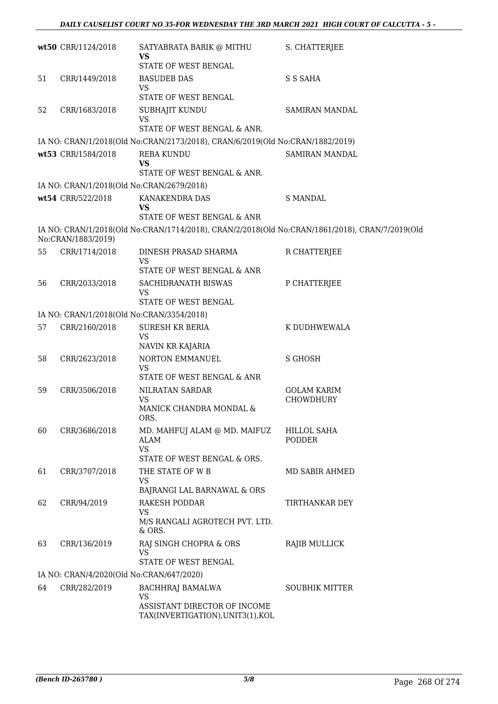|    | wt50 CRR/1124/2018                        | SATYABRATA BARIK @ MITHU<br>VS<br>STATE OF WEST BENGAL                                         | S. CHATTERJEE                |
|----|-------------------------------------------|------------------------------------------------------------------------------------------------|------------------------------|
| 51 | CRR/1449/2018                             | <b>BASUDEB DAS</b>                                                                             | S S SAHA                     |
|    |                                           | <b>VS</b><br>STATE OF WEST BENGAL                                                              |                              |
| 52 | CRR/1683/2018                             | SUBHAJIT KUNDU<br><b>VS</b>                                                                    | SAMIRAN MANDAL               |
|    |                                           | STATE OF WEST BENGAL & ANR.                                                                    |                              |
|    |                                           | IA NO: CRAN/1/2018(Old No:CRAN/2173/2018), CRAN/6/2019(Old No:CRAN/1882/2019)                  |                              |
|    | wt53 CRR/1584/2018                        | <b>REBA KUNDU</b><br><b>VS</b>                                                                 | SAMIRAN MANDAL               |
|    |                                           | STATE OF WEST BENGAL & ANR.                                                                    |                              |
|    | IA NO: CRAN/1/2018(Old No:CRAN/2679/2018) | KANAKENDRA DAS                                                                                 | <b>S MANDAL</b>              |
|    | wt54 CRR/522/2018                         | <b>VS</b><br>STATE OF WEST BENGAL & ANR                                                        |                              |
|    |                                           | IA NO: CRAN/1/2018(Old No:CRAN/1714/2018), CRAN/2/2018(Old No:CRAN/1861/2018), CRAN/7/2019(Old |                              |
|    | No:CRAN/1883/2019)                        |                                                                                                |                              |
| 55 | CRR/1714/2018                             | DINESH PRASAD SHARMA<br><b>VS</b>                                                              | R CHATTERJEE                 |
|    |                                           | STATE OF WEST BENGAL & ANR                                                                     |                              |
| 56 | CRR/2033/2018                             | SACHIDRANATH BISWAS<br>VS                                                                      | P CHATTERJEE                 |
|    |                                           | STATE OF WEST BENGAL                                                                           |                              |
|    | IA NO: CRAN/1/2018(Old No:CRAN/3354/2018) |                                                                                                |                              |
| 57 | CRR/2160/2018                             | <b>SURESH KR BERIA</b><br><b>VS</b>                                                            | K DUDHWEWALA                 |
|    |                                           | NAVIN KR KAJARIA                                                                               |                              |
| 58 | CRR/2623/2018                             | NORTON EMMANUEL<br>VS<br>STATE OF WEST BENGAL & ANR                                            | <b>S GHOSH</b>               |
| 59 | CRR/3506/2018                             | NILRATAN SARDAR                                                                                | <b>GOLAM KARIM</b>           |
|    |                                           | <b>VS</b><br>MANICK CHANDRA MONDAL &<br>ORS.                                                   | CHOWDHURY                    |
| 60 | CRR/3686/2018                             | MD. MAHFUJ ALAM @ MD. MAIFUZ<br><b>ALAM</b>                                                    | HILLOL SAHA<br><b>PODDER</b> |
|    |                                           | <b>VS</b><br>STATE OF WEST BENGAL & ORS.                                                       |                              |
| 61 | CRR/3707/2018                             | THE STATE OF W B                                                                               | MD SABIR AHMED               |
|    |                                           | VS<br>BAJRANGI LAL BARNAWAL & ORS                                                              |                              |
| 62 | CRR/94/2019                               | <b>RAKESH PODDAR</b>                                                                           | TIRTHANKAR DEY               |
|    |                                           | <b>VS</b><br>M/S RANGALI AGROTECH PVT. LTD.<br>& ORS.                                          |                              |
| 63 | CRR/136/2019                              | RAJ SINGH CHOPRA & ORS<br><b>VS</b>                                                            | RAJIB MULLICK                |
|    |                                           | STATE OF WEST BENGAL                                                                           |                              |
|    | IA NO: CRAN/4/2020(Old No:CRAN/647/2020)  |                                                                                                |                              |
| 64 | CRR/282/2019                              | BACHHRAJ BAMALWA<br><b>VS</b>                                                                  | <b>SOUBHIK MITTER</b>        |
|    |                                           | ASSISTANT DIRECTOR OF INCOME<br>TAX(INVERTIGATION), UNIT3(1), KOL                              |                              |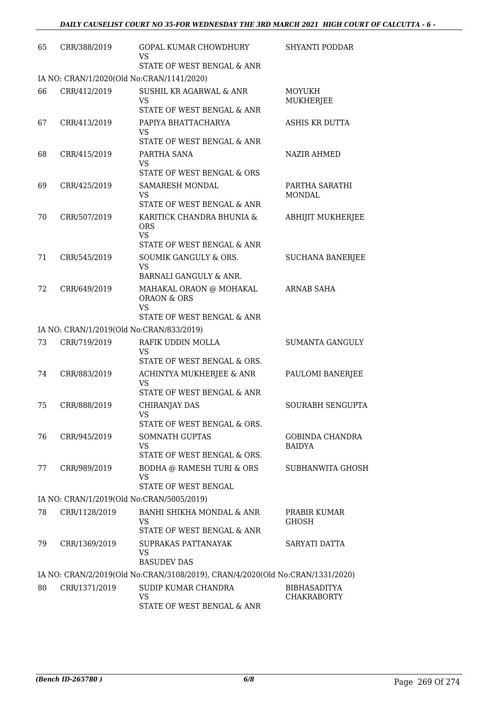| 65 | CRR/388/2019  | GOPAL KUMAR CHOWDHURY<br>VS<br>STATE OF WEST BENGAL & ANR                                                        | SHYANTI PODDAR                          |
|----|---------------|------------------------------------------------------------------------------------------------------------------|-----------------------------------------|
|    |               | IA NO: CRAN/1/2020(Old No:CRAN/1141/2020)                                                                        |                                         |
| 66 | CRR/412/2019  | <b>SUSHIL KR AGARWAL &amp; ANR</b><br><b>VS</b>                                                                  | MOYUKH<br><b>MUKHERJEE</b>              |
|    |               | STATE OF WEST BENGAL & ANR                                                                                       |                                         |
| 67 | CRR/413/2019  | PAPIYA BHATTACHARYA<br><b>VS</b><br>STATE OF WEST BENGAL & ANR                                                   | <b>ASHIS KR DUTTA</b>                   |
| 68 | CRR/415/2019  | PARTHA SANA<br><b>VS</b><br>STATE OF WEST BENGAL & ORS                                                           | NAZIR AHMED                             |
| 69 | CRR/425/2019  | <b>SAMARESH MONDAL</b><br><b>VS</b>                                                                              | PARTHA SARATHI<br><b>MONDAL</b>         |
| 70 | CRR/507/2019  | STATE OF WEST BENGAL & ANR<br>KARITICK CHANDRA BHUNIA &<br><b>ORS</b><br><b>VS</b><br>STATE OF WEST BENGAL & ANR | <b>ABHIJIT MUKHERJEE</b>                |
| 71 | CRR/545/2019  | SOUMIK GANGULY & ORS.<br><b>VS</b><br>BARNALI GANGULY & ANR.                                                     | <b>SUCHANA BANERJEE</b>                 |
| 72 | CRR/649/2019  | MAHAKAL ORAON @ MOHAKAL<br><b>ORAON &amp; ORS</b><br><b>VS</b><br>STATE OF WEST BENGAL & ANR                     | ARNAB SAHA                              |
|    |               | IA NO: CRAN/1/2019(Old No:CRAN/833/2019)                                                                         |                                         |
| 73 | CRR/719/2019  | RAFIK UDDIN MOLLA<br><b>VS</b>                                                                                   | <b>SUMANTA GANGULY</b>                  |
| 74 | CRR/883/2019  | STATE OF WEST BENGAL & ORS.<br>ACHINTYA MUKHERJEE & ANR<br>VS                                                    | PAULOMI BANERJEE                        |
| 75 | CRR/888/2019  | STATE OF WEST BENGAL & ANR<br><b>CHIRANJAY DAS</b><br>VS.                                                        | <b>SOURABH SENGUPTA</b>                 |
| 76 | CRR/945/2019  | STATE OF WEST BENGAL & ORS.<br>SOMNATH GUPTAS<br><b>VS</b><br>STATE OF WEST BENGAL & ORS.                        | <b>GOBINDA CHANDRA</b><br><b>BAIDYA</b> |
| 77 | CRR/989/2019  | <b>BODHA @ RAMESH TURI &amp; ORS</b><br><b>VS</b><br>STATE OF WEST BENGAL                                        | SUBHANWITA GHOSH                        |
|    |               | IA NO: CRAN/1/2019(Old No:CRAN/5005/2019)                                                                        |                                         |
| 78 | CRR/1128/2019 | BANHI SHIKHA MONDAL & ANR<br><b>VS</b><br>STATE OF WEST BENGAL & ANR                                             | PRABIR KUMAR<br><b>GHOSH</b>            |
| 79 | CRR/1369/2019 | SUPRAKAS PATTANAYAK<br><b>VS</b>                                                                                 | SARYATI DATTA                           |
|    |               | <b>BASUDEV DAS</b>                                                                                               |                                         |
| 80 | CRR/1371/2019 | IA NO: CRAN/2/2019(Old No:CRAN/3108/2019), CRAN/4/2020(Old No:CRAN/1331/2020)<br>SUDIP KUMAR CHANDRA             | <b>BIBHASADITYA</b>                     |
|    |               | <b>VS</b><br>STATE OF WEST BENGAL & ANR                                                                          | <b>CHAKRABORTY</b>                      |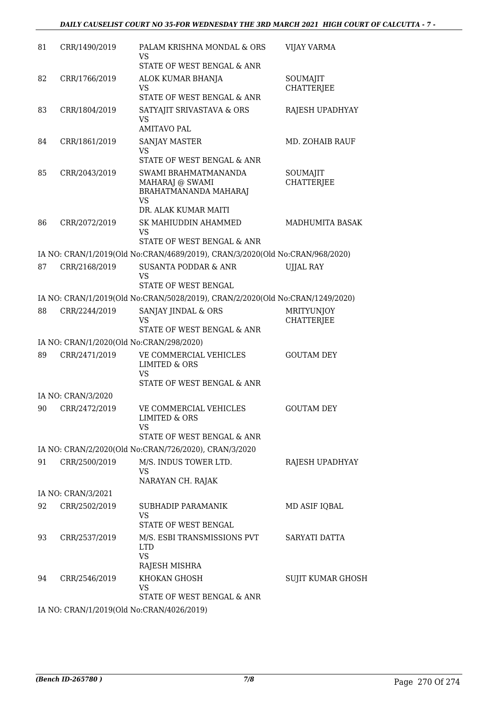### *DAILY CAUSELIST COURT NO 35-FOR WEDNESDAY THE 3RD MARCH 2021 HIGH COURT OF CALCUTTA - 7 -*

| 81 | CRR/1490/2019      | PALAM KRISHNA MONDAL & ORS<br>VS<br>STATE OF WEST BENGAL & ANR                                        | <b>VIJAY VARMA</b>                     |
|----|--------------------|-------------------------------------------------------------------------------------------------------|----------------------------------------|
| 82 | CRR/1766/2019      | ALOK KUMAR BHANJA<br>VS<br>STATE OF WEST BENGAL & ANR                                                 | SOUMAJIT<br><b>CHATTERJEE</b>          |
| 83 | CRR/1804/2019      | SATYAJIT SRIVASTAVA & ORS<br><b>VS</b><br><b>AMITAVO PAL</b>                                          | RAJESH UPADHYAY                        |
| 84 | CRR/1861/2019      | SANJAY MASTER<br><b>VS</b><br>STATE OF WEST BENGAL & ANR                                              | MD. ZOHAIB RAUF                        |
| 85 | CRR/2043/2019      | SWAMI BRAHMATMANANDA<br>MAHARAJ @ SWAMI<br>BRAHATMANANDA MAHARAJ<br><b>VS</b><br>DR. ALAK KUMAR MAITI | SOUMAJIT<br><b>CHATTERJEE</b>          |
| 86 | CRR/2072/2019      | SK MAHIUDDIN AHAMMED<br><b>VS</b><br>STATE OF WEST BENGAL & ANR                                       | MADHUMITA BASAK                        |
|    |                    | IA NO: CRAN/1/2019(Old No:CRAN/4689/2019), CRAN/3/2020(Old No:CRAN/968/2020)                          |                                        |
| 87 | CRR/2168/2019      | <b>SUSANTA PODDAR &amp; ANR</b><br>VS<br>STATE OF WEST BENGAL                                         | <b>UJJAL RAY</b>                       |
|    |                    | IA NO: CRAN/1/2019(Old No:CRAN/5028/2019), CRAN/2/2020(Old No:CRAN/1249/2020)                         |                                        |
| 88 | CRR/2244/2019      | SANJAY JINDAL & ORS<br><b>VS</b><br>STATE OF WEST BENGAL & ANR                                        | <b>MRITYUNJOY</b><br><b>CHATTERJEE</b> |
|    |                    | IA NO: CRAN/1/2020(Old No:CRAN/298/2020)                                                              |                                        |
| 89 | CRR/2471/2019      | VE COMMERCIAL VEHICLES<br><b>LIMITED &amp; ORS</b><br><b>VS</b>                                       | <b>GOUTAM DEY</b>                      |
|    |                    | STATE OF WEST BENGAL & ANR                                                                            |                                        |
|    | IA NO: CRAN/3/2020 |                                                                                                       |                                        |
| 90 | CRR/2472/2019      | VE COMMERCIAL VEHICLES<br><b>LIMITED &amp; ORS</b><br><b>VS</b><br>STATE OF WEST BENGAL & ANR         | <b>GOUTAM DEY</b>                      |
|    |                    | IA NO: CRAN/2/2020(Old No:CRAN/726/2020), CRAN/3/2020                                                 |                                        |
| 91 | CRR/2500/2019      | M/S. INDUS TOWER LTD.<br><b>VS</b><br>NARAYAN CH. RAJAK                                               | RAJESH UPADHYAY                        |
|    | IA NO: CRAN/3/2021 |                                                                                                       |                                        |
| 92 | CRR/2502/2019      | SUBHADIP PARAMANIK<br><b>VS</b><br>STATE OF WEST BENGAL                                               | MD ASIF IQBAL                          |
| 93 | CRR/2537/2019      | M/S. ESBI TRANSMISSIONS PVT<br><b>LTD</b><br><b>VS</b>                                                | SARYATI DATTA                          |
| 94 | CRR/2546/2019      | RAJESH MISHRA<br>KHOKAN GHOSH<br><b>VS</b><br>STATE OF WEST BENGAL & ANR                              | <b>SUJIT KUMAR GHOSH</b>               |
|    |                    | IA NO: CRAN/1/2019(Old No:CRAN/4026/2019)                                                             |                                        |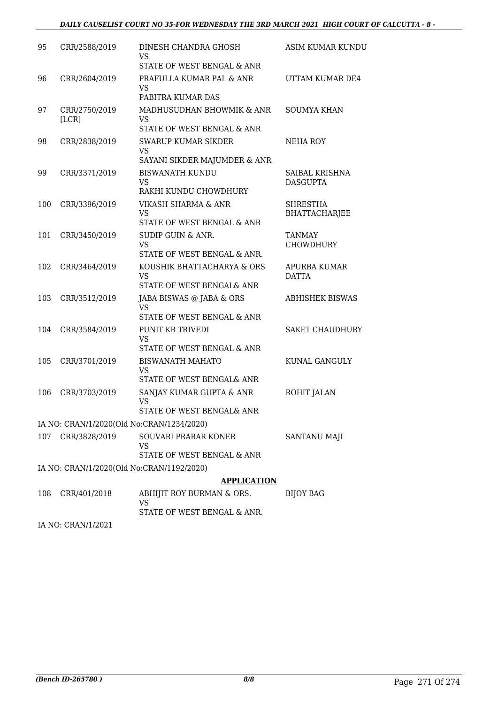## *DAILY CAUSELIST COURT NO 35-FOR WEDNESDAY THE 3RD MARCH 2021 HIGH COURT OF CALCUTTA - 8 -*

| 95          | CRR/2588/2019 | DINESH CHANDRA GHOSH                                                                                | ASIM KUMAR KUNDU                    |
|-------------|---------------|-----------------------------------------------------------------------------------------------------|-------------------------------------|
|             |               | VS<br>STATE OF WEST BENGAL & ANR                                                                    |                                     |
| 96          | CRR/2604/2019 | PRAFULLA KUMAR PAL & ANR<br>VS<br>PABITRA KUMAR DAS                                                 | UTTAM KUMAR DE4                     |
| 97<br>[LCR] | CRR/2750/2019 | MADHUSUDHAN BHOWMIK & ANR<br>VS<br>STATE OF WEST BENGAL & ANR                                       | <b>SOUMYA KHAN</b>                  |
| 98          | CRR/2838/2019 | SWARUP KUMAR SIKDER<br><b>VS</b><br>SAYANI SIKDER MAJUMDER & ANR                                    | NEHA ROY                            |
| 99          | CRR/3371/2019 | <b>BISWANATH KUNDU</b><br><b>VS</b><br>RAKHI KUNDU CHOWDHURY                                        | SAIBAL KRISHNA<br><b>DASGUPTA</b>   |
| 100         | CRR/3396/2019 | VIKASH SHARMA & ANR<br>VS<br>STATE OF WEST BENGAL & ANR                                             | <b>SHRESTHA</b><br>BHATTACHARJEE    |
| 101         | CRR/3450/2019 | SUDIP GUIN & ANR.<br><b>VS</b>                                                                      | TANMAY<br><b>CHOWDHURY</b>          |
| 102         | CRR/3464/2019 | STATE OF WEST BENGAL & ANR.<br>KOUSHIK BHATTACHARYA & ORS<br><b>VS</b><br>STATE OF WEST BENGAL& ANR | <b>APURBA KUMAR</b><br><b>DATTA</b> |
| 103         | CRR/3512/2019 | JABA BISWAS @ JABA & ORS<br><b>VS</b><br>STATE OF WEST BENGAL & ANR                                 | <b>ABHISHEK BISWAS</b>              |
| 104         | CRR/3584/2019 | PUNIT KR TRIVEDI<br><b>VS</b><br>STATE OF WEST BENGAL & ANR                                         | <b>SAKET CHAUDHURY</b>              |
| 105         | CRR/3701/2019 | <b>BISWANATH MAHATO</b><br>VS<br>STATE OF WEST BENGAL& ANR                                          | KUNAL GANGULY                       |
| 106         | CRR/3703/2019 | SANJAY KUMAR GUPTA & ANR<br><b>VS</b><br>STATE OF WEST BENGAL& ANR                                  | ROHIT JALAN                         |
|             |               | IA NO: CRAN/1/2020(Old No:CRAN/1234/2020)                                                           |                                     |
| 107         | CRR/3828/2019 | SOUVARI PRABAR KONER<br>VS<br>STATE OF WEST BENGAL & ANR                                            | SANTANU MAJI                        |
|             |               | IA NO: CRAN/1/2020(Old No:CRAN/1192/2020)                                                           |                                     |
|             |               | <b>APPLICATION</b>                                                                                  |                                     |
| 108         | CRR/401/2018  | ABHIJIT ROY BURMAN & ORS.<br><b>VS</b><br>STATE OF WEST BENGAL & ANR.                               | <b>BIJOY BAG</b>                    |

IA NO: CRAN/1/2021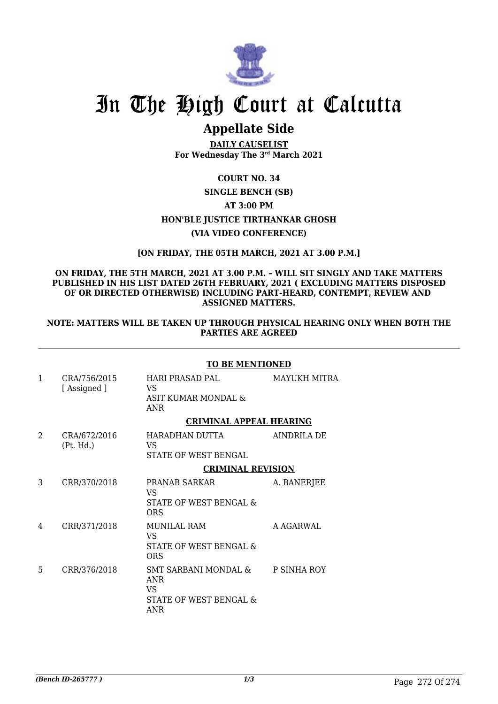

## **Appellate Side**

**DAILY CAUSELIST For Wednesday The 3rd March 2021**

## **COURT NO. 34**

## **SINGLE BENCH (SB) AT 3:00 PM HON'BLE JUSTICE TIRTHANKAR GHOSH (VIA VIDEO CONFERENCE)**

## **[ON FRIDAY, THE 05TH MARCH, 2021 AT 3.00 P.M.]**

## **ON FRIDAY, THE 5TH MARCH, 2021 AT 3.00 P.M. – WILL SIT SINGLY AND TAKE MATTERS PUBLISHED IN HIS LIST DATED 26TH FEBRUARY, 2021 ( EXCLUDING MATTERS DISPOSED OF OR DIRECTED OTHERWISE) INCLUDING PART-HEARD, CONTEMPT, REVIEW AND ASSIGNED MATTERS.**

## **NOTE: MATTERS WILL BE TAKEN UP THROUGH PHYSICAL HEARING ONLY WHEN BOTH THE PARTIES ARE AGREED**

## **TO BE MENTIONED**

| 1              | CRA/756/2015<br>[Assigned] | HARI PRASAD PAL<br>VS.<br>ASIT KUMAR MONDAL &<br><b>ANR</b>                      | MAYUKH MITRA |
|----------------|----------------------------|----------------------------------------------------------------------------------|--------------|
|                |                            | <b>CRIMINAL APPEAL HEARING</b>                                                   |              |
| $\overline{2}$ | CRA/672/2016<br>(Pt. Hd.)  | HARADHAN DUTTA<br>VS.<br>STATE OF WEST BENGAL                                    | AINDRILA DE  |
|                |                            | <b>CRIMINAL REVISION</b>                                                         |              |
| 3              | CRR/370/2018               | PRANAB SARKAR<br>VS<br>STATE OF WEST BENGAL &<br>ORS                             | A. BANERJEE  |
| 4              | CRR/371/2018               | <b>MUNILAL RAM</b><br>VS<br>STATE OF WEST BENGAL &<br><b>ORS</b>                 | A AGARWAL    |
| 5              | CRR/376/2018               | SMT SARBANI MONDAL &<br><b>ANR</b><br><b>VS</b><br>STATE OF WEST BENGAL &<br>ANR | P SINHA ROY  |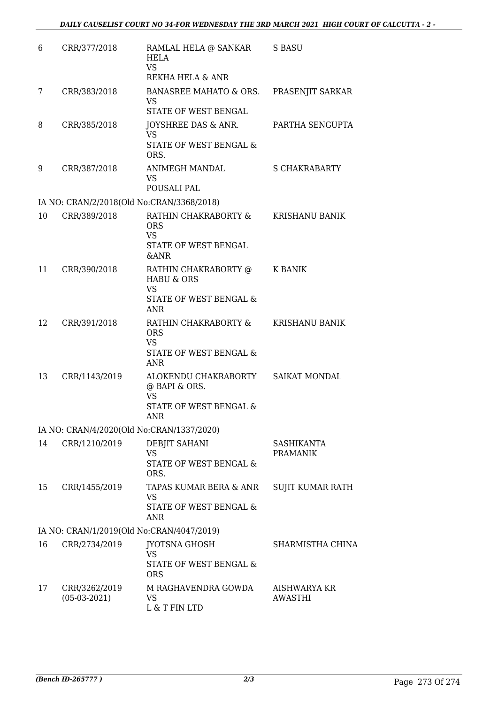| 6  | CRR/377/2018                    | RAMLAL HELA @ SANKAR<br>HELA<br><b>VS</b><br>REKHA HELA & ANR                                      | S BASU                               |
|----|---------------------------------|----------------------------------------------------------------------------------------------------|--------------------------------------|
| 7  | CRR/383/2018                    | BANASREE MAHATO & ORS.<br><b>VS</b><br>STATE OF WEST BENGAL                                        | PRASENJIT SARKAR                     |
| 8  | CRR/385/2018                    | JOYSHREE DAS & ANR.<br><b>VS</b><br>STATE OF WEST BENGAL &<br>ORS.                                 | PARTHA SENGUPTA                      |
| 9  | CRR/387/2018                    | ANIMEGH MANDAL<br>VS.<br>POUSALI PAL                                                               | <b>S CHAKRABARTY</b>                 |
|    |                                 | IA NO: CRAN/2/2018(Old No:CRAN/3368/2018)                                                          |                                      |
| 10 | CRR/389/2018                    | RATHIN CHAKRABORTY &<br><b>ORS</b><br><b>VS</b><br>STATE OF WEST BENGAL<br><b>&amp;ANR</b>         | <b>KRISHANU BANIK</b>                |
| 11 | CRR/390/2018                    | RATHIN CHAKRABORTY @<br><b>HABU &amp; ORS</b><br><b>VS</b><br>STATE OF WEST BENGAL &<br><b>ANR</b> | K BANIK                              |
| 12 | CRR/391/2018                    | RATHIN CHAKRABORTY &<br><b>ORS</b><br><b>VS</b><br>STATE OF WEST BENGAL &<br><b>ANR</b>            | <b>KRISHANU BANIK</b>                |
| 13 | CRR/1143/2019                   | ALOKENDU CHAKRABORTY<br>@ BAPI & ORS.<br><b>VS</b><br>STATE OF WEST BENGAL &<br>ANR                | <b>SAIKAT MONDAL</b>                 |
|    |                                 | IA NO: CRAN/4/2020(Old No:CRAN/1337/2020)                                                          |                                      |
| 14 | CRR/1210/2019                   | DEBJIT SAHANI<br><b>VS</b><br>STATE OF WEST BENGAL &<br>ORS.                                       | <b>SASHIKANTA</b><br><b>PRAMANIK</b> |
| 15 | CRR/1455/2019                   | TAPAS KUMAR BERA & ANR<br><b>VS</b><br><b>STATE OF WEST BENGAL &amp;</b><br>ANR                    | SUJIT KUMAR RATH                     |
|    |                                 | IA NO: CRAN/1/2019(Old No:CRAN/4047/2019)                                                          |                                      |
| 16 | CRR/2734/2019                   | JYOTSNA GHOSH<br><b>VS</b><br>STATE OF WEST BENGAL &<br><b>ORS</b>                                 | SHARMISTHA CHINA                     |
| 17 | CRR/3262/2019<br>$(05-03-2021)$ | M RAGHAVENDRA GOWDA<br><b>VS</b><br>L & T FIN LTD                                                  | AISHWARYA KR<br><b>AWASTHI</b>       |